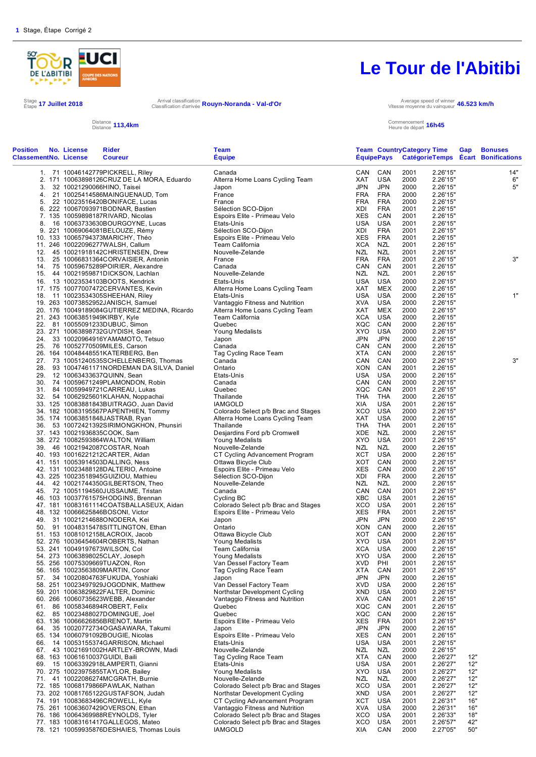

Stage **17 Juillet 2018** Arrival classification<br>Étape **17 Juillet 2018** Arrival classification d'arrivée

Arrival classification **Rouyn-Noranda - Val-d'Or**<br>Classification d'arrivée **Rouyn-Noranda - Val-d'Or** 

#### Distance Distance **113,4km** Commencement

# **Le Tour de l'Abitibi**

Vitesse moyenne du vainqueur **46.523 km/h**

Commencement **16h45**<br>Heure de départ **16h45** 

| <b>Position</b><br><b>ClassementNo. License</b> | No. License | <b>Rider</b><br><b>Coureur</b>                                                  | <b>Team</b><br><b>Equipe</b>                             |                   | <b>EquipePays</b>        | <b>Team CountryCategory Time</b> |                      | Gap        | <b>Bonuses</b><br>CatégorieTemps Ecart Bonifications |
|-------------------------------------------------|-------------|---------------------------------------------------------------------------------|----------------------------------------------------------|-------------------|--------------------------|----------------------------------|----------------------|------------|------------------------------------------------------|
|                                                 |             | 1. 71 10046142779PICKRELL, Riley                                                | Canada                                                   |                   | CAN CAN                  | 2001                             | 2.26'15"             |            | 14"                                                  |
|                                                 |             | 2. 171 10063898126CRUZ DE LA MORA, Eduardo                                      | Alterra Home Loans Cycling Team                          | XAT               | USA                      | 2000                             | 2.26'15"             |            | 6"                                                   |
| 3.                                              |             | 32 10021290066HINO, Taisei                                                      | Japon                                                    | <b>JPN</b>        | <b>JPN</b>               | 2000                             | 2.26'15"             |            | 5"                                                   |
| 4.                                              |             | 21 10025414586MAINGUENAUD, Tom                                                  | France                                                   | FRA               | <b>FRA</b>               | 2000                             | 2.26'15"             |            |                                                      |
| 5.                                              |             | 22 10023516420BONIFACE, Lucas<br>6. 222 10067093971BODNAR, Bastien              | France<br>Sélection SCO-Dijon                            | <b>FRA</b><br>XDI | <b>FRA</b><br><b>FRA</b> | 2000<br>2001                     | 2.26'15"<br>2.26'15" |            |                                                      |
|                                                 |             | 7. 135 10059898187RIVARD, Nicolas                                               | Espoirs Elite - Primeau Velo                             | XES               | CAN                      | 2001                             | 2.26'15"             |            |                                                      |
| 8.                                              |             | 16 10063733630BOURGOYNE, Lucas                                                  | Etats-Unis                                               | USA               | <b>USA</b>               | 2001                             | 2.26'15"             |            |                                                      |
|                                                 |             | 9. 221 10069064081BELOUZE, Rémy                                                 | Sélection SCO-Dijon                                      | XDI               | <b>FRA</b>               | 2001                             | 2.26'15"             |            |                                                      |
|                                                 |             | 10. 133 10065794373MARICHY, Théo                                                | Espoirs Elite - Primeau Velo                             | XES               | <b>FRA</b>               | 2001                             | 2.26'15"             |            |                                                      |
|                                                 |             | 11. 246 10022096277WALSH, Callum                                                | Team California                                          | XCA               | <b>NZL</b>               | 2001                             | 2.26'15"             |            |                                                      |
|                                                 |             | 12. 45 10021918142CHRISTENSEN, Drew                                             | Nouvelle-Zelande                                         | NZL               | <b>NZL</b>               | 2001                             | 2.26'15"             |            |                                                      |
|                                                 |             | 13. 25 10066831364CORVAISIER, Antonin                                           | France<br>Canada                                         | <b>FRA</b><br>CAN | <b>FRA</b><br>CAN        | 2001<br>2001                     | 2.26'15"<br>2.26'15" |            | 3"                                                   |
| 14.<br>15.                                      |             | 75 10059675289POIRIER, Alexandre<br>44 10021959871DICKSON, Lachlan              | Nouvelle-Zelande                                         | NZL               | NZL                      | 2001                             | 2.26'15"             |            |                                                      |
|                                                 |             | 16. 13 10023534103BOOTS, Kendrick                                               | Etats-Unis                                               | <b>USA</b>        | <b>USA</b>               | 2000                             | 2.26'15"             |            |                                                      |
|                                                 |             | 17. 175 10077007472CERVANTES, Kevin                                             | Alterra Home Loans Cycling Team                          | XAT               | <b>MEX</b>               | 2000                             | 2.26'15"             |            |                                                      |
|                                                 |             | 18. 11 10023534305SHEEHAN, Riley                                                | Etats-Unis                                               | USA               | USA                      | 2000                             | 2.26'15"             |            | 1"                                                   |
|                                                 |             | 19. 263 10073852952JANISCH, Samuel                                              | Vantaggio Fitness and Nutrition                          | XVA               | <b>USA</b>               | 2000                             | 2.26'15"             |            |                                                      |
|                                                 |             | 20. 176 10049189084GUTIERREZ MEDINA, Ricardo                                    | Alterra Home Loans Cycling Team                          | XAT               | <b>MEX</b>               | 2000                             | 2.26'15"             |            |                                                      |
|                                                 |             | 21. 243 10063851949KIRBY, Kyle                                                  | Team California                                          | XCA               | USA                      | 2000                             | 2.26'15"             |            |                                                      |
| 22.                                             |             | 81 10055091233DUBUC, Simon<br>23. 271 10063898732GUYDISH, Sean                  | Quebec                                                   | XQC<br>XYO        | CAN<br><b>USA</b>        | 2000<br>2000                     | 2.26'15"<br>2.26'15" |            |                                                      |
|                                                 |             | 24. 33 10020964916YAMAMOTO, Tetsuo                                              | Young Medalists<br>Japon                                 | JPN               | <b>JPN</b>               | 2000                             | 2.26'15"             |            |                                                      |
| 25.                                             |             | 76 10052770509MILES, Carson                                                     | Canada                                                   | CAN               | CAN                      | 2000                             | 2.26'15"             |            |                                                      |
|                                                 |             | 26. 164 10048448551KATERBERG, Ben                                               | Tag Cycling Race Team                                    | XTA               | CAN                      | 2000                             | 2.26'15"             |            |                                                      |
|                                                 |             | 27. 73 10051240535SCHELLENBERG, Thomas                                          | Canada                                                   | CAN               | CAN                      | 2000                             | 2.26'15"             |            | 3"                                                   |
| 28.                                             |             | 93 10047461171NORDEMAN DA SILVA, Daniel                                         | Ontario                                                  | XON               | CAN                      | 2001                             | 2.26'15"             |            |                                                      |
| 29.                                             |             | 12 10063433637QUINN, Sean                                                       | Etats-Unis                                               | USA               | USA                      | 2000                             | 2.26'15"             |            |                                                      |
|                                                 |             | 30. 74 10059671249PLAMONDON, Robin                                              | Canada                                                   | CAN               | CAN                      | 2000                             | 2.26'15"             |            |                                                      |
|                                                 |             | 31. 84 10059949721 CARREAU, Lukas                                               | Quebec                                                   | XQC               | CAN<br><b>THA</b>        | 2001                             | 2.26'15"             |            |                                                      |
|                                                 |             | 32. 54 10062925601KLAHAN, Noppachai<br>33. 125 10083881843BUITRAGO, Juan David  | Thailande<br><b>IAMGOLD</b>                              | THA<br>XIA        | <b>USA</b>               | 2000<br>2001                     | 2.26'15"<br>2.26'15" |            |                                                      |
|                                                 |             | 34. 182 10083195567PAPENTHIEN, Tommy                                            | Colorado Select p/b Brac and Stages                      | XCO               | <b>USA</b>               | 2000                             | 2.26'15"             |            |                                                      |
|                                                 |             | 35. 174 10063851848JASTRAB, Ryan                                                | Alterra Home Loans Cycling Team                          | XAT               | <b>USA</b>               | 2000                             | 2.26'15"             |            |                                                      |
|                                                 |             | 36. 53 10072421392SIRIMONGKHON, Phunsiri                                        | Thailande                                                | <b>THA</b>        | <b>THA</b>               | 2001                             | 2.26'15"             |            |                                                      |
|                                                 |             | 37. 143 10021936835COOK, Sam                                                    | Desjardins Ford p/b Cromwell                             | XDE               | NZL                      | 2000                             | 2.26'15"             |            |                                                      |
|                                                 |             | 38. 272 10082593864WALTON, William                                              | Young Medalists                                          | XYO               | <b>USA</b>               | 2001                             | 2.26'15"             |            |                                                      |
|                                                 |             | 39. 46 10021942087COSTAR, Noah                                                  | Nouvelle-Zelande                                         | NZL               | <b>NZL</b>               | 2000                             | 2.26'15"             |            |                                                      |
|                                                 |             | 40. 193 10016221212CARTER, Aidan                                                | CT Cycling Advancement Program                           | XCT               | USA<br>CAN               | 2000                             | 2.26'15"             |            |                                                      |
|                                                 |             | 41. 151 10053914503DALLING, Ness<br>42. 131 10023488128DALTERIO, Antoine        | Ottawa Bicycle Club<br>Espoirs Elite - Primeau Velo      | XOT<br><b>XES</b> | CAN                      | 2000<br>2000                     | 2.26'15"<br>2.26'15" |            |                                                      |
|                                                 |             | 43. 225 10023518945GUIZIOU, Mathieu                                             | Sélection SCO-Dijon                                      | XDI               | <b>FRA</b>               | 2000                             | 2.26'15"             |            |                                                      |
|                                                 |             | 44. 42 10021744350GILBERTSON, Theo                                              | Nouvelle-Zelande                                         | NZL               | <b>NZL</b>               | 2000                             | 2.26'15"             |            |                                                      |
|                                                 |             | 45. 72 10051194560JUSSAUME, Tristan                                             | Canada                                                   | CAN               | CAN                      | 2001                             | 2.26'15"             |            |                                                      |
|                                                 |             | 46. 103 10037761575HODGINS, Brennan                                             | Cycling BC                                               | XBC               | USA                      | 2001                             | 2.26'15"             |            |                                                      |
|                                                 |             | 47. 181 10083161114COATSBALLASEUX, Aidan                                        | Colorado Select p/b Brac and Stages                      | <b>XCO</b>        | <b>USA</b>               | 2001                             | 2.26'15"             |            |                                                      |
|                                                 |             | 48. 132 10066625846BOSONI, Victor                                               | Espoirs Elite - Primeau Velo                             | XES               | <b>FRA</b>               | 2001                             | 2.26'15"<br>2.26'15" |            |                                                      |
| 50.                                             |             | 49. 31 10021214688ONODERA, Kei<br>91 10048315478SITTLINGTON, Ethan              | Japon<br>Ontario                                         | JPN<br>XON        | <b>JPN</b><br>CAN        | 2000<br>2000                     | 2.26'15"             |            |                                                      |
|                                                 |             | 51. 153 10081012158LACROIX, Jacob                                               | Ottawa Bicycle Club                                      | XOT               | CAN                      | 2000                             | 2.26'15"             |            |                                                      |
|                                                 |             | 52. 276 10036454604ROBERTS, Nathan                                              | Young Medalists                                          | <b>XYO</b>        | <b>USA</b>               | 2001                             | 2.26'15"             |            |                                                      |
|                                                 |             | 53. 241 10049197673WILSON, Col                                                  | Team California                                          | XCA               | USA                      | 2000                             | 2.26'15"             |            |                                                      |
|                                                 |             | 54. 273 10063898025CLAY, Joseph                                                 | Young Medalists                                          | XYO               | USA                      | 2000                             | 2.26'15"             |            |                                                      |
|                                                 |             | 55. 256 10075309669TUAZON, Ron                                                  | Van Dessel Factory Team                                  | <b>XVD</b>        | PHI                      | 2001                             | 2.26'15"             |            |                                                      |
|                                                 |             | 56. 165 10023563809MARTIN, Conor                                                | Tag Cycling Race Team                                    | XTA               | CAN                      | 2001                             | 2.26'15"             |            |                                                      |
|                                                 |             | 57. 34 10020804763FUKUDA, Yoshiaki                                              | Japon                                                    | <b>JPN</b>        | <b>JPN</b><br><b>USA</b> | 2000                             | 2.26'15"             |            |                                                      |
|                                                 |             | 58. 251 10023497929JOGODNIK, Matthew<br>59. 201 10063829822FALTER, Dominic      | Van Dessel Factory Team<br>Northstar Development Cycling | <b>XVD</b><br>XND | USA                      | 2000<br>2000                     | 2.26'15"<br>2.26'15" |            |                                                      |
|                                                 |             | 60. 266 10060735623WEBB, Alexander                                              | Vantaggio Fitness and Nutrition                          | XVA               | CAN                      | 2001                             | 2.26'15"             |            |                                                      |
|                                                 |             | 61. 86 10058346894ROBERT, Felix                                                 | Quebec                                                   | XQC               | CAN                      | 2001                             | 2.26'15"             |            |                                                      |
|                                                 |             | 62. 85 10023488027DOMINGUE, Joel                                                | Quebec                                                   | XQC               | CAN                      | 2000                             | 2.26'15"             |            |                                                      |
|                                                 |             | 63. 136 10066626856BRENOT, Martin                                               | Espoirs Elite - Primeau Velo                             | XES               | <b>FRA</b>               | 2001                             | 2.26'15"             |            |                                                      |
| 64.                                             |             | 35 10020772734OGASAWARA, Takumi                                                 | Japon                                                    | JPN               | <b>JPN</b>               | 2000                             | 2.26'15"             |            |                                                      |
|                                                 |             | 65. 134 10060791092BOUGIE, Nicolas                                              | Espoirs Elite - Primeau Velo                             | XES               | CAN                      | 2001                             | 2.26'15"             |            |                                                      |
| 66.                                             |             | 14 10053155374GARRISON, Michael                                                 | Etats-Unis                                               | USA               | <b>USA</b>               | 2001                             | 2.26'15"             |            |                                                      |
|                                                 |             | 67. 43 10021691002HARTLEY-BROWN, Madi<br>68. 163 10061610037GUIDI, Baili        | Nouvelle-Zelande<br>Tag Cycling Race Team                | NZL<br>XTA        | NZL<br>CAN               | 2000<br>2000                     | 2.26'15"<br>2.26'27" | 12"        |                                                      |
| 69.                                             |             | 15 10063392918LAMPERTI, Gianni                                                  | Etats-Unis                                               | USA               | <b>USA</b>               | 2001                             | 2.26'27"             | 12"        |                                                      |
|                                                 |             | 70. 275 10023975855TAYLOR, Bailey                                               | Young Medalists                                          | XYO               | USA                      | 2001                             | 2.26'27"             | 12"        |                                                      |
|                                                 |             | 71. 41 10022086274MCGRATH, Burnie                                               | Nouvelle-Zelande                                         | NZL               | NZL                      | 2000                             | 2.26'27"             | 12"        |                                                      |
|                                                 |             | 72. 185 10068179866PAWLAK, Nathan                                               | Colorado Select p/b Brac and Stages                      | XCO               | <b>USA</b>               | 2001                             | 2.26'27"             | 12"        |                                                      |
|                                                 |             | 73. 202 10081765122GUSTAFSON, Judah                                             | Northstar Development Cycling                            | XND               | <b>USA</b>               | 2001                             | 2.26'27"             | 12"        |                                                      |
|                                                 |             | 74. 191 10083683496CROWELL, Kyle                                                | CT Cycling Advancement Program                           | XCT               | <b>USA</b>               | 2001                             | 2.26'31"             | 16"        |                                                      |
|                                                 |             | 75. 261 10063607429OVERSON, Ethan                                               | Vantaggio Fitness and Nutrition                          | XVA               | USA                      | 2000                             | 2.26'31"             | 16"        |                                                      |
|                                                 |             | 76. 186 10064369988REYNOLDS, Tyler                                              | Colorado Select p/b Brac and Stages                      | XCO               | <b>USA</b>               | 2001                             | 2.26'33"             | 18"        |                                                      |
|                                                 |             | 77. 183 10083161417GALLEGOS, Mateo<br>78. 121 10059935876DESHAIES, Thomas Louis | Colorado Select p/b Brac and Stages<br><b>IAMGOLD</b>    | XCO               | <b>USA</b><br>CAN        | 2001<br>2000                     | 2.26'57"             | 42"<br>50" |                                                      |
|                                                 |             |                                                                                 |                                                          | XIA               |                          |                                  | 2.27'05"             |            |                                                      |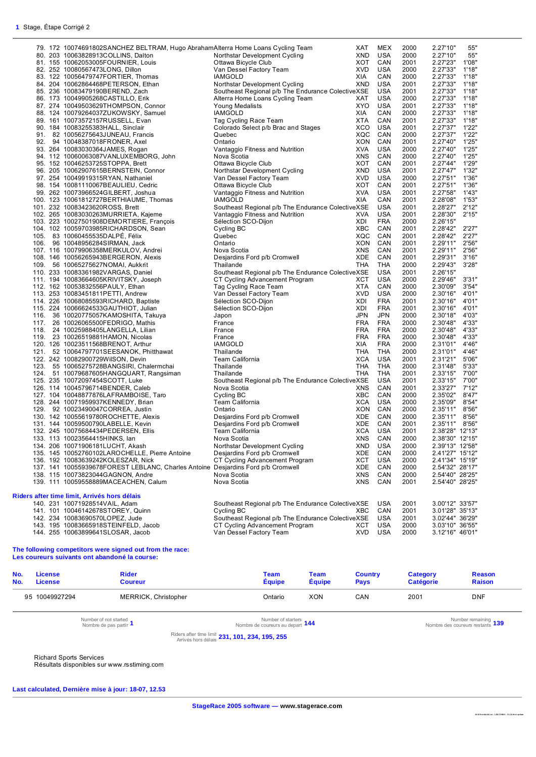|      | 79. 172 10074691802SANCHEZ BELTRAM, Hugo AbrahamAlterra Home Loans Cycling Team  |                                                   | XAT        | MEX        | 2000 | 2.27'10"        | 55"   |
|------|----------------------------------------------------------------------------------|---------------------------------------------------|------------|------------|------|-----------------|-------|
|      | 80. 203 10063828913COLLINS, Dalton                                               | Northstar Development Cycling                     | <b>XND</b> | USA        | 2000 | 2.27'10"        | 55"   |
|      | 81. 155 10062053005FOURNIER, Louis                                               | Ottawa Bicycle Club                               | XOT        | CAN        | 2001 | 2.27'23"        | 1'08" |
|      | 82. 252 10080567473LONG, Dillon                                                  | Van Dessel Factory Team                           | <b>XVD</b> | USA        | 2000 | 2.27'33"        | 1'18" |
|      |                                                                                  |                                                   |            |            |      |                 |       |
|      | 83. 122 10056479747FORTIER, Thomas                                               | <b>IAMGOLD</b>                                    | XIA        | CAN        | 2000 | 2.27'33"        | 1'18" |
|      | 84. 204 10062864468PETERSON, Ethan                                               | Northstar Development Cycling                     | <b>XND</b> | <b>USA</b> | 2001 | 2.27'33"        | 1'18" |
|      | 85. 236 10083479190BEREND, Zach                                                  | Southeast Regional p/b The Endurance ColectiveXSE |            | USA        | 2001 | 2.27'33"        | 1'18" |
|      | 86. 173 10049905268CASTILLO, Erik                                                | Alterra Home Loans Cycling Team                   | XAT        | USA        | 2000 | 2.27'33"        | 1'18" |
|      | 87. 274 10049503629THOMPSON, Connor                                              | Young Medalists                                   | <b>XYO</b> | <b>USA</b> | 2001 | 2.27'33"        | 1'18" |
|      |                                                                                  |                                                   |            |            |      |                 |       |
|      | 88. 124 10079264037ZUKOWSKY, Samuel                                              | <b>IAMGOLD</b>                                    | XIA        | CAN        | 2000 | 2.27'33"        | 1'18" |
|      | 89. 161 10073572157RUSSELL, Evan                                                 | Tag Cycling Race Team                             | <b>XTA</b> | CAN        | 2001 | 2.27'33"        | 1'18" |
|      | 90. 184 10083255383HALL, Sinclair                                                | Colorado Select p/b Brac and Stages               | XCO        | <b>USA</b> | 2001 | 2.27'37"        | 1'22" |
| 91.  | 82 10056275643JUNEAU, Francis                                                    | Quebec                                            | XQC        | CAN        | 2000 | 2.27'37"        | 1'22" |
|      | 92. 94 10048387018FRONER, Axel                                                   | Ontario                                           | <b>XON</b> | CAN        | 2001 | 2.27'40"        | 1'25" |
|      | 93. 264 10083030364JAMES, Rogan                                                  | Vantaggio Fitness and Nutrition                   | <b>XVA</b> | USA        | 2000 | 2.27'40"        | 1'25" |
|      |                                                                                  | Nova Scotia                                       | <b>XNS</b> | CAN        | 2000 | 2.27'40"        | 1'25" |
|      | 94. 112 10060063087VANLUXEMBORG, John                                            |                                                   |            |            |      |                 |       |
|      | 95. 152 10046253725STOPPA, Brett                                                 | Ottawa Bicycle Club                               | XOT        | CAN        | 2001 | 2.27'44"        | 1'29" |
|      | 96. 205 10062907615BERNSTEIN, Connor                                             | Northstar Development Cycling                     | XND        | <b>USA</b> | 2001 | 2.27'47"        | 1'32" |
|      | 97. 254 10049919315RYAN, Nathaniel                                               | Van Dessel Factory Team                           | <b>XVD</b> | <b>USA</b> | 2000 | 2.27'51"        | 1'36" |
|      | 98. 154 10081110067BEAULIEU, Cedric                                              | Ottawa Bicycle Club                               | XOT        | CAN        | 2001 | 2.27'51"        | 1'36" |
|      | 99. 262 10073966524GILBERT, Joshua                                               |                                                   | <b>XVA</b> | <b>USA</b> | 2001 | 2.27'58"        | 1'43" |
|      |                                                                                  | Vantaggio Fitness and Nutrition                   |            |            |      |                 |       |
|      | 100. 123 10061812727BERTHIAUME, Thomas                                           | <b>IAMGOLD</b>                                    | <b>XIA</b> | CAN        | 2001 | 2.28'08"        | 1'53" |
|      | 101. 232 10083423620ROSS, Brett                                                  | Southeast Regional p/b The Endurance ColectiveXSE |            | USA        | 2001 | 2.28'27"        | 2'12" |
|      | 102. 265 10083030263MURRIETA, Kajeme                                             | Vantaggio Fitness and Nutrition                   | <b>XVA</b> | USA        | 2001 | 2.28'30"        | 2'15" |
|      | 103. 223 10027501908DEMORTIERE, François                                         | Sélection SCO-Dijon                               | XDI        | <b>FRA</b> | 2000 | 2.26'15"        |       |
|      | 104. 102 10059703985RICHARDSON, Sean                                             | Cycling BC                                        | <b>XBC</b> | CAN        | 2001 | 2.28'42"        | 2'27" |
|      | 105. 83 10060455535DALPÉ, Félix                                                  |                                                   |            | CAN        |      | 2.28'42"        |       |
|      |                                                                                  | Quebec                                            | XQC        |            | 2001 |                 | 2'27" |
| 106. | 96 10048956284SIRMAN, Jack                                                       | Ontario                                           | XON        | CAN        | 2001 | 2.29'11"        | 2'56" |
|      | 107. 116 10079906358MERKULOV, Andrei                                             | Nova Scotia                                       | <b>XNS</b> | CAN        | 2001 | 2.29'11"        | 2'56" |
|      | 108. 146 10056265943BERGERON, Alexis                                             | Desjardins Ford p/b Cromwell                      | XDE        | CAN        | 2001 | 2.29'31"        | 3'16" |
|      | 109. 56 10065275627NOMAI, Aukkrit                                                | Thailande                                         | <b>THA</b> | <b>THA</b> | 2000 | 2.29'43"        | 3'28" |
|      | 110. 233 10083361982VARGAS, Daniel                                               | Southeast Regional p/b The Endurance ColectiveXSE |            | <b>USA</b> | 2001 | 2.26'15"        |       |
|      |                                                                                  |                                                   |            |            |      |                 |       |
|      | 111. 194 10083664605KRIVITSKY, Joseph                                            | CT Cycling Advancement Program                    | XCT        | <b>USA</b> | 2000 | 2.29'46"        | 3'31" |
|      | 112. 162 10053832556PAULY, Ethan                                                 | Tag Cycling Race Team                             | <b>XTA</b> | CAN        | 2000 | 2.30'09"        | 3'54" |
|      | 113. 253 10083451811PETTI, Andrew                                                | Van Dessel Factory Team                           | <b>XVD</b> | <b>USA</b> | 2000 | 2.30'16"        | 4'01" |
|      | 114. 226 10068085593RICHARD, Baptiste                                            | Sélection SCO-Dijon                               | XDI        | <b>FRA</b> | 2001 | 2.30'16"        | 4'01" |
|      | 115. 224 10066624533GAUTHIOT, Julian                                             | Sélection SCO-Dijon                               | XDI        | <b>FRA</b> | 2001 | 2.30'16"        | 4'01" |
| 116. | 36 10020775057KAMOSHITA, Takuya                                                  |                                                   | <b>JPN</b> | <b>JPN</b> | 2000 | 2.30'18"        | 4'03" |
|      |                                                                                  | Japon                                             |            |            |      |                 |       |
|      | 117. 26 10026065500FEDRIGO, Mathis                                               | France                                            | <b>FRA</b> | <b>FRA</b> | 2000 | 2.30'48"        | 4'33" |
| 118. | 24 10025988405LANGELLA, Lilian                                                   | France                                            | <b>FRA</b> | <b>FRA</b> | 2000 | 2.30'48"        | 4'33" |
|      | 119. 23 10026519881HAMON, Nicolas                                                | France                                            | <b>FRA</b> | <b>FRA</b> | 2000 | 2.30'48"        | 4'33" |
|      | 120. 126 10023511568BRENOT, Arthur                                               | <b>IAMGOLD</b>                                    | XIA        | <b>FRA</b> | 2000 | 2.31'01"        | 4'46" |
|      | 121. 52 10064797701SEESANOK, Phitthawat                                          | Thailande                                         | THA        | THA        | 2000 | 2.31'01"        | 4'46" |
|      | 122. 242 10082900729WilSON, Devin                                                | Team California                                   | <b>XCA</b> | <b>USA</b> | 2001 | 2.31'21"        | 5'06" |
|      |                                                                                  |                                                   |            |            |      |                 |       |
|      | 123. 55 10065275728BANGSIRI, Chalermchai                                         | Thailande                                         | THA        | THA        | 2000 | 2.31'48"        | 5'33" |
|      | 124. 51 10079687605HANGQUART, Rangsiman                                          | Thailande                                         | THA        | THA        | 2001 | 2.33'15"        | 7'00" |
|      | 125. 235 10072097454SCOTT, Luke                                                  | Southeast Regional p/b The Endurance ColectiveXSE |            | <b>USA</b> | 2001 | 2.33'15"        | 7'00" |
|      | 126. 114 10045796714BENDER, Caleb                                                | Nova Scotia                                       | <b>XNS</b> | CAN        | 2001 | 2.33'27"        | 7'12" |
|      | 127. 104 10048877876LAFRAMBOISE, Taro                                            | Cycling BC                                        | XBC        | CAN        | 2000 | 2.35'02"        | 8'47" |
|      | 128. 244 10071959937KENNEDY, Brian                                               | Team California                                   | <b>XCA</b> | <b>USA</b> | 2000 | 2.35'09"        | 8'54" |
|      | 129. 92 10023490047CORREA, Justin                                                | Ontario                                           | XON        | CAN        | 2000 | 2.35'11"        | 8'56" |
|      |                                                                                  |                                                   |            |            |      |                 |       |
|      | 130. 142 10055619780ROCHETTE, Alexis                                             | Desjardins Ford p/b Cromwell                      | XDE        | CAN        | 2000 | 2.35'11"        | 8'56" |
|      | 131. 144 10059500790LABELLE, Kevin                                               | Desjardins Ford p/b Cromwell                      | XDE        | CAN        | 2001 | 2.35'11"        | 8'56" |
|      | 132. 245 10075684434PEDERSEN, Ellis                                              | Team California                                   | <b>XCA</b> | <b>USA</b> | 2001 | 2.38'28" 12'13" |       |
|      | 133. 113 10023564415HINKS, lan                                                   | Nova Scotia                                       | <b>XNS</b> | CAN        | 2000 | 2.38'30" 12'15" |       |
|      | 134. 206 10071906181LUCHT, Akash                                                 | Northstar Development Cycling                     | XND        | USA        | 2000 | 2.39'13" 12'58" |       |
|      |                                                                                  |                                                   |            |            |      |                 |       |
|      | 135. 145 10052760102LAROCHELLE, Pierre Antoine                                   | Desjardins Ford p/b Cromwell                      | XDE        | CAN        | 2000 | 2.41'27" 15'12" |       |
|      | 136. 192 10083639242KOLESZAR, Nick                                               | CT Cycling Advancement Program                    | XCT        | <b>USA</b> | 2000 | 2.41'34" 15'19" |       |
|      | 137. 141 10055939678FOREST LEBLANC, Charles Antoine Desjardins Ford p/b Cromwell |                                                   | XDE        | CAN        | 2000 | 2.54'32" 28'17" |       |
|      | 138. 115 10073823044GAGNON, Andre                                                | Nova Scotia                                       | <b>XNS</b> | CAN        | 2000 | 2.54'40" 28'25" |       |
|      | 139. 111 10059558889MACEACHEN, Calum                                             | Nova Scotia                                       | XNS        | CAN        | 2001 | 2.54'40" 28'25" |       |
|      |                                                                                  |                                                   |            |            |      |                 |       |
|      |                                                                                  |                                                   |            |            |      |                 |       |
|      | Riders after time limit, Arrivés hors délais                                     |                                                   |            |            |      |                 |       |
|      | 140. 231 10071928514VAIL, Adam                                                   | Southeast Regional p/b The Endurance ColectiveXSE |            | USA        | 2001 | 3.00'12" 33'57" |       |
|      | 141. 101 10046142678STOREY, Quinn                                                | Cycling BC                                        | XBC        | CAN        | 2001 | 3.01'28" 35'13" |       |
|      | 142. 234 10083690570LOPEZ, Jude                                                  | Southeast Regional p/b The Endurance ColectiveXSE |            | USA        | 2001 | 3.02'44" 36'29" |       |
|      | 143. 195 10083665918STEINFELD, Jacob                                             | CT Cycling Advancement Program                    | XCT        | USA        | 2000 | 3.03'10" 36'55" |       |
|      | 144. 255 10063899641SLOSAR, Jacob                                                | Van Dessel Factory Team                           | <b>XVD</b> | USA        | 2000 | 3.12'16" 46'01" |       |
|      |                                                                                  |                                                   |            |            |      |                 |       |

#### **The following competitors were signed out from the race: Les coureurs suivants ont abandoné la course:**

| No.<br>No. | <b>License</b><br><b>License</b> | <b>Rider</b><br><b>Coureur</b>                  | Team<br>Équipe                                         | Team<br><b>Équipe</b> | <b>Country</b><br><b>Pays</b> | Category<br><b>Catégorie</b> | <b>Reason</b><br><b>Raison</b>                           |
|------------|----------------------------------|-------------------------------------------------|--------------------------------------------------------|-----------------------|-------------------------------|------------------------------|----------------------------------------------------------|
|            | 95 10049927294                   | MERRICK, Christopher                            | Ontario                                                | XON                   | CAN                           | 2001                         | <b>DNF</b>                                               |
|            |                                  | Number of not started<br>Nombre de pas partir 1 | Number of starters 144<br>Nombre de coureurs au depart |                       |                               |                              | Number remaining 139<br>Nombre des coureurs restants 139 |

Riders after time limit Arrivés hors délais **231, 101, 234, 195, 255**

Richard Sports Services

Résultats disponibles sur www.rsstiming.com

**Last calculated, Dernière mise à jour: 18-07, 12.53**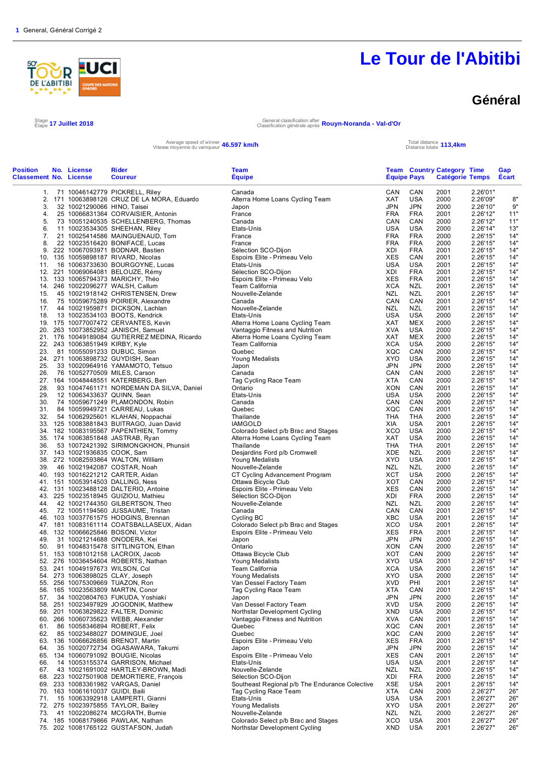

### **Général**

Stage 17 Juillet 2018

Étape **17 Juillet 2018** General classification after Classification générale après **Rouyn-Noranda - Val-d'Or**

Average speed of winner **46.597 km/h**<br>Vitesse moyenne du vainqueur **46.597 km/h** Total distance totale

Distance totale **113,4km**

| <b>Position</b><br><b>Classement No. License</b> | No. License                      | Rider<br><b>Coureur</b>                                                    | Team<br><b>Equipe</b>                               | <b>Equipe Pays</b>       |                   | <b>Team Country Category Time</b><br><b>Catégorie Temps</b> |                      | Gap<br>Ecart |
|--------------------------------------------------|----------------------------------|----------------------------------------------------------------------------|-----------------------------------------------------|--------------------------|-------------------|-------------------------------------------------------------|----------------------|--------------|
|                                                  |                                  | 1. 71 10046142779 PICKRELL, Riley                                          | Canada                                              | CAN                      | CAN               | 2001                                                        | 2.26'01"             |              |
|                                                  |                                  | 2. 171 10063898126 CRUZ DE LA MORA, Eduardo                                | Alterra Home Loans Cycling Team                     | XAT                      | <b>USA</b>        | 2000                                                        | 2.26'09"             | 8"           |
| 3.                                               | 32 10021290066 HINO, Taisei      |                                                                            | Japon                                               | <b>JPN</b>               | <b>JPN</b>        | 2000                                                        | 2.26'10"             | 9"           |
| 4.                                               |                                  | 25 10066831364 CORVAISIER, Antonin<br>73 10051240535 SCHELLENBERG, Thomas  | France<br>Canada                                    | <b>FRA</b><br>CAN        | <b>FRA</b><br>CAN | 2001<br>2000                                                | 2.26'12"<br>2.26'12" | 11"<br>11"   |
| 5.<br>6.                                         |                                  | 11 10023534305 SHEEHAN, Riley                                              | Etats-Unis                                          | <b>USA</b>               | <b>USA</b>        | 2000                                                        | 2.26'14"             | 13"          |
| 7.                                               |                                  | 21 10025414586 MAINGUENAUD, Tom                                            | France                                              | <b>FRA</b>               | <b>FRA</b>        | 2000                                                        | 2.26'15"             | 14"          |
| 8.                                               |                                  | 22 10023516420 BONIFACE, Lucas                                             | France                                              | <b>FRA</b>               | <b>FRA</b>        | 2000                                                        | 2.26'15"             | 14'          |
| 9.                                               |                                  | 222 10067093971 BODNAR, Bastien                                            | Sélection SCO-Dijon                                 | XDI                      | <b>FRA</b>        | 2001                                                        | 2.26'15"             | 14"          |
|                                                  |                                  | 10. 135 10059898187 RIVARD, Nicolas                                        | Espoirs Elite - Primeau Velo                        | <b>XES</b>               | CAN               | 2001                                                        | 2.26'15"             | 14'          |
| 11.                                              |                                  | 16 10063733630 BOURGOYNE, Lucas                                            | Etats-Unis                                          | <b>USA</b>               | <b>USA</b>        | 2001                                                        | 2.26'15"             | 14'          |
|                                                  |                                  | 12. 221 10069064081 BELOUZE, Rémy                                          | Sélection SCO-Dijon                                 | XDI                      | <b>FRA</b>        | 2001                                                        | 2.26'15"             | 14"          |
|                                                  |                                  | 13. 133 10065794373 MARICHY, Théo                                          | Espoirs Elite - Primeau Velo                        | XES                      | FRA               | 2001                                                        | 2.26'15"             | 14'          |
|                                                  |                                  | 14. 246 10022096277 WALSH, Callum                                          | Team California                                     | <b>XCA</b>               | <b>NZL</b>        | 2001                                                        | 2.26'15"             | 14'          |
| 15.                                              |                                  | 45 10021918142 CHRISTENSEN, Drew                                           | Nouvelle-Zelande                                    | <b>NZL</b>               | NZL               | 2001                                                        | 2.26'15"             | 14"          |
| 16.<br>17.                                       |                                  | 75 10059675289 POIRIER, Alexandre<br>44 10021959871 DICKSON, Lachlan       | Canada<br>Nouvelle-Zelande                          | CAN<br><b>NZL</b>        | CAN<br><b>NZL</b> | 2001<br>2001                                                | 2.26'15"<br>2.26'15" | 14"<br>14'   |
| 18.                                              |                                  | 13 10023534103 BOOTS, Kendrick                                             | Etats-Unis                                          | <b>USA</b>               | <b>USA</b>        | 2000                                                        | 2.26'15"             | 14'          |
|                                                  |                                  | 19. 175 10077007472 CERVANTES, Kevin                                       | Alterra Home Loans Cycling Team                     | XAT                      | MEX               | 2000                                                        | 2.26'15"             | 14"          |
|                                                  |                                  | 20. 263 10073852952 JANISCH, Samuel                                        | Vantaggio Fitness and Nutrition                     | <b>XVA</b>               | <b>USA</b>        | 2000                                                        | 2.26'15"             | 14'          |
|                                                  |                                  | 21. 176 10049189084 GUTIERREZ MEDINA, Ricardo                              | Alterra Home Loans Cycling Team                     | <b>XAT</b>               | <b>MEX</b>        | 2000                                                        | 2.26'15"             | 14'          |
|                                                  | 22. 243 10063851949 KIRBY, Kyle  |                                                                            | Team California                                     | <b>XCA</b>               | USA               | 2000                                                        | 2.26'15"             | 14"          |
| 23.                                              |                                  | 81 10055091233 DUBUC, Simon                                                | Quebec                                              | XQC                      | CAN               | 2000                                                        | 2.26'15"             | 14'          |
|                                                  |                                  | 24. 271 10063898732 GUYDISH, Sean                                          | Young Medalists                                     | <b>XYO</b>               | <b>USA</b>        | 2000                                                        | 2.26'15"             | 14'          |
| 25.                                              |                                  | 33 10020964916 YAMAMOTO, Tetsuo                                            | Japon                                               | JPN                      | <b>JPN</b>        | 2000                                                        | 2.26'15"             | 14"          |
| 26.                                              |                                  | 76 10052770509 MILES, Carson                                               | Canada                                              | CAN                      | CAN               | 2000                                                        | 2.26'15"             | 14'          |
|                                                  |                                  | 27. 164 10048448551 KATERBERG, Ben                                         | Tag Cycling Race Team                               | XTA                      | CAN               | 2000                                                        | 2.26'15"             | 14'          |
| 28.                                              |                                  | 93 10047461171 NORDEMAN DA SILVA, Daniel                                   | Ontario                                             | <b>XON</b><br><b>USA</b> | CAN<br><b>USA</b> | 2001                                                        | 2.26'15"             | 14"<br>14'   |
| 29.<br>30.                                       | 12 10063433637 QUINN, Sean       | 74 10059671249 PLAMONDON, Robin                                            | Etats-Unis<br>Canada                                | CAN                      | CAN               | 2000<br>2000                                                | 2.26'15"<br>2.26'15" | 14'          |
| 31.                                              |                                  | 84 10059949721 CARREAU, Lukas                                              | Quebec                                              | XQC                      | CAN               | 2001                                                        | 2.26'15"             | 14'          |
| 32.                                              |                                  | 54 10062925601 KLAHAN, Noppachai                                           | Thailande                                           | <b>THA</b>               | <b>THA</b>        | 2000                                                        | 2.26'15"             | 14'          |
|                                                  |                                  | 33. 125 10083881843 BUITRAGO, Juan David                                   | <b>IAMGOLD</b>                                      | XIA                      | USA               | 2001                                                        | 2.26'15"             | 14'          |
|                                                  |                                  | 34. 182 10083195567 PAPENTHIEN, Tommy                                      | Colorado Select p/b Brac and Stages                 | XCO                      | <b>USA</b>        | 2000                                                        | 2.26'15"             | 14'          |
|                                                  |                                  | 35. 174 10063851848 JASTRAB, Ryan                                          | Alterra Home Loans Cycling Team                     | <b>XAT</b>               | <b>USA</b>        | 2000                                                        | 2.26'15"             | 14'          |
| 36.                                              |                                  | 53 10072421392 SIRIMONGKHON, Phunsiri                                      | Thailande                                           | THA                      | THA               | 2001                                                        | 2.26'15"             | 14'          |
|                                                  | 37. 143 10021936835 COOK, Sam    |                                                                            | Desjardins Ford p/b Cromwell                        | XDE                      | NZL               | 2000                                                        | 2.26'15"             | 14'          |
|                                                  |                                  | 38. 272 10082593864 WALTON, William                                        | Young Medalists                                     | <b>XYO</b>               | <b>USA</b>        | 2001                                                        | 2.26'15"             | 14'          |
| 39.                                              |                                  | 46 10021942087 COSTAR, Noah                                                | Nouvelle-Zelande                                    | <b>NZL</b>               | <b>NZL</b>        | 2000                                                        | 2.26'15"             | 14'          |
|                                                  |                                  | 40. 193 10016221212 CARTER, Aidan                                          | CT Cycling Advancement Program                      | <b>XCT</b><br>XOT        | <b>USA</b><br>CAN | 2000                                                        | 2.26'15"             | 14'          |
|                                                  |                                  | 41. 151 10053914503 DALLING, Ness<br>42. 131 10023488128 DALTERIO, Antoine | Ottawa Bicycle Club<br>Espoirs Elite - Primeau Velo | <b>XES</b>               | CAN               | 2000<br>2000                                                | 2.26'15"<br>2.26'15" | 14"<br>14"   |
|                                                  |                                  | 43. 225 10023518945 GUIZIOU, Mathieu                                       | Sélection SCO-Dijon                                 | XDI                      | <b>FRA</b>        | 2000                                                        | 2.26'15"             | 14'          |
| 44.                                              |                                  | 42 10021744350 GILBERTSON, Theo                                            | Nouvelle-Zelande                                    | NZL                      | NZL               | 2000                                                        | 2.26'15"             | 14"          |
| 45.                                              |                                  | 72 10051194560 JUSSAUME, Tristan                                           | Canada                                              | CAN                      | CAN               | 2001                                                        | 2.26'15"             | 14'          |
|                                                  |                                  | 46. 103 10037761575 HODGINS, Brennan                                       | Cycling BC                                          | <b>XBC</b>               | <b>USA</b>        | 2001                                                        | 2.26'15"             | 14'          |
|                                                  |                                  | 47. 181 10083161114 COATSBALLASEUX, Aidan                                  | Colorado Select p/b Brac and Stages                 | XCO                      | <b>USA</b>        | 2001                                                        | 2.26'15"             | 14"          |
|                                                  |                                  | 48. 132 10066625846 BOSONI, Victor                                         | Espoirs Elite - Primeau Velo                        | <b>XES</b>               | <b>FRA</b>        | 2001                                                        | 2.26'15"             | 14'          |
| 49.                                              |                                  | 31 10021214688 ONODERA, Kei                                                | Japon                                               | <b>JPN</b>               | <b>JPN</b>        | 2000                                                        | 2.26'15"             | 14'          |
| 50.                                              |                                  | 91 10048315478 SITTLINGTON, Ethan                                          | Ontario                                             | XON                      | CAN               | 2000                                                        | 2.26'15"             | 14"          |
|                                                  |                                  | 51. 153 10081012158 LACROIX, Jacob                                         | Ottawa Bicycle Club                                 | <b>XOT</b>               | CAN               | 2000                                                        | 2.26'15"             | 14'          |
|                                                  |                                  | 52. 276 10036454604 ROBERTS, Nathan                                        | Young Medalists                                     | XYO                      | USA               | 2001                                                        | 2.26'15"             | 14'          |
|                                                  | 53. 241 10049197673 WILSON, Col  | 54. 273 10063898025 CLAY, Joseph                                           | Team California<br>Young Medalists                  | XCA<br><b>XYO</b>        | USA<br><b>USA</b> | 2000<br>2000                                                | 2.26'15"<br>2.26'15" | 14"<br>14"   |
|                                                  |                                  | 55. 256 10075309669 TUAZON, Ron                                            | Van Dessel Factory Team                             | <b>XVD</b>               | PHI               | 2001                                                        | 2.26'15"             | 14"          |
|                                                  |                                  | 56. 165 10023563809 MARTIN, Conor                                          | Tag Cycling Race Team                               | XTA                      | CAN               | 2001                                                        | 2.26'15"             | 14"          |
| 57.                                              |                                  | 34 10020804763 FUKUDA, Yoshiaki                                            | Japon                                               | <b>JPN</b>               | <b>JPN</b>        | 2000                                                        | 2.26'15"             | 14"          |
|                                                  |                                  | 58. 251 10023497929 JOGODNIK, Matthew                                      | Van Dessel Factory Team                             | <b>XVD</b>               | USA               | 2000                                                        | 2.26'15"             | 14"          |
|                                                  |                                  | 59. 201 10063829822 FALTER, Dominic                                        | Northstar Development Cycling                       | XND                      | USA               | 2000                                                        | 2.26'15"             | 14"          |
|                                                  |                                  | 60. 266 10060735623 WEBB, Alexander                                        | Vantaggio Fitness and Nutrition                     | <b>XVA</b>               | CAN               | 2001                                                        | 2.26'15"             | 14"          |
| 61.                                              |                                  | 86 10058346894 ROBERT, Felix                                               | Quebec                                              | XQC                      | CAN               | 2001                                                        | 2.26'15"             | 14"          |
| 62.                                              |                                  | 85 10023488027 DOMINGUE, Joel                                              | Quebec                                              | XQC                      | CAN               | 2000                                                        | 2.26'15"             | 14"          |
|                                                  |                                  | 63. 136 10066626856 BRENOT, Martin                                         | Espoirs Elite - Primeau Velo                        | XES                      | FRA               | 2001                                                        | 2.26'15"             | 14"          |
| 64.                                              |                                  | 35 10020772734 OGASAWARA, Takumi                                           | Japon                                               | <b>JPN</b>               | JPN               | 2000                                                        | 2.26'15"             | 14"          |
|                                                  |                                  | 65. 134 10060791092 BOUGIE, Nicolas<br>14 10053155374 GARRISON, Michael    | Espoirs Elite - Primeau Velo                        | <b>XES</b>               | CAN               | 2001                                                        | 2.26'15"             | 14"          |
| 66.<br>67.                                       |                                  | 43 10021691002 HARTLEY-BROWN, Madi                                         | Etats-Unis<br>Nouvelle-Zelande                      | <b>USA</b><br><b>NZL</b> | USA<br>NZL        | 2001<br>2000                                                | 2.26'15"<br>2.26'15" | 14"<br>14"   |
|                                                  |                                  | 68. 223 10027501908 DEMORTIERE, François                                   | Sélection SCO-Dijon                                 | XDI                      | <b>FRA</b>        | 2000                                                        | 2.26'15"             | 14"          |
|                                                  |                                  | 69. 233 10083361982 VARGAS, Daniel                                         | Southeast Regional p/b The Endurance Colective      | XSE                      | USA               | 2001                                                        | 2.26'15"             | 14"          |
|                                                  | 70. 163 10061610037 GUIDI, Baili |                                                                            | Tag Cycling Race Team                               | <b>XTA</b>               | CAN               | 2000                                                        | 2.26'27"             | 26"          |
| 71.                                              |                                  | 15 10063392918 LAMPERTI, Gianni                                            | Etats-Unis                                          | <b>USA</b>               | USA               | 2001                                                        | 2.26'27"             | 26"          |
|                                                  |                                  | 72. 275 10023975855 TAYLOR, Bailey                                         | Young Medalists                                     | XYO                      | USA               | 2001                                                        | 2.26'27"             | 26"          |
| 73.                                              |                                  | 41 10022086274 MCGRATH, Bumie                                              | Nouvelle-Zelande                                    | NZL                      | NZL               | 2000                                                        | 2.26'27"             | 26"          |
|                                                  |                                  | 74. 185 10068179866 PAWLAK, Nathan                                         | Colorado Select p/b Brac and Stages                 | XCO                      | USA               | 2001                                                        | 2.26'27"             | 26"          |
|                                                  |                                  | 75. 202 10081765122 GUSTAFSON, Judah                                       | Northstar Development Cycling                       | XND                      | <b>USA</b>        | 2001                                                        | 2.26'27"             | 26"          |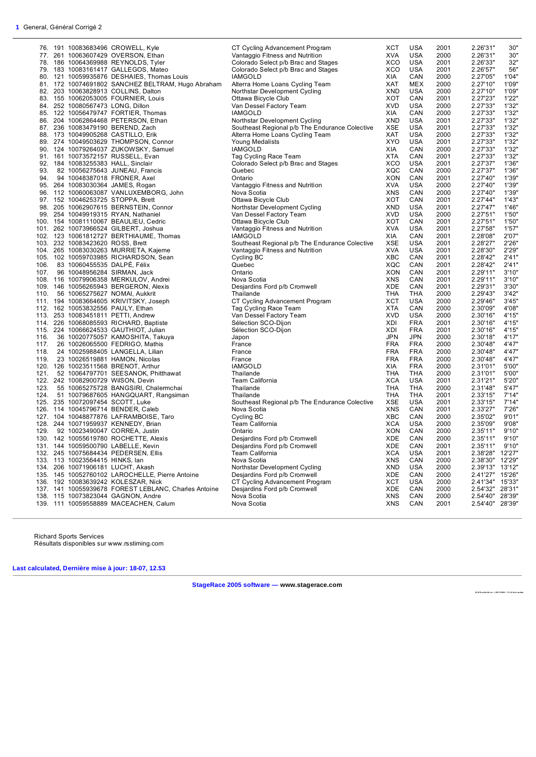|      |                                  | 76. 191 10083683496 CROWELL, Kyle                    | CT Cycling Advancement Program                 | XCT        | <b>USA</b> | 2001 | 2.26'31"             | 30"    |
|------|----------------------------------|------------------------------------------------------|------------------------------------------------|------------|------------|------|----------------------|--------|
|      |                                  | 77. 261 10063607429 OVERSON, Ethan                   | Vantaggio Fitness and Nutrition                | <b>XVA</b> | USA        | 2000 | 2.26'31"             | 30"    |
|      |                                  | 78. 186 10064369988 REYNOLDS, Tyler                  | Colorado Select p/b Brac and Stages            | XCO        | <b>USA</b> | 2001 | 2.26'33"             | 32"    |
|      |                                  | 79. 183 10083161417 GALLEGOS, Mateo                  | Colorado Select p/b Brac and Stages            | XCO        | <b>USA</b> | 2001 | 2.26'57"             | 56"    |
|      |                                  | 80. 121 10059935876 DESHAIES, Thomas Louis           | <b>IAMGOLD</b>                                 | XIA        | CAN        | 2000 | 2.27'05"             | 1'04"  |
|      |                                  | 81. 172 10074691802 SANCHEZ BELTRAM, Hugo Abraham    | Alterra Home Loans Cycling Team                | XAT        | <b>MEX</b> | 2000 | 2.27'10"             | 1'09"  |
|      |                                  |                                                      |                                                |            | USA        | 2000 | 2.27'10"             | 1'09"  |
|      |                                  | 82. 203 10063828913 COLLINS, Dalton                  | Northstar Development Cycling                  | XND        | CAN        |      |                      | 1'22'  |
|      |                                  | 83. 155 10062053005 FOURNIER, Louis                  | Ottawa Bicycle Club                            | XOT        |            | 2001 | 2.27'23"             |        |
|      | 84. 252 10080567473 LONG, Dillon |                                                      | Van Dessel Factory Team                        | <b>XVD</b> | USA        | 2000 | 2.27'33"             | 1'32'  |
|      |                                  | 85. 122 10056479747 FORTIER, Thomas                  | <b>IAMGOLD</b>                                 | XIA        | CAN        | 2000 | 2.27'33"             | 1'32"  |
|      |                                  | 86. 204 10062864468 PETERSON, Ethan                  | Northstar Development Cycling                  | <b>XND</b> | USA        | 2001 | 2.27'33"             | 1'32'  |
|      |                                  | 87. 236 10083479190 BEREND, Zach                     | Southeast Regional p/b The Endurance Colective | <b>XSE</b> | USA        | 2001 | 2.27'33"             | 1'32'  |
|      |                                  | 88. 173 10049905268 CASTILLO, Erik                   | Alterra Home Loans Cycling Team                | <b>XAT</b> | USA        | 2000 | 2.27'33"             | 1'32"  |
|      |                                  | 89. 274 10049503629 THOMPSON, Connor                 | Young Medalists                                | <b>XYO</b> | USA        | 2001 | 2.27'33"             | 1'32"  |
|      |                                  | 90. 124 10079264037 ZUKOWSKY, Samuel                 | <b>IAMGOLD</b>                                 | XIA        | CAN        | 2000 | 2.27'33"             | 1'32'  |
|      |                                  | 91. 161 10073572157 RUSSELL, Evan                    | Tag Cycling Race Team                          | <b>XTA</b> | CAN        | 2001 | 2.27'33"             | 1'32"  |
|      |                                  | 92. 184 10083255383 HALL, Sinclair                   | Colorado Select p/b Brac and Stages            | XCO        | <b>USA</b> | 2001 | 2.27'37"             | 1'36"  |
| 93.  |                                  | 82 10056275643 JUNEAU, Francis                       | Quebec                                         | XQC        | CAN        | 2000 | 2.27'37"             | 1'36'  |
| 94.  |                                  | 94 10048387018 FRONER, Axel                          | Ontario                                        | <b>XON</b> | CAN        | 2001 | 2.27'40"             | 1'39"  |
|      |                                  | 95. 264 10083030364 JAMES, Rogan                     | Vantaggio Fitness and Nutrition                | <b>XVA</b> | USA        | 2000 | 2.27'40"             | 1'39"  |
|      |                                  | 96. 112 10060063087 VANLUXEMBORG, John               | Nova Scotia                                    | <b>XNS</b> | CAN        | 2000 | 2.27'40"             | 1'39'  |
|      |                                  | 97. 152 10046253725 STOPPA, Brett                    | Ottawa Bicycle Club                            | XOT        | CAN        | 2001 | 2.27'44"             | 1'43"  |
|      |                                  | 98. 205 10062907615 BERNSTEIN, Connor                | Northstar Development Cycling                  | XND        | USA        | 2001 | 2.27'47"             | 1'46"  |
|      |                                  | 99. 254 10049919315 RYAN, Nathaniel                  | Van Dessel Factory Team                        | <b>XVD</b> | USA        | 2000 | 2.27'51"             | 1'50"  |
|      |                                  | 100. 154 10081110067 BEAULIEU, Cedric                | Ottawa Bicycle Club                            | XOT        | CAN        | 2001 | 2.27'51"             | 1'50"  |
|      |                                  | 101. 262 10073966524 GILBERT, Joshua                 | Vantaggio Fitness and Nutrition                | <b>XVA</b> | USA        | 2001 | 2.27'58"             | 1'57"  |
|      |                                  | 102. 123 10061812727 BERTHIAUME, Thomas              | <b>IAMGOLD</b>                                 | XIA        | CAN        | 2001 | 2.28'08"             | 2'07'  |
|      | 103. 232 10083423620 ROSS, Brett |                                                      | Southeast Regional p/b The Endurance Colective | <b>XSE</b> | <b>USA</b> | 2001 | 2.28'27"             | 2'26"  |
|      |                                  | 104. 265 10083030263 MURRIETA, Kajeme                | Vantaggio Fitness and Nutrition                | <b>XVA</b> | <b>USA</b> | 2001 | 2.28'30"             | 2'29"  |
|      |                                  | 105. 102 10059703985 RICHARDSON, Sean                | Cycling BC                                     | <b>XBC</b> | CAN        | 2001 | 2.28'42"             | 2'41"  |
| 106. | 83 10060455535 DALPE, Félix      |                                                      | Quebec                                         | XQC        | CAN        | 2001 | 2.28'42"             | 2'41"  |
| 107. |                                  | 96 10048956284 SIRMAN, Jack                          | Ontario                                        | <b>XON</b> | CAN        | 2001 | 2.29'11"             | 3'10"  |
|      |                                  | 108. 116 10079906358 MERKULOV, Andrei                | Nova Scotia                                    | <b>XNS</b> | CAN        | 2001 | 2.29'11"             | 3'10"  |
|      |                                  | 109. 146 10056265943 BERGERON, Alexis                | Desjardins Ford p/b Cromwell                   | XDE        | CAN        | 2001 | 2.29'31"             | 3'30"  |
| 110. |                                  |                                                      | Thailande                                      | THA        | THA        | 2000 | 2.29'43"             | 3'42"  |
|      |                                  | 56 10065275627 NOMAI, Aukkrit                        |                                                | XCT        | USA        | 2000 | 2.29'46"             | 3'45"  |
|      |                                  | 111. 194 10083664605 KRIVITSKY, Joseph               | CT Cycling Advancement Program                 | <b>XTA</b> | CAN        | 2000 |                      | 4'08"  |
|      |                                  | 112. 162 10053832556 PAULY, Ethan                    | Tag Cycling Race Team                          | <b>XVD</b> | <b>USA</b> | 2000 | 2.30'09"<br>2.30'16" | 4'15"  |
|      |                                  | 113. 253 10083451811 PETTI, Andrew                   | Van Dessel Factory Team                        |            |            |      |                      |        |
|      |                                  | 114. 226 10068085593 RICHARD, Baptiste               | Sélection SCO-Dijon                            | XDI        | <b>FRA</b> | 2001 | 2.30'16"             | 4'15"  |
|      |                                  | 115. 224 10066624533 GAUTHIOT, Julian                | Sélection SCO-Dijon                            | XDI        | <b>FRA</b> | 2001 | 2.30'16"             | 4'15"  |
| 116. |                                  | 36 10020775057 KAMOSHITA, Takuya                     | Japon                                          | <b>JPN</b> | <b>JPN</b> | 2000 | 2.30'18"             | 4'17"  |
| 117. |                                  | 26 10026065500 FEDRIGO, Mathis                       | France                                         | <b>FRA</b> | <b>FRA</b> | 2000 | 2.30'48"             | 4'47"  |
| 118. |                                  | 24 10025988405 LANGELLA, Lilian                      | France                                         | <b>FRA</b> | <b>FRA</b> | 2000 | 2.30'48"             | 4'47"  |
| 119. |                                  | 23 10026519881 HAMON, Nicolas                        | France                                         | <b>FRA</b> | FRA        | 2000 | 2.30'48"             | 4'47"  |
|      |                                  | 120. 126 10023511568 BRENOT, Arthur                  | <b>IAMGOLD</b>                                 | XIA        | <b>FRA</b> | 2000 | 2.31'01"             | 5'00"  |
| 121. |                                  | 52 10064797701 SEESANOK, Phitthawat                  | Thailande                                      | THA        | THA        | 2000 | 2.31'01"             | 5'00"  |
|      |                                  | 122. 242 10082900729 WilSON, Devin                   | <b>Team California</b>                         | <b>XCA</b> | <b>USA</b> | 2001 | 2.31'21"             | 5'20"  |
|      |                                  | 123. 55 10065275728 BANGSIRI, Chalemchai             | Thailande                                      | THA        | THA        | 2000 | 2.31'48"             | 5'47"  |
| 124. |                                  | 51 10079687605 HANGQUART, Rangsiman                  | Thailande                                      | THA        | THA        | 2001 | 2.33'15"             | 7'14"  |
|      | 125. 235 10072097454 SCOTT, Luke |                                                      | Southeast Regional p/b The Endurance Colective | <b>XSE</b> | <b>USA</b> | 2001 | 2.33'15"             | 7'14"  |
|      |                                  | 126. 114 10045796714 BENDER, Caleb                   | Nova Scotia                                    | <b>XNS</b> | CAN        | 2001 | 2.33'27"             | 7'26"  |
|      |                                  | 127. 104 10048877876 LAFRAMBOISE, Taro               | Cycling BC                                     | <b>XBC</b> | CAN        | 2000 | 2.35'02"             | 9'01"  |
|      |                                  | 128. 244 10071959937 KENNEDY, Brian                  | Team California                                | <b>XCA</b> | <b>USA</b> | 2000 | 2.35'09"             | 9'08"  |
|      |                                  | 129. 92 10023490047 CORREA, Justin                   | Ontario                                        | <b>XON</b> | CAN        | 2000 | 2.35'11"             | 9'10"  |
|      |                                  | 130. 142 10055619780 ROCHETTE, Alexis                | Desjardins Ford p/b Cromwell                   | <b>XDE</b> | CAN        | 2000 | 2.35'11"             | 9'10"  |
|      |                                  | 131. 144 10059500790 LABELLE, Kevin                  | Desjardins Ford p/b Cromwell                   | XDE        | CAN        | 2001 | 2.35'11"             | 9'10"  |
|      |                                  | 132. 245 10075684434 PEDERSEN, Ellis                 | <b>Team California</b>                         | <b>XCA</b> | USA        | 2001 | 2.38'28"             | 12'27" |
|      | 133. 113 10023564415 HINKS, lan  |                                                      | Nova Scotia                                    | <b>XNS</b> | CAN        | 2000 | 2.38'30" 12'29"      |        |
|      |                                  | 134. 206 10071906181 LUCHT, Akash                    | Northstar Development Cycling                  | XND        | <b>USA</b> | 2000 | 2.39'13" 13'12"      |        |
|      |                                  | 135. 145 10052760102 LAROCHELLE, Pierre Antoine      | Desjardins Ford p/b Cromwell                   | XDE        | CAN        | 2000 | 2.41'27"             | 15'26" |
|      |                                  | 136. 192 10083639242 KOLESZAR, Nick                  | CT Cycling Advancement Program                 | XCT        | USA        | 2000 | 2.41'34" 15'33"      |        |
|      |                                  | 137. 141 10055939678 FOREST LEBLANC, Charles Antoine | Desjardins Ford p/b Cromwell                   | XDE        | CAN        | 2000 | 2.54'32" 28'31"      |        |
|      |                                  | 138. 115 10073823044 GAGNON, Andre                   | Nova Scotia                                    | XNS        | CAN        | 2000 | 2.54'40"             | 28'39" |
|      |                                  | 139. 111 10059558889 MACEACHEN, Calum                | Nova Scotia                                    | XNS        | CAN        | 2001 | 2.54'40" 28'39"      |        |
|      |                                  |                                                      |                                                |            |            |      |                      |        |
|      |                                  |                                                      |                                                |            |            |      |                      |        |

Richard Sports Services Résultats disponibles sur www.rsstiming.com

**Last calculated, Dernière mise à jour: 18-07, 12.53** 

**StageRace 2005 software — www.stagerace.com** 

**20 18 TourAbit ibi .st r : 1 291 73 992 2 : V3. 24 final update**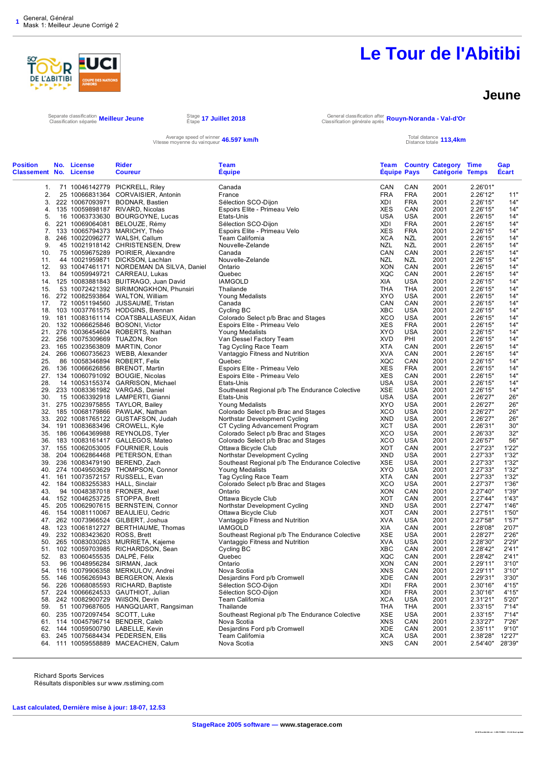

#### **Jeune**

**20 18 TourAbit ibi .st r : 1 291 73 992 2 : V3. 24 final update** 

Separate classification **Meilleur Jeune** Stage Stage<br>Classification séparée Me**illeur Jeune** Stape

Stage 1**7 Juillet 2018 General classification after <b>Rouyn-Noranda - Val-d'Or** General classification générale après **Rouyn-Noranda - Val-d'Or** 

Average speed of winner **46.597 km/h**<br>Vitesse moyenne du vainqueur **46.597 km/h** Total distance totale

| <sup>i otal distance</sup> 113,4km |  |  |
|------------------------------------|--|--|
| Distance totale                    |  |  |

| <b>Position</b><br><b>Classement No. License</b> | No. License                 | Rider<br><b>Coureur</b>                                                  | <b>Team</b><br><b>Equipe</b>                                    | <b>Equipe Pays</b>       |                          | <b>Team Country Category Time</b><br>Catégorie Temps |                      | Gap<br><b>Ecart</b> |
|--------------------------------------------------|-----------------------------|--------------------------------------------------------------------------|-----------------------------------------------------------------|--------------------------|--------------------------|------------------------------------------------------|----------------------|---------------------|
| 1.                                               |                             | 71 10046142779 PICKRELL, Riley                                           | Canada                                                          | CAN                      | CAN                      | 2001                                                 | 2.26'01"             |                     |
| 2.                                               |                             | 25 10066831364 CORVAISIER, Antonin                                       | France                                                          | <b>FRA</b>               | <b>FRA</b>               | 2001                                                 | 2.26'12"             | 11"                 |
| 3.                                               |                             | 222 10067093971 BODNAR, Bastien                                          | Sélection SCO-Dijon                                             | XDI                      | <b>FRA</b>               | 2001                                                 | 2.26'15"             | 14"                 |
| 4.                                               | 135 10059898187             | RIVARD, Nicolas                                                          | Espoirs Elite - Primeau Velo                                    | <b>XES</b>               | CAN                      | 2001                                                 | 2.26'15"             | 14'                 |
| 5.                                               |                             | 16 10063733630 BOURGOYNE, Lucas                                          | Etats-Unis                                                      | USA                      | USA                      | 2001                                                 | 2.26'15"             | 14"                 |
| 6.<br>7.                                         |                             | 221 10069064081 BELOUZE, Rémy<br>133 10065794373 MARICHY, Théo           | Sélection SCO-Dijon<br>Espoirs Elite - Primeau Velo             | XDI<br><b>XES</b>        | <b>FRA</b><br><b>FRA</b> | 2001<br>2001                                         | 2.26'15"<br>2.26'15" | 14"<br>14'          |
| 8.                                               |                             | 246 10022096277 WALSH, Callum                                            | Team Califomia                                                  | <b>XCA</b>               | NZL                      | 2001                                                 | 2.26'15"             | 14"                 |
| 9.                                               |                             | 45 10021918142 CHRISTENSEN, Drew                                         | Nouvelle-Zelande                                                | <b>NZL</b>               | NZL                      | 2001                                                 | 2.26'15"             | 14"                 |
| 10.                                              |                             | 75 10059675289 POIRIER, Alexandre                                        | Canada                                                          | CAN                      | CAN                      | 2001                                                 | 2.26'15"             | 14'                 |
| 11.                                              |                             | 44 10021959871 DICKSON, Lachlan                                          | Nouvelle-Zelande                                                | NZL                      | NZL                      | 2001                                                 | 2.26'15"             | 14"                 |
| 12.                                              |                             | 93 10047461171 NORDEMAN DA SILVA, Daniel                                 | Ontario                                                         | <b>XON</b>               | CAN                      | 2001                                                 | 2.26'15"             | 14"                 |
| 13.                                              |                             | 84 10059949721 CARREAU, Lukas                                            | Quebec                                                          | <b>XQC</b>               | CAN                      | 2001                                                 | 2.26'15"             | 14'                 |
|                                                  |                             | 14. 125 10083881843 BUITRAGO, Juan David                                 | <b>IAMGOLD</b><br>Thailande                                     | XIA                      | <b>USA</b><br>THA        | 2001<br>2001                                         | 2.26'15"<br>2.26'15" | 14"                 |
| 15.<br>16.                                       |                             | 53 10072421392 SIRIMONGKHON, Phunsiri<br>272 10082593864 WALTON, William | Young Medalists                                                 | THA<br>XYO               | USA                      | 2001                                                 | 2.26'15"             | 14"<br>14'          |
| 17.                                              |                             | 72 10051194560 JUSSAUME, Tristan                                         | Canada                                                          | CAN                      | CAN                      | 2001                                                 | 2.26'15"             | 14"                 |
| 18.                                              |                             | 103 10037761575 HODGINS, Brennan                                         | Cycling BC                                                      | XBC                      | USA                      | 2001                                                 | 2.26'15"             | 14"                 |
| 19.                                              |                             | 181 10083161114 COATSBALLASEUX, Aidan                                    | Colorado Select p/b Brac and Stages                             | <b>XCO</b>               | USA                      | 2001                                                 | 2.26'15"             | 14'                 |
| 20.                                              |                             | 132 10066625846 BOSONI, Victor                                           | Espoirs Elite - Primeau Velo                                    | <b>XES</b>               | <b>FRA</b>               | 2001                                                 | 2.26'15"             | 14"                 |
| 21.                                              |                             | 276 10036454604 ROBERTS, Nathan                                          | Young Medalists                                                 | XYO                      | USA                      | 2001                                                 | 2.26'15"             | 14'                 |
| 22.                                              |                             | 256 10075309669 TUAZON, Ron                                              | Van Dessel Factory Team                                         | <b>XVD</b>               | PHI                      | 2001                                                 | 2.26'15"             | 14'                 |
| 23.                                              |                             | 165 10023563809 MARTIN, Conor                                            | Tag Cycling Race Team                                           | XTA                      | CAN                      | 2001                                                 | 2.26'15"             | 14"                 |
| 24.<br>25.                                       |                             | 266 10060735623 WEBB, Alexander<br>86 10058346894 ROBERT, Felix          | Vantaggio Fitness and Nutrition<br>Quebec                       | XVA<br><b>XQC</b>        | CAN<br>CAN               | 2001<br>2001                                         | 2.26'15"<br>2.26'15" | 14"<br>14"          |
| 26.                                              |                             | 136 10066626856 BRENOT, Martin                                           | Espoirs Elite - Primeau Velo                                    | <b>XES</b>               | <b>FRA</b>               | 2001                                                 | 2.26'15"             | 14'                 |
| 27.                                              |                             | 134 10060791092 BOUGIE, Nicolas                                          | Espoirs Elite - Primeau Velo                                    | <b>XES</b>               | CAN                      | 2001                                                 | 2.26'15"             | 14"                 |
| 28.                                              |                             | 14 10053155374 GARRISON, Michael                                         | Etats-Unis                                                      | <b>USA</b>               | USA                      | 2001                                                 | 2.26'15"             | 14"                 |
| 29.                                              |                             | 233 10083361982 VARGAS, Daniel                                           | Southeast Regional p/b The Endurance Colective                  | XSE                      | USA                      | 2001                                                 | 2.26'15"             | 14"                 |
| 30.                                              |                             | 15 10063392918 LAMPERTI, Gianni                                          | Etats-Unis                                                      | <b>USA</b>               | USA                      | 2001                                                 | 2.26'27"             | 26"                 |
| 31.                                              |                             | 275 10023975855 TAYLOR, Bailey                                           | <b>Young Medalists</b>                                          | <b>XYO</b>               | USA                      | 2001                                                 | 2.26'27"             | 26"                 |
| 32.                                              |                             | 185 10068179866 PAWLAK, Nathan                                           | Colorado Select p/b Brac and Stages                             | <b>XCO</b>               | USA                      | 2001                                                 | 2.26'27"             | 26"                 |
| 33.<br>34.                                       |                             | 202 10081765122 GUSTAFSON, Judah<br>191 10083683496 CROWELL, Kyle        | Northstar Development Cycling<br>CT Cycling Advancement Program | XND<br><b>XCT</b>        | USA<br>USA               | 2001<br>2001                                         | 2.26'27"<br>2.26'31" | 26"<br>30'          |
| 35.                                              |                             | 186 10064369988 REYNOLDS, Tyler                                          | Colorado Select p/b Brac and Stages                             | <b>XCO</b>               | USA                      | 2001                                                 | 2.26'33"             | 32"                 |
| 36.                                              |                             | 183 10083161417 GALLEGOS, Mateo                                          | Colorado Select p/b Brac and Stages                             | XCO                      | USA                      | 2001                                                 | 2.26'57"             | 56"                 |
| 37.                                              |                             | 155 10062053005 FOURNIER, Louis                                          | Ottawa Bicycle Club                                             | <b>XOT</b>               | CAN                      | 2001                                                 | 2.27'23"             | 1'22'               |
| 38.                                              |                             | 204 10062864468 PETERSON, Ethan                                          | Northstar Development Cycling                                   | <b>XND</b>               | USA                      | 2001                                                 | 2.27'33"             | 1'32'               |
| 39.                                              |                             | 236 10083479190 BEREND, Zach                                             | Southeast Regional p/b The Endurance Colective                  | XSE                      | USA                      | 2001                                                 | 2.27'33"             | 1'32"               |
| 40.                                              |                             | 274 10049503629 THOMPSON, Connor                                         | <b>Young Medalists</b>                                          | XYO                      | USA                      | 2001                                                 | 2.27'33"             | 1'32"               |
| 41.                                              |                             | 161 10073572157 RUSSELL, Evan                                            | Tag Cycling Race Team                                           | XTA                      | CAN                      | 2001                                                 | 2.27'33"             | 1'32'               |
| 42.<br>43.                                       |                             | 184 10083255383 HALL, Sinclair<br>94 10048387018 FRONER, Axel            | Colorado Select p/b Brac and Stages<br>Ontario                  | <b>XCO</b><br><b>XON</b> | USA<br>CAN               | 2001<br>2001                                         | 2.27'37"<br>2.27'40" | 1'36'<br>1'39"      |
| 44.                                              |                             | 152 10046253725 STOPPA, Brett                                            | Ottawa Bicycle Club                                             | XOT                      | CAN                      | 2001                                                 | 2.27'44"             | 1'43'               |
| 45.                                              |                             | 205 10062907615 BERNSTEIN, Connor                                        | Northstar Development Cycling                                   | XND                      | USA                      | 2001                                                 | 2.27'47"             | 1'46'               |
| 46.                                              |                             | 154 10081110067 BEAULIEU, Cedric                                         | Ottawa Bicycle Club                                             | XOT                      | CAN                      | 2001                                                 | 2.27'51"             | 1'50"               |
| 47.                                              |                             | 262 10073966524 GILBERT, Joshua                                          | Vantaggio Fitness and Nutrition                                 | XVA                      | USA                      | 2001                                                 | 2.27'58"             | 1'57'               |
| 48.                                              |                             | 123 10061812727 BERTHIAUME, Thomas                                       | <b>IAMGOLD</b>                                                  | XIA                      | CAN                      | 2001                                                 | 2.28'08"             | 2'07"               |
| 49.                                              | 232 10083423620 ROSS, Brett |                                                                          | Southeast Regional p/b The Endurance Colective                  | XSE                      | USA                      | 2001                                                 | 2.28'27"             | 2'26"               |
| 50.                                              |                             | 265 10083030263 MURRIETA, Kajeme                                         | Vantaggio Fitness and Nutrition                                 | <b>XVA</b>               | USA                      | 2001                                                 | 2.28'30"             | 2'29"               |
| 51.<br>52.                                       | 83 10060455535 DALPÉ, Félix | 102 10059703985 RICHARDSON, Sean                                         | Cycling BC<br>Quebec                                            | XBC<br><b>XQC</b>        | CAN<br>CAN               | 2001<br>2001                                         | 2.28'42"<br>2.28'42" | 2'41"<br>2'41"      |
| 53.                                              |                             | 96 10048956284 SIRMAN, Jack                                              | Ontario                                                         | <b>XON</b>               | CAN                      | 2001                                                 | 2.29'11"             | 3'10"               |
| 54.                                              |                             | 116 10079906358 MERKULOV, Andrei                                         | Nova Scotia                                                     | <b>XNS</b>               | CAN                      | 2001                                                 | 2.29'11"             | 3'10"               |
| 55.                                              |                             | 146 10056265943 BERGERON, Alexis                                         | Desjardins Ford p/b Cromwell                                    | XDE                      | CAN                      | 2001                                                 | 2.29'31"             | 3'30"               |
| 56.                                              |                             | 226 10068085593 RICHARD, Baptiste                                        | Sélection SCO-Dijon                                             | XDI                      | <b>FRA</b>               | 2001                                                 | 2.30'16"             | 4'15"               |
| 57.                                              |                             | 224 10066624533 GAUTHIOT, Julian                                         | Sélection SCO-Dijon                                             | XDI                      | <b>FRA</b>               | 2001                                                 | 2.30'16"             | 4'15"               |
|                                                  |                             | 58. 242 10082900729 WilSON, Devin                                        | Team Califomia                                                  | <b>XCA</b>               | USA                      | 2001                                                 | 2.31'21"             | 5'20"               |
| 59.                                              |                             | 51 10079687605 HANGQUART, Rangsiman                                      | Thailande                                                       | THA                      | THA                      | 2001                                                 | 2.33'15"             | 7'14"               |
|                                                  |                             | 60. 235 10072097454 SCOTT, Luke                                          | Southeast Regional p/b The Endurance Colective<br>Nova Scotia   | XSE<br><b>XNS</b>        | USA<br>CAN               | 2001<br>2001                                         | 2.33'15"<br>2.33'27" | 7'14"<br>7'26"      |
| 62.                                              |                             | 61. 114 10045796714 BENDER, Caleb<br>144 10059500790 LABELLE, Kevin      | Desjardins Ford p/b Cromwell                                    | XDE                      | CAN                      | 2001                                                 | 2.35'11"             | 9'10"               |
| 63.                                              |                             | 245 10075684434 PEDERSEN, Ellis                                          | Team Califomia                                                  | <b>XCA</b>               | USA                      | 2001                                                 | 2.38'28"             | 12'27"              |
|                                                  |                             | 64. 111 10059558889 MACEACHEN, Calum                                     | Nova Scotia                                                     | <b>XNS</b>               | CAN                      | 2001                                                 | 2.54'40" 28'39"      |                     |
|                                                  |                             |                                                                          |                                                                 |                          |                          |                                                      |                      |                     |

Richard Sports Services Résultats disponibles sur www.rsstiming.com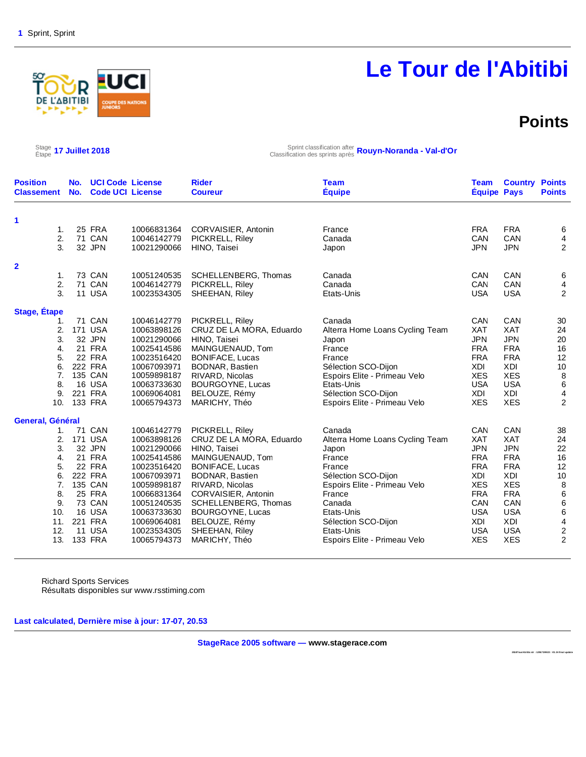# **DE L'ABITIBI**

# **Le Tour de l'Abitibi**

### **Points**

 $\frac{\text{Stage}}{\text{Etape}}$  17 Juillet 2018

Étape **17 Juillet 2018** Sprint classification after Classification des sprints après **Rouyn-Noranda - Val-d'Or**

| <b>Position</b><br><b>Classement</b> | No.<br>No. | <b>UCI Code License</b><br><b>Code UCI License</b> |             | <b>Rider</b><br><b>Coureur</b> | <b>Team</b><br><b>Équipe</b>    | <b>Team</b><br><b>Équipe Pays</b> | <b>Country Points</b> | <b>Points</b>                              |
|--------------------------------------|------------|----------------------------------------------------|-------------|--------------------------------|---------------------------------|-----------------------------------|-----------------------|--------------------------------------------|
| 1                                    |            |                                                    |             |                                |                                 |                                   |                       |                                            |
| $\mathbf{1}$ .                       |            | <b>25 FRA</b>                                      | 10066831364 | CORVAISIER, Antonin            | France                          | <b>FRA</b>                        | <b>FRA</b>            | 6                                          |
| 2.                                   |            | 71 CAN                                             | 10046142779 | PICKRELL, Riley                | Canada                          | <b>CAN</b>                        | CAN                   | 4                                          |
| 3.                                   |            | 32 JPN                                             | 10021290066 | HINO, Taisei                   | Japon                           | <b>JPN</b>                        | <b>JPN</b>            | $\overline{2}$                             |
| $\mathbf{2}$                         |            |                                                    |             |                                |                                 |                                   |                       |                                            |
| 1.                                   |            | 73 CAN                                             | 10051240535 | SCHELLENBERG, Thomas           | Canada                          | CAN                               | CAN                   | 6                                          |
| 2.                                   |            | 71 CAN                                             | 10046142779 | PICKRELL, Riley                | Canada                          | CAN                               | CAN                   | 4                                          |
| 3.                                   |            | <b>11 USA</b>                                      | 10023534305 | SHEEHAN, Riley                 | Etats-Unis                      | <b>USA</b>                        | <b>USA</b>            | $\overline{2}$                             |
| Stage, Étape                         |            |                                                    |             |                                |                                 |                                   |                       |                                            |
| 1.                                   |            | 71 CAN                                             | 10046142779 | PICKRELL, Riley                | Canada                          | CAN                               | CAN                   | 30                                         |
| 2.                                   |            | <b>171 USA</b>                                     | 10063898126 | CRUZ DE LA MORA, Eduardo       | Alterra Home Loans Cycling Team | <b>XAT</b>                        | <b>XAT</b>            | 24                                         |
| 3.                                   |            | 32 JPN                                             | 10021290066 | HINO. Taisei                   | Japon                           | <b>JPN</b>                        | <b>JPN</b>            | $20\,$                                     |
| 4.                                   |            | 21 FRA                                             | 10025414586 | MAINGUENAUD, Tom               | France                          | <b>FRA</b>                        | <b>FRA</b>            | 16                                         |
| 5.                                   |            | 22 FRA                                             | 10023516420 | <b>BONIFACE, Lucas</b>         | France                          | <b>FRA</b>                        | <b>FRA</b>            | 12                                         |
| 6.                                   |            | <b>222 FRA</b>                                     | 10067093971 | BODNAR, Bastien                | Sélection SCO-Dijon             | <b>XDI</b>                        | <b>XDI</b>            | 10                                         |
| 7.                                   |            | 135 CAN                                            | 10059898187 | RIVARD, Nicolas                | Espoirs Elite - Primeau Velo    | <b>XES</b>                        | <b>XES</b>            | $\,8\,$                                    |
| 8.                                   |            | 16 USA                                             | 10063733630 | BOURGOYNE, Lucas               | Etats-Unis                      | <b>USA</b>                        | <b>USA</b>            | $\,6\,$                                    |
| 9.                                   |            | 221 FRA                                            | 10069064081 | BELOUZE, Rémy                  | Sélection SCO-Dijon             | XDI                               | <b>XDI</b>            | 4                                          |
| 10.                                  |            | 133 FRA                                            | 10065794373 | MARICHY, Théo                  | Espoirs Elite - Primeau Velo    | <b>XES</b>                        | <b>XES</b>            | $\overline{2}$                             |
| General, Général                     |            |                                                    |             |                                |                                 |                                   |                       |                                            |
| 1.                                   |            | <b>71 CAN</b>                                      | 10046142779 | PICKRELL, Riley                | Canada                          | CAN                               | CAN                   | 38                                         |
| 2.                                   |            | <b>171 USA</b>                                     | 10063898126 | CRUZ DE LA MORA, Eduardo       | Alterra Home Loans Cycling Team | <b>XAT</b>                        | <b>XAT</b>            | 24                                         |
| 3.                                   |            | 32 JPN                                             | 10021290066 | HINO, Taisei                   | Japon                           | <b>JPN</b>                        | <b>JPN</b>            | 22                                         |
| 4.                                   |            | 21 FRA                                             | 10025414586 | MAINGUENAUD, Tom               | France                          | <b>FRA</b>                        | <b>FRA</b>            | 16                                         |
| 5.                                   |            | 22 FRA                                             | 10023516420 | <b>BONIFACE, Lucas</b>         | France                          | <b>FRA</b>                        | <b>FRA</b>            | 12                                         |
| 6.                                   |            | 222 FRA                                            | 10067093971 | BODNAR, Bastien                | Sélection SCO-Dijon             | XDI                               | XDI                   | 10                                         |
| 7.                                   |            | 135 CAN                                            | 10059898187 | RIVARD, Nicolas                | Espoirs Elite - Primeau Velo    | <b>XES</b>                        | <b>XES</b>            | 8                                          |
| 8.                                   |            | <b>25 FRA</b>                                      | 10066831364 | CORVAISIER, Antonin            | France                          | <b>FRA</b>                        | <b>FRA</b>            | $\,6\,$                                    |
| 9.                                   |            | <b>73 CAN</b>                                      | 10051240535 | SCHELLENBERG, Thomas           | Canada                          | CAN                               | CAN                   | $\,6$                                      |
| 10.                                  |            | 16 USA                                             | 10063733630 | BOURGOYNE, Lucas               | Etats-Unis                      | <b>USA</b>                        | <b>USA</b>            | $\,6$                                      |
| 11.                                  |            | 221 FRA                                            | 10069064081 | BELOUZE, Rémy                  | Sélection SCO-Dijon             | XDI                               | XDI                   |                                            |
| 12.                                  |            | <b>11 USA</b>                                      | 10023534305 | SHEEHAN, Riley                 | Etats-Unis                      | <b>USA</b>                        | <b>USA</b>            | $\begin{array}{c} 4 \\ 2 \\ 2 \end{array}$ |
| 13.                                  |            | 133 FRA                                            | 10065794373 | MARICHY, Théo                  | Espoirs Elite - Primeau Velo    | <b>XES</b>                        | <b>XES</b>            |                                            |

Richard Sports Services Résultats disponibles sur www.rsstiming.com

**Last calculated, Dernière mise à jour: 17-07, 20.53** 

**StageRace 2005 software — www.stagerace.com** 

**2018TourAbitibi.str : 1291739922 : V3.24 final update**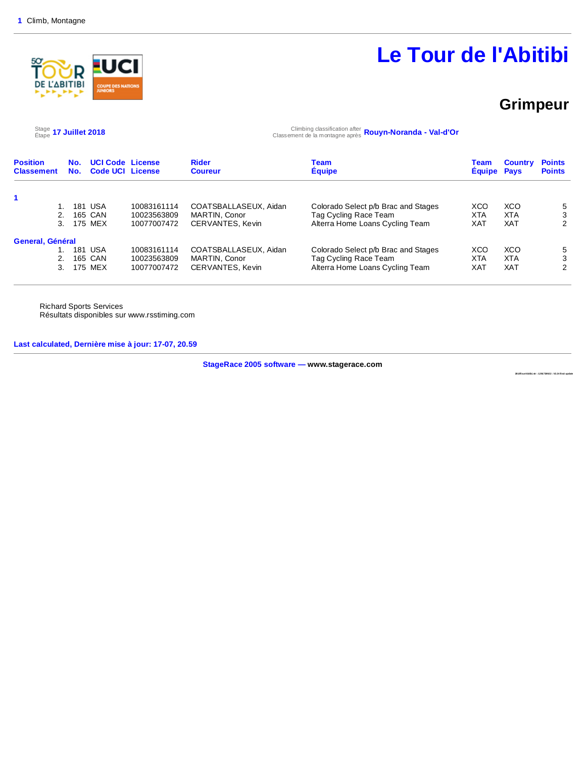

### **Grimpeur**

 $\frac{\text{Stage}}{\text{Etape}}$  17 Juillet 2018

Étape **17 Juillet 2018** Climbing classification after Classement de la montagne après **Rouyn-Noranda - Val-d'Or**

| <b>Position</b><br><b>Classement</b> | No.<br>No. | <b>UCI Code License</b><br><b>Code UCI License</b> |             | <b>Rider</b><br><b>Coureur</b> | Team<br><b>Equipe</b>               | Team<br><b>Equipe</b> | <b>Country</b><br>Pays | <b>Points</b><br><b>Points</b> |
|--------------------------------------|------------|----------------------------------------------------|-------------|--------------------------------|-------------------------------------|-----------------------|------------------------|--------------------------------|
|                                      |            |                                                    |             |                                |                                     |                       |                        |                                |
|                                      | 181        | USA                                                | 10083161114 | COATSBALLASEUX, Aidan          | Colorado Select p/b Brac and Stages | XCO                   | XCO                    | 5                              |
| 2.                                   |            | 165 CAN                                            | 10023563809 | MARTIN, Conor                  | Tag Cycling Race Team               | XTA                   | <b>XTA</b>             | 3                              |
| 3.                                   |            | 175 MEX                                            | 10077007472 | CERVANTES, Kevin               | Alterra Home Loans Cycling Team     | <b>XAT</b>            | <b>XAT</b>             | 2                              |
| General, Général                     |            |                                                    |             |                                |                                     |                       |                        |                                |
|                                      | 181        | USA                                                | 10083161114 | COATSBALLASEUX, Aidan          | Colorado Select p/b Brac and Stages | XCO                   | XCO                    | 5                              |
| 2.                                   |            | 165 CAN                                            | 10023563809 | MARTIN, Conor                  | Tag Cycling Race Team               | <b>XTA</b>            | <b>XTA</b>             | 3                              |
| 3.                                   |            | 175 MEX                                            | 10077007472 | CERVANTES, Kevin               | Alterra Home Loans Cycling Team     | XAT                   | <b>XAT</b>             | 2                              |

Richard Sports Services Résultats disponibles sur www.rsstiming.com

**Last calculated, Dernière mise à jour: 17-07, 20.59** 

**StageRace 2005 software — www.stagerace.com** 

**2018TourAbitibi.str : 1291739922 : V3.24 final update**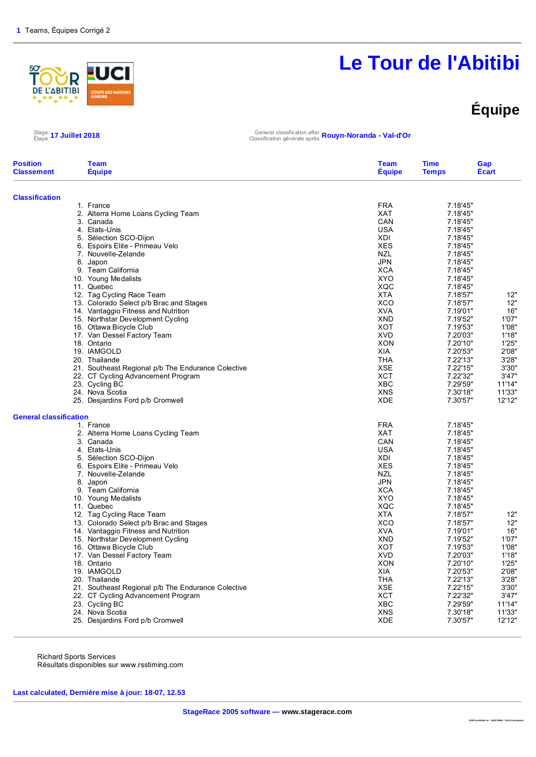

# **Équipe**

Étape **17 Juillet 2018** General classification after Classification générale après **Rouyn-Noranda - Val-d'Or**

| <b>Classification</b><br><b>FRA</b><br>7.18'45"<br>1. France<br>2. Alterra Home Loans Cycling Team<br><b>XAT</b><br>7.18'45"<br>CAN<br>3. Canada<br>7.18'45"<br><b>USA</b><br>4. Etats-Unis<br>7.18'45"<br>5. Sélection SCO-Dijon<br>XDI<br>7.18'45"<br><b>XES</b><br>6. Espoirs Elite - Primeau Velo<br>7.18'45"<br>7. Nouvelle-Zelande<br><b>NZL</b><br>7.18'45" | 12"<br>12"<br>16"<br>1'07"<br>1'08" |
|--------------------------------------------------------------------------------------------------------------------------------------------------------------------------------------------------------------------------------------------------------------------------------------------------------------------------------------------------------------------|-------------------------------------|
|                                                                                                                                                                                                                                                                                                                                                                    |                                     |
|                                                                                                                                                                                                                                                                                                                                                                    |                                     |
|                                                                                                                                                                                                                                                                                                                                                                    |                                     |
|                                                                                                                                                                                                                                                                                                                                                                    |                                     |
|                                                                                                                                                                                                                                                                                                                                                                    |                                     |
|                                                                                                                                                                                                                                                                                                                                                                    |                                     |
|                                                                                                                                                                                                                                                                                                                                                                    |                                     |
|                                                                                                                                                                                                                                                                                                                                                                    |                                     |
| <b>JPN</b><br>7.18'45"<br>8. Japon                                                                                                                                                                                                                                                                                                                                 |                                     |
| 9. Team California<br><b>XCA</b><br>7.18'45"                                                                                                                                                                                                                                                                                                                       |                                     |
| <b>XYO</b><br>7.18'45"<br>10. Young Medalists                                                                                                                                                                                                                                                                                                                      |                                     |
| XQC<br>11. Quebec<br>7.18'45"                                                                                                                                                                                                                                                                                                                                      |                                     |
| 12. Tag Cycling Race Team<br><b>XTA</b><br>7.18'57"                                                                                                                                                                                                                                                                                                                |                                     |
| 13. Colorado Select p/b Brac and Stages<br>XCO<br>7.18'57"                                                                                                                                                                                                                                                                                                         |                                     |
| 14. Vantaggio Fitness and Nutrition<br><b>XVA</b><br>7.19'01"                                                                                                                                                                                                                                                                                                      |                                     |
| 15. Northstar Development Cycling<br><b>XND</b><br>7.19'52"                                                                                                                                                                                                                                                                                                        |                                     |
| 16. Ottawa Bicycle Club<br>XOT<br>7.19'53"                                                                                                                                                                                                                                                                                                                         |                                     |
| <b>XVD</b><br>7.20'03"<br>17. Van Dessel Factory Team                                                                                                                                                                                                                                                                                                              | 1'18"                               |
| <b>XON</b><br>7.20'10"<br>18. Ontario<br>XIA                                                                                                                                                                                                                                                                                                                       | 1'25"                               |
| 19. IAMGOLD<br>7.20'53"                                                                                                                                                                                                                                                                                                                                            | 2'08"                               |
| 20. Thailande<br>THA<br>7.22'13"<br><b>XSE</b>                                                                                                                                                                                                                                                                                                                     | 3'28"<br>3'30"                      |
| 7.22'15"<br>21. Southeast Regional p/b The Endurance Colective<br><b>XCT</b><br>7.22'32"                                                                                                                                                                                                                                                                           | 3'47"                               |
| 22. CT Cycling Advancement Program<br><b>XBC</b><br>7.29'59"                                                                                                                                                                                                                                                                                                       | 11'14"                              |
| 23. Cycling BC<br><b>XNS</b><br>24. Nova Scotia<br>7.30'18"                                                                                                                                                                                                                                                                                                        | 11'33"                              |
| 25. Desjardins Ford p/b Cromwell<br><b>XDE</b><br>7.30'57"                                                                                                                                                                                                                                                                                                         | 12'12"                              |
| <b>General classification</b>                                                                                                                                                                                                                                                                                                                                      |                                     |
| <b>FRA</b><br>1. France<br>7.18'45"                                                                                                                                                                                                                                                                                                                                |                                     |
| <b>XAT</b><br>2. Alterra Home Loans Cycling Team<br>7.18'45"                                                                                                                                                                                                                                                                                                       |                                     |
| CAN<br>3. Canada<br>7.18'45"                                                                                                                                                                                                                                                                                                                                       |                                     |
| 4. Etats-Unis<br><b>USA</b><br>7.18'45"                                                                                                                                                                                                                                                                                                                            |                                     |
| 5. Sélection SCO-Dijon<br><b>XDI</b><br>7.18'45"                                                                                                                                                                                                                                                                                                                   |                                     |
| 6. Espoirs Elite - Primeau Velo<br><b>XES</b><br>7.18'45"                                                                                                                                                                                                                                                                                                          |                                     |
| 7. Nouvelle-Zelande<br><b>NZL</b><br>7.18'45"                                                                                                                                                                                                                                                                                                                      |                                     |
| <b>JPN</b><br>8. Japon<br>7.18'45"                                                                                                                                                                                                                                                                                                                                 |                                     |
| <b>XCA</b><br>9. Team California<br>7.18'45"                                                                                                                                                                                                                                                                                                                       |                                     |
| <b>XYO</b><br>10. Young Medalists<br>7.18'45"                                                                                                                                                                                                                                                                                                                      |                                     |
| 11. Quebec<br>XQC<br>7.18'45"                                                                                                                                                                                                                                                                                                                                      |                                     |
| 12. Tag Cycling Race Team<br><b>XTA</b><br>7.18'57"                                                                                                                                                                                                                                                                                                                | 12"                                 |
| 13. Colorado Select p/b Brac and Stages<br><b>XCO</b><br>7.18'57"                                                                                                                                                                                                                                                                                                  | 12"                                 |
| <b>XVA</b><br>7.19'01"<br>14. Vantaggio Fitness and Nutrition                                                                                                                                                                                                                                                                                                      | 16"                                 |
| 15. Northstar Development Cycling<br><b>XND</b><br>7.19'52"                                                                                                                                                                                                                                                                                                        | 1'07"                               |
| 16. Ottawa Bicycle Club<br>XOT<br>7.19'53"<br><b>XVD</b>                                                                                                                                                                                                                                                                                                           | 1'08"<br>1'18"                      |
| 17. Van Dessel Factory Team<br>7.20'03"                                                                                                                                                                                                                                                                                                                            |                                     |
| 18. Ontario<br><b>XON</b><br>7.20'10"<br>19. IAMGOLD<br><b>XIA</b><br>7.20'53"                                                                                                                                                                                                                                                                                     | 1'25"<br>2'08"                      |
| <b>THA</b><br>7.22'13"<br>20. Thailande                                                                                                                                                                                                                                                                                                                            | 3'28"                               |
| 21. Southeast Regional p/b The Endurance Colective<br><b>XSE</b><br>7.22'15"                                                                                                                                                                                                                                                                                       | 3'30"                               |
| <b>XCT</b><br>22. CT Cycling Advancement Program<br>7.22'32"                                                                                                                                                                                                                                                                                                       | 3'47"                               |
| <b>XBC</b><br>7.29'59"                                                                                                                                                                                                                                                                                                                                             | 11'14"                              |
| 23. Cycling BC<br><b>XNS</b><br>24. Nova Scotia<br>7.30'18"                                                                                                                                                                                                                                                                                                        | 11'33"                              |
| <b>XDE</b><br>7.30'57"<br>25. Desjardins Ford p/b Cromwell                                                                                                                                                                                                                                                                                                         | 12'12"                              |

Richard Sports Services Résultats disponibles sur www.rsstiming.com

**Last calculated, Dernière mise à jour: 18-07, 12.53** 

Stage 17 Juillet 2018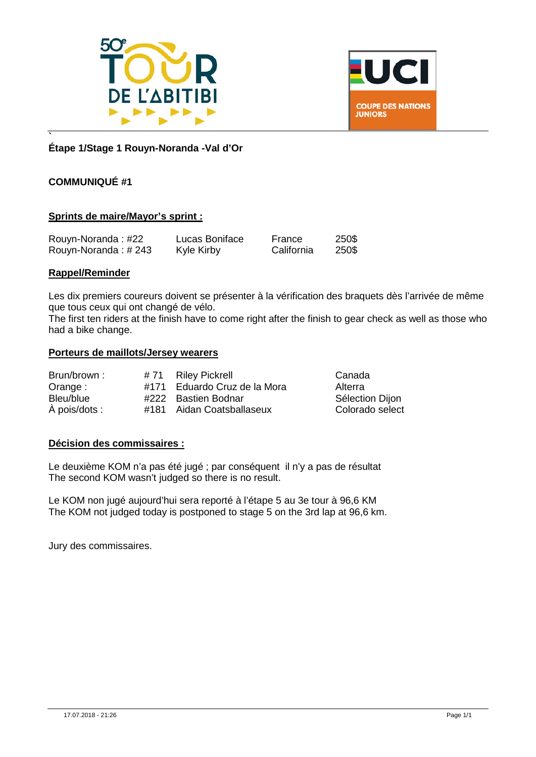



#### **` Étape 1/Stage 1 Rouyn-Noranda -Val d'Or**

#### **COMMUNIQUÉ #1**

#### **Sprints de maire/Mayor's sprint :**

| Rouyn-Noranda: #22  | Lucas Boniface | France     | 250\$ |
|---------------------|----------------|------------|-------|
| Rouyn-Noranda: #243 | Kyle Kirby     | California | 250\$ |

#### **Rappel/Reminder**

Les dix premiers coureurs doivent se présenter à la vérification des braquets dès l'arrivée de même que tous ceux qui ont changé de vélo.

The first ten riders at the finish have to come right after the finish to gear check as well as those who had a bike change.

#### **Porteurs de maillots/Jersey wearers**

| Brun/brown:   | #71 Riley Pickrell           | Canada          |
|---------------|------------------------------|-----------------|
| Orange:       | #171 Eduardo Cruz de la Mora | Alterra         |
| Bleu/blue     | #222 Bastien Bodnar          | Sélection Dijon |
| À pois/dots : | #181 Aidan Coatsballaseux    | Colorado select |

#### **Décision des commissaires :**

Le deuxième KOM n'a pas été jugé ; par conséquent il n'y a pas de résultat The second KOM wasn't judged so there is no result.

Le KOM non jugé aujourd'hui sera reporté à l'étape 5 au 3e tour à 96,6 KM The KOM not judged today is postponed to stage 5 on the 3rd lap at 96,6 km.

Jury des commissaires.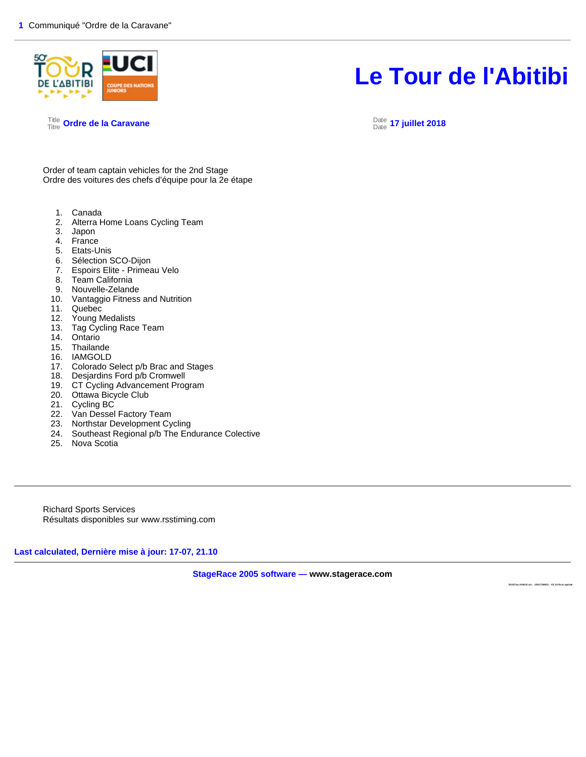

**2018Tou rAbitibi.str : 1291739922 : V3.24 fin al upd ate** 

Title Titre **Ordre de la Caravane** Date

Date **17 juillet 2018** 

Order of team captain vehicles for the 2nd Stage Ordre des voitures des chefs d'équipe pour la 2e étape

- 1. Canada
- 2. Alterra Home Loans Cycling Team
- 3. Japon
- 4. France
- 5. Etats-Unis
- 6. Sélection SCO-Dijon
- 7. Espoirs Elite Primeau Velo
- 8. Team California
- 9. Nouvelle-Zelande
- 10. Vantaggio Fitness and Nutrition
- 
- 11. Quebec<br>12. Young M Young Medalists
- 13. Tag Cycling Race Team
- 14. Ontario
- 15. Thailande
- 16. IAMGOLD
- 17. Colorado Select p/b Brac and Stages
- 18. Desjardins Ford p/b Cromwell
- 19. CT Cycling Advancement Program
- 20. Ottawa Bicycle Club
- 21. Cycling BC
- 22. Van Dessel Factory Team
- 23. Northstar Development Cycling
- 24. Southeast Regional p/b The Endurance Colective
- 25. Nova Scotia

Richard Sports Services Résultats disponibles sur www.rsstiming.com

**Last calculated, Dernière mise à jour: 17-07, 21.10** 

**StageRace 2005 software — www.stagerace.com**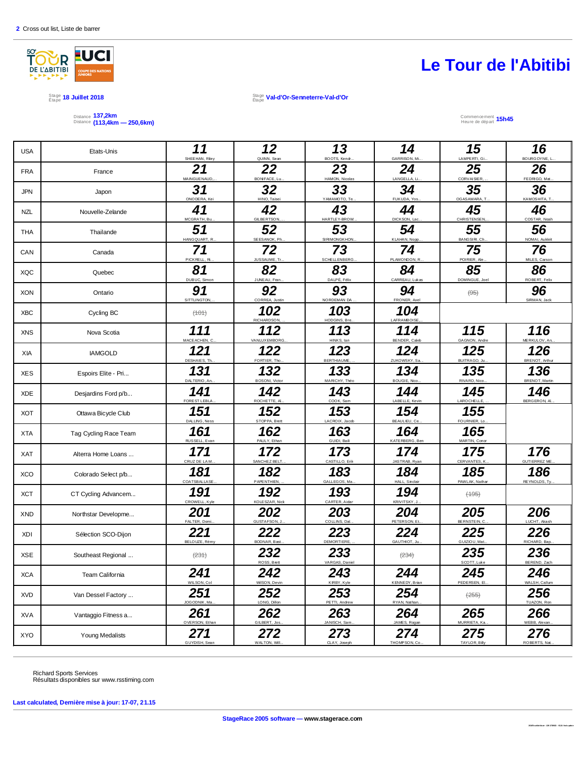

Stage 18 Juillet 2018<br>Étape <sup>18</sup> Juillet 2018

Étape **Val-d'Or-Senneterre-Val-d'Or**

#### Distance 137,2km<br>Distance (113,4km — 250,6km)

#### Commencement 15h45

| <b>USA</b> | Etats-Unis             | 11<br>SHEEHAN, Riey        | 12<br>QUINN, Sean     | 13<br>BOOTS, Kendr       | 14<br>GARRISON, Mi.       | 15<br>LAMPERTI, Gi.        | 16<br>BOURGOYNE, I           |
|------------|------------------------|----------------------------|-----------------------|--------------------------|---------------------------|----------------------------|------------------------------|
| <b>FRA</b> | France                 | 21<br>MAINGUENAUD,         | 22<br>BON FACE, Lu    | 23<br>HAMON, Nicolas     | 24<br>LANGELLA, Li.       | 25<br>CORVAISIER,          | 26<br>FEDRIGO, Mat           |
| JPN        | Japon                  | 31<br>ONO DE RA, Kei       | 32<br>HINO, Taisei    | 33<br>YAMAMOTO, Te.      | 34<br>FUKUDA, Yos.        | 35<br>OGASAWARA, T.        | 36<br>KAMOSHITA, T.          |
| <b>NZL</b> | Nouvelle-Zelande       | 41<br>MCGRATH, Bu.         | 42<br>GILBERTSON,     | 43<br>HARTLEY-BROW.      | 44<br>DICKSON, Lac.       | 45<br>CHRISTENSEN,         | 46<br>COSTAR, Noah           |
| THA        | Thailande              | 51<br>HANGQUART, R.        | 52<br>SEESANOK, Ph.   | 53<br>SIRIMONGKHON.      | 54<br>KLAHAN, Nopp        | 55<br>BANG SIRI, Ch        | 56<br>NOMAI, Aukkrit         |
| CAN        | Canada                 | 71<br>PICKRELL, Ri.        | 72<br>JUSSAUME, Tr    | 73<br>SCHELLENBERG       | 74<br>PLAMONDON, R.       | 75<br>POIRIER, Ale         | 76<br>MILES, Carsor          |
| <b>XQC</b> | Quebec                 | 81<br>DUBUC, Simon         | 82<br>JUNEAU, Fran    | 83<br>DALPÉ, Félix       | 84<br>CARREAU, Lukas      | 85<br>DOMINGUE, Joel       | 86<br>ROBERT, Felx           |
| <b>XON</b> | Ontario                | 91<br>SITTLINGTON          | 92<br>CORREA, Justin  | 93<br>NORDEMAN DA        | 94<br>FRONER, Axel        | $(95)$                     | 96<br>SIRMAN, Jack           |
| <b>XBC</b> | Cycling BC             | (101)                      | 102<br>RICHARDSON,    | 103<br>HODGINS, Bre.     | 104<br><b>LAFRAMBOISE</b> |                            |                              |
| <b>XNS</b> | Nova Scotia            | 111<br>MACEACHEN, C        | 112<br>VANLUXEMBORG   | 113<br>HINKS, lan        | 114<br>BENDER, Caleb      | 115<br>GAGNON, Andre       | 116<br>MERKULOV, Ar          |
| XIA        | <b>IAMGOLD</b>         | 121<br>DESHAIES, Th.       | 122<br>FORTIER, Tho   | 123<br><b>BERTHIAUME</b> | 124<br>ZUKOWSKY, Sa       | 125<br><b>BUITRAGO, Ju</b> | 126<br>BRENOT, Arthu         |
| <b>XES</b> | Espoirs Elite - Pri    | 131<br>DALTERIO, An.       | 132<br>BOSONI, Victor | 133<br>MARICHY, Théo     | 134<br><b>BOUGIE, Nco</b> | 135<br>RIVARD, Nico        | 136<br><b>BRENOT, Martin</b> |
| <b>XDE</b> | Desjardins Ford p/b    | 141<br><b>FOREST LEBLA</b> | 142<br>ROCHETTE, A    | 143<br>COOK, Sam         | 144<br>LABELLE, Kevin     | 145<br>LAROCHELLE          | 146<br>BERGERON, A           |
| <b>XOT</b> | Ottawa Bicycle Club    | 151<br>DALLING, Ness       | 152<br>STOPPA, Brett  | 153<br>LACROIX, Jacob    | 154<br>BEAULIEU, Ce       | 155<br>FOURNIER, Lo        |                              |
| XTA        | Tag Cycling Race Team  | 161<br>RUSSELL, Evan       | 162<br>PAULY, Ethan   | 163<br>GUIDI, Bail       | 164<br>KATERBERG, Ben     | 165<br>MARTIN, Conor       |                              |
| XAT        | Alterra Home Loans     | 171<br>CRUZ DE LA M.       | 172<br>SANCHEZ BELT.  | 173<br>CASTILLO, Eril    | 174<br>JASTRAB, Ryan      | 175<br>CERVANTES, K        | 176<br><b>GUTIERREZ ME</b>   |
| <b>XCO</b> | Colorado Select p/b    | 181<br>COATSBALLASE        | 182<br>PAPENTHIEN.    | 183<br>GALLEGOS, Ma      | 184<br>HALL, Sinclair     | 185<br>PAWLAK, Nathar      | 186<br>REYNOLDS, Ty.         |
| <b>XCT</b> | CT Cycling Advancem    | 191<br>CROWELL, Kyle       | 192<br>KOLESZAR, Nick | 193<br>CARTER, Aidar     | 194<br>KRIVITSKY, J.      | $(+95)$                    |                              |
| <b>XND</b> | Northstar Developme    | 201<br>FALTER, Domi.       | 202<br>GUSTAFSON, J   | 203<br>COLLINS, Dal.     | 204<br>PETERSON, Et.      | 205<br>BERNSTEIN, C.       | 206<br>LUCHT, Akash          |
| XDI        | Sélection SCO-Dijon    | 221<br>BELOUZE, Rémy       | 222<br>BODNAR, Bast.  | 223<br>DEMORTIERE,       | 224<br>GAUTHIOT, Ju.      | 225<br>GUIZIOU, Mat.       | 226<br>RICHARD, Bap          |
| <b>XSE</b> | Southeast Regional     | (231)                      | 232<br>ROSS, Brett    | 233<br>VARGAS, Daniel    | (234)                     | 235<br>SCOTT, Luke         | 236<br>BEREND, Zach          |
| <b>XCA</b> | Team California        | 241<br>WILSON, Col         | 242<br>WilSON, Devin  | 243<br>KIRBY, Kyle       | 244<br>KENNEDY, Brian     | 245<br>PEDERSEN, EI.       | 246<br>WALSH, Callum         |
| <b>XVD</b> | Van Dessel Factory     | 251<br>JOGODNIK, Ma        | 252<br>LONG, Dillon   | 253<br>PETTI, Andrew     | 254<br>RYAN, Nathan       | (255)                      | 256<br>TUAZON, Ron           |
| XVA        | Vantaggio Fitness a    | 261<br>OVERSON, Ethan      | 262<br>GILBERT, Jos.  | 263<br>JANISCH, Sam.     | 264<br>JAMES, Rogan       | 265<br>MURRIETA, Ka.       | 266<br>WEBB, Alexan.         |
| XYO        | <b>Young Medalists</b> | 271<br>GUYDISH, Sean       | 272<br>WALTON, Will   | 273<br>CLAY, Joseph      | 274<br>THOMPSON, Co.      | 275<br>TAYLOR, Bily        | 276<br>ROBERTS, Nat.         |
|            |                        |                            |                       |                          |                           |                            |                              |

Richard Sports Services Résultats disponibles sur www.rsstiming.com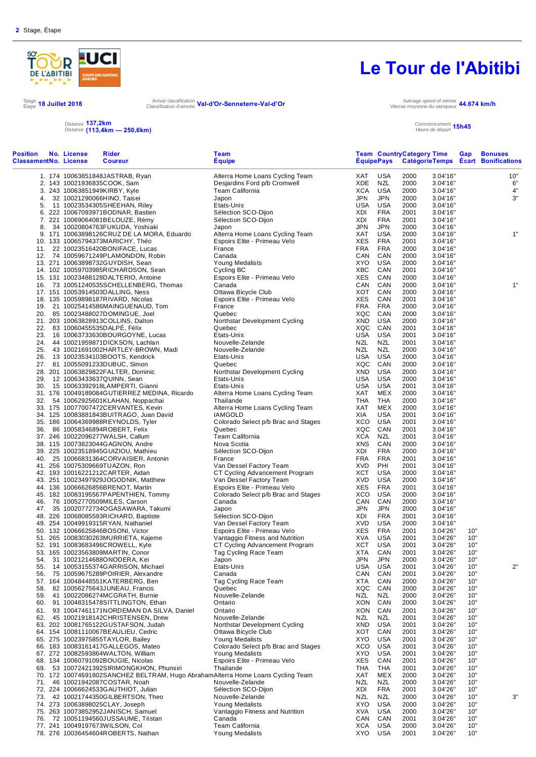

Arrival classification **Val-d'Or-Senneterre-Val-d'Or**<br>Classification d'arrivée **Val-d'Or-Senneterre-Val-d'Or** 

Stage 18 Juillet 2018<br>Étape <sup>18 Juillet 2018</sup> Arrival classification d'arrivée

Vitesse moyenne du vainqueur **44.674 km/h** Commencement Heure de départ **15h45**

#### Distance Distance **137,2km (113,4km — 250,6km)**

| <b>Position</b><br><b>ClassementNo. License</b> | No. License | <b>Rider</b><br><b>Coureur</b>                                                  | <b>Team</b><br><b>Equipe</b>                            |                   | <b>ÉquipePays</b>        | <b>Team CountryCategory Time</b> |                      | Gap        | <b>Bonuses</b><br>CatégorieTemps Ecart Bonifications |
|-------------------------------------------------|-------------|---------------------------------------------------------------------------------|---------------------------------------------------------|-------------------|--------------------------|----------------------------------|----------------------|------------|------------------------------------------------------|
|                                                 |             | 1. 174 10063851848JASTRAB, Ryan                                                 | Alterra Home Loans Cycling Team                         | XAT               | USA                      | 2000                             | 3.04'16"             |            | 10"                                                  |
|                                                 |             | 2. 143 10021936835COOK, Sam                                                     | Desjardins Ford p/b Cromwell                            | <b>XDE</b>        | <b>NZL</b>               | 2000                             | 3.04'16"             |            | 6"                                                   |
|                                                 |             | 3. 243 10063851949KIRBY, Kyle                                                   | Team California                                         | <b>XCA</b>        | <b>USA</b>               | 2000                             | 3.04'16"             |            | $4"$                                                 |
| 4.                                              |             | 32 10021290066HINO, Taisei                                                      | Japon                                                   | <b>JPN</b>        | <b>JPN</b>               | 2000                             | 3.04'16"             |            | 3"                                                   |
| 5.                                              |             | 11 10023534305SHEEHAN, Riley                                                    | Etats-Unis<br>Sélection SCO-Dijon                       | USA               | <b>USA</b><br><b>FRA</b> | 2000                             | 3.04'16"             |            |                                                      |
|                                                 |             | 6. 222 10067093971BODNAR, Bastien<br>7. 221 10069064081BELOUZE, Rémy            | Sélection SCO-Dijon                                     | XDI<br>XDI        | <b>FRA</b>               | 2001<br>2001                     | 3.04'16"<br>3.04'16" |            |                                                      |
| 8.                                              |             | 34 10020804763FUKUDA, Yoshiaki                                                  | Japon                                                   | <b>JPN</b>        | <b>JPN</b>               | 2000                             | 3.04'16"             |            |                                                      |
|                                                 |             | 9. 171 10063898126CRUZ DE LA MORA, Eduardo                                      | Alterra Home Loans Cycling Team                         | XAT               | <b>USA</b>               | 2000                             | 3.04'16"             |            | 1"                                                   |
|                                                 |             | 10. 133 10065794373MARICHY, Théo                                                | Espoirs Elite - Primeau Velo                            | XES               | <b>FRA</b>               | 2001                             | 3.04'16"             |            |                                                      |
|                                                 |             | 11. 22 10023516420BONIFACE, Lucas                                               | France                                                  | <b>FRA</b>        | <b>FRA</b>               | 2000                             | 3.04'16"             |            |                                                      |
|                                                 |             | 12. 74 10059671249PLAMONDON, Robin                                              | Canada                                                  | CAN               | CAN                      | 2000                             | 3.04'16"             |            |                                                      |
|                                                 |             | 13. 271 10063898732GUYDISH, Sean                                                | Young Medalists                                         | XYO               | <b>USA</b>               | 2000                             | 3.04'16"             |            |                                                      |
|                                                 |             | 14. 102 10059703985RICHARDSON, Sean                                             | Cycling BC                                              | XBC               | CAN                      | 2001                             | 3.04'16"             |            |                                                      |
|                                                 |             | 15. 131 10023488128DALTERIO, Antoine<br>16. 73 10051240535SCHELLENBERG, Thomas  | Espoirs Elite - Primeau Velo<br>Canada                  | XES<br>CAN        | CAN<br>CAN               | 2000<br>2000                     | 3.04'16"<br>3.04'16" |            | 1"                                                   |
|                                                 |             | 17. 151 10053914503DALLING, Ness                                                | Ottawa Bicycle Club                                     | XOT               | CAN                      | 2000                             | 3.04'16"             |            |                                                      |
|                                                 |             | 18. 135 10059898187RIVARD, Nicolas                                              | Espoirs Elite - Primeau Velo                            | <b>XES</b>        | CAN                      | 2001                             | 3.04'16"             |            |                                                      |
|                                                 |             | 19. 21 10025414586MAINGUENAUD, Tom                                              | France                                                  | <b>FRA</b>        | <b>FRA</b>               | 2000                             | 3.04'16"             |            |                                                      |
|                                                 |             | 20. 85 10023488027DOMINGUE, Joel                                                | Quebec                                                  | XQC               | CAN                      | 2000                             | 3.04'16"             |            |                                                      |
|                                                 |             | 21. 203 10063828913COLLINS, Dalton                                              | Northstar Development Cycling                           | XND               | <b>USA</b>               | 2000                             | 3.04'16"             |            |                                                      |
| 22.                                             |             | 83 10060455535DALPE, Félix                                                      | Quebec                                                  | XQC               | CAN                      | 2001                             | 3.04'16"             |            |                                                      |
| 23.                                             |             | 16 10063733630BOURGOYNE, Lucas                                                  | Etats-Unis                                              | USA               | <b>USA</b>               | 2001                             | 3.04'16"             |            |                                                      |
| 24.                                             |             | 44 10021959871DICKSON, Lachlan                                                  | Nouvelle-Zelande                                        | <b>NZL</b>        | <b>NZL</b>               | 2001                             | 3.04'16"             |            |                                                      |
| 25.                                             |             | 43 10021691002HARTLEY-BROWN, Madi                                               | Nouvelle-Zelande                                        | NZL               | <b>NZL</b>               | 2000                             | 3.04'16"             |            |                                                      |
| 26.                                             |             | 13 10023534103BOOTS, Kendrick                                                   | Etats-Unis                                              | USA               | USA                      | 2000                             | 3.04'16"             |            |                                                      |
|                                                 |             | 27. 81 10055091233DUBUC, Simon                                                  | Quebec                                                  | XQC               | CAN                      | 2000                             | 3.04'16"             |            |                                                      |
|                                                 |             | 28. 201 10063829822FALTER, Dominic<br>12 10063433637QUINN, Sean                 | Northstar Development Cycling<br>Etats-Unis             | XND<br>USA        | <b>USA</b><br><b>USA</b> | 2000<br>2000                     | 3.04'16"<br>3.04'16" |            |                                                      |
| 29.<br>30.                                      |             | 15 10063392918LAMPERTI, Gianni                                                  | Etats-Unis                                              | <b>USA</b>        | USA                      | 2001                             | 3.04'16"             |            |                                                      |
|                                                 |             | 31. 176 10049189084GUTIERREZ MEDINA, Ricardo                                    | Alterra Home Loans Cycling Team                         | XAT               | MEX                      | 2000                             | 3.04'16"             |            |                                                      |
| 32.                                             |             | 54 10062925601KLAHAN, Noppachai                                                 | Thailande                                               | THA               | THA                      | 2000                             | 3.04'16"             |            |                                                      |
|                                                 |             | 33. 175 10077007472CERVANTES, Kevin                                             | Alterra Home Loans Cycling Team                         | XAT               | MEX                      | 2000                             | 3.04'16"             |            |                                                      |
|                                                 |             | 34. 125 10083881843BUITRAGO, Juan David                                         | <b>IAMGOLD</b>                                          | XIA               | USA                      | 2001                             | 3.04'16"             |            |                                                      |
|                                                 |             | 35. 186 10064369988REYNOLDS, Tyler                                              | Colorado Select p/b Brac and Stages                     | <b>XCO</b>        | <b>USA</b>               | 2001                             | 3.04'16"             |            |                                                      |
|                                                 |             | 36. 86 10058346894ROBERT, Felix                                                 | Quebec                                                  | XQC               | CAN                      | 2001                             | 3.04'16"             |            |                                                      |
|                                                 |             | 37. 246 10022096277WALSH, Callum                                                | Team California                                         | XCA               | NZL                      | 2001                             | 3.04'16"             |            |                                                      |
|                                                 |             | 38. 115 10073823044GAGNON, Andre                                                | Nova Scotia                                             | <b>XNS</b>        | CAN                      | 2000                             | 3.04'16"             |            |                                                      |
|                                                 |             | 39. 225 10023518945GUIZIOU, Mathieu                                             | Sélection SCO-Dijon                                     | XDI               | <b>FRA</b>               | 2000                             | 3.04'16"             |            |                                                      |
| 40.                                             |             | 25 10066831364CORVAISIER, Antonin                                               | France<br>Van Dessel Factory Team                       | FRA<br><b>XVD</b> | <b>FRA</b><br>PHI        | 2001<br>2001                     | 3.04'16"<br>3.04'16" |            |                                                      |
|                                                 |             | 41. 256 10075309669TUAZON, Ron<br>42. 193 10016221212CARTER, Aidan              | CT Cycling Advancement Program                          | XCT               | USA                      | 2000                             | 3.04'16"             |            |                                                      |
|                                                 |             | 43. 251 10023497929JOGODNIK, Matthew                                            | Van Dessel Factory Team                                 | <b>XVD</b>        | <b>USA</b>               | 2000                             | 3.04'16"             |            |                                                      |
|                                                 |             | 44. 136 10066626856BRENOT, Martin                                               | Espoirs Elite - Primeau Velo                            | XES               | <b>FRA</b>               | 2001                             | 3.04'16"             |            |                                                      |
|                                                 |             | 45. 182 10083195567PAPENTHIEN, Tommy                                            | Colorado Select p/b Brac and Stages                     | XCO               | USA                      | 2000                             | 3.04'16"             |            |                                                      |
| 46.                                             |             | 76 10052770509MILES, Carson                                                     | Canada                                                  | CAN               | CAN                      | 2000                             | 3.04'16"             |            |                                                      |
|                                                 |             | 47. 35 10020772734OGASAWARA, Takumi                                             | Japon                                                   | JPN               | <b>JPN</b>               | 2000                             | 3.04'16"             |            |                                                      |
|                                                 |             | 48. 226 10068085593RICHARD, Baptiste                                            | Sélection SCO-Dijon                                     | XDI               | <b>FRA</b>               | 2001                             | 3.04'16"             |            |                                                      |
|                                                 |             | 49. 254 10049919315RYAN, Nathaniel                                              | Van Dessel Factory Team                                 | <b>XVD</b>        | <b>USA</b>               | 2000                             | 3.04'16"             |            |                                                      |
|                                                 |             | 50. 132 10066625846BOSONI, Victor                                               | Espoirs Elite - Primeau Velo                            | XES               | <b>FRA</b>               | 2001                             | 3.04'26"             | 10"        |                                                      |
|                                                 |             | 51. 265 10083030263MURRIETA, Kajeme                                             | Vantaggio Fitness and Nutrition                         | XVA               | <b>USA</b><br><b>USA</b> | 2001                             | 3.04'26"             | 10"<br>10" |                                                      |
| 53.                                             |             | 52. 191 10083683496CROWELL, Kyle<br>165 10023563809MARTIN, Conor                | CT Cycling Advancement Program<br>Tag Cycling Race Team | XCT<br><b>XTA</b> | CAN                      | 2001<br>2001                     | 3.04'26"<br>3.04'26" | 10"        |                                                      |
| 54.                                             |             | 31 10021214688ONODERA, Kei                                                      | Japon                                                   | <b>JPN</b>        | JPN                      | 2000                             | 3.04'26"             | 10"        |                                                      |
| 55.                                             |             | 14 10053155374GARRISON, Michael                                                 | Etats-Unis                                              | <b>USA</b>        | <b>USA</b>               | 2001                             | 3.04'26"             | 10"        | 2"                                                   |
| 56.                                             |             | 75 10059675289POIRIER, Alexandre                                                | Canada                                                  | CAN               | CAN                      | 2001                             | 3.04'26"             | 10"        |                                                      |
|                                                 |             | 57. 164 10048448551KATERBERG, Ben                                               | Tag Cycling Race Team                                   | XTA               | CAN                      | 2000                             | 3.04'26"             | 10"        |                                                      |
| 58.                                             |             | 82 10056275643JUNEAU, Francis                                                   | Quebec                                                  | XQC               | CAN                      | 2000                             | 3.04'26"             | 10"        |                                                      |
| 59.                                             |             | 41 10022086274MCGRATH, Burnie                                                   | Nouvelle-Zelande                                        | NZL               | NZL                      | 2000                             | 3.04'26"             | 10"        |                                                      |
| 60.                                             |             | 91 10048315478SITTLINGTON, Ethan                                                | Ontario                                                 | XON               | CAN                      | 2000                             | 3.04'26"             | 10"        |                                                      |
| 61.                                             |             | 93 10047461171NORDEMAN DA SILVA, Daniel                                         | Ontario                                                 | XON               | CAN                      | 2001                             | 3.04'26"             | 10"        |                                                      |
| 62.                                             |             | 45 10021918142CHRISTENSEN, Drew                                                 | Nouvelle-Zelande                                        | <b>NZL</b>        | NZL                      | 2001                             | 3.04'26"             | 10"        |                                                      |
|                                                 |             | 63. 202 10081765122GUSTAFSON, Judah                                             | Northstar Development Cycling<br>Ottawa Bicycle Club    | XND               | <b>USA</b><br>CAN        | 2001<br>2001                     | 3.04'26"             | 10"<br>10" |                                                      |
|                                                 |             | 64. 154 10081110067BEAULIEU, Cedric<br>65. 275 10023975855TAYLOR, Bailey        | Young Medalists                                         | XOT<br>XYO        | <b>USA</b>               | 2001                             | 3.04'26"<br>3.04'26" | 10"        |                                                      |
|                                                 |             | 66. 183 10083161417GALLEGOS, Mateo                                              | Colorado Select p/b Brac and Stages                     | XCO               | USA                      | 2001                             | 3.04'26"             | 10"        |                                                      |
|                                                 |             | 67. 272 10082593864WALTON, William                                              | <b>Young Medalists</b>                                  | XYO               | USA                      | 2001                             | 3.04'26"             | 10"        |                                                      |
|                                                 |             | 68. 134 10060791092BOUGIE, Nicolas                                              | Espoirs Elite - Primeau Velo                            | XES               | CAN                      | 2001                             | 3.04'26"             | 10"        |                                                      |
| 69.                                             |             | 53 10072421392SIRIMONGKHON, Phunsiri                                            | Thailande                                               | THA               | THA                      | 2001                             | 3.04'26"             | 10"        |                                                      |
|                                                 |             | 70. 172 10074691802SANCHEZ BELTRAM, Hugo AbrahamAlterra Home Loans Cycling Team |                                                         | XAT               | MEX                      | 2000                             | 3.04'26"             | 10"        |                                                      |
| 71.                                             |             | 46 10021942087COSTAR, Noah                                                      | Nouvelle-Zelande                                        | <b>NZL</b>        | NZL                      | 2000                             | 3.04'26"             | 10"        |                                                      |
|                                                 |             | 72. 224 10066624533GAUTHIOT, Julian                                             | Sélection SCO-Dijon                                     | XDI               | <b>FRA</b>               | 2001                             | 3.04'26"             | 10"        |                                                      |
|                                                 |             | 73. 42 10021744350GILBERTSON, Theo                                              | Nouvelle-Zelande                                        | NZL               | NZL                      | 2000                             | 3.04'26"             | 10"        | 3"                                                   |
|                                                 |             | 74. 273 10063898025CLAY, Joseph                                                 | Young Medalists                                         | XYO               | USA                      | 2000                             | 3.04'26"             | 10"        |                                                      |
|                                                 |             | 75. 263 10073852952JANISCH, Samuel                                              | Vantaggio Fitness and Nutrition                         | XVA               | USA                      | 2000                             | 3.04'26"             | 10"        |                                                      |
| 76.                                             |             | 72 10051194560JUSSAUME, Tristan                                                 | Canada                                                  | CAN               | CAN                      | 2001<br>2000                     | 3.04'26"             | 10"        |                                                      |
|                                                 |             | 77. 241 10049197673WILSON, Col<br>78. 276 10036454604ROBERTS, Nathan            | Team California<br>Young Medalists                      | XCA<br>XYO USA    | USA                      | 2001                             | 3.04'26"<br>3.04'26" | 10"<br>10" |                                                      |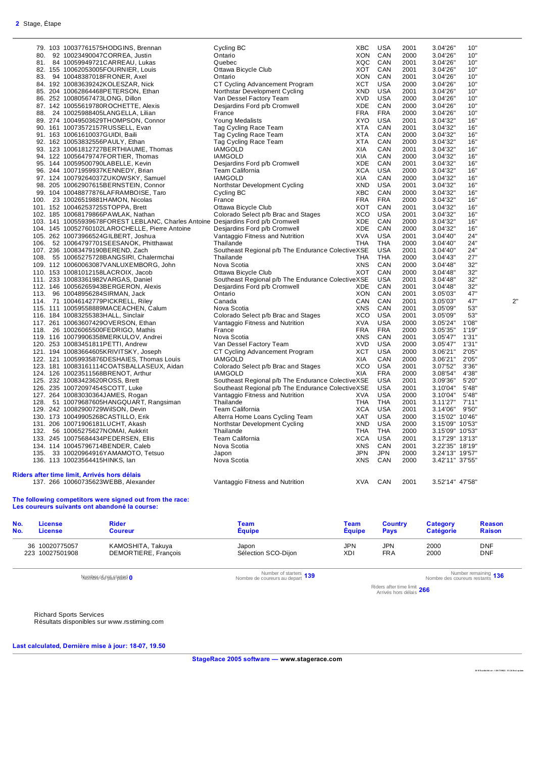|     | 79. 103 10037761575HODGINS, Brennan                                              | Cycling BC                                        | XBC        | USA        | 2001 | 3.04'26"        | 10"   |    |
|-----|----------------------------------------------------------------------------------|---------------------------------------------------|------------|------------|------|-----------------|-------|----|
| 80. | 92 10023490047CORREA, Justin                                                     | Ontario                                           | XON        | CAN        | 2000 | 3.04'26"        | 10"   |    |
|     | 81. 84 10059949721 CARREAU, Lukas                                                | Quebec                                            | <b>XQC</b> | CAN        | 2001 | 3.04'26"        | 10"   |    |
|     | 82. 155 10062053005FOURNIER, Louis                                               | Ottawa Bicycle Club                               | XOT        | CAN        | 2001 | 3.04'26"        | 10"   |    |
|     | 83. 94 10048387018FRONER, Axel                                                   | Ontario                                           | <b>XON</b> | CAN        | 2001 | 3.04'26"        | 10"   |    |
|     | 84. 192 10083639242KOLESZAR, Nick                                                | CT Cycling Advancement Program                    | <b>XCT</b> | <b>USA</b> | 2000 | 3.04'26"        | 10"   |    |
|     |                                                                                  | Northstar Development Cycling                     | XND        | <b>USA</b> | 2001 |                 | 10"   |    |
|     | 85. 204 10062864468PETERSON, Ethan                                               |                                                   |            |            |      | 3.04'26"        |       |    |
|     | 86. 252 10080567473LONG, Dillon                                                  | Van Dessel Factory Team                           | <b>XVD</b> | <b>USA</b> | 2000 | 3.04'26"        | 10"   |    |
|     | 87. 142 10055619780ROCHETTE, Alexis                                              | Desjardins Ford p/b Cromwell                      | XDE        | CAN        | 2000 | 3.04'26"        | 10"   |    |
|     | 88. 24 10025988405LANGELLA, Lilian                                               | France                                            | <b>FRA</b> | <b>FRA</b> | 2000 | 3.04'26"        | 10"   |    |
|     | 89. 274 10049503629THOMPSON, Connor                                              | Young Medalists                                   | <b>XYO</b> | <b>USA</b> | 2001 | 3.04'32"        | 16"   |    |
|     | 90. 161 10073572157RUSSELL, Evan                                                 | Tag Cycling Race Team                             | <b>XTA</b> | CAN        | 2001 | 3.04'32"        | 16"   |    |
|     | 91. 163 10061610037GUIDI, Baili                                                  | Tag Cycling Race Team                             | <b>XTA</b> | CAN        | 2000 | 3.04'32"        | 16"   |    |
|     | 92. 162 10053832556PAULY, Ethan                                                  | Tag Cycling Race Team                             | <b>XTA</b> | CAN        | 2000 | 3.04'32"        | 16"   |    |
|     | 93. 123 10061812727BERTHIAUME, Thomas                                            | <b>IAMGOLD</b>                                    | XIA        | CAN        | 2001 | 3.04'32"        | 16"   |    |
|     | 94. 122 10056479747FORTIER, Thomas                                               | <b>IAMGOLD</b>                                    | <b>XIA</b> | CAN        | 2000 | 3.04'32"        | 16"   |    |
|     | 95. 144 10059500790LABELLE, Kevin                                                | Desjardins Ford p/b Cromwell                      | XDE        | CAN        | 2001 | 3.04'32"        | 16"   |    |
|     | 96. 244 10071959937KENNEDY, Brian                                                | Team California                                   | <b>XCA</b> | <b>USA</b> | 2000 | 3.04'32"        | 16"   |    |
|     | 97. 124 10079264037ZUKOWSKY, Samuel                                              | <b>IAMGOLD</b>                                    | XIA        | CAN        | 2000 | 3.04'32"        | 16"   |    |
|     | 98. 205 10062907615BERNSTEIN, Connor                                             | Northstar Development Cycling                     | <b>XND</b> | <b>USA</b> | 2001 | 3.04'32"        | 16"   |    |
|     | 99. 104 10048877876LAFRAMBOISE, Taro                                             | Cycling BC                                        | <b>XBC</b> | CAN        | 2000 | 3.04'32"        | 16"   |    |
|     |                                                                                  | France                                            | FRA        | <b>FRA</b> | 2000 | 3.04'32"        | 16"   |    |
|     | 100. 23 10026519881HAMON, Nicolas                                                |                                                   |            |            |      |                 |       |    |
|     | 101. 152 10046253725STOPPA, Brett                                                | Ottawa Bicycle Club                               | <b>XOT</b> | CAN        | 2001 | 3.04'32"        | 16"   |    |
|     | 102. 185 10068179866PAWLAK, Nathan                                               | Colorado Select p/b Brac and Stages               | <b>XCO</b> | <b>USA</b> | 2001 | 3.04'32"        | 16"   |    |
|     | 103. 141 10055939678FOREST LEBLANC, Charles Antoine Desjardins Ford p/b Cromwell |                                                   | XDE        | CAN        | 2000 | 3.04'32"        | 16"   |    |
|     | 104. 145 10052760102LAROCHELLE, Pierre Antoine                                   | Desjardins Ford p/b Cromwell                      | XDE        | CAN        | 2000 | 3.04'32"        | 16"   |    |
|     | 105. 262 10073966524GILBERT, Joshua                                              | Vantaggio Fitness and Nutrition                   | XVA        | <b>USA</b> | 2001 | 3.04'40"        | 24"   |    |
|     | 106. 52 10064797701SEESANOK, Phitthawat                                          | Thailande                                         | <b>THA</b> | <b>THA</b> | 2000 | 3.04'40"        | 24"   |    |
|     | 107. 236 10083479190BEREND, Zach                                                 | Southeast Regional p/b The Endurance ColectiveXSE |            | <b>USA</b> | 2001 | 3.04'40"        | 24"   |    |
|     | 108. 55 10065275728BANGSIRI, Chalermchai                                         | Thailande                                         | THA        | <b>THA</b> | 2000 | 3.04'43"        | 27"   |    |
|     | 109. 112 10060063087VANLUXEMBORG, John                                           | Nova Scotia                                       | <b>XNS</b> | CAN        | 2000 | 3.04'48"        | 32"   |    |
|     | 110. 153 10081012158LACROIX, Jacob                                               | Ottawa Bicycle Club                               | <b>XOT</b> | CAN        | 2000 | 3.04'48"        | 32"   |    |
|     | 111. 233 10083361982VARGAS, Daniel                                               | Southeast Regional p/b The Endurance ColectiveXSE |            | <b>USA</b> | 2001 | 3.04'48"        | 32"   |    |
|     | 112. 146 10056265943BERGERON, Alexis                                             | Desjardins Ford p/b Cromwell                      | <b>XDE</b> | CAN        | 2001 | 3.04'48"        | 32"   |    |
|     | 113. 96 10048956284SIRMAN, Jack                                                  | Ontario                                           | <b>XON</b> | CAN        | 2001 | 3.05'03"        | 47"   |    |
|     | 114. 71 10046142779PICKRELL, Riley                                               | Canada                                            | CAN        | CAN        | 2001 | 3.05'03"        | 47"   | 2' |
|     | 115. 111 10059558889MACEACHEN, Calum                                             | Nova Scotia                                       | <b>XNS</b> | CAN        | 2001 | 3.05'09"        | 53"   |    |
|     | 116. 184 10083255383HALL, Sinclair                                               | Colorado Select p/b Brac and Stages               | XCO        | <b>USA</b> | 2001 | 3.05'09"        | 53"   |    |
|     | 117. 261 10063607429OVERSON, Ethan                                               | Vantaggio Fitness and Nutrition                   | <b>XVA</b> | <b>USA</b> | 2000 | 3.05'24"        | 1'08" |    |
|     |                                                                                  |                                                   |            |            |      |                 | 1'19" |    |
|     | 118. 26 10026065500FEDRIGO, Mathis                                               | France                                            | <b>FRA</b> | <b>FRA</b> | 2000 | 3.05'35"        |       |    |
|     | 119. 116 10079906358MERKULOV, Andrei                                             | Nova Scotia                                       | <b>XNS</b> | CAN        | 2001 | 3.05'47"        | 1'31" |    |
|     | 120. 253 10083451811PETTI, Andrew                                                | Van Dessel Factory Team                           | <b>XVD</b> | <b>USA</b> | 2000 | 3.05'47"        | 1'31" |    |
|     | 121. 194 10083664605KRIVITSKY, Joseph                                            | CT Cycling Advancement Program                    | <b>XCT</b> | <b>USA</b> | 2000 | 3.06'21"        | 2'05" |    |
|     | 122. 121 10059935876DESHAIES, Thomas Louis                                       | <b>IAMGOLD</b>                                    | XIA        | CAN        | 2000 | 3.06'21"        | 2'05" |    |
|     | 123. 181 10083161114COATSBALLASEUX, Aidan                                        | Colorado Select p/b Brac and Stages               | <b>XCO</b> | <b>USA</b> | 2001 | 3.07'52"        | 3'36" |    |
|     | 124. 126 10023511568BRENOT, Arthur                                               | <b>IAMGOLD</b>                                    | <b>XIA</b> | <b>FRA</b> | 2000 | 3.08'54"        | 4'38" |    |
|     | 125. 232 10083423620ROSS, Brett                                                  | Southeast Regional p/b The Endurance ColectiveXSE |            | <b>USA</b> | 2001 | 3.09'36"        | 5'20" |    |
|     | 126. 235 10072097454SCOTT, Luke                                                  | Southeast Regional p/b The Endurance ColectiveXSE |            | <b>USA</b> | 2001 | 3.10'04"        | 5'48" |    |
|     | 127. 264 10083030364JAMES, Rogan                                                 | Vantaggio Fitness and Nutrition                   | <b>XVA</b> | <b>USA</b> | 2000 | 3.10'04"        | 5'48" |    |
|     | 128. 51 10079687605HANGQUART, Rangsiman                                          | Thailande                                         | <b>THA</b> | <b>THA</b> | 2001 | 3.11'27"        | 7'11" |    |
|     | 129. 242 10082900729WilSON, Devin                                                | Team California                                   | <b>XCA</b> | <b>USA</b> | 2001 | 3.14'06"        | 9'50" |    |
|     | 130. 173 10049905268CASTILLO, Erik                                               | Alterra Home Loans Cycling Team                   | XAT        | USA        | 2000 | 3.15'02" 10'46" |       |    |
|     | 131. 206 10071906181LUCHT, Akash                                                 | Northstar Development Cycling                     | <b>XND</b> | USA        | 2000 | 3.15'09" 10'53" |       |    |
|     | 132. 56 10065275627NOMAI, Aukkrit                                                | Thailande                                         | <b>THA</b> | <b>THA</b> | 2000 | 3.15'09" 10'53" |       |    |
|     |                                                                                  | Team California                                   | <b>XCA</b> | <b>USA</b> | 2001 | 3.17'29" 13'13" |       |    |
|     | 133. 245 10075684434PEDERSEN, Ellis                                              |                                                   |            | CAN        |      |                 |       |    |
|     | 134. 114 10045796714BENDER, Caleb                                                | Nova Scotia                                       | <b>XNS</b> |            | 2001 | 3.22'35" 18'19" |       |    |
|     | 135. 33 10020964916YAMAMOTO, Tetsuo                                              | Japon                                             | <b>JPN</b> | <b>JPN</b> | 2000 | 3.24'13" 19'57" |       |    |
|     | 136. 113 10023564415HINKS, lan                                                   | Nova Scotia                                       | <b>XNS</b> | CAN        | 2000 | 3.42'11" 37'55" |       |    |
|     |                                                                                  |                                                   |            |            |      |                 |       |    |
|     | Riders after time limit, Arrivés hors délais                                     |                                                   |            |            |      |                 |       |    |
|     | 137. 266 10060735623WEBB, Alexander                                              | Vantaggio Fitness and Nutrition                   | XVA        | CAN        | 2001 | 3.52'14" 47'58" |       |    |

#### **The following competitors were signed out from the race: Les coureurs suivants ont abandoné la course:**

| No. | License         | Rider                | Team                | Team          | <b>Country</b> | Category  | <b>Reason</b> |
|-----|-----------------|----------------------|---------------------|---------------|----------------|-----------|---------------|
| No. | <b>License</b>  | Coureur              | <b>Equipe</b>       | <b>Equipe</b> | <b>Pays</b>    | Catégorie | <b>Raison</b> |
|     | 36 10020775057  | KAMOSHITA, Takuya    | Japon               | JPN           | <b>JPN</b>     | 2000      | <b>DNF</b>    |
|     | 223 10027501908 | DEMORTIERE, François | Sélection SCO-Dijon | <b>XDI</b>    | <b>FRA</b>     | 2000      | <b>DNF</b>    |

Number of starters **139**<br>Number de coureurs au depart **139** Number de coureurs au depart 139 Number des coureurs restants

Number remaining **136**<br>Nombre des coureurs restants

**20 18 TourAbit ibi .st r : 1 291 73 992 2 : V3. 24 final update** 

Riders after time limit Arrivés hors délais **266**

Richard Sports Services Résultats disponibles sur www.rsstiming.com

**Last calculated, Dernière mise à jour: 18-07, 19.50** 

**StageRace 2005 software — www.stagerace.com**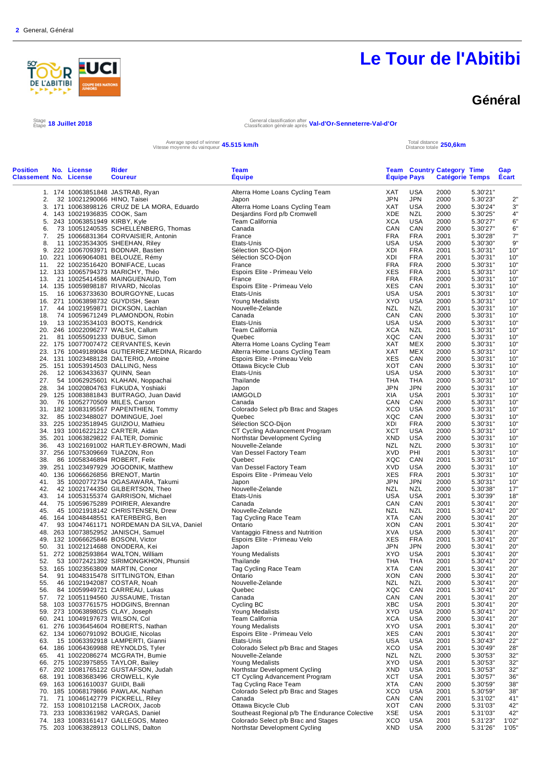

### **Général**

Stage 18 Juillet 2018

Étape **18 Juillet 2018** General classification after Classification générale après **Val-d'Or-Senneterre-Val-d'Or**

Average speed of winner **45.515 km/h**<br>Vitesse moyenne du vainqueur **45.515 km/h** Total distance totale

Distance totale **250,6km**

| <b>Position</b><br><b>Classement No. License</b> | No. License                                                    | Rider<br><b>Coureur</b>                                                      | <b>Team</b><br><b>Equipe</b>                            | <b>Equipe Pays</b> |                          | <b>Team Country Category Time</b><br><b>Catégorie Temps</b> |                      | Gap<br>Ecart |
|--------------------------------------------------|----------------------------------------------------------------|------------------------------------------------------------------------------|---------------------------------------------------------|--------------------|--------------------------|-------------------------------------------------------------|----------------------|--------------|
|                                                  |                                                                | 1. 174 10063851848 JASTRAB, Ryan                                             | Alterra Home Loans Cycling Team                         | XAT                | <b>USA</b>               | 2000                                                        | 5.30'21"             |              |
| 2.                                               | 32 10021290066 HINO, Taisei                                    |                                                                              | Japon                                                   | <b>JPN</b>         | JPN                      | 2000                                                        | 5.30'23"             | 2"           |
|                                                  |                                                                | 3. 171 10063898126 CRUZ DE LA MORA, Eduardo                                  | Alterra Home Loans Cycling Team                         | XAT                | USA                      | 2000                                                        | 5.30'24"             | 3"           |
|                                                  | 4. 143 10021936835 COOK, Sam<br>5. 243 10063851949 KIRBY, Kyle |                                                                              | Desjardins Ford p/b Cromwell<br><b>Team California</b>  | <b>XDE</b><br>XCA  | <b>NZL</b><br>USA        | 2000<br>2000                                                | 5.30'25"<br>5.30'27" | 4"<br>6"     |
| 6.                                               |                                                                | 73 10051240535 SCHELLENBERG, Thomas                                          | Canada                                                  | CAN                | CAN                      | 2000                                                        | 5.30'27"             | 6"           |
| 7.                                               |                                                                | 25 10066831364 CORVAISIER, Antonin                                           | France                                                  | <b>FRA</b>         | <b>FRA</b>               | 2001                                                        | 5.30'28"             | 7"           |
| 8.                                               |                                                                | 11 10023534305 SHEEHAN, Riley                                                | Etats-Unis                                              | USA                | USA                      | 2000                                                        | 5.30'30"             | 9"           |
|                                                  |                                                                | 9. 222 10067093971 BODNAR, Bastien                                           | Sélection SCO-Dijon                                     | XDI                | <b>FRA</b>               | 2001                                                        | 5.30'31"             | 10"          |
|                                                  |                                                                | 10. 221 10069064081 BELOUZE, Rémy                                            | Sélection SCO-Dijon                                     | XDI<br><b>FRA</b>  | <b>FRA</b><br><b>FRA</b> | 2001                                                        | 5.30'31"             | 10"<br>10"   |
|                                                  |                                                                | 11. 22 10023516420 BONIFACE, Lucas<br>12. 133 10065794373 MARICHY, Théo      | France<br>Espoirs Elite - Primeau Velo                  | <b>XES</b>         | <b>FRA</b>               | 2000<br>2001                                                | 5.30'31"<br>5.30'31" | 10"          |
| 13.                                              |                                                                | 21 10025414586 MAINGUENAUD, Tom                                              | France                                                  | <b>FRA</b>         | <b>FRA</b>               | 2000                                                        | 5.30'31"             | 10"          |
|                                                  |                                                                | 14. 135 10059898187 RIVARD, Nicolas                                          | Espoirs Elite - Primeau Velo                            | XES                | CAN                      | 2001                                                        | 5.30'31"             | 10"          |
| 15.                                              |                                                                | 16 10063733630 BOURGOYNE, Lucas                                              | Etats-Unis                                              | <b>USA</b>         | <b>USA</b>               | 2001                                                        | 5.30'31"             | 10"          |
|                                                  |                                                                | 16. 271 10063898732 GUYDISH, Sean                                            | Young Medalists                                         | XYO                | USA                      | 2000                                                        | 5.30'31"             | 10"          |
| 17.<br>18.                                       |                                                                | 44 10021959871 DICKSON, Lachlan<br>74 10059671249 PLAMONDON, Robin           | Nouvelle-Zelande<br>Canada                              | <b>NZL</b><br>CAN  | <b>NZL</b><br>CAN        | 2001<br>2000                                                | 5.30'31"<br>5.30'31" | 10"<br>10"   |
| 19.                                              |                                                                | 13 10023534103 BOOTS, Kendrick                                               | Etats-Unis                                              | USA                | USA                      | 2000                                                        | 5.30'31"             | 10"          |
|                                                  |                                                                | 20. 246 10022096277 WALSH, Callum                                            | <b>Team California</b>                                  | XCA                | <b>NZL</b>               | 2001                                                        | 5.30'31"             | 10"          |
|                                                  |                                                                | 21. 81 10055091233 DUBUC, Simon                                              | Quebec                                                  | XQC                | CAN                      | 2000                                                        | 5.30'31"             | 10"          |
|                                                  |                                                                | 22. 175 10077007472 CERVANTES, Kevin                                         | Alterra Home Loans Cycling Team                         | XAT                | MEX                      | 2000                                                        | 5.30'31"             | 10"          |
|                                                  |                                                                | 23. 176 10049189084 GUTIERREZ MEDINA, Ricardo                                | Alterra Home Loans Cycling Team                         | XAT                | <b>MEX</b>               | 2000                                                        | 5.30'31"             | 10"          |
|                                                  |                                                                | 24. 131 10023488128 DALTERIO, Antoine<br>25. 151 10053914503 DALLING, Ness   | Espoirs Elite - Primeau Velo<br>Ottawa Bicycle Club     | XES<br>XOT         | CAN<br>CAN               | 2000<br>2000                                                | 5.30'31"<br>5.30'31" | 10"<br>10"   |
| 26.                                              |                                                                | 12 10063433637 QUINN, Sean                                                   | Etats-Unis                                              | <b>USA</b>         | <b>USA</b>               | 2000                                                        | 5.30'31"             | 10"          |
| 27.                                              |                                                                | 54 10062925601 KLAHAN, Noppachai                                             | Thailande                                               | THA                | THA                      | 2000                                                        | 5.30'31"             | 10"          |
| 28.                                              |                                                                | 34 10020804763 FUKUDA, Yoshiaki                                              | Japon                                                   | <b>JPN</b>         | <b>JPN</b>               | 2000                                                        | 5.30'31"             | 10"          |
|                                                  |                                                                | 29. 125 10083881843 BUITRAGO, Juan David                                     | <b>IAMGOLD</b>                                          | XIA                | USA                      | 2001                                                        | 5.30'31"             | 10"          |
| 30.                                              |                                                                | 76 10052770509 MILES, Carson                                                 | Canada                                                  | CAN                | CAN                      | 2000                                                        | 5.30'31"             | 10"          |
| 32.                                              |                                                                | 31. 182 10083195567 PAPENTHIEN, Tommy<br>85 10023488027 DOMINGUE, Joel       | Colorado Select p/b Brac and Stages<br>Quebec           | XCO<br>XQC         | <b>USA</b><br>CAN        | 2000<br>2000                                                | 5.30'31"<br>5.30'31" | 10"<br>10"   |
|                                                  |                                                                | 33. 225 10023518945 GUIZIOU, Mathieu                                         | Sélection SCO-Dijon                                     | XDI                | <b>FRA</b>               | 2000                                                        | 5.30'31"             | 10"          |
|                                                  |                                                                | 34. 193 10016221212 CARTER, Aidan                                            | CT Cycling Advancement Program                          | <b>XCT</b>         | <b>USA</b>               | 2000                                                        | 5.30'31"             | 10"          |
|                                                  |                                                                | 35. 201 10063829822 FALTER, Dominic                                          | Northstar Development Cycling                           | XND                | USA                      | 2000                                                        | 5.30'31"             | 10"          |
| 36.                                              |                                                                | 43 10021691002 HARTLEY-BROWN, Madi                                           | Nouvelle-Zelande                                        | NZL                | NZL                      | 2000                                                        | 5.30'31"             | 10"          |
|                                                  |                                                                | 37. 256 10075309669 TUAZON, Ron                                              | Van Dessel Factory Team                                 | <b>XVD</b>         | PHI                      | 2001                                                        | 5.30'31"             | 10"          |
| 38.                                              |                                                                | 86 10058346894 ROBERT, Felix<br>39. 251 10023497929 JOGODNIK, Matthew        | Quebec<br>Van Dessel Factory Team                       | XQC<br><b>XVD</b>  | CAN<br><b>USA</b>        | 2001<br>2000                                                | 5.30'31"<br>5.30'31" | 10"<br>10"   |
|                                                  |                                                                | 40. 136 10066626856 BRENOT, Martin                                           | Espoirs Elite - Primeau Velo                            | XES                | <b>FRA</b>               | 2001                                                        | 5.30'31"             | 10"          |
| 41.                                              |                                                                | 35 10020772734 OGASAWARA, Takumi                                             | Japon                                                   | <b>JPN</b>         | <b>JPN</b>               | 2000                                                        | 5.30'31"             | 10"          |
| 42.                                              |                                                                | 42 10021744350 GILBERTSON, Theo                                              | Nouvelle-Zelande                                        | <b>NZL</b>         | <b>NZL</b>               | 2000                                                        | 5.30'38"             | 17"          |
| 43.                                              |                                                                | 14 10053155374 GARRISON, Michael                                             | Etats-Unis                                              | USA                | USA                      | 2001                                                        | 5.30'39"             | 18"          |
| 44.                                              |                                                                | 75 10059675289 POIRIER, Alexandre<br>45 10021918142 CHRISTENSEN, Drew        | Canada                                                  | CAN<br><b>NZL</b>  | CAN<br><b>NZL</b>        | 2001<br>2001                                                | 5.30'41"             | 20"<br>20"   |
| 45.                                              |                                                                | 46. 164 10048448551 KATERBERG, Ben                                           | Nouvelle-Zelande<br>Tag Cycling Race Team               | <b>XTA</b>         | CAN                      | 2000                                                        | 5.30'41"<br>5.30'41" | 20"          |
|                                                  |                                                                | 47. 93 10047461171 NORDEMAN DA SILVA, Daniel                                 | Ontario                                                 | XON                | CAN                      | 2001                                                        | 5.30'41"             | 20"          |
|                                                  |                                                                | 48. 263 10073852952 JANISCH, Samuel                                          | Vantaggio Fitness and Nutrition                         | XVA                | <b>USA</b>               | 2000                                                        | 5.30'41"             | 20"          |
|                                                  |                                                                | 49. 132 10066625846 BOSONI, Victor                                           | Espoirs Elite - Primeau Velo                            | XES                | <b>FRA</b>               | 2001                                                        | 5.30'41"             | 20"          |
| 50.                                              |                                                                | 31 10021214688 ONODERA, Kei                                                  | Japon                                                   | JPN                | <b>JPN</b>               | 2000                                                        | 5.30'41"             | 20"          |
| 52.                                              |                                                                | 51. 272 10082593864 WALTON, William<br>53 10072421392 SIRIMONGKHON, Phunsiri | <b>Young Medalists</b><br>Thailande                     | XYO<br>THA         | <b>USA</b><br><b>THA</b> | 2001<br>2001                                                | 5.30'41"<br>5.30'41" | 20"<br>20"   |
|                                                  |                                                                | 53. 165 10023563809 MARTIN, Conor                                            | Tag Cycling Race Team                                   | <b>XTA</b>         | CAN                      | 2001                                                        | 5.30'41"             | 20"          |
| 54.                                              |                                                                | 91 10048315478 SITTLINGTON, Ethan                                            | Ontario                                                 | <b>XON</b>         | CAN                      | 2000                                                        | 5.30'41"             | 20"          |
| 55.                                              |                                                                | 46 10021942087 COSTAR, Noah                                                  | Nouvelle-Zelande                                        | <b>NZL</b>         | <b>NZL</b>               | 2000                                                        | 5.30'41"             | 20"          |
| 56.                                              |                                                                | 84 10059949721 CARREAU, Lukas                                                | Quebec                                                  | XQC                | CAN                      | 2001                                                        | 5.30'41"             | 20"          |
|                                                  |                                                                | 57. 72 10051194560 JUSSAUME, Tristan<br>58. 103 10037761575 HODGINS, Brennan | Canada                                                  | CAN                | CAN                      | 2001                                                        | 5.30'41"             | 20"          |
|                                                  |                                                                | 59. 273 10063898025 CLAY, Joseph                                             | Cycling BC<br>Young Medalists                           | XBC<br><b>XYO</b>  | USA<br>USA               | 2001<br>2000                                                | 5.30'41"<br>5.30'41" | 20"<br>20"   |
|                                                  | 60. 241 10049197673 WILSON, Col                                |                                                                              | Team California                                         | XCA                | USA                      | 2000                                                        | 5.30'41"             | 20"          |
|                                                  |                                                                | 61. 276 10036454604 ROBERTS, Nathan                                          | <b>Young Medalists</b>                                  | <b>XYO</b>         | USA                      | 2001                                                        | 5.30'41"             | 20"          |
|                                                  |                                                                | 62. 134 10060791092 BOUGIE, Nicolas                                          | Espoirs Elite - Primeau Velo                            | <b>XES</b>         | CAN                      | 2001                                                        | 5.30'41"             | 20"          |
| 63.                                              |                                                                | 15 10063392918 LAMPERTI, Gianni                                              | Etats-Unis                                              | USA                | USA                      | 2001                                                        | 5.30'43"             | 22"          |
| 65.                                              |                                                                | 64. 186 10064369988 REYNOLDS, Tyler<br>41 10022086274 MCGRATH, Bumie         | Colorado Select p/b Brac and Stages<br>Nouvelle-Zelande | XCO<br>NZL         | USA<br>NZL               | 2001<br>2000                                                | 5.30'49"<br>5.30'53" | 28"<br>32"   |
|                                                  |                                                                | 66. 275 10023975855 TAYLOR, Bailey                                           | <b>Young Medalists</b>                                  | <b>XYO</b>         | USA                      | 2001                                                        | 5.30'53"             | 32"          |
|                                                  |                                                                | 67. 202 10081765122 GUSTAFSON, Judah                                         | Northstar Development Cycling                           | XND                | USA                      | 2001                                                        | 5.30'53"             | 32"          |
|                                                  |                                                                | 68. 191 10083683496 CROWELL, Kyle                                            | CT Cycling Advancement Program                          | XCT                | USA                      | 2001                                                        | 5.30'57"             | 36"          |
|                                                  | 69. 163 10061610037 GUIDI, Baili                               |                                                                              | Tag Cycling Race Team                                   | XTA                | CAN                      | 2000                                                        | 5.30'59"             | 38"          |
|                                                  |                                                                | 70. 185 10068179866 PAWLAK, Nathan                                           | Colorado Select p/b Brac and Stages                     | XCO                | <b>USA</b>               | 2001                                                        | 5.30'59"             | 38"          |
|                                                  |                                                                | 71. 71 10046142779 PICKRELL, Riley<br>72. 153 10081012158 LACROIX, Jacob     | Canada<br>Ottawa Bicycle Club                           | CAN<br>XOT         | CAN<br>CAN               | 2001<br>2000                                                | 5.31'02"<br>5.31'03" | 41"<br>42"   |
|                                                  |                                                                | 73. 233 10083361982 VARGAS, Daniel                                           | Southeast Regional p/b The Endurance Colective          | XSE                | USA                      | 2001                                                        | 5.31'03"             | 42"          |
|                                                  |                                                                | 74. 183 10083161417 GALLEGOS, Mateo                                          | Colorado Select p/b Brac and Stages                     | XCO                | <b>USA</b>               | 2001                                                        | 5.31'23"             | 1'02"        |
|                                                  |                                                                | 75. 203 10063828913 COLLINS, Dalton                                          | Northstar Development Cycling                           | <b>XND</b>         | USA                      | 2000                                                        | 5.31'26"             | 1'05"        |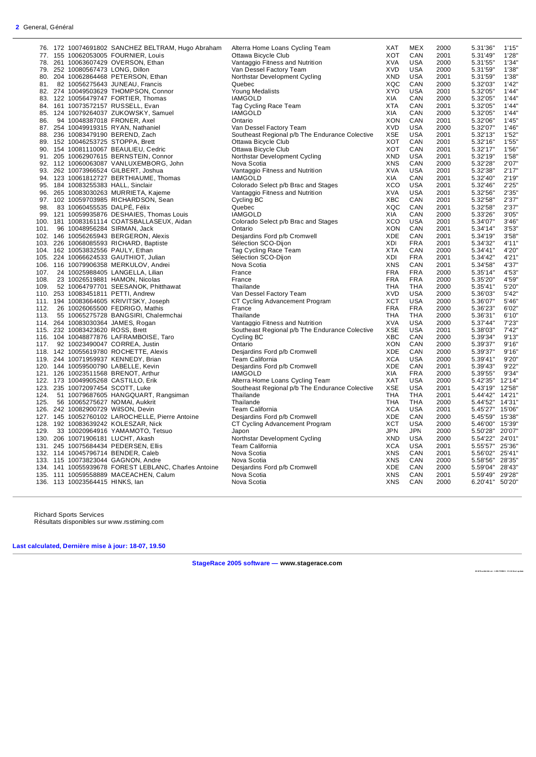|      |                                  | 76. 172 10074691802 SANCHEZ BELTRAM, Hugo Abraham    | Alterra Home Loans Cycling Team                | <b>XAT</b> | <b>MEX</b> | 2000 | 5.31'36"        | 1'15'  |
|------|----------------------------------|------------------------------------------------------|------------------------------------------------|------------|------------|------|-----------------|--------|
|      |                                  | 77. 155 10062053005 FOURNIER, Louis                  | Ottawa Bicycle Club                            | <b>XOT</b> | CAN        | 2001 | 5.31'49"        | 1'28'  |
|      |                                  | 78. 261 10063607429 OVERSON, Ethan                   | Vantaggio Fitness and Nutrition                | <b>XVA</b> | <b>USA</b> | 2000 | 5.31'55"        | 1'34'  |
| 79.  | 252 10080567473 LONG, Dillon     |                                                      | Van Dessel Factory Team                        | <b>XVD</b> | <b>USA</b> | 2000 | 5.31'59"        | 1'38'  |
|      |                                  | 80. 204 10062864468 PETERSON, Ethan                  | Northstar Development Cycling                  | <b>XND</b> | <b>USA</b> | 2001 | 5.31'59"        | 1'38"  |
| 81.  |                                  | 82 10056275643 JUNEAU, Francis                       | Quebec                                         | XQC        | CAN        | 2000 | 5.32'03"        | 1'42'  |
|      |                                  | 82. 274 10049503629 THOMPSON, Connor                 | Young Medalists                                | <b>XYO</b> | <b>USA</b> | 2001 | 5.32'05"        | 1'44'  |
|      |                                  | 83. 122 10056479747 FORTIER, Thomas                  | <b>IAMGOLD</b>                                 | XIA        | CAN        | 2000 | 5.32'05"        | 1'44'  |
|      |                                  | 84. 161 10073572157 RUSSELL, Evan                    | Tag Cycling Race Team                          | <b>XTA</b> | CAN        | 2001 | 5.32'05"        | 1'44'  |
|      |                                  | 85. 124 10079264037 ZUKOWSKY, Samuel                 | <b>IAMGOLD</b>                                 | XIA        | CAN        | 2000 | 5.32'05"        | 1'44'  |
| 86.  |                                  | 94 10048387018 FRONER, Axel                          | Ontario                                        | <b>XON</b> | CAN        | 2001 | 5.32'06"        | 1'45'  |
|      |                                  | 87. 254 10049919315 RYAN, Nathaniel                  | Van Dessel Factory Team                        | <b>XVD</b> | <b>USA</b> | 2000 | 5.32'07"        | 1'46'  |
| 88.  |                                  | 236 10083479190 BEREND, Zach                         | Southeast Regional p/b The Endurance Colective | <b>XSE</b> | <b>USA</b> | 2001 | 5.32'13"        | 1'52'  |
|      |                                  | 89. 152 10046253725 STOPPA, Brett                    | Ottawa Bicycle Club                            | XOT        | CAN        | 2001 | 5.32'16"        | 1'55'  |
|      |                                  | 90. 154 10081110067 BEAULIEU, Cedric                 | Ottawa Bicycle Club                            | XOT        | CAN        | 2001 | 5.32'17"        | 1'56'  |
|      |                                  | 91. 205 10062907615 BERNSTEIN, Connor                | Northstar Development Cycling                  | <b>XND</b> | <b>USA</b> | 2001 | 5.32'19"        | 1'58'  |
|      |                                  | 92. 112 10060063087 VANLUXEMBORG, John               | Nova Scotia                                    | <b>XNS</b> | CAN        | 2000 | 5.32'28"        | 2'07'  |
|      |                                  | 93. 262 10073966524 GILBERT, Joshua                  | Vantaggio Fitness and Nutrition                | <b>XVA</b> | <b>USA</b> | 2001 | 5.32'38"        | 2'17'  |
|      |                                  |                                                      | <b>IAMGOLD</b>                                 | XIA        | CAN        | 2001 | 5.32'40"        | 2'19'  |
|      |                                  | 94. 123 10061812727 BERTHIAUME, Thomas               |                                                | <b>XCO</b> | <b>USA</b> | 2001 | 5.32'46"        | 2'25'  |
|      |                                  | 95. 184 10083255383 HALL, Sinclair                   | Colorado Select p/b Brac and Stages            |            |            |      |                 |        |
|      |                                  | 96. 265 10083030263 MURRIETA, Kajeme                 | Vantaggio Fitness and Nutrition                | <b>XVA</b> | <b>USA</b> | 2001 | 5.32'56"        | 2'35'  |
|      |                                  | 97. 102 10059703985 RICHARDSON, Sean                 | Cycling BC                                     | <b>XBC</b> | CAN        | 2001 | 5.32'58"        | 2'37'  |
| 98.  |                                  | 83 10060455535 DALPÉ, Félix                          | Quebec                                         | XQC        | CAN        | 2001 | 5.32'58"        | 2'37'  |
|      |                                  | 99. 121 10059935876 DESHAIES, Thomas Louis           | <b>IAMGOLD</b>                                 | XIA        | CAN        | 2000 | 5.33'26"        | 3'05'  |
|      |                                  | 100. 181 10083161114 COATSBALLASEUX, Aidan           | Colorado Select p/b Brac and Stages            | XCO        | <b>USA</b> | 2001 | 5.34'07"        | 3'46'  |
| 101. |                                  | 96 10048956284 SIRMAN, Jack                          | Ontario                                        | <b>XON</b> | CAN        | 2001 | 5.34'14"        | 3'53'  |
|      |                                  | 102. 146 10056265943 BERGERON, Alexis                | Desjardins Ford p/b Cromwell                   | <b>XDE</b> | CAN        | 2001 | 5.34'19"        | 3'58'  |
|      |                                  | 103. 226 10068085593 RICHARD, Baptiste               | Sélection SCO-Dijon                            | XDI        | <b>FRA</b> | 2001 | 5.34'32"        | 4'11'  |
|      |                                  | 104. 162 10053832556 PAULY, Ethan                    | Tag Cycling Race Team                          | <b>XTA</b> | CAN        | 2000 | 5.34'41"        | 4'20'  |
|      |                                  | 105. 224 10066624533 GAUTHIOT, Julian                | Sélection SCO-Dijon                            | XDI        | <b>FRA</b> | 2001 | 5.34'42"        | 4'21'  |
|      |                                  | 106. 116 10079906358 MERKULOV, Andrei                | Nova Scotia                                    | <b>XNS</b> | CAN        | 2001 | 5.34'58"        | 4'37'  |
| 107. |                                  | 24 10025988405 LANGELLA, Lilian                      | France                                         | <b>FRA</b> | <b>FRA</b> | 2000 | 5.35'14"        | 4'53'  |
| 108. |                                  | 23 10026519881 HAMON, Nicolas                        | France                                         | <b>FRA</b> | <b>FRA</b> | 2000 | 5.35'20"        | 4'59'  |
| 109. |                                  | 52 10064797701 SEESANOK, Phitthawat                  | Thailande                                      | <b>THA</b> | <b>THA</b> | 2000 | 5.35'41"        | 5'20"  |
|      |                                  | 110. 253 10083451811 PETTI, Andrew                   | Van Dessel Factory Team                        | <b>XVD</b> | <b>USA</b> | 2000 | 5.36'03"        | 5'42'  |
|      |                                  | 111. 194 10083664605 KRIVITSKY, Joseph               | CT Cycling Advancement Program                 | <b>XCT</b> | <b>USA</b> | 2000 | 5.36'07"        | 5'46'  |
| 112. |                                  | 26 10026065500 FEDRIGO, Mathis                       | France                                         | <b>FRA</b> | <b>FRA</b> | 2000 | 5.36'23"        | 6'02'  |
| 113. |                                  | 55 10065275728 BANGSIRI, Chalermchai                 | Thailande                                      | THA        | THA        | 2000 | 5.36'31"        | 6'10'  |
|      |                                  | 114. 264 10083030364 JAMES, Rogan                    | Vantaggio Fitness and Nutrition                | <b>XVA</b> | USA        | 2000 | 5.37'44"        | 7'23'  |
|      | 115. 232 10083423620 ROSS, Brett |                                                      | Southeast Regional p/b The Endurance Colective | <b>XSE</b> | <b>USA</b> | 2001 | 5.38'03"        | 7'42'  |
|      |                                  | 116. 104 10048877876 LAFRAMBOISE, Taro               | Cycling BC                                     | <b>XBC</b> | CAN        | 2000 | 5.39'34"        | 9'13'  |
|      |                                  | 117. 92 10023490047 CORREA, Justin                   | Ontario                                        | <b>XON</b> | CAN        | 2000 | 5.39'37"        | 9'16'  |
|      |                                  | 118. 142 10055619780 ROCHETTE, Alexis                | Desjardins Ford p/b Cromwell                   | <b>XDE</b> | CAN        | 2000 | 5.39'37"        | 9'16'  |
|      |                                  | 119. 244 10071959937 KENNEDY, Brian                  | <b>Team California</b>                         | <b>XCA</b> | USA        | 2000 | 5.39'41"        | 9'20'  |
|      |                                  |                                                      |                                                | <b>XDE</b> | CAN        | 2001 | 5.39'43"        | 9'22'  |
|      |                                  | 120. 144 10059500790 LABELLE, Kevin                  | Desjardins Ford p/b Cromwell                   | XIA        | <b>FRA</b> | 2000 | 5.39'55"        | 9'34'  |
|      |                                  | 121. 126 10023511568 BRENOT, Arthur                  | <b>IAMGOLD</b>                                 | XAT        | <b>USA</b> |      |                 | 12'14' |
|      |                                  | 122. 173 10049905268 CASTILLO, Erik                  | Alterra Home Loans Cycling Team                |            |            | 2000 | 5.42'35"        |        |
|      |                                  | 123. 235 10072097454 SCOTT, Luke                     | Southeast Regional p/b The Endurance Colective | <b>XSE</b> | <b>USA</b> | 2001 | 5.43'19"        | 12'58' |
| 124. |                                  | 51 10079687605 HANGQUART, Rangsiman                  | Thailande                                      | <b>THA</b> | <b>THA</b> | 2001 | 5.44'42"        | 14'21  |
| 125. |                                  | 56 10065275627 NOMAI, Aukkrit                        | Thailande                                      | <b>THA</b> | THA        | 2000 | 5.44'52"        | 14'31  |
|      |                                  | 126. 242 10082900729 WilSON, Devin                   | <b>Team California</b>                         | <b>XCA</b> | <b>USA</b> | 2001 | 5.45'27"        | 15'06' |
|      |                                  | 127. 145 10052760102 LAROCHELLE, Pierre Antoine      | Desjardins Ford p/b Cromwell                   | XDE        | CAN        | 2000 | 5.45'59"        | 15'38' |
|      |                                  | 128. 192 10083639242 KOLESZAR, Nick                  | CT Cycling Advancement Program                 | <b>XCT</b> | <b>USA</b> | 2000 | 5.46'00"        | 15'39' |
| 129. |                                  | 33 10020964916 YAMAMOTO, Tetsuo                      | Japon                                          | <b>JPN</b> | <b>JPN</b> | 2000 | 5.50'28"        | 20'07' |
|      |                                  | 130. 206 10071906181 LUCHT, Akash                    | Northstar Development Cycling                  | <b>XND</b> | USA        | 2000 | 5.54'22"        | 24'01  |
|      |                                  | 131. 245 10075684434 PEDERSEN, Ellis                 | <b>Team California</b>                         | <b>XCA</b> | USA        | 2001 | 5.55'57"        | 25'36' |
|      |                                  | 132. 114 10045796714 BENDER, Caleb                   | Nova Scotia                                    | <b>XNS</b> | CAN        | 2001 | 5.56'02"        | 25'41  |
|      |                                  | 133. 115 10073823044 GAGNON, Andre                   | Nova Scotia                                    | <b>XNS</b> | CAN        | 2000 | 5.58'56"        | 28'35' |
|      |                                  | 134. 141 10055939678 FOREST LEBLANC, Charles Antoine | Desjardins Ford p/b Cromwell                   | XDE        | CAN        | 2000 | 5.59'04"        | 28'43' |
|      |                                  | 135. 111 10059558889 MACEACHEN, Calum                | Nova Scotia                                    | <b>XNS</b> | CAN        | 2001 | 5.59'49" 29'28' |        |
|      | 136. 113 10023564415 HINKS, lan  |                                                      | Nova Scotia                                    | <b>XNS</b> | CAN        | 2000 | 6.20'41" 50'20" |        |
|      |                                  |                                                      |                                                |            |            |      |                 |        |

Richard Sports Services Résultats disponibles sur www.rsstiming.com

**Last calculated, Dernière mise à jour: 18-07, 19.50** 

**StageRace 2005 software — www.stagerace.com** 

**20 18 To u rAb it ibi .st r : 1 291 73 992 2 : V3. 24 fin al up d ate**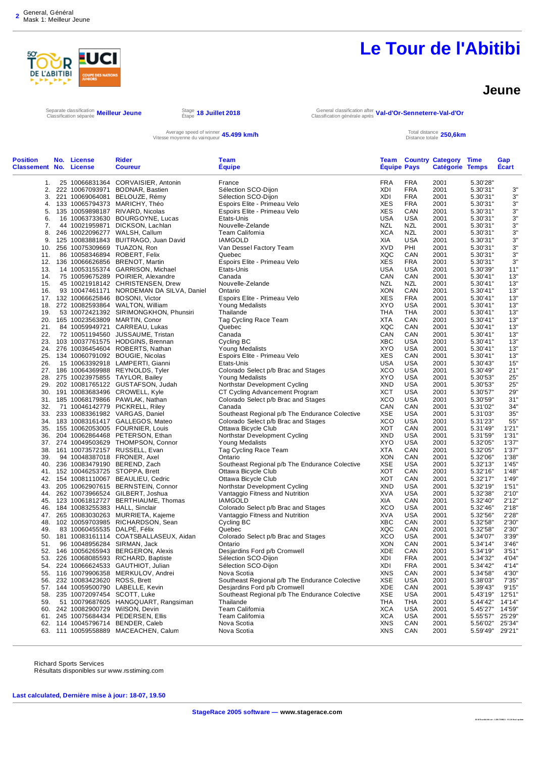

Distance totale **250,6km**

#### **Jeune**

Separate classification Classification séparée **Meilleur Jeune** Stage

Étape **18 Juillet 2018** General classification after Classification générale après **Val-d'Or-Senneterre-Val-d'Or**

Average speed of winner **45.499 km/h**<br>Vitesse moyenne du vainqueur **45.499 km/h** Total distance totale

| <b>Position</b><br><b>Classement No. License</b> | No. License                     | <b>Rider</b><br><b>Coureur</b>                                         | <b>Team</b><br><b>Equipe</b>                                                   | <b>Equipe Pays</b> |                   | <b>Team Country Category Time</b><br><b>Catégorie Temps</b> |                      | Gap<br><b>Ecart</b> |
|--------------------------------------------------|---------------------------------|------------------------------------------------------------------------|--------------------------------------------------------------------------------|--------------------|-------------------|-------------------------------------------------------------|----------------------|---------------------|
| 1.                                               |                                 | 25 10066831364 CORVAISIER, Antonin                                     | France                                                                         | <b>FRA</b>         | <b>FRA</b>        | 2001                                                        | 5.30'28"             |                     |
| 2.                                               |                                 | 222 10067093971 BODNAR, Bastien                                        | Sélection SCO-Dijon                                                            | XDI                | <b>FRA</b>        | 2001                                                        | 5.30'31"             | 3"                  |
| 3.                                               |                                 | 221 10069064081 BELOUZE, Rémy                                          | Sélection SCO-Dijon                                                            | XDI                | <b>FRA</b>        | 2001                                                        | 5.30'31"             | 3"                  |
| 4.                                               |                                 | 133 10065794373 MARICHY, Théo                                          | Espoirs Elite - Primeau Velo                                                   | <b>XES</b>         | <b>FRA</b>        | 2001                                                        | 5.30'31"             | 3"                  |
| 5.                                               |                                 | 135 10059898187 RIVARD, Nicolas                                        | Espoirs Elite - Primeau Velo                                                   | <b>XES</b>         | CAN               | 2001                                                        | 5.30'31"             | 3"                  |
| 6.                                               |                                 | 16 10063733630 BOURGOYNE, Lucas                                        | Etats-Unis                                                                     | <b>USA</b>         | USA               | 2001                                                        | 5.30'31"             | 3"                  |
| 7.                                               |                                 | 44 10021959871 DICKSON, Lachlan                                        | Nouvelle-Zelande                                                               | <b>NZL</b>         | NZL               | 2001                                                        | 5.30'31"             | 3"                  |
| 8.                                               |                                 | 246 10022096277 WALSH, Callum                                          | Team California                                                                | <b>XCA</b>         | NZL               | 2001                                                        | 5.30'31"             | 3"                  |
| 9.                                               |                                 | 125 10083881843 BUITRAGO, Juan David                                   | <b>IAMGOLD</b>                                                                 | XIA                | <b>USA</b>        | 2001                                                        | 5.30'31"             | 3"                  |
| 10.                                              |                                 | 256 10075309669 TUAZON, Ron                                            | Van Dessel Factory Team                                                        | <b>XVD</b>         | PHI               | 2001                                                        | 5.30'31"             | 3"                  |
| 11.                                              |                                 | 86 10058346894 ROBERT, Felix<br>12. 136 10066626856 BRENOT, Martin     | Quebec<br>Espoirs Elite - Primeau Velo                                         | <b>XQC</b><br>XES  | CAN<br><b>FRA</b> | 2001<br>2001                                                | 5.30'31"<br>5.30'31" | 3"<br>3"            |
| 13.                                              |                                 | 14 10053155374 GARRISON, Michael                                       | Etats-Unis                                                                     | USA                | USA               | 2001                                                        | 5.30'39"             | 11"                 |
| 14.                                              |                                 | 75 10059675289 POIRIER, Alexandre                                      | Canada                                                                         | CAN                | CAN               | 2001                                                        | 5.30'41"             | 13"                 |
| 15.                                              |                                 | 45 10021918142 CHRISTENSEN, Drew                                       | Nouvelle-Zelande                                                               | <b>NZL</b>         | NZL               | 2001                                                        | 5.30'41"             | 13"                 |
| 16.                                              |                                 | 93 10047461171 NORDEMAN DA SILVA, Daniel                               | Ontario                                                                        | <b>XON</b>         | CAN               | 2001                                                        | 5.30'41"             | 13"                 |
|                                                  |                                 | 17. 132 10066625846 BOSONI, Victor                                     | Espoirs Elite - Primeau Velo                                                   | <b>XES</b>         | <b>FRA</b>        | 2001                                                        | 5.30'41"             | 13"                 |
|                                                  |                                 | 18. 272 10082593864 WALTON, William                                    | Young Medalists                                                                | XYO                | USA               | 2001                                                        | 5.30'41"             | 13"                 |
| 19.                                              |                                 | 53 10072421392 SIRIMONGKHON, Phunsiri                                  | Thailande                                                                      | THA                | <b>THA</b>        | 2001                                                        | 5.30'41"             | 13"                 |
| 20.                                              |                                 | 165 10023563809 MARTIN, Conor                                          | Tag Cycling Race Team                                                          | XTA                | CAN               | 2001                                                        | 5.30'41"             | 13"                 |
| 21.                                              |                                 | 84 10059949721 CARREAU, Lukas                                          | Quebec                                                                         | <b>XQC</b>         | CAN               | 2001                                                        | 5.30'41"             | 13"                 |
| 22.                                              |                                 | 72 10051194560 JUSSAUME, Tristan                                       | Canada                                                                         | CAN                | CAN               | 2001                                                        | 5.30'41"             | 13"                 |
|                                                  |                                 | 23. 103 10037761575 HODGINS, Brennan                                   | Cycling BC                                                                     | XBC                | USA               | 2001                                                        | 5.30'41"             | 13"                 |
|                                                  |                                 | 24. 276 10036454604 ROBERTS, Nathan                                    | Young Medalists                                                                | <b>XYO</b>         | USA               | 2001                                                        | 5.30'41"             | 13"                 |
|                                                  |                                 | 25. 134 10060791092 BOUGIE, Nicolas                                    | Espoirs Elite - Primeau Velo                                                   | <b>XES</b>         | CAN               | 2001                                                        | 5.30'41"             | 13"                 |
| 26.                                              |                                 | 15 10063392918 LAMPERTI, Gianni                                        | Etats-Unis                                                                     | <b>USA</b>         | USA               | 2001                                                        | 5.30'43"             | 15"                 |
|                                                  |                                 | 27. 186 10064369988 REYNOLDS, Tyler                                    | Colorado Select p/b Brac and Stages                                            | <b>XCO</b>         | USA               | 2001                                                        | 5.30'49"             | 21"                 |
| 28.                                              |                                 | 275 10023975855 TAYLOR, Bailey                                         | <b>Young Medalists</b>                                                         | <b>XYO</b>         | USA               | 2001                                                        | 5.30'53"             | 25"                 |
|                                                  |                                 | 29. 202 10081765122 GUSTAFSON, Judah                                   | Northstar Development Cycling                                                  | XND                | USA               | 2001                                                        | 5.30'53"             | 25"                 |
|                                                  |                                 | 30. 191 10083683496 CROWELL, Kyle                                      | CT Cycling Advancement Program                                                 | <b>XCT</b>         | USA               | 2001                                                        | 5.30'57"             | 29"                 |
|                                                  |                                 | 31. 185 10068179866 PAWLAK, Nathan                                     | Colorado Select p/b Brac and Stages                                            | <b>XCO</b>         | USA               | 2001                                                        | 5.30'59"             | 31"                 |
| 32.                                              |                                 | 71 10046142779 PICKRELL, Riley                                         | Canada                                                                         | CAN                | CAN               | 2001                                                        | 5.31'02"             | 34"                 |
| 33.                                              |                                 | 233 10083361982 VARGAS, Daniel                                         | Southeast Regional p/b The Endurance Colective                                 | XSE                | USA               | 2001                                                        | 5.31'03"             | 35"                 |
|                                                  |                                 | 34. 183 10083161417 GALLEGOS, Mateo                                    | Colorado Select p/b Brac and Stages                                            | XCO<br><b>XOT</b>  | USA<br>CAN        | 2001                                                        | 5.31'23"             | 55"                 |
| 36.                                              |                                 | 35. 155 10062053005 FOURNIER, Louis<br>204 10062864468 PETERSON, Ethan | Ottawa Bicycle Club<br>Northstar Development Cycling                           | <b>XND</b>         | USA               | 2001<br>2001                                                | 5.31'49"<br>5.31'59" | 1'21"<br>1'31"      |
|                                                  |                                 | 37. 274 10049503629 THOMPSON, Connor                                   | <b>Young Medalists</b>                                                         | <b>XYO</b>         | USA               | 2001                                                        | 5.32'05"             | 1'37"               |
| 38.                                              |                                 | 161 10073572157 RUSSELL, Evan                                          | Tag Cycling Race Team                                                          | <b>XTA</b>         | CAN               | 2001                                                        | 5.32'05"             | 1'37"               |
| 39.                                              |                                 | 94 10048387018 FRONER, Axel                                            | Ontario                                                                        | <b>XON</b>         | CAN               | 2001                                                        | 5.32'06"             | 1'38"               |
|                                                  |                                 | 40. 236 10083479190 BEREND, Zach                                       | Southeast Regional p/b The Endurance Colective                                 | XSE                | USA               | 2001                                                        | 5.32'13"             | 1'45"               |
|                                                  |                                 | 41. 152 10046253725 STOPPA, Brett                                      | Ottawa Bicycle Club                                                            | <b>XOT</b>         | CAN               | 2001                                                        | 5.32'16"             | 1'48"               |
|                                                  |                                 | 42. 154 10081110067 BEAULIEU, Cedric                                   | Ottawa Bicycle Club                                                            | <b>XOT</b>         | CAN               | 2001                                                        | 5.32'17"             | 1'49"               |
|                                                  |                                 | 43. 205 10062907615 BERNSTEIN, Connor                                  | Northstar Development Cycling                                                  | <b>XND</b>         | USA               | 2001                                                        | 5.32'19"             | 1'51"               |
| 44.                                              |                                 | 262 10073966524 GILBERT, Joshua                                        | Vantaggio Fitness and Nutrition                                                | <b>XVA</b>         | USA               | 2001                                                        | 5.32'38"             | 2'10"               |
|                                                  |                                 | 45. 123 10061812727 BERTHIAUME, Thomas                                 | <b>IAMGOLD</b>                                                                 | XIA                | CAN               | 2001                                                        | 5.32'40"             | 2'12"               |
|                                                  |                                 | 46. 184 10083255383 HALL, Sinclair                                     | Colorado Select p/b Brac and Stages                                            | <b>XCO</b>         | USA               | 2001                                                        | 5.32'46"             | 2'18"               |
| 47.                                              |                                 | 265 10083030263 MURRIETA, Kajeme                                       | Vantaggio Fitness and Nutrition                                                | <b>XVA</b>         | USA               | 2001                                                        | 5.32'56"             | 2'28"               |
| 48.                                              |                                 | 102 10059703985 RICHARDSON, Sean                                       | Cycling BC                                                                     | XBC                | CAN               | 2001                                                        | 5.32'58"             | 2'30"               |
| 49.                                              | 83 10060455535 DALPÉ, Félix     |                                                                        | Quebec                                                                         | <b>XQC</b>         | CAN               | 2001                                                        | 5.32'58"             | 2'30"               |
| 50.                                              |                                 | 181 10083161114 COATSBALLASEUX, Aidan                                  | Colorado Select p/b Brac and Stages                                            | <b>XCO</b>         | USA               | 2001                                                        | 5.34'07"             | 3'39"               |
| 51.                                              |                                 | 96 10048956284 SIRMAN, Jack                                            | Ontario                                                                        | <b>XON</b>         | CAN               | 2001                                                        | 5.34'14"             | 3'46"               |
|                                                  |                                 | 52. 146 10056265943 BERGERON, Alexis                                   | Desjardins Ford p/b Cromwell                                                   | XDE                | CAN               | 2001                                                        | 5.34'19"             | 3'51"               |
|                                                  |                                 | 53. 226 10068085593 RICHARD, Baptiste                                  | Sélection SCO-Dijon                                                            | XDI                | <b>FRA</b>        | 2001                                                        | 5.34'32"             | 4'04"               |
|                                                  |                                 | 54. 224 10066624533 GAUTHIOT, Julian                                   | Sélection SCO-Dijon                                                            | XDI                | <b>FRA</b>        | 2001                                                        | 5.34'42"             | 4'14"               |
|                                                  |                                 | 55. 116 10079906358 MERKULOV, Andrei                                   | Nova Scotia                                                                    | <b>XNS</b>         | CAN               | 2001                                                        | 5.34'58"             | 4'30"               |
|                                                  | 56. 232 10083423620 ROSS, Brett | 57. 144 10059500790 LABELLE, Kevin                                     | Southeast Regional p/b The Endurance Colective                                 | XSE                | USA               | 2001                                                        | 5.38'03"<br>5.39'43" | 7'35"               |
|                                                  | 58. 235 10072097454 SCOTT, Luke |                                                                        | Desjardins Ford p/b Cromwell<br>Southeast Regional p/b The Endurance Colective | XDE<br>XSE         | CAN<br>USA        | 2001<br>2001                                                | 5.43'19"             | 9'15"<br>12'51"     |
| 59.                                              |                                 | 51 10079687605 HANGQUART, Rangsiman                                    | Thailande                                                                      | THA                | THA               | 2001                                                        | 5.44'42"             | 14'14"              |
|                                                  |                                 | 60. 242 10082900729 WilSON, Devin                                      | Team California                                                                | <b>XCA</b>         | USA               | 2001                                                        | 5.45'27"             | 14'59"              |
|                                                  |                                 | 61. 245 10075684434 PEDERSEN, Ellis                                    | Team California                                                                | <b>XCA</b>         | USA               | 2001                                                        | 5.55'57"             | 25'29"              |
|                                                  |                                 | 62. 114 10045796714 BENDER, Caleb                                      | Nova Scotia                                                                    | XNS                | CAN               | 2001                                                        | 5.56'02"             | 25'34"              |
|                                                  |                                 | 63. 111 10059558889 MACEACHEN, Calum                                   | Nova Scotia                                                                    | XNS                | CAN               | 2001                                                        | 5.59'49" 29'21"      |                     |
|                                                  |                                 |                                                                        |                                                                                |                    |                   |                                                             |                      |                     |

Richard Sports Services Résultats disponibles sur www.rsstiming.com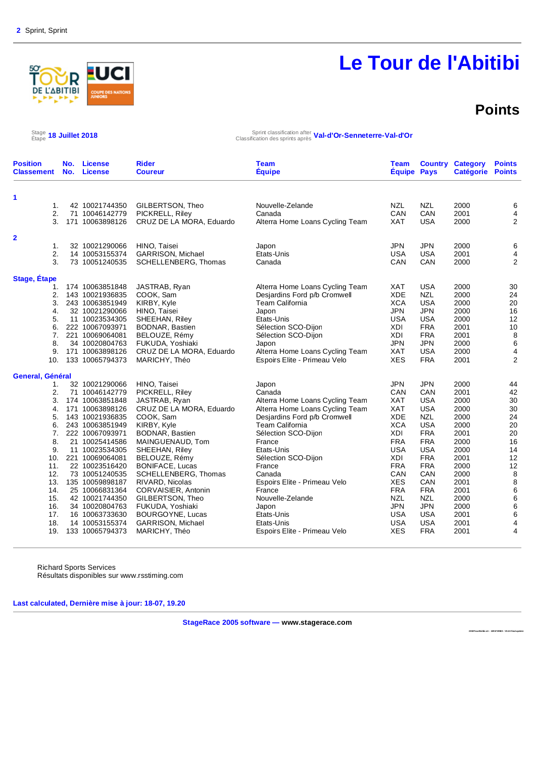

### **Points**

**2018TourAbitibi.str : 1291739922 : V3.24 final update** 

 $\frac{\text{Stage}}{\text{Etape}}$  18 Juillet 2018

Étape **18 Juillet 2018** Sprint classification after Classification des sprints après **Val-d'Or-Senneterre-Val-d'Or**

| 1<br>42 10021744350<br>GILBERTSON, Theo<br>Nouvelle-Zelande<br><b>NZL</b><br><b>NZL</b><br>2000<br>1.<br>2.<br>CAN<br>CAN<br>71 10046142779<br>PICKRELL, Riley<br>Canada<br>2001<br>3.<br><b>XAT</b><br><b>USA</b><br>2000<br>171 10063898126<br>CRUZ DE LA MORA, Eduardo<br>Alterra Home Loans Cycling Team<br>2<br><b>JPN</b><br><b>JPN</b><br>32 10021290066<br>HINO, Taisei<br>2000<br>1.<br>Japon<br>2.<br>14 10053155374<br>Etats-Unis<br><b>USA</b><br><b>USA</b><br>2001<br><b>GARRISON, Michael</b><br>3.<br>CAN<br>73 10051240535<br>Canada<br>CAN<br>2000<br>SCHELLENBERG, Thomas<br>Stage, Étape<br>174 10063851848<br>JASTRAB, Ryan<br>Alterra Home Loans Cycling Team<br>XAT<br><b>USA</b><br>2000<br>1.<br><b>NZL</b><br>2.<br>Desjardins Ford p/b Cromwell<br><b>XDE</b><br>143 10021936835<br>COOK, Sam<br>2000<br>3.<br>243 10063851949<br>KIRBY, Kyle<br>Team California<br><b>XCA</b><br><b>USA</b><br>2000<br><b>JPN</b><br><b>JPN</b><br>2000<br>4.<br>32 10021290066<br>HINO, Taisei<br>Japon<br>5.<br>Etats-Unis<br><b>USA</b><br><b>USA</b><br>11 10023534305<br>SHEEHAN, Riley<br>2000<br><b>FRA</b><br>Sélection SCO-Dijon<br>6.<br>222 10067093971<br>BODNAR, Bastien<br>XDI<br>2001<br>7.<br>221 10069064081<br>BELOUZE, Rémy<br>Sélection SCO-Dijon<br>XDI<br><b>FRA</b><br>2001<br>8.<br>34 10020804763<br><b>JPN</b><br><b>JPN</b><br>2000<br>FUKUDA, Yoshiaki<br>Japon<br><b>USA</b><br>9.<br>171 10063898126<br>Alterra Home Loans Cycling Team<br><b>XAT</b><br>2000<br>CRUZ DE LA MORA, Eduardo<br>Espoirs Elite - Primeau Velo<br><b>XES</b><br><b>FRA</b><br>133 10065794373<br>MARICHY, Théo<br>2001<br>10.<br>General, Général<br>HINO, Taisei<br>JPN<br><b>JPN</b><br>2000<br>32 10021290066<br>1.<br>Japon<br>CAN<br>2.<br>PICKRELL, Riley<br>Canada<br>CAN<br>2001<br>71 10046142779<br>3.<br>174 10063851848<br>Alterra Home Loans Cycling Team<br><b>XAT</b><br><b>USA</b><br>2000<br>JASTRAB, Ryan<br>Alterra Home Loans Cycling Team<br><b>XAT</b><br><b>USA</b><br>171 10063898126<br>CRUZ DE LA MORA, Eduardo<br>2000<br>4.<br><b>XDE</b><br><b>NZL</b><br>143 10021936835<br>COOK, Sam<br>Desjardins Ford p/b Cromwell<br>2000<br>5.<br><b>XCA</b><br><b>USA</b><br>243 10063851949<br>KIRBY, Kyle<br><b>Team California</b><br>2000<br>6.<br><b>FRA</b><br>7.<br>222 10067093971<br>BODNAR, Bastien<br>Sélection SCO-Dijon<br>XDI<br>2001<br><b>FRA</b><br>8.<br>21 10025414586<br>MAINGUENAUD, Tom<br>France<br><b>FRA</b><br>2000<br>Etats-Unis<br><b>USA</b><br>2000<br>9.<br>11 10023534305<br>SHEEHAN, Riley<br><b>USA</b><br>221 10069064081<br><b>FRA</b><br>10.<br>BELOUZE, Rémy<br>Sélection SCO-Dijon<br>XDI<br>2001<br><b>FRA</b><br>11.<br>22 10023516420<br><b>BONIFACE, Lucas</b><br>France<br><b>FRA</b><br>2000<br>CAN<br>12.<br>73 10051240535<br>SCHELLENBERG, Thomas<br>Canada<br>CAN<br>2000<br>13.<br>Espoirs Elite - Primeau Velo<br><b>XES</b><br>CAN<br>135 10059898187<br>RIVARD, Nicolas<br>2001<br><b>FRA</b><br>25 10066831364<br>CORVAISIER, Antonin<br><b>FRA</b><br>14.<br>France<br>2001<br>15.<br>Nouvelle-Zelande<br><b>NZL</b><br>GILBERTSON, Theo<br><b>NZL</b><br>2000<br>42 10021744350<br><b>JPN</b><br>16.<br>34 10020804763<br>FUKUDA, Yoshiaki<br>JPN<br>2000<br>Japon<br><b>USA</b><br>17.<br>16 10063733630<br>BOURGOYNE, Lucas<br>Etats-Unis<br>USA<br>2001<br><b>USA</b><br>18.<br>14 10053155374<br>GARRISON, Michael<br>Etats-Unis<br><b>USA</b><br>2001<br><b>FRA</b><br><b>XES</b><br>19.<br>133 10065794373<br>2001 | <b>Position</b><br><b>Classement</b> | No.<br>No. | <b>License</b><br><b>License</b> | <b>Rider</b><br><b>Coureur</b> | <b>Team</b><br><b>Équipe</b> | Team<br><b>Équipe Pays</b> | <b>Country Category</b><br><b>Catégorie</b> | <b>Points</b><br><b>Points</b>   |
|---------------------------------------------------------------------------------------------------------------------------------------------------------------------------------------------------------------------------------------------------------------------------------------------------------------------------------------------------------------------------------------------------------------------------------------------------------------------------------------------------------------------------------------------------------------------------------------------------------------------------------------------------------------------------------------------------------------------------------------------------------------------------------------------------------------------------------------------------------------------------------------------------------------------------------------------------------------------------------------------------------------------------------------------------------------------------------------------------------------------------------------------------------------------------------------------------------------------------------------------------------------------------------------------------------------------------------------------------------------------------------------------------------------------------------------------------------------------------------------------------------------------------------------------------------------------------------------------------------------------------------------------------------------------------------------------------------------------------------------------------------------------------------------------------------------------------------------------------------------------------------------------------------------------------------------------------------------------------------------------------------------------------------------------------------------------------------------------------------------------------------------------------------------------------------------------------------------------------------------------------------------------------------------------------------------------------------------------------------------------------------------------------------------------------------------------------------------------------------------------------------------------------------------------------------------------------------------------------------------------------------------------------------------------------------------------------------------------------------------------------------------------------------------------------------------------------------------------------------------------------------------------------------------------------------------------------------------------------------------------------------------------------------------------------------------------------------------------------------------------------------------------------------------------------------------------------------------------------------------------------------------------------------------------------------------------------------------------------------------------------------------------------------------------------------------------------------------------------------------------------------------------------|--------------------------------------|------------|----------------------------------|--------------------------------|------------------------------|----------------------------|---------------------------------------------|----------------------------------|
|                                                                                                                                                                                                                                                                                                                                                                                                                                                                                                                                                                                                                                                                                                                                                                                                                                                                                                                                                                                                                                                                                                                                                                                                                                                                                                                                                                                                                                                                                                                                                                                                                                                                                                                                                                                                                                                                                                                                                                                                                                                                                                                                                                                                                                                                                                                                                                                                                                                                                                                                                                                                                                                                                                                                                                                                                                                                                                                                                                                                                                                                                                                                                                                                                                                                                                                                                                                                                                                                                                                           |                                      |            |                                  |                                |                              |                            |                                             |                                  |
|                                                                                                                                                                                                                                                                                                                                                                                                                                                                                                                                                                                                                                                                                                                                                                                                                                                                                                                                                                                                                                                                                                                                                                                                                                                                                                                                                                                                                                                                                                                                                                                                                                                                                                                                                                                                                                                                                                                                                                                                                                                                                                                                                                                                                                                                                                                                                                                                                                                                                                                                                                                                                                                                                                                                                                                                                                                                                                                                                                                                                                                                                                                                                                                                                                                                                                                                                                                                                                                                                                                           |                                      |            |                                  |                                |                              |                            |                                             | 6                                |
|                                                                                                                                                                                                                                                                                                                                                                                                                                                                                                                                                                                                                                                                                                                                                                                                                                                                                                                                                                                                                                                                                                                                                                                                                                                                                                                                                                                                                                                                                                                                                                                                                                                                                                                                                                                                                                                                                                                                                                                                                                                                                                                                                                                                                                                                                                                                                                                                                                                                                                                                                                                                                                                                                                                                                                                                                                                                                                                                                                                                                                                                                                                                                                                                                                                                                                                                                                                                                                                                                                                           |                                      |            |                                  |                                |                              |                            |                                             | 4                                |
|                                                                                                                                                                                                                                                                                                                                                                                                                                                                                                                                                                                                                                                                                                                                                                                                                                                                                                                                                                                                                                                                                                                                                                                                                                                                                                                                                                                                                                                                                                                                                                                                                                                                                                                                                                                                                                                                                                                                                                                                                                                                                                                                                                                                                                                                                                                                                                                                                                                                                                                                                                                                                                                                                                                                                                                                                                                                                                                                                                                                                                                                                                                                                                                                                                                                                                                                                                                                                                                                                                                           |                                      |            |                                  |                                |                              |                            |                                             | $\overline{2}$                   |
|                                                                                                                                                                                                                                                                                                                                                                                                                                                                                                                                                                                                                                                                                                                                                                                                                                                                                                                                                                                                                                                                                                                                                                                                                                                                                                                                                                                                                                                                                                                                                                                                                                                                                                                                                                                                                                                                                                                                                                                                                                                                                                                                                                                                                                                                                                                                                                                                                                                                                                                                                                                                                                                                                                                                                                                                                                                                                                                                                                                                                                                                                                                                                                                                                                                                                                                                                                                                                                                                                                                           |                                      |            |                                  |                                |                              |                            |                                             |                                  |
|                                                                                                                                                                                                                                                                                                                                                                                                                                                                                                                                                                                                                                                                                                                                                                                                                                                                                                                                                                                                                                                                                                                                                                                                                                                                                                                                                                                                                                                                                                                                                                                                                                                                                                                                                                                                                                                                                                                                                                                                                                                                                                                                                                                                                                                                                                                                                                                                                                                                                                                                                                                                                                                                                                                                                                                                                                                                                                                                                                                                                                                                                                                                                                                                                                                                                                                                                                                                                                                                                                                           |                                      |            |                                  |                                |                              |                            |                                             |                                  |
|                                                                                                                                                                                                                                                                                                                                                                                                                                                                                                                                                                                                                                                                                                                                                                                                                                                                                                                                                                                                                                                                                                                                                                                                                                                                                                                                                                                                                                                                                                                                                                                                                                                                                                                                                                                                                                                                                                                                                                                                                                                                                                                                                                                                                                                                                                                                                                                                                                                                                                                                                                                                                                                                                                                                                                                                                                                                                                                                                                                                                                                                                                                                                                                                                                                                                                                                                                                                                                                                                                                           |                                      |            |                                  |                                |                              |                            |                                             | 6                                |
|                                                                                                                                                                                                                                                                                                                                                                                                                                                                                                                                                                                                                                                                                                                                                                                                                                                                                                                                                                                                                                                                                                                                                                                                                                                                                                                                                                                                                                                                                                                                                                                                                                                                                                                                                                                                                                                                                                                                                                                                                                                                                                                                                                                                                                                                                                                                                                                                                                                                                                                                                                                                                                                                                                                                                                                                                                                                                                                                                                                                                                                                                                                                                                                                                                                                                                                                                                                                                                                                                                                           |                                      |            |                                  |                                |                              |                            |                                             | $\overline{\mathbf{4}}$<br>2     |
|                                                                                                                                                                                                                                                                                                                                                                                                                                                                                                                                                                                                                                                                                                                                                                                                                                                                                                                                                                                                                                                                                                                                                                                                                                                                                                                                                                                                                                                                                                                                                                                                                                                                                                                                                                                                                                                                                                                                                                                                                                                                                                                                                                                                                                                                                                                                                                                                                                                                                                                                                                                                                                                                                                                                                                                                                                                                                                                                                                                                                                                                                                                                                                                                                                                                                                                                                                                                                                                                                                                           |                                      |            |                                  |                                |                              |                            |                                             |                                  |
|                                                                                                                                                                                                                                                                                                                                                                                                                                                                                                                                                                                                                                                                                                                                                                                                                                                                                                                                                                                                                                                                                                                                                                                                                                                                                                                                                                                                                                                                                                                                                                                                                                                                                                                                                                                                                                                                                                                                                                                                                                                                                                                                                                                                                                                                                                                                                                                                                                                                                                                                                                                                                                                                                                                                                                                                                                                                                                                                                                                                                                                                                                                                                                                                                                                                                                                                                                                                                                                                                                                           |                                      |            |                                  |                                |                              |                            |                                             |                                  |
|                                                                                                                                                                                                                                                                                                                                                                                                                                                                                                                                                                                                                                                                                                                                                                                                                                                                                                                                                                                                                                                                                                                                                                                                                                                                                                                                                                                                                                                                                                                                                                                                                                                                                                                                                                                                                                                                                                                                                                                                                                                                                                                                                                                                                                                                                                                                                                                                                                                                                                                                                                                                                                                                                                                                                                                                                                                                                                                                                                                                                                                                                                                                                                                                                                                                                                                                                                                                                                                                                                                           |                                      |            |                                  |                                |                              |                            |                                             | 30                               |
|                                                                                                                                                                                                                                                                                                                                                                                                                                                                                                                                                                                                                                                                                                                                                                                                                                                                                                                                                                                                                                                                                                                                                                                                                                                                                                                                                                                                                                                                                                                                                                                                                                                                                                                                                                                                                                                                                                                                                                                                                                                                                                                                                                                                                                                                                                                                                                                                                                                                                                                                                                                                                                                                                                                                                                                                                                                                                                                                                                                                                                                                                                                                                                                                                                                                                                                                                                                                                                                                                                                           |                                      |            |                                  |                                |                              |                            |                                             | 24                               |
|                                                                                                                                                                                                                                                                                                                                                                                                                                                                                                                                                                                                                                                                                                                                                                                                                                                                                                                                                                                                                                                                                                                                                                                                                                                                                                                                                                                                                                                                                                                                                                                                                                                                                                                                                                                                                                                                                                                                                                                                                                                                                                                                                                                                                                                                                                                                                                                                                                                                                                                                                                                                                                                                                                                                                                                                                                                                                                                                                                                                                                                                                                                                                                                                                                                                                                                                                                                                                                                                                                                           |                                      |            |                                  |                                |                              |                            |                                             | 20                               |
|                                                                                                                                                                                                                                                                                                                                                                                                                                                                                                                                                                                                                                                                                                                                                                                                                                                                                                                                                                                                                                                                                                                                                                                                                                                                                                                                                                                                                                                                                                                                                                                                                                                                                                                                                                                                                                                                                                                                                                                                                                                                                                                                                                                                                                                                                                                                                                                                                                                                                                                                                                                                                                                                                                                                                                                                                                                                                                                                                                                                                                                                                                                                                                                                                                                                                                                                                                                                                                                                                                                           |                                      |            |                                  |                                |                              |                            |                                             | 16                               |
|                                                                                                                                                                                                                                                                                                                                                                                                                                                                                                                                                                                                                                                                                                                                                                                                                                                                                                                                                                                                                                                                                                                                                                                                                                                                                                                                                                                                                                                                                                                                                                                                                                                                                                                                                                                                                                                                                                                                                                                                                                                                                                                                                                                                                                                                                                                                                                                                                                                                                                                                                                                                                                                                                                                                                                                                                                                                                                                                                                                                                                                                                                                                                                                                                                                                                                                                                                                                                                                                                                                           |                                      |            |                                  |                                |                              |                            |                                             | 12                               |
|                                                                                                                                                                                                                                                                                                                                                                                                                                                                                                                                                                                                                                                                                                                                                                                                                                                                                                                                                                                                                                                                                                                                                                                                                                                                                                                                                                                                                                                                                                                                                                                                                                                                                                                                                                                                                                                                                                                                                                                                                                                                                                                                                                                                                                                                                                                                                                                                                                                                                                                                                                                                                                                                                                                                                                                                                                                                                                                                                                                                                                                                                                                                                                                                                                                                                                                                                                                                                                                                                                                           |                                      |            |                                  |                                |                              |                            |                                             | 10                               |
|                                                                                                                                                                                                                                                                                                                                                                                                                                                                                                                                                                                                                                                                                                                                                                                                                                                                                                                                                                                                                                                                                                                                                                                                                                                                                                                                                                                                                                                                                                                                                                                                                                                                                                                                                                                                                                                                                                                                                                                                                                                                                                                                                                                                                                                                                                                                                                                                                                                                                                                                                                                                                                                                                                                                                                                                                                                                                                                                                                                                                                                                                                                                                                                                                                                                                                                                                                                                                                                                                                                           |                                      |            |                                  |                                |                              |                            |                                             | $\,$ 8 $\,$                      |
|                                                                                                                                                                                                                                                                                                                                                                                                                                                                                                                                                                                                                                                                                                                                                                                                                                                                                                                                                                                                                                                                                                                                                                                                                                                                                                                                                                                                                                                                                                                                                                                                                                                                                                                                                                                                                                                                                                                                                                                                                                                                                                                                                                                                                                                                                                                                                                                                                                                                                                                                                                                                                                                                                                                                                                                                                                                                                                                                                                                                                                                                                                                                                                                                                                                                                                                                                                                                                                                                                                                           |                                      |            |                                  |                                |                              |                            |                                             | $\,6$<br>$\overline{\mathbf{4}}$ |
|                                                                                                                                                                                                                                                                                                                                                                                                                                                                                                                                                                                                                                                                                                                                                                                                                                                                                                                                                                                                                                                                                                                                                                                                                                                                                                                                                                                                                                                                                                                                                                                                                                                                                                                                                                                                                                                                                                                                                                                                                                                                                                                                                                                                                                                                                                                                                                                                                                                                                                                                                                                                                                                                                                                                                                                                                                                                                                                                                                                                                                                                                                                                                                                                                                                                                                                                                                                                                                                                                                                           |                                      |            |                                  |                                |                              |                            |                                             | $\overline{2}$                   |
|                                                                                                                                                                                                                                                                                                                                                                                                                                                                                                                                                                                                                                                                                                                                                                                                                                                                                                                                                                                                                                                                                                                                                                                                                                                                                                                                                                                                                                                                                                                                                                                                                                                                                                                                                                                                                                                                                                                                                                                                                                                                                                                                                                                                                                                                                                                                                                                                                                                                                                                                                                                                                                                                                                                                                                                                                                                                                                                                                                                                                                                                                                                                                                                                                                                                                                                                                                                                                                                                                                                           |                                      |            |                                  |                                |                              |                            |                                             |                                  |
|                                                                                                                                                                                                                                                                                                                                                                                                                                                                                                                                                                                                                                                                                                                                                                                                                                                                                                                                                                                                                                                                                                                                                                                                                                                                                                                                                                                                                                                                                                                                                                                                                                                                                                                                                                                                                                                                                                                                                                                                                                                                                                                                                                                                                                                                                                                                                                                                                                                                                                                                                                                                                                                                                                                                                                                                                                                                                                                                                                                                                                                                                                                                                                                                                                                                                                                                                                                                                                                                                                                           |                                      |            |                                  |                                |                              |                            |                                             | 44                               |
|                                                                                                                                                                                                                                                                                                                                                                                                                                                                                                                                                                                                                                                                                                                                                                                                                                                                                                                                                                                                                                                                                                                                                                                                                                                                                                                                                                                                                                                                                                                                                                                                                                                                                                                                                                                                                                                                                                                                                                                                                                                                                                                                                                                                                                                                                                                                                                                                                                                                                                                                                                                                                                                                                                                                                                                                                                                                                                                                                                                                                                                                                                                                                                                                                                                                                                                                                                                                                                                                                                                           |                                      |            |                                  |                                |                              |                            |                                             | 42                               |
|                                                                                                                                                                                                                                                                                                                                                                                                                                                                                                                                                                                                                                                                                                                                                                                                                                                                                                                                                                                                                                                                                                                                                                                                                                                                                                                                                                                                                                                                                                                                                                                                                                                                                                                                                                                                                                                                                                                                                                                                                                                                                                                                                                                                                                                                                                                                                                                                                                                                                                                                                                                                                                                                                                                                                                                                                                                                                                                                                                                                                                                                                                                                                                                                                                                                                                                                                                                                                                                                                                                           |                                      |            |                                  |                                |                              |                            |                                             | 30                               |
|                                                                                                                                                                                                                                                                                                                                                                                                                                                                                                                                                                                                                                                                                                                                                                                                                                                                                                                                                                                                                                                                                                                                                                                                                                                                                                                                                                                                                                                                                                                                                                                                                                                                                                                                                                                                                                                                                                                                                                                                                                                                                                                                                                                                                                                                                                                                                                                                                                                                                                                                                                                                                                                                                                                                                                                                                                                                                                                                                                                                                                                                                                                                                                                                                                                                                                                                                                                                                                                                                                                           |                                      |            |                                  |                                |                              |                            |                                             | 30                               |
|                                                                                                                                                                                                                                                                                                                                                                                                                                                                                                                                                                                                                                                                                                                                                                                                                                                                                                                                                                                                                                                                                                                                                                                                                                                                                                                                                                                                                                                                                                                                                                                                                                                                                                                                                                                                                                                                                                                                                                                                                                                                                                                                                                                                                                                                                                                                                                                                                                                                                                                                                                                                                                                                                                                                                                                                                                                                                                                                                                                                                                                                                                                                                                                                                                                                                                                                                                                                                                                                                                                           |                                      |            |                                  |                                |                              |                            |                                             | 24                               |
|                                                                                                                                                                                                                                                                                                                                                                                                                                                                                                                                                                                                                                                                                                                                                                                                                                                                                                                                                                                                                                                                                                                                                                                                                                                                                                                                                                                                                                                                                                                                                                                                                                                                                                                                                                                                                                                                                                                                                                                                                                                                                                                                                                                                                                                                                                                                                                                                                                                                                                                                                                                                                                                                                                                                                                                                                                                                                                                                                                                                                                                                                                                                                                                                                                                                                                                                                                                                                                                                                                                           |                                      |            |                                  |                                |                              |                            |                                             | 20<br>20                         |
|                                                                                                                                                                                                                                                                                                                                                                                                                                                                                                                                                                                                                                                                                                                                                                                                                                                                                                                                                                                                                                                                                                                                                                                                                                                                                                                                                                                                                                                                                                                                                                                                                                                                                                                                                                                                                                                                                                                                                                                                                                                                                                                                                                                                                                                                                                                                                                                                                                                                                                                                                                                                                                                                                                                                                                                                                                                                                                                                                                                                                                                                                                                                                                                                                                                                                                                                                                                                                                                                                                                           |                                      |            |                                  |                                |                              |                            |                                             | 16                               |
|                                                                                                                                                                                                                                                                                                                                                                                                                                                                                                                                                                                                                                                                                                                                                                                                                                                                                                                                                                                                                                                                                                                                                                                                                                                                                                                                                                                                                                                                                                                                                                                                                                                                                                                                                                                                                                                                                                                                                                                                                                                                                                                                                                                                                                                                                                                                                                                                                                                                                                                                                                                                                                                                                                                                                                                                                                                                                                                                                                                                                                                                                                                                                                                                                                                                                                                                                                                                                                                                                                                           |                                      |            |                                  |                                |                              |                            |                                             | 14                               |
|                                                                                                                                                                                                                                                                                                                                                                                                                                                                                                                                                                                                                                                                                                                                                                                                                                                                                                                                                                                                                                                                                                                                                                                                                                                                                                                                                                                                                                                                                                                                                                                                                                                                                                                                                                                                                                                                                                                                                                                                                                                                                                                                                                                                                                                                                                                                                                                                                                                                                                                                                                                                                                                                                                                                                                                                                                                                                                                                                                                                                                                                                                                                                                                                                                                                                                                                                                                                                                                                                                                           |                                      |            |                                  |                                |                              |                            |                                             | 12                               |
|                                                                                                                                                                                                                                                                                                                                                                                                                                                                                                                                                                                                                                                                                                                                                                                                                                                                                                                                                                                                                                                                                                                                                                                                                                                                                                                                                                                                                                                                                                                                                                                                                                                                                                                                                                                                                                                                                                                                                                                                                                                                                                                                                                                                                                                                                                                                                                                                                                                                                                                                                                                                                                                                                                                                                                                                                                                                                                                                                                                                                                                                                                                                                                                                                                                                                                                                                                                                                                                                                                                           |                                      |            |                                  |                                |                              |                            |                                             | 12                               |
|                                                                                                                                                                                                                                                                                                                                                                                                                                                                                                                                                                                                                                                                                                                                                                                                                                                                                                                                                                                                                                                                                                                                                                                                                                                                                                                                                                                                                                                                                                                                                                                                                                                                                                                                                                                                                                                                                                                                                                                                                                                                                                                                                                                                                                                                                                                                                                                                                                                                                                                                                                                                                                                                                                                                                                                                                                                                                                                                                                                                                                                                                                                                                                                                                                                                                                                                                                                                                                                                                                                           |                                      |            |                                  |                                |                              |                            |                                             | $\,$ 8 $\,$                      |
|                                                                                                                                                                                                                                                                                                                                                                                                                                                                                                                                                                                                                                                                                                                                                                                                                                                                                                                                                                                                                                                                                                                                                                                                                                                                                                                                                                                                                                                                                                                                                                                                                                                                                                                                                                                                                                                                                                                                                                                                                                                                                                                                                                                                                                                                                                                                                                                                                                                                                                                                                                                                                                                                                                                                                                                                                                                                                                                                                                                                                                                                                                                                                                                                                                                                                                                                                                                                                                                                                                                           |                                      |            |                                  |                                |                              |                            |                                             | $\bf8$                           |
|                                                                                                                                                                                                                                                                                                                                                                                                                                                                                                                                                                                                                                                                                                                                                                                                                                                                                                                                                                                                                                                                                                                                                                                                                                                                                                                                                                                                                                                                                                                                                                                                                                                                                                                                                                                                                                                                                                                                                                                                                                                                                                                                                                                                                                                                                                                                                                                                                                                                                                                                                                                                                                                                                                                                                                                                                                                                                                                                                                                                                                                                                                                                                                                                                                                                                                                                                                                                                                                                                                                           |                                      |            |                                  |                                |                              |                            |                                             | $\,6\,$                          |
|                                                                                                                                                                                                                                                                                                                                                                                                                                                                                                                                                                                                                                                                                                                                                                                                                                                                                                                                                                                                                                                                                                                                                                                                                                                                                                                                                                                                                                                                                                                                                                                                                                                                                                                                                                                                                                                                                                                                                                                                                                                                                                                                                                                                                                                                                                                                                                                                                                                                                                                                                                                                                                                                                                                                                                                                                                                                                                                                                                                                                                                                                                                                                                                                                                                                                                                                                                                                                                                                                                                           |                                      |            |                                  |                                |                              |                            |                                             | $\,6$                            |
|                                                                                                                                                                                                                                                                                                                                                                                                                                                                                                                                                                                                                                                                                                                                                                                                                                                                                                                                                                                                                                                                                                                                                                                                                                                                                                                                                                                                                                                                                                                                                                                                                                                                                                                                                                                                                                                                                                                                                                                                                                                                                                                                                                                                                                                                                                                                                                                                                                                                                                                                                                                                                                                                                                                                                                                                                                                                                                                                                                                                                                                                                                                                                                                                                                                                                                                                                                                                                                                                                                                           |                                      |            |                                  |                                |                              |                            |                                             | $\,6$                            |
|                                                                                                                                                                                                                                                                                                                                                                                                                                                                                                                                                                                                                                                                                                                                                                                                                                                                                                                                                                                                                                                                                                                                                                                                                                                                                                                                                                                                                                                                                                                                                                                                                                                                                                                                                                                                                                                                                                                                                                                                                                                                                                                                                                                                                                                                                                                                                                                                                                                                                                                                                                                                                                                                                                                                                                                                                                                                                                                                                                                                                                                                                                                                                                                                                                                                                                                                                                                                                                                                                                                           |                                      |            |                                  |                                |                              |                            |                                             | 6                                |
|                                                                                                                                                                                                                                                                                                                                                                                                                                                                                                                                                                                                                                                                                                                                                                                                                                                                                                                                                                                                                                                                                                                                                                                                                                                                                                                                                                                                                                                                                                                                                                                                                                                                                                                                                                                                                                                                                                                                                                                                                                                                                                                                                                                                                                                                                                                                                                                                                                                                                                                                                                                                                                                                                                                                                                                                                                                                                                                                                                                                                                                                                                                                                                                                                                                                                                                                                                                                                                                                                                                           |                                      |            |                                  |                                |                              |                            |                                             | 4                                |
|                                                                                                                                                                                                                                                                                                                                                                                                                                                                                                                                                                                                                                                                                                                                                                                                                                                                                                                                                                                                                                                                                                                                                                                                                                                                                                                                                                                                                                                                                                                                                                                                                                                                                                                                                                                                                                                                                                                                                                                                                                                                                                                                                                                                                                                                                                                                                                                                                                                                                                                                                                                                                                                                                                                                                                                                                                                                                                                                                                                                                                                                                                                                                                                                                                                                                                                                                                                                                                                                                                                           |                                      |            |                                  | MARICHY, Théo                  | Espoirs Elite - Primeau Velo |                            |                                             | 4                                |

Richard Sports Services Résultats disponibles sur www.rsstiming.com

**Last calculated, Dernière mise à jour: 18-07, 19.20** 

**StageRace 2005 software — www.stagerace.com**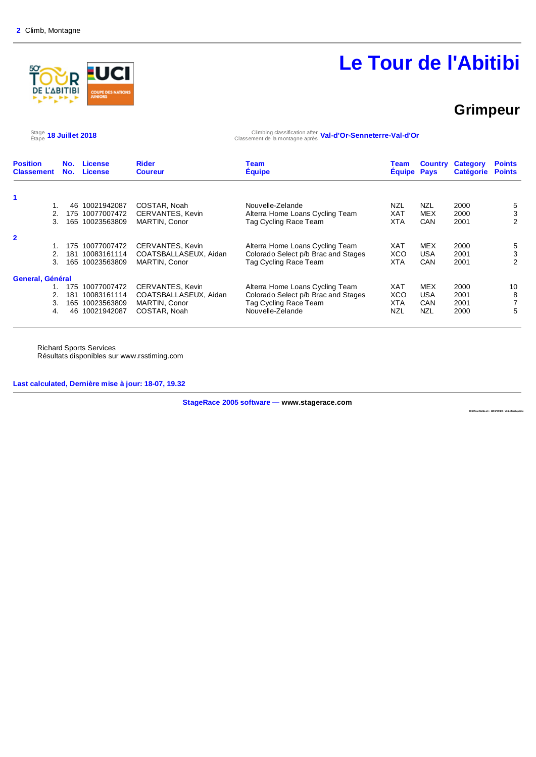

### **Grimpeur**

Stage 18 Juillet 2018

Étape **18 Juillet 2018** Climbing classification after Classement de la montagne après **Val-d'Or-Senneterre-Val-d'Or**

| <b>Position</b><br><b>Classement</b> | No. | License<br>No. License | <b>Rider</b><br><b>Coureur</b> | Team<br><b>Equipe</b>               | Team<br><b>Equipe</b> | <b>Country</b><br><b>Pays</b> | <b>Category</b><br><b>Catégorie</b> | <b>Points</b><br><b>Points</b> |
|--------------------------------------|-----|------------------------|--------------------------------|-------------------------------------|-----------------------|-------------------------------|-------------------------------------|--------------------------------|
|                                      |     |                        |                                |                                     |                       |                               |                                     |                                |
| 1.                                   | 46  | 10021942087            | COSTAR, Noah                   | Nouvelle-Zelande                    | NZL                   | <b>NZL</b>                    | 2000                                | 5                              |
|                                      | 175 | 10077007472            | CERVANTES, Kevin               | Alterra Home Loans Cycling Team     | XAT                   | <b>MEX</b>                    | 2000                                | 3                              |
| 3.                                   | 165 | 10023563809            | <b>MARTIN, Conor</b>           | Tag Cycling Race Team               | <b>XTA</b>            | <b>CAN</b>                    | 2001                                | 2                              |
| $\overline{\mathbf{2}}$              |     |                        |                                |                                     |                       |                               |                                     |                                |
|                                      | 175 | 10077007472            | CERVANTES, Kevin               | Alterra Home Loans Cycling Team     | <b>XAT</b>            | <b>MEX</b>                    | 2000                                | 5                              |
|                                      | 181 | 10083161114            | COATSBALLASEUX, Aidan          | Colorado Select p/b Brac and Stages | XCO                   | <b>USA</b>                    | 2001                                | 3                              |
| 3.                                   | 165 | 10023563809            | MARTIN, Conor                  | Tag Cycling Race Team               | <b>XTA</b>            | CAN                           | 2001                                | 2                              |
| General, Général                     |     |                        |                                |                                     |                       |                               |                                     |                                |
|                                      | 175 | 10077007472            | CERVANTES, Kevin               | Alterra Home Loans Cycling Team     | <b>XAT</b>            | <b>MEX</b>                    | 2000                                | 10                             |
|                                      | 181 | 10083161114            | COATSBALLASEUX, Aidan          | Colorado Select p/b Brac and Stages | <b>XCO</b>            | <b>USA</b>                    | 2001                                | 8                              |
| 3.                                   | 165 | 10023563809            | MARTIN, Conor                  | Tag Cycling Race Team               | <b>XTA</b>            | CAN                           | 2001                                |                                |
| 4.                                   | 46  | 10021942087            | COSTAR, Noah                   | Nouvelle-Zelande                    | NZL                   | <b>NZL</b>                    | 2000                                | 5                              |

Richard Sports Services Résultats disponibles sur www.rsstiming.com

**Last calculated, Dernière mise à jour: 18-07, 19.32** 

**StageRace 2005 software — www.stagerace.com** 

**2018TourAbitibi.str : 1291739922 : V3.24 final update**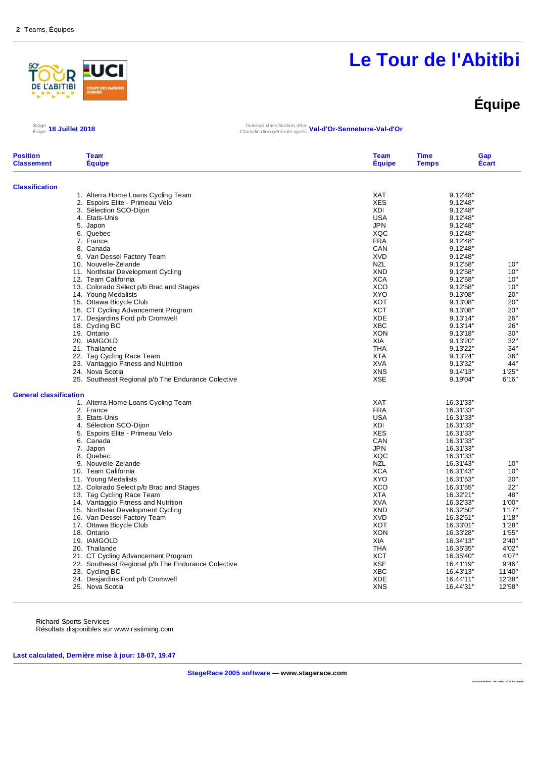

# **Équipe**

Étape **18 Juillet 2018** General classification after Classification générale après **Val-d'Or-Senneterre-Val-d'Or**

| <b>Classification</b><br>1. Alterra Home Loans Cycling Team<br><b>XAT</b><br>9.12'48"<br>2. Espoirs Elite - Primeau Velo<br><b>XES</b><br>9.12'48"<br>3. Sélection SCO-Dijon<br>XDI<br>9.12'48"<br><b>USA</b><br>9.12'48"<br>4. Etats-Unis<br><b>JPN</b><br>9.12'48"<br>5. Japon<br>XQC<br>6. Quebec<br>9.12'48"<br><b>FRA</b><br>7. France<br>9.12'48"<br>CAN<br>9.12'48"<br>8. Canada<br>9. Van Dessel Factory Team<br><b>XVD</b><br>9.12'48"<br>10. Nouvelle-Zelande<br><b>NZL</b><br>9.12'58"<br>10"<br>10"<br>11. Northstar Development Cycling<br><b>XND</b><br>9.12'58"<br><b>XCA</b><br>9.12'58"<br>10'<br>12. Team California<br><b>XCO</b><br>10"<br>13. Colorado Select p/b Brac and Stages<br>9.12'58"<br>20'<br>14. Young Medalists<br><b>XYO</b><br>9.13'08"<br>20'<br>15. Ottawa Bicycle Club<br>XOT<br>9.13'08"<br><b>XCT</b><br>20'<br>16. CT Cycling Advancement Program<br>9.13'08"<br><b>XDE</b><br>9.13'14"<br>26'<br>17. Desjardins Ford p/b Cromwell<br><b>XBC</b><br>26'<br>18. Cycling BC<br>9.13'14"<br><b>XON</b><br>30'<br>19. Ontario<br>9.13'18"<br>32'<br><b>XIA</b><br>20. IAMGOLD<br>9.13'20"<br>34"<br>21. Thailande<br>THA<br>9.13'22"<br>36'<br>22. Tag Cycling Race Team<br><b>XTA</b><br>9.13'24"<br>44"<br><b>XVA</b><br>23. Vantaggio Fitness and Nutrition<br>9.13'32"<br>1'25"<br><b>XNS</b><br>9.14'13"<br>24. Nova Scotia<br><b>XSE</b><br>9.19'04"<br>6'16'<br>25. Southeast Regional p/b The Endurance Colective<br><b>General classification</b><br><b>XAT</b><br>1. Alterra Home Loans Cycling Team<br>16.31'33"<br><b>FRA</b><br>2. France<br>16.31'33"<br><b>USA</b><br>16.31'33"<br>3. Etats-Unis<br>16.31'33"<br>4. Sélection SCO-Dijon<br><b>XDI</b><br>5. Espoirs Elite - Primeau Velo<br><b>XES</b><br>16.31'33"<br>CAN<br>6. Canada<br>16.31'33"<br>7. Japon<br><b>JPN</b><br>16.31'33"<br>XQC<br>8. Quebec<br>16.31'33"<br>9. Nouvelle-Zelande<br><b>NZL</b><br>10"<br>16.31'43"<br>10. Team California<br><b>XCA</b><br>16.31'43"<br>10"<br><b>XYO</b><br>20"<br>11. Young Medalists<br>16.31'53"<br><b>XCO</b><br>22"<br>12. Colorado Select p/b Brac and Stages<br>16.31'55"<br>48'<br><b>XTA</b><br>13. Tag Cycling Race Team<br>16.32'21"<br>14. Vantaggio Fitness and Nutrition<br><b>XVA</b><br>16.32'33"<br>1'00'<br><b>XND</b><br>16.32'50"<br>1'17'<br>15. Northstar Development Cycling<br>16. Van Dessel Factory Team<br><b>XVD</b><br>16.32'51"<br>1'18"<br><b>XOT</b><br>1'28'<br>17. Ottawa Bicycle Club<br>16.33'01"<br><b>XON</b><br>1'55'<br>18. Ontario<br>16.33'28"<br><b>XIA</b><br>19. IAMGOLD<br>16.34'13"<br>2'40'<br><b>THA</b><br>4'02'<br>20. Thailande<br>16.35'35"<br>4'07'<br>21. CT Cycling Advancement Program<br>XCT<br>16.35'40"<br><b>XSE</b><br>22. Southeast Regional p/b The Endurance Colective<br>16.41'19"<br>9'46'<br><b>XBC</b><br>23. Cycling BC<br>16.43'13"<br>11'40'<br><b>XDE</b><br>12'38"<br>24. Desjardins Ford p/b Cromwell<br>16.44'11"<br><b>XNS</b><br>12'58'<br>25. Nova Scotia<br>16.44'31" | <b>Position</b><br><b>Classement</b> | <b>Team</b><br><b>Equipe</b> | <b>Team</b><br><b>Equipe</b> | <b>Time</b><br><b>Temps</b> | Gap<br>Écart |
|---------------------------------------------------------------------------------------------------------------------------------------------------------------------------------------------------------------------------------------------------------------------------------------------------------------------------------------------------------------------------------------------------------------------------------------------------------------------------------------------------------------------------------------------------------------------------------------------------------------------------------------------------------------------------------------------------------------------------------------------------------------------------------------------------------------------------------------------------------------------------------------------------------------------------------------------------------------------------------------------------------------------------------------------------------------------------------------------------------------------------------------------------------------------------------------------------------------------------------------------------------------------------------------------------------------------------------------------------------------------------------------------------------------------------------------------------------------------------------------------------------------------------------------------------------------------------------------------------------------------------------------------------------------------------------------------------------------------------------------------------------------------------------------------------------------------------------------------------------------------------------------------------------------------------------------------------------------------------------------------------------------------------------------------------------------------------------------------------------------------------------------------------------------------------------------------------------------------------------------------------------------------------------------------------------------------------------------------------------------------------------------------------------------------------------------------------------------------------------------------------------------------------------------------------------------------------------------------------------------------------------------------------------------------------------------------------------------------------------------------------------------------------------------------------------------------------------------------------------------------------------------------------------------------------------------------------------------------------------------------------------------|--------------------------------------|------------------------------|------------------------------|-----------------------------|--------------|
|                                                                                                                                                                                                                                                                                                                                                                                                                                                                                                                                                                                                                                                                                                                                                                                                                                                                                                                                                                                                                                                                                                                                                                                                                                                                                                                                                                                                                                                                                                                                                                                                                                                                                                                                                                                                                                                                                                                                                                                                                                                                                                                                                                                                                                                                                                                                                                                                                                                                                                                                                                                                                                                                                                                                                                                                                                                                                                                                                                                                               |                                      |                              |                              |                             |              |
|                                                                                                                                                                                                                                                                                                                                                                                                                                                                                                                                                                                                                                                                                                                                                                                                                                                                                                                                                                                                                                                                                                                                                                                                                                                                                                                                                                                                                                                                                                                                                                                                                                                                                                                                                                                                                                                                                                                                                                                                                                                                                                                                                                                                                                                                                                                                                                                                                                                                                                                                                                                                                                                                                                                                                                                                                                                                                                                                                                                                               |                                      |                              |                              |                             |              |
|                                                                                                                                                                                                                                                                                                                                                                                                                                                                                                                                                                                                                                                                                                                                                                                                                                                                                                                                                                                                                                                                                                                                                                                                                                                                                                                                                                                                                                                                                                                                                                                                                                                                                                                                                                                                                                                                                                                                                                                                                                                                                                                                                                                                                                                                                                                                                                                                                                                                                                                                                                                                                                                                                                                                                                                                                                                                                                                                                                                                               |                                      |                              |                              |                             |              |
|                                                                                                                                                                                                                                                                                                                                                                                                                                                                                                                                                                                                                                                                                                                                                                                                                                                                                                                                                                                                                                                                                                                                                                                                                                                                                                                                                                                                                                                                                                                                                                                                                                                                                                                                                                                                                                                                                                                                                                                                                                                                                                                                                                                                                                                                                                                                                                                                                                                                                                                                                                                                                                                                                                                                                                                                                                                                                                                                                                                                               |                                      |                              |                              |                             |              |
|                                                                                                                                                                                                                                                                                                                                                                                                                                                                                                                                                                                                                                                                                                                                                                                                                                                                                                                                                                                                                                                                                                                                                                                                                                                                                                                                                                                                                                                                                                                                                                                                                                                                                                                                                                                                                                                                                                                                                                                                                                                                                                                                                                                                                                                                                                                                                                                                                                                                                                                                                                                                                                                                                                                                                                                                                                                                                                                                                                                                               |                                      |                              |                              |                             |              |
|                                                                                                                                                                                                                                                                                                                                                                                                                                                                                                                                                                                                                                                                                                                                                                                                                                                                                                                                                                                                                                                                                                                                                                                                                                                                                                                                                                                                                                                                                                                                                                                                                                                                                                                                                                                                                                                                                                                                                                                                                                                                                                                                                                                                                                                                                                                                                                                                                                                                                                                                                                                                                                                                                                                                                                                                                                                                                                                                                                                                               |                                      |                              |                              |                             |              |
|                                                                                                                                                                                                                                                                                                                                                                                                                                                                                                                                                                                                                                                                                                                                                                                                                                                                                                                                                                                                                                                                                                                                                                                                                                                                                                                                                                                                                                                                                                                                                                                                                                                                                                                                                                                                                                                                                                                                                                                                                                                                                                                                                                                                                                                                                                                                                                                                                                                                                                                                                                                                                                                                                                                                                                                                                                                                                                                                                                                                               |                                      |                              |                              |                             |              |
|                                                                                                                                                                                                                                                                                                                                                                                                                                                                                                                                                                                                                                                                                                                                                                                                                                                                                                                                                                                                                                                                                                                                                                                                                                                                                                                                                                                                                                                                                                                                                                                                                                                                                                                                                                                                                                                                                                                                                                                                                                                                                                                                                                                                                                                                                                                                                                                                                                                                                                                                                                                                                                                                                                                                                                                                                                                                                                                                                                                                               |                                      |                              |                              |                             |              |
|                                                                                                                                                                                                                                                                                                                                                                                                                                                                                                                                                                                                                                                                                                                                                                                                                                                                                                                                                                                                                                                                                                                                                                                                                                                                                                                                                                                                                                                                                                                                                                                                                                                                                                                                                                                                                                                                                                                                                                                                                                                                                                                                                                                                                                                                                                                                                                                                                                                                                                                                                                                                                                                                                                                                                                                                                                                                                                                                                                                                               |                                      |                              |                              |                             |              |
|                                                                                                                                                                                                                                                                                                                                                                                                                                                                                                                                                                                                                                                                                                                                                                                                                                                                                                                                                                                                                                                                                                                                                                                                                                                                                                                                                                                                                                                                                                                                                                                                                                                                                                                                                                                                                                                                                                                                                                                                                                                                                                                                                                                                                                                                                                                                                                                                                                                                                                                                                                                                                                                                                                                                                                                                                                                                                                                                                                                                               |                                      |                              |                              |                             |              |
|                                                                                                                                                                                                                                                                                                                                                                                                                                                                                                                                                                                                                                                                                                                                                                                                                                                                                                                                                                                                                                                                                                                                                                                                                                                                                                                                                                                                                                                                                                                                                                                                                                                                                                                                                                                                                                                                                                                                                                                                                                                                                                                                                                                                                                                                                                                                                                                                                                                                                                                                                                                                                                                                                                                                                                                                                                                                                                                                                                                                               |                                      |                              |                              |                             |              |
|                                                                                                                                                                                                                                                                                                                                                                                                                                                                                                                                                                                                                                                                                                                                                                                                                                                                                                                                                                                                                                                                                                                                                                                                                                                                                                                                                                                                                                                                                                                                                                                                                                                                                                                                                                                                                                                                                                                                                                                                                                                                                                                                                                                                                                                                                                                                                                                                                                                                                                                                                                                                                                                                                                                                                                                                                                                                                                                                                                                                               |                                      |                              |                              |                             |              |
|                                                                                                                                                                                                                                                                                                                                                                                                                                                                                                                                                                                                                                                                                                                                                                                                                                                                                                                                                                                                                                                                                                                                                                                                                                                                                                                                                                                                                                                                                                                                                                                                                                                                                                                                                                                                                                                                                                                                                                                                                                                                                                                                                                                                                                                                                                                                                                                                                                                                                                                                                                                                                                                                                                                                                                                                                                                                                                                                                                                                               |                                      |                              |                              |                             |              |
|                                                                                                                                                                                                                                                                                                                                                                                                                                                                                                                                                                                                                                                                                                                                                                                                                                                                                                                                                                                                                                                                                                                                                                                                                                                                                                                                                                                                                                                                                                                                                                                                                                                                                                                                                                                                                                                                                                                                                                                                                                                                                                                                                                                                                                                                                                                                                                                                                                                                                                                                                                                                                                                                                                                                                                                                                                                                                                                                                                                                               |                                      |                              |                              |                             |              |
|                                                                                                                                                                                                                                                                                                                                                                                                                                                                                                                                                                                                                                                                                                                                                                                                                                                                                                                                                                                                                                                                                                                                                                                                                                                                                                                                                                                                                                                                                                                                                                                                                                                                                                                                                                                                                                                                                                                                                                                                                                                                                                                                                                                                                                                                                                                                                                                                                                                                                                                                                                                                                                                                                                                                                                                                                                                                                                                                                                                                               |                                      |                              |                              |                             |              |
|                                                                                                                                                                                                                                                                                                                                                                                                                                                                                                                                                                                                                                                                                                                                                                                                                                                                                                                                                                                                                                                                                                                                                                                                                                                                                                                                                                                                                                                                                                                                                                                                                                                                                                                                                                                                                                                                                                                                                                                                                                                                                                                                                                                                                                                                                                                                                                                                                                                                                                                                                                                                                                                                                                                                                                                                                                                                                                                                                                                                               |                                      |                              |                              |                             |              |
|                                                                                                                                                                                                                                                                                                                                                                                                                                                                                                                                                                                                                                                                                                                                                                                                                                                                                                                                                                                                                                                                                                                                                                                                                                                                                                                                                                                                                                                                                                                                                                                                                                                                                                                                                                                                                                                                                                                                                                                                                                                                                                                                                                                                                                                                                                                                                                                                                                                                                                                                                                                                                                                                                                                                                                                                                                                                                                                                                                                                               |                                      |                              |                              |                             |              |
|                                                                                                                                                                                                                                                                                                                                                                                                                                                                                                                                                                                                                                                                                                                                                                                                                                                                                                                                                                                                                                                                                                                                                                                                                                                                                                                                                                                                                                                                                                                                                                                                                                                                                                                                                                                                                                                                                                                                                                                                                                                                                                                                                                                                                                                                                                                                                                                                                                                                                                                                                                                                                                                                                                                                                                                                                                                                                                                                                                                                               |                                      |                              |                              |                             |              |
|                                                                                                                                                                                                                                                                                                                                                                                                                                                                                                                                                                                                                                                                                                                                                                                                                                                                                                                                                                                                                                                                                                                                                                                                                                                                                                                                                                                                                                                                                                                                                                                                                                                                                                                                                                                                                                                                                                                                                                                                                                                                                                                                                                                                                                                                                                                                                                                                                                                                                                                                                                                                                                                                                                                                                                                                                                                                                                                                                                                                               |                                      |                              |                              |                             |              |
|                                                                                                                                                                                                                                                                                                                                                                                                                                                                                                                                                                                                                                                                                                                                                                                                                                                                                                                                                                                                                                                                                                                                                                                                                                                                                                                                                                                                                                                                                                                                                                                                                                                                                                                                                                                                                                                                                                                                                                                                                                                                                                                                                                                                                                                                                                                                                                                                                                                                                                                                                                                                                                                                                                                                                                                                                                                                                                                                                                                                               |                                      |                              |                              |                             |              |
|                                                                                                                                                                                                                                                                                                                                                                                                                                                                                                                                                                                                                                                                                                                                                                                                                                                                                                                                                                                                                                                                                                                                                                                                                                                                                                                                                                                                                                                                                                                                                                                                                                                                                                                                                                                                                                                                                                                                                                                                                                                                                                                                                                                                                                                                                                                                                                                                                                                                                                                                                                                                                                                                                                                                                                                                                                                                                                                                                                                                               |                                      |                              |                              |                             |              |
|                                                                                                                                                                                                                                                                                                                                                                                                                                                                                                                                                                                                                                                                                                                                                                                                                                                                                                                                                                                                                                                                                                                                                                                                                                                                                                                                                                                                                                                                                                                                                                                                                                                                                                                                                                                                                                                                                                                                                                                                                                                                                                                                                                                                                                                                                                                                                                                                                                                                                                                                                                                                                                                                                                                                                                                                                                                                                                                                                                                                               |                                      |                              |                              |                             |              |
|                                                                                                                                                                                                                                                                                                                                                                                                                                                                                                                                                                                                                                                                                                                                                                                                                                                                                                                                                                                                                                                                                                                                                                                                                                                                                                                                                                                                                                                                                                                                                                                                                                                                                                                                                                                                                                                                                                                                                                                                                                                                                                                                                                                                                                                                                                                                                                                                                                                                                                                                                                                                                                                                                                                                                                                                                                                                                                                                                                                                               |                                      |                              |                              |                             |              |
|                                                                                                                                                                                                                                                                                                                                                                                                                                                                                                                                                                                                                                                                                                                                                                                                                                                                                                                                                                                                                                                                                                                                                                                                                                                                                                                                                                                                                                                                                                                                                                                                                                                                                                                                                                                                                                                                                                                                                                                                                                                                                                                                                                                                                                                                                                                                                                                                                                                                                                                                                                                                                                                                                                                                                                                                                                                                                                                                                                                                               |                                      |                              |                              |                             |              |
|                                                                                                                                                                                                                                                                                                                                                                                                                                                                                                                                                                                                                                                                                                                                                                                                                                                                                                                                                                                                                                                                                                                                                                                                                                                                                                                                                                                                                                                                                                                                                                                                                                                                                                                                                                                                                                                                                                                                                                                                                                                                                                                                                                                                                                                                                                                                                                                                                                                                                                                                                                                                                                                                                                                                                                                                                                                                                                                                                                                                               |                                      |                              |                              |                             |              |
|                                                                                                                                                                                                                                                                                                                                                                                                                                                                                                                                                                                                                                                                                                                                                                                                                                                                                                                                                                                                                                                                                                                                                                                                                                                                                                                                                                                                                                                                                                                                                                                                                                                                                                                                                                                                                                                                                                                                                                                                                                                                                                                                                                                                                                                                                                                                                                                                                                                                                                                                                                                                                                                                                                                                                                                                                                                                                                                                                                                                               |                                      |                              |                              |                             |              |
|                                                                                                                                                                                                                                                                                                                                                                                                                                                                                                                                                                                                                                                                                                                                                                                                                                                                                                                                                                                                                                                                                                                                                                                                                                                                                                                                                                                                                                                                                                                                                                                                                                                                                                                                                                                                                                                                                                                                                                                                                                                                                                                                                                                                                                                                                                                                                                                                                                                                                                                                                                                                                                                                                                                                                                                                                                                                                                                                                                                                               |                                      |                              |                              |                             |              |
|                                                                                                                                                                                                                                                                                                                                                                                                                                                                                                                                                                                                                                                                                                                                                                                                                                                                                                                                                                                                                                                                                                                                                                                                                                                                                                                                                                                                                                                                                                                                                                                                                                                                                                                                                                                                                                                                                                                                                                                                                                                                                                                                                                                                                                                                                                                                                                                                                                                                                                                                                                                                                                                                                                                                                                                                                                                                                                                                                                                                               |                                      |                              |                              |                             |              |
|                                                                                                                                                                                                                                                                                                                                                                                                                                                                                                                                                                                                                                                                                                                                                                                                                                                                                                                                                                                                                                                                                                                                                                                                                                                                                                                                                                                                                                                                                                                                                                                                                                                                                                                                                                                                                                                                                                                                                                                                                                                                                                                                                                                                                                                                                                                                                                                                                                                                                                                                                                                                                                                                                                                                                                                                                                                                                                                                                                                                               |                                      |                              |                              |                             |              |
|                                                                                                                                                                                                                                                                                                                                                                                                                                                                                                                                                                                                                                                                                                                                                                                                                                                                                                                                                                                                                                                                                                                                                                                                                                                                                                                                                                                                                                                                                                                                                                                                                                                                                                                                                                                                                                                                                                                                                                                                                                                                                                                                                                                                                                                                                                                                                                                                                                                                                                                                                                                                                                                                                                                                                                                                                                                                                                                                                                                                               |                                      |                              |                              |                             |              |
|                                                                                                                                                                                                                                                                                                                                                                                                                                                                                                                                                                                                                                                                                                                                                                                                                                                                                                                                                                                                                                                                                                                                                                                                                                                                                                                                                                                                                                                                                                                                                                                                                                                                                                                                                                                                                                                                                                                                                                                                                                                                                                                                                                                                                                                                                                                                                                                                                                                                                                                                                                                                                                                                                                                                                                                                                                                                                                                                                                                                               |                                      |                              |                              |                             |              |
|                                                                                                                                                                                                                                                                                                                                                                                                                                                                                                                                                                                                                                                                                                                                                                                                                                                                                                                                                                                                                                                                                                                                                                                                                                                                                                                                                                                                                                                                                                                                                                                                                                                                                                                                                                                                                                                                                                                                                                                                                                                                                                                                                                                                                                                                                                                                                                                                                                                                                                                                                                                                                                                                                                                                                                                                                                                                                                                                                                                                               |                                      |                              |                              |                             |              |
|                                                                                                                                                                                                                                                                                                                                                                                                                                                                                                                                                                                                                                                                                                                                                                                                                                                                                                                                                                                                                                                                                                                                                                                                                                                                                                                                                                                                                                                                                                                                                                                                                                                                                                                                                                                                                                                                                                                                                                                                                                                                                                                                                                                                                                                                                                                                                                                                                                                                                                                                                                                                                                                                                                                                                                                                                                                                                                                                                                                                               |                                      |                              |                              |                             |              |
|                                                                                                                                                                                                                                                                                                                                                                                                                                                                                                                                                                                                                                                                                                                                                                                                                                                                                                                                                                                                                                                                                                                                                                                                                                                                                                                                                                                                                                                                                                                                                                                                                                                                                                                                                                                                                                                                                                                                                                                                                                                                                                                                                                                                                                                                                                                                                                                                                                                                                                                                                                                                                                                                                                                                                                                                                                                                                                                                                                                                               |                                      |                              |                              |                             |              |
|                                                                                                                                                                                                                                                                                                                                                                                                                                                                                                                                                                                                                                                                                                                                                                                                                                                                                                                                                                                                                                                                                                                                                                                                                                                                                                                                                                                                                                                                                                                                                                                                                                                                                                                                                                                                                                                                                                                                                                                                                                                                                                                                                                                                                                                                                                                                                                                                                                                                                                                                                                                                                                                                                                                                                                                                                                                                                                                                                                                                               |                                      |                              |                              |                             |              |
|                                                                                                                                                                                                                                                                                                                                                                                                                                                                                                                                                                                                                                                                                                                                                                                                                                                                                                                                                                                                                                                                                                                                                                                                                                                                                                                                                                                                                                                                                                                                                                                                                                                                                                                                                                                                                                                                                                                                                                                                                                                                                                                                                                                                                                                                                                                                                                                                                                                                                                                                                                                                                                                                                                                                                                                                                                                                                                                                                                                                               |                                      |                              |                              |                             |              |
|                                                                                                                                                                                                                                                                                                                                                                                                                                                                                                                                                                                                                                                                                                                                                                                                                                                                                                                                                                                                                                                                                                                                                                                                                                                                                                                                                                                                                                                                                                                                                                                                                                                                                                                                                                                                                                                                                                                                                                                                                                                                                                                                                                                                                                                                                                                                                                                                                                                                                                                                                                                                                                                                                                                                                                                                                                                                                                                                                                                                               |                                      |                              |                              |                             |              |
|                                                                                                                                                                                                                                                                                                                                                                                                                                                                                                                                                                                                                                                                                                                                                                                                                                                                                                                                                                                                                                                                                                                                                                                                                                                                                                                                                                                                                                                                                                                                                                                                                                                                                                                                                                                                                                                                                                                                                                                                                                                                                                                                                                                                                                                                                                                                                                                                                                                                                                                                                                                                                                                                                                                                                                                                                                                                                                                                                                                                               |                                      |                              |                              |                             |              |
|                                                                                                                                                                                                                                                                                                                                                                                                                                                                                                                                                                                                                                                                                                                                                                                                                                                                                                                                                                                                                                                                                                                                                                                                                                                                                                                                                                                                                                                                                                                                                                                                                                                                                                                                                                                                                                                                                                                                                                                                                                                                                                                                                                                                                                                                                                                                                                                                                                                                                                                                                                                                                                                                                                                                                                                                                                                                                                                                                                                                               |                                      |                              |                              |                             |              |
|                                                                                                                                                                                                                                                                                                                                                                                                                                                                                                                                                                                                                                                                                                                                                                                                                                                                                                                                                                                                                                                                                                                                                                                                                                                                                                                                                                                                                                                                                                                                                                                                                                                                                                                                                                                                                                                                                                                                                                                                                                                                                                                                                                                                                                                                                                                                                                                                                                                                                                                                                                                                                                                                                                                                                                                                                                                                                                                                                                                                               |                                      |                              |                              |                             |              |
|                                                                                                                                                                                                                                                                                                                                                                                                                                                                                                                                                                                                                                                                                                                                                                                                                                                                                                                                                                                                                                                                                                                                                                                                                                                                                                                                                                                                                                                                                                                                                                                                                                                                                                                                                                                                                                                                                                                                                                                                                                                                                                                                                                                                                                                                                                                                                                                                                                                                                                                                                                                                                                                                                                                                                                                                                                                                                                                                                                                                               |                                      |                              |                              |                             |              |
|                                                                                                                                                                                                                                                                                                                                                                                                                                                                                                                                                                                                                                                                                                                                                                                                                                                                                                                                                                                                                                                                                                                                                                                                                                                                                                                                                                                                                                                                                                                                                                                                                                                                                                                                                                                                                                                                                                                                                                                                                                                                                                                                                                                                                                                                                                                                                                                                                                                                                                                                                                                                                                                                                                                                                                                                                                                                                                                                                                                                               |                                      |                              |                              |                             |              |
|                                                                                                                                                                                                                                                                                                                                                                                                                                                                                                                                                                                                                                                                                                                                                                                                                                                                                                                                                                                                                                                                                                                                                                                                                                                                                                                                                                                                                                                                                                                                                                                                                                                                                                                                                                                                                                                                                                                                                                                                                                                                                                                                                                                                                                                                                                                                                                                                                                                                                                                                                                                                                                                                                                                                                                                                                                                                                                                                                                                                               |                                      |                              |                              |                             |              |
|                                                                                                                                                                                                                                                                                                                                                                                                                                                                                                                                                                                                                                                                                                                                                                                                                                                                                                                                                                                                                                                                                                                                                                                                                                                                                                                                                                                                                                                                                                                                                                                                                                                                                                                                                                                                                                                                                                                                                                                                                                                                                                                                                                                                                                                                                                                                                                                                                                                                                                                                                                                                                                                                                                                                                                                                                                                                                                                                                                                                               |                                      |                              |                              |                             |              |
|                                                                                                                                                                                                                                                                                                                                                                                                                                                                                                                                                                                                                                                                                                                                                                                                                                                                                                                                                                                                                                                                                                                                                                                                                                                                                                                                                                                                                                                                                                                                                                                                                                                                                                                                                                                                                                                                                                                                                                                                                                                                                                                                                                                                                                                                                                                                                                                                                                                                                                                                                                                                                                                                                                                                                                                                                                                                                                                                                                                                               |                                      |                              |                              |                             |              |
|                                                                                                                                                                                                                                                                                                                                                                                                                                                                                                                                                                                                                                                                                                                                                                                                                                                                                                                                                                                                                                                                                                                                                                                                                                                                                                                                                                                                                                                                                                                                                                                                                                                                                                                                                                                                                                                                                                                                                                                                                                                                                                                                                                                                                                                                                                                                                                                                                                                                                                                                                                                                                                                                                                                                                                                                                                                                                                                                                                                                               |                                      |                              |                              |                             |              |
|                                                                                                                                                                                                                                                                                                                                                                                                                                                                                                                                                                                                                                                                                                                                                                                                                                                                                                                                                                                                                                                                                                                                                                                                                                                                                                                                                                                                                                                                                                                                                                                                                                                                                                                                                                                                                                                                                                                                                                                                                                                                                                                                                                                                                                                                                                                                                                                                                                                                                                                                                                                                                                                                                                                                                                                                                                                                                                                                                                                                               |                                      |                              |                              |                             |              |
|                                                                                                                                                                                                                                                                                                                                                                                                                                                                                                                                                                                                                                                                                                                                                                                                                                                                                                                                                                                                                                                                                                                                                                                                                                                                                                                                                                                                                                                                                                                                                                                                                                                                                                                                                                                                                                                                                                                                                                                                                                                                                                                                                                                                                                                                                                                                                                                                                                                                                                                                                                                                                                                                                                                                                                                                                                                                                                                                                                                                               |                                      |                              |                              |                             |              |
|                                                                                                                                                                                                                                                                                                                                                                                                                                                                                                                                                                                                                                                                                                                                                                                                                                                                                                                                                                                                                                                                                                                                                                                                                                                                                                                                                                                                                                                                                                                                                                                                                                                                                                                                                                                                                                                                                                                                                                                                                                                                                                                                                                                                                                                                                                                                                                                                                                                                                                                                                                                                                                                                                                                                                                                                                                                                                                                                                                                                               |                                      |                              |                              |                             |              |
|                                                                                                                                                                                                                                                                                                                                                                                                                                                                                                                                                                                                                                                                                                                                                                                                                                                                                                                                                                                                                                                                                                                                                                                                                                                                                                                                                                                                                                                                                                                                                                                                                                                                                                                                                                                                                                                                                                                                                                                                                                                                                                                                                                                                                                                                                                                                                                                                                                                                                                                                                                                                                                                                                                                                                                                                                                                                                                                                                                                                               |                                      |                              |                              |                             |              |

Richard Sports Services Résultats disponibles sur www.rsstiming.com

**Last calculated, Dernière mise à jour: 18-07, 19.47** 

 $\text{Stage}_{\text{etape}}$  18 Juillet 2018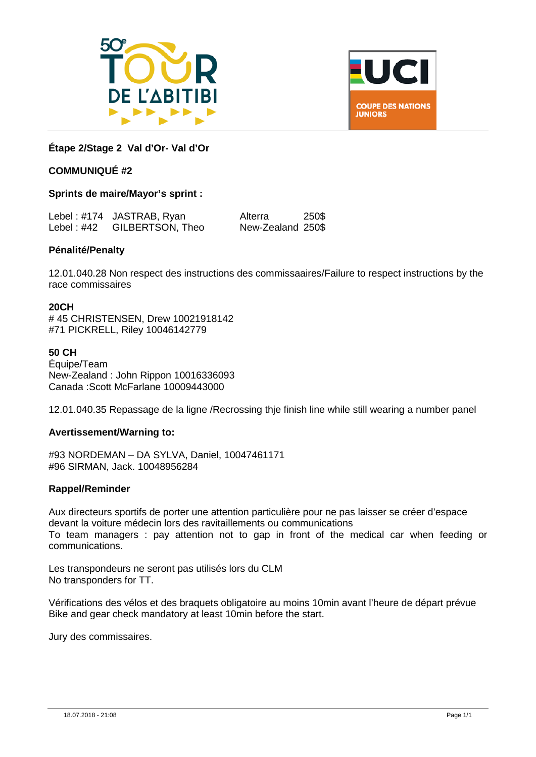



#### **Étape 2/Stage 2 Val d'Or- Val d'Or**

#### **COMMUNIQUÉ #2**

#### **Sprints de maire/Mayor's sprint :**

|                | Lebel: #174 JASTRAB, Ryan | Alterra           | 250\$ |
|----------------|---------------------------|-------------------|-------|
| Lebel : $\#42$ | GILBERTSON, Theo          | New-Zealand 250\$ |       |

#### **Pénalité/Penalty**

12.01.040.28 Non respect des instructions des commissaaires/Failure to respect instructions by the race commissaires

#### **20CH**

# 45 CHRISTENSEN, Drew 10021918142 #71 PICKRELL, Riley 10046142779

#### **50 CH**

Équipe/Team New-Zealand : John Rippon 10016336093 Canada :Scott McFarlane 10009443000

12.01.040.35 Repassage de la ligne /Recrossing thje finish line while still wearing a number panel

#### **Avertissement/Warning to:**

#93 NORDEMAN – DA SYLVA, Daniel, 10047461171 #96 SIRMAN, Jack. 10048956284

#### **Rappel/Reminder**

Aux directeurs sportifs de porter une attention particulière pour ne pas laisser se créer d'espace devant la voiture médecin lors des ravitaillements ou communications To team managers : pay attention not to gap in front of the medical car when feeding or communications.

Les transpondeurs ne seront pas utilisés lors du CLM No transponders for TT.

Vérifications des vélos et des braquets obligatoire au moins 10min avant l'heure de départ prévue Bike and gear check mandatory at least 10min before the start.

Jury des commissaires.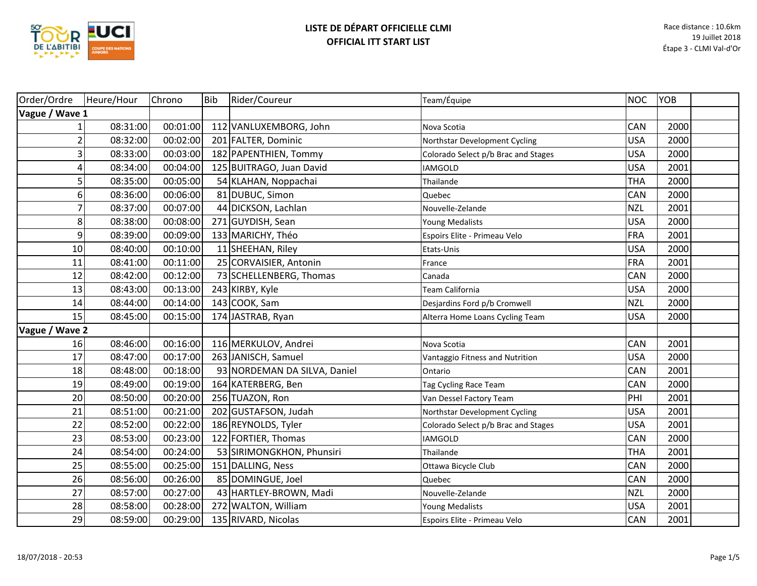

| Order/Ordre             | Heure/Hour | Chrono   | <b>Bib</b> | Rider/Coureur                | Team/Équipe                         | NOC        | YOB  |  |
|-------------------------|------------|----------|------------|------------------------------|-------------------------------------|------------|------|--|
| Vague / Wave 1          |            |          |            |                              |                                     |            |      |  |
|                         | 08:31:00   | 00:01:00 |            | 112 VANLUXEMBORG, John       | Nova Scotia                         | CAN        | 2000 |  |
| $\overline{\mathbf{c}}$ | 08:32:00   | 00:02:00 |            | 201 FALTER, Dominic          | Northstar Development Cycling       | <b>USA</b> | 2000 |  |
| 3                       | 08:33:00   | 00:03:00 |            | 182 PAPENTHIEN, Tommy        | Colorado Select p/b Brac and Stages | <b>USA</b> | 2000 |  |
| 4                       | 08:34:00   | 00:04:00 |            | 125 BUITRAGO, Juan David     | <b>IAMGOLD</b>                      | <b>USA</b> | 2001 |  |
| 5                       | 08:35:00   | 00:05:00 |            | 54 KLAHAN, Noppachai         | Thailande                           | <b>THA</b> | 2000 |  |
| 6                       | 08:36:00   | 00:06:00 |            | 81 DUBUC, Simon              | Quebec                              | CAN        | 2000 |  |
| $\overline{7}$          | 08:37:00   | 00:07:00 |            | 44 DICKSON, Lachlan          | Nouvelle-Zelande                    | <b>NZL</b> | 2001 |  |
| $\,8\,$                 | 08:38:00   | 00:08:00 |            | 271 GUYDISH, Sean            | Young Medalists                     | <b>USA</b> | 2000 |  |
| 9                       | 08:39:00   | 00:09:00 |            | 133 MARICHY, Théo            | Espoirs Elite - Primeau Velo        | <b>FRA</b> | 2001 |  |
| 10                      | 08:40:00   | 00:10:00 |            | 11 SHEEHAN, Riley            | Etats-Unis                          | <b>USA</b> | 2000 |  |
| 11                      | 08:41:00   | 00:11:00 |            | 25 CORVAISIER, Antonin       | France                              | <b>FRA</b> | 2001 |  |
| 12                      | 08:42:00   | 00:12:00 |            | 73 SCHELLENBERG, Thomas      | Canada                              | CAN        | 2000 |  |
| 13                      | 08:43:00   | 00:13:00 |            | 243 KIRBY, Kyle              | Team California                     | <b>USA</b> | 2000 |  |
| 14                      | 08:44:00   | 00:14:00 |            | $143$ COOK, Sam              | Desjardins Ford p/b Cromwell        | <b>NZL</b> | 2000 |  |
| 15                      | 08:45:00   | 00:15:00 |            | 174 JASTRAB, Ryan            | Alterra Home Loans Cycling Team     | <b>USA</b> | 2000 |  |
| Vague / Wave 2          |            |          |            |                              |                                     |            |      |  |
| 16                      | 08:46:00   | 00:16:00 |            | 116 MERKULOV, Andrei         | Nova Scotia                         | CAN        | 2001 |  |
| 17                      | 08:47:00   | 00:17:00 |            | 263 JANISCH, Samuel          | Vantaggio Fitness and Nutrition     | <b>USA</b> | 2000 |  |
| 18                      | 08:48:00   | 00:18:00 |            | 93 NORDEMAN DA SILVA, Daniel | Ontario                             | CAN        | 2001 |  |
| 19                      | 08:49:00   | 00:19:00 |            | 164 KATERBERG, Ben           | Tag Cycling Race Team               | CAN        | 2000 |  |
| 20                      | 08:50:00   | 00:20:00 |            | 256 TUAZON, Ron              | Van Dessel Factory Team             | PHI        | 2001 |  |
| 21                      | 08:51:00   | 00:21:00 |            | 202 GUSTAFSON, Judah         | Northstar Development Cycling       | <b>USA</b> | 2001 |  |
| 22                      | 08:52:00   | 00:22:00 |            | 186 REYNOLDS, Tyler          | Colorado Select p/b Brac and Stages | <b>USA</b> | 2001 |  |
| 23                      | 08:53:00   | 00:23:00 |            | 122 FORTIER, Thomas          | <b>IAMGOLD</b>                      | CAN        | 2000 |  |
| 24                      | 08:54:00   | 00:24:00 |            | 53 SIRIMONGKHON, Phunsiri    | Thailande                           | <b>THA</b> | 2001 |  |
| 25                      | 08:55:00   | 00:25:00 |            | 151 DALLING, Ness            | Ottawa Bicycle Club                 | CAN        | 2000 |  |
| 26                      | 08:56:00   | 00:26:00 |            | 85 DOMINGUE, Joel            | Quebec                              | CAN        | 2000 |  |
| 27                      | 08:57:00   | 00:27:00 |            | 43 HARTLEY-BROWN, Madi       | Nouvelle-Zelande                    | NZL        | 2000 |  |
| 28                      | 08:58:00   | 00:28:00 |            | 272 WALTON, William          | Young Medalists                     | <b>USA</b> | 2001 |  |
| 29                      | 08:59:00   | 00:29:00 |            | 135 RIVARD, Nicolas          | Espoirs Elite - Primeau Velo        | CAN        | 2001 |  |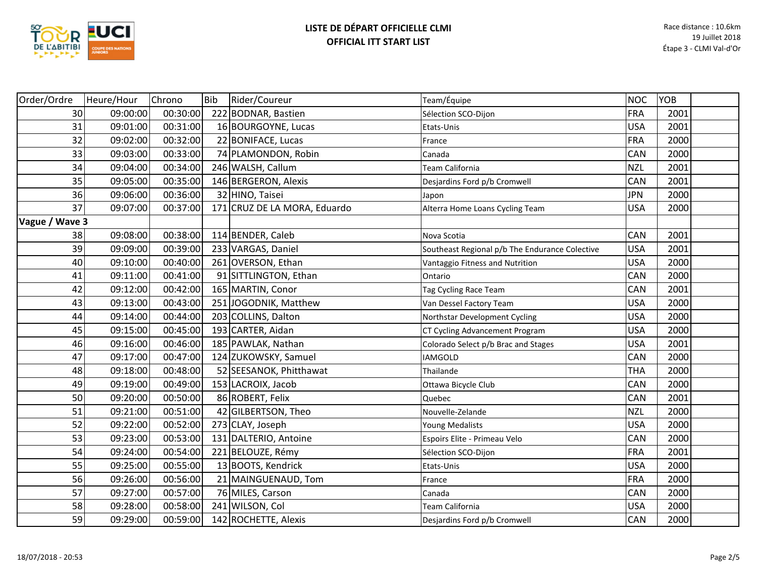

| Order/Ordre    | Heure/Hour | Chrono   | Bib | Rider/Coureur                | Team/Équipe                                    | <b>NOC</b> | YOB  |  |
|----------------|------------|----------|-----|------------------------------|------------------------------------------------|------------|------|--|
| 30             | 09:00:00   | 00:30:00 |     | 222 BODNAR, Bastien          | Sélection SCO-Dijon                            | <b>FRA</b> | 2001 |  |
| 31             | 09:01:00   | 00:31:00 |     | 16 BOURGOYNE, Lucas          | Etats-Unis                                     | <b>USA</b> | 2001 |  |
| 32             | 09:02:00   | 00:32:00 |     | 22 BONIFACE, Lucas           | France                                         | <b>FRA</b> | 2000 |  |
| 33             | 09:03:00   | 00:33:00 |     | 74 PLAMONDON, Robin          | Canada                                         | <b>CAN</b> | 2000 |  |
| 34             | 09:04:00   | 00:34:00 |     | 246 WALSH, Callum            | Team California                                | <b>NZL</b> | 2001 |  |
| 35             | 09:05:00   | 00:35:00 |     | 146 BERGERON, Alexis         | Desjardins Ford p/b Cromwell                   | <b>CAN</b> | 2001 |  |
| 36             | 09:06:00   | 00:36:00 |     | 32 HINO, Taisei              | Japon                                          | <b>JPN</b> | 2000 |  |
| 37             | 09:07:00   | 00:37:00 |     | 171 CRUZ DE LA MORA, Eduardo | Alterra Home Loans Cycling Team                | <b>USA</b> | 2000 |  |
| Vague / Wave 3 |            |          |     |                              |                                                |            |      |  |
| 38             | 09:08:00   | 00:38:00 |     | 114 BENDER, Caleb            | Nova Scotia                                    | <b>CAN</b> | 2001 |  |
| 39             | 09:09:00   | 00:39:00 |     | 233 VARGAS, Daniel           | Southeast Regional p/b The Endurance Colective | <b>USA</b> | 2001 |  |
| 40             | 09:10:00   | 00:40:00 |     | 261 OVERSON, Ethan           | Vantaggio Fitness and Nutrition                | <b>USA</b> | 2000 |  |
| 41             | 09:11:00   | 00:41:00 |     | 91 SITTLINGTON, Ethan        | Ontario                                        | <b>CAN</b> | 2000 |  |
| 42             | 09:12:00   | 00:42:00 |     | 165 MARTIN, Conor            | Tag Cycling Race Team                          | CAN        | 2001 |  |
| 43             | 09:13:00   | 00:43:00 |     | 251 JOGODNIK, Matthew        | Van Dessel Factory Team                        | <b>USA</b> | 2000 |  |
| 44             | 09:14:00   | 00:44:00 |     | 203 COLLINS, Dalton          | Northstar Development Cycling                  | <b>USA</b> | 2000 |  |
| 45             | 09:15:00   | 00:45:00 |     | 193 CARTER, Aidan            | CT Cycling Advancement Program                 | <b>USA</b> | 2000 |  |
| 46             | 09:16:00   | 00:46:00 |     | 185 PAWLAK, Nathan           | Colorado Select p/b Brac and Stages            | <b>USA</b> | 2001 |  |
| 47             | 09:17:00   | 00:47:00 |     | 124 ZUKOWSKY, Samuel         | <b>IAMGOLD</b>                                 | <b>CAN</b> | 2000 |  |
| 48             | 09:18:00   | 00:48:00 |     | 52 SEESANOK, Phitthawat      | Thailande                                      | <b>THA</b> | 2000 |  |
| 49             | 09:19:00   | 00:49:00 |     | 153 LACROIX, Jacob           | Ottawa Bicycle Club                            | CAN        | 2000 |  |
| 50             | 09:20:00   | 00:50:00 |     | 86 ROBERT, Felix             | Quebec                                         | <b>CAN</b> | 2001 |  |
| 51             | 09:21:00   | 00:51:00 |     | 42 GILBERTSON, Theo          | Nouvelle-Zelande                               | <b>NZL</b> | 2000 |  |
| 52             | 09:22:00   | 00:52:00 |     | 273 CLAY, Joseph             | Young Medalists                                | <b>USA</b> | 2000 |  |
| 53             | 09:23:00   | 00:53:00 |     | 131 DALTERIO, Antoine        | Espoirs Elite - Primeau Velo                   | <b>CAN</b> | 2000 |  |
| 54             | 09:24:00   | 00:54:00 |     | 221 BELOUZE, Rémy            | Sélection SCO-Dijon                            | FRA        | 2001 |  |
| 55             | 09:25:00   | 00:55:00 |     | 13 BOOTS, Kendrick           | Etats-Unis                                     | <b>USA</b> | 2000 |  |
| 56             | 09:26:00   | 00:56:00 |     | 21 MAINGUENAUD, Tom          | France                                         | <b>FRA</b> | 2000 |  |
| 57             | 09:27:00   | 00:57:00 |     | 76 MILES, Carson             | Canada                                         | <b>CAN</b> | 2000 |  |
| 58             | 09:28:00   | 00:58:00 |     | 241 WILSON, Col              | Team California                                | <b>USA</b> | 2000 |  |
| 59             | 09:29:00   | 00:59:00 |     | 142 ROCHETTE, Alexis         | Desjardins Ford p/b Cromwell                   | <b>CAN</b> | 2000 |  |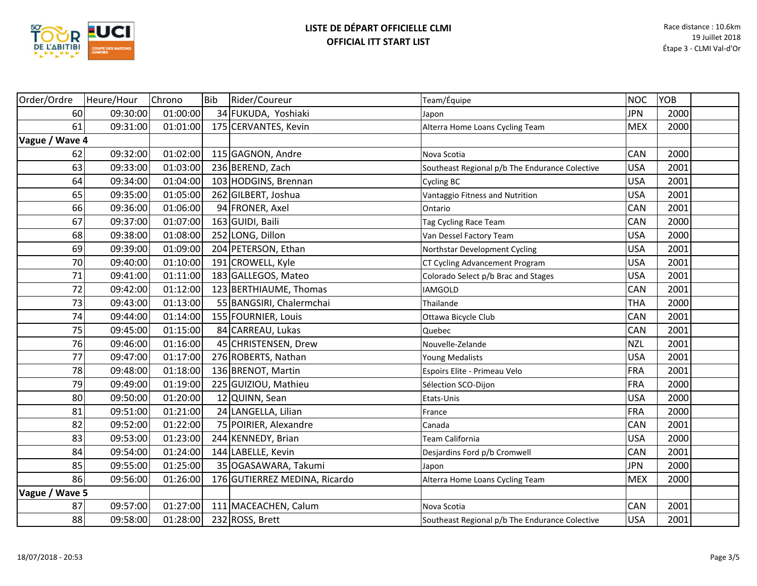

| Order/Ordre    | Heure/Hour | Chrono   | Bib | Rider/Coureur                 | Team/Équipe                                    | NOC        | <b>YOB</b> |  |
|----------------|------------|----------|-----|-------------------------------|------------------------------------------------|------------|------------|--|
| 60             | 09:30:00   | 01:00:00 |     | 34 FUKUDA, Yoshiaki           | Japon                                          | <b>JPN</b> | 2000       |  |
| 61             | 09:31:00   | 01:01:00 |     | 175 CERVANTES, Kevin          | Alterra Home Loans Cycling Team                | <b>MEX</b> | 2000       |  |
| Vague / Wave 4 |            |          |     |                               |                                                |            |            |  |
| 62             | 09:32:00   | 01:02:00 |     | 115 GAGNON, Andre             | Nova Scotia                                    | CAN        | 2000       |  |
| 63             | 09:33:00   | 01:03:00 |     | 236 BEREND, Zach              | Southeast Regional p/b The Endurance Colective | <b>USA</b> | 2001       |  |
| 64             | 09:34:00   | 01:04:00 |     | 103 HODGINS, Brennan          | Cycling BC                                     | <b>USA</b> | 2001       |  |
| 65             | 09:35:00   | 01:05:00 |     | 262 GILBERT, Joshua           | Vantaggio Fitness and Nutrition                | <b>USA</b> | 2001       |  |
| 66             | 09:36:00   | 01:06:00 |     | 94 FRONER, Axel               | Ontario                                        | CAN        | 2001       |  |
| 67             | 09:37:00   | 01:07:00 |     | 163 GUIDI, Baili              | Tag Cycling Race Team                          | CAN        | 2000       |  |
| 68             | 09:38:00   | 01:08:00 |     | 252 LONG, Dillon              | Van Dessel Factory Team                        | <b>USA</b> | 2000       |  |
| 69             | 09:39:00   | 01:09:00 |     | 204 PETERSON, Ethan           | Northstar Development Cycling                  | <b>USA</b> | 2001       |  |
| 70             | 09:40:00   | 01:10:00 |     | 191 CROWELL, Kyle             | CT Cycling Advancement Program                 | <b>USA</b> | 2001       |  |
| 71             | 09:41:00   | 01:11:00 |     | 183 GALLEGOS, Mateo           | Colorado Select p/b Brac and Stages            | <b>USA</b> | 2001       |  |
| 72             | 09:42:00   | 01:12:00 |     | 123 BERTHIAUME, Thomas        | <b>IAMGOLD</b>                                 | CAN        | 2001       |  |
| 73             | 09:43:00   | 01:13:00 |     | 55 BANGSIRI, Chalermchai      | Thailande                                      | <b>THA</b> | 2000       |  |
| 74             | 09:44:00   | 01:14:00 |     | 155 FOURNIER, Louis           | Ottawa Bicycle Club                            | CAN        | 2001       |  |
| 75             | 09:45:00   | 01:15:00 |     | 84 CARREAU, Lukas             | Quebec                                         | <b>CAN</b> | 2001       |  |
| 76             | 09:46:00   | 01:16:00 |     | 45 CHRISTENSEN, Drew          | Nouvelle-Zelande                               | <b>NZL</b> | 2001       |  |
| 77             | 09:47:00   | 01:17:00 |     | 276 ROBERTS, Nathan           | Young Medalists                                | <b>USA</b> | 2001       |  |
| 78             | 09:48:00   | 01:18:00 |     | 136 BRENOT, Martin            | Espoirs Elite - Primeau Velo                   | <b>FRA</b> | 2001       |  |
| 79             | 09:49:00   | 01:19:00 |     | 225 GUIZIOU, Mathieu          | Sélection SCO-Dijon                            | <b>FRA</b> | 2000       |  |
| 80             | 09:50:00   | 01:20:00 |     | 12 QUINN, Sean                | Etats-Unis                                     | <b>USA</b> | 2000       |  |
| 81             | 09:51:00   | 01:21:00 |     | 24 LANGELLA, Lilian           | France                                         | <b>FRA</b> | 2000       |  |
| 82             | 09:52:00   | 01:22:00 |     | 75 POIRIER, Alexandre         | Canada                                         | CAN        | 2001       |  |
| 83             | 09:53:00   | 01:23:00 |     | 244 KENNEDY, Brian            | Team California                                | <b>USA</b> | 2000       |  |
| 84             | 09:54:00   | 01:24:00 |     | 144 LABELLE, Kevin            | Desjardins Ford p/b Cromwell                   | CAN        | 2001       |  |
| 85             | 09:55:00   | 01:25:00 |     | 35 OGASAWARA, Takumi          | Japon                                          | <b>JPN</b> | 2000       |  |
| 86             | 09:56:00   | 01:26:00 |     | 176 GUTIERREZ MEDINA, Ricardo | Alterra Home Loans Cycling Team                | <b>MEX</b> | 2000       |  |
| Vague / Wave 5 |            |          |     |                               |                                                |            |            |  |
| 87             | 09:57:00   | 01:27:00 |     | 111 MACEACHEN, Calum          | Nova Scotia                                    | CAN        | 2001       |  |
| 88             | 09:58:00   | 01:28:00 |     | 232 ROSS, Brett               | Southeast Regional p/b The Endurance Colective | <b>USA</b> | 2001       |  |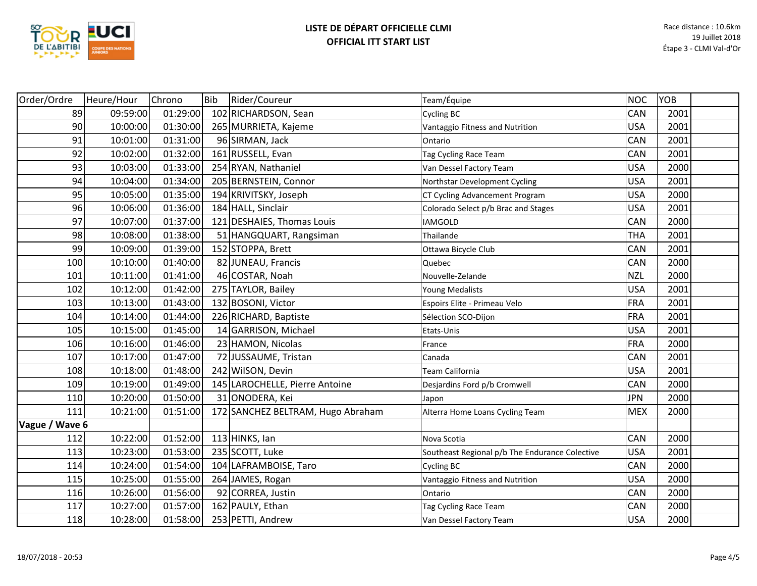

| Order/Ordre    | Heure/Hour | Chrono   | <b>Bib</b> | Rider/Coureur                     | Team/Équipe                                    | <b>NOC</b> | YOB  |  |
|----------------|------------|----------|------------|-----------------------------------|------------------------------------------------|------------|------|--|
| 89             | 09:59:00   | 01:29:00 |            | 102 RICHARDSON, Sean              | <b>Cycling BC</b>                              | CAN        | 2001 |  |
| 90             | 10:00:00   | 01:30:00 |            | 265 MURRIETA, Kajeme              | Vantaggio Fitness and Nutrition                | <b>USA</b> | 2001 |  |
| 91             | 10:01:00   | 01:31:00 |            | 96 SIRMAN, Jack                   | Ontario                                        | CAN        | 2001 |  |
| 92             | 10:02:00   | 01:32:00 |            | 161 RUSSELL, Evan                 | Tag Cycling Race Team                          | CAN        | 2001 |  |
| 93             | 10:03:00   | 01:33:00 |            | 254 RYAN, Nathaniel               | Van Dessel Factory Team                        | <b>USA</b> | 2000 |  |
| 94             | 10:04:00   | 01:34:00 |            | 205 BERNSTEIN, Connor             | Northstar Development Cycling                  | <b>USA</b> | 2001 |  |
| 95             | 10:05:00   | 01:35:00 |            | 194 KRIVITSKY, Joseph             | CT Cycling Advancement Program                 | <b>USA</b> | 2000 |  |
| 96             | 10:06:00   | 01:36:00 |            | 184 HALL, Sinclair                | Colorado Select p/b Brac and Stages            | <b>USA</b> | 2001 |  |
| 97             | 10:07:00   | 01:37:00 |            | 121 DESHAIES, Thomas Louis        | <b>IAMGOLD</b>                                 | CAN        | 2000 |  |
| 98             | 10:08:00   | 01:38:00 |            | 51 HANGQUART, Rangsiman           | Thailande                                      | <b>THA</b> | 2001 |  |
| 99             | 10:09:00   | 01:39:00 |            | 152 STOPPA, Brett                 | Ottawa Bicycle Club                            | <b>CAN</b> | 2001 |  |
| 100            | 10:10:00   | 01:40:00 |            | 82 JUNEAU, Francis                | Quebec                                         | CAN        | 2000 |  |
| 101            | 10:11:00   | 01:41:00 |            | 46 COSTAR, Noah                   | Nouvelle-Zelande                               | <b>NZL</b> | 2000 |  |
| 102            | 10:12:00   | 01:42:00 |            | 275 TAYLOR, Bailey                | Young Medalists                                | <b>USA</b> | 2001 |  |
| 103            | 10:13:00   | 01:43:00 |            | 132 BOSONI, Victor                | Espoirs Elite - Primeau Velo                   | FRA        | 2001 |  |
| 104            | 10:14:00   | 01:44:00 |            | 226 RICHARD, Baptiste             | Sélection SCO-Dijon                            | <b>FRA</b> | 2001 |  |
| 105            | 10:15:00   | 01:45:00 |            | 14 GARRISON, Michael              | Etats-Unis                                     | <b>USA</b> | 2001 |  |
| 106            | 10:16:00   | 01:46:00 |            | 23 HAMON, Nicolas                 | France                                         | FRA        | 2000 |  |
| 107            | 10:17:00   | 01:47:00 |            | 72 JUSSAUME, Tristan              | Canada                                         | CAN        | 2001 |  |
| 108            | 10:18:00   | 01:48:00 |            | 242 Wilson, Devin                 | Team California                                | <b>USA</b> | 2001 |  |
| 109            | 10:19:00   | 01:49:00 |            | 145 LAROCHELLE, Pierre Antoine    | Desjardins Ford p/b Cromwell                   | CAN        | 2000 |  |
| 110            | 10:20:00   | 01:50:00 |            | 31 ONODERA, Kei                   | Japon                                          | <b>JPN</b> | 2000 |  |
| 111            | 10:21:00   | 01:51:00 |            | 172 SANCHEZ BELTRAM, Hugo Abraham | Alterra Home Loans Cycling Team                | <b>MEX</b> | 2000 |  |
| Vague / Wave 6 |            |          |            |                                   |                                                |            |      |  |
| 112            | 10:22:00   | 01:52:00 |            | $113$ HINKS, lan                  | Nova Scotia                                    | CAN        | 2000 |  |
| 113            | 10:23:00   | 01:53:00 |            | 235 SCOTT, Luke                   | Southeast Regional p/b The Endurance Colective | <b>USA</b> | 2001 |  |
| 114            | 10:24:00   | 01:54:00 |            | 104 LAFRAMBOISE, Taro             | <b>Cycling BC</b>                              | CAN        | 2000 |  |
| 115            | 10:25:00   | 01:55:00 |            | 264 JAMES, Rogan                  | Vantaggio Fitness and Nutrition                | <b>USA</b> | 2000 |  |
| 116            | 10:26:00   | 01:56:00 |            | 92 CORREA, Justin                 | Ontario                                        | CAN        | 2000 |  |
| 117            | 10:27:00   | 01:57:00 |            | 162 PAULY, Ethan                  | Tag Cycling Race Team                          | CAN        | 2000 |  |
| 118            | 10:28:00   | 01:58:00 |            | 253 PETTI, Andrew                 | Van Dessel Factory Team                        | <b>USA</b> | 2000 |  |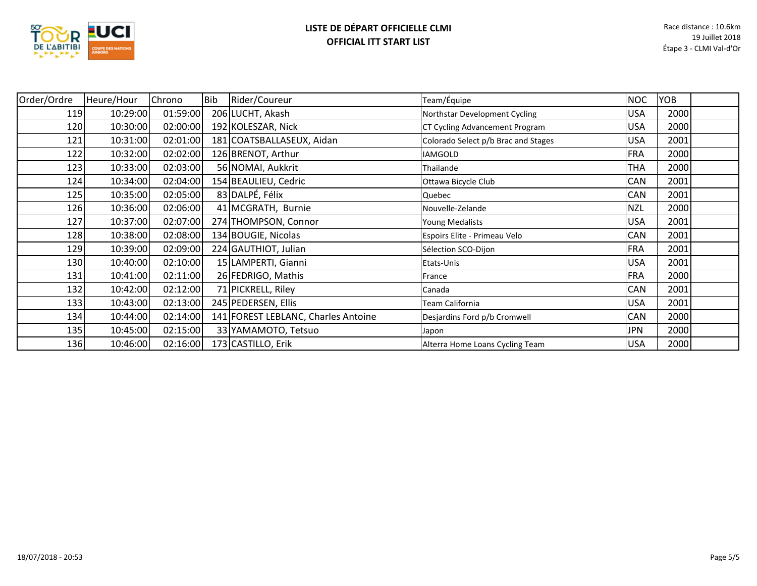

| Order/Ordre | Heure/Hour | Chrono   | Bib | Rider/Coureur                       | Team/Équipe                         | <b>NOC</b> | YOB  |  |
|-------------|------------|----------|-----|-------------------------------------|-------------------------------------|------------|------|--|
| 119         | 10:29:00   | 01:59:00 |     | 206 LUCHT, Akash                    | Northstar Development Cycling       | <b>USA</b> | 2000 |  |
| 120         | 10:30:00   | 02:00:00 |     | 192 KOLESZAR, Nick                  | CT Cycling Advancement Program      | <b>USA</b> | 2000 |  |
| 121         | 10:31:00   | 02:01:00 |     | 181 COATSBALLASEUX, Aidan           | Colorado Select p/b Brac and Stages | <b>USA</b> | 2001 |  |
| 122         | 10:32:00   | 02:02:00 |     | 126 BRENOT, Arthur                  | <b>IAMGOLD</b>                      | <b>FRA</b> | 2000 |  |
| 123         | 10:33:00   | 02:03:00 |     | 56 NOMAI, Aukkrit                   | Thailande                           | <b>THA</b> | 2000 |  |
| 124         | 10:34:00   | 02:04:00 |     | 154 BEAULIEU, Cedric                | Ottawa Bicycle Club                 | CAN        | 2001 |  |
| 125         | 10:35:00   | 02:05:00 |     | 83 DALPÉ, Félix                     | Quebec                              | CAN        | 2001 |  |
| 126         | 10:36:00   | 02:06:00 |     | 41 MCGRATH, Burnie                  | Nouvelle-Zelande                    | <b>NZL</b> | 2000 |  |
| 127         | 10:37:00   | 02:07:00 |     | 274 THOMPSON, Connor                | Young Medalists                     | <b>USA</b> | 2001 |  |
| 128         | 10:38:00   | 02:08:00 |     | 134 BOUGIE, Nicolas                 | Espoirs Elite - Primeau Velo        | <b>CAN</b> | 2001 |  |
| 129         | 10:39:00   | 02:09:00 |     | 224 GAUTHIOT, Julian                | Sélection SCO-Dijon                 | FRA        | 2001 |  |
| 130         | 10:40:00   | 02:10:00 |     | 15 LAMPERTI, Gianni                 | Etats-Unis                          | <b>USA</b> | 2001 |  |
| 131         | 10:41:00   | 02:11:00 |     | 26 FEDRIGO, Mathis                  | France                              | FRA        | 2000 |  |
| 132         | 10:42:00   | 02:12:00 |     | 71 PICKRELL, Riley                  | Canada                              | <b>CAN</b> | 2001 |  |
| 133         | 10:43:00   | 02:13:00 |     | 245 PEDERSEN, Ellis                 | Team California                     | USA        | 2001 |  |
| 134         | 10:44:00   | 02:14:00 |     | 141 FOREST LEBLANC, Charles Antoine | Desjardins Ford p/b Cromwell        | CAN        | 2000 |  |
| 135         | 10:45:00   | 02:15:00 |     | 33 YAMAMOTO, Tetsuo                 | Japon                               | <b>JPN</b> | 2000 |  |
| 136         | 10:46:00   | 02:16:00 |     | 173 CASTILLO, Erik                  | Alterra Home Loans Cycling Team     | <b>USA</b> | 2000 |  |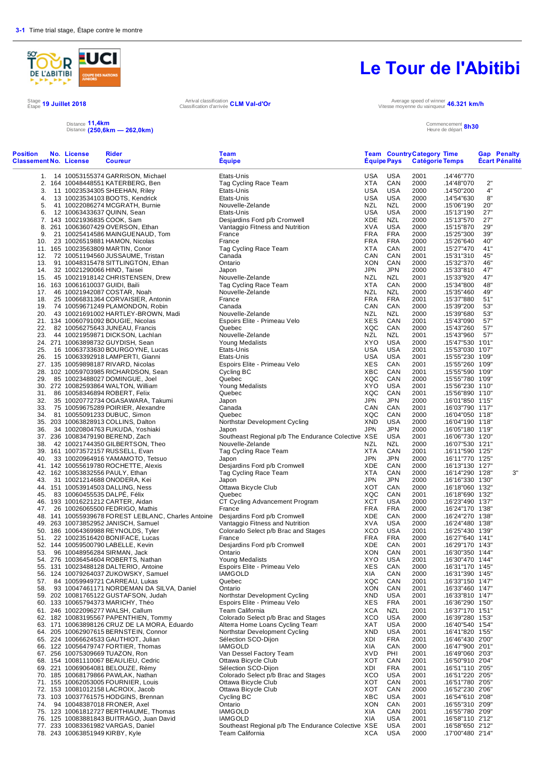

Stage 19 Juillet 2018<br>Étape <sup>19 Juillet 2018</sup> Arrival classification d'arrivée

#### Distance Distance **11,4km (250,6km — 262,0km)**

# **Le Tour de l'Abitibi**

Vitesse moyenne du vainqueur **46.321 km/h**

#### Commencement Heure de départ **8h30**

| <b>Position</b><br><b>Classement No. License</b> | No. License                      | <b>Rider</b><br><b>Coureur</b>                                             | Team<br><b>Equipe</b>                                      | <b>Equipe Pays</b>       |                          | <b>Team Country Category Time</b><br>Catégorie Temps |                                      |            | <b>Gap Penalty</b><br><b>Écart Pénalité</b> |
|--------------------------------------------------|----------------------------------|----------------------------------------------------------------------------|------------------------------------------------------------|--------------------------|--------------------------|------------------------------------------------------|--------------------------------------|------------|---------------------------------------------|
|                                                  |                                  | 1. 14 10053155374 GARRISON, Michael                                        | Etats-Unis                                                 | USA                      | USA                      | 2001                                                 | .14'46"770                           |            |                                             |
|                                                  |                                  | 2. 164 10048448551 KATERBERG, Ben                                          | Tag Cycling Race Team                                      | <b>XTA</b>               | CAN                      | 2000                                                 | .14'48"070                           | 2"         |                                             |
| 3.                                               |                                  | 11 10023534305 SHEEHAN, Riley                                              | Etats-Unis                                                 | USA                      | <b>USA</b>               | 2000                                                 | .14'50"200                           | 4"         |                                             |
| 4.                                               |                                  | 13 10023534103 BOOTS, Kendrick                                             | Etats-Unis                                                 | <b>USA</b>               | <b>USA</b>               | 2000                                                 | .14'54"630                           | 8"         |                                             |
| 5.                                               |                                  | 41 10022086274 MCGRATH, Burnie                                             | Nouvelle-Zelande                                           | <b>NZL</b>               | <b>NZL</b>               | 2000                                                 | .15'06"190                           | 20"        |                                             |
| 6.                                               | 7. 143 10021936835 COOK, Sam     | 12 10063433637 QUINN, Sean                                                 | Etats-Unis<br>Desjardins Ford p/b Cromwell                 | <b>USA</b><br>XDE        | <b>USA</b><br><b>NZL</b> | 2000<br>2000                                         | .15'13"190<br>.15'13"570             | 27"<br>27" |                                             |
| 8.                                               |                                  | 261 10063607429 OVERSON, Ethan                                             | Vantaggio Fitness and Nutrition                            | XVA                      | <b>USA</b>               | 2000                                                 | .15'15"870                           | 29"        |                                             |
| 9.                                               |                                  | 21 10025414586 MAINGUENAUD, Tom                                            | France                                                     | <b>FRA</b>               | <b>FRA</b>               | 2000                                                 | .15'25"300                           | 39"        |                                             |
| 10.                                              |                                  | 23 10026519881 HAMON, Nicolas                                              | France                                                     | FRA                      | <b>FRA</b>               | 2000                                                 | .15'26"640                           | 40"        |                                             |
|                                                  |                                  | 11. 165 10023563809 MARTIN, Conor                                          | Tag Cycling Race Team                                      | <b>XTA</b>               | CAN                      | 2001                                                 | .15'27"470                           | 41"        |                                             |
|                                                  |                                  | 12. 72 10051194560 JUSSAUME, Tristan                                       | Canada                                                     | CAN                      | CAN                      | 2001                                                 | .15'31"310                           | 45"        |                                             |
| 13.                                              |                                  | 91 10048315478 SITTLINGTON, Ethan                                          | Ontario                                                    | XON                      | CAN                      | 2000                                                 | .15'32"370                           | 46"        |                                             |
| 14.                                              | 32 10021290066 HINO, Taisei      |                                                                            | Japon                                                      | JPN                      | <b>JPN</b>               | 2000                                                 | .15'33"810                           | 47"        |                                             |
|                                                  | 16. 163 10061610037 GUIDI, Baili | 15. 45 10021918142 CHRISTENSEN, Drew                                       | Nouvelle-Zelande<br>Tag Cycling Race Team                  | <b>NZL</b><br><b>XTA</b> | <b>NZL</b><br>CAN        | 2001<br>2000                                         | .15'33"920<br>.15'34"800             | 47"<br>48" |                                             |
| 17.                                              |                                  | 46 10021942087 COSTAR, Noah                                                | Nouvelle-Zelande                                           | NZL                      | <b>NZL</b>               | 2000                                                 | .15'35"460                           | 49"        |                                             |
| 18.                                              |                                  | 25 10066831364 CORVAISIER, Antonin                                         | France                                                     | <b>FRA</b>               | <b>FRA</b>               | 2001                                                 | .15'37"880                           | 51"        |                                             |
| 19.                                              |                                  | 74 10059671249 PLAMONDON, Robin                                            | Canada                                                     | CAN                      | CAN                      | 2000                                                 | .15'39"200                           | 53"        |                                             |
| 20.                                              |                                  | 43 10021691002 HARTLEY-BROWN, Madi                                         | Nouvelle-Zelande                                           | NZL                      | <b>NZL</b>               | 2000                                                 | .15'39"680                           | 53"        |                                             |
|                                                  |                                  | 21. 134 10060791092 BOUGIE, Nicolas                                        | Espoirs Elite - Primeau Velo                               | <b>XES</b>               | CAN                      | 2001                                                 | .15'43"090                           | 57"        |                                             |
| 22.                                              |                                  | 82 10056275643 JUNEAU, Francis                                             | Quebec                                                     | XQC                      | CAN                      | 2000                                                 | .15'43"260                           | 57"        |                                             |
| 23.                                              |                                  | 44 10021959871 DICKSON, Lachlan                                            | Nouvelle-Zelande                                           | <b>NZL</b>               | <b>NZL</b>               | 2001                                                 | .15'43"960                           | 57"        |                                             |
| 25.                                              |                                  | 24. 271 10063898732 GUYDISH, Sean<br>16 10063733630 BOURGOYNE, Lucas       | <b>Young Medalists</b><br>Etats-Unis                       | <b>XYO</b><br><b>USA</b> | <b>USA</b><br><b>USA</b> | 2000<br>2001                                         | .15'47"530 1'01"<br>.15'53"030 1'07" |            |                                             |
| 26.                                              |                                  | 15 10063392918 LAMPERTI, Gianni                                            | Etats-Unis                                                 | <b>USA</b>               | <b>USA</b>               | 2001                                                 | .15'55"230 1'09"                     |            |                                             |
|                                                  |                                  | 27. 135 10059898187 RIVARD, Nicolas                                        | Espoirs Elite - Primeau Velo                               | XES                      | CAN                      | 2001                                                 | .15'55"260 1'09"                     |            |                                             |
|                                                  |                                  | 28. 102 10059703985 RICHARDSON, Sean                                       | Cycling BC                                                 | XBC                      | CAN                      | 2001                                                 | .15'55"590 1'09"                     |            |                                             |
| 29.                                              |                                  | 85 10023488027 DOMINGUE, Joel                                              | Quebec                                                     | XQC                      | CAN                      | 2000                                                 | .15'55"780 1'09"                     |            |                                             |
|                                                  |                                  | 30. 272 10082593864 WALTON, William                                        | Young Medalists                                            | XYO                      | <b>USA</b>               | 2001                                                 | .15'56"230 1'10"                     |            |                                             |
|                                                  |                                  | 31. 86 10058346894 ROBERT, Felix                                           | Quebec                                                     | XQC                      | CAN                      | 2001                                                 | .15'56"890 1'10"                     |            |                                             |
| 32.                                              |                                  | 35 10020772734 OGASAWARA, Takumi                                           | Japon                                                      | <b>JPN</b>               | <b>JPN</b>               | 2000                                                 | .16'01"850 1'15"                     |            |                                             |
| 33.<br>34.                                       |                                  | 75 10059675289 POIRIER, Alexandre                                          | Canada<br>Quebec                                           | CAN<br>XQC               | CAN<br>CAN               | 2001<br>2000                                         | .16'03"790 1'17"                     |            |                                             |
|                                                  |                                  | 81 10055091233 DUBUC, Simon<br>35. 203 10063828913 COLLINS, Dalton         | Northstar Development Cycling                              | <b>XND</b>               | <b>USA</b>               | 2000                                                 | .16'04"050 1'18"<br>.16'04"190 1'18" |            |                                             |
| 36.                                              |                                  | 34 10020804763 FUKUDA, Yoshiaki                                            | Japon                                                      | <b>JPN</b>               | <b>JPN</b>               | 2000                                                 | .16'05"180 1'19"                     |            |                                             |
|                                                  |                                  | 37. 236 10083479190 BEREND, Zach                                           | Southeast Regional p/b The Endurance Colective XSE         |                          | <b>USA</b>               | 2001                                                 | .16'06"730 1'20"                     |            |                                             |
| 38.                                              |                                  | 42 10021744350 GILBERTSON, Theo                                            | Nouvelle-Zelande                                           | NZL                      | <b>NZL</b>               | 2000                                                 | .16'07"530 1'21"                     |            |                                             |
|                                                  |                                  | 39. 161 10073572157 RUSSELL, Evan                                          | Tag Cycling Race Team                                      | <b>XTA</b>               | CAN                      | 2001                                                 | .16'11"590 1'25"                     |            |                                             |
| 40.                                              |                                  | 33 10020964916 YAMAMOTO, Tetsuo                                            | Japon                                                      | <b>JPN</b>               | <b>JPN</b>               | 2000                                                 | .16'11"770 1'25"                     |            |                                             |
|                                                  |                                  | 41. 142 10055619780 ROCHETTE, Alexis                                       | Desjardins Ford p/b Cromwell                               | XDE                      | CAN                      | 2000                                                 | .16'13"130 1'27"                     |            |                                             |
|                                                  |                                  | 42. 162 10053832556 PAULY, Ethan                                           | Tag Cycling Race Team                                      | <b>XTA</b><br><b>JPN</b> | CAN<br><b>JPN</b>        | 2000<br>2000                                         | .16'14"290 1'28"                     |            | 3"                                          |
|                                                  |                                  | 43. 31 10021214688 ONODERA, Kei<br>44. 151 10053914503 DALLING, Ness       | Japon<br>Ottawa Bicycle Club                               | XOT                      | CAN                      | 2000                                                 | .16'16"330 1'30"<br>.16'18"060 1'32" |            |                                             |
| 45.                                              | 83 10060455535 DALPÉ, Félix      |                                                                            | Quebec                                                     | XQC                      | CAN                      | 2001                                                 | .16'18"690 1'32"                     |            |                                             |
|                                                  |                                  | 46. 193 10016221212 CARTER, Aidan                                          | CT Cycling Advancement Program                             | <b>XCT</b>               | <b>USA</b>               | 2000                                                 | .16'23"490 1'37"                     |            |                                             |
|                                                  |                                  | 47. 26 10026065500 FEDRIGO, Mathis                                         | France                                                     | <b>FRA</b>               | <b>FRA</b>               | 2000                                                 | .16'24"170 1'38"                     |            |                                             |
|                                                  |                                  | 48. 141 10055939678 FOREST LEBLANC, Charles Antoine                        | Desjardins Ford p/b Cromwell                               | XDE                      | CAN                      | 2000                                                 | .16'24"270 1'38"                     |            |                                             |
|                                                  |                                  | 49. 263 10073852952 JANISCH, Samuel                                        | Vantaggio Fitness and Nutrition                            | XVA                      | <b>USA</b>               | 2000                                                 | .16'24"480 1'38"                     |            |                                             |
|                                                  |                                  | 50. 186 10064369988 REYNOLDS, Tyler                                        | Colorado Select p/b Brac and Stages                        | <b>XCO</b>               | <b>USA</b>               | 2001                                                 | .16'25"430 1'39"                     |            |                                             |
| 51.                                              |                                  | 22 10023516420 BONIFACE, Lucas<br>52. 144 10059500790 LABELLE, Kevin       | France<br>Desjardins Ford p/b Cromwell                     | <b>FRA</b><br>XDE        | <b>FRA</b><br>CAN        | 2000<br>2001                                         | .16'27"640 1'41"<br>.16'29"170 1'43" |            |                                             |
| 53.                                              |                                  | 96 10048956284 SIRMAN, Jack                                                | Ontario                                                    | XON                      | CAN                      | 2001                                                 | .16'30"350 1'44"                     |            |                                             |
|                                                  |                                  | 54. 276 10036454604 ROBERTS, Nathan                                        | Young Medalists                                            | XYO                      | USA                      | 2001                                                 | .16'30"470 1'44"                     |            |                                             |
|                                                  |                                  | 55. 131 10023488128 DALTERIO, Antoine                                      | Espoirs Elite - Primeau Velo                               | XES                      | CAN                      | 2000                                                 | .16'31"170 1'45"                     |            |                                             |
|                                                  |                                  | 56. 124 10079264037 ZUKOWSKY, Samuel                                       | <b>IAMGOLD</b>                                             | XIA                      | CAN                      | 2000                                                 | .16'31"390 1'45"                     |            |                                             |
| 57.                                              |                                  | 84 10059949721 CARREAU, Lukas                                              | Quebec                                                     | XQC                      | CAN                      | 2001                                                 | .16'33"150 1'47"                     |            |                                             |
| 58.                                              |                                  | 93 10047461171 NORDEMAN DA SILVA, Daniel                                   | Ontario                                                    | XON                      | CAN                      | 2001                                                 | .16'33"460 1'47"                     |            |                                             |
|                                                  |                                  | 59. 202 10081765122 GUSTAFSON, Judah                                       | Northstar Development Cycling                              | XND                      | USA                      | 2001                                                 | .16'33"810 1'47"                     |            |                                             |
|                                                  |                                  | 60. 133 10065794373 MARICHY, Théo                                          | Espoirs Elite - Primeau Velo                               | XES                      | <b>FRA</b>               | 2001                                                 | .16'36"290 1'50"                     |            |                                             |
|                                                  |                                  | 61. 246 10022096277 WALSH, Callum<br>62. 182 10083195567 PAPENTHIEN, Tommy | Team California<br>Colorado Select p/b Brac and Stages     | <b>XCA</b><br>XCO        | <b>NZL</b><br><b>USA</b> | 2001<br>2000                                         | .16'37"170 1'51"<br>.16'39"280 1'53" |            |                                             |
|                                                  |                                  | 63. 171 10063898126 CRUZ DE LA MORA, Eduardo                               | Alterra Home Loans Cycling Team                            | XAT                      | USA                      | 2000                                                 | .16'40"540 1'54"                     |            |                                             |
|                                                  |                                  | 64. 205 10062907615 BERNSTEIN, Connor                                      | Northstar Development Cycling                              | <b>XND</b>               | <b>USA</b>               | 2001                                                 | .16'41"820 1'55"                     |            |                                             |
|                                                  |                                  | 65. 224 10066624533 GAUTHIOT, Julian                                       | Sélection SCO-Dijon                                        | XDI                      | <b>FRA</b>               | 2001                                                 | .16'46"430 2'00"                     |            |                                             |
|                                                  |                                  | 66. 122 10056479747 FORTIER, Thomas                                        | <b>IAMGOLD</b>                                             | XIA                      | CAN                      | 2000                                                 | .16'47"900 2'01"                     |            |                                             |
|                                                  |                                  | 67. 256 10075309669 TUAZON, Ron                                            | Van Dessel Factory Team                                    | XVD                      | PHI                      | 2001                                                 | .16'49"060 2'03"                     |            |                                             |
|                                                  |                                  | 68. 154 10081110067 BEAULIEU, Cedric                                       | Ottawa Bicycle Club                                        | XOT                      | CAN                      | 2001                                                 | .16'50"910 2'04"                     |            |                                             |
|                                                  |                                  | 69. 221 10069064081 BELOUZE, Rémy                                          | Sélection SCO-Dijon                                        | XDI                      | <b>FRA</b>               | 2001                                                 | .16'51"110 2'05"                     |            |                                             |
|                                                  |                                  | 70. 185 10068179866 PAWLAK, Nathan                                         | Colorado Select p/b Brac and Stages<br>Ottawa Bicycle Club | <b>XCO</b>               | <b>USA</b>               | 2001                                                 | .16'51"220 2'05"                     |            |                                             |
|                                                  |                                  | 71. 155 10062053005 FOURNIER, Louis<br>72. 153 10081012158 LACROIX, Jacob  | Ottawa Bicycle Club                                        | XOT<br>XOT               | CAN<br>CAN               | 2001<br>2000                                         | .16'51"780 2'05"<br>.16'52"230 2'06" |            |                                             |
|                                                  |                                  | 73. 103 10037761575 HODGINS, Brennan                                       | Cycling BC                                                 | XBC                      | <b>USA</b>               | 2001                                                 | .16'54"610 2'08"                     |            |                                             |
| 74.                                              |                                  | 94 10048387018 FRONER, Axel                                                | Ontario                                                    | XON                      | CAN                      | 2001                                                 | .16'55"310 2'09"                     |            |                                             |
|                                                  |                                  | 75. 123 10061812727 BERTHIAUME, Thomas                                     | <b>IAMGOLD</b>                                             | XIA                      | CAN                      | 2001                                                 | .16'55"780 2'09"                     |            |                                             |
|                                                  |                                  | 76. 125 10083881843 BUITRAGO, Juan David                                   | <b>IAMGOLD</b>                                             | XIA                      | <b>USA</b>               | 2001                                                 | .16'58"110 2'12"                     |            |                                             |
|                                                  |                                  | 77. 233 10083361982 VARGAS, Daniel                                         | Southeast Regional p/b The Endurance Colective XSE         |                          | <b>USA</b>               | 2001                                                 | .16'58"650 2'12"                     |            |                                             |
|                                                  | 78. 243 10063851949 KIRBY, Kyle  |                                                                            | Team California                                            | XCA                      | USA                      | 2000                                                 | .17'00"480 2'14"                     |            |                                             |

Arrival classification **CLM Val-d'Or** Classification d'arrivée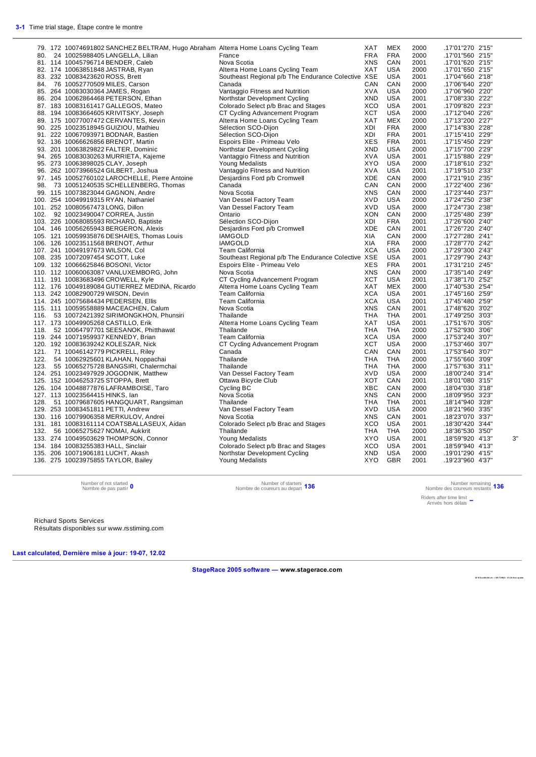|     | 79. 172 10074691802 SANCHEZ BELTRAM, Hugo Abraham Alterra Home Loans Cycling Team |                                                    | XAT        | <b>MEX</b> | 2000 | .17'01"270 2'15" |    |
|-----|-----------------------------------------------------------------------------------|----------------------------------------------------|------------|------------|------|------------------|----|
| 80. | 24 10025988405 LANGELLA, Lilian                                                   | France                                             | <b>FRA</b> | <b>FRA</b> | 2000 | .17'01"560 2'15" |    |
|     | 81. 114 10045796714 BENDER, Caleb                                                 | Nova Scotia                                        | XNS        | CAN        | 2001 | .17'01"620 2'15" |    |
|     | 82. 174 10063851848 JASTRAB, Ryan                                                 | Alterra Home Loans Cycling Team                    | XAT        | <b>USA</b> | 2000 | .17'01"650 2'15" |    |
|     | 83. 232 10083423620 ROSS, Brett                                                   | Southeast Regional p/b The Endurance Colective XSE |            | <b>USA</b> | 2001 | .17'04"660 2'18" |    |
|     | 84. 76 10052770509 MILES, Carson                                                  | Canada                                             | CAN        | CAN        | 2000 | .17'06"640 2'20" |    |
|     | 85. 264 10083030364 JAMES, Rogan                                                  | Vantaggio Fitness and Nutrition                    | <b>XVA</b> | <b>USA</b> | 2000 | .17'06"960 2'20" |    |
|     | 86. 204 10062864468 PETERSON, Ethan                                               | Northstar Development Cycling                      | <b>XND</b> | <b>USA</b> | 2001 | .17'08"330 2'22" |    |
|     | 87. 183 10083161417 GALLEGOS, Mateo                                               | Colorado Select p/b Brac and Stages                | XCO        | <b>USA</b> | 2001 | .17'09"820 2'23" |    |
|     | 88. 194 10083664605 KRIVITSKY, Joseph                                             | CT Cycling Advancement Program                     | XCT        | <b>USA</b> | 2000 | .17'12"040 2'26" |    |
|     |                                                                                   |                                                    |            |            |      |                  |    |
|     | 89. 175 10077007472 CERVANTES, Kevin                                              | Alterra Home Loans Cycling Team                    | XAT        | <b>MEX</b> | 2000 | .17'13"200 2'27" |    |
|     | 90. 225 10023518945 GUIZIOU, Mathieu                                              | Sélection SCO-Dijon                                | XDI        | <b>FRA</b> | 2000 | .17'14"830 2'28" |    |
|     | 91. 222 10067093971 BODNAR, Bastien                                               | Sélection SCO-Dijon                                | XDI        | <b>FRA</b> | 2001 | .17'15"410 2'29" |    |
|     | 92. 136 10066626856 BRENOT, Martin                                                | Espoirs Elite - Primeau Velo                       | XES        | <b>FRA</b> | 2001 | .17'15"450 2'29" |    |
|     | 93. 201 10063829822 FALTER, Dominic                                               | Northstar Development Cycling                      | XND        | <b>USA</b> | 2000 | .17'15"700 2'29" |    |
|     | 94. 265 10083030263 MURRIETA, Kajeme                                              | Vantaggio Fitness and Nutrition                    | <b>XVA</b> | <b>USA</b> | 2001 | .17'15"880 2'29" |    |
|     | 95. 273 10063898025 CLAY, Joseph                                                  | Young Medalists                                    | XYO        | <b>USA</b> | 2000 | .17'18"610 2'32" |    |
|     | 96. 262 10073966524 GILBERT, Joshua                                               | Vantaggio Fitness and Nutrition                    | XVA        | <b>USA</b> | 2001 | .17'19"510 2'33" |    |
|     | 97. 145 10052760102 LAROCHELLE, Pierre Antoine                                    | Desjardins Ford p/b Cromwell                       | <b>XDE</b> | CAN        | 2000 | .17'21"910 2'35" |    |
| 98. | 73 10051240535 SCHELLENBERG, Thomas                                               | Canada                                             | CAN        | CAN        | 2000 | .17'22"400 2'36" |    |
|     | 99. 115 10073823044 GAGNON, Andre                                                 | Nova Scotia                                        | <b>XNS</b> | CAN        | 2000 | .17'23"440 2'37" |    |
|     | 100. 254 10049919315 RYAN, Nathaniel                                              | Van Dessel Factory Team                            | XVD        | <b>USA</b> | 2000 | .17'24"250 2'38" |    |
|     | 101. 252 10080567473 LONG, Dillon                                                 | Van Dessel Factory Team                            | <b>XVD</b> | <b>USA</b> | 2000 | .17'24"730 2'38" |    |
|     | 102. 92 10023490047 CORREA, Justin                                                | Ontario                                            | <b>XON</b> | CAN        | 2000 | .17'25"480 2'39" |    |
|     | 103. 226 10068085593 RICHARD, Baptiste                                            | Sélection SCO-Dijon                                | XDI        | <b>FRA</b> | 2001 | .17'26"600 2'40" |    |
|     | 104. 146 10056265943 BERGERON, Alexis                                             | Desjardins Ford p/b Cromwell                       | XDE        | CAN        | 2001 | .17'26"720 2'40" |    |
|     | 105. 121 10059935876 DESHAIES, Thomas Louis                                       | <b>IAMGOLD</b>                                     | XIA        | CAN        | 2000 | .17'27"280 2'41" |    |
|     | 106. 126 10023511568 BRENOT, Arthur                                               | <b>IAMGOLD</b>                                     | XIA        | <b>FRA</b> | 2000 | .17'28"770 2'42" |    |
|     | 107. 241 10049197673 WILSON, Col                                                  | Team California                                    | <b>XCA</b> | <b>USA</b> | 2000 | .17'29"300 2'43" |    |
|     |                                                                                   |                                                    |            | <b>USA</b> | 2001 | .17'29"790 2'43" |    |
|     | 108. 235 10072097454 SCOTT, Luke                                                  | Southeast Regional p/b The Endurance Colective XSE |            |            |      |                  |    |
|     | 109. 132 10066625846 BOSONI, Victor                                               | Espoirs Elite - Primeau Velo                       | XES        | <b>FRA</b> | 2001 | .17'31"210 2'45" |    |
|     | 110. 112 10060063087 VANLUXEMBORG, John                                           | Nova Scotia                                        | <b>XNS</b> | CAN        | 2000 | .17'35"140 2'49" |    |
|     | 111. 191 10083683496 CROWELL, Kyle                                                | CT Cycling Advancement Program                     | <b>XCT</b> | <b>USA</b> | 2001 | .17'38"170 2'52" |    |
|     | 112. 176 10049189084 GUTIERREZ MEDINA, Ricardo                                    | Alterra Home Loans Cycling Team                    | XAT        | <b>MEX</b> | 2000 | .17'40"530 2'54" |    |
|     | 113. 242 10082900729 WilSON, Devin                                                | Team California                                    | <b>XCA</b> | <b>USA</b> | 2001 | .17'45"160 2'59" |    |
|     | 114. 245 10075684434 PEDERSEN, Ellis                                              | Team California                                    | <b>XCA</b> | <b>USA</b> | 2001 | .17'45"480 2'59" |    |
|     | 115. 111 10059558889 MACEACHEN, Calum                                             | Nova Scotia                                        | <b>XNS</b> | CAN        | 2001 | .17'48"620 3'02" |    |
|     | 116. 53 10072421392 SIRIMONGKHON, Phunsiri                                        | Thailande                                          | <b>THA</b> | <b>THA</b> | 2001 | .17'49"250 3'03" |    |
|     | 117. 173 10049905268 CASTILLO, Erik                                               | Alterra Home Loans Cycling Team                    | <b>XAT</b> | <b>USA</b> | 2001 | .17'51"670 3'05" |    |
|     | 118. 52 10064797701 SEESANOK, Phitthawat                                          | Thailande                                          | <b>THA</b> | <b>THA</b> | 2000 | .17'52"930 3'06" |    |
|     | 119. 244 10071959937 KENNEDY, Brian                                               | Team California                                    | <b>XCA</b> | <b>USA</b> | 2000 | .17'53"240 3'07" |    |
|     | 120. 192 10083639242 KOLESZAR, Nick                                               | CT Cycling Advancement Program                     | <b>XCT</b> | <b>USA</b> | 2000 | .17'53"460 3'07" |    |
|     | 121. 71 10046142779 PICKRELL, Riley                                               | Canada                                             | CAN        | CAN        | 2001 | .17'53"640 3'07" |    |
|     | 122. 54 10062925601 KLAHAN, Noppachai                                             | Thailande                                          | <b>THA</b> | <b>THA</b> | 2000 | .17'55"660 3'09" |    |
|     | 123. 55 10065275728 BANGSIRI, Chalermchai                                         | Thailande                                          | THA        | <b>THA</b> | 2000 | .17'57"630 3'11" |    |
|     | 124. 251 10023497929 JOGODNIK, Matthew                                            | Van Dessel Factory Team                            | <b>XVD</b> | <b>USA</b> | 2000 | .18'00"240 3'14" |    |
|     | 125. 152 10046253725 STOPPA, Brett                                                | Ottawa Bicycle Club                                | XOT        | CAN        | 2001 | .18'01"080 3'15" |    |
|     | 126. 104 10048877876 LAFRAMBOISE, Taro                                            | Cycling BC                                         | XBC        | CAN        | 2000 | .18'04"030 3'18" |    |
|     | 127. 113 10023564415 HINKS, Ian                                                   | Nova Scotia                                        | <b>XNS</b> | CAN        | 2000 | .18'09"950 3'23" |    |
|     | 128. 51 10079687605 HANGQUART, Rangsiman                                          | Thailande                                          | THA        | <b>THA</b> | 2001 | .18'14"940 3'28" |    |
|     | 129. 253 10083451811 PETTI, Andrew                                                | Van Dessel Factory Team                            | <b>XVD</b> | <b>USA</b> | 2000 | .18'21"960 3'35" |    |
|     | 130. 116 10079906358 MERKULOV, Andrei                                             |                                                    | <b>XNS</b> | CAN        | 2001 | .18'23"070 3'37" |    |
|     |                                                                                   | Nova Scotia<br>Colorado Select p/b Brac and Stages | XCO        | <b>USA</b> | 2001 |                  |    |
|     | 131. 181 10083161114 COATSBALLASEUX, Aidan                                        |                                                    |            |            |      | .18'30"420 3'44" |    |
|     | 132. 56 10065275627 NOMAI, Aukkrit                                                | Thailande                                          | THA        | <b>THA</b> | 2000 | .18'36"530 3'50" |    |
|     | 133. 274 10049503629 THOMPSON, Connor                                             | Young Medalists                                    | XYO        | <b>USA</b> | 2001 | .18'59"920 4'13" | 3" |
|     | 134. 184 10083255383 HALL, Sinclair                                               | Colorado Select p/b Brac and Stages                | XCO        | <b>USA</b> | 2001 | .18'59"940 4'13" |    |
|     | 135. 206 10071906181 LUCHT, Akash                                                 | Northstar Development Cycling                      | <b>XND</b> | <b>USA</b> | 2000 | .19'01"290 4'15" |    |
|     | 136. 275 10023975855 TAYLOR, Bailey                                               | <b>Young Medalists</b>                             | XYO        | <b>GBR</b> | 2001 | .19'23"960 4'37" |    |

Number of not started 0<br>Nombre de pas partir 0

Nombre de pas partir **<sup>0</sup>** Number of starters Nombre de coureurs au depart **<sup>136</sup>** Number remaining Nombre des coureurs restants **136**

Riders after time limit Arrivés hors délais **--**

Richard Sports Services Résultats disponibles sur www.rsstiming.com

**Last calculated, Dernière mise à jour: 19-07, 12.02** 

**StageRace 2005 software — www.stagerace.com** 

**20 18 TourAbit ibi .st r : 1 291 73 992 2 : V3. 24 final update**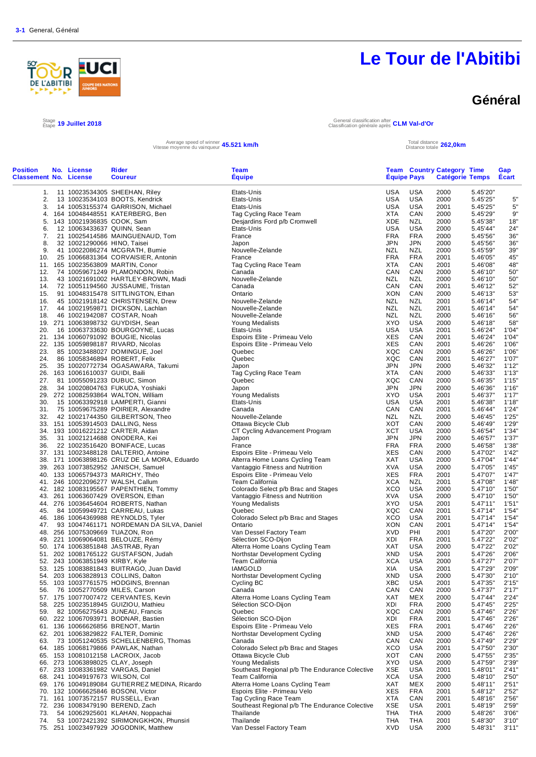

Stage 19 Juillet 2018

# **Le Tour de l'Abitibi**

### **Général**

Étape **19 Juillet 2018** General classification after Classification générale après **CLM Val-d'Or**

Average speed of winner **45.521 km/h**<br>Vitesse moyenne du vainqueur **45.521 km/h** Total distance totale

Distance totale **262,0km**

| <b>Position</b><br><b>Classement No. License</b> | No. License                      | <b>Rider</b><br><b>Coureur</b>                                                      | Team<br><b>Equipe</b>                                                  | <b>Equipe Pays</b>       |                          | <b>Team Country Category Time</b><br><b>Catégorie Temps</b> |                      | Gap<br>Ecart   |
|--------------------------------------------------|----------------------------------|-------------------------------------------------------------------------------------|------------------------------------------------------------------------|--------------------------|--------------------------|-------------------------------------------------------------|----------------------|----------------|
|                                                  |                                  | 1. 11 10023534305 SHEEHAN, Riley                                                    | Etats-Unis                                                             | USA                      | USA                      | 2000                                                        | 5.45'20"             |                |
| 2.                                               |                                  | 13 10023534103 BOOTS, Kendrick                                                      | Etats-Unis                                                             | <b>USA</b>               | <b>USA</b>               | 2000                                                        | 5.45'25"             | 5"             |
| 3.                                               |                                  | 14 10053155374 GARRISON, Michael                                                    | Etats-Unis                                                             | USA                      | <b>USA</b>               | 2001                                                        | 5.45'25"             | 5"             |
|                                                  |                                  | 4. 164 10048448551 KATERBERG, Ben                                                   | Tag Cycling Race Team                                                  | XTA                      | CAN                      | 2000                                                        | 5.45'29"             | 9"             |
| 5.                                               | 143 10021936835 COOK, Sam        |                                                                                     | Desjardins Ford p/b Cromwell                                           | XDE                      | <b>NZL</b>               | 2000                                                        | 5.45'38"             | 18"            |
| 6.<br>7.                                         | 12 10063433637 QUINN, Sean       | 21 10025414586 MAINGUENAUD, Tom                                                     | Etats-Unis<br>France                                                   | <b>USA</b><br><b>FRA</b> | <b>USA</b><br><b>FRA</b> | 2000<br>2000                                                | 5.45'44"<br>5.45'56" | 24"<br>36"     |
| 8.                                               | 32 10021290066 HINO, Taisei      |                                                                                     | Japon                                                                  | JPN                      | <b>JPN</b>               | 2000                                                        | 5.45'56"             | 36"            |
| 9.                                               |                                  | 41 10022086274 MCGRATH, Burnie                                                      | Nouvelle-Zelande                                                       | <b>NZL</b>               | <b>NZL</b>               | 2000                                                        | 5.45'59"             | 39"            |
| 10.                                              |                                  | 25 10066831364 CORVAISIER, Antonin                                                  | France                                                                 | <b>FRA</b>               | <b>FRA</b>               | 2001                                                        | 5.46'05"             | 45"            |
|                                                  |                                  | 11. 165 10023563809 MARTIN, Conor                                                   | Tag Cycling Race Team                                                  | XTA                      | CAN                      | 2001                                                        | 5.46'08"             | 48"            |
| 12.                                              |                                  | 74 10059671249 PLAMONDON, Robin                                                     | Canada                                                                 | CAN                      | CAN                      | 2000                                                        | 5.46'10"             | 50"            |
| 13.<br>14.                                       |                                  | 43 10021691002 HARTLEY-BROWN, Madi                                                  | Nouvelle-Zelande<br>Canada                                             | <b>NZL</b><br>CAN        | <b>NZL</b><br>CAN        | 2000<br>2001                                                | 5.46'10"             | 50"<br>52"     |
| 15.                                              |                                  | 72 10051194560 JUSSAUME, Tristan<br>91 10048315478 SITTLINGTON, Ethan               | Ontario                                                                | XON                      | CAN                      | 2000                                                        | 5.46'12"<br>5.46'13" | 53"            |
| 16.                                              |                                  | 45 10021918142 CHRISTENSEN, Drew                                                    | Nouvelle-Zelande                                                       | <b>NZL</b>               | <b>NZL</b>               | 2001                                                        | 5.46'14"             | 54"            |
| 17.                                              |                                  | 44 10021959871 DICKSON, Lachlan                                                     | Nouvelle-Zelande                                                       | NZL                      | <b>NZL</b>               | 2001                                                        | 5.46'14"             | 54"            |
| 18.                                              |                                  | 46 10021942087 COSTAR, Noah                                                         | Nouvelle-Zelande                                                       | NZL                      | <b>NZL</b>               | 2000                                                        | 5.46'16"             | 56"            |
|                                                  |                                  | 19. 271 10063898732 GUYDISH, Sean                                                   | Young Medalists                                                        | XYO                      | <b>USA</b>               | 2000                                                        | 5.46'18"             | 58"            |
| 20.                                              |                                  | 16 10063733630 BOURGOYNE, Lucas                                                     | Etats-Unis                                                             | <b>USA</b>               | <b>USA</b>               | 2001                                                        | 5.46'24"             | 1'04"          |
|                                                  |                                  | 21. 134 10060791092 BOUGIE, Nicolas                                                 | Espoirs Elite - Primeau Velo                                           | <b>XES</b>               | CAN                      | 2001                                                        | 5.46'24"             | 1'04"          |
| 23.                                              |                                  | 22. 135 10059898187 RIVARD, Nicolas<br>85 10023488027 DOMINGUE, Joel                | Espoirs Elite - Primeau Velo<br>Quebec                                 | <b>XES</b><br>XQC        | CAN<br>CAN               | 2001<br>2000                                                | 5.46'26"             | 1'06"<br>1'06" |
| 24.                                              |                                  | 86 10058346894 ROBERT, Felix                                                        | Quebec                                                                 | XQC                      | CAN                      | 2001                                                        | 5.46'26"<br>5.46'27" | 1'07"          |
| 25.                                              |                                  | 35 10020772734 OGASAWARA, Takumi                                                    | Japon                                                                  | JPN                      | <b>JPN</b>               | 2000                                                        | 5.46'32"             | 1'12"          |
|                                                  | 26. 163 10061610037 GUIDI, Baili |                                                                                     | Tag Cycling Race Team                                                  | XTA                      | CAN                      | 2000                                                        | 5.46'33"             | 1'13"          |
| 27.                                              |                                  | 81 10055091233 DUBUC, Simon                                                         | Quebec                                                                 | XQC                      | CAN                      | 2000                                                        | 5.46'35"             | 1'15"          |
| 28.                                              |                                  | 34 10020804763 FUKUDA, Yoshiaki                                                     | Japon                                                                  | <b>JPN</b>               | <b>JPN</b>               | 2000                                                        | 5.46'36"             | 1'16"          |
|                                                  |                                  | 29. 272 10082593864 WALTON, William                                                 | <b>Young Medalists</b>                                                 | <b>XYO</b>               | <b>USA</b>               | 2001                                                        | 5.46'37"             | 1'17"          |
| 30.                                              |                                  | 15 10063392918 LAMPERTI, Gianni                                                     | Etats-Unis                                                             | <b>USA</b>               | USA                      | 2001                                                        | 5.46'38"             | 1'18"          |
| 31.                                              |                                  | 75 10059675289 POIRIER, Alexandre                                                   | Canada                                                                 | CAN                      | CAN                      | 2001                                                        | 5.46'44"             | 1'24"          |
| 32.                                              |                                  | 42 10021744350 GILBERTSON, Theo<br>33. 151 10053914503 DALLING, Ness                | Nouvelle-Zelande<br>Ottawa Bicycle Club                                | <b>NZL</b><br>XOT        | <b>NZL</b><br>CAN        | 2000<br>2000                                                | 5.46'45"<br>5.46'49" | 1'25"<br>1'29" |
|                                                  |                                  | 34. 193 10016221212 CARTER, Aidan                                                   | CT Cycling Advancement Program                                         | <b>XCT</b>               | <b>USA</b>               | 2000                                                        | 5.46'54"             | 1'34'          |
| 35.                                              |                                  | 31 10021214688 ONODERA, Kei                                                         | Japon                                                                  | <b>JPN</b>               | <b>JPN</b>               | 2000                                                        | 5.46'57"             | 1'37"          |
| 36.                                              |                                  | 22 10023516420 BONIFACE, Lucas                                                      | France                                                                 | <b>FRA</b>               | <b>FRA</b>               | 2000                                                        | 5.46'58"             | 1'38"          |
|                                                  |                                  | 37. 131 10023488128 DALTERIO, Antoine                                               | Espoirs Elite - Primeau Velo                                           | <b>XES</b>               | CAN                      | 2000                                                        | 5.47'02"             | 1'42"          |
|                                                  |                                  | 38. 171 10063898126 CRUZ DE LA MORA, Eduardo                                        | Alterra Home Loans Cycling Team                                        | XAT                      | <b>USA</b>               | 2000                                                        | 5.47'04"             | 1'44"          |
|                                                  |                                  | 39. 263 10073852952 JANISCH, Samuel                                                 | Vantaggio Fitness and Nutrition                                        | <b>XVA</b>               | <b>USA</b>               | 2000                                                        | 5.47'05"             | 1'45"          |
|                                                  |                                  | 40. 133 10065794373 MARICHY, Théo                                                   | Espoirs Elite - Primeau Velo                                           | <b>XES</b>               | <b>FRA</b>               | 2001                                                        | 5.47'07"             | 1'47"          |
|                                                  |                                  | 41. 246 10022096277 WALSH, Callum                                                   | Team California                                                        | XCA<br><b>XCO</b>        | NZL<br><b>USA</b>        | 2001<br>2000                                                | 5.47'08"<br>5.47'10" | 1'48"<br>1'50" |
|                                                  |                                  | 42. 182 10083195567 PAPENTHIEN, Tommy<br>43. 261 10063607429 OVERSON, Ethan         | Colorado Select p/b Brac and Stages<br>Vantaggio Fitness and Nutrition | XVA                      | <b>USA</b>               | 2000                                                        | 5.47'10"             | 1'50"          |
|                                                  |                                  | 44. 276 10036454604 ROBERTS, Nathan                                                 | Young Medalists                                                        | <b>XYO</b>               | USA                      | 2001                                                        | 5.47'11"             | 1'51"          |
|                                                  |                                  | 45. 84 10059949721 CARREAU, Lukas                                                   | Quebec                                                                 | XQC                      | CAN                      | 2001                                                        | 5.47'14"             | 1'54"          |
|                                                  |                                  | 46. 186 10064369988 REYNOLDS, Tyler                                                 | Colorado Select p/b Brac and Stages                                    | XCO                      | <b>USA</b>               | 2001                                                        | 5.47'14"             | 1'54"          |
| 47.                                              |                                  | 93 10047461171 NORDEMAN DA SILVA, Daniel                                            | Ontario                                                                | XON                      | CAN                      | 2001                                                        | 5.47'14"             | 1'54"          |
|                                                  |                                  | 48. 256 10075309669 TUAZON, Ron                                                     | Van Dessel Factory Team                                                | XVD                      | PHI                      | 2001                                                        | 5.47'20"             | 2'00"          |
|                                                  |                                  | 49. 221 10069064081 BELOUZE, Rémy                                                   | Sélection SCO-Dijon                                                    | XDI                      | <b>FRA</b>               | 2001                                                        | 5.47'22"             | 2'02"          |
|                                                  |                                  | 50. 174 10063851848 JASTRAB, Ryan                                                   | Alterra Home Loans Cycling Team<br>Northstar Development Cycling       | XAT<br><b>XND</b>        | USA<br><b>USA</b>        | 2000<br>2001                                                | 5.47'22"<br>5.47'26" | 2'02"<br>2'06" |
|                                                  | 52. 243 10063851949 KIRBY, Kyle  | 51. 202 10081765122 GUSTAFSON, Judah                                                | Team California                                                        | XCA                      | USA                      | 2000                                                        | 5.47'27"             | 2'07"          |
| 53.                                              |                                  | 125 10083881843 BUITRAGO, Juan David                                                | IAMGOLD                                                                | XIA                      | USA                      | 2001                                                        | 5.47'29"             | 2'09'          |
|                                                  |                                  | 54. 203 10063828913 COLLINS, Dalton                                                 | Northstar Development Cycling                                          | XND                      | USA                      | 2000                                                        | 5.47'30"             | 2'10"          |
|                                                  |                                  | 55. 103 10037761575 HODGINS, Brennan                                                | Cycling BC                                                             | XBC                      | USA                      | 2001                                                        | 5.47'35"             | 2'15"          |
| 56.                                              |                                  | 76 10052770509 MILES, Carson                                                        | Canada                                                                 | CAN                      | CAN                      | 2000                                                        | 5.47'37"             | 2'17"          |
|                                                  |                                  | 57. 175 10077007472 CERVANTES, Kevin                                                | Alterra Home Loans Cycling Team                                        | XAT                      | MEX                      | 2000                                                        | 5.47'44"             | 2'24"          |
|                                                  |                                  | 58. 225 10023518945 GUIZIOU, Mathieu                                                | Sélection SCO-Dijon                                                    | XDI                      | <b>FRA</b>               | 2000                                                        | 5.47'45"             | 2'25"          |
| 59.                                              |                                  | 82 10056275643 JUNEAU, Francis<br>60. 222 10067093971 BODNAR, Bastien               | Quebec<br>Sélection SCO-Dijon                                          | XQC<br>XDI               | CAN<br><b>FRA</b>        | 2000<br>2001                                                | 5.47'46"<br>5.47'46" | 2'26"<br>2'26" |
|                                                  |                                  | 61. 136 10066626856 BRENOT, Martin                                                  | Espoirs Elite - Primeau Velo                                           | XES                      | <b>FRA</b>               | 2001                                                        | 5.47'46"             | 2'26"          |
|                                                  |                                  | 62. 201 10063829822 FALTER, Dominic                                                 | Northstar Development Cycling                                          | XND                      | USA                      | 2000                                                        | 5.47'46"             | 2'26"          |
| 63.                                              |                                  | 73 10051240535 SCHELLENBERG, Thomas                                                 | Canada                                                                 | CAN                      | CAN                      | 2000                                                        | 5.47'49"             | 2'29"          |
|                                                  |                                  | 64. 185 10068179866 PAWLAK, Nathan                                                  | Colorado Select p/b Brac and Stages                                    | XCO                      | USA                      | 2001                                                        | 5.47'50"             | 2'30"          |
|                                                  |                                  | 65. 153 10081012158 LACROIX, Jacob                                                  | Ottawa Bicycle Club                                                    | XOT                      | CAN                      | 2000                                                        | 5.47'55"             | 2'35"          |
|                                                  |                                  | 66. 273 10063898025 CLAY, Joseph                                                    | <b>Young Medalists</b>                                                 | XYO                      | USA                      | 2000                                                        | 5.47'59"             | 2'39"          |
|                                                  |                                  | 67. 233 10083361982 VARGAS, Daniel                                                  | Southeast Regional p/b The Endurance Colective                         | XSE                      | USA                      | 2001                                                        | 5.48'01"             | 2'41"          |
|                                                  | 68. 241 10049197673 WILSON, Col  |                                                                                     | Team California                                                        | <b>XCA</b>               | USA                      | 2000                                                        | 5.48'10"             | 2'50"          |
|                                                  |                                  | 69. 176 10049189084 GUTIERREZ MEDINA, Ricardo<br>70. 132 10066625846 BOSONI, Victor | Alterra Home Loans Cycling Team<br>Espoirs Elite - Primeau Velo        | XAT<br>XES               | MEX<br><b>FRA</b>        | 2000<br>2001                                                | 5.48'11"<br>5.48'12" | 2'51"<br>2'52" |
|                                                  |                                  | 71. 161 10073572157 RUSSELL, Evan                                                   | Tag Cycling Race Team                                                  | XTA                      | CAN                      | 2001                                                        | 5.48'16"             | 2'56"          |
|                                                  |                                  | 72. 236 10083479190 BEREND, Zach                                                    | Southeast Regional p/b The Endurance Colective                         | XSE                      | USA                      | 2001                                                        | 5.48'19"             | 2'59"          |
| 73.                                              |                                  | 54 10062925601 KLAHAN, Noppachai                                                    | Thailande                                                              | THA                      | THA                      | 2000                                                        | 5.48'26"             | 3'06"          |
| 74.                                              |                                  | 53 10072421392 SIRIMONGKHON, Phunsiri                                               | Thailande                                                              | THA                      | THA                      | 2001                                                        | 5.48'30"             | 3'10"          |
|                                                  |                                  | 75. 251 10023497929 JOGODNIK, Matthew                                               | Van Dessel Factory Team                                                | <b>XVD</b>               | <b>USA</b>               | 2000                                                        | 5.48'31"             | 3'11"          |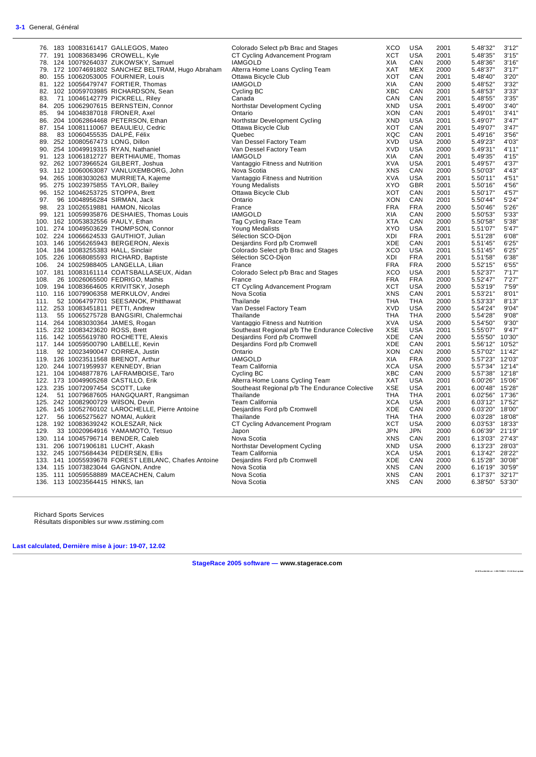|     |                                  | 76. 183 10083161417 GALLEGOS, Mateo                  | Colorado Select p/b Brac and Stages            | <b>XCO</b> | <b>USA</b> | 2001 | 5.48'32"        | 3'12"  |
|-----|----------------------------------|------------------------------------------------------|------------------------------------------------|------------|------------|------|-----------------|--------|
|     |                                  | 77. 191 10083683496 CROWELL, Kyle                    | CT Cycling Advancement Program                 | XCT        | <b>USA</b> | 2001 | 5.48'35"        | 3'15"  |
|     |                                  | 78. 124 10079264037 ZUKOWSKY, Samuel                 | <b>IAMGOLD</b>                                 | XIA        | CAN        | 2000 | 5.48'36"        | 3'16'' |
|     |                                  | 79. 172 10074691802 SANCHEZ BELTRAM, Hugo Abraham    | Alterra Home Loans Cycling Team                | <b>XAT</b> | <b>MEX</b> | 2000 | 5.48'37"        | 3'17'  |
|     |                                  | 80. 155 10062053005 FOURNIER, Louis                  | Ottawa Bicycle Club                            | XOT        | CAN        | 2001 | 5.48'40"        | 3'20'' |
|     |                                  | 81. 122 10056479747 FORTIER, Thomas                  | <b>IAMGOLD</b>                                 | XIA        | CAN        | 2000 | 5.48'52"        | 3'32"  |
|     |                                  | 82. 102 10059703985 RICHARDSON, Sean                 | Cycling BC                                     | <b>XBC</b> | CAN        | 2001 | 5.48'53"        | 3'33'  |
|     |                                  | 83. 71 10046142779 PICKRELL, Riley                   | Canada                                         | CAN        | CAN        | 2001 | 5.48'55"        | 3'35'  |
|     |                                  | 84. 205 10062907615 BERNSTEIN, Connor                | Northstar Development Cycling                  | XND        | <b>USA</b> | 2001 | 5.49'00"        | 3'40'  |
|     |                                  |                                                      |                                                |            |            |      |                 |        |
|     |                                  | 85. 94 10048387018 FRONER, Axel                      | Ontario                                        | <b>XON</b> | CAN        | 2001 | 5.49'01"        | 3'41'  |
|     |                                  | 86. 204 10062864468 PETERSON, Ethan                  | Northstar Development Cycling                  | <b>XND</b> | <b>USA</b> | 2001 | 5.49'07"        | 3'47'  |
|     |                                  | 87. 154 10081110067 BEAULIEU, Cedric                 | Ottawa Bicycle Club                            | XOT        | CAN        | 2001 | 5.49'07"        | 3'47'  |
| 88. | 83 10060455535 DALPÉ, Félix      |                                                      | Quebec                                         | XQC        | CAN        | 2001 | 5.49'16"        | 3'56'  |
|     | 89. 252 10080567473 LONG, Dillon |                                                      | Van Dessel Factory Team                        | <b>XVD</b> | <b>USA</b> | 2000 | 5.49'23"        | 4'03'  |
|     |                                  | 90. 254 10049919315 RYAN, Nathaniel                  | Van Dessel Factory Team                        | <b>XVD</b> | <b>USA</b> | 2000 | 5.49'31"        | 4'11'  |
|     |                                  | 91. 123 10061812727 BERTHIAUME, Thomas               | <b>IAMGOLD</b>                                 | XIA        | CAN        | 2001 | 5.49'35"        | 4'15'  |
|     |                                  | 92. 262 10073966524 GILBERT, Joshua                  | Vantaggio Fitness and Nutrition                | <b>XVA</b> | <b>USA</b> | 2001 | 5.49'57"        | 4'37"  |
|     |                                  | 93. 112 10060063087 VANLUXEMBORG, John               | Nova Scotia                                    | <b>XNS</b> | CAN        | 2000 | 5.50'03"        | 4'43"  |
|     |                                  | 94. 265 10083030263 MURRIETA, Kajeme                 | Vantaggio Fitness and Nutrition                | <b>XVA</b> | <b>USA</b> | 2001 | 5.50'11"        | 4'51'  |
|     |                                  | 95. 275 10023975855 TAYLOR, Bailey                   | Young Medalists                                | <b>XYO</b> | <b>GBR</b> | 2001 | 5.50'16"        | 4'56'  |
|     |                                  | 96. 152 10046253725 STOPPA, Brett                    | Ottawa Bicycle Club                            | XOT        | CAN        | 2001 | 5.50'17"        | 4'57'  |
|     |                                  | 97. 96 10048956284 SIRMAN, Jack                      | Ontario                                        | <b>XON</b> | CAN        | 2001 | 5.50'44"        | 5'24'  |
| 98. |                                  | 23 10026519881 HAMON, Nicolas                        | France                                         | <b>FRA</b> | <b>FRA</b> | 2000 | 5.50'46"        | 5'26'  |
|     |                                  | 99. 121 10059935876 DESHAIES, Thomas Louis           | <b>IAMGOLD</b>                                 | XIA        | CAN        | 2000 | 5.50'53"        | 5'33'  |
|     |                                  | 100. 162 10053832556 PAULY, Ethan                    | Tag Cycling Race Team                          | <b>XTA</b> | CAN        | 2000 | 5.50'58"        | 5'38"  |
|     |                                  | 101. 274 10049503629 THOMPSON, Connor                | <b>Young Medalists</b>                         | <b>XYO</b> | <b>USA</b> | 2001 | 5.51'07"        | 5'47'  |
|     |                                  | 102. 224 10066624533 GAUTHIOT, Julian                | Sélection SCO-Dijon                            | XDI        | <b>FRA</b> | 2001 | 5.51'28"        | 6'08'  |
|     |                                  |                                                      | Desjardins Ford p/b Cromwell                   | XDE        | CAN        | 2001 | 5.51'45"        | 6'25'  |
|     |                                  | 103. 146 10056265943 BERGERON, Alexis                |                                                |            |            |      |                 |        |
|     |                                  | 104. 184 10083255383 HALL, Sinclair                  | Colorado Select p/b Brac and Stages            | <b>XCO</b> | <b>USA</b> | 2001 | 5.51'45"        | 6'25'  |
|     |                                  | 105. 226 10068085593 RICHARD, Baptiste               | Sélection SCO-Dijon                            | XDI        | <b>FRA</b> | 2001 | 5.51'58"        | 6'38"  |
|     |                                  | 106. 24 10025988405 LANGELLA, Lilian                 | France                                         | <b>FRA</b> | <b>FRA</b> | 2000 | 5.52'15"        | 6'55'  |
|     |                                  | 107. 181 10083161114 COATSBALLASEUX, Aidan           | Colorado Select p/b Brac and Stages            | XCO        | <b>USA</b> | 2001 | 5.52'37"        | 7'17'  |
|     |                                  | 108. 26 10026065500 FEDRIGO, Mathis                  | France                                         | <b>FRA</b> | <b>FRA</b> | 2000 | 5.52'47"        | 7'27'  |
|     |                                  | 109. 194 10083664605 KRIVITSKY, Joseph               | CT Cycling Advancement Program                 | XCT        | USA        | 2000 | 5.53'19"        | 7'59"  |
|     |                                  | 110. 116 10079906358 MERKULOV, Andrei                | Nova Scotia                                    | <b>XNS</b> | CAN        | 2001 | 5.53'21"        | 8'01'  |
|     |                                  | 111. 52 10064797701 SEESANOK, Phitthawat             | Thailande                                      | <b>THA</b> | <b>THA</b> | 2000 | 5.53'33"        | 8'13'  |
|     |                                  | 112. 253 10083451811 PETTI, Andrew                   | Van Dessel Factory Team                        | <b>XVD</b> | <b>USA</b> | 2000 | 5.54'24"        | 9'04"  |
|     |                                  | 113. 55 10065275728 BANGSIRI, Chalermchai            | Thailande                                      | <b>THA</b> | <b>THA</b> | 2000 | 5.54'28"        | 9'08'  |
|     |                                  | 114. 264 10083030364 JAMES, Rogan                    | Vantaggio Fitness and Nutrition                | <b>XVA</b> | <b>USA</b> | 2000 | 5.54'50"        | 9'30'  |
|     | 115. 232 10083423620 ROSS, Brett |                                                      | Southeast Regional p/b The Endurance Colective | <b>XSE</b> | <b>USA</b> | 2001 | 5.55'07"        | 9'47'  |
|     |                                  | 116. 142 10055619780 ROCHETTE, Alexis                | Desjardins Ford p/b Cromwell                   | XDE        | CAN        | 2000 | 5.55'50" 10'30" |        |
|     |                                  | 117. 144 10059500790 LABELLE, Kevin                  | Desjardins Ford p/b Cromwell                   | XDE        | CAN        | 2001 | 5.56'12"        | 10'52" |
|     |                                  | 118. 92 10023490047 CORREA, Justin                   | Ontario                                        | <b>XON</b> | CAN        | 2000 | 5.57'02" 11'42" |        |
|     |                                  | 119. 126 10023511568 BRENOT, Arthur                  | <b>IAMGOLD</b>                                 | XIA        | <b>FRA</b> | 2000 | 5.57'23" 12'03" |        |
|     |                                  | 120. 244 10071959937 KENNEDY, Brian                  | <b>Team California</b>                         | <b>XCA</b> | <b>USA</b> | 2000 | 5.57'34" 12'14" |        |
|     |                                  | 121. 104 10048877876 LAFRAMBOISE, Taro               | Cycling BC                                     | <b>XBC</b> | CAN        | 2000 | 5.57'38" 12'18" |        |
|     |                                  | 122. 173 10049905268 CASTILLO, Erik                  | Alterra Home Loans Cycling Team                | XAT        | <b>USA</b> | 2001 | 6.00'26"        | 15'06' |
|     |                                  | 123. 235 10072097454 SCOTT, Luke                     | Southeast Regional p/b The Endurance Colective | <b>XSE</b> | <b>USA</b> | 2001 | 6.00'48"        | 15'28" |
|     |                                  | 124. 51 10079687605 HANGQUART, Rangsiman             | Thailande                                      | <b>THA</b> | <b>THA</b> | 2001 | 6.02'56" 17'36" |        |
|     |                                  | 125. 242 10082900729 WilSON, Devin                   | Team California                                | <b>XCA</b> | <b>USA</b> | 2001 | 6.03'12" 17'52' |        |
|     |                                  |                                                      |                                                | <b>XDE</b> | CAN        | 2000 |                 | 18'00' |
|     |                                  | 126. 145 10052760102 LAROCHELLE, Pierre Antoine      | Desjardins Ford p/b Cromwell                   |            |            |      | 6.03'20"        |        |
|     |                                  | 127. 56 10065275627 NOMAI, Aukkrit                   | Thailande                                      | <b>THA</b> | <b>THA</b> | 2000 | 6.03'28"        | 18'08" |
|     |                                  | 128. 192 10083639242 KOLESZAR, Nick                  | CT Cycling Advancement Program                 | <b>XCT</b> | <b>USA</b> | 2000 | 6.03'53" 18'33" |        |
|     |                                  | 129. 33 10020964916 YAMAMOTO, Tetsuo                 | Japon                                          | <b>JPN</b> | <b>JPN</b> | 2000 | 6.06'39" 21'19' |        |
|     |                                  | 130. 114 10045796714 BENDER, Caleb                   | Nova Scotia                                    | <b>XNS</b> | CAN        | 2001 | 6.13'03" 27'43' |        |
|     |                                  | 131. 206 10071906181 LUCHT, Akash                    | Northstar Development Cycling                  | <b>XND</b> | <b>USA</b> | 2000 | 6.13'23" 28'03" |        |
|     |                                  | 132. 245 10075684434 PEDERSEN, Ellis                 | Team California                                | <b>XCA</b> | <b>USA</b> | 2001 | 6.13'42"        | 28'22" |
|     |                                  | 133. 141 10055939678 FOREST LEBLANC, Charles Antoine | Desjardins Ford p/b Cromwell                   | XDE        | CAN        | 2000 | 6.15'28"        | 30'08" |
|     |                                  | 134. 115 10073823044 GAGNON, Andre                   | Nova Scotia                                    | <b>XNS</b> | CAN        | 2000 | 6.16'19"        | 30'59" |
|     |                                  | 135. 111 10059558889 MACEACHEN, Calum                | Nova Scotia                                    | <b>XNS</b> | CAN        | 2001 | 6.17'37"        | 32'17" |
|     | 136. 113 10023564415 HINKS, lan  |                                                      | Nova Scotia                                    | <b>XNS</b> | CAN        | 2000 | 6.38'50" 53'30" |        |
|     |                                  |                                                      |                                                |            |            |      |                 |        |

Richard Sports Services Résultats disponibles sur www.rsstiming.com

**Last calculated, Dernière mise à jour: 19-07, 12.02** 

**StageRace 2005 software — www.stagerace.com** 

**20 18 To u rAb it ibi .st r : 1 291 73 992 2 : V3. 24 fin al up d ate**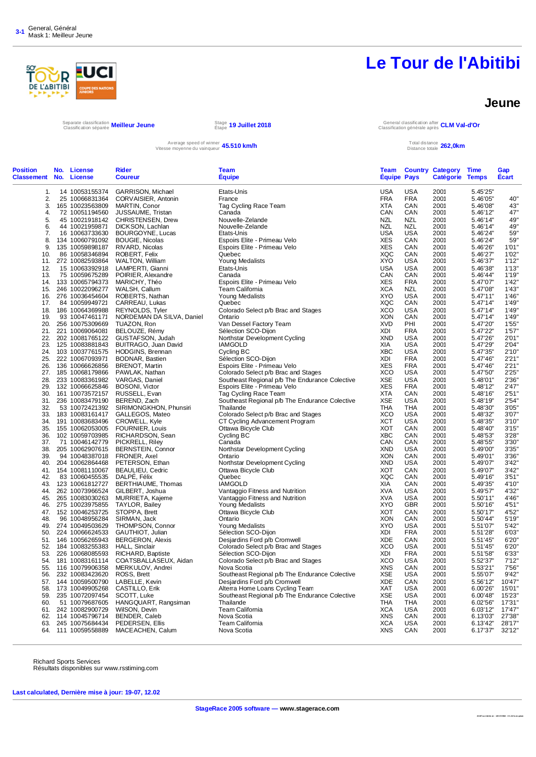

#### **Jeune**

Separate classification **Meilleur Jeune**<br>Classification séparée **Meilleur Jeune** Stape

Étape **19 Juillet 2018** General classification after Classification générale après **CLM Val-d'Or**

#### Average speed of winner Vitesse moyenne du vainqueur **45.510 km/h** Total distance

Distance totale **262,0km**

| <b>USA</b><br><b>USA</b><br>14 10053155374<br>GARRISON, Michael<br>Etats-Unis<br>2001<br>5.45'25"<br>1.<br>2.<br>25 10066831364<br><b>FRA</b><br><b>FRA</b><br>2001<br>5.46'05"<br>CORVAISIER, Antonin<br>France<br>3.<br>2001<br>165 10023563809<br>Tag Cycling Race Team<br>XTA<br>CAN<br>5.46'08"<br>MARTIN, Conor<br>72 10051194560<br>CAN<br>2001<br>5.46'12"<br>4.<br>JUSSAUME, Tristan<br>Canada<br>CAN<br>5.<br>45 10021918142 CHRISTENSEN, Drew<br>Nouvelle-Zelande<br>NZL<br>NZL<br>2001<br>5.46'14"<br>6.<br><b>NZL</b><br>44 10021959871<br>DICKSON, Lachlan<br>Nouvelle-Zelande<br>NZL<br>2001<br>5.46'14"<br>7.<br>16 10063733630<br>BOURGOYNE, Lucas<br>Etats-Unis<br><b>USA</b><br><b>USA</b><br>2001<br>5.46'24"<br><b>XES</b><br>8.<br>134 10060791092<br><b>BOUGIE, Nicolas</b><br>Espoirs Elite - Primeau Velo<br>CAN<br>2001<br>5.46'24"<br><b>XES</b><br>135 10059898187<br>Espoirs Elite - Primeau Velo<br>CAN<br>2001<br>9.<br>RIVARD, Nicolas<br>5.46'26"<br>XQC<br>86 10058346894<br>CAN<br>2001<br>5.46'27"<br>10.<br>ROBERT, Felix<br>Quebec<br><b>XYO</b><br>11. 272 10082593864 WALTON, William<br><b>Young Medalists</b><br>2001<br>5.46'37"<br>USA<br><b>USA</b><br>15 10063392918 LAMPERTI, Gianni<br>Etats-Unis<br>USA<br>2001<br>5.46'38"<br>12.<br>CAN<br>75 10059675289<br>POIRIER, Alexandre<br>CAN<br>2001<br>5.46'44"<br>13.<br>Canada<br><b>XES</b><br>133 10065794373<br>MARICHY, Théo<br>Espoirs Elite - Primeau Velo<br><b>FRA</b><br>2001<br>5.47'07"<br>14.<br><b>XCA</b><br>246 10022096277<br><b>Team California</b><br>NZL<br>2001<br>5.47'08"<br>15.<br>WALSH, Callum<br><b>XYO</b><br><b>USA</b><br>276 10036454604<br>Young Medalists<br>2001<br>5.47'11"<br>16.<br>ROBERTS, Nathan<br>84 10059949721<br>Quebec<br>XQC<br>CAN<br>2001<br>5.47'14"<br>17.<br>CARREAU, Lukas<br>XCO<br>186 10064369988<br>REYNOLDS, Tyler<br>Colorado Select p/b Brac and Stages<br>USA<br>2001<br>5.47'14"<br>18.<br>93 10047461171<br>Ontario<br>XON<br>CAN<br>2001<br>5.47'14"<br>19.<br>NORDEMAN DA SILVA, Daniel<br><b>XVD</b><br>256 10075309669<br>TUAZON, Ron<br>Van Dessel Factory Team<br>PHI<br>2001<br>5.47'20"<br>20.<br>Sélection SCO-Dijon<br>21. 221 10069064081<br>BELOUZE, Rémy<br>XDI<br><b>FRA</b><br>2001<br>5.47'22"<br><b>USA</b><br>202 10081765122 GUSTAFSON, Judah<br>Northstar Development Cycling<br><b>XND</b><br>2001<br>5.47'26"<br>22.<br>125 10083881843<br>XIA<br>USA<br>2001<br>5.47'29"<br>23.<br>BUITRAGO, Juan David<br><b>IAMGOLD</b><br><b>XBC</b><br>103 10037761575 HODGINS, Brennan<br>Cycling BC<br>USA<br>2001<br>5.47'35"<br>24.<br>222 10067093971<br>Sélection SCO-Dijon<br>XDI<br><b>FRA</b><br>2001<br>5.47'46"<br>25.<br>BODNAR, Bastien<br>Espoirs Elite - Primeau Velo<br><b>XES</b><br>136 10066626856<br><b>BRENOT, Martin</b><br><b>FRA</b><br>2001<br>5.47'46"<br>26.<br><b>XCO</b><br>27.<br>185 10068179866<br>PAWLAK, Nathan<br>Colorado Select p/b Brac and Stages<br>USA<br>2001<br>5.47'50"<br><b>XSE</b><br><b>USA</b><br>28.<br>233 10083361982 VARGAS, Daniel<br>Southeast Regional p/b The Endurance Colective<br>2001<br>5.48'01"<br><b>XES</b><br>Espoirs Elite - Primeau Velo<br><b>FRA</b><br>2001<br>29.<br>132 10066625846 BOSONI, Victor<br>5.48'12"<br><b>XTA</b><br>30.<br>161 10073572157<br>RUSSELL, Evan<br>Tag Cycling Race Team<br>CAN<br>2001<br>5.48'16"<br><b>XSE</b><br>236 10083479190<br>BEREND, Zach<br>Southeast Regional p/b The Endurance Colective<br>USA<br>2001<br>5.48'19"<br>31.<br>32.<br>53 10072421392 SIRIMONGKHON, Phunsiri<br>Thailande<br>THA<br>THA<br>2001<br>5.48'30"<br>XCO<br>183 10083161417<br>GALLEGOS, Mateo<br>Colorado Select p/b Brac and Stages<br>USA<br>2001<br>5.48'32"<br>33.<br>XCT<br><b>USA</b><br>191 10083683496<br>CROWELL, Kyle<br>CT Cycling Advancement Program<br>2001<br>5.48'35"<br>34.<br><b>XOT</b><br>155 10062053005 FOURNIER, Louis<br>Ottawa Bicycle Club<br>CAN<br>2001<br>5.48'40"<br>35.<br><b>XBC</b><br>102 10059703985<br>RICHARDSON, Sean<br>Cycling BC<br>CAN<br>2001<br>5.48'53"<br>36.<br>CAN<br>37.<br>71 10046142779<br>PICKRELL, Riley<br>CAN<br>2001<br>5.48'55"<br>Canada<br>38.<br>205 10062907615<br><b>BERNSTEIN, Connor</b><br>Northstar Development Cycling<br>XND<br>USA<br>2001<br>5.49'00"<br><b>XON</b><br>39.<br>94 10048387018<br>FRONER, Axel<br>Ontario<br>CAN<br>2001<br>5.49'01"<br>204 10062864468<br>PETERSON, Ethan<br>Northstar Development Cycling<br><b>XND</b><br>USA<br>2001<br>5.49'07"<br>40.<br><b>XOT</b><br>CAN<br>154 10081110067<br>Ottawa Bicycle Club<br>2001<br>41.<br><b>BEAULIEU, Cedric</b><br>5.49'07"<br>83 10060455535 DALPE, Félix<br>XQC<br>2001<br>5.49'16"<br>42.<br>Quebec<br>CAN<br>123 10061812727<br>BERTHIAUME, Thomas<br><b>IAMGOLD</b><br>XIA<br>CAN<br>2001<br>5.49'35"<br>43.<br>262 10073966524<br>Vantaggio Fitness and Nutrition<br><b>XVA</b><br>USA<br>2001<br>5.49'57"<br>44.<br>GILBERT, Joshua<br><b>XVA</b><br>265 10083030263<br>MURRIETA, Kajeme<br>Vantaggio Fitness and Nutrition<br>USA<br>2001<br>5.50'11"<br>45.<br>275 10023975855 TAYLOR, Bailey<br>Young Medalists<br><b>XYO</b><br><b>GBR</b><br>2001<br>5.50'16"<br>46.<br>Ottawa Bicycle Club<br><b>XOT</b><br>152 10046253725<br>STOPPA, Brett<br>CAN<br>2001<br>5.50'17"<br>47.<br>Ontario<br>XON<br>CAN<br>2001<br>5.50'44"<br>48.<br>96 10048956284<br>SIRMAN, Jack<br>274 10049503629<br>THOMPSON, Connor<br>Young Medalists<br><b>XYO</b><br>USA<br>2001<br>5.51'07"<br>49.<br>224 10066624533<br>Sélection SCO-Dijon<br>XDI<br><b>FRA</b><br>2001<br>50.<br>GAUTHIOT, Julian<br>5.51'28"<br><b>XDE</b><br>146 10056265943<br><b>BERGERON, Alexis</b><br>Desjardins Ford p/b Cromwell<br>CAN<br>2001<br>5.51'45"<br>51.<br>184 10083255383<br><b>HALL, Sinclair</b><br>Colorado Select p/b Brac and Stages<br>XCO<br><b>USA</b><br>2001<br>52.<br>5.51'45"<br><b>FRA</b><br>XDI<br>2001<br>53.<br>226 10068085593<br>RICHARD, Baptiste<br>Sélection SCO-Dijon<br>5.51'58"<br>XCO<br>Colorado Select p/b Brac and Stages<br><b>USA</b><br>2001<br>5.52'37"<br>54.<br>181 10083161114<br>COATSBALLASEUX, Aidan<br>116 10079906358<br>MERKULOV, Andrei<br><b>XNS</b><br>CAN<br>2001<br>5.53'21"<br>55.<br>Nova Scotia<br>Southeast Regional p/b The Endurance Colective<br>XSE<br>USA<br>2001<br>232 10083423620<br>ROSS, Brett<br>5.55'07"<br>56.<br>LABELLE, Kevin<br>Desjardins Ford p/b Cromwell<br><b>XDE</b><br>2001<br>5.56'12"<br>57. 144 10059500790<br>CAN<br>Alterra Home Loans Cycling Team<br>58. 173 10049905268<br>CASTILLO, Erik<br>XAT<br>USA<br>2001<br>6.00'26"<br><b>XSE</b><br>59. 235 10072097454<br>SCOTT, Luke<br>Southeast Regional p/b The Endurance Colective<br>USA<br>2001<br>6.00'48"<br>51 10079687605 HANGQUART, Rangsiman<br>6.02'56"<br>60.<br>Thailande<br>THA<br>THA<br>2001<br>Team California<br>61. 242 10082900729<br>WilSON, Devin<br><b>XCA</b><br><b>USA</b><br>2001<br>6.03'12"<br>62. 114 10045796714<br>BENDER, Caleb<br>Nova Scotia<br>XNS<br>CAN<br>2001<br>6.13'03"<br>245 10075684434<br>PEDERSEN, Ellis<br><b>Team California</b><br><b>XCA</b><br><b>USA</b><br>2001<br>63.<br>6.13'42"<br><b>XNS</b><br>MACEACHEN, Calum<br>Nova Scotia<br>CAN<br>2001<br>6.17'37"<br>64. 111 10059558889 | <b>Position</b><br><b>Classement No. License</b> | No. | License | <b>Rider</b><br><b>Coureur</b> | Team<br><b>Équipe</b> | Team<br><b>Equipe Pays</b> | <b>Country Category</b><br>Catégorie | <b>Time</b><br><b>Temps</b> | Gap<br><b>Écart</b> |
|------------------------------------------------------------------------------------------------------------------------------------------------------------------------------------------------------------------------------------------------------------------------------------------------------------------------------------------------------------------------------------------------------------------------------------------------------------------------------------------------------------------------------------------------------------------------------------------------------------------------------------------------------------------------------------------------------------------------------------------------------------------------------------------------------------------------------------------------------------------------------------------------------------------------------------------------------------------------------------------------------------------------------------------------------------------------------------------------------------------------------------------------------------------------------------------------------------------------------------------------------------------------------------------------------------------------------------------------------------------------------------------------------------------------------------------------------------------------------------------------------------------------------------------------------------------------------------------------------------------------------------------------------------------------------------------------------------------------------------------------------------------------------------------------------------------------------------------------------------------------------------------------------------------------------------------------------------------------------------------------------------------------------------------------------------------------------------------------------------------------------------------------------------------------------------------------------------------------------------------------------------------------------------------------------------------------------------------------------------------------------------------------------------------------------------------------------------------------------------------------------------------------------------------------------------------------------------------------------------------------------------------------------------------------------------------------------------------------------------------------------------------------------------------------------------------------------------------------------------------------------------------------------------------------------------------------------------------------------------------------------------------------------------------------------------------------------------------------------------------------------------------------------------------------------------------------------------------------------------------------------------------------------------------------------------------------------------------------------------------------------------------------------------------------------------------------------------------------------------------------------------------------------------------------------------------------------------------------------------------------------------------------------------------------------------------------------------------------------------------------------------------------------------------------------------------------------------------------------------------------------------------------------------------------------------------------------------------------------------------------------------------------------------------------------------------------------------------------------------------------------------------------------------------------------------------------------------------------------------------------------------------------------------------------------------------------------------------------------------------------------------------------------------------------------------------------------------------------------------------------------------------------------------------------------------------------------------------------------------------------------------------------------------------------------------------------------------------------------------------------------------------------------------------------------------------------------------------------------------------------------------------------------------------------------------------------------------------------------------------------------------------------------------------------------------------------------------------------------------------------------------------------------------------------------------------------------------------------------------------------------------------------------------------------------------------------------------------------------------------------------------------------------------------------------------------------------------------------------------------------------------------------------------------------------------------------------------------------------------------------------------------------------------------------------------------------------------------------------------------------------------------------------------------------------------------------------------------------------------------------------------------------------------------------------------------------------------------------------------------------------------------------------------------------------------------------------------------------------------------------------------------------------------------------------------------------------------------------------------------------------------------------------------------------------------------------------------------------------------------------------------------------------------------------------------------------------------------------------------------------------------------------------------------------------------------------------------------------------------------------------------------------------------------------------------------------------------------------------------------------------------------------------------------------------------------------------------------------------------------------------------------------------------------------------------------------------------------------------------------------------------------------------------------------------------------------------------------------------------------------------------------------------------------------------------------------------------------------------------------------------------------------|--------------------------------------------------|-----|---------|--------------------------------|-----------------------|----------------------------|--------------------------------------|-----------------------------|---------------------|
|                                                                                                                                                                                                                                                                                                                                                                                                                                                                                                                                                                                                                                                                                                                                                                                                                                                                                                                                                                                                                                                                                                                                                                                                                                                                                                                                                                                                                                                                                                                                                                                                                                                                                                                                                                                                                                                                                                                                                                                                                                                                                                                                                                                                                                                                                                                                                                                                                                                                                                                                                                                                                                                                                                                                                                                                                                                                                                                                                                                                                                                                                                                                                                                                                                                                                                                                                                                                                                                                                                                                                                                                                                                                                                                                                                                                                                                                                                                                                                                                                                                                                                                                                                                                                                                                                                                                                                                                                                                                                                                                                                                                                                                                                                                                                                                                                                                                                                                                                                                                                                                                                                                                                                                                                                                                                                                                                                                                                                                                                                                                                                                                                                                                                                                                                                                                                                                                                                                                                                                                                                                                                                                                                                                                                                                                                                                                                                                                                                                                                                                                                                                                                                                                                                                                                                                                                                                                                                                                                                                                                                                                                                                                                                                                                                                                        |                                                  |     |         |                                |                       |                            |                                      |                             |                     |
|                                                                                                                                                                                                                                                                                                                                                                                                                                                                                                                                                                                                                                                                                                                                                                                                                                                                                                                                                                                                                                                                                                                                                                                                                                                                                                                                                                                                                                                                                                                                                                                                                                                                                                                                                                                                                                                                                                                                                                                                                                                                                                                                                                                                                                                                                                                                                                                                                                                                                                                                                                                                                                                                                                                                                                                                                                                                                                                                                                                                                                                                                                                                                                                                                                                                                                                                                                                                                                                                                                                                                                                                                                                                                                                                                                                                                                                                                                                                                                                                                                                                                                                                                                                                                                                                                                                                                                                                                                                                                                                                                                                                                                                                                                                                                                                                                                                                                                                                                                                                                                                                                                                                                                                                                                                                                                                                                                                                                                                                                                                                                                                                                                                                                                                                                                                                                                                                                                                                                                                                                                                                                                                                                                                                                                                                                                                                                                                                                                                                                                                                                                                                                                                                                                                                                                                                                                                                                                                                                                                                                                                                                                                                                                                                                                                                        |                                                  |     |         |                                |                       |                            |                                      |                             | 40"                 |
|                                                                                                                                                                                                                                                                                                                                                                                                                                                                                                                                                                                                                                                                                                                                                                                                                                                                                                                                                                                                                                                                                                                                                                                                                                                                                                                                                                                                                                                                                                                                                                                                                                                                                                                                                                                                                                                                                                                                                                                                                                                                                                                                                                                                                                                                                                                                                                                                                                                                                                                                                                                                                                                                                                                                                                                                                                                                                                                                                                                                                                                                                                                                                                                                                                                                                                                                                                                                                                                                                                                                                                                                                                                                                                                                                                                                                                                                                                                                                                                                                                                                                                                                                                                                                                                                                                                                                                                                                                                                                                                                                                                                                                                                                                                                                                                                                                                                                                                                                                                                                                                                                                                                                                                                                                                                                                                                                                                                                                                                                                                                                                                                                                                                                                                                                                                                                                                                                                                                                                                                                                                                                                                                                                                                                                                                                                                                                                                                                                                                                                                                                                                                                                                                                                                                                                                                                                                                                                                                                                                                                                                                                                                                                                                                                                                                        |                                                  |     |         |                                |                       |                            |                                      |                             |                     |
|                                                                                                                                                                                                                                                                                                                                                                                                                                                                                                                                                                                                                                                                                                                                                                                                                                                                                                                                                                                                                                                                                                                                                                                                                                                                                                                                                                                                                                                                                                                                                                                                                                                                                                                                                                                                                                                                                                                                                                                                                                                                                                                                                                                                                                                                                                                                                                                                                                                                                                                                                                                                                                                                                                                                                                                                                                                                                                                                                                                                                                                                                                                                                                                                                                                                                                                                                                                                                                                                                                                                                                                                                                                                                                                                                                                                                                                                                                                                                                                                                                                                                                                                                                                                                                                                                                                                                                                                                                                                                                                                                                                                                                                                                                                                                                                                                                                                                                                                                                                                                                                                                                                                                                                                                                                                                                                                                                                                                                                                                                                                                                                                                                                                                                                                                                                                                                                                                                                                                                                                                                                                                                                                                                                                                                                                                                                                                                                                                                                                                                                                                                                                                                                                                                                                                                                                                                                                                                                                                                                                                                                                                                                                                                                                                                                                        |                                                  |     |         |                                |                       |                            |                                      |                             | 43"<br>47'          |
|                                                                                                                                                                                                                                                                                                                                                                                                                                                                                                                                                                                                                                                                                                                                                                                                                                                                                                                                                                                                                                                                                                                                                                                                                                                                                                                                                                                                                                                                                                                                                                                                                                                                                                                                                                                                                                                                                                                                                                                                                                                                                                                                                                                                                                                                                                                                                                                                                                                                                                                                                                                                                                                                                                                                                                                                                                                                                                                                                                                                                                                                                                                                                                                                                                                                                                                                                                                                                                                                                                                                                                                                                                                                                                                                                                                                                                                                                                                                                                                                                                                                                                                                                                                                                                                                                                                                                                                                                                                                                                                                                                                                                                                                                                                                                                                                                                                                                                                                                                                                                                                                                                                                                                                                                                                                                                                                                                                                                                                                                                                                                                                                                                                                                                                                                                                                                                                                                                                                                                                                                                                                                                                                                                                                                                                                                                                                                                                                                                                                                                                                                                                                                                                                                                                                                                                                                                                                                                                                                                                                                                                                                                                                                                                                                                                                        |                                                  |     |         |                                |                       |                            |                                      |                             |                     |
|                                                                                                                                                                                                                                                                                                                                                                                                                                                                                                                                                                                                                                                                                                                                                                                                                                                                                                                                                                                                                                                                                                                                                                                                                                                                                                                                                                                                                                                                                                                                                                                                                                                                                                                                                                                                                                                                                                                                                                                                                                                                                                                                                                                                                                                                                                                                                                                                                                                                                                                                                                                                                                                                                                                                                                                                                                                                                                                                                                                                                                                                                                                                                                                                                                                                                                                                                                                                                                                                                                                                                                                                                                                                                                                                                                                                                                                                                                                                                                                                                                                                                                                                                                                                                                                                                                                                                                                                                                                                                                                                                                                                                                                                                                                                                                                                                                                                                                                                                                                                                                                                                                                                                                                                                                                                                                                                                                                                                                                                                                                                                                                                                                                                                                                                                                                                                                                                                                                                                                                                                                                                                                                                                                                                                                                                                                                                                                                                                                                                                                                                                                                                                                                                                                                                                                                                                                                                                                                                                                                                                                                                                                                                                                                                                                                                        |                                                  |     |         |                                |                       |                            |                                      |                             | 49'<br>49'          |
|                                                                                                                                                                                                                                                                                                                                                                                                                                                                                                                                                                                                                                                                                                                                                                                                                                                                                                                                                                                                                                                                                                                                                                                                                                                                                                                                                                                                                                                                                                                                                                                                                                                                                                                                                                                                                                                                                                                                                                                                                                                                                                                                                                                                                                                                                                                                                                                                                                                                                                                                                                                                                                                                                                                                                                                                                                                                                                                                                                                                                                                                                                                                                                                                                                                                                                                                                                                                                                                                                                                                                                                                                                                                                                                                                                                                                                                                                                                                                                                                                                                                                                                                                                                                                                                                                                                                                                                                                                                                                                                                                                                                                                                                                                                                                                                                                                                                                                                                                                                                                                                                                                                                                                                                                                                                                                                                                                                                                                                                                                                                                                                                                                                                                                                                                                                                                                                                                                                                                                                                                                                                                                                                                                                                                                                                                                                                                                                                                                                                                                                                                                                                                                                                                                                                                                                                                                                                                                                                                                                                                                                                                                                                                                                                                                                                        |                                                  |     |         |                                |                       |                            |                                      |                             | 59'                 |
|                                                                                                                                                                                                                                                                                                                                                                                                                                                                                                                                                                                                                                                                                                                                                                                                                                                                                                                                                                                                                                                                                                                                                                                                                                                                                                                                                                                                                                                                                                                                                                                                                                                                                                                                                                                                                                                                                                                                                                                                                                                                                                                                                                                                                                                                                                                                                                                                                                                                                                                                                                                                                                                                                                                                                                                                                                                                                                                                                                                                                                                                                                                                                                                                                                                                                                                                                                                                                                                                                                                                                                                                                                                                                                                                                                                                                                                                                                                                                                                                                                                                                                                                                                                                                                                                                                                                                                                                                                                                                                                                                                                                                                                                                                                                                                                                                                                                                                                                                                                                                                                                                                                                                                                                                                                                                                                                                                                                                                                                                                                                                                                                                                                                                                                                                                                                                                                                                                                                                                                                                                                                                                                                                                                                                                                                                                                                                                                                                                                                                                                                                                                                                                                                                                                                                                                                                                                                                                                                                                                                                                                                                                                                                                                                                                                                        |                                                  |     |         |                                |                       |                            |                                      |                             | 59'                 |
|                                                                                                                                                                                                                                                                                                                                                                                                                                                                                                                                                                                                                                                                                                                                                                                                                                                                                                                                                                                                                                                                                                                                                                                                                                                                                                                                                                                                                                                                                                                                                                                                                                                                                                                                                                                                                                                                                                                                                                                                                                                                                                                                                                                                                                                                                                                                                                                                                                                                                                                                                                                                                                                                                                                                                                                                                                                                                                                                                                                                                                                                                                                                                                                                                                                                                                                                                                                                                                                                                                                                                                                                                                                                                                                                                                                                                                                                                                                                                                                                                                                                                                                                                                                                                                                                                                                                                                                                                                                                                                                                                                                                                                                                                                                                                                                                                                                                                                                                                                                                                                                                                                                                                                                                                                                                                                                                                                                                                                                                                                                                                                                                                                                                                                                                                                                                                                                                                                                                                                                                                                                                                                                                                                                                                                                                                                                                                                                                                                                                                                                                                                                                                                                                                                                                                                                                                                                                                                                                                                                                                                                                                                                                                                                                                                                                        |                                                  |     |         |                                |                       |                            |                                      |                             | 1'01'               |
|                                                                                                                                                                                                                                                                                                                                                                                                                                                                                                                                                                                                                                                                                                                                                                                                                                                                                                                                                                                                                                                                                                                                                                                                                                                                                                                                                                                                                                                                                                                                                                                                                                                                                                                                                                                                                                                                                                                                                                                                                                                                                                                                                                                                                                                                                                                                                                                                                                                                                                                                                                                                                                                                                                                                                                                                                                                                                                                                                                                                                                                                                                                                                                                                                                                                                                                                                                                                                                                                                                                                                                                                                                                                                                                                                                                                                                                                                                                                                                                                                                                                                                                                                                                                                                                                                                                                                                                                                                                                                                                                                                                                                                                                                                                                                                                                                                                                                                                                                                                                                                                                                                                                                                                                                                                                                                                                                                                                                                                                                                                                                                                                                                                                                                                                                                                                                                                                                                                                                                                                                                                                                                                                                                                                                                                                                                                                                                                                                                                                                                                                                                                                                                                                                                                                                                                                                                                                                                                                                                                                                                                                                                                                                                                                                                                                        |                                                  |     |         |                                |                       |                            |                                      |                             | 1'02'               |
|                                                                                                                                                                                                                                                                                                                                                                                                                                                                                                                                                                                                                                                                                                                                                                                                                                                                                                                                                                                                                                                                                                                                                                                                                                                                                                                                                                                                                                                                                                                                                                                                                                                                                                                                                                                                                                                                                                                                                                                                                                                                                                                                                                                                                                                                                                                                                                                                                                                                                                                                                                                                                                                                                                                                                                                                                                                                                                                                                                                                                                                                                                                                                                                                                                                                                                                                                                                                                                                                                                                                                                                                                                                                                                                                                                                                                                                                                                                                                                                                                                                                                                                                                                                                                                                                                                                                                                                                                                                                                                                                                                                                                                                                                                                                                                                                                                                                                                                                                                                                                                                                                                                                                                                                                                                                                                                                                                                                                                                                                                                                                                                                                                                                                                                                                                                                                                                                                                                                                                                                                                                                                                                                                                                                                                                                                                                                                                                                                                                                                                                                                                                                                                                                                                                                                                                                                                                                                                                                                                                                                                                                                                                                                                                                                                                                        |                                                  |     |         |                                |                       |                            |                                      |                             | 1'12'               |
|                                                                                                                                                                                                                                                                                                                                                                                                                                                                                                                                                                                                                                                                                                                                                                                                                                                                                                                                                                                                                                                                                                                                                                                                                                                                                                                                                                                                                                                                                                                                                                                                                                                                                                                                                                                                                                                                                                                                                                                                                                                                                                                                                                                                                                                                                                                                                                                                                                                                                                                                                                                                                                                                                                                                                                                                                                                                                                                                                                                                                                                                                                                                                                                                                                                                                                                                                                                                                                                                                                                                                                                                                                                                                                                                                                                                                                                                                                                                                                                                                                                                                                                                                                                                                                                                                                                                                                                                                                                                                                                                                                                                                                                                                                                                                                                                                                                                                                                                                                                                                                                                                                                                                                                                                                                                                                                                                                                                                                                                                                                                                                                                                                                                                                                                                                                                                                                                                                                                                                                                                                                                                                                                                                                                                                                                                                                                                                                                                                                                                                                                                                                                                                                                                                                                                                                                                                                                                                                                                                                                                                                                                                                                                                                                                                                                        |                                                  |     |         |                                |                       |                            |                                      |                             | 1'13'               |
|                                                                                                                                                                                                                                                                                                                                                                                                                                                                                                                                                                                                                                                                                                                                                                                                                                                                                                                                                                                                                                                                                                                                                                                                                                                                                                                                                                                                                                                                                                                                                                                                                                                                                                                                                                                                                                                                                                                                                                                                                                                                                                                                                                                                                                                                                                                                                                                                                                                                                                                                                                                                                                                                                                                                                                                                                                                                                                                                                                                                                                                                                                                                                                                                                                                                                                                                                                                                                                                                                                                                                                                                                                                                                                                                                                                                                                                                                                                                                                                                                                                                                                                                                                                                                                                                                                                                                                                                                                                                                                                                                                                                                                                                                                                                                                                                                                                                                                                                                                                                                                                                                                                                                                                                                                                                                                                                                                                                                                                                                                                                                                                                                                                                                                                                                                                                                                                                                                                                                                                                                                                                                                                                                                                                                                                                                                                                                                                                                                                                                                                                                                                                                                                                                                                                                                                                                                                                                                                                                                                                                                                                                                                                                                                                                                                                        |                                                  |     |         |                                |                       |                            |                                      |                             | 1'19'               |
|                                                                                                                                                                                                                                                                                                                                                                                                                                                                                                                                                                                                                                                                                                                                                                                                                                                                                                                                                                                                                                                                                                                                                                                                                                                                                                                                                                                                                                                                                                                                                                                                                                                                                                                                                                                                                                                                                                                                                                                                                                                                                                                                                                                                                                                                                                                                                                                                                                                                                                                                                                                                                                                                                                                                                                                                                                                                                                                                                                                                                                                                                                                                                                                                                                                                                                                                                                                                                                                                                                                                                                                                                                                                                                                                                                                                                                                                                                                                                                                                                                                                                                                                                                                                                                                                                                                                                                                                                                                                                                                                                                                                                                                                                                                                                                                                                                                                                                                                                                                                                                                                                                                                                                                                                                                                                                                                                                                                                                                                                                                                                                                                                                                                                                                                                                                                                                                                                                                                                                                                                                                                                                                                                                                                                                                                                                                                                                                                                                                                                                                                                                                                                                                                                                                                                                                                                                                                                                                                                                                                                                                                                                                                                                                                                                                                        |                                                  |     |         |                                |                       |                            |                                      |                             | 1'42'               |
|                                                                                                                                                                                                                                                                                                                                                                                                                                                                                                                                                                                                                                                                                                                                                                                                                                                                                                                                                                                                                                                                                                                                                                                                                                                                                                                                                                                                                                                                                                                                                                                                                                                                                                                                                                                                                                                                                                                                                                                                                                                                                                                                                                                                                                                                                                                                                                                                                                                                                                                                                                                                                                                                                                                                                                                                                                                                                                                                                                                                                                                                                                                                                                                                                                                                                                                                                                                                                                                                                                                                                                                                                                                                                                                                                                                                                                                                                                                                                                                                                                                                                                                                                                                                                                                                                                                                                                                                                                                                                                                                                                                                                                                                                                                                                                                                                                                                                                                                                                                                                                                                                                                                                                                                                                                                                                                                                                                                                                                                                                                                                                                                                                                                                                                                                                                                                                                                                                                                                                                                                                                                                                                                                                                                                                                                                                                                                                                                                                                                                                                                                                                                                                                                                                                                                                                                                                                                                                                                                                                                                                                                                                                                                                                                                                                                        |                                                  |     |         |                                |                       |                            |                                      |                             | 1'43'               |
|                                                                                                                                                                                                                                                                                                                                                                                                                                                                                                                                                                                                                                                                                                                                                                                                                                                                                                                                                                                                                                                                                                                                                                                                                                                                                                                                                                                                                                                                                                                                                                                                                                                                                                                                                                                                                                                                                                                                                                                                                                                                                                                                                                                                                                                                                                                                                                                                                                                                                                                                                                                                                                                                                                                                                                                                                                                                                                                                                                                                                                                                                                                                                                                                                                                                                                                                                                                                                                                                                                                                                                                                                                                                                                                                                                                                                                                                                                                                                                                                                                                                                                                                                                                                                                                                                                                                                                                                                                                                                                                                                                                                                                                                                                                                                                                                                                                                                                                                                                                                                                                                                                                                                                                                                                                                                                                                                                                                                                                                                                                                                                                                                                                                                                                                                                                                                                                                                                                                                                                                                                                                                                                                                                                                                                                                                                                                                                                                                                                                                                                                                                                                                                                                                                                                                                                                                                                                                                                                                                                                                                                                                                                                                                                                                                                                        |                                                  |     |         |                                |                       |                            |                                      |                             | 1'46'               |
|                                                                                                                                                                                                                                                                                                                                                                                                                                                                                                                                                                                                                                                                                                                                                                                                                                                                                                                                                                                                                                                                                                                                                                                                                                                                                                                                                                                                                                                                                                                                                                                                                                                                                                                                                                                                                                                                                                                                                                                                                                                                                                                                                                                                                                                                                                                                                                                                                                                                                                                                                                                                                                                                                                                                                                                                                                                                                                                                                                                                                                                                                                                                                                                                                                                                                                                                                                                                                                                                                                                                                                                                                                                                                                                                                                                                                                                                                                                                                                                                                                                                                                                                                                                                                                                                                                                                                                                                                                                                                                                                                                                                                                                                                                                                                                                                                                                                                                                                                                                                                                                                                                                                                                                                                                                                                                                                                                                                                                                                                                                                                                                                                                                                                                                                                                                                                                                                                                                                                                                                                                                                                                                                                                                                                                                                                                                                                                                                                                                                                                                                                                                                                                                                                                                                                                                                                                                                                                                                                                                                                                                                                                                                                                                                                                                                        |                                                  |     |         |                                |                       |                            |                                      |                             | 1'49"               |
|                                                                                                                                                                                                                                                                                                                                                                                                                                                                                                                                                                                                                                                                                                                                                                                                                                                                                                                                                                                                                                                                                                                                                                                                                                                                                                                                                                                                                                                                                                                                                                                                                                                                                                                                                                                                                                                                                                                                                                                                                                                                                                                                                                                                                                                                                                                                                                                                                                                                                                                                                                                                                                                                                                                                                                                                                                                                                                                                                                                                                                                                                                                                                                                                                                                                                                                                                                                                                                                                                                                                                                                                                                                                                                                                                                                                                                                                                                                                                                                                                                                                                                                                                                                                                                                                                                                                                                                                                                                                                                                                                                                                                                                                                                                                                                                                                                                                                                                                                                                                                                                                                                                                                                                                                                                                                                                                                                                                                                                                                                                                                                                                                                                                                                                                                                                                                                                                                                                                                                                                                                                                                                                                                                                                                                                                                                                                                                                                                                                                                                                                                                                                                                                                                                                                                                                                                                                                                                                                                                                                                                                                                                                                                                                                                                                                        |                                                  |     |         |                                |                       |                            |                                      |                             | 1'49'               |
|                                                                                                                                                                                                                                                                                                                                                                                                                                                                                                                                                                                                                                                                                                                                                                                                                                                                                                                                                                                                                                                                                                                                                                                                                                                                                                                                                                                                                                                                                                                                                                                                                                                                                                                                                                                                                                                                                                                                                                                                                                                                                                                                                                                                                                                                                                                                                                                                                                                                                                                                                                                                                                                                                                                                                                                                                                                                                                                                                                                                                                                                                                                                                                                                                                                                                                                                                                                                                                                                                                                                                                                                                                                                                                                                                                                                                                                                                                                                                                                                                                                                                                                                                                                                                                                                                                                                                                                                                                                                                                                                                                                                                                                                                                                                                                                                                                                                                                                                                                                                                                                                                                                                                                                                                                                                                                                                                                                                                                                                                                                                                                                                                                                                                                                                                                                                                                                                                                                                                                                                                                                                                                                                                                                                                                                                                                                                                                                                                                                                                                                                                                                                                                                                                                                                                                                                                                                                                                                                                                                                                                                                                                                                                                                                                                                                        |                                                  |     |         |                                |                       |                            |                                      |                             | 1'49'               |
|                                                                                                                                                                                                                                                                                                                                                                                                                                                                                                                                                                                                                                                                                                                                                                                                                                                                                                                                                                                                                                                                                                                                                                                                                                                                                                                                                                                                                                                                                                                                                                                                                                                                                                                                                                                                                                                                                                                                                                                                                                                                                                                                                                                                                                                                                                                                                                                                                                                                                                                                                                                                                                                                                                                                                                                                                                                                                                                                                                                                                                                                                                                                                                                                                                                                                                                                                                                                                                                                                                                                                                                                                                                                                                                                                                                                                                                                                                                                                                                                                                                                                                                                                                                                                                                                                                                                                                                                                                                                                                                                                                                                                                                                                                                                                                                                                                                                                                                                                                                                                                                                                                                                                                                                                                                                                                                                                                                                                                                                                                                                                                                                                                                                                                                                                                                                                                                                                                                                                                                                                                                                                                                                                                                                                                                                                                                                                                                                                                                                                                                                                                                                                                                                                                                                                                                                                                                                                                                                                                                                                                                                                                                                                                                                                                                                        |                                                  |     |         |                                |                       |                            |                                      |                             | 1'55'               |
|                                                                                                                                                                                                                                                                                                                                                                                                                                                                                                                                                                                                                                                                                                                                                                                                                                                                                                                                                                                                                                                                                                                                                                                                                                                                                                                                                                                                                                                                                                                                                                                                                                                                                                                                                                                                                                                                                                                                                                                                                                                                                                                                                                                                                                                                                                                                                                                                                                                                                                                                                                                                                                                                                                                                                                                                                                                                                                                                                                                                                                                                                                                                                                                                                                                                                                                                                                                                                                                                                                                                                                                                                                                                                                                                                                                                                                                                                                                                                                                                                                                                                                                                                                                                                                                                                                                                                                                                                                                                                                                                                                                                                                                                                                                                                                                                                                                                                                                                                                                                                                                                                                                                                                                                                                                                                                                                                                                                                                                                                                                                                                                                                                                                                                                                                                                                                                                                                                                                                                                                                                                                                                                                                                                                                                                                                                                                                                                                                                                                                                                                                                                                                                                                                                                                                                                                                                                                                                                                                                                                                                                                                                                                                                                                                                                                        |                                                  |     |         |                                |                       |                            |                                      |                             | 1'57'               |
|                                                                                                                                                                                                                                                                                                                                                                                                                                                                                                                                                                                                                                                                                                                                                                                                                                                                                                                                                                                                                                                                                                                                                                                                                                                                                                                                                                                                                                                                                                                                                                                                                                                                                                                                                                                                                                                                                                                                                                                                                                                                                                                                                                                                                                                                                                                                                                                                                                                                                                                                                                                                                                                                                                                                                                                                                                                                                                                                                                                                                                                                                                                                                                                                                                                                                                                                                                                                                                                                                                                                                                                                                                                                                                                                                                                                                                                                                                                                                                                                                                                                                                                                                                                                                                                                                                                                                                                                                                                                                                                                                                                                                                                                                                                                                                                                                                                                                                                                                                                                                                                                                                                                                                                                                                                                                                                                                                                                                                                                                                                                                                                                                                                                                                                                                                                                                                                                                                                                                                                                                                                                                                                                                                                                                                                                                                                                                                                                                                                                                                                                                                                                                                                                                                                                                                                                                                                                                                                                                                                                                                                                                                                                                                                                                                                                        |                                                  |     |         |                                |                       |                            |                                      |                             |                     |
|                                                                                                                                                                                                                                                                                                                                                                                                                                                                                                                                                                                                                                                                                                                                                                                                                                                                                                                                                                                                                                                                                                                                                                                                                                                                                                                                                                                                                                                                                                                                                                                                                                                                                                                                                                                                                                                                                                                                                                                                                                                                                                                                                                                                                                                                                                                                                                                                                                                                                                                                                                                                                                                                                                                                                                                                                                                                                                                                                                                                                                                                                                                                                                                                                                                                                                                                                                                                                                                                                                                                                                                                                                                                                                                                                                                                                                                                                                                                                                                                                                                                                                                                                                                                                                                                                                                                                                                                                                                                                                                                                                                                                                                                                                                                                                                                                                                                                                                                                                                                                                                                                                                                                                                                                                                                                                                                                                                                                                                                                                                                                                                                                                                                                                                                                                                                                                                                                                                                                                                                                                                                                                                                                                                                                                                                                                                                                                                                                                                                                                                                                                                                                                                                                                                                                                                                                                                                                                                                                                                                                                                                                                                                                                                                                                                                        |                                                  |     |         |                                |                       |                            |                                      |                             | 2'01'               |
|                                                                                                                                                                                                                                                                                                                                                                                                                                                                                                                                                                                                                                                                                                                                                                                                                                                                                                                                                                                                                                                                                                                                                                                                                                                                                                                                                                                                                                                                                                                                                                                                                                                                                                                                                                                                                                                                                                                                                                                                                                                                                                                                                                                                                                                                                                                                                                                                                                                                                                                                                                                                                                                                                                                                                                                                                                                                                                                                                                                                                                                                                                                                                                                                                                                                                                                                                                                                                                                                                                                                                                                                                                                                                                                                                                                                                                                                                                                                                                                                                                                                                                                                                                                                                                                                                                                                                                                                                                                                                                                                                                                                                                                                                                                                                                                                                                                                                                                                                                                                                                                                                                                                                                                                                                                                                                                                                                                                                                                                                                                                                                                                                                                                                                                                                                                                                                                                                                                                                                                                                                                                                                                                                                                                                                                                                                                                                                                                                                                                                                                                                                                                                                                                                                                                                                                                                                                                                                                                                                                                                                                                                                                                                                                                                                                                        |                                                  |     |         |                                |                       |                            |                                      |                             | 2'04'               |
|                                                                                                                                                                                                                                                                                                                                                                                                                                                                                                                                                                                                                                                                                                                                                                                                                                                                                                                                                                                                                                                                                                                                                                                                                                                                                                                                                                                                                                                                                                                                                                                                                                                                                                                                                                                                                                                                                                                                                                                                                                                                                                                                                                                                                                                                                                                                                                                                                                                                                                                                                                                                                                                                                                                                                                                                                                                                                                                                                                                                                                                                                                                                                                                                                                                                                                                                                                                                                                                                                                                                                                                                                                                                                                                                                                                                                                                                                                                                                                                                                                                                                                                                                                                                                                                                                                                                                                                                                                                                                                                                                                                                                                                                                                                                                                                                                                                                                                                                                                                                                                                                                                                                                                                                                                                                                                                                                                                                                                                                                                                                                                                                                                                                                                                                                                                                                                                                                                                                                                                                                                                                                                                                                                                                                                                                                                                                                                                                                                                                                                                                                                                                                                                                                                                                                                                                                                                                                                                                                                                                                                                                                                                                                                                                                                                                        |                                                  |     |         |                                |                       |                            |                                      |                             | 2'10'               |
|                                                                                                                                                                                                                                                                                                                                                                                                                                                                                                                                                                                                                                                                                                                                                                                                                                                                                                                                                                                                                                                                                                                                                                                                                                                                                                                                                                                                                                                                                                                                                                                                                                                                                                                                                                                                                                                                                                                                                                                                                                                                                                                                                                                                                                                                                                                                                                                                                                                                                                                                                                                                                                                                                                                                                                                                                                                                                                                                                                                                                                                                                                                                                                                                                                                                                                                                                                                                                                                                                                                                                                                                                                                                                                                                                                                                                                                                                                                                                                                                                                                                                                                                                                                                                                                                                                                                                                                                                                                                                                                                                                                                                                                                                                                                                                                                                                                                                                                                                                                                                                                                                                                                                                                                                                                                                                                                                                                                                                                                                                                                                                                                                                                                                                                                                                                                                                                                                                                                                                                                                                                                                                                                                                                                                                                                                                                                                                                                                                                                                                                                                                                                                                                                                                                                                                                                                                                                                                                                                                                                                                                                                                                                                                                                                                                                        |                                                  |     |         |                                |                       |                            |                                      |                             | 2'21'               |
|                                                                                                                                                                                                                                                                                                                                                                                                                                                                                                                                                                                                                                                                                                                                                                                                                                                                                                                                                                                                                                                                                                                                                                                                                                                                                                                                                                                                                                                                                                                                                                                                                                                                                                                                                                                                                                                                                                                                                                                                                                                                                                                                                                                                                                                                                                                                                                                                                                                                                                                                                                                                                                                                                                                                                                                                                                                                                                                                                                                                                                                                                                                                                                                                                                                                                                                                                                                                                                                                                                                                                                                                                                                                                                                                                                                                                                                                                                                                                                                                                                                                                                                                                                                                                                                                                                                                                                                                                                                                                                                                                                                                                                                                                                                                                                                                                                                                                                                                                                                                                                                                                                                                                                                                                                                                                                                                                                                                                                                                                                                                                                                                                                                                                                                                                                                                                                                                                                                                                                                                                                                                                                                                                                                                                                                                                                                                                                                                                                                                                                                                                                                                                                                                                                                                                                                                                                                                                                                                                                                                                                                                                                                                                                                                                                                                        |                                                  |     |         |                                |                       |                            |                                      |                             | 2'21'               |
|                                                                                                                                                                                                                                                                                                                                                                                                                                                                                                                                                                                                                                                                                                                                                                                                                                                                                                                                                                                                                                                                                                                                                                                                                                                                                                                                                                                                                                                                                                                                                                                                                                                                                                                                                                                                                                                                                                                                                                                                                                                                                                                                                                                                                                                                                                                                                                                                                                                                                                                                                                                                                                                                                                                                                                                                                                                                                                                                                                                                                                                                                                                                                                                                                                                                                                                                                                                                                                                                                                                                                                                                                                                                                                                                                                                                                                                                                                                                                                                                                                                                                                                                                                                                                                                                                                                                                                                                                                                                                                                                                                                                                                                                                                                                                                                                                                                                                                                                                                                                                                                                                                                                                                                                                                                                                                                                                                                                                                                                                                                                                                                                                                                                                                                                                                                                                                                                                                                                                                                                                                                                                                                                                                                                                                                                                                                                                                                                                                                                                                                                                                                                                                                                                                                                                                                                                                                                                                                                                                                                                                                                                                                                                                                                                                                                        |                                                  |     |         |                                |                       |                            |                                      |                             | 2'25'               |
|                                                                                                                                                                                                                                                                                                                                                                                                                                                                                                                                                                                                                                                                                                                                                                                                                                                                                                                                                                                                                                                                                                                                                                                                                                                                                                                                                                                                                                                                                                                                                                                                                                                                                                                                                                                                                                                                                                                                                                                                                                                                                                                                                                                                                                                                                                                                                                                                                                                                                                                                                                                                                                                                                                                                                                                                                                                                                                                                                                                                                                                                                                                                                                                                                                                                                                                                                                                                                                                                                                                                                                                                                                                                                                                                                                                                                                                                                                                                                                                                                                                                                                                                                                                                                                                                                                                                                                                                                                                                                                                                                                                                                                                                                                                                                                                                                                                                                                                                                                                                                                                                                                                                                                                                                                                                                                                                                                                                                                                                                                                                                                                                                                                                                                                                                                                                                                                                                                                                                                                                                                                                                                                                                                                                                                                                                                                                                                                                                                                                                                                                                                                                                                                                                                                                                                                                                                                                                                                                                                                                                                                                                                                                                                                                                                                                        |                                                  |     |         |                                |                       |                            |                                      |                             | 2'36                |
|                                                                                                                                                                                                                                                                                                                                                                                                                                                                                                                                                                                                                                                                                                                                                                                                                                                                                                                                                                                                                                                                                                                                                                                                                                                                                                                                                                                                                                                                                                                                                                                                                                                                                                                                                                                                                                                                                                                                                                                                                                                                                                                                                                                                                                                                                                                                                                                                                                                                                                                                                                                                                                                                                                                                                                                                                                                                                                                                                                                                                                                                                                                                                                                                                                                                                                                                                                                                                                                                                                                                                                                                                                                                                                                                                                                                                                                                                                                                                                                                                                                                                                                                                                                                                                                                                                                                                                                                                                                                                                                                                                                                                                                                                                                                                                                                                                                                                                                                                                                                                                                                                                                                                                                                                                                                                                                                                                                                                                                                                                                                                                                                                                                                                                                                                                                                                                                                                                                                                                                                                                                                                                                                                                                                                                                                                                                                                                                                                                                                                                                                                                                                                                                                                                                                                                                                                                                                                                                                                                                                                                                                                                                                                                                                                                                                        |                                                  |     |         |                                |                       |                            |                                      |                             | 2'47'               |
|                                                                                                                                                                                                                                                                                                                                                                                                                                                                                                                                                                                                                                                                                                                                                                                                                                                                                                                                                                                                                                                                                                                                                                                                                                                                                                                                                                                                                                                                                                                                                                                                                                                                                                                                                                                                                                                                                                                                                                                                                                                                                                                                                                                                                                                                                                                                                                                                                                                                                                                                                                                                                                                                                                                                                                                                                                                                                                                                                                                                                                                                                                                                                                                                                                                                                                                                                                                                                                                                                                                                                                                                                                                                                                                                                                                                                                                                                                                                                                                                                                                                                                                                                                                                                                                                                                                                                                                                                                                                                                                                                                                                                                                                                                                                                                                                                                                                                                                                                                                                                                                                                                                                                                                                                                                                                                                                                                                                                                                                                                                                                                                                                                                                                                                                                                                                                                                                                                                                                                                                                                                                                                                                                                                                                                                                                                                                                                                                                                                                                                                                                                                                                                                                                                                                                                                                                                                                                                                                                                                                                                                                                                                                                                                                                                                                        |                                                  |     |         |                                |                       |                            |                                      |                             | 2'51'               |
|                                                                                                                                                                                                                                                                                                                                                                                                                                                                                                                                                                                                                                                                                                                                                                                                                                                                                                                                                                                                                                                                                                                                                                                                                                                                                                                                                                                                                                                                                                                                                                                                                                                                                                                                                                                                                                                                                                                                                                                                                                                                                                                                                                                                                                                                                                                                                                                                                                                                                                                                                                                                                                                                                                                                                                                                                                                                                                                                                                                                                                                                                                                                                                                                                                                                                                                                                                                                                                                                                                                                                                                                                                                                                                                                                                                                                                                                                                                                                                                                                                                                                                                                                                                                                                                                                                                                                                                                                                                                                                                                                                                                                                                                                                                                                                                                                                                                                                                                                                                                                                                                                                                                                                                                                                                                                                                                                                                                                                                                                                                                                                                                                                                                                                                                                                                                                                                                                                                                                                                                                                                                                                                                                                                                                                                                                                                                                                                                                                                                                                                                                                                                                                                                                                                                                                                                                                                                                                                                                                                                                                                                                                                                                                                                                                                                        |                                                  |     |         |                                |                       |                            |                                      |                             | 2'54'               |
|                                                                                                                                                                                                                                                                                                                                                                                                                                                                                                                                                                                                                                                                                                                                                                                                                                                                                                                                                                                                                                                                                                                                                                                                                                                                                                                                                                                                                                                                                                                                                                                                                                                                                                                                                                                                                                                                                                                                                                                                                                                                                                                                                                                                                                                                                                                                                                                                                                                                                                                                                                                                                                                                                                                                                                                                                                                                                                                                                                                                                                                                                                                                                                                                                                                                                                                                                                                                                                                                                                                                                                                                                                                                                                                                                                                                                                                                                                                                                                                                                                                                                                                                                                                                                                                                                                                                                                                                                                                                                                                                                                                                                                                                                                                                                                                                                                                                                                                                                                                                                                                                                                                                                                                                                                                                                                                                                                                                                                                                                                                                                                                                                                                                                                                                                                                                                                                                                                                                                                                                                                                                                                                                                                                                                                                                                                                                                                                                                                                                                                                                                                                                                                                                                                                                                                                                                                                                                                                                                                                                                                                                                                                                                                                                                                                                        |                                                  |     |         |                                |                       |                            |                                      |                             | 3'05                |
|                                                                                                                                                                                                                                                                                                                                                                                                                                                                                                                                                                                                                                                                                                                                                                                                                                                                                                                                                                                                                                                                                                                                                                                                                                                                                                                                                                                                                                                                                                                                                                                                                                                                                                                                                                                                                                                                                                                                                                                                                                                                                                                                                                                                                                                                                                                                                                                                                                                                                                                                                                                                                                                                                                                                                                                                                                                                                                                                                                                                                                                                                                                                                                                                                                                                                                                                                                                                                                                                                                                                                                                                                                                                                                                                                                                                                                                                                                                                                                                                                                                                                                                                                                                                                                                                                                                                                                                                                                                                                                                                                                                                                                                                                                                                                                                                                                                                                                                                                                                                                                                                                                                                                                                                                                                                                                                                                                                                                                                                                                                                                                                                                                                                                                                                                                                                                                                                                                                                                                                                                                                                                                                                                                                                                                                                                                                                                                                                                                                                                                                                                                                                                                                                                                                                                                                                                                                                                                                                                                                                                                                                                                                                                                                                                                                                        |                                                  |     |         |                                |                       |                            |                                      |                             | 3'07'               |
|                                                                                                                                                                                                                                                                                                                                                                                                                                                                                                                                                                                                                                                                                                                                                                                                                                                                                                                                                                                                                                                                                                                                                                                                                                                                                                                                                                                                                                                                                                                                                                                                                                                                                                                                                                                                                                                                                                                                                                                                                                                                                                                                                                                                                                                                                                                                                                                                                                                                                                                                                                                                                                                                                                                                                                                                                                                                                                                                                                                                                                                                                                                                                                                                                                                                                                                                                                                                                                                                                                                                                                                                                                                                                                                                                                                                                                                                                                                                                                                                                                                                                                                                                                                                                                                                                                                                                                                                                                                                                                                                                                                                                                                                                                                                                                                                                                                                                                                                                                                                                                                                                                                                                                                                                                                                                                                                                                                                                                                                                                                                                                                                                                                                                                                                                                                                                                                                                                                                                                                                                                                                                                                                                                                                                                                                                                                                                                                                                                                                                                                                                                                                                                                                                                                                                                                                                                                                                                                                                                                                                                                                                                                                                                                                                                                                        |                                                  |     |         |                                |                       |                            |                                      |                             | 3'10"               |
|                                                                                                                                                                                                                                                                                                                                                                                                                                                                                                                                                                                                                                                                                                                                                                                                                                                                                                                                                                                                                                                                                                                                                                                                                                                                                                                                                                                                                                                                                                                                                                                                                                                                                                                                                                                                                                                                                                                                                                                                                                                                                                                                                                                                                                                                                                                                                                                                                                                                                                                                                                                                                                                                                                                                                                                                                                                                                                                                                                                                                                                                                                                                                                                                                                                                                                                                                                                                                                                                                                                                                                                                                                                                                                                                                                                                                                                                                                                                                                                                                                                                                                                                                                                                                                                                                                                                                                                                                                                                                                                                                                                                                                                                                                                                                                                                                                                                                                                                                                                                                                                                                                                                                                                                                                                                                                                                                                                                                                                                                                                                                                                                                                                                                                                                                                                                                                                                                                                                                                                                                                                                                                                                                                                                                                                                                                                                                                                                                                                                                                                                                                                                                                                                                                                                                                                                                                                                                                                                                                                                                                                                                                                                                                                                                                                                        |                                                  |     |         |                                |                       |                            |                                      |                             | 3'15'               |
|                                                                                                                                                                                                                                                                                                                                                                                                                                                                                                                                                                                                                                                                                                                                                                                                                                                                                                                                                                                                                                                                                                                                                                                                                                                                                                                                                                                                                                                                                                                                                                                                                                                                                                                                                                                                                                                                                                                                                                                                                                                                                                                                                                                                                                                                                                                                                                                                                                                                                                                                                                                                                                                                                                                                                                                                                                                                                                                                                                                                                                                                                                                                                                                                                                                                                                                                                                                                                                                                                                                                                                                                                                                                                                                                                                                                                                                                                                                                                                                                                                                                                                                                                                                                                                                                                                                                                                                                                                                                                                                                                                                                                                                                                                                                                                                                                                                                                                                                                                                                                                                                                                                                                                                                                                                                                                                                                                                                                                                                                                                                                                                                                                                                                                                                                                                                                                                                                                                                                                                                                                                                                                                                                                                                                                                                                                                                                                                                                                                                                                                                                                                                                                                                                                                                                                                                                                                                                                                                                                                                                                                                                                                                                                                                                                                                        |                                                  |     |         |                                |                       |                            |                                      |                             | 3'28'               |
|                                                                                                                                                                                                                                                                                                                                                                                                                                                                                                                                                                                                                                                                                                                                                                                                                                                                                                                                                                                                                                                                                                                                                                                                                                                                                                                                                                                                                                                                                                                                                                                                                                                                                                                                                                                                                                                                                                                                                                                                                                                                                                                                                                                                                                                                                                                                                                                                                                                                                                                                                                                                                                                                                                                                                                                                                                                                                                                                                                                                                                                                                                                                                                                                                                                                                                                                                                                                                                                                                                                                                                                                                                                                                                                                                                                                                                                                                                                                                                                                                                                                                                                                                                                                                                                                                                                                                                                                                                                                                                                                                                                                                                                                                                                                                                                                                                                                                                                                                                                                                                                                                                                                                                                                                                                                                                                                                                                                                                                                                                                                                                                                                                                                                                                                                                                                                                                                                                                                                                                                                                                                                                                                                                                                                                                                                                                                                                                                                                                                                                                                                                                                                                                                                                                                                                                                                                                                                                                                                                                                                                                                                                                                                                                                                                                                        |                                                  |     |         |                                |                       |                            |                                      |                             | 3'30'               |
|                                                                                                                                                                                                                                                                                                                                                                                                                                                                                                                                                                                                                                                                                                                                                                                                                                                                                                                                                                                                                                                                                                                                                                                                                                                                                                                                                                                                                                                                                                                                                                                                                                                                                                                                                                                                                                                                                                                                                                                                                                                                                                                                                                                                                                                                                                                                                                                                                                                                                                                                                                                                                                                                                                                                                                                                                                                                                                                                                                                                                                                                                                                                                                                                                                                                                                                                                                                                                                                                                                                                                                                                                                                                                                                                                                                                                                                                                                                                                                                                                                                                                                                                                                                                                                                                                                                                                                                                                                                                                                                                                                                                                                                                                                                                                                                                                                                                                                                                                                                                                                                                                                                                                                                                                                                                                                                                                                                                                                                                                                                                                                                                                                                                                                                                                                                                                                                                                                                                                                                                                                                                                                                                                                                                                                                                                                                                                                                                                                                                                                                                                                                                                                                                                                                                                                                                                                                                                                                                                                                                                                                                                                                                                                                                                                                                        |                                                  |     |         |                                |                       |                            |                                      |                             | 3'35'               |
|                                                                                                                                                                                                                                                                                                                                                                                                                                                                                                                                                                                                                                                                                                                                                                                                                                                                                                                                                                                                                                                                                                                                                                                                                                                                                                                                                                                                                                                                                                                                                                                                                                                                                                                                                                                                                                                                                                                                                                                                                                                                                                                                                                                                                                                                                                                                                                                                                                                                                                                                                                                                                                                                                                                                                                                                                                                                                                                                                                                                                                                                                                                                                                                                                                                                                                                                                                                                                                                                                                                                                                                                                                                                                                                                                                                                                                                                                                                                                                                                                                                                                                                                                                                                                                                                                                                                                                                                                                                                                                                                                                                                                                                                                                                                                                                                                                                                                                                                                                                                                                                                                                                                                                                                                                                                                                                                                                                                                                                                                                                                                                                                                                                                                                                                                                                                                                                                                                                                                                                                                                                                                                                                                                                                                                                                                                                                                                                                                                                                                                                                                                                                                                                                                                                                                                                                                                                                                                                                                                                                                                                                                                                                                                                                                                                                        |                                                  |     |         |                                |                       |                            |                                      |                             | 3'36'               |
|                                                                                                                                                                                                                                                                                                                                                                                                                                                                                                                                                                                                                                                                                                                                                                                                                                                                                                                                                                                                                                                                                                                                                                                                                                                                                                                                                                                                                                                                                                                                                                                                                                                                                                                                                                                                                                                                                                                                                                                                                                                                                                                                                                                                                                                                                                                                                                                                                                                                                                                                                                                                                                                                                                                                                                                                                                                                                                                                                                                                                                                                                                                                                                                                                                                                                                                                                                                                                                                                                                                                                                                                                                                                                                                                                                                                                                                                                                                                                                                                                                                                                                                                                                                                                                                                                                                                                                                                                                                                                                                                                                                                                                                                                                                                                                                                                                                                                                                                                                                                                                                                                                                                                                                                                                                                                                                                                                                                                                                                                                                                                                                                                                                                                                                                                                                                                                                                                                                                                                                                                                                                                                                                                                                                                                                                                                                                                                                                                                                                                                                                                                                                                                                                                                                                                                                                                                                                                                                                                                                                                                                                                                                                                                                                                                                                        |                                                  |     |         |                                |                       |                            |                                      |                             | 3'42'               |
|                                                                                                                                                                                                                                                                                                                                                                                                                                                                                                                                                                                                                                                                                                                                                                                                                                                                                                                                                                                                                                                                                                                                                                                                                                                                                                                                                                                                                                                                                                                                                                                                                                                                                                                                                                                                                                                                                                                                                                                                                                                                                                                                                                                                                                                                                                                                                                                                                                                                                                                                                                                                                                                                                                                                                                                                                                                                                                                                                                                                                                                                                                                                                                                                                                                                                                                                                                                                                                                                                                                                                                                                                                                                                                                                                                                                                                                                                                                                                                                                                                                                                                                                                                                                                                                                                                                                                                                                                                                                                                                                                                                                                                                                                                                                                                                                                                                                                                                                                                                                                                                                                                                                                                                                                                                                                                                                                                                                                                                                                                                                                                                                                                                                                                                                                                                                                                                                                                                                                                                                                                                                                                                                                                                                                                                                                                                                                                                                                                                                                                                                                                                                                                                                                                                                                                                                                                                                                                                                                                                                                                                                                                                                                                                                                                                                        |                                                  |     |         |                                |                       |                            |                                      |                             | 3'42"               |
|                                                                                                                                                                                                                                                                                                                                                                                                                                                                                                                                                                                                                                                                                                                                                                                                                                                                                                                                                                                                                                                                                                                                                                                                                                                                                                                                                                                                                                                                                                                                                                                                                                                                                                                                                                                                                                                                                                                                                                                                                                                                                                                                                                                                                                                                                                                                                                                                                                                                                                                                                                                                                                                                                                                                                                                                                                                                                                                                                                                                                                                                                                                                                                                                                                                                                                                                                                                                                                                                                                                                                                                                                                                                                                                                                                                                                                                                                                                                                                                                                                                                                                                                                                                                                                                                                                                                                                                                                                                                                                                                                                                                                                                                                                                                                                                                                                                                                                                                                                                                                                                                                                                                                                                                                                                                                                                                                                                                                                                                                                                                                                                                                                                                                                                                                                                                                                                                                                                                                                                                                                                                                                                                                                                                                                                                                                                                                                                                                                                                                                                                                                                                                                                                                                                                                                                                                                                                                                                                                                                                                                                                                                                                                                                                                                                                        |                                                  |     |         |                                |                       |                            |                                      |                             | 3'51'               |
|                                                                                                                                                                                                                                                                                                                                                                                                                                                                                                                                                                                                                                                                                                                                                                                                                                                                                                                                                                                                                                                                                                                                                                                                                                                                                                                                                                                                                                                                                                                                                                                                                                                                                                                                                                                                                                                                                                                                                                                                                                                                                                                                                                                                                                                                                                                                                                                                                                                                                                                                                                                                                                                                                                                                                                                                                                                                                                                                                                                                                                                                                                                                                                                                                                                                                                                                                                                                                                                                                                                                                                                                                                                                                                                                                                                                                                                                                                                                                                                                                                                                                                                                                                                                                                                                                                                                                                                                                                                                                                                                                                                                                                                                                                                                                                                                                                                                                                                                                                                                                                                                                                                                                                                                                                                                                                                                                                                                                                                                                                                                                                                                                                                                                                                                                                                                                                                                                                                                                                                                                                                                                                                                                                                                                                                                                                                                                                                                                                                                                                                                                                                                                                                                                                                                                                                                                                                                                                                                                                                                                                                                                                                                                                                                                                                                        |                                                  |     |         |                                |                       |                            |                                      |                             | 4'10'               |
|                                                                                                                                                                                                                                                                                                                                                                                                                                                                                                                                                                                                                                                                                                                                                                                                                                                                                                                                                                                                                                                                                                                                                                                                                                                                                                                                                                                                                                                                                                                                                                                                                                                                                                                                                                                                                                                                                                                                                                                                                                                                                                                                                                                                                                                                                                                                                                                                                                                                                                                                                                                                                                                                                                                                                                                                                                                                                                                                                                                                                                                                                                                                                                                                                                                                                                                                                                                                                                                                                                                                                                                                                                                                                                                                                                                                                                                                                                                                                                                                                                                                                                                                                                                                                                                                                                                                                                                                                                                                                                                                                                                                                                                                                                                                                                                                                                                                                                                                                                                                                                                                                                                                                                                                                                                                                                                                                                                                                                                                                                                                                                                                                                                                                                                                                                                                                                                                                                                                                                                                                                                                                                                                                                                                                                                                                                                                                                                                                                                                                                                                                                                                                                                                                                                                                                                                                                                                                                                                                                                                                                                                                                                                                                                                                                                                        |                                                  |     |         |                                |                       |                            |                                      |                             | 4'32'               |
|                                                                                                                                                                                                                                                                                                                                                                                                                                                                                                                                                                                                                                                                                                                                                                                                                                                                                                                                                                                                                                                                                                                                                                                                                                                                                                                                                                                                                                                                                                                                                                                                                                                                                                                                                                                                                                                                                                                                                                                                                                                                                                                                                                                                                                                                                                                                                                                                                                                                                                                                                                                                                                                                                                                                                                                                                                                                                                                                                                                                                                                                                                                                                                                                                                                                                                                                                                                                                                                                                                                                                                                                                                                                                                                                                                                                                                                                                                                                                                                                                                                                                                                                                                                                                                                                                                                                                                                                                                                                                                                                                                                                                                                                                                                                                                                                                                                                                                                                                                                                                                                                                                                                                                                                                                                                                                                                                                                                                                                                                                                                                                                                                                                                                                                                                                                                                                                                                                                                                                                                                                                                                                                                                                                                                                                                                                                                                                                                                                                                                                                                                                                                                                                                                                                                                                                                                                                                                                                                                                                                                                                                                                                                                                                                                                                                        |                                                  |     |         |                                |                       |                            |                                      |                             | 4'46'               |
|                                                                                                                                                                                                                                                                                                                                                                                                                                                                                                                                                                                                                                                                                                                                                                                                                                                                                                                                                                                                                                                                                                                                                                                                                                                                                                                                                                                                                                                                                                                                                                                                                                                                                                                                                                                                                                                                                                                                                                                                                                                                                                                                                                                                                                                                                                                                                                                                                                                                                                                                                                                                                                                                                                                                                                                                                                                                                                                                                                                                                                                                                                                                                                                                                                                                                                                                                                                                                                                                                                                                                                                                                                                                                                                                                                                                                                                                                                                                                                                                                                                                                                                                                                                                                                                                                                                                                                                                                                                                                                                                                                                                                                                                                                                                                                                                                                                                                                                                                                                                                                                                                                                                                                                                                                                                                                                                                                                                                                                                                                                                                                                                                                                                                                                                                                                                                                                                                                                                                                                                                                                                                                                                                                                                                                                                                                                                                                                                                                                                                                                                                                                                                                                                                                                                                                                                                                                                                                                                                                                                                                                                                                                                                                                                                                                                        |                                                  |     |         |                                |                       |                            |                                      |                             | 4'51'               |
|                                                                                                                                                                                                                                                                                                                                                                                                                                                                                                                                                                                                                                                                                                                                                                                                                                                                                                                                                                                                                                                                                                                                                                                                                                                                                                                                                                                                                                                                                                                                                                                                                                                                                                                                                                                                                                                                                                                                                                                                                                                                                                                                                                                                                                                                                                                                                                                                                                                                                                                                                                                                                                                                                                                                                                                                                                                                                                                                                                                                                                                                                                                                                                                                                                                                                                                                                                                                                                                                                                                                                                                                                                                                                                                                                                                                                                                                                                                                                                                                                                                                                                                                                                                                                                                                                                                                                                                                                                                                                                                                                                                                                                                                                                                                                                                                                                                                                                                                                                                                                                                                                                                                                                                                                                                                                                                                                                                                                                                                                                                                                                                                                                                                                                                                                                                                                                                                                                                                                                                                                                                                                                                                                                                                                                                                                                                                                                                                                                                                                                                                                                                                                                                                                                                                                                                                                                                                                                                                                                                                                                                                                                                                                                                                                                                                        |                                                  |     |         |                                |                       |                            |                                      |                             | 4'52'               |
|                                                                                                                                                                                                                                                                                                                                                                                                                                                                                                                                                                                                                                                                                                                                                                                                                                                                                                                                                                                                                                                                                                                                                                                                                                                                                                                                                                                                                                                                                                                                                                                                                                                                                                                                                                                                                                                                                                                                                                                                                                                                                                                                                                                                                                                                                                                                                                                                                                                                                                                                                                                                                                                                                                                                                                                                                                                                                                                                                                                                                                                                                                                                                                                                                                                                                                                                                                                                                                                                                                                                                                                                                                                                                                                                                                                                                                                                                                                                                                                                                                                                                                                                                                                                                                                                                                                                                                                                                                                                                                                                                                                                                                                                                                                                                                                                                                                                                                                                                                                                                                                                                                                                                                                                                                                                                                                                                                                                                                                                                                                                                                                                                                                                                                                                                                                                                                                                                                                                                                                                                                                                                                                                                                                                                                                                                                                                                                                                                                                                                                                                                                                                                                                                                                                                                                                                                                                                                                                                                                                                                                                                                                                                                                                                                                                                        |                                                  |     |         |                                |                       |                            |                                      |                             | 5'19'               |
|                                                                                                                                                                                                                                                                                                                                                                                                                                                                                                                                                                                                                                                                                                                                                                                                                                                                                                                                                                                                                                                                                                                                                                                                                                                                                                                                                                                                                                                                                                                                                                                                                                                                                                                                                                                                                                                                                                                                                                                                                                                                                                                                                                                                                                                                                                                                                                                                                                                                                                                                                                                                                                                                                                                                                                                                                                                                                                                                                                                                                                                                                                                                                                                                                                                                                                                                                                                                                                                                                                                                                                                                                                                                                                                                                                                                                                                                                                                                                                                                                                                                                                                                                                                                                                                                                                                                                                                                                                                                                                                                                                                                                                                                                                                                                                                                                                                                                                                                                                                                                                                                                                                                                                                                                                                                                                                                                                                                                                                                                                                                                                                                                                                                                                                                                                                                                                                                                                                                                                                                                                                                                                                                                                                                                                                                                                                                                                                                                                                                                                                                                                                                                                                                                                                                                                                                                                                                                                                                                                                                                                                                                                                                                                                                                                                                        |                                                  |     |         |                                |                       |                            |                                      |                             | 5'42'               |
|                                                                                                                                                                                                                                                                                                                                                                                                                                                                                                                                                                                                                                                                                                                                                                                                                                                                                                                                                                                                                                                                                                                                                                                                                                                                                                                                                                                                                                                                                                                                                                                                                                                                                                                                                                                                                                                                                                                                                                                                                                                                                                                                                                                                                                                                                                                                                                                                                                                                                                                                                                                                                                                                                                                                                                                                                                                                                                                                                                                                                                                                                                                                                                                                                                                                                                                                                                                                                                                                                                                                                                                                                                                                                                                                                                                                                                                                                                                                                                                                                                                                                                                                                                                                                                                                                                                                                                                                                                                                                                                                                                                                                                                                                                                                                                                                                                                                                                                                                                                                                                                                                                                                                                                                                                                                                                                                                                                                                                                                                                                                                                                                                                                                                                                                                                                                                                                                                                                                                                                                                                                                                                                                                                                                                                                                                                                                                                                                                                                                                                                                                                                                                                                                                                                                                                                                                                                                                                                                                                                                                                                                                                                                                                                                                                                                        |                                                  |     |         |                                |                       |                            |                                      |                             | 6'03'               |
|                                                                                                                                                                                                                                                                                                                                                                                                                                                                                                                                                                                                                                                                                                                                                                                                                                                                                                                                                                                                                                                                                                                                                                                                                                                                                                                                                                                                                                                                                                                                                                                                                                                                                                                                                                                                                                                                                                                                                                                                                                                                                                                                                                                                                                                                                                                                                                                                                                                                                                                                                                                                                                                                                                                                                                                                                                                                                                                                                                                                                                                                                                                                                                                                                                                                                                                                                                                                                                                                                                                                                                                                                                                                                                                                                                                                                                                                                                                                                                                                                                                                                                                                                                                                                                                                                                                                                                                                                                                                                                                                                                                                                                                                                                                                                                                                                                                                                                                                                                                                                                                                                                                                                                                                                                                                                                                                                                                                                                                                                                                                                                                                                                                                                                                                                                                                                                                                                                                                                                                                                                                                                                                                                                                                                                                                                                                                                                                                                                                                                                                                                                                                                                                                                                                                                                                                                                                                                                                                                                                                                                                                                                                                                                                                                                                                        |                                                  |     |         |                                |                       |                            |                                      |                             | 6'20'               |
|                                                                                                                                                                                                                                                                                                                                                                                                                                                                                                                                                                                                                                                                                                                                                                                                                                                                                                                                                                                                                                                                                                                                                                                                                                                                                                                                                                                                                                                                                                                                                                                                                                                                                                                                                                                                                                                                                                                                                                                                                                                                                                                                                                                                                                                                                                                                                                                                                                                                                                                                                                                                                                                                                                                                                                                                                                                                                                                                                                                                                                                                                                                                                                                                                                                                                                                                                                                                                                                                                                                                                                                                                                                                                                                                                                                                                                                                                                                                                                                                                                                                                                                                                                                                                                                                                                                                                                                                                                                                                                                                                                                                                                                                                                                                                                                                                                                                                                                                                                                                                                                                                                                                                                                                                                                                                                                                                                                                                                                                                                                                                                                                                                                                                                                                                                                                                                                                                                                                                                                                                                                                                                                                                                                                                                                                                                                                                                                                                                                                                                                                                                                                                                                                                                                                                                                                                                                                                                                                                                                                                                                                                                                                                                                                                                                                        |                                                  |     |         |                                |                       |                            |                                      |                             | 6'20'               |
|                                                                                                                                                                                                                                                                                                                                                                                                                                                                                                                                                                                                                                                                                                                                                                                                                                                                                                                                                                                                                                                                                                                                                                                                                                                                                                                                                                                                                                                                                                                                                                                                                                                                                                                                                                                                                                                                                                                                                                                                                                                                                                                                                                                                                                                                                                                                                                                                                                                                                                                                                                                                                                                                                                                                                                                                                                                                                                                                                                                                                                                                                                                                                                                                                                                                                                                                                                                                                                                                                                                                                                                                                                                                                                                                                                                                                                                                                                                                                                                                                                                                                                                                                                                                                                                                                                                                                                                                                                                                                                                                                                                                                                                                                                                                                                                                                                                                                                                                                                                                                                                                                                                                                                                                                                                                                                                                                                                                                                                                                                                                                                                                                                                                                                                                                                                                                                                                                                                                                                                                                                                                                                                                                                                                                                                                                                                                                                                                                                                                                                                                                                                                                                                                                                                                                                                                                                                                                                                                                                                                                                                                                                                                                                                                                                                                        |                                                  |     |         |                                |                       |                            |                                      |                             | 6'33'               |
|                                                                                                                                                                                                                                                                                                                                                                                                                                                                                                                                                                                                                                                                                                                                                                                                                                                                                                                                                                                                                                                                                                                                                                                                                                                                                                                                                                                                                                                                                                                                                                                                                                                                                                                                                                                                                                                                                                                                                                                                                                                                                                                                                                                                                                                                                                                                                                                                                                                                                                                                                                                                                                                                                                                                                                                                                                                                                                                                                                                                                                                                                                                                                                                                                                                                                                                                                                                                                                                                                                                                                                                                                                                                                                                                                                                                                                                                                                                                                                                                                                                                                                                                                                                                                                                                                                                                                                                                                                                                                                                                                                                                                                                                                                                                                                                                                                                                                                                                                                                                                                                                                                                                                                                                                                                                                                                                                                                                                                                                                                                                                                                                                                                                                                                                                                                                                                                                                                                                                                                                                                                                                                                                                                                                                                                                                                                                                                                                                                                                                                                                                                                                                                                                                                                                                                                                                                                                                                                                                                                                                                                                                                                                                                                                                                                                        |                                                  |     |         |                                |                       |                            |                                      |                             | 7'12'               |
|                                                                                                                                                                                                                                                                                                                                                                                                                                                                                                                                                                                                                                                                                                                                                                                                                                                                                                                                                                                                                                                                                                                                                                                                                                                                                                                                                                                                                                                                                                                                                                                                                                                                                                                                                                                                                                                                                                                                                                                                                                                                                                                                                                                                                                                                                                                                                                                                                                                                                                                                                                                                                                                                                                                                                                                                                                                                                                                                                                                                                                                                                                                                                                                                                                                                                                                                                                                                                                                                                                                                                                                                                                                                                                                                                                                                                                                                                                                                                                                                                                                                                                                                                                                                                                                                                                                                                                                                                                                                                                                                                                                                                                                                                                                                                                                                                                                                                                                                                                                                                                                                                                                                                                                                                                                                                                                                                                                                                                                                                                                                                                                                                                                                                                                                                                                                                                                                                                                                                                                                                                                                                                                                                                                                                                                                                                                                                                                                                                                                                                                                                                                                                                                                                                                                                                                                                                                                                                                                                                                                                                                                                                                                                                                                                                                                        |                                                  |     |         |                                |                       |                            |                                      |                             | 7'56'               |
|                                                                                                                                                                                                                                                                                                                                                                                                                                                                                                                                                                                                                                                                                                                                                                                                                                                                                                                                                                                                                                                                                                                                                                                                                                                                                                                                                                                                                                                                                                                                                                                                                                                                                                                                                                                                                                                                                                                                                                                                                                                                                                                                                                                                                                                                                                                                                                                                                                                                                                                                                                                                                                                                                                                                                                                                                                                                                                                                                                                                                                                                                                                                                                                                                                                                                                                                                                                                                                                                                                                                                                                                                                                                                                                                                                                                                                                                                                                                                                                                                                                                                                                                                                                                                                                                                                                                                                                                                                                                                                                                                                                                                                                                                                                                                                                                                                                                                                                                                                                                                                                                                                                                                                                                                                                                                                                                                                                                                                                                                                                                                                                                                                                                                                                                                                                                                                                                                                                                                                                                                                                                                                                                                                                                                                                                                                                                                                                                                                                                                                                                                                                                                                                                                                                                                                                                                                                                                                                                                                                                                                                                                                                                                                                                                                                                        |                                                  |     |         |                                |                       |                            |                                      |                             | 9'42'               |
|                                                                                                                                                                                                                                                                                                                                                                                                                                                                                                                                                                                                                                                                                                                                                                                                                                                                                                                                                                                                                                                                                                                                                                                                                                                                                                                                                                                                                                                                                                                                                                                                                                                                                                                                                                                                                                                                                                                                                                                                                                                                                                                                                                                                                                                                                                                                                                                                                                                                                                                                                                                                                                                                                                                                                                                                                                                                                                                                                                                                                                                                                                                                                                                                                                                                                                                                                                                                                                                                                                                                                                                                                                                                                                                                                                                                                                                                                                                                                                                                                                                                                                                                                                                                                                                                                                                                                                                                                                                                                                                                                                                                                                                                                                                                                                                                                                                                                                                                                                                                                                                                                                                                                                                                                                                                                                                                                                                                                                                                                                                                                                                                                                                                                                                                                                                                                                                                                                                                                                                                                                                                                                                                                                                                                                                                                                                                                                                                                                                                                                                                                                                                                                                                                                                                                                                                                                                                                                                                                                                                                                                                                                                                                                                                                                                                        |                                                  |     |         |                                |                       |                            |                                      |                             | 10'47"              |
|                                                                                                                                                                                                                                                                                                                                                                                                                                                                                                                                                                                                                                                                                                                                                                                                                                                                                                                                                                                                                                                                                                                                                                                                                                                                                                                                                                                                                                                                                                                                                                                                                                                                                                                                                                                                                                                                                                                                                                                                                                                                                                                                                                                                                                                                                                                                                                                                                                                                                                                                                                                                                                                                                                                                                                                                                                                                                                                                                                                                                                                                                                                                                                                                                                                                                                                                                                                                                                                                                                                                                                                                                                                                                                                                                                                                                                                                                                                                                                                                                                                                                                                                                                                                                                                                                                                                                                                                                                                                                                                                                                                                                                                                                                                                                                                                                                                                                                                                                                                                                                                                                                                                                                                                                                                                                                                                                                                                                                                                                                                                                                                                                                                                                                                                                                                                                                                                                                                                                                                                                                                                                                                                                                                                                                                                                                                                                                                                                                                                                                                                                                                                                                                                                                                                                                                                                                                                                                                                                                                                                                                                                                                                                                                                                                                                        |                                                  |     |         |                                |                       |                            |                                      |                             | 15'01'              |
|                                                                                                                                                                                                                                                                                                                                                                                                                                                                                                                                                                                                                                                                                                                                                                                                                                                                                                                                                                                                                                                                                                                                                                                                                                                                                                                                                                                                                                                                                                                                                                                                                                                                                                                                                                                                                                                                                                                                                                                                                                                                                                                                                                                                                                                                                                                                                                                                                                                                                                                                                                                                                                                                                                                                                                                                                                                                                                                                                                                                                                                                                                                                                                                                                                                                                                                                                                                                                                                                                                                                                                                                                                                                                                                                                                                                                                                                                                                                                                                                                                                                                                                                                                                                                                                                                                                                                                                                                                                                                                                                                                                                                                                                                                                                                                                                                                                                                                                                                                                                                                                                                                                                                                                                                                                                                                                                                                                                                                                                                                                                                                                                                                                                                                                                                                                                                                                                                                                                                                                                                                                                                                                                                                                                                                                                                                                                                                                                                                                                                                                                                                                                                                                                                                                                                                                                                                                                                                                                                                                                                                                                                                                                                                                                                                                                        |                                                  |     |         |                                |                       |                            |                                      |                             |                     |
|                                                                                                                                                                                                                                                                                                                                                                                                                                                                                                                                                                                                                                                                                                                                                                                                                                                                                                                                                                                                                                                                                                                                                                                                                                                                                                                                                                                                                                                                                                                                                                                                                                                                                                                                                                                                                                                                                                                                                                                                                                                                                                                                                                                                                                                                                                                                                                                                                                                                                                                                                                                                                                                                                                                                                                                                                                                                                                                                                                                                                                                                                                                                                                                                                                                                                                                                                                                                                                                                                                                                                                                                                                                                                                                                                                                                                                                                                                                                                                                                                                                                                                                                                                                                                                                                                                                                                                                                                                                                                                                                                                                                                                                                                                                                                                                                                                                                                                                                                                                                                                                                                                                                                                                                                                                                                                                                                                                                                                                                                                                                                                                                                                                                                                                                                                                                                                                                                                                                                                                                                                                                                                                                                                                                                                                                                                                                                                                                                                                                                                                                                                                                                                                                                                                                                                                                                                                                                                                                                                                                                                                                                                                                                                                                                                                                        |                                                  |     |         |                                |                       |                            |                                      |                             | 15'23'              |
|                                                                                                                                                                                                                                                                                                                                                                                                                                                                                                                                                                                                                                                                                                                                                                                                                                                                                                                                                                                                                                                                                                                                                                                                                                                                                                                                                                                                                                                                                                                                                                                                                                                                                                                                                                                                                                                                                                                                                                                                                                                                                                                                                                                                                                                                                                                                                                                                                                                                                                                                                                                                                                                                                                                                                                                                                                                                                                                                                                                                                                                                                                                                                                                                                                                                                                                                                                                                                                                                                                                                                                                                                                                                                                                                                                                                                                                                                                                                                                                                                                                                                                                                                                                                                                                                                                                                                                                                                                                                                                                                                                                                                                                                                                                                                                                                                                                                                                                                                                                                                                                                                                                                                                                                                                                                                                                                                                                                                                                                                                                                                                                                                                                                                                                                                                                                                                                                                                                                                                                                                                                                                                                                                                                                                                                                                                                                                                                                                                                                                                                                                                                                                                                                                                                                                                                                                                                                                                                                                                                                                                                                                                                                                                                                                                                                        |                                                  |     |         |                                |                       |                            |                                      |                             | 17'31               |
|                                                                                                                                                                                                                                                                                                                                                                                                                                                                                                                                                                                                                                                                                                                                                                                                                                                                                                                                                                                                                                                                                                                                                                                                                                                                                                                                                                                                                                                                                                                                                                                                                                                                                                                                                                                                                                                                                                                                                                                                                                                                                                                                                                                                                                                                                                                                                                                                                                                                                                                                                                                                                                                                                                                                                                                                                                                                                                                                                                                                                                                                                                                                                                                                                                                                                                                                                                                                                                                                                                                                                                                                                                                                                                                                                                                                                                                                                                                                                                                                                                                                                                                                                                                                                                                                                                                                                                                                                                                                                                                                                                                                                                                                                                                                                                                                                                                                                                                                                                                                                                                                                                                                                                                                                                                                                                                                                                                                                                                                                                                                                                                                                                                                                                                                                                                                                                                                                                                                                                                                                                                                                                                                                                                                                                                                                                                                                                                                                                                                                                                                                                                                                                                                                                                                                                                                                                                                                                                                                                                                                                                                                                                                                                                                                                                                        |                                                  |     |         |                                |                       |                            |                                      |                             | 17'47'              |
|                                                                                                                                                                                                                                                                                                                                                                                                                                                                                                                                                                                                                                                                                                                                                                                                                                                                                                                                                                                                                                                                                                                                                                                                                                                                                                                                                                                                                                                                                                                                                                                                                                                                                                                                                                                                                                                                                                                                                                                                                                                                                                                                                                                                                                                                                                                                                                                                                                                                                                                                                                                                                                                                                                                                                                                                                                                                                                                                                                                                                                                                                                                                                                                                                                                                                                                                                                                                                                                                                                                                                                                                                                                                                                                                                                                                                                                                                                                                                                                                                                                                                                                                                                                                                                                                                                                                                                                                                                                                                                                                                                                                                                                                                                                                                                                                                                                                                                                                                                                                                                                                                                                                                                                                                                                                                                                                                                                                                                                                                                                                                                                                                                                                                                                                                                                                                                                                                                                                                                                                                                                                                                                                                                                                                                                                                                                                                                                                                                                                                                                                                                                                                                                                                                                                                                                                                                                                                                                                                                                                                                                                                                                                                                                                                                                                        |                                                  |     |         |                                |                       |                            |                                      |                             | 27'38'              |
|                                                                                                                                                                                                                                                                                                                                                                                                                                                                                                                                                                                                                                                                                                                                                                                                                                                                                                                                                                                                                                                                                                                                                                                                                                                                                                                                                                                                                                                                                                                                                                                                                                                                                                                                                                                                                                                                                                                                                                                                                                                                                                                                                                                                                                                                                                                                                                                                                                                                                                                                                                                                                                                                                                                                                                                                                                                                                                                                                                                                                                                                                                                                                                                                                                                                                                                                                                                                                                                                                                                                                                                                                                                                                                                                                                                                                                                                                                                                                                                                                                                                                                                                                                                                                                                                                                                                                                                                                                                                                                                                                                                                                                                                                                                                                                                                                                                                                                                                                                                                                                                                                                                                                                                                                                                                                                                                                                                                                                                                                                                                                                                                                                                                                                                                                                                                                                                                                                                                                                                                                                                                                                                                                                                                                                                                                                                                                                                                                                                                                                                                                                                                                                                                                                                                                                                                                                                                                                                                                                                                                                                                                                                                                                                                                                                                        |                                                  |     |         |                                |                       |                            |                                      |                             | 28'17"              |
|                                                                                                                                                                                                                                                                                                                                                                                                                                                                                                                                                                                                                                                                                                                                                                                                                                                                                                                                                                                                                                                                                                                                                                                                                                                                                                                                                                                                                                                                                                                                                                                                                                                                                                                                                                                                                                                                                                                                                                                                                                                                                                                                                                                                                                                                                                                                                                                                                                                                                                                                                                                                                                                                                                                                                                                                                                                                                                                                                                                                                                                                                                                                                                                                                                                                                                                                                                                                                                                                                                                                                                                                                                                                                                                                                                                                                                                                                                                                                                                                                                                                                                                                                                                                                                                                                                                                                                                                                                                                                                                                                                                                                                                                                                                                                                                                                                                                                                                                                                                                                                                                                                                                                                                                                                                                                                                                                                                                                                                                                                                                                                                                                                                                                                                                                                                                                                                                                                                                                                                                                                                                                                                                                                                                                                                                                                                                                                                                                                                                                                                                                                                                                                                                                                                                                                                                                                                                                                                                                                                                                                                                                                                                                                                                                                                                        |                                                  |     |         |                                |                       |                            |                                      |                             | 32'12"              |

Richard Sports Services Résultats disponibles sur www.rsstiming.com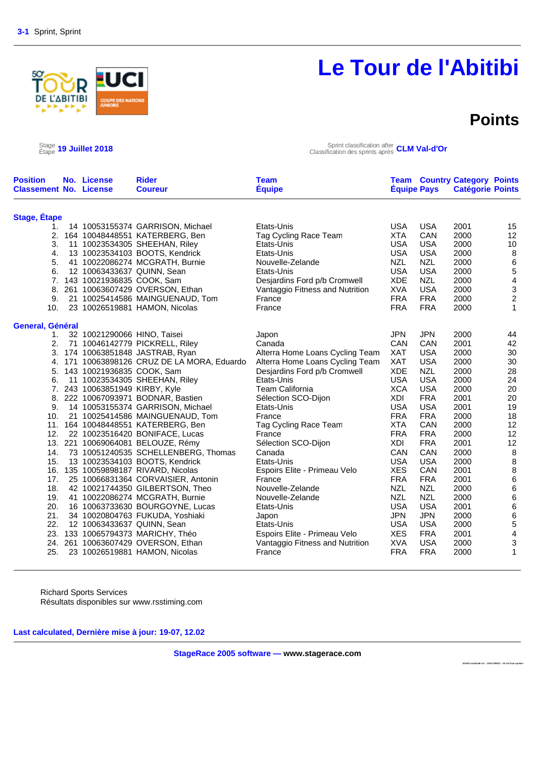# D :∆BITIBI

# **Le Tour de l'Abitibi**

### **Points**

**2018To urAbitibi.str : 1291739922 : V3.24 final up date** 

 $\frac{\text{Stage}}{\text{Etape}}$  19 Juillet 2018

Étape **19 Juillet 2018** Sprint classification after Classification des sprints après **CLM Val-d'Or**

| <b>Position</b><br><b>Classement No. License</b> | No. License                    | <b>Rider</b><br><b>Coureur</b>              | Team<br><b>Équipe</b>           | <b>Équipe Pays</b> |            | <b>Team Country Category Points</b><br><b>Catégorie Points</b> |                         |
|--------------------------------------------------|--------------------------------|---------------------------------------------|---------------------------------|--------------------|------------|----------------------------------------------------------------|-------------------------|
| <b>Stage, Étape</b>                              |                                |                                             |                                 |                    |            |                                                                |                         |
| 1.                                               |                                | 14 10053155374 GARRISON, Michael            | Etats-Unis                      | <b>USA</b>         | <b>USA</b> | 2001                                                           | 15                      |
| 2.                                               |                                | 164 10048448551 KATERBERG, Ben              | Tag Cycling Race Team           | <b>XTA</b>         | CAN        | 2000                                                           | 12                      |
| 3.                                               |                                | 11 10023534305 SHEEHAN, Riley               | Etats-Unis                      | <b>USA</b>         | <b>USA</b> | 2000                                                           | 10                      |
| 4.                                               |                                | 13 10023534103 BOOTS, Kendrick              | Etats-Unis                      | <b>USA</b>         | <b>USA</b> | 2000                                                           | 8                       |
| 5.                                               |                                | 41 10022086274 MCGRATH, Burnie              | Nouvelle-Zelande                | <b>NZL</b>         | <b>NZL</b> | 2000                                                           | $\,6\,$                 |
| 6.                                               | 12 10063433637 QUINN, Sean     |                                             | Etats-Unis                      | <b>USA</b>         | <b>USA</b> | 2000                                                           | 5                       |
| 7.                                               | 143 10021936835 COOK, Sam      |                                             | Desjardins Ford p/b Cromwell    | <b>XDE</b>         | <b>NZL</b> | 2000                                                           | $\overline{\mathbf{4}}$ |
| 8.                                               |                                | 261 10063607429 OVERSON, Ethan              | Vantaggio Fitness and Nutrition | <b>XVA</b>         | <b>USA</b> | 2000                                                           | $\,$ 3 $\,$             |
| 9.                                               |                                | 21 10025414586 MAINGUENAUD, Tom             | France                          | <b>FRA</b>         | <b>FRA</b> | 2000                                                           | $\overline{c}$          |
| 10.                                              |                                | 23 10026519881 HAMON, Nicolas               | France                          | <b>FRA</b>         | <b>FRA</b> | 2000                                                           | $\mathbf{1}$            |
| General, Général                                 |                                |                                             |                                 |                    |            |                                                                |                         |
| 1.                                               | 32 10021290066 HINO, Taisei    |                                             | Japon                           | <b>JPN</b>         | <b>JPN</b> | 2000                                                           | 44                      |
| 2.                                               |                                | 71 10046142779 PICKRELL, Riley              | Canada                          | CAN                | <b>CAN</b> | 2001                                                           | 42                      |
|                                                  |                                | 3. 174 10063851848 JASTRAB, Ryan            | Alterra Home Loans Cycling Team | <b>XAT</b>         | <b>USA</b> | 2000                                                           | 30                      |
|                                                  |                                | 4. 171 10063898126 CRUZ DE LA MORA, Eduardo | Alterra Home Loans Cycling Team | <b>XAT</b>         | <b>USA</b> | 2000                                                           | 30                      |
|                                                  | 5. 143 10021936835 COOK, Sam   |                                             | Desjardins Ford p/b Cromwell    | <b>XDE</b>         | <b>NZL</b> | 2000                                                           | 28                      |
| 6.                                               |                                | 11 10023534305 SHEEHAN, Riley               | Etats-Unis                      | <b>USA</b>         | <b>USA</b> | 2000                                                           | 24                      |
|                                                  | 7. 243 10063851949 KIRBY, Kyle |                                             | <b>Team California</b>          | <b>XCA</b>         | <b>USA</b> | 2000                                                           | 20                      |
| 8.                                               |                                | 222 10067093971 BODNAR, Bastien             | Sélection SCO-Dijon             | <b>XDI</b>         | <b>FRA</b> | 2001                                                           | 20                      |
| 9.                                               |                                | 14 10053155374 GARRISON, Michael            | Etats-Unis                      | <b>USA</b>         | <b>USA</b> | 2001                                                           | 19                      |
| 10.                                              |                                | 21 10025414586 MAINGUENAUD, Tom             | France                          | <b>FRA</b>         | <b>FRA</b> | 2000                                                           | 18                      |
|                                                  |                                | 11. 164 10048448551 KATERBERG, Ben          | Tag Cycling Race Team           | <b>XTA</b>         | <b>CAN</b> | 2000                                                           | 12                      |
| 12.                                              |                                | 22 10023516420 BONIFACE, Lucas              | France                          | <b>FRA</b>         | <b>FRA</b> | 2000                                                           | 12                      |
|                                                  |                                | 13. 221 10069064081 BELOUZE, Rémy           | Sélection SCO-Dijon             | XDI                | <b>FRA</b> | 2001                                                           | 12                      |
| 14.                                              |                                | 73 10051240535 SCHELLENBERG, Thomas         | Canada                          | CAN                | CAN        | 2000                                                           | $\, 8$                  |
| 15.                                              |                                | 13 10023534103 BOOTS, Kendrick              | Etats-Unis                      | <b>USA</b>         | <b>USA</b> | 2000                                                           | $\, 8$                  |
|                                                  |                                | 16. 135 10059898187 RIVARD, Nicolas         | Espoirs Elite - Primeau Velo    | <b>XES</b>         | CAN        | 2001                                                           | $\,8\,$                 |
| 17.                                              |                                | 25 10066831364 CORVAISIER, Antonin          | France                          | <b>FRA</b>         | <b>FRA</b> | 2001                                                           | $\,6$                   |
| 18.                                              |                                | 42 10021744350 GILBERTSON, Theo             | Nouvelle-Zelande                | <b>NZL</b>         | <b>NZL</b> | 2000                                                           | 6                       |
| 19.                                              |                                | 41 10022086274 MCGRATH, Burnie              | Nouvelle-Zelande                | <b>NZL</b>         | <b>NZL</b> | 2000                                                           | 6                       |
| 20.                                              |                                | 16 10063733630 BOURGOYNE, Lucas             | Etats-Unis                      | <b>USA</b>         | <b>USA</b> | 2001                                                           | $\,6$                   |
| 21.                                              |                                | 34 10020804763 FUKUDA, Yoshiaki             | Japon                           | <b>JPN</b>         | <b>JPN</b> | 2000                                                           | $\,6\,$                 |
| 22.                                              | 12 10063433637 QUINN, Sean     |                                             | Etats-Unis                      | <b>USA</b>         | <b>USA</b> | 2000                                                           | 5                       |
| 23.                                              |                                | 133 10065794373 MARICHY, Théo               | Espoirs Elite - Primeau Velo    | <b>XES</b>         | <b>FRA</b> | 2001                                                           | 4                       |
| 24.                                              |                                | 261 10063607429 OVERSON, Ethan              | Vantaggio Fitness and Nutrition | <b>XVA</b>         | <b>USA</b> | 2000                                                           | 3                       |
| 25.                                              |                                | 23 10026519881 HAMON, Nicolas               | France                          | <b>FRA</b>         | <b>FRA</b> | 2000                                                           | $\mathbf{1}$            |

Richard Sports Services Résultats disponibles sur www.rsstiming.com

**Last calculated, Dernière mise à jour: 19-07, 12.02**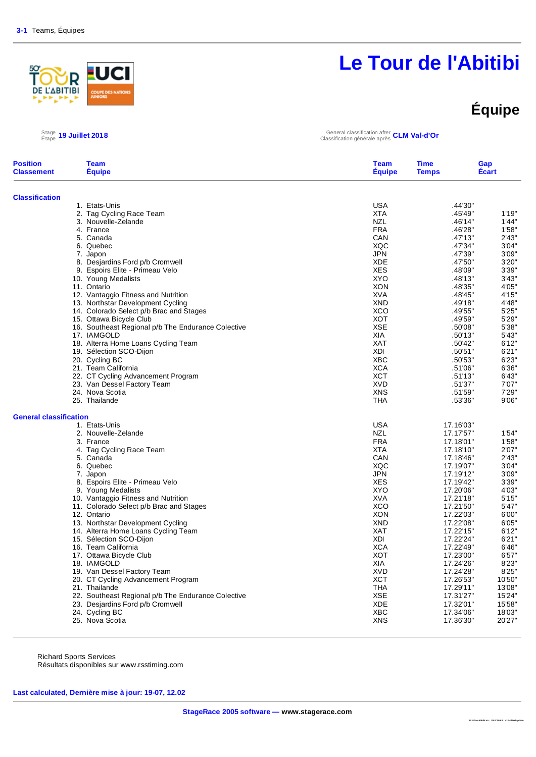### <u>우</u> R **ABITIBI**

# **Le Tour de l'Abitibi**

# **Équipe**

### $\frac{\text{Stage}}{\text{Étape}}$  19 Juillet 2018

Étape **19 Juillet 2018** General classification after Classification générale après **CLM Val-d'Or**

| <b>Position</b><br><b>Classement</b> | <b>Team</b><br><b>Équipe</b>                       | <b>Team</b><br><b>Équipe</b> | <b>Time</b><br><b>Temps</b> | Gap<br><b>Écart</b> |  |
|--------------------------------------|----------------------------------------------------|------------------------------|-----------------------------|---------------------|--|
| <b>Classification</b>                |                                                    |                              |                             |                     |  |
|                                      | 1. Etats-Unis                                      | <b>USA</b>                   | .44'30"                     |                     |  |
|                                      | 2. Tag Cycling Race Team                           | <b>XTA</b>                   | .45'49"                     | 1'19"               |  |
|                                      | 3. Nouvelle-Zelande                                | <b>NZL</b>                   | .46'14"                     | 1'44"               |  |
|                                      | 4. France                                          | <b>FRA</b>                   | .46'28"                     | 1'58"               |  |
|                                      | 5. Canada                                          | CAN                          | .47'13"                     | 2'43'               |  |
|                                      | 6. Quebec                                          | XQC                          | .47'34"                     | 3'04"               |  |
|                                      | 7. Japon                                           | <b>JPN</b>                   | .47'39"                     | 3'09"               |  |
|                                      | 8. Desjardins Ford p/b Cromwell                    | <b>XDE</b>                   | .47'50"                     | 3'20"               |  |
|                                      | 9. Espoirs Elite - Primeau Velo                    | <b>XES</b>                   | .48'09"                     | 3'39"               |  |
|                                      | 10. Young Medalists                                | <b>XYO</b>                   | .48'13"                     | 3'43"               |  |
|                                      | 11. Ontario                                        | <b>XON</b>                   | .48'35"                     | 4'05"               |  |
|                                      | 12. Vantaggio Fitness and Nutrition                | <b>XVA</b>                   | .48'45"                     | 4'15"               |  |
|                                      | 13. Northstar Development Cycling                  | <b>XND</b>                   | .49'18"                     | 4'48"               |  |
|                                      | 14. Colorado Select p/b Brac and Stages            | <b>XCO</b>                   | .49'55"                     | 5'25"               |  |
|                                      | 15. Ottawa Bicycle Club                            | <b>XOT</b>                   | .49'59"                     | 5'29"               |  |
|                                      | 16. Southeast Regional p/b The Endurance Colective | <b>XSE</b>                   | .50'08"                     | 5'38"               |  |
|                                      | 17. IAMGOLD                                        | <b>XIA</b>                   | .50'13"                     | 5'43"               |  |
|                                      | 18. Alterra Home Loans Cycling Team                | <b>XAT</b>                   | .50'42"                     | 6'12"               |  |
|                                      | 19. Sélection SCO-Dijon                            | <b>XDI</b>                   | .50'51"                     | 6'21"               |  |
|                                      | 20. Cycling BC                                     | <b>XBC</b>                   | .50'53"                     | 6'23"               |  |
|                                      | 21. Team California                                | <b>XCA</b>                   | .51'06"                     | 6'36"               |  |
|                                      | 22. CT Cycling Advancement Program                 | <b>XCT</b>                   | .51'13"                     | 6'43"               |  |
|                                      | 23. Van Dessel Factory Team                        | <b>XVD</b>                   | .51'37"                     | 7'07"               |  |
|                                      | 24. Nova Scotia                                    | <b>XNS</b>                   | .51'59"                     | 7'29"               |  |
|                                      | 25. Thailande                                      | THA                          | .53'36"                     | 9'06"               |  |
| <b>General classification</b>        |                                                    |                              |                             |                     |  |
|                                      | 1. Etats-Unis                                      | <b>USA</b>                   | 17.16'03"                   |                     |  |
|                                      | 2. Nouvelle-Zelande                                | <b>NZL</b>                   | 17.17'57"                   | 1'54"               |  |
|                                      | 3. France                                          | <b>FRA</b>                   | 17.18'01"                   | 1'58"               |  |
|                                      | 4. Tag Cycling Race Team                           | <b>XTA</b>                   | 17.18'10"                   | 2'07"               |  |
|                                      | 5. Canada                                          | CAN                          | 17.18'46"                   | 2'43"               |  |
|                                      | 6. Quebec                                          | <b>XQC</b>                   | 17.19'07"                   | 3'04"               |  |
|                                      | 7. Japon                                           | JPN                          | 17.19'12"                   | 3'09"               |  |
|                                      | 8. Espoirs Elite - Primeau Velo                    | <b>XES</b>                   | 17.19'42"                   | 3'39"               |  |
|                                      | 9. Young Medalists                                 | <b>XYO</b>                   | 17.20'06"                   | 4'03"               |  |
|                                      | 10. Vantaggio Fitness and Nutrition                | <b>XVA</b>                   | 17.21'18"                   | 5'15"               |  |
|                                      | 11. Colorado Select p/b Brac and Stages            | <b>XCO</b>                   | 17.21'50"                   | 5'47"               |  |
|                                      | 12. Ontario                                        | XON                          | 17.22'03"                   | 6'00"               |  |
|                                      | 13. Northstar Development Cycling                  | <b>XND</b>                   | 17.22'08"                   | 6'05"               |  |
|                                      | 14. Alterra Home Loans Cycling Team                | <b>XAT</b>                   | 17.22'15"                   | 6'12"               |  |
|                                      | 15. Sélection SCO-Dijon                            | <b>XDI</b>                   | 17.22'24"                   | 6'21"               |  |
|                                      | 16. Team California                                | <b>XCA</b>                   | 17.22'49"                   | 6'46"               |  |
|                                      | 17. Ottawa Bicycle Club                            | <b>XOT</b>                   | 17.23'00"                   | 6'57"               |  |
|                                      | 18. IAMGOLD                                        | XIA                          | 17.24'26"                   | 8'23"               |  |
|                                      | 19. Van Dessel Factory Team                        | <b>XVD</b>                   | 17.24'28"                   | 8'25"               |  |
|                                      | 20. CT Cycling Advancement Program                 | <b>XCT</b>                   | 17.26'53"                   | 10'50"              |  |
|                                      | 21. Thailande                                      | <b>THA</b>                   | 17.29'11"                   | 13'08'              |  |
|                                      | 22. Southeast Regional p/b The Endurance Colective | <b>XSE</b>                   | 17.31'27"                   | 15'24"              |  |
|                                      | 23. Desjardins Ford p/b Cromwell                   | <b>XDE</b>                   | 17.32'01"                   | 15'58"              |  |
|                                      | 24. Cycling BC                                     | <b>XBC</b>                   | 17.34'06"                   | 18'03'              |  |
|                                      | 25. Nova Scotia                                    | <b>XNS</b>                   | 17.36'30"                   | 20'27"              |  |

Richard Sports Services Résultats disponibles sur www.rsstiming.com

**Last calculated, Dernière mise à jour: 19-07, 12.02**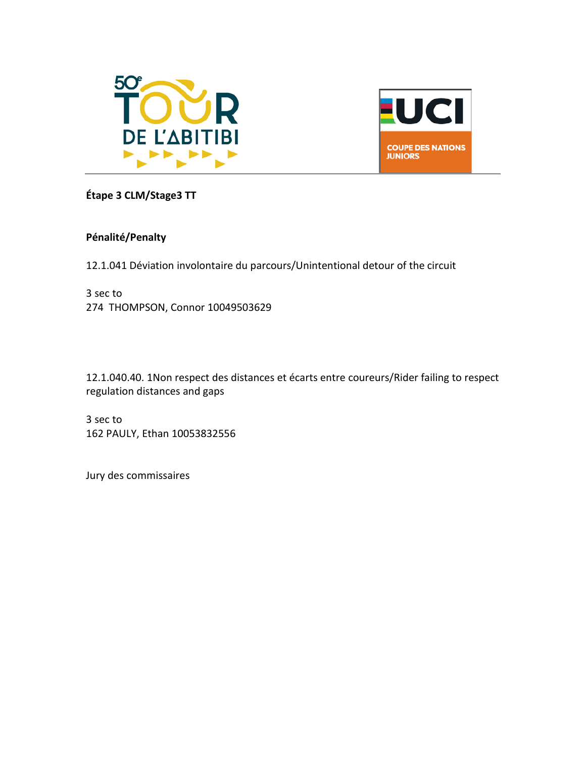



#### **Étape 3 CLM/Stage3 TT**

#### **Pénalité/Penalty**

12.1.041 Déviation involontaire du parcours/Unintentional detour of the circuit

3 sec to 274 THOMPSON, Connor 10049503629

12.1.040.40. 1Non respect des distances et écarts entre coureurs/Rider failing to respect regulation distances and gaps

3 sec to 162 PAULY, Ethan 10053832556

Jury des commissaires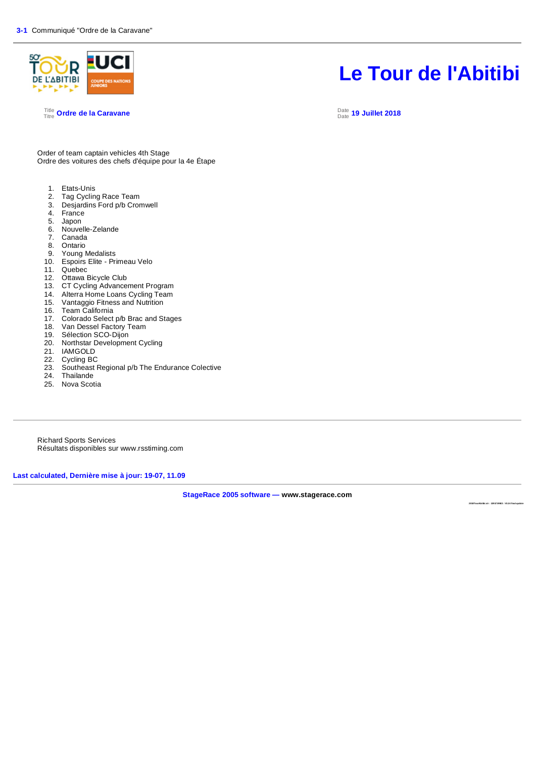

#### <sup>Title</sup> Ordre de la Caravane de la Caravane de la contra la contra la contra la contra la contra la contra la co<br>Titre ordre de la Caravane

# **Le Tour de l'Abitibi**

Date **19 Juillet 2018**

Order of team captain vehicles 4th Stage Ordre des voitures des chefs d'équipe pour la 4e Étape

- 1. Etats-Unis<br>2. Tag Cyclin
- 2. Tag Cycling Race Team<br>3. Desiardins Ford p/b Cror
- 3. Desjardins Ford p/b Cromwell
- 4. France
- 5. Japon
- 6. Nouvelle-Zelande
- **Canada**
- 8. Ontario
- 9. Young Medalists
- 10. Espoirs Elite Primeau Velo
- 11. Quebec
- 12. Ottawa Bicycle Club
- 13. CT Cycling Advancement Program
- 14. Alterra Home Loans Cycling Team<br>15. Vantaggio Fitness and Nutrition
- Vantaggio Fitness and Nutrition
- 
- 16. Team California<br>17. Colorado Select<br>18. Van Dessel Fact Colorado Select p/b Brac and Stages
- Van Dessel Factory Team
- 19. Sélection SCO-Dijon
- 20. Northstar Development Cycling
- 21. IAMGOLD
- 22. Cycling BC
- 23. Southeast Regional p/b The Endurance Colective
- 24. Thailande
- 25. Nova Scotia

Richard Sports Services Résultats disponibles sur www.rsstiming.com

**Last calculated, Dernière mise à jour: 19-07, 11.09** 

**StageRace 2005 software — www.stagerace.com** 

**2018TourAbitibi.str : 1291739922 : V3.24 final update**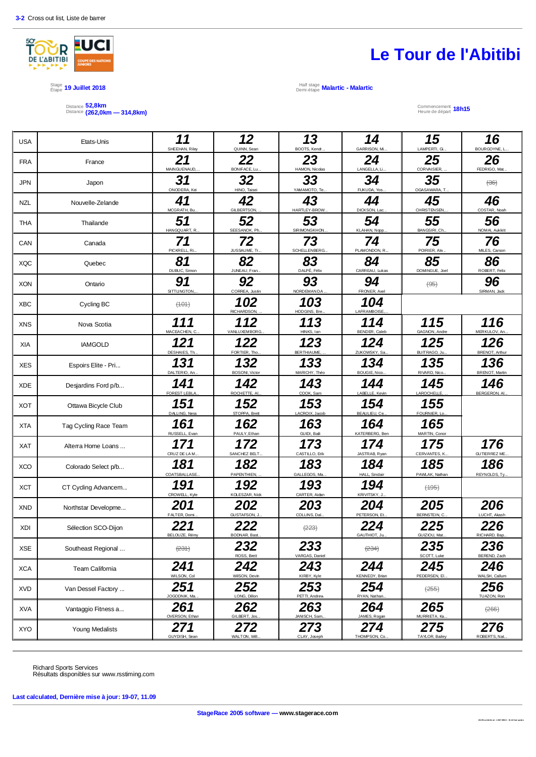

#### Stage 19 Juillet 2018<br>Étape 19 Juillet 2018

Distance Distance **52,8km (262,0km — 314,8km)**

### **Le Tour de l'Abitibi**

Demi-étape **Malartic - Malartic**

Commencement Heure de départ **18h15**

| <b>USA</b> | Etats-Unis            | 11<br>SHEEHAN, Riley  | 12<br>QUINN, Sean             | 13<br>BOOTS, Kendr.   | 14<br>GARRISON, Mi.          | 15<br>LAMPERTI, Gi.      | 16<br>BOURGOYNE, L.          |
|------------|-----------------------|-----------------------|-------------------------------|-----------------------|------------------------------|--------------------------|------------------------------|
| <b>FRA</b> | France                | 21<br>MAINGUENAUD,    | 22<br>BONIFACE, Lu.           | 23<br>HAMON, Nicolas  | 24<br>LANGELLA, Li           | 25<br>CORVAISIER,        | 26<br>FEDRIGO, Mat.          |
| <b>JPN</b> | Japon                 | 31<br>ONODERA, Kei    | 32<br>HINO, Taisei            | 33<br>YAMAMOTO, Te.   | 34<br>FUKUDA, Yos            | 35<br>OGASAWARA, T.      | $\leftrightarrow$            |
| <b>NZL</b> | Nouvelle-Zelande      | 41<br>MCGRATH, Bu.    | 42<br><b>GILBERTSON</b>       | 43<br>HARTLEY-BROW    | 44<br>DICKSON, Lac.          | 45<br><b>CHRISTENSEN</b> | 46<br>COSTAR, Noah           |
| <b>THA</b> | Thailande             | 51<br>HANGQUART, R.   | 52<br>SEESANOK, Ph.           | 53<br>SIRIMONGKHON.   | 54<br>KLAHAN, Nopp.          | 55<br>BANGSIRI, Ch.      | 56<br>NOMAI, Aukkrit         |
| CAN        | Canada                | 71<br>PICKRELL, Ri.   | 72<br>JUSSAUME, Tr            | 73<br>SCHELLENBERG.   | 74<br>PLAMONDON, R.          | 75<br>POIRIER, Ale.      | 76<br>MILES, Carson          |
| <b>XQC</b> | Quebec                | 81<br>DUBUC, Simon    | 82<br>JUNEAU, Fran.           | 83<br>DALPÉ, Félix    | 84<br>CARREAU, Lukas         | 85<br>DOMINGUE, Joel     | 86<br>ROBERT, Felix          |
| <b>XON</b> | Ontario               | 91<br>SITTLINGTON.    | 92<br>CORREA, Justin          | 93<br>NORDEMAN DA     | 94<br>FRONER, Axe            | $\left( \Theta$          | 96<br>SIRMAN, Jack           |
| <b>XBC</b> | Cycling BC            | (101)                 | 102<br><b>RICHARDSON</b>      | 103<br>HODGINS, Bre.  | 104<br><b>LAFRAMBOISE</b>    |                          |                              |
| <b>XNS</b> | Nova Scotia           | 111<br>MACEACHEN, C.  | 112<br>VANLUXEMBORG.          | 113<br>HINKS, Ian     | 114<br>BENDER, Caleb         | 115<br>GAGNON, Andre     | 116<br>MERKULOV, An.         |
| XIA        | <b>IAMGOLD</b>        | 121<br>DESHAIES, Th.  | 122<br>FORTIER. Tho.          | 123<br>BERTHIAUME,    | 124<br>ZUKOWSKY, Sa.         | 125<br>BUITRAGO, Ju.     | 126<br><b>BRENOT, Arthur</b> |
| <b>XES</b> | Espoirs Elite - Pri   | 131<br>DALTERIO, An   | 132<br><b>BOSONI</b> , Victor | 133<br>MARICHY, Théo  | 134<br><b>BOUGIE, Nico</b>   | 135<br>RIVARD, Nico.     | 136<br><b>BRENOT, Martin</b> |
| <b>XDE</b> | Desjardins Ford p/b   | 141<br>FOREST LEBLA   | 142<br>ROCHETTE, AI           | 143<br>COOK, Sam      | 144<br>LABELLE, Kevin        | 145<br>LAROCHELLE,       | 146<br><b>BERGERON, AI</b>   |
| <b>XOT</b> | Ottawa Bicycle Club   | 151<br>DALLING, Ness  | 152<br>STOPPA, Brett          | 153<br>LACROIX, Jacob | 154<br>BEAULIEU, Ce          | 155<br>FOURNIER, Lo.     |                              |
| <b>XTA</b> | Tag Cycling Race Team | 161<br>RUSSELL, Evan  | 162<br>PAULY, Ethar           | 163<br>GUIDI, Bali    | 164<br>KATERBERG, Ben        | 165<br>MARTIN, Conor     |                              |
| XAT        | Alterra Home Loans    | 171<br>CRUZ DE LA M.  | 172<br>SANCHEZ BELT           | 173<br>CASTILLO, Erik | 174<br>JASTRAB, Ryan         | 175<br>CERVANTES, K.,    | 176<br>GUTIERREZ ME.         |
| <b>XCO</b> | Colorado Select p/b   | 181<br>COATSBALLASE.  | 182<br>PAPENTHIEN,            | 183<br>GALLEGOS, Ma   | 184<br><b>HALL, Sinclair</b> | 185<br>PAWLAK, Nathan    | 186<br>REYNOLDS, Ty.         |
| <b>XCT</b> | CT Cyding Advancem    | 191<br>CROWELL, Kyle  | 192<br>KOLESZAR, Nick         | 193<br>CARTER, Aidan  | 194<br>KRIVITSKY, J.         | (195)                    |                              |
| <b>XND</b> | Northstar Developme   | 201<br>FALTER, Domi   | 202<br>GUSTAFSON, J.          | 203<br>COLLINS, Dal.  | 204<br>PETERSON, Et.         | 205<br>BERNSTEIN, C.     | 206<br>LUCHT, Akash          |
| XDI        | Sélection SCO-Dijon   | 221<br>BELOUZE, Rémy  | 222<br>BODNAR, Bast.          | (223)                 | 224<br>GAUTHIOT, Ju.         | 225<br>GUIZIOU, Mat.     | 226<br>RICHARD, Bap          |
| XSE        | Southeast Regional    | $\left( 231 \right)$  | 232<br>ROSS, Brett            | 233<br>VARGAS, Danie  | $(234)$                      | 235<br>SCOTT, Luke       | 236<br>BEREND, Zach          |
| <b>XCA</b> | Team California       | 241<br>WILSON, Col    | 242<br>WilSON, Devin          | 243<br>KIRBY, Kyle    | 244<br>KENNEDY, Brian        | 245<br>PEDERSEN, EI.     | 246<br>WALSH, Callum         |
| <b>XVD</b> | Van Dessel Factory    | 251<br>JOGODNIK, Ma.  | 252<br>LONG, Dillon           | 253<br>PETTI, Andrew  | 254<br>RYAN, Nathar          | (255)                    | 256<br>TUAZON, Ron           |
| <b>XVA</b> | Vantaggio Fitness a   | 261<br>OVERSON, Ethan | 262<br>GILBERT, Jos           | 263<br>JANISCH, Sam.  | 264<br>JAMES, Rogan          | 265<br>MURRIETA, Ka.     | (266)                        |
| <b>XYO</b> | Young Medalists       | 271<br>GUYDISH, Sean  | 272<br>WALTON, Will.          | 273<br>CLAY, Joseph   | 274<br>THOMPSON, Co.         | 275<br>TAYLOR, Bailey    | 276<br>ROBERTS, Nat.         |

Richard Sports Services Résultats disponibles sur www.rsstiming.com

**Last calculated, Dernière mise à jour: 19-07, 11.09**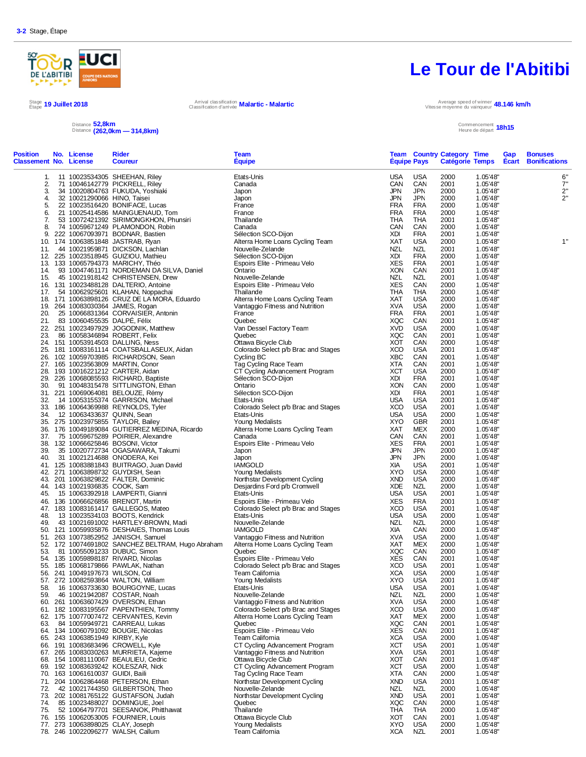

Distance Distance **52,8km (262,0km — 314,8km)**

### **Le Tour de l'Abitibi**

Stage 19 Juillet 2018<br>Étape 19 Juillet 2018 Arrival classification **Malartic - Malartic** Classification d'arrivée Vitesse moyenne du vainqueur **48.146 km/h**

#### Commencement Heure de départ **18h15**

| <b>Position</b><br><b>Classement No. License</b> | No. License                      | <b>Rider</b><br><b>Coureur</b>                                                                                                                                                                                                                                                          | <b>Team</b><br><b>Equipe</b>                                                                                                                                                                                                                              |                          | <b>Equipe Pays</b>       | <b>Team Country Category Time</b> |                      | Gap | <b>Bonuses</b><br><b>Catégorie Temps Ecart Bonifications</b> |
|--------------------------------------------------|----------------------------------|-----------------------------------------------------------------------------------------------------------------------------------------------------------------------------------------------------------------------------------------------------------------------------------------|-----------------------------------------------------------------------------------------------------------------------------------------------------------------------------------------------------------------------------------------------------------|--------------------------|--------------------------|-----------------------------------|----------------------|-----|--------------------------------------------------------------|
| 1.                                               |                                  | 11 10023534305 SHEEHAN, Riley                                                                                                                                                                                                                                                           | Etats-Unis                                                                                                                                                                                                                                                | <b>USA</b>               | USA                      | 2000                              | 1.05'48"             |     | 6"                                                           |
| 2.                                               |                                  | 71 10046142779 PICKRELL, Riley                                                                                                                                                                                                                                                          | Canada                                                                                                                                                                                                                                                    | CAN                      | CAN                      | 2001                              | 1.05'48"             |     | 7"                                                           |
| 3.                                               |                                  | 34 10020804763 FUKUDA, Yoshiaki                                                                                                                                                                                                                                                         | Japon                                                                                                                                                                                                                                                     | <b>JPN</b>               | <b>JPN</b>               | 2000                              | 1.05'48"             |     | 2"                                                           |
| 4.                                               | 32 10021290066 HINO, Taisei      |                                                                                                                                                                                                                                                                                         | Japon                                                                                                                                                                                                                                                     | <b>JPN</b>               | <b>JPN</b>               | 2000                              | 1.05'48"             |     | 2"                                                           |
| 5.<br>6.                                         |                                  | 22 10023516420 BONIFACE, Lucas<br>21 10025414586 MAINGUENAUD, Tom                                                                                                                                                                                                                       | France<br>France                                                                                                                                                                                                                                          | <b>FRA</b><br><b>FRA</b> | <b>FRA</b><br>FRA        | 2000<br>2000                      | 1.05'48"<br>1.05'48" |     |                                                              |
| 7.                                               |                                  | 53 10072421392 SIRIMONGKHON, Phunsiri                                                                                                                                                                                                                                                   | Thailande                                                                                                                                                                                                                                                 | THA                      | THA                      | 2001                              | 1.05'48"             |     |                                                              |
| 8.                                               |                                  | 74 10059671249 PLAMONDON, Robin                                                                                                                                                                                                                                                         | Canada                                                                                                                                                                                                                                                    | CAN                      | CAN                      | 2000                              | 1.05'48"             |     |                                                              |
| 9.                                               |                                  | 222 10067093971 BODNAR, Bastien                                                                                                                                                                                                                                                         | Sélection SCO-Dijon                                                                                                                                                                                                                                       | XDI                      | FRA                      | 2001                              | 1.05'48"             |     |                                                              |
|                                                  |                                  | 10. 174 10063851848 JASTRAB, Ryan                                                                                                                                                                                                                                                       | Sietuon Socioling<br>Altera Home Loans Cycling Team<br>Nouvelle-Zelande<br>Sélection SCO-Dijon<br>Espois Elite - Primeau Velo<br>Ontario<br>Nouvelle-Zelande                                                                                              | XAT                      | <b>USA</b>               | 2000                              | 1.05'48"             |     | 1"                                                           |
| 11.                                              |                                  | 44 10021959871 DICKSON, Lachlan                                                                                                                                                                                                                                                         |                                                                                                                                                                                                                                                           | NZL                      | <b>NZL</b>               | 2001                              | 1.05'48"             |     |                                                              |
|                                                  |                                  | 12. 225 10023518945 GUIZIOU, Mathieu                                                                                                                                                                                                                                                    |                                                                                                                                                                                                                                                           | XDI                      | <b>FRA</b>               | 2000                              | 1.05'48"             |     |                                                              |
|                                                  |                                  | 13. 133 10065794373 MARICHY, Théo                                                                                                                                                                                                                                                       |                                                                                                                                                                                                                                                           | <b>XES</b>               | <b>FRA</b>               | 2001                              | 1.05'48"             |     |                                                              |
| 14.                                              |                                  | 93 10047461171 NORDEMAN DA SILVA, Daniel                                                                                                                                                                                                                                                |                                                                                                                                                                                                                                                           | <b>XON</b>               | CAN                      | 2001                              | 1.05'48"             |     |                                                              |
| 15.                                              |                                  | 45 10021918142 CHRISTENSEN, Drew                                                                                                                                                                                                                                                        | Nouvelle-Zelande                                                                                                                                                                                                                                          | <b>NZL</b>               | <b>NZL</b>               | 2001                              | 1.05'48"             |     |                                                              |
|                                                  |                                  | 16. 131 10023488128 DALTERIO, Antoine                                                                                                                                                                                                                                                   | Nouvelle-Zelande<br>Espoirs Elite - Primeau Velo<br>Thailande<br>Alterra Home Loans Cycling Team<br>Vantaggio Fitness and Nutrition<br>France<br>Quebec                                                                                                   | <b>XES</b>               | CAN                      | 2000                              | 1.05'48"             |     |                                                              |
| 17.                                              |                                  | 54 10062925601 KLAHAN, Noppachai                                                                                                                                                                                                                                                        |                                                                                                                                                                                                                                                           | THA                      | THA                      | 2000                              | 1.05'48"             |     |                                                              |
|                                                  |                                  | 18. 171 10063898126 CRUZ DE LA MORA, Eduardo                                                                                                                                                                                                                                            |                                                                                                                                                                                                                                                           | XAT                      | <b>USA</b>               | 2000                              | 1.05'48"             |     |                                                              |
|                                                  |                                  | 19. 264 10083030364 JAMES, Rogan                                                                                                                                                                                                                                                        |                                                                                                                                                                                                                                                           | XVA                      | <b>USA</b>               | 2000                              | 1.05'48"             |     |                                                              |
| 20.                                              |                                  | 25 10066831364 CORVAISIER, Antonin                                                                                                                                                                                                                                                      |                                                                                                                                                                                                                                                           | <b>FRA</b>               | <b>FRA</b>               | 2001                              | 1.05'48"             |     |                                                              |
| 21.                                              | 83 10060455535 DALPE, Félix      |                                                                                                                                                                                                                                                                                         |                                                                                                                                                                                                                                                           | XQC                      | CAN                      | 2001                              | 1.05'48"             |     |                                                              |
|                                                  |                                  | 22. 251 10023497929 JOGODNIK, Matthew                                                                                                                                                                                                                                                   |                                                                                                                                                                                                                                                           | <b>XVD</b>               | <b>USA</b>               | 2000                              | 1.05'48"             |     |                                                              |
| 23.                                              |                                  | 86 10058346894 ROBERT, Felix<br>24. 151 10053914503 DALLING, Ness                                                                                                                                                                                                                       |                                                                                                                                                                                                                                                           | XQC<br><b>XOT</b>        | CAN<br>CAN               | 2001<br>2000                      | 1.05'48"<br>1.05'48" |     |                                                              |
|                                                  |                                  | 25. 181 10083161114 COATSBALLASEUX, Aidan                                                                                                                                                                                                                                               |                                                                                                                                                                                                                                                           | XCO                      | <b>USA</b>               | 2001                              | 1.05'48"             |     |                                                              |
|                                                  |                                  | 26. 102 10059703985 RICHARDSON, Sean                                                                                                                                                                                                                                                    |                                                                                                                                                                                                                                                           | <b>XBC</b>               | CAN                      | 2001                              | 1.05'48"             |     |                                                              |
|                                                  |                                  | 27. 165 10023563809 MARTIN, Conor                                                                                                                                                                                                                                                       | Quebec<br>Van Dessel Factory Team<br>Quebec<br>Quebec<br>Cltawa Bicycle Club<br>Colorado Select p/b Brac and Stages<br>Cycling BC<br>Tag Cycling Race Team<br>Sélection SCO-Dijon<br>Ontario<br>Sélection SCO-Dijon<br>Ontario<br>Sélection SCO-Dijon<br> | <b>XTA</b>               | CAN                      | 2001                              | 1.05'48"             |     |                                                              |
|                                                  |                                  | 28. 193 10016221212 CARTER, Aidan                                                                                                                                                                                                                                                       |                                                                                                                                                                                                                                                           | <b>XCT</b>               | USA                      | 2000                              | 1.05'48"             |     |                                                              |
|                                                  |                                  | 29. 226 10068085593 RICHARD, Baptiste                                                                                                                                                                                                                                                   |                                                                                                                                                                                                                                                           | XDI                      | FRA                      | 2001                              | 1.05'48"             |     |                                                              |
| 30.                                              |                                  | 91 10048315478 SITTLINGTON, Ethan                                                                                                                                                                                                                                                       |                                                                                                                                                                                                                                                           | <b>XON</b>               | CAN                      | 2000                              | 1.05'48"             |     |                                                              |
|                                                  |                                  | 31. 221 10069064081 BELOUZE, Rémy                                                                                                                                                                                                                                                       |                                                                                                                                                                                                                                                           | XDI                      | FRA                      | 2001                              | 1.05'48"             |     |                                                              |
| 32.                                              |                                  | 14 10053155374 GARRISON, Michael                                                                                                                                                                                                                                                        |                                                                                                                                                                                                                                                           | <b>USA</b>               | <b>USA</b>               | 2001                              | 1.05'48"             |     |                                                              |
|                                                  |                                  | 33. 186 10064369988 REYNOLDS, Tyler                                                                                                                                                                                                                                                     |                                                                                                                                                                                                                                                           | XCO                      | USA                      | 2001                              | 1.05'48"             |     |                                                              |
| 34.                                              | 12 10063433637 QUINN, Sean       |                                                                                                                                                                                                                                                                                         |                                                                                                                                                                                                                                                           | <b>USA</b>               | <b>USA</b>               | 2000                              | 1.05'48"             |     |                                                              |
|                                                  |                                  | 35. 275 10023975855 TAYLOR, Bailey                                                                                                                                                                                                                                                      |                                                                                                                                                                                                                                                           | <b>XYO</b>               | <b>GBR</b>               | 2001                              | 1.05'48"             |     |                                                              |
|                                                  |                                  | 36. 176 10049189084 GUTIERREZ MEDINA, Ricardo                                                                                                                                                                                                                                           |                                                                                                                                                                                                                                                           | XAT                      | <b>MEX</b>               | 2000                              | 1.05'48"             |     |                                                              |
| 37.                                              |                                  | 75 10059675289 POIRIER, Alexandre                                                                                                                                                                                                                                                       |                                                                                                                                                                                                                                                           | CAN                      | CAN                      | 2001                              | 1.05'48"             |     |                                                              |
|                                                  |                                  | 38. 132 10066625846 BOSONI, Victor                                                                                                                                                                                                                                                      |                                                                                                                                                                                                                                                           | <b>XES</b>               | <b>FRA</b>               | 2001                              | 1.05'48"<br>1.05'48" |     |                                                              |
| 39.<br>40.                                       |                                  | 35 10020772734 OGASAWARA, Takumi<br>33 10021214688 ONODERA, Kel<br>125 10083881843 BUITRAGO, Juan David<br>271 10063898732 GUYDISH, Sean<br>201 10063829822 FALTER, Dominic<br>143 10021936835 COOK, Sam<br>15 10063392918 LAMPERTI, Gianni<br>136 10066626856 BRENOT, Martin<br>198 10 | Japon<br>Japon                                                                                                                                                                                                                                            | <b>JPN</b><br><b>JPN</b> | <b>JPN</b><br><b>JPN</b> | 2000<br>2000                      | 1.05'48"             |     |                                                              |
|                                                  |                                  | 41. 125 10083881843 BUITRAGO, Juan David                                                                                                                                                                                                                                                | pon<br>MGOLD<br>oung Medalists<br>dorthstar Development Cycling<br>Desjardins Ford p/b Cromwell<br>Etats-Unis<br>Espoirs Elite - Primeau Velo<br>Colorado Select p/b Brac and Stages<br>Ftats-Unis<br>Tats-Unis                                           | XIA                      | USA                      | 2001                              | 1.05'48"             |     |                                                              |
|                                                  |                                  | 42. 271 10063898732 GUYDISH, Sean                                                                                                                                                                                                                                                       |                                                                                                                                                                                                                                                           | <b>XYO</b>               | <b>USA</b>               | 2000                              | 1.05'48"             |     |                                                              |
|                                                  |                                  | 43. 201 10063829822 FALTER, Dominic                                                                                                                                                                                                                                                     |                                                                                                                                                                                                                                                           | <b>XND</b>               | <b>USA</b>               | 2000                              | 1.05'48"             |     |                                                              |
|                                                  | 44. 143 10021936835 COOK, Sam    |                                                                                                                                                                                                                                                                                         |                                                                                                                                                                                                                                                           | XDE                      | NZL                      | 2000                              | 1.05'48"             |     |                                                              |
| 45.                                              |                                  |                                                                                                                                                                                                                                                                                         |                                                                                                                                                                                                                                                           | USA                      | USA                      | 2001                              | 1.05'48"             |     |                                                              |
|                                                  |                                  | 46. 136 10066626856 BRENOT, Martin                                                                                                                                                                                                                                                      |                                                                                                                                                                                                                                                           | <b>XES</b>               | <b>FRA</b>               | 2001                              | 1.05'48"             |     |                                                              |
|                                                  |                                  | 47. 183 10083161417 GALLEGOS, Mateo                                                                                                                                                                                                                                                     |                                                                                                                                                                                                                                                           | XCO                      | <b>USA</b>               | 2001                              | 1.05'48"             |     |                                                              |
| 48.                                              |                                  | 13 10023534103 BOOTS, Kendrick                                                                                                                                                                                                                                                          |                                                                                                                                                                                                                                                           | USA                      | <b>USA</b>               | 2000                              | 1.05'48"             |     |                                                              |
| 49.                                              |                                  | 43 10021691002 HARTLEY-BROWN, Madi                                                                                                                                                                                                                                                      |                                                                                                                                                                                                                                                           | NZL                      | NZL                      | 2000                              | 1.05'48"             |     |                                                              |
|                                                  |                                  | 50. 121 10059935876 DESHAIES, Thomas Louis                                                                                                                                                                                                                                              |                                                                                                                                                                                                                                                           | XIA                      | CAN                      | 2000                              | 1.05'48"             |     |                                                              |
|                                                  |                                  | 51. 263 10073852952 JANISCH, Samuel                                                                                                                                                                                                                                                     | Havid CLD<br>Vantaggio Fitness and Nutrition<br>Alterra Home Loans Cycling Team<br>Cuebec<br>Espoirs Elite - Primeau Velo<br>Colorado Select p/b Brac and Stages<br>Team California                                                                       | XVA                      | <b>USA</b>               | 2000                              | 1.05'48"             |     |                                                              |
|                                                  |                                  | 52. 172 10074691802 SANCHEZ BELTRAM, Hugo Abraham                                                                                                                                                                                                                                       |                                                                                                                                                                                                                                                           | XAT                      | <b>MEX</b>               | 2000                              | 1.05'48"             |     |                                                              |
| 53.                                              |                                  | 81 10055091233 DUBUC, Simon                                                                                                                                                                                                                                                             |                                                                                                                                                                                                                                                           | XQC<br>XES               | CAN<br>CAN               | 2000                              | 1.05'48"             |     |                                                              |
|                                                  |                                  | 54. 135 10059898187 RIVARD, Nicolas<br>55. 185 10068179866 PAWLAK, Nathan                                                                                                                                                                                                               |                                                                                                                                                                                                                                                           | XCO                      | <b>USA</b>               | 2001<br>2001                      | 1.05'48"<br>1.05'48" |     |                                                              |
|                                                  | 56. 241 10049197673 WILSON, Col  |                                                                                                                                                                                                                                                                                         |                                                                                                                                                                                                                                                           | <b>XCA</b>               | <b>USA</b>               | 2000                              | 1.05'48"             |     |                                                              |
|                                                  |                                  | 57. 272 10082593864 WALTON, William                                                                                                                                                                                                                                                     | Young Medalists                                                                                                                                                                                                                                           | XYO                      | USA                      | 2001                              | 1.05'48"             |     |                                                              |
| 58.                                              |                                  | 16 10063733630 BOURGOYNE, Lucas                                                                                                                                                                                                                                                         | Etats-Unis                                                                                                                                                                                                                                                | <b>USA</b>               | <b>USA</b>               | 2001                              | 1.05'48"             |     |                                                              |
| 59.                                              |                                  | 46 10021942087 COSTAR, Noah                                                                                                                                                                                                                                                             | Nouvelle-Zelande                                                                                                                                                                                                                                          | <b>NZL</b>               | NZL                      | 2000                              | 1.05'48"             |     |                                                              |
|                                                  |                                  | 60. 261 10063607429 OVERSON, Ethan                                                                                                                                                                                                                                                      | Vantaggio Fitness and Nutrition                                                                                                                                                                                                                           | XVA                      | <b>USA</b>               | 2000                              | 1.05'48"             |     |                                                              |
|                                                  |                                  | 61. 182 10083195567 PAPENTHIEN, Tommy                                                                                                                                                                                                                                                   | Colorado Select p/b Brac and Stages                                                                                                                                                                                                                       | XCO                      | <b>USA</b>               | 2000                              | 1.05'48"             |     |                                                              |
|                                                  |                                  | 62. 175 10077007472 CERVANTES, Kevin                                                                                                                                                                                                                                                    | Alterra Home Loans Cycling Team                                                                                                                                                                                                                           | XAT                      | MEX                      | 2000                              | 1.05'48"             |     |                                                              |
| 63.                                              |                                  | 84 10059949721 CARREAU, Lukas                                                                                                                                                                                                                                                           | Quebec                                                                                                                                                                                                                                                    | <b>XQC</b>               | CAN                      | 2001                              | 1.05'48"             |     |                                                              |
|                                                  |                                  | 64. 134 10060791092 BOUGIE, Nicolas                                                                                                                                                                                                                                                     | Espoirs Elite - Primeau Velo                                                                                                                                                                                                                              | <b>XES</b>               | CAN                      | 2001                              | 1.05'48"             |     |                                                              |
|                                                  | 65. 243 10063851949 KIRBY, Kyle  |                                                                                                                                                                                                                                                                                         | Team California                                                                                                                                                                                                                                           | <b>XCA</b>               | <b>USA</b>               | 2000                              | 1.05'48"             |     |                                                              |
|                                                  |                                  | 66. 191 10083683496 CROWELL, Kyle                                                                                                                                                                                                                                                       | CT Cycling Advancement Program                                                                                                                                                                                                                            | XCT                      | <b>USA</b>               | 2001                              | 1.05'48"             |     |                                                              |
|                                                  |                                  | 67. 265 10083030263 MURRIETA, Kajeme                                                                                                                                                                                                                                                    | Vantaggio Fitness and Nutrition                                                                                                                                                                                                                           | <b>XVA</b>               | <b>USA</b>               | 2001                              | 1.05'48"             |     |                                                              |
|                                                  |                                  | 68. 154 10081110067 BEAULIEU, Cedric                                                                                                                                                                                                                                                    | Ottawa Bicycle Club                                                                                                                                                                                                                                       | XOT                      | CAN                      | 2001                              | 1.05'48"             |     |                                                              |
|                                                  |                                  | 69. 192 10083639242 KOLESZAR, Nick                                                                                                                                                                                                                                                      | CT Cycling Advancement Program<br>Tag Cycling Race Team                                                                                                                                                                                                   | XCT                      | <b>USA</b>               | 2000                              | 1.05'48"             |     |                                                              |
|                                                  | 70. 163 10061610037 GUIDI, Baili |                                                                                                                                                                                                                                                                                         |                                                                                                                                                                                                                                                           | XTA<br><b>XND</b>        | CAN                      | 2000                              | 1.05'48"<br>1.05'48" |     |                                                              |
| 72.                                              |                                  | 71. 204 10062864468 PETERSON, Ethan<br>42 10021744350 GILBERTSON, Theo                                                                                                                                                                                                                  | Northstar Development Cycling<br>Nouvelle-Zelande                                                                                                                                                                                                         | NZL                      | <b>USA</b><br>NZL        | 2001<br>2000                      | 1.05'48"             |     |                                                              |
|                                                  |                                  | 73. 202 10081765122 GUSTAFSON, Judah                                                                                                                                                                                                                                                    | Northstar Development Cycling                                                                                                                                                                                                                             | <b>XND</b>               | <b>USA</b>               | 2001                              | 1.05'48"             |     |                                                              |
| 74.                                              |                                  | 85 10023488027 DOMINGUE, Joel                                                                                                                                                                                                                                                           | Quebec                                                                                                                                                                                                                                                    | XQC                      | CAN                      | 2000                              | 1.05'48"             |     |                                                              |
| 75.                                              |                                  | 52 10064797701 SEESANOK, Phitthawat                                                                                                                                                                                                                                                     | Thailande                                                                                                                                                                                                                                                 | THA                      | THA                      | 2000                              | 1.05'48"             |     |                                                              |
|                                                  |                                  | 76. 155 10062053005 FOURNIER, Louis                                                                                                                                                                                                                                                     | Ottawa Bicycle Club                                                                                                                                                                                                                                       | XOT                      | CAN                      | 2001                              | 1.05'48"             |     |                                                              |
|                                                  |                                  | 77. 273 10063898025 CLAY, Joseph                                                                                                                                                                                                                                                        | Young Medalists                                                                                                                                                                                                                                           | XYO                      | <b>USA</b>               | 2000                              | 1.05'48"             |     |                                                              |
|                                                  |                                  | 78. 246 10022096277 WALSH, Callum                                                                                                                                                                                                                                                       | Team California                                                                                                                                                                                                                                           | <b>XCA</b>               | NZL                      | 2001                              | 1.05'48"             |     |                                                              |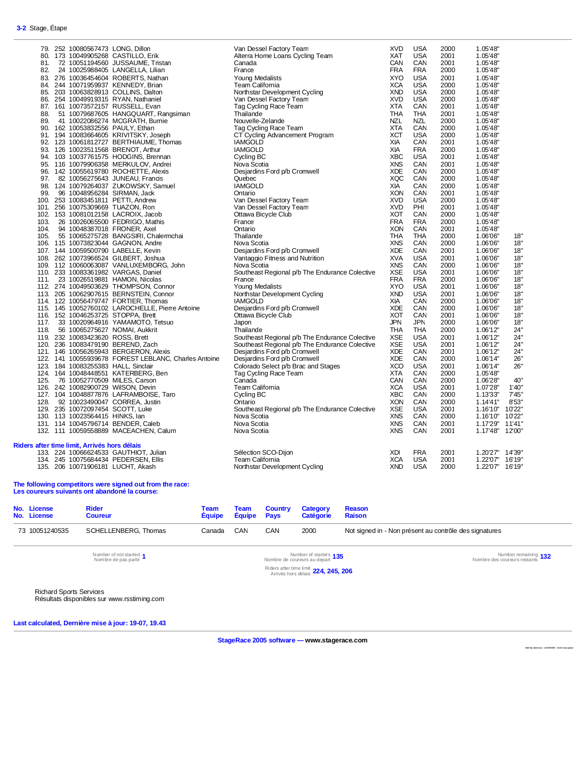| 79. 252 10080567473 LONG, Dillon             |                                                      | Van Dessel Factory Team                        | <b>XVD</b> | <b>USA</b> | 2000 | 1.05'48"           |
|----------------------------------------------|------------------------------------------------------|------------------------------------------------|------------|------------|------|--------------------|
| 80. 173 10049905268 CASTILLO, Erik           |                                                      | Alterra Home Loans Cycling Team                | <b>XAT</b> | <b>USA</b> | 2001 | 1.05'48"           |
| 81.                                          | 72 10051194560 JUSSAUME, Tristan                     | Canada                                         | CAN        | CAN        | 2001 | 1.05'48"           |
| 82.                                          | 24 10025988405 LANGELLA, Lilian                      | France                                         | <b>FRA</b> | <b>FRA</b> | 2000 | 1.05'48"           |
| 83. 276 10036454604 ROBERTS, Nathan          |                                                      | Young Medalists                                | <b>XYO</b> | <b>USA</b> | 2001 | 1.05'48"           |
| 84. 244 10071959937 KENNEDY, Brian           |                                                      | Team California                                | <b>XCA</b> | <b>USA</b> | 2000 | 1.05'48"           |
| 85. 203 10063828913 COLLINS, Dalton          |                                                      | Northstar Development Cycling                  | <b>XND</b> | <b>USA</b> | 2000 | 1.05'48"           |
| 86. 254 10049919315 RYAN, Nathaniel          |                                                      | Van Dessel Factory Team                        | <b>XVD</b> | <b>USA</b> | 2000 | 1.05'48"           |
| 87. 161 10073572157 RUSSELL, Evan            |                                                      | Tag Cycling Race Team                          | <b>XTA</b> | CAN        | 2001 | 1.05'48"           |
| 88.                                          | 51 10079687605 HANGQUART, Rangsiman                  | Thailande                                      | <b>THA</b> | <b>THA</b> | 2001 | 1.05'48"           |
| 89.                                          | 41 10022086274 MCGRATH, Burnie                       | Nouvelle-Zelande                               | <b>NZL</b> | <b>NZL</b> | 2000 | 1.05'48"           |
| 90. 162 10053832556 PAULY, Ethan             |                                                      | Tag Cycling Race Team                          | <b>XTA</b> | CAN        | 2000 | 1.05'48"           |
| 91. 194 10083664605 KRIVITSKY, Joseph        |                                                      | CT Cycling Advancement Program                 | <b>XCT</b> | <b>USA</b> | 2000 | 1.05'48"           |
|                                              | 92. 123 10061812727 BERTHIAUME, Thomas               | <b>IAMGOLD</b>                                 | XIA        | CAN        | 2001 | 1.05'48"           |
| 93. 126 10023511568 BRENOT, Arthur           |                                                      | <b>IAMGOLD</b>                                 | XIA        | <b>FRA</b> | 2000 | 1.05'48"           |
| 94. 103 10037761575 HODGINS, Brennan         |                                                      | Cycling BC                                     | <b>XBC</b> | <b>USA</b> | 2001 | 1.05'48"           |
| 95. 116 10079906358 MERKULOV, Andrei         |                                                      | Nova Scotia                                    | <b>XNS</b> | CAN        | 2001 | 1.05'48"           |
| 96. 142 10055619780 ROCHETTE, Alexis         |                                                      | Desjardins Ford p/b Cromwell                   | <b>XDE</b> | CAN        | 2000 | 1.05'48"           |
| 97.                                          | 82 10056275643 JUNEAU, Francis                       | Quebec                                         | <b>XQC</b> | CAN        | 2000 | 1.05'48"           |
|                                              | 98. 124 10079264037 ZUKOWSKY, Samuel                 | <b>IAMGOLD</b>                                 | XIA        | CAN        | 2000 | 1.05'48"           |
| 96 10048956284 SIRMAN, Jack<br>99.           |                                                      | Ontario                                        | <b>XON</b> | CAN        | 2001 | 1.05'48"           |
| 100. 253 10083451811 PETTI, Andrew           |                                                      | Van Dessel Factory Team                        | <b>XVD</b> | <b>USA</b> | 2000 | 1.05'48"           |
| 101. 256 10075309669 TUAZON, Ron             |                                                      | Van Dessel Factory Team                        | <b>XVD</b> | PHI        | 2001 | 1.05'48"           |
| 102. 153 10081012158 LACROIX, Jacob          |                                                      | Ottawa Bicycle Club                            | <b>XOT</b> | CAN        | 2000 | 1.05'48"           |
| 103.                                         | 26 10026065500 FEDRIGO, Mathis                       | France                                         | <b>FRA</b> | <b>FRA</b> | 2000 | 1.05'48"           |
| 104.<br>94 10048387018 FRONER, Axel          |                                                      | Ontario                                        | <b>XON</b> | CAN        | 2001 | 1.05'48"           |
| 105.                                         | 55 10065275728 BANGSIRI, Chalermchai                 | Thailande                                      | <b>THA</b> | THA        | 2000 | 1.06'06"<br>18"    |
| 106. 115 10073823044 GAGNON, Andre           |                                                      | Nova Scotia                                    | <b>XNS</b> | CAN        | 2000 | 1.06'06"<br>18"    |
| 107. 144 10059500790 LABELLE, Kevin          |                                                      | Desjardins Ford p/b Cromwell                   | <b>XDE</b> | CAN        | 2001 | 1.06'06"<br>18"    |
| 108. 262 10073966524 GILBERT, Joshua         |                                                      | Vantaggio Fitness and Nutrition                | <b>XVA</b> | <b>USA</b> | 2001 | 1.06'06"<br>18"    |
|                                              | 109. 112 10060063087 VANLUXEMBORG, John              | Nova Scotia                                    | <b>XNS</b> | CAN        | 2000 | 1.06'06"<br>18"    |
| 110. 233 10083361982 VARGAS, Daniel          |                                                      | Southeast Regional p/b The Endurance Colective | <b>XSE</b> | <b>USA</b> | 2001 | 18"<br>1.06'06"    |
| 111. 23 10026519881 HAMON, Nicolas           |                                                      | France                                         | <b>FRA</b> | <b>FRA</b> | 2000 | 1.06'06"<br>18"    |
| 112. 274 10049503629 THOMPSON, Connor        |                                                      | Young Medalists                                | <b>XYO</b> | <b>USA</b> | 2001 | 18"<br>1.06'06"    |
| 113. 205 10062907615 BERNSTEIN, Connor       |                                                      | Northstar Development Cycling                  | <b>XND</b> | <b>USA</b> | 2001 | 1.06'06"<br>18"    |
| 114. 122 10056479747 FORTIER, Thomas         |                                                      | <b>IAMGOLD</b>                                 | XIA        | CAN        | 2000 | 1.06'06"<br>18"    |
|                                              | 115. 145 10052760102 LAROCHELLE, Pierre Antoine      | Desjardins Ford p/b Cromwell                   | <b>XDE</b> | CAN        | 2000 | 1.06'06"<br>18"    |
| 116. 152 10046253725 STOPPA, Brett           |                                                      | Ottawa Bicycle Club                            | <b>XOT</b> | CAN        | 2001 | 1.06'06"<br>18"    |
| 117. 33 10020964916 YAMAMOTO, Tetsuo         |                                                      | Japon                                          | <b>JPN</b> | <b>JPN</b> | 2000 | 1.06'06"<br>18"    |
| 118. 56 10065275627 NOMAI, Aukkrit           |                                                      | Thailande                                      | <b>THA</b> | <b>THA</b> | 2000 | 1.06'12"<br>24"    |
| 119. 232 10083423620 ROSS, Brett             |                                                      | Southeast Regional p/b The Endurance Colective | <b>XSE</b> | <b>USA</b> | 2001 | 1.06'12"<br>24"    |
| 120. 236 10083479190 BEREND, Zach            |                                                      | Southeast Regional p/b The Endurance Colective | <b>XSE</b> | <b>USA</b> | 2001 | 1.06'12"<br>24"    |
| 121. 146 10056265943 BERGERON, Alexis        |                                                      | Desjardins Ford p/b Cromwell                   | <b>XDE</b> | CAN        | 2001 | 24"<br>1.06'12"    |
|                                              | 122. 141 10055939678 FOREST LEBLANC, Charles Antoine | Desjardins Ford p/b Cromwell                   | <b>XDE</b> | CAN        | 2000 | 1.06'14"<br>26"    |
| 123. 184 10083255383 HALL, Sinclair          |                                                      | Colorado Select p/b Brac and Stages            | <b>XCO</b> | <b>USA</b> | 2001 | 1.06'14"<br>26"    |
| 124. 164 10048448551 KATERBERG, Ben          |                                                      | Tag Cycling Race Team                          | <b>XTA</b> | CAN        | 2000 | 1.05'48"           |
| 125.<br>76 10052770509 MILES, Carson         |                                                      | Canada                                         | CAN        | CAN        | 2000 | 1.06'28"<br>40"    |
| 126. 242 10082900729 WilSON, Devin           |                                                      | Team California                                | <b>XCA</b> | <b>USA</b> | 2001 | 1'40"<br>1.07'28"  |
| 127. 104 10048877876 LAFRAMBOISE, Taro       |                                                      | Cycling BC                                     | <b>XBC</b> | CAN        | 2000 | 1.13'33"<br>7'45'' |
| 92 10023490047 CORREA, Justin<br>128.        |                                                      | Ontario                                        | <b>XON</b> | CAN        | 2000 | 1.14'41"<br>8'53"  |
| 129. 235 10072097454 SCOTT, Luke             |                                                      | Southeast Regional p/b The Endurance Colective | <b>XSE</b> | <b>USA</b> | 2001 | 1.16'10" 10'22"    |
| 130. 113 10023564415 HINKS, Ian              |                                                      | Nova Scotia                                    | <b>XNS</b> | CAN        | 2000 | 1.16'10" 10'22"    |
| 131. 114 10045796714 BENDER, Caleb           |                                                      | Nova Scotia                                    | <b>XNS</b> | CAN        | 2001 | 1.17'29" 11'41"    |
| 132. 111 10059558889 MACEACHEN, Calum        |                                                      | Nova Scotia                                    | <b>XNS</b> | CAN        | 2001 | 1.17'48"<br>12'00" |
|                                              |                                                      |                                                |            |            |      |                    |
| Riders after time limit, Arrivés hors délais |                                                      |                                                |            |            |      |                    |
| 133. 224 10066624533 GAUTHIOT, Julian        |                                                      | Sélection SCO-Dijon                            | XDI        | <b>FRA</b> | 2001 | 1.20'27" 14'39"    |
| 134. 245 10075684434 PEDERSEN, Ellis         |                                                      | Team California                                | <b>XCA</b> | <b>USA</b> | 2001 | 1.22'07" 16'19"    |
| 135. 206 10071906181 LUCHT, Akash            |                                                      | Northstar Development Cycling                  | <b>XND</b> | <b>USA</b> | 2000 | 1.22'07" 16'19"    |

#### **The following competitors were signed out from the race: Les coureurs suivants ont abandoné la course:**

| No. License<br>No. License | <b>Rider</b><br><b>Coureur</b> | Team<br>Équipe Équipe Pays |     |     | <b>Team Country Category</b><br>Catégorie | Reason<br>Raison                                       |
|----------------------------|--------------------------------|----------------------------|-----|-----|-------------------------------------------|--------------------------------------------------------|
| 73 10051240535             | SCHELLENBERG, Thomas           | Canada                     | CAN | CAN | 2000                                      | Not signed in - Non présent au contrôle des signatures |

Number of not started 1<br>Nombre de pas partir

Nombre de pas partir **<sup>1</sup>** Number of starters Nombre de coureurs au depart **<sup>135</sup>** Number remaining

Nombre des coureurs restants **132**

Riders after time limit Arrivés hors délais **224, 245, 206**

Richard Sports Services Résultats disponibles sur www.rsstiming.com

**Last calculated, Dernière mise à jour: 19-07, 19.43** 

**StageRace 2005 software — www.stagerace.com** 

**2018 Tou rAb iti bi.st r : 12 91739 922 : V3.24 fin al u pd ate**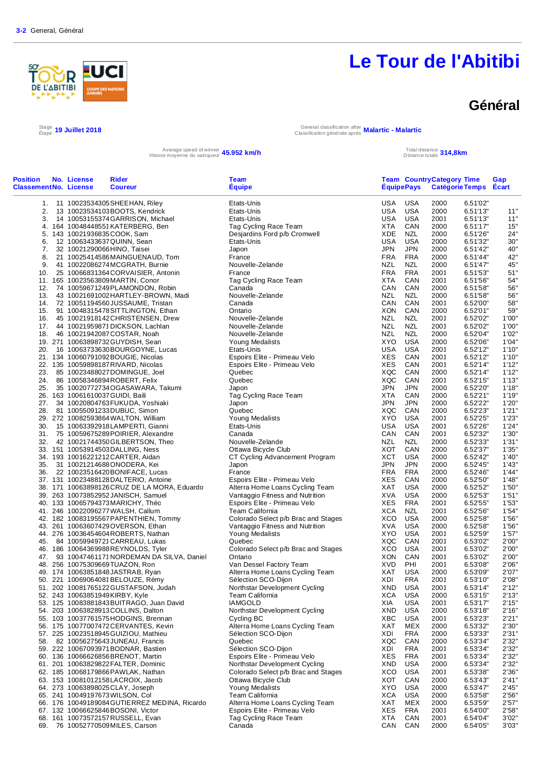# DE L'ABITIBI **FUCI**

# **Le Tour de l'Abitibi**

### **Général**

 $\frac{\text{Stage}}{\text{Etape}}$  19 Juillet 2018

Étape **19 Juillet 2018** General classification after Classification générale après **Malartic - Malartic**

Average speed of winner **45.952 km/h** Total distance totale and the speed of winner **45.952 km/h** Total distance totale

Total distance **314,8km** 

| Etats-Unis<br>USA<br>USA<br>1. 11 10023534305 SHEEHAN, Riley<br>2000<br>USA<br><b>USA</b><br>13 10023534103BOOTS, Kendrick<br>Etats-Unis<br>2000<br>2.<br>14 10053155374 GARRISON, Michael<br>Etats-Unis<br>USA<br>USA<br>2001<br>3.<br>Tag Cycling Race Team<br>XTA<br>CAN<br>2000<br>4. 164 10048448551 KATERBERG, Ben<br>Desjardins Ford p/b Cromwell<br>XDE<br>NZL<br>5. 143 10021936835 COOK, Sam<br>2000<br><b>USA</b><br><b>USA</b><br>2000<br>12 10063433637 QUINN, Sean<br>Etats-Unis<br>6.<br><b>JPN</b><br><b>JPN</b><br>2000<br>7.<br>32 10021290066 HINO, Taisei<br>Japon<br><b>FRA</b><br>8.<br>21 10025414586MAINGUENAUD, Tom<br>France<br><b>FRA</b><br>2000<br><b>NZL</b><br><b>NZL</b><br>Nouvelle-Zelande<br>2000<br>6.51'47"<br>9.<br>41 10022086274 MCGRATH, Burnie<br><b>FRA</b><br><b>FRA</b><br>10. 25 10066831364 CORVAISIER, Antonin<br>France<br>6.51'53"<br>2001<br>XTA<br>CAN<br>2001<br>6.51'56"<br>11. 165 10023563809 MARTIN, Conor<br>Tag Cycling Race Team<br>Canada<br>CAN<br>CAN<br>12. 74 10059671249 PLAMONDON, Robin<br>2000<br>6.51'58"<br><b>NZL</b><br><b>NZL</b><br>Nouvelle-Zelande<br>2000<br>6.51'58"<br>13.<br>43 10021691002HARTLEY-BROWN, Madi<br>Canada<br>CAN<br>CAN<br>2001<br>14. 72 10051194560 JUSSAUME, Tristan<br>CAN<br>15. 91 10048315478 SITTLINGTON, Ethan<br>Ontario<br>XON<br>2000<br>Nouvelle-Zelande<br>NZL<br>NZL<br>2001<br>16.<br>45 10021918142 CHRISTENSEN, Drew<br>Nouvelle-Zelande<br>NZL<br>NZL<br>17. 44 10021959871DICKSON, Lachlan<br>2001<br>NZL<br>NZL<br>18. 46 10021942087 COSTAR, Noah<br>Nouvelle-Zelande<br>2000<br><b>XYO</b><br><b>USA</b><br>19. 271 10063898732 GUYDISH, Sean<br>Young Medalists<br>2000<br><b>USA</b><br>20. 16 10063733630BOURGOYNE, Lucas<br><b>USA</b><br>2001<br>Etats-Unis<br><b>XES</b><br>21. 134 10060791092BOUGIE, Nicolas<br>Espoirs Elite - Primeau Velo<br>CAN<br>2001<br>XES<br>Espoirs Elite - Primeau Velo<br>CAN<br>22. 135 10059898187 RIVARD, Nicolas<br>2001<br>XQC<br>Quebec<br>CAN<br>2000<br>23.<br>85 10023488027DOMINGUE, Joel<br>Quebec<br>XQC<br>CAN<br>6.52'15"<br>24. 86 10058346894ROBERT, Felix<br>2001<br><b>JPN</b><br><b>JPN</b><br>6.52'20"<br>25.<br>35 10020772734 OGASAWARA, Takumi<br>Japon<br>2000<br><b>XTA</b><br>6.52'21"<br>26. 163 10061610037 GUIDI, Baili<br>Tag Cycling Race Team<br>CAN<br>2000<br><b>JPN</b><br>27. 34 10020804763 FUKUDA, Yoshiaki<br><b>JPN</b><br>2000<br>6.52'22"<br>Japon<br>CAN<br>6.52'23"<br>28. 81 10055091233DUBUC, Simon<br>Quebec<br>XQC<br>2000<br>29. 272 10082593864 WALTON, William<br>Young Medalists<br>XYO<br>USA<br>6.52'25"<br>2001<br>USA<br><b>USA</b><br>30.<br>15 10063392918LAMPERTI, Gianni<br>Etats-Unis<br>2001<br>31. 75 10059675289 POIRIER, Alexandre<br>Canada<br>CAN<br>CAN<br>2001<br>Nouvelle-Zelande<br><b>NZL</b><br>NZL<br>32. 42 10021744350 GILBERTSON, Theo<br>2000<br>XOT<br>CAN<br>2000<br>33. 151 10053914503DALLING, Ness<br>Ottawa Bicycle Club<br><b>XCT</b><br>34. 193 10016221212CARTER, Aidan<br><b>USA</b><br>2000<br>CT Cycling Advancement Program<br><b>JPN</b><br><b>JPN</b><br>2000<br>35. 31 10021214688 ONODERA, Kei<br>Japon<br><b>FRA</b><br><b>FRA</b><br>36.<br>22 10023516420BONIFACE, Lucas<br>France<br>2000<br>Espoirs Elite - Primeau Velo<br>XES<br>CAN<br>2000<br>37. 131 10023488128DALTERIO, Antoine<br>Alterra Home Loans Cycling Team<br>XAT<br><b>USA</b><br>38. 171 10063898126 CRUZ DE LA MORA, Eduardo<br>2000<br><b>XVA</b><br><b>USA</b><br>2000<br>39. 263 10073852952 JANISCH, Samuel<br>Vantaggio Fitness and Nutrition<br><b>FRA</b><br>Espoirs Elite - Primeau Velo<br>XES<br>2001<br>6.52'55"<br>40. 133 10065794373MARICHY, Théo<br><b>XCA</b><br>41. 246 10022096277 WALSH, Callum<br><b>Team California</b><br>NZL<br>2001<br>6.52'56"<br>XCO<br><b>USA</b><br>6.52'58"<br>42. 182 10083195567 PAPENTHIEN, Tommy<br>Colorado Select p/b Brac and Stages<br>2000<br>43. 261 10063607429OVERSON, Ethan<br>Vantaggio Fitness and Nutrition<br>XVA<br>USA<br>6.52'58"<br>2000<br>XYO<br>USA<br>2001<br>6.52'59"<br>44. 276 10036454604 ROBERTS, Nathan<br>Young Medalists<br>Quebec<br>XQC<br>CAN<br>6.53'02"<br>45. 84 10059949721 CARREAU, Lukas<br>2001<br>Colorado Select p/b Brac and Stages<br><b>XCO</b><br>USA<br>2001<br>6.53'02"<br>46. 186 10064369988REYNOLDS, Tyler<br>XON<br>CAN<br>2001<br>6.53'02"<br>47. 93 10047461171 NORDEMAN DA SILVA, Daniel<br>Ontario<br><b>XVD</b><br>PHI<br>Van Dessel Factory Team<br>48. 256 10075309669 TUAZON, Ron<br>2001<br>XAT<br><b>USA</b><br>2000<br>49. 174 10063851848 JASTRAB, Ryan<br>Alterra Home Loans Cycling Team<br>50. 221 10069064081BELOUZE, Rémy<br>Sélection SCO-Dijon<br>XDI<br><b>FRA</b><br>2001<br>51. 202 10081765122 GUSTAFSON, Judah<br>Northstar Development Cycling<br>XND<br><b>USA</b><br>2001<br>Team California<br><b>USA</b><br>52. 243 10063851949KIRBY, Kyle<br>XCA<br>2000<br><b>IAMGOLD</b><br>XIA<br><b>USA</b><br>2001<br>53. 125 10083881843BUITRAGO, Juan David<br>Northstar Development Cycling<br>XND<br><b>USA</b><br>2000<br>54. 203 10063828913 COLLINS, Dalton<br>Cycling BC<br>XBC<br><b>USA</b><br>55. 103 10037761575 HODGINS, Brennan<br>2001<br>Alterra Home Loans Cycling Team<br>XAT<br>MEX<br>2000<br>56. 175 10077007472CERVANTES, Kevin<br>Sélection SCO-Dijon<br>XDI<br><b>FRA</b><br>6.53'33"<br>57. 225 10023518945 GUIZIOU, Mathieu<br>2000<br>Quebec<br>XQC<br>CAN<br>82 10056275643 JUNEAU, Francis<br>2000<br>6.53'34"<br>58.<br>Sélection SCO-Dijon<br><b>FRA</b><br>59. 222 10067093971 BODNAR, Bastien<br>XDI<br>6.53'34"<br>2001<br>Espoirs Elite - Primeau Velo<br>XES<br><b>FRA</b><br>2001<br>6.53'34"<br>60. 136 10066626856 BRENOT, Martin<br>Northstar Development Cycling<br>XND<br><b>USA</b><br>6.53'34"<br>61. 201 10063829822 FALTER, Dominic<br>2000<br>Colorado Select p/b Brac and Stages<br>XCO<br><b>USA</b><br>6.53'38"<br>62. 185 10068179866 PAWLAK, Nathan<br>2001<br>63. 153 10081012158LACROIX, Jacob<br>Ottawa Bicycle Club<br>XOT<br>CAN<br>2000<br>6.53'43"<br>Young Medalists<br>XYO<br><b>USA</b><br>64. 273 10063898025 CLAY, Joseph<br>2000<br>Team California<br>USA<br>65. 241 10049197673 WILSON, Col<br>XCA<br>2000<br>Alterra Home Loans Cycling Team<br>XAT<br>MEX<br>66. 176 10049189084 GUTIERREZ MEDINA, Ricardo<br>2000<br>Espoirs Elite - Primeau Velo<br>XES<br><b>FRA</b><br>2001<br>67. 132 10066625846BOSONI, Victor<br>Tag Cycling Race Team<br><b>XTA</b><br>CAN<br>68. 161 10073572157 RUSSELL, Evan<br>2001 | <b>Position</b><br><b>ClassementNo. License</b> | No. License | Rider<br><b>Coureur</b> | <b>Team</b><br><b>Equipe</b> | <b>EquipePays</b> | <b>Team CountryCategory Time</b><br>Catégorie Temps Ecart |          | Gap            |
|----------------------------------------------------------------------------------------------------------------------------------------------------------------------------------------------------------------------------------------------------------------------------------------------------------------------------------------------------------------------------------------------------------------------------------------------------------------------------------------------------------------------------------------------------------------------------------------------------------------------------------------------------------------------------------------------------------------------------------------------------------------------------------------------------------------------------------------------------------------------------------------------------------------------------------------------------------------------------------------------------------------------------------------------------------------------------------------------------------------------------------------------------------------------------------------------------------------------------------------------------------------------------------------------------------------------------------------------------------------------------------------------------------------------------------------------------------------------------------------------------------------------------------------------------------------------------------------------------------------------------------------------------------------------------------------------------------------------------------------------------------------------------------------------------------------------------------------------------------------------------------------------------------------------------------------------------------------------------------------------------------------------------------------------------------------------------------------------------------------------------------------------------------------------------------------------------------------------------------------------------------------------------------------------------------------------------------------------------------------------------------------------------------------------------------------------------------------------------------------------------------------------------------------------------------------------------------------------------------------------------------------------------------------------------------------------------------------------------------------------------------------------------------------------------------------------------------------------------------------------------------------------------------------------------------------------------------------------------------------------------------------------------------------------------------------------------------------------------------------------------------------------------------------------------------------------------------------------------------------------------------------------------------------------------------------------------------------------------------------------------------------------------------------------------------------------------------------------------------------------------------------------------------------------------------------------------------------------------------------------------------------------------------------------------------------------------------------------------------------------------------------------------------------------------------------------------------------------------------------------------------------------------------------------------------------------------------------------------------------------------------------------------------------------------------------------------------------------------------------------------------------------------------------------------------------------------------------------------------------------------------------------------------------------------------------------------------------------------------------------------------------------------------------------------------------------------------------------------------------------------------------------------------------------------------------------------------------------------------------------------------------------------------------------------------------------------------------------------------------------------------------------------------------------------------------------------------------------------------------------------------------------------------------------------------------------------------------------------------------------------------------------------------------------------------------------------------------------------------------------------------------------------------------------------------------------------------------------------------------------------------------------------------------------------------------------------------------------------------------------------------------------------------------------------------------------------------------------------------------------------------------------------------------------------------------------------------------------------------------------------------------------------------------------------------------------------------------------------------------------------------------------------------------------------------------------------------------------------------------------------------------------------------------------------------------------------------------------------------------------------------------------------------------------------------------------------------------------------------------------------------------------------------------------------------------------------------------------------------------------------------------------------------------------------------------------------------------------------------------------------------------------------------------------------------------------------------------------------------------------------------------------------------------------|-------------------------------------------------|-------------|-------------------------|------------------------------|-------------------|-----------------------------------------------------------|----------|----------------|
|                                                                                                                                                                                                                                                                                                                                                                                                                                                                                                                                                                                                                                                                                                                                                                                                                                                                                                                                                                                                                                                                                                                                                                                                                                                                                                                                                                                                                                                                                                                                                                                                                                                                                                                                                                                                                                                                                                                                                                                                                                                                                                                                                                                                                                                                                                                                                                                                                                                                                                                                                                                                                                                                                                                                                                                                                                                                                                                                                                                                                                                                                                                                                                                                                                                                                                                                                                                                                                                                                                                                                                                                                                                                                                                                                                                                                                                                                                                                                                                                                                                                                                                                                                                                                                                                                                                                                                                                                                                                                                                                                                                                                                                                                                                                                                                                                                                                                                                                                                                                                                                                                                                                                                                                                                                                                                                                                                                                                                                                                                                                                                                                                                                                                                                                                                                                                                                                                                                                                                                                                                                                                                                                                                                                                                                                                                                                                                                                                                                                                                                                              |                                                 |             |                         |                              |                   |                                                           | 6.51'02" |                |
|                                                                                                                                                                                                                                                                                                                                                                                                                                                                                                                                                                                                                                                                                                                                                                                                                                                                                                                                                                                                                                                                                                                                                                                                                                                                                                                                                                                                                                                                                                                                                                                                                                                                                                                                                                                                                                                                                                                                                                                                                                                                                                                                                                                                                                                                                                                                                                                                                                                                                                                                                                                                                                                                                                                                                                                                                                                                                                                                                                                                                                                                                                                                                                                                                                                                                                                                                                                                                                                                                                                                                                                                                                                                                                                                                                                                                                                                                                                                                                                                                                                                                                                                                                                                                                                                                                                                                                                                                                                                                                                                                                                                                                                                                                                                                                                                                                                                                                                                                                                                                                                                                                                                                                                                                                                                                                                                                                                                                                                                                                                                                                                                                                                                                                                                                                                                                                                                                                                                                                                                                                                                                                                                                                                                                                                                                                                                                                                                                                                                                                                                              |                                                 |             |                         |                              |                   |                                                           | 6.51'13" | 11"            |
|                                                                                                                                                                                                                                                                                                                                                                                                                                                                                                                                                                                                                                                                                                                                                                                                                                                                                                                                                                                                                                                                                                                                                                                                                                                                                                                                                                                                                                                                                                                                                                                                                                                                                                                                                                                                                                                                                                                                                                                                                                                                                                                                                                                                                                                                                                                                                                                                                                                                                                                                                                                                                                                                                                                                                                                                                                                                                                                                                                                                                                                                                                                                                                                                                                                                                                                                                                                                                                                                                                                                                                                                                                                                                                                                                                                                                                                                                                                                                                                                                                                                                                                                                                                                                                                                                                                                                                                                                                                                                                                                                                                                                                                                                                                                                                                                                                                                                                                                                                                                                                                                                                                                                                                                                                                                                                                                                                                                                                                                                                                                                                                                                                                                                                                                                                                                                                                                                                                                                                                                                                                                                                                                                                                                                                                                                                                                                                                                                                                                                                                                              |                                                 |             |                         |                              |                   |                                                           | 6.51'13" | 11"            |
|                                                                                                                                                                                                                                                                                                                                                                                                                                                                                                                                                                                                                                                                                                                                                                                                                                                                                                                                                                                                                                                                                                                                                                                                                                                                                                                                                                                                                                                                                                                                                                                                                                                                                                                                                                                                                                                                                                                                                                                                                                                                                                                                                                                                                                                                                                                                                                                                                                                                                                                                                                                                                                                                                                                                                                                                                                                                                                                                                                                                                                                                                                                                                                                                                                                                                                                                                                                                                                                                                                                                                                                                                                                                                                                                                                                                                                                                                                                                                                                                                                                                                                                                                                                                                                                                                                                                                                                                                                                                                                                                                                                                                                                                                                                                                                                                                                                                                                                                                                                                                                                                                                                                                                                                                                                                                                                                                                                                                                                                                                                                                                                                                                                                                                                                                                                                                                                                                                                                                                                                                                                                                                                                                                                                                                                                                                                                                                                                                                                                                                                                              |                                                 |             |                         |                              |                   |                                                           | 6.51'17" | 15"            |
|                                                                                                                                                                                                                                                                                                                                                                                                                                                                                                                                                                                                                                                                                                                                                                                                                                                                                                                                                                                                                                                                                                                                                                                                                                                                                                                                                                                                                                                                                                                                                                                                                                                                                                                                                                                                                                                                                                                                                                                                                                                                                                                                                                                                                                                                                                                                                                                                                                                                                                                                                                                                                                                                                                                                                                                                                                                                                                                                                                                                                                                                                                                                                                                                                                                                                                                                                                                                                                                                                                                                                                                                                                                                                                                                                                                                                                                                                                                                                                                                                                                                                                                                                                                                                                                                                                                                                                                                                                                                                                                                                                                                                                                                                                                                                                                                                                                                                                                                                                                                                                                                                                                                                                                                                                                                                                                                                                                                                                                                                                                                                                                                                                                                                                                                                                                                                                                                                                                                                                                                                                                                                                                                                                                                                                                                                                                                                                                                                                                                                                                                              |                                                 |             |                         |                              |                   |                                                           | 6.51'26" | 24"            |
|                                                                                                                                                                                                                                                                                                                                                                                                                                                                                                                                                                                                                                                                                                                                                                                                                                                                                                                                                                                                                                                                                                                                                                                                                                                                                                                                                                                                                                                                                                                                                                                                                                                                                                                                                                                                                                                                                                                                                                                                                                                                                                                                                                                                                                                                                                                                                                                                                                                                                                                                                                                                                                                                                                                                                                                                                                                                                                                                                                                                                                                                                                                                                                                                                                                                                                                                                                                                                                                                                                                                                                                                                                                                                                                                                                                                                                                                                                                                                                                                                                                                                                                                                                                                                                                                                                                                                                                                                                                                                                                                                                                                                                                                                                                                                                                                                                                                                                                                                                                                                                                                                                                                                                                                                                                                                                                                                                                                                                                                                                                                                                                                                                                                                                                                                                                                                                                                                                                                                                                                                                                                                                                                                                                                                                                                                                                                                                                                                                                                                                                                              |                                                 |             |                         |                              |                   |                                                           | 6.51'32" | 30"            |
|                                                                                                                                                                                                                                                                                                                                                                                                                                                                                                                                                                                                                                                                                                                                                                                                                                                                                                                                                                                                                                                                                                                                                                                                                                                                                                                                                                                                                                                                                                                                                                                                                                                                                                                                                                                                                                                                                                                                                                                                                                                                                                                                                                                                                                                                                                                                                                                                                                                                                                                                                                                                                                                                                                                                                                                                                                                                                                                                                                                                                                                                                                                                                                                                                                                                                                                                                                                                                                                                                                                                                                                                                                                                                                                                                                                                                                                                                                                                                                                                                                                                                                                                                                                                                                                                                                                                                                                                                                                                                                                                                                                                                                                                                                                                                                                                                                                                                                                                                                                                                                                                                                                                                                                                                                                                                                                                                                                                                                                                                                                                                                                                                                                                                                                                                                                                                                                                                                                                                                                                                                                                                                                                                                                                                                                                                                                                                                                                                                                                                                                                              |                                                 |             |                         |                              |                   |                                                           | 6.51'42" | 40"            |
|                                                                                                                                                                                                                                                                                                                                                                                                                                                                                                                                                                                                                                                                                                                                                                                                                                                                                                                                                                                                                                                                                                                                                                                                                                                                                                                                                                                                                                                                                                                                                                                                                                                                                                                                                                                                                                                                                                                                                                                                                                                                                                                                                                                                                                                                                                                                                                                                                                                                                                                                                                                                                                                                                                                                                                                                                                                                                                                                                                                                                                                                                                                                                                                                                                                                                                                                                                                                                                                                                                                                                                                                                                                                                                                                                                                                                                                                                                                                                                                                                                                                                                                                                                                                                                                                                                                                                                                                                                                                                                                                                                                                                                                                                                                                                                                                                                                                                                                                                                                                                                                                                                                                                                                                                                                                                                                                                                                                                                                                                                                                                                                                                                                                                                                                                                                                                                                                                                                                                                                                                                                                                                                                                                                                                                                                                                                                                                                                                                                                                                                                              |                                                 |             |                         |                              |                   |                                                           | 6.51'44" | 42"            |
|                                                                                                                                                                                                                                                                                                                                                                                                                                                                                                                                                                                                                                                                                                                                                                                                                                                                                                                                                                                                                                                                                                                                                                                                                                                                                                                                                                                                                                                                                                                                                                                                                                                                                                                                                                                                                                                                                                                                                                                                                                                                                                                                                                                                                                                                                                                                                                                                                                                                                                                                                                                                                                                                                                                                                                                                                                                                                                                                                                                                                                                                                                                                                                                                                                                                                                                                                                                                                                                                                                                                                                                                                                                                                                                                                                                                                                                                                                                                                                                                                                                                                                                                                                                                                                                                                                                                                                                                                                                                                                                                                                                                                                                                                                                                                                                                                                                                                                                                                                                                                                                                                                                                                                                                                                                                                                                                                                                                                                                                                                                                                                                                                                                                                                                                                                                                                                                                                                                                                                                                                                                                                                                                                                                                                                                                                                                                                                                                                                                                                                                                              |                                                 |             |                         |                              |                   |                                                           |          | 45"            |
|                                                                                                                                                                                                                                                                                                                                                                                                                                                                                                                                                                                                                                                                                                                                                                                                                                                                                                                                                                                                                                                                                                                                                                                                                                                                                                                                                                                                                                                                                                                                                                                                                                                                                                                                                                                                                                                                                                                                                                                                                                                                                                                                                                                                                                                                                                                                                                                                                                                                                                                                                                                                                                                                                                                                                                                                                                                                                                                                                                                                                                                                                                                                                                                                                                                                                                                                                                                                                                                                                                                                                                                                                                                                                                                                                                                                                                                                                                                                                                                                                                                                                                                                                                                                                                                                                                                                                                                                                                                                                                                                                                                                                                                                                                                                                                                                                                                                                                                                                                                                                                                                                                                                                                                                                                                                                                                                                                                                                                                                                                                                                                                                                                                                                                                                                                                                                                                                                                                                                                                                                                                                                                                                                                                                                                                                                                                                                                                                                                                                                                                                              |                                                 |             |                         |                              |                   |                                                           |          | 51"            |
|                                                                                                                                                                                                                                                                                                                                                                                                                                                                                                                                                                                                                                                                                                                                                                                                                                                                                                                                                                                                                                                                                                                                                                                                                                                                                                                                                                                                                                                                                                                                                                                                                                                                                                                                                                                                                                                                                                                                                                                                                                                                                                                                                                                                                                                                                                                                                                                                                                                                                                                                                                                                                                                                                                                                                                                                                                                                                                                                                                                                                                                                                                                                                                                                                                                                                                                                                                                                                                                                                                                                                                                                                                                                                                                                                                                                                                                                                                                                                                                                                                                                                                                                                                                                                                                                                                                                                                                                                                                                                                                                                                                                                                                                                                                                                                                                                                                                                                                                                                                                                                                                                                                                                                                                                                                                                                                                                                                                                                                                                                                                                                                                                                                                                                                                                                                                                                                                                                                                                                                                                                                                                                                                                                                                                                                                                                                                                                                                                                                                                                                                              |                                                 |             |                         |                              |                   |                                                           |          | 54"<br>56"     |
|                                                                                                                                                                                                                                                                                                                                                                                                                                                                                                                                                                                                                                                                                                                                                                                                                                                                                                                                                                                                                                                                                                                                                                                                                                                                                                                                                                                                                                                                                                                                                                                                                                                                                                                                                                                                                                                                                                                                                                                                                                                                                                                                                                                                                                                                                                                                                                                                                                                                                                                                                                                                                                                                                                                                                                                                                                                                                                                                                                                                                                                                                                                                                                                                                                                                                                                                                                                                                                                                                                                                                                                                                                                                                                                                                                                                                                                                                                                                                                                                                                                                                                                                                                                                                                                                                                                                                                                                                                                                                                                                                                                                                                                                                                                                                                                                                                                                                                                                                                                                                                                                                                                                                                                                                                                                                                                                                                                                                                                                                                                                                                                                                                                                                                                                                                                                                                                                                                                                                                                                                                                                                                                                                                                                                                                                                                                                                                                                                                                                                                                                              |                                                 |             |                         |                              |                   |                                                           |          | 56"            |
|                                                                                                                                                                                                                                                                                                                                                                                                                                                                                                                                                                                                                                                                                                                                                                                                                                                                                                                                                                                                                                                                                                                                                                                                                                                                                                                                                                                                                                                                                                                                                                                                                                                                                                                                                                                                                                                                                                                                                                                                                                                                                                                                                                                                                                                                                                                                                                                                                                                                                                                                                                                                                                                                                                                                                                                                                                                                                                                                                                                                                                                                                                                                                                                                                                                                                                                                                                                                                                                                                                                                                                                                                                                                                                                                                                                                                                                                                                                                                                                                                                                                                                                                                                                                                                                                                                                                                                                                                                                                                                                                                                                                                                                                                                                                                                                                                                                                                                                                                                                                                                                                                                                                                                                                                                                                                                                                                                                                                                                                                                                                                                                                                                                                                                                                                                                                                                                                                                                                                                                                                                                                                                                                                                                                                                                                                                                                                                                                                                                                                                                                              |                                                 |             |                         |                              |                   |                                                           | 6.52'00" | 58"            |
|                                                                                                                                                                                                                                                                                                                                                                                                                                                                                                                                                                                                                                                                                                                                                                                                                                                                                                                                                                                                                                                                                                                                                                                                                                                                                                                                                                                                                                                                                                                                                                                                                                                                                                                                                                                                                                                                                                                                                                                                                                                                                                                                                                                                                                                                                                                                                                                                                                                                                                                                                                                                                                                                                                                                                                                                                                                                                                                                                                                                                                                                                                                                                                                                                                                                                                                                                                                                                                                                                                                                                                                                                                                                                                                                                                                                                                                                                                                                                                                                                                                                                                                                                                                                                                                                                                                                                                                                                                                                                                                                                                                                                                                                                                                                                                                                                                                                                                                                                                                                                                                                                                                                                                                                                                                                                                                                                                                                                                                                                                                                                                                                                                                                                                                                                                                                                                                                                                                                                                                                                                                                                                                                                                                                                                                                                                                                                                                                                                                                                                                                              |                                                 |             |                         |                              |                   |                                                           | 6.52'01" | 59"            |
|                                                                                                                                                                                                                                                                                                                                                                                                                                                                                                                                                                                                                                                                                                                                                                                                                                                                                                                                                                                                                                                                                                                                                                                                                                                                                                                                                                                                                                                                                                                                                                                                                                                                                                                                                                                                                                                                                                                                                                                                                                                                                                                                                                                                                                                                                                                                                                                                                                                                                                                                                                                                                                                                                                                                                                                                                                                                                                                                                                                                                                                                                                                                                                                                                                                                                                                                                                                                                                                                                                                                                                                                                                                                                                                                                                                                                                                                                                                                                                                                                                                                                                                                                                                                                                                                                                                                                                                                                                                                                                                                                                                                                                                                                                                                                                                                                                                                                                                                                                                                                                                                                                                                                                                                                                                                                                                                                                                                                                                                                                                                                                                                                                                                                                                                                                                                                                                                                                                                                                                                                                                                                                                                                                                                                                                                                                                                                                                                                                                                                                                                              |                                                 |             |                         |                              |                   |                                                           | 6.52'02" | 1'00"          |
|                                                                                                                                                                                                                                                                                                                                                                                                                                                                                                                                                                                                                                                                                                                                                                                                                                                                                                                                                                                                                                                                                                                                                                                                                                                                                                                                                                                                                                                                                                                                                                                                                                                                                                                                                                                                                                                                                                                                                                                                                                                                                                                                                                                                                                                                                                                                                                                                                                                                                                                                                                                                                                                                                                                                                                                                                                                                                                                                                                                                                                                                                                                                                                                                                                                                                                                                                                                                                                                                                                                                                                                                                                                                                                                                                                                                                                                                                                                                                                                                                                                                                                                                                                                                                                                                                                                                                                                                                                                                                                                                                                                                                                                                                                                                                                                                                                                                                                                                                                                                                                                                                                                                                                                                                                                                                                                                                                                                                                                                                                                                                                                                                                                                                                                                                                                                                                                                                                                                                                                                                                                                                                                                                                                                                                                                                                                                                                                                                                                                                                                                              |                                                 |             |                         |                              |                   |                                                           | 6.52'02" | 1'00"          |
|                                                                                                                                                                                                                                                                                                                                                                                                                                                                                                                                                                                                                                                                                                                                                                                                                                                                                                                                                                                                                                                                                                                                                                                                                                                                                                                                                                                                                                                                                                                                                                                                                                                                                                                                                                                                                                                                                                                                                                                                                                                                                                                                                                                                                                                                                                                                                                                                                                                                                                                                                                                                                                                                                                                                                                                                                                                                                                                                                                                                                                                                                                                                                                                                                                                                                                                                                                                                                                                                                                                                                                                                                                                                                                                                                                                                                                                                                                                                                                                                                                                                                                                                                                                                                                                                                                                                                                                                                                                                                                                                                                                                                                                                                                                                                                                                                                                                                                                                                                                                                                                                                                                                                                                                                                                                                                                                                                                                                                                                                                                                                                                                                                                                                                                                                                                                                                                                                                                                                                                                                                                                                                                                                                                                                                                                                                                                                                                                                                                                                                                                              |                                                 |             |                         |                              |                   |                                                           | 6.52'04" | 1'02"          |
|                                                                                                                                                                                                                                                                                                                                                                                                                                                                                                                                                                                                                                                                                                                                                                                                                                                                                                                                                                                                                                                                                                                                                                                                                                                                                                                                                                                                                                                                                                                                                                                                                                                                                                                                                                                                                                                                                                                                                                                                                                                                                                                                                                                                                                                                                                                                                                                                                                                                                                                                                                                                                                                                                                                                                                                                                                                                                                                                                                                                                                                                                                                                                                                                                                                                                                                                                                                                                                                                                                                                                                                                                                                                                                                                                                                                                                                                                                                                                                                                                                                                                                                                                                                                                                                                                                                                                                                                                                                                                                                                                                                                                                                                                                                                                                                                                                                                                                                                                                                                                                                                                                                                                                                                                                                                                                                                                                                                                                                                                                                                                                                                                                                                                                                                                                                                                                                                                                                                                                                                                                                                                                                                                                                                                                                                                                                                                                                                                                                                                                                                              |                                                 |             |                         |                              |                   |                                                           | 6.52'06" | 1'04"          |
|                                                                                                                                                                                                                                                                                                                                                                                                                                                                                                                                                                                                                                                                                                                                                                                                                                                                                                                                                                                                                                                                                                                                                                                                                                                                                                                                                                                                                                                                                                                                                                                                                                                                                                                                                                                                                                                                                                                                                                                                                                                                                                                                                                                                                                                                                                                                                                                                                                                                                                                                                                                                                                                                                                                                                                                                                                                                                                                                                                                                                                                                                                                                                                                                                                                                                                                                                                                                                                                                                                                                                                                                                                                                                                                                                                                                                                                                                                                                                                                                                                                                                                                                                                                                                                                                                                                                                                                                                                                                                                                                                                                                                                                                                                                                                                                                                                                                                                                                                                                                                                                                                                                                                                                                                                                                                                                                                                                                                                                                                                                                                                                                                                                                                                                                                                                                                                                                                                                                                                                                                                                                                                                                                                                                                                                                                                                                                                                                                                                                                                                                              |                                                 |             |                         |                              |                   |                                                           | 6.52'12" | 1'10"          |
|                                                                                                                                                                                                                                                                                                                                                                                                                                                                                                                                                                                                                                                                                                                                                                                                                                                                                                                                                                                                                                                                                                                                                                                                                                                                                                                                                                                                                                                                                                                                                                                                                                                                                                                                                                                                                                                                                                                                                                                                                                                                                                                                                                                                                                                                                                                                                                                                                                                                                                                                                                                                                                                                                                                                                                                                                                                                                                                                                                                                                                                                                                                                                                                                                                                                                                                                                                                                                                                                                                                                                                                                                                                                                                                                                                                                                                                                                                                                                                                                                                                                                                                                                                                                                                                                                                                                                                                                                                                                                                                                                                                                                                                                                                                                                                                                                                                                                                                                                                                                                                                                                                                                                                                                                                                                                                                                                                                                                                                                                                                                                                                                                                                                                                                                                                                                                                                                                                                                                                                                                                                                                                                                                                                                                                                                                                                                                                                                                                                                                                                                              |                                                 |             |                         |                              |                   |                                                           | 6.52'12" | 1'10"          |
|                                                                                                                                                                                                                                                                                                                                                                                                                                                                                                                                                                                                                                                                                                                                                                                                                                                                                                                                                                                                                                                                                                                                                                                                                                                                                                                                                                                                                                                                                                                                                                                                                                                                                                                                                                                                                                                                                                                                                                                                                                                                                                                                                                                                                                                                                                                                                                                                                                                                                                                                                                                                                                                                                                                                                                                                                                                                                                                                                                                                                                                                                                                                                                                                                                                                                                                                                                                                                                                                                                                                                                                                                                                                                                                                                                                                                                                                                                                                                                                                                                                                                                                                                                                                                                                                                                                                                                                                                                                                                                                                                                                                                                                                                                                                                                                                                                                                                                                                                                                                                                                                                                                                                                                                                                                                                                                                                                                                                                                                                                                                                                                                                                                                                                                                                                                                                                                                                                                                                                                                                                                                                                                                                                                                                                                                                                                                                                                                                                                                                                                                              |                                                 |             |                         |                              |                   |                                                           | 6.52'14" | 1'12"          |
|                                                                                                                                                                                                                                                                                                                                                                                                                                                                                                                                                                                                                                                                                                                                                                                                                                                                                                                                                                                                                                                                                                                                                                                                                                                                                                                                                                                                                                                                                                                                                                                                                                                                                                                                                                                                                                                                                                                                                                                                                                                                                                                                                                                                                                                                                                                                                                                                                                                                                                                                                                                                                                                                                                                                                                                                                                                                                                                                                                                                                                                                                                                                                                                                                                                                                                                                                                                                                                                                                                                                                                                                                                                                                                                                                                                                                                                                                                                                                                                                                                                                                                                                                                                                                                                                                                                                                                                                                                                                                                                                                                                                                                                                                                                                                                                                                                                                                                                                                                                                                                                                                                                                                                                                                                                                                                                                                                                                                                                                                                                                                                                                                                                                                                                                                                                                                                                                                                                                                                                                                                                                                                                                                                                                                                                                                                                                                                                                                                                                                                                                              |                                                 |             |                         |                              |                   |                                                           | 6.52'14" | 1'12"          |
|                                                                                                                                                                                                                                                                                                                                                                                                                                                                                                                                                                                                                                                                                                                                                                                                                                                                                                                                                                                                                                                                                                                                                                                                                                                                                                                                                                                                                                                                                                                                                                                                                                                                                                                                                                                                                                                                                                                                                                                                                                                                                                                                                                                                                                                                                                                                                                                                                                                                                                                                                                                                                                                                                                                                                                                                                                                                                                                                                                                                                                                                                                                                                                                                                                                                                                                                                                                                                                                                                                                                                                                                                                                                                                                                                                                                                                                                                                                                                                                                                                                                                                                                                                                                                                                                                                                                                                                                                                                                                                                                                                                                                                                                                                                                                                                                                                                                                                                                                                                                                                                                                                                                                                                                                                                                                                                                                                                                                                                                                                                                                                                                                                                                                                                                                                                                                                                                                                                                                                                                                                                                                                                                                                                                                                                                                                                                                                                                                                                                                                                                              |                                                 |             |                         |                              |                   |                                                           |          | 1'13"          |
|                                                                                                                                                                                                                                                                                                                                                                                                                                                                                                                                                                                                                                                                                                                                                                                                                                                                                                                                                                                                                                                                                                                                                                                                                                                                                                                                                                                                                                                                                                                                                                                                                                                                                                                                                                                                                                                                                                                                                                                                                                                                                                                                                                                                                                                                                                                                                                                                                                                                                                                                                                                                                                                                                                                                                                                                                                                                                                                                                                                                                                                                                                                                                                                                                                                                                                                                                                                                                                                                                                                                                                                                                                                                                                                                                                                                                                                                                                                                                                                                                                                                                                                                                                                                                                                                                                                                                                                                                                                                                                                                                                                                                                                                                                                                                                                                                                                                                                                                                                                                                                                                                                                                                                                                                                                                                                                                                                                                                                                                                                                                                                                                                                                                                                                                                                                                                                                                                                                                                                                                                                                                                                                                                                                                                                                                                                                                                                                                                                                                                                                                              |                                                 |             |                         |                              |                   |                                                           |          | 1'18"          |
|                                                                                                                                                                                                                                                                                                                                                                                                                                                                                                                                                                                                                                                                                                                                                                                                                                                                                                                                                                                                                                                                                                                                                                                                                                                                                                                                                                                                                                                                                                                                                                                                                                                                                                                                                                                                                                                                                                                                                                                                                                                                                                                                                                                                                                                                                                                                                                                                                                                                                                                                                                                                                                                                                                                                                                                                                                                                                                                                                                                                                                                                                                                                                                                                                                                                                                                                                                                                                                                                                                                                                                                                                                                                                                                                                                                                                                                                                                                                                                                                                                                                                                                                                                                                                                                                                                                                                                                                                                                                                                                                                                                                                                                                                                                                                                                                                                                                                                                                                                                                                                                                                                                                                                                                                                                                                                                                                                                                                                                                                                                                                                                                                                                                                                                                                                                                                                                                                                                                                                                                                                                                                                                                                                                                                                                                                                                                                                                                                                                                                                                                              |                                                 |             |                         |                              |                   |                                                           |          | 1'19"<br>1'20" |
|                                                                                                                                                                                                                                                                                                                                                                                                                                                                                                                                                                                                                                                                                                                                                                                                                                                                                                                                                                                                                                                                                                                                                                                                                                                                                                                                                                                                                                                                                                                                                                                                                                                                                                                                                                                                                                                                                                                                                                                                                                                                                                                                                                                                                                                                                                                                                                                                                                                                                                                                                                                                                                                                                                                                                                                                                                                                                                                                                                                                                                                                                                                                                                                                                                                                                                                                                                                                                                                                                                                                                                                                                                                                                                                                                                                                                                                                                                                                                                                                                                                                                                                                                                                                                                                                                                                                                                                                                                                                                                                                                                                                                                                                                                                                                                                                                                                                                                                                                                                                                                                                                                                                                                                                                                                                                                                                                                                                                                                                                                                                                                                                                                                                                                                                                                                                                                                                                                                                                                                                                                                                                                                                                                                                                                                                                                                                                                                                                                                                                                                                              |                                                 |             |                         |                              |                   |                                                           |          | 1'21"          |
|                                                                                                                                                                                                                                                                                                                                                                                                                                                                                                                                                                                                                                                                                                                                                                                                                                                                                                                                                                                                                                                                                                                                                                                                                                                                                                                                                                                                                                                                                                                                                                                                                                                                                                                                                                                                                                                                                                                                                                                                                                                                                                                                                                                                                                                                                                                                                                                                                                                                                                                                                                                                                                                                                                                                                                                                                                                                                                                                                                                                                                                                                                                                                                                                                                                                                                                                                                                                                                                                                                                                                                                                                                                                                                                                                                                                                                                                                                                                                                                                                                                                                                                                                                                                                                                                                                                                                                                                                                                                                                                                                                                                                                                                                                                                                                                                                                                                                                                                                                                                                                                                                                                                                                                                                                                                                                                                                                                                                                                                                                                                                                                                                                                                                                                                                                                                                                                                                                                                                                                                                                                                                                                                                                                                                                                                                                                                                                                                                                                                                                                                              |                                                 |             |                         |                              |                   |                                                           |          | 1'23"          |
|                                                                                                                                                                                                                                                                                                                                                                                                                                                                                                                                                                                                                                                                                                                                                                                                                                                                                                                                                                                                                                                                                                                                                                                                                                                                                                                                                                                                                                                                                                                                                                                                                                                                                                                                                                                                                                                                                                                                                                                                                                                                                                                                                                                                                                                                                                                                                                                                                                                                                                                                                                                                                                                                                                                                                                                                                                                                                                                                                                                                                                                                                                                                                                                                                                                                                                                                                                                                                                                                                                                                                                                                                                                                                                                                                                                                                                                                                                                                                                                                                                                                                                                                                                                                                                                                                                                                                                                                                                                                                                                                                                                                                                                                                                                                                                                                                                                                                                                                                                                                                                                                                                                                                                                                                                                                                                                                                                                                                                                                                                                                                                                                                                                                                                                                                                                                                                                                                                                                                                                                                                                                                                                                                                                                                                                                                                                                                                                                                                                                                                                                              |                                                 |             |                         |                              |                   |                                                           | 6.52'26" | 1'24"          |
|                                                                                                                                                                                                                                                                                                                                                                                                                                                                                                                                                                                                                                                                                                                                                                                                                                                                                                                                                                                                                                                                                                                                                                                                                                                                                                                                                                                                                                                                                                                                                                                                                                                                                                                                                                                                                                                                                                                                                                                                                                                                                                                                                                                                                                                                                                                                                                                                                                                                                                                                                                                                                                                                                                                                                                                                                                                                                                                                                                                                                                                                                                                                                                                                                                                                                                                                                                                                                                                                                                                                                                                                                                                                                                                                                                                                                                                                                                                                                                                                                                                                                                                                                                                                                                                                                                                                                                                                                                                                                                                                                                                                                                                                                                                                                                                                                                                                                                                                                                                                                                                                                                                                                                                                                                                                                                                                                                                                                                                                                                                                                                                                                                                                                                                                                                                                                                                                                                                                                                                                                                                                                                                                                                                                                                                                                                                                                                                                                                                                                                                                              |                                                 |             |                         |                              |                   |                                                           | 6.52'32" | 1'30"          |
|                                                                                                                                                                                                                                                                                                                                                                                                                                                                                                                                                                                                                                                                                                                                                                                                                                                                                                                                                                                                                                                                                                                                                                                                                                                                                                                                                                                                                                                                                                                                                                                                                                                                                                                                                                                                                                                                                                                                                                                                                                                                                                                                                                                                                                                                                                                                                                                                                                                                                                                                                                                                                                                                                                                                                                                                                                                                                                                                                                                                                                                                                                                                                                                                                                                                                                                                                                                                                                                                                                                                                                                                                                                                                                                                                                                                                                                                                                                                                                                                                                                                                                                                                                                                                                                                                                                                                                                                                                                                                                                                                                                                                                                                                                                                                                                                                                                                                                                                                                                                                                                                                                                                                                                                                                                                                                                                                                                                                                                                                                                                                                                                                                                                                                                                                                                                                                                                                                                                                                                                                                                                                                                                                                                                                                                                                                                                                                                                                                                                                                                                              |                                                 |             |                         |                              |                   |                                                           | 6.52'33" | 1'31"          |
|                                                                                                                                                                                                                                                                                                                                                                                                                                                                                                                                                                                                                                                                                                                                                                                                                                                                                                                                                                                                                                                                                                                                                                                                                                                                                                                                                                                                                                                                                                                                                                                                                                                                                                                                                                                                                                                                                                                                                                                                                                                                                                                                                                                                                                                                                                                                                                                                                                                                                                                                                                                                                                                                                                                                                                                                                                                                                                                                                                                                                                                                                                                                                                                                                                                                                                                                                                                                                                                                                                                                                                                                                                                                                                                                                                                                                                                                                                                                                                                                                                                                                                                                                                                                                                                                                                                                                                                                                                                                                                                                                                                                                                                                                                                                                                                                                                                                                                                                                                                                                                                                                                                                                                                                                                                                                                                                                                                                                                                                                                                                                                                                                                                                                                                                                                                                                                                                                                                                                                                                                                                                                                                                                                                                                                                                                                                                                                                                                                                                                                                                              |                                                 |             |                         |                              |                   |                                                           | 6.52'37" | 1'35"          |
|                                                                                                                                                                                                                                                                                                                                                                                                                                                                                                                                                                                                                                                                                                                                                                                                                                                                                                                                                                                                                                                                                                                                                                                                                                                                                                                                                                                                                                                                                                                                                                                                                                                                                                                                                                                                                                                                                                                                                                                                                                                                                                                                                                                                                                                                                                                                                                                                                                                                                                                                                                                                                                                                                                                                                                                                                                                                                                                                                                                                                                                                                                                                                                                                                                                                                                                                                                                                                                                                                                                                                                                                                                                                                                                                                                                                                                                                                                                                                                                                                                                                                                                                                                                                                                                                                                                                                                                                                                                                                                                                                                                                                                                                                                                                                                                                                                                                                                                                                                                                                                                                                                                                                                                                                                                                                                                                                                                                                                                                                                                                                                                                                                                                                                                                                                                                                                                                                                                                                                                                                                                                                                                                                                                                                                                                                                                                                                                                                                                                                                                                              |                                                 |             |                         |                              |                   |                                                           | 6.52'42" | 1'40"          |
|                                                                                                                                                                                                                                                                                                                                                                                                                                                                                                                                                                                                                                                                                                                                                                                                                                                                                                                                                                                                                                                                                                                                                                                                                                                                                                                                                                                                                                                                                                                                                                                                                                                                                                                                                                                                                                                                                                                                                                                                                                                                                                                                                                                                                                                                                                                                                                                                                                                                                                                                                                                                                                                                                                                                                                                                                                                                                                                                                                                                                                                                                                                                                                                                                                                                                                                                                                                                                                                                                                                                                                                                                                                                                                                                                                                                                                                                                                                                                                                                                                                                                                                                                                                                                                                                                                                                                                                                                                                                                                                                                                                                                                                                                                                                                                                                                                                                                                                                                                                                                                                                                                                                                                                                                                                                                                                                                                                                                                                                                                                                                                                                                                                                                                                                                                                                                                                                                                                                                                                                                                                                                                                                                                                                                                                                                                                                                                                                                                                                                                                                              |                                                 |             |                         |                              |                   |                                                           | 6.52'45" | 1'43"          |
|                                                                                                                                                                                                                                                                                                                                                                                                                                                                                                                                                                                                                                                                                                                                                                                                                                                                                                                                                                                                                                                                                                                                                                                                                                                                                                                                                                                                                                                                                                                                                                                                                                                                                                                                                                                                                                                                                                                                                                                                                                                                                                                                                                                                                                                                                                                                                                                                                                                                                                                                                                                                                                                                                                                                                                                                                                                                                                                                                                                                                                                                                                                                                                                                                                                                                                                                                                                                                                                                                                                                                                                                                                                                                                                                                                                                                                                                                                                                                                                                                                                                                                                                                                                                                                                                                                                                                                                                                                                                                                                                                                                                                                                                                                                                                                                                                                                                                                                                                                                                                                                                                                                                                                                                                                                                                                                                                                                                                                                                                                                                                                                                                                                                                                                                                                                                                                                                                                                                                                                                                                                                                                                                                                                                                                                                                                                                                                                                                                                                                                                                              |                                                 |             |                         |                              |                   |                                                           | 6.52'46" | 1'44"          |
|                                                                                                                                                                                                                                                                                                                                                                                                                                                                                                                                                                                                                                                                                                                                                                                                                                                                                                                                                                                                                                                                                                                                                                                                                                                                                                                                                                                                                                                                                                                                                                                                                                                                                                                                                                                                                                                                                                                                                                                                                                                                                                                                                                                                                                                                                                                                                                                                                                                                                                                                                                                                                                                                                                                                                                                                                                                                                                                                                                                                                                                                                                                                                                                                                                                                                                                                                                                                                                                                                                                                                                                                                                                                                                                                                                                                                                                                                                                                                                                                                                                                                                                                                                                                                                                                                                                                                                                                                                                                                                                                                                                                                                                                                                                                                                                                                                                                                                                                                                                                                                                                                                                                                                                                                                                                                                                                                                                                                                                                                                                                                                                                                                                                                                                                                                                                                                                                                                                                                                                                                                                                                                                                                                                                                                                                                                                                                                                                                                                                                                                                              |                                                 |             |                         |                              |                   |                                                           | 6.52'50" | 1'48"          |
|                                                                                                                                                                                                                                                                                                                                                                                                                                                                                                                                                                                                                                                                                                                                                                                                                                                                                                                                                                                                                                                                                                                                                                                                                                                                                                                                                                                                                                                                                                                                                                                                                                                                                                                                                                                                                                                                                                                                                                                                                                                                                                                                                                                                                                                                                                                                                                                                                                                                                                                                                                                                                                                                                                                                                                                                                                                                                                                                                                                                                                                                                                                                                                                                                                                                                                                                                                                                                                                                                                                                                                                                                                                                                                                                                                                                                                                                                                                                                                                                                                                                                                                                                                                                                                                                                                                                                                                                                                                                                                                                                                                                                                                                                                                                                                                                                                                                                                                                                                                                                                                                                                                                                                                                                                                                                                                                                                                                                                                                                                                                                                                                                                                                                                                                                                                                                                                                                                                                                                                                                                                                                                                                                                                                                                                                                                                                                                                                                                                                                                                                              |                                                 |             |                         |                              |                   |                                                           | 6.52'52" | 1'50"          |
|                                                                                                                                                                                                                                                                                                                                                                                                                                                                                                                                                                                                                                                                                                                                                                                                                                                                                                                                                                                                                                                                                                                                                                                                                                                                                                                                                                                                                                                                                                                                                                                                                                                                                                                                                                                                                                                                                                                                                                                                                                                                                                                                                                                                                                                                                                                                                                                                                                                                                                                                                                                                                                                                                                                                                                                                                                                                                                                                                                                                                                                                                                                                                                                                                                                                                                                                                                                                                                                                                                                                                                                                                                                                                                                                                                                                                                                                                                                                                                                                                                                                                                                                                                                                                                                                                                                                                                                                                                                                                                                                                                                                                                                                                                                                                                                                                                                                                                                                                                                                                                                                                                                                                                                                                                                                                                                                                                                                                                                                                                                                                                                                                                                                                                                                                                                                                                                                                                                                                                                                                                                                                                                                                                                                                                                                                                                                                                                                                                                                                                                                              |                                                 |             |                         |                              |                   |                                                           | 6.52'53" | 1'51"          |
|                                                                                                                                                                                                                                                                                                                                                                                                                                                                                                                                                                                                                                                                                                                                                                                                                                                                                                                                                                                                                                                                                                                                                                                                                                                                                                                                                                                                                                                                                                                                                                                                                                                                                                                                                                                                                                                                                                                                                                                                                                                                                                                                                                                                                                                                                                                                                                                                                                                                                                                                                                                                                                                                                                                                                                                                                                                                                                                                                                                                                                                                                                                                                                                                                                                                                                                                                                                                                                                                                                                                                                                                                                                                                                                                                                                                                                                                                                                                                                                                                                                                                                                                                                                                                                                                                                                                                                                                                                                                                                                                                                                                                                                                                                                                                                                                                                                                                                                                                                                                                                                                                                                                                                                                                                                                                                                                                                                                                                                                                                                                                                                                                                                                                                                                                                                                                                                                                                                                                                                                                                                                                                                                                                                                                                                                                                                                                                                                                                                                                                                                              |                                                 |             |                         |                              |                   |                                                           |          | 1'53"          |
|                                                                                                                                                                                                                                                                                                                                                                                                                                                                                                                                                                                                                                                                                                                                                                                                                                                                                                                                                                                                                                                                                                                                                                                                                                                                                                                                                                                                                                                                                                                                                                                                                                                                                                                                                                                                                                                                                                                                                                                                                                                                                                                                                                                                                                                                                                                                                                                                                                                                                                                                                                                                                                                                                                                                                                                                                                                                                                                                                                                                                                                                                                                                                                                                                                                                                                                                                                                                                                                                                                                                                                                                                                                                                                                                                                                                                                                                                                                                                                                                                                                                                                                                                                                                                                                                                                                                                                                                                                                                                                                                                                                                                                                                                                                                                                                                                                                                                                                                                                                                                                                                                                                                                                                                                                                                                                                                                                                                                                                                                                                                                                                                                                                                                                                                                                                                                                                                                                                                                                                                                                                                                                                                                                                                                                                                                                                                                                                                                                                                                                                                              |                                                 |             |                         |                              |                   |                                                           |          | 1'54"          |
|                                                                                                                                                                                                                                                                                                                                                                                                                                                                                                                                                                                                                                                                                                                                                                                                                                                                                                                                                                                                                                                                                                                                                                                                                                                                                                                                                                                                                                                                                                                                                                                                                                                                                                                                                                                                                                                                                                                                                                                                                                                                                                                                                                                                                                                                                                                                                                                                                                                                                                                                                                                                                                                                                                                                                                                                                                                                                                                                                                                                                                                                                                                                                                                                                                                                                                                                                                                                                                                                                                                                                                                                                                                                                                                                                                                                                                                                                                                                                                                                                                                                                                                                                                                                                                                                                                                                                                                                                                                                                                                                                                                                                                                                                                                                                                                                                                                                                                                                                                                                                                                                                                                                                                                                                                                                                                                                                                                                                                                                                                                                                                                                                                                                                                                                                                                                                                                                                                                                                                                                                                                                                                                                                                                                                                                                                                                                                                                                                                                                                                                                              |                                                 |             |                         |                              |                   |                                                           |          | 1'56"          |
|                                                                                                                                                                                                                                                                                                                                                                                                                                                                                                                                                                                                                                                                                                                                                                                                                                                                                                                                                                                                                                                                                                                                                                                                                                                                                                                                                                                                                                                                                                                                                                                                                                                                                                                                                                                                                                                                                                                                                                                                                                                                                                                                                                                                                                                                                                                                                                                                                                                                                                                                                                                                                                                                                                                                                                                                                                                                                                                                                                                                                                                                                                                                                                                                                                                                                                                                                                                                                                                                                                                                                                                                                                                                                                                                                                                                                                                                                                                                                                                                                                                                                                                                                                                                                                                                                                                                                                                                                                                                                                                                                                                                                                                                                                                                                                                                                                                                                                                                                                                                                                                                                                                                                                                                                                                                                                                                                                                                                                                                                                                                                                                                                                                                                                                                                                                                                                                                                                                                                                                                                                                                                                                                                                                                                                                                                                                                                                                                                                                                                                                                              |                                                 |             |                         |                              |                   |                                                           |          | 1'56"<br>1'57" |
|                                                                                                                                                                                                                                                                                                                                                                                                                                                                                                                                                                                                                                                                                                                                                                                                                                                                                                                                                                                                                                                                                                                                                                                                                                                                                                                                                                                                                                                                                                                                                                                                                                                                                                                                                                                                                                                                                                                                                                                                                                                                                                                                                                                                                                                                                                                                                                                                                                                                                                                                                                                                                                                                                                                                                                                                                                                                                                                                                                                                                                                                                                                                                                                                                                                                                                                                                                                                                                                                                                                                                                                                                                                                                                                                                                                                                                                                                                                                                                                                                                                                                                                                                                                                                                                                                                                                                                                                                                                                                                                                                                                                                                                                                                                                                                                                                                                                                                                                                                                                                                                                                                                                                                                                                                                                                                                                                                                                                                                                                                                                                                                                                                                                                                                                                                                                                                                                                                                                                                                                                                                                                                                                                                                                                                                                                                                                                                                                                                                                                                                                              |                                                 |             |                         |                              |                   |                                                           |          | 2'00"          |
|                                                                                                                                                                                                                                                                                                                                                                                                                                                                                                                                                                                                                                                                                                                                                                                                                                                                                                                                                                                                                                                                                                                                                                                                                                                                                                                                                                                                                                                                                                                                                                                                                                                                                                                                                                                                                                                                                                                                                                                                                                                                                                                                                                                                                                                                                                                                                                                                                                                                                                                                                                                                                                                                                                                                                                                                                                                                                                                                                                                                                                                                                                                                                                                                                                                                                                                                                                                                                                                                                                                                                                                                                                                                                                                                                                                                                                                                                                                                                                                                                                                                                                                                                                                                                                                                                                                                                                                                                                                                                                                                                                                                                                                                                                                                                                                                                                                                                                                                                                                                                                                                                                                                                                                                                                                                                                                                                                                                                                                                                                                                                                                                                                                                                                                                                                                                                                                                                                                                                                                                                                                                                                                                                                                                                                                                                                                                                                                                                                                                                                                                              |                                                 |             |                         |                              |                   |                                                           |          | 2'00"          |
|                                                                                                                                                                                                                                                                                                                                                                                                                                                                                                                                                                                                                                                                                                                                                                                                                                                                                                                                                                                                                                                                                                                                                                                                                                                                                                                                                                                                                                                                                                                                                                                                                                                                                                                                                                                                                                                                                                                                                                                                                                                                                                                                                                                                                                                                                                                                                                                                                                                                                                                                                                                                                                                                                                                                                                                                                                                                                                                                                                                                                                                                                                                                                                                                                                                                                                                                                                                                                                                                                                                                                                                                                                                                                                                                                                                                                                                                                                                                                                                                                                                                                                                                                                                                                                                                                                                                                                                                                                                                                                                                                                                                                                                                                                                                                                                                                                                                                                                                                                                                                                                                                                                                                                                                                                                                                                                                                                                                                                                                                                                                                                                                                                                                                                                                                                                                                                                                                                                                                                                                                                                                                                                                                                                                                                                                                                                                                                                                                                                                                                                                              |                                                 |             |                         |                              |                   |                                                           |          | 2'00"          |
|                                                                                                                                                                                                                                                                                                                                                                                                                                                                                                                                                                                                                                                                                                                                                                                                                                                                                                                                                                                                                                                                                                                                                                                                                                                                                                                                                                                                                                                                                                                                                                                                                                                                                                                                                                                                                                                                                                                                                                                                                                                                                                                                                                                                                                                                                                                                                                                                                                                                                                                                                                                                                                                                                                                                                                                                                                                                                                                                                                                                                                                                                                                                                                                                                                                                                                                                                                                                                                                                                                                                                                                                                                                                                                                                                                                                                                                                                                                                                                                                                                                                                                                                                                                                                                                                                                                                                                                                                                                                                                                                                                                                                                                                                                                                                                                                                                                                                                                                                                                                                                                                                                                                                                                                                                                                                                                                                                                                                                                                                                                                                                                                                                                                                                                                                                                                                                                                                                                                                                                                                                                                                                                                                                                                                                                                                                                                                                                                                                                                                                                                              |                                                 |             |                         |                              |                   |                                                           | 6.53'08" | 2'06"          |
|                                                                                                                                                                                                                                                                                                                                                                                                                                                                                                                                                                                                                                                                                                                                                                                                                                                                                                                                                                                                                                                                                                                                                                                                                                                                                                                                                                                                                                                                                                                                                                                                                                                                                                                                                                                                                                                                                                                                                                                                                                                                                                                                                                                                                                                                                                                                                                                                                                                                                                                                                                                                                                                                                                                                                                                                                                                                                                                                                                                                                                                                                                                                                                                                                                                                                                                                                                                                                                                                                                                                                                                                                                                                                                                                                                                                                                                                                                                                                                                                                                                                                                                                                                                                                                                                                                                                                                                                                                                                                                                                                                                                                                                                                                                                                                                                                                                                                                                                                                                                                                                                                                                                                                                                                                                                                                                                                                                                                                                                                                                                                                                                                                                                                                                                                                                                                                                                                                                                                                                                                                                                                                                                                                                                                                                                                                                                                                                                                                                                                                                                              |                                                 |             |                         |                              |                   |                                                           | 6.53'09" | 2'07"          |
|                                                                                                                                                                                                                                                                                                                                                                                                                                                                                                                                                                                                                                                                                                                                                                                                                                                                                                                                                                                                                                                                                                                                                                                                                                                                                                                                                                                                                                                                                                                                                                                                                                                                                                                                                                                                                                                                                                                                                                                                                                                                                                                                                                                                                                                                                                                                                                                                                                                                                                                                                                                                                                                                                                                                                                                                                                                                                                                                                                                                                                                                                                                                                                                                                                                                                                                                                                                                                                                                                                                                                                                                                                                                                                                                                                                                                                                                                                                                                                                                                                                                                                                                                                                                                                                                                                                                                                                                                                                                                                                                                                                                                                                                                                                                                                                                                                                                                                                                                                                                                                                                                                                                                                                                                                                                                                                                                                                                                                                                                                                                                                                                                                                                                                                                                                                                                                                                                                                                                                                                                                                                                                                                                                                                                                                                                                                                                                                                                                                                                                                                              |                                                 |             |                         |                              |                   |                                                           | 6.53'10" | 2'08"          |
|                                                                                                                                                                                                                                                                                                                                                                                                                                                                                                                                                                                                                                                                                                                                                                                                                                                                                                                                                                                                                                                                                                                                                                                                                                                                                                                                                                                                                                                                                                                                                                                                                                                                                                                                                                                                                                                                                                                                                                                                                                                                                                                                                                                                                                                                                                                                                                                                                                                                                                                                                                                                                                                                                                                                                                                                                                                                                                                                                                                                                                                                                                                                                                                                                                                                                                                                                                                                                                                                                                                                                                                                                                                                                                                                                                                                                                                                                                                                                                                                                                                                                                                                                                                                                                                                                                                                                                                                                                                                                                                                                                                                                                                                                                                                                                                                                                                                                                                                                                                                                                                                                                                                                                                                                                                                                                                                                                                                                                                                                                                                                                                                                                                                                                                                                                                                                                                                                                                                                                                                                                                                                                                                                                                                                                                                                                                                                                                                                                                                                                                                              |                                                 |             |                         |                              |                   |                                                           | 6.53'14" | 2'12"          |
|                                                                                                                                                                                                                                                                                                                                                                                                                                                                                                                                                                                                                                                                                                                                                                                                                                                                                                                                                                                                                                                                                                                                                                                                                                                                                                                                                                                                                                                                                                                                                                                                                                                                                                                                                                                                                                                                                                                                                                                                                                                                                                                                                                                                                                                                                                                                                                                                                                                                                                                                                                                                                                                                                                                                                                                                                                                                                                                                                                                                                                                                                                                                                                                                                                                                                                                                                                                                                                                                                                                                                                                                                                                                                                                                                                                                                                                                                                                                                                                                                                                                                                                                                                                                                                                                                                                                                                                                                                                                                                                                                                                                                                                                                                                                                                                                                                                                                                                                                                                                                                                                                                                                                                                                                                                                                                                                                                                                                                                                                                                                                                                                                                                                                                                                                                                                                                                                                                                                                                                                                                                                                                                                                                                                                                                                                                                                                                                                                                                                                                                                              |                                                 |             |                         |                              |                   |                                                           | 6.53'15" | 2'13"          |
|                                                                                                                                                                                                                                                                                                                                                                                                                                                                                                                                                                                                                                                                                                                                                                                                                                                                                                                                                                                                                                                                                                                                                                                                                                                                                                                                                                                                                                                                                                                                                                                                                                                                                                                                                                                                                                                                                                                                                                                                                                                                                                                                                                                                                                                                                                                                                                                                                                                                                                                                                                                                                                                                                                                                                                                                                                                                                                                                                                                                                                                                                                                                                                                                                                                                                                                                                                                                                                                                                                                                                                                                                                                                                                                                                                                                                                                                                                                                                                                                                                                                                                                                                                                                                                                                                                                                                                                                                                                                                                                                                                                                                                                                                                                                                                                                                                                                                                                                                                                                                                                                                                                                                                                                                                                                                                                                                                                                                                                                                                                                                                                                                                                                                                                                                                                                                                                                                                                                                                                                                                                                                                                                                                                                                                                                                                                                                                                                                                                                                                                                              |                                                 |             |                         |                              |                   |                                                           | 6.53'17" | 2'15"          |
|                                                                                                                                                                                                                                                                                                                                                                                                                                                                                                                                                                                                                                                                                                                                                                                                                                                                                                                                                                                                                                                                                                                                                                                                                                                                                                                                                                                                                                                                                                                                                                                                                                                                                                                                                                                                                                                                                                                                                                                                                                                                                                                                                                                                                                                                                                                                                                                                                                                                                                                                                                                                                                                                                                                                                                                                                                                                                                                                                                                                                                                                                                                                                                                                                                                                                                                                                                                                                                                                                                                                                                                                                                                                                                                                                                                                                                                                                                                                                                                                                                                                                                                                                                                                                                                                                                                                                                                                                                                                                                                                                                                                                                                                                                                                                                                                                                                                                                                                                                                                                                                                                                                                                                                                                                                                                                                                                                                                                                                                                                                                                                                                                                                                                                                                                                                                                                                                                                                                                                                                                                                                                                                                                                                                                                                                                                                                                                                                                                                                                                                                              |                                                 |             |                         |                              |                   |                                                           | 6.53'18" | 2'16"          |
|                                                                                                                                                                                                                                                                                                                                                                                                                                                                                                                                                                                                                                                                                                                                                                                                                                                                                                                                                                                                                                                                                                                                                                                                                                                                                                                                                                                                                                                                                                                                                                                                                                                                                                                                                                                                                                                                                                                                                                                                                                                                                                                                                                                                                                                                                                                                                                                                                                                                                                                                                                                                                                                                                                                                                                                                                                                                                                                                                                                                                                                                                                                                                                                                                                                                                                                                                                                                                                                                                                                                                                                                                                                                                                                                                                                                                                                                                                                                                                                                                                                                                                                                                                                                                                                                                                                                                                                                                                                                                                                                                                                                                                                                                                                                                                                                                                                                                                                                                                                                                                                                                                                                                                                                                                                                                                                                                                                                                                                                                                                                                                                                                                                                                                                                                                                                                                                                                                                                                                                                                                                                                                                                                                                                                                                                                                                                                                                                                                                                                                                                              |                                                 |             |                         |                              |                   |                                                           | 6.53'23" | 2'21"          |
|                                                                                                                                                                                                                                                                                                                                                                                                                                                                                                                                                                                                                                                                                                                                                                                                                                                                                                                                                                                                                                                                                                                                                                                                                                                                                                                                                                                                                                                                                                                                                                                                                                                                                                                                                                                                                                                                                                                                                                                                                                                                                                                                                                                                                                                                                                                                                                                                                                                                                                                                                                                                                                                                                                                                                                                                                                                                                                                                                                                                                                                                                                                                                                                                                                                                                                                                                                                                                                                                                                                                                                                                                                                                                                                                                                                                                                                                                                                                                                                                                                                                                                                                                                                                                                                                                                                                                                                                                                                                                                                                                                                                                                                                                                                                                                                                                                                                                                                                                                                                                                                                                                                                                                                                                                                                                                                                                                                                                                                                                                                                                                                                                                                                                                                                                                                                                                                                                                                                                                                                                                                                                                                                                                                                                                                                                                                                                                                                                                                                                                                                              |                                                 |             |                         |                              |                   |                                                           | 6.53'32" | 2'30"          |
|                                                                                                                                                                                                                                                                                                                                                                                                                                                                                                                                                                                                                                                                                                                                                                                                                                                                                                                                                                                                                                                                                                                                                                                                                                                                                                                                                                                                                                                                                                                                                                                                                                                                                                                                                                                                                                                                                                                                                                                                                                                                                                                                                                                                                                                                                                                                                                                                                                                                                                                                                                                                                                                                                                                                                                                                                                                                                                                                                                                                                                                                                                                                                                                                                                                                                                                                                                                                                                                                                                                                                                                                                                                                                                                                                                                                                                                                                                                                                                                                                                                                                                                                                                                                                                                                                                                                                                                                                                                                                                                                                                                                                                                                                                                                                                                                                                                                                                                                                                                                                                                                                                                                                                                                                                                                                                                                                                                                                                                                                                                                                                                                                                                                                                                                                                                                                                                                                                                                                                                                                                                                                                                                                                                                                                                                                                                                                                                                                                                                                                                                              |                                                 |             |                         |                              |                   |                                                           |          | 2'31"          |
|                                                                                                                                                                                                                                                                                                                                                                                                                                                                                                                                                                                                                                                                                                                                                                                                                                                                                                                                                                                                                                                                                                                                                                                                                                                                                                                                                                                                                                                                                                                                                                                                                                                                                                                                                                                                                                                                                                                                                                                                                                                                                                                                                                                                                                                                                                                                                                                                                                                                                                                                                                                                                                                                                                                                                                                                                                                                                                                                                                                                                                                                                                                                                                                                                                                                                                                                                                                                                                                                                                                                                                                                                                                                                                                                                                                                                                                                                                                                                                                                                                                                                                                                                                                                                                                                                                                                                                                                                                                                                                                                                                                                                                                                                                                                                                                                                                                                                                                                                                                                                                                                                                                                                                                                                                                                                                                                                                                                                                                                                                                                                                                                                                                                                                                                                                                                                                                                                                                                                                                                                                                                                                                                                                                                                                                                                                                                                                                                                                                                                                                                              |                                                 |             |                         |                              |                   |                                                           |          | 2'32"          |
|                                                                                                                                                                                                                                                                                                                                                                                                                                                                                                                                                                                                                                                                                                                                                                                                                                                                                                                                                                                                                                                                                                                                                                                                                                                                                                                                                                                                                                                                                                                                                                                                                                                                                                                                                                                                                                                                                                                                                                                                                                                                                                                                                                                                                                                                                                                                                                                                                                                                                                                                                                                                                                                                                                                                                                                                                                                                                                                                                                                                                                                                                                                                                                                                                                                                                                                                                                                                                                                                                                                                                                                                                                                                                                                                                                                                                                                                                                                                                                                                                                                                                                                                                                                                                                                                                                                                                                                                                                                                                                                                                                                                                                                                                                                                                                                                                                                                                                                                                                                                                                                                                                                                                                                                                                                                                                                                                                                                                                                                                                                                                                                                                                                                                                                                                                                                                                                                                                                                                                                                                                                                                                                                                                                                                                                                                                                                                                                                                                                                                                                                              |                                                 |             |                         |                              |                   |                                                           |          | 2'32"<br>2'32" |
|                                                                                                                                                                                                                                                                                                                                                                                                                                                                                                                                                                                                                                                                                                                                                                                                                                                                                                                                                                                                                                                                                                                                                                                                                                                                                                                                                                                                                                                                                                                                                                                                                                                                                                                                                                                                                                                                                                                                                                                                                                                                                                                                                                                                                                                                                                                                                                                                                                                                                                                                                                                                                                                                                                                                                                                                                                                                                                                                                                                                                                                                                                                                                                                                                                                                                                                                                                                                                                                                                                                                                                                                                                                                                                                                                                                                                                                                                                                                                                                                                                                                                                                                                                                                                                                                                                                                                                                                                                                                                                                                                                                                                                                                                                                                                                                                                                                                                                                                                                                                                                                                                                                                                                                                                                                                                                                                                                                                                                                                                                                                                                                                                                                                                                                                                                                                                                                                                                                                                                                                                                                                                                                                                                                                                                                                                                                                                                                                                                                                                                                                              |                                                 |             |                         |                              |                   |                                                           |          | 2'32"          |
|                                                                                                                                                                                                                                                                                                                                                                                                                                                                                                                                                                                                                                                                                                                                                                                                                                                                                                                                                                                                                                                                                                                                                                                                                                                                                                                                                                                                                                                                                                                                                                                                                                                                                                                                                                                                                                                                                                                                                                                                                                                                                                                                                                                                                                                                                                                                                                                                                                                                                                                                                                                                                                                                                                                                                                                                                                                                                                                                                                                                                                                                                                                                                                                                                                                                                                                                                                                                                                                                                                                                                                                                                                                                                                                                                                                                                                                                                                                                                                                                                                                                                                                                                                                                                                                                                                                                                                                                                                                                                                                                                                                                                                                                                                                                                                                                                                                                                                                                                                                                                                                                                                                                                                                                                                                                                                                                                                                                                                                                                                                                                                                                                                                                                                                                                                                                                                                                                                                                                                                                                                                                                                                                                                                                                                                                                                                                                                                                                                                                                                                                              |                                                 |             |                         |                              |                   |                                                           |          | 2'36"          |
|                                                                                                                                                                                                                                                                                                                                                                                                                                                                                                                                                                                                                                                                                                                                                                                                                                                                                                                                                                                                                                                                                                                                                                                                                                                                                                                                                                                                                                                                                                                                                                                                                                                                                                                                                                                                                                                                                                                                                                                                                                                                                                                                                                                                                                                                                                                                                                                                                                                                                                                                                                                                                                                                                                                                                                                                                                                                                                                                                                                                                                                                                                                                                                                                                                                                                                                                                                                                                                                                                                                                                                                                                                                                                                                                                                                                                                                                                                                                                                                                                                                                                                                                                                                                                                                                                                                                                                                                                                                                                                                                                                                                                                                                                                                                                                                                                                                                                                                                                                                                                                                                                                                                                                                                                                                                                                                                                                                                                                                                                                                                                                                                                                                                                                                                                                                                                                                                                                                                                                                                                                                                                                                                                                                                                                                                                                                                                                                                                                                                                                                                              |                                                 |             |                         |                              |                   |                                                           |          | 2'41"          |
|                                                                                                                                                                                                                                                                                                                                                                                                                                                                                                                                                                                                                                                                                                                                                                                                                                                                                                                                                                                                                                                                                                                                                                                                                                                                                                                                                                                                                                                                                                                                                                                                                                                                                                                                                                                                                                                                                                                                                                                                                                                                                                                                                                                                                                                                                                                                                                                                                                                                                                                                                                                                                                                                                                                                                                                                                                                                                                                                                                                                                                                                                                                                                                                                                                                                                                                                                                                                                                                                                                                                                                                                                                                                                                                                                                                                                                                                                                                                                                                                                                                                                                                                                                                                                                                                                                                                                                                                                                                                                                                                                                                                                                                                                                                                                                                                                                                                                                                                                                                                                                                                                                                                                                                                                                                                                                                                                                                                                                                                                                                                                                                                                                                                                                                                                                                                                                                                                                                                                                                                                                                                                                                                                                                                                                                                                                                                                                                                                                                                                                                                              |                                                 |             |                         |                              |                   |                                                           | 6.53'47" | 2'45"          |
|                                                                                                                                                                                                                                                                                                                                                                                                                                                                                                                                                                                                                                                                                                                                                                                                                                                                                                                                                                                                                                                                                                                                                                                                                                                                                                                                                                                                                                                                                                                                                                                                                                                                                                                                                                                                                                                                                                                                                                                                                                                                                                                                                                                                                                                                                                                                                                                                                                                                                                                                                                                                                                                                                                                                                                                                                                                                                                                                                                                                                                                                                                                                                                                                                                                                                                                                                                                                                                                                                                                                                                                                                                                                                                                                                                                                                                                                                                                                                                                                                                                                                                                                                                                                                                                                                                                                                                                                                                                                                                                                                                                                                                                                                                                                                                                                                                                                                                                                                                                                                                                                                                                                                                                                                                                                                                                                                                                                                                                                                                                                                                                                                                                                                                                                                                                                                                                                                                                                                                                                                                                                                                                                                                                                                                                                                                                                                                                                                                                                                                                                              |                                                 |             |                         |                              |                   |                                                           | 6.53'58" | 2'56"          |
|                                                                                                                                                                                                                                                                                                                                                                                                                                                                                                                                                                                                                                                                                                                                                                                                                                                                                                                                                                                                                                                                                                                                                                                                                                                                                                                                                                                                                                                                                                                                                                                                                                                                                                                                                                                                                                                                                                                                                                                                                                                                                                                                                                                                                                                                                                                                                                                                                                                                                                                                                                                                                                                                                                                                                                                                                                                                                                                                                                                                                                                                                                                                                                                                                                                                                                                                                                                                                                                                                                                                                                                                                                                                                                                                                                                                                                                                                                                                                                                                                                                                                                                                                                                                                                                                                                                                                                                                                                                                                                                                                                                                                                                                                                                                                                                                                                                                                                                                                                                                                                                                                                                                                                                                                                                                                                                                                                                                                                                                                                                                                                                                                                                                                                                                                                                                                                                                                                                                                                                                                                                                                                                                                                                                                                                                                                                                                                                                                                                                                                                                              |                                                 |             |                         |                              |                   |                                                           | 6.53'59" | 2'57"          |
|                                                                                                                                                                                                                                                                                                                                                                                                                                                                                                                                                                                                                                                                                                                                                                                                                                                                                                                                                                                                                                                                                                                                                                                                                                                                                                                                                                                                                                                                                                                                                                                                                                                                                                                                                                                                                                                                                                                                                                                                                                                                                                                                                                                                                                                                                                                                                                                                                                                                                                                                                                                                                                                                                                                                                                                                                                                                                                                                                                                                                                                                                                                                                                                                                                                                                                                                                                                                                                                                                                                                                                                                                                                                                                                                                                                                                                                                                                                                                                                                                                                                                                                                                                                                                                                                                                                                                                                                                                                                                                                                                                                                                                                                                                                                                                                                                                                                                                                                                                                                                                                                                                                                                                                                                                                                                                                                                                                                                                                                                                                                                                                                                                                                                                                                                                                                                                                                                                                                                                                                                                                                                                                                                                                                                                                                                                                                                                                                                                                                                                                                              |                                                 |             |                         |                              |                   |                                                           | 6.54'00" | 2'58"          |
|                                                                                                                                                                                                                                                                                                                                                                                                                                                                                                                                                                                                                                                                                                                                                                                                                                                                                                                                                                                                                                                                                                                                                                                                                                                                                                                                                                                                                                                                                                                                                                                                                                                                                                                                                                                                                                                                                                                                                                                                                                                                                                                                                                                                                                                                                                                                                                                                                                                                                                                                                                                                                                                                                                                                                                                                                                                                                                                                                                                                                                                                                                                                                                                                                                                                                                                                                                                                                                                                                                                                                                                                                                                                                                                                                                                                                                                                                                                                                                                                                                                                                                                                                                                                                                                                                                                                                                                                                                                                                                                                                                                                                                                                                                                                                                                                                                                                                                                                                                                                                                                                                                                                                                                                                                                                                                                                                                                                                                                                                                                                                                                                                                                                                                                                                                                                                                                                                                                                                                                                                                                                                                                                                                                                                                                                                                                                                                                                                                                                                                                                              |                                                 |             |                         |                              |                   |                                                           | 6.54'04" | 3'02"          |
| Canada<br>76 10052770509 MILES, Carson<br>CAN<br>CAN<br>2000<br>69.                                                                                                                                                                                                                                                                                                                                                                                                                                                                                                                                                                                                                                                                                                                                                                                                                                                                                                                                                                                                                                                                                                                                                                                                                                                                                                                                                                                                                                                                                                                                                                                                                                                                                                                                                                                                                                                                                                                                                                                                                                                                                                                                                                                                                                                                                                                                                                                                                                                                                                                                                                                                                                                                                                                                                                                                                                                                                                                                                                                                                                                                                                                                                                                                                                                                                                                                                                                                                                                                                                                                                                                                                                                                                                                                                                                                                                                                                                                                                                                                                                                                                                                                                                                                                                                                                                                                                                                                                                                                                                                                                                                                                                                                                                                                                                                                                                                                                                                                                                                                                                                                                                                                                                                                                                                                                                                                                                                                                                                                                                                                                                                                                                                                                                                                                                                                                                                                                                                                                                                                                                                                                                                                                                                                                                                                                                                                                                                                                                                                          |                                                 |             |                         |                              |                   |                                                           | 6.54'05" | 3'03"          |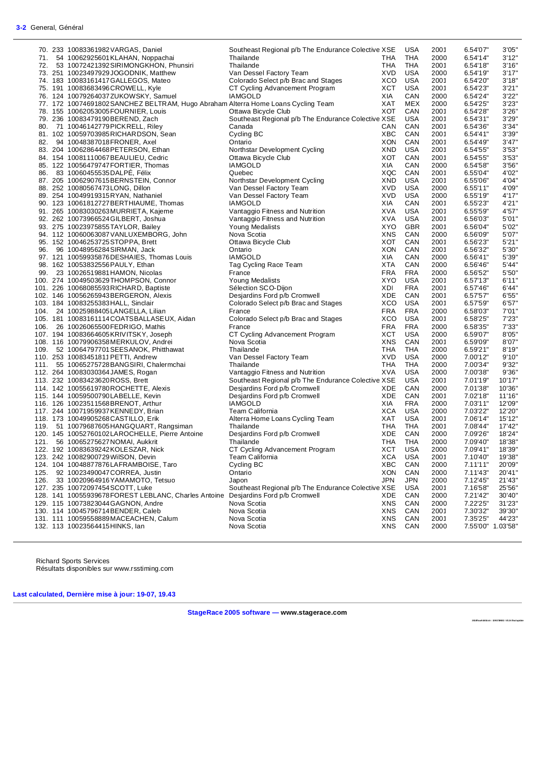|      | 70. 233 10083361982 VARGAS, Daniel                                                | Southeast Regional p/b The Endurance Colective XSE |            | USA        | 2001 | 6.54'07"          | 3'05"  |
|------|-----------------------------------------------------------------------------------|----------------------------------------------------|------------|------------|------|-------------------|--------|
|      | 71. 54 10062925601 KLAHAN, Noppachai                                              | Thailande                                          | THA        | <b>THA</b> | 2000 | 6.54'14"          | 3'12"  |
|      | 72. 53 10072421392 SIRIMONGKHON, Phunsiri                                         | Thailande                                          | THA        | THA        | 2001 | 6.54'18"          | 3'16'  |
|      | 73. 251 10023497929 JOGODNIK, Matthew                                             | Van Dessel Factory Team                            | XVD        | USA        | 2000 | 6.54'19"          | 3'17"  |
|      | 74. 183 10083161417 GALLEGOS, Mateo                                               | Colorado Select p/b Brac and Stages                | XCO        | USA        | 2001 | 6.54'20"          | 3'18"  |
|      | 75. 191 10083683496 CROWELL, Kyle                                                 | CT Cycling Advancement Program                     | XCT        | USA        | 2001 | 6.54'23"          | 3'21'' |
|      | 76. 124 10079264037 ZUKOWSKY, Samuel                                              | <b>IAMGOLD</b>                                     | XIA        | CAN        | 2000 | 6.54'24"          | 3'22"  |
|      | 77. 172 10074691802 SANCHEZ BELTRAM, Hugo Abraham Alterra Home Loans Cycling Team |                                                    | XAT        | MEX        | 2000 | 6.54'25"          | 3'23'' |
|      | 78. 155 10062053005 FOURNIER, Louis                                               | Ottawa Bicycle Club                                | XOT        | CAN        | 2001 | 6.54'28"          | 3'26'' |
|      |                                                                                   |                                                    |            |            |      |                   |        |
|      | 79. 236 10083479190BEREND, Zach                                                   | Southeast Regional p/b The Endurance Colective XSE |            | USA        | 2001 | 6.54'31"          | 3'29'  |
|      | 80. 71 10046142779 PICK RELL, Riley                                               | Canada                                             | CAN        | CAN        | 2001 | 6.54'36"          | 3'34"  |
|      | 81. 102 10059703985 RICHARDSON, Sean                                              | Cycling BC                                         | хвс        | CAN        | 2001 | 6.54'41"          | 3'39"  |
|      | 82. 94 10048387018 FRONER, Axel                                                   | Ontario                                            | XON        | CAN        | 2001 | 6.54'49"          | 3'47"  |
|      | 83. 204 10062864468 PETERSON, Ethan                                               | Northstar Development Cycling                      | XND        | USA        | 2001 | 6.54'55"          | 3'53"  |
|      | 84. 154 10081110067BEAULIEU, Cedric                                               | Ottawa Bicycle Club                                | хот        | CAN        | 2001 | 6.54'55"          | 3'53"  |
|      | 85. 122 10056479747 FORTIER, Thomas                                               | <b>IAMGOLD</b>                                     | XIA        | CAN        | 2000 | 6.54'58"          | 3'56'  |
|      | 86. 83 10060455535DALPE, Félix                                                    | Quebec                                             | XQC        | CAN        | 2001 | 6.55'04"          | 4'02"  |
|      | 87. 205 10062907615BERNSTEIN, Connor                                              | Northstar Development Cycling                      | XND        | USA        | 2001 | 6.55'06"          | 4'04"  |
|      | 88. 252 10080567473 LONG, Dillon                                                  | Van Dessel Factory Team                            | XVD        | USA        | 2000 | 6.55'11"          | 4'09"  |
|      | 89. 254 10049919315RYAN, Nathaniel                                                | Van Dessel Factory Team                            | <b>XVD</b> | USA        | 2000 | 6.55'19"          | 4'17"  |
|      | 90. 123 10061812727 BERTHIAUME, Thomas                                            | IAMGOLD                                            | XIA        | CAN        | 2001 | 6.55'23"          | 4'21"  |
|      |                                                                                   |                                                    | XVA        | USA        | 2001 | 6.55'59"          | 4'57'  |
|      | 91. 265 10083030263 MURRIETA, Kajeme                                              | Vantaggio Fitness and Nutrition                    | XVA        |            |      |                   |        |
|      | 92. 262 10073966524 GILBERT, Joshua                                               | Vantaggio Fitness and Nutrition                    |            | USA        | 2001 | 6.56'03"          | 5'01"  |
|      | 93. 275 10023975855 TAYLOR, Bailey                                                | Young Medalists                                    | XYO        | <b>GBR</b> | 2001 | 6.56'04"          | 5'02'  |
|      | 94. 112 10060063087 VANLUXEMBORG, John                                            | Nova Scotia                                        | XNS        | CAN        | 2000 | 6.56'09"          | 5'07"  |
|      | 95. 152 10046253725 STOPPA, Brett                                                 | Ottawa Bicycle Club                                | XOT        | CAN        | 2001 | 6.56'23"          | 5'21"  |
|      | 96. 96 10048956284 SIRMAN, Jack                                                   | Ontario                                            | XON        | CAN        | 2001 | 6.56'32"          | 5'30"  |
|      | 97. 121 10059935876DESHAIES, Thomas Louis                                         | <b>IAMGOLD</b>                                     | XIA        | CAN        | 2000 | 6.56'41"          | 5'39"  |
|      | 98. 162 10053832556 PAULY, Ethan                                                  | Tag Cycling Race Team                              | XTA        | CAN        | 2000 | 6.56'46"          | 5'44"  |
|      | 99. 23 10026519881 HAMON, Nicolas                                                 | France                                             | FRA        | FRA        | 2000 | 6.56'52"          | 5'50"  |
|      | 100. 274 10049503629 THOMPSON, Connor                                             | Young Medalists                                    | XYO        | <b>USA</b> | 2001 | 6.57'13"          | 6'11"  |
|      | 101. 226 10068085593 RICHARD, Baptiste                                            | Sélection SCO-Dijon                                | XDI        | <b>FRA</b> | 2001 | 6.57'46"          | 6'44"  |
|      | 102. 146 10056265943 BERGERON, Alexis                                             | Desjardins Ford p/b Cromwell                       | XDE        | CAN        | 2001 | 6.57'57"          | 6'55"  |
|      | 103. 184 10083255383 HALL, Sinclair                                               | Colorado Select p/b Brac and Stages                | XCO        | <b>USA</b> | 2001 | 6.57'59"          | 6'57'' |
|      | 104. 24 10025988405LANGELLA, Lilian                                               | France                                             | FRA        | <b>FRA</b> | 2000 | 6.58'03"          | 7'01"  |
|      | 105. 181 10083161114 COATSBALLASEUX, Aidan                                        | Colorado Select p/b Brac and Stages                | XCO        | USA        | 2001 | 6.58'25"          | 7'23'  |
|      | 106. 26 10026065500 FEDRIGO, Mathis                                               | France                                             | FRA        | <b>FRA</b> | 2000 | 6.58'35"          | 7'33"  |
|      | 107. 194 10083664605KRIVITSKY, Joseph                                             | CT Cycling Advancement Program                     | XCT        | <b>USA</b> | 2000 | 6.59'07"          | 8'05'  |
|      | 108. 116 10079906358MERKULOV, Andrei                                              | Nova Scotia                                        | XNS        | CAN        | 2001 | 6.59'09"          | 8'07"  |
|      | 109. 52 10064797701 SEESANOK, Phitthawat                                          | Thailande                                          | THA        | THA        | 2000 | 6.59'21"          | 8'19"  |
|      | 110. 253 10083451811 PETTI, Andrew                                                | Van Dessel Factory Team                            | XVD        | USA        | 2000 | 7.00'12"          | 9'10"  |
|      | 111. 55 10065275728 BANGSIRI, Chalermchai                                         | Thailande                                          | <b>THA</b> | <b>THA</b> | 2000 | 7.00'34"          | 9'32"  |
|      | 112. 264 10083030364 JAMES, Rogan                                                 | Vantaggio Fitness and Nutrition                    | XVA        | <b>USA</b> | 2000 | 7.00'38"          | 9'36'  |
|      | 113. 232 10083423620 ROSS, Brett                                                  | Southeast Regional p/b The Endurance Colective XSE |            | USA        | 2001 | 7.01'19"          | 10'17" |
|      | 114. 142 10055619780ROCHETTE, Alexis                                              |                                                    | <b>XDE</b> | CAN        | 2000 | 7.01'38"          |        |
|      |                                                                                   | Desjardins Ford p/b Cromwell                       |            |            |      |                   | 10'36' |
|      | 115. 144 10059500790LABELLE, Kevin                                                | Desjardins Ford p/b Cromwell                       | XDE        | CAN        | 2001 | 7.02'18"          | 11'16" |
|      | 116. 126 10023511568BRENOT, Arthur                                                | <b>IAMGOLD</b>                                     | XIA        | <b>FRA</b> | 2000 | 7.03'11"          | 12'09" |
|      | 117. 244 10071959937KENNEDY, Brian                                                | Team California                                    | XCA        | <b>USA</b> | 2000 | 7.03'22"          | 12'20" |
|      | 118. 173 10049905268 CASTILLO, Erik                                               | Alterra Home Loans Cycling Team                    | XAT        | <b>USA</b> | 2001 | 7.06'14"          | 15'12" |
|      | 119. 51 10079687605HANGQUART, Rangsiman                                           | Thailande                                          | <b>THA</b> | THA        | 2001 | 7.08'44"          | 17'42' |
|      | 120. 145 10052760102LAROCHELLE, Pierre Antoine                                    | Desjardins Ford p/b Cromwell                       | XDE        | CAN        | 2000 | 7.09'26"          | 18'24" |
|      | 121. 56 10065275627 NOMAI, Aukkrit                                                | Thailande                                          | THA        | THA        | 2000 | 7.09'40"          | 18'38" |
|      | 122. 192 10083639242KOLESZAR, Nick                                                | CT Cycling Advancement Program                     | хст        | USA        | 2000 | 7.09'41"          | 18'39" |
|      | 123. 242 10082900729 WilSON, Devin                                                | Team California                                    | XCA        | <b>USA</b> | 2001 | 7.10'40"          | 19'38" |
|      | 124. 104 10048877876LAFRAMBOISE, Taro                                             | Cycling BC                                         | XBC        | CAN        | 2000 | 7.11'11"          | 20'09" |
| 125. | 92 10023490047 CORREA, Justin                                                     | Ontario                                            | <b>XON</b> | CAN        | 2000 | 7.11'43"          | 20'41" |
| 126. | 33 10020964916 YAMAMOTO, Tetsuo                                                   | Japon                                              | JPN        | <b>JPN</b> | 2000 | 7.12'45"          | 21'43' |
|      | 127. 235 10072097454 SCOTT, Luke                                                  | Southeast Regional p/b The Endurance Colective XSE |            | USA        | 2001 | 7.16'58"          | 25'56' |
|      | 128. 141 10055939678 FOREST LEBLANC, Charles Antoine                              | Desjardins Ford p/b Cromwell                       | XDE        | CAN        | 2000 | 7.21'42"          | 30'40' |
|      | 129. 115 10073823044 GAGNON, Andre                                                | Nova Scotia                                        | XNS        | CAN        | 2000 | 7.22'25"          | 31'23' |
|      | 130. 114 10045796714BENDER, Caleb                                                 | Nova Scotia                                        | <b>XNS</b> | CAN        | 2001 | 7.30'32"          | 39'30" |
|      | 131. 111 10059558889 MACEACHEN, Calum                                             | Nova Scotia                                        | XNS        | CAN        | 2001 | 7.35'25"          | 44'23" |
|      | 132. 113 10023564415HINKS, lan                                                    | Nova Scotia                                        | XNS        | CAN        | 2000 | 7.55'00" 1.03'58" |        |
|      |                                                                                   |                                                    |            |            |      |                   |        |

Richard Sports Services Résultats disponibles sur www.rsstiming.com

**Last calculated, Dernière mise à jour: 19-07, 19.43** 

**StageRace 2005 software — www.stagerace.com** 

**2018TourAbitibi.str : 1291739922 : V3.24 final update**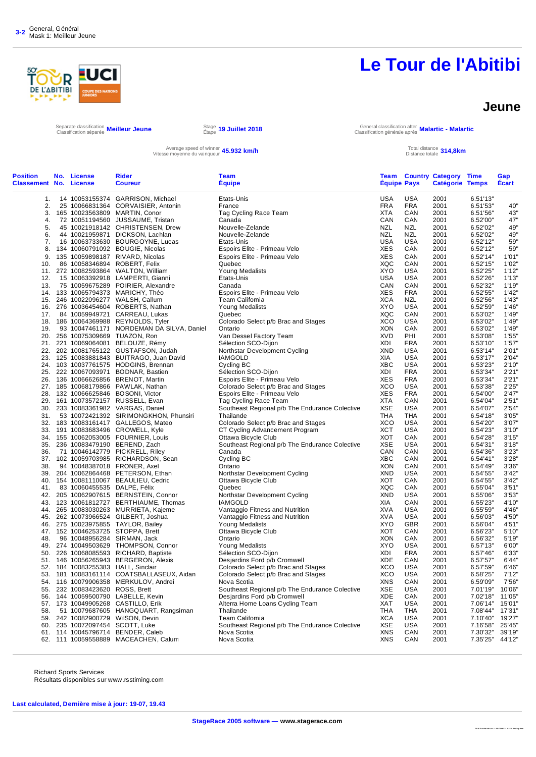

#### **Jeune**

Separate classification Classification séparée **Meilleur Jeune** Stage

Étape **19 Juillet 2018** General classification after Classification générale après **Malartic - Malartic**

Average speed of winner **45.932 km/h**<br>Vitesse moyenne du vainqueur **45.932 km/h** Total distance totale

Total distance **314,8km**<br>Distance totale **314,8km** 

| <b>Position</b>               | No. License                     | <b>Rider</b>                                                              | Team                                                                |                          |                   | <b>Team Country Category</b> | <b>Time</b>          | Gap              |
|-------------------------------|---------------------------------|---------------------------------------------------------------------------|---------------------------------------------------------------------|--------------------------|-------------------|------------------------------|----------------------|------------------|
| <b>Classement No. License</b> |                                 | <b>Coureur</b>                                                            | Équipe                                                              | <b>Équipe Pays</b>       |                   | <b>Catégorie Temps</b>       |                      | <b>Écart</b>     |
| 1.                            |                                 | 14 10053155374 GARRISON, Michael                                          | Etats-Unis                                                          | <b>USA</b>               | <b>USA</b>        | 2001                         | 6.51'13"             |                  |
| 2.                            |                                 | 25 10066831364 CORVAISIER, Antonin                                        | France                                                              | <b>FRA</b>               | <b>FRA</b>        | 2001                         | 6.51'53"             | 40"              |
| 3.                            |                                 | 165 10023563809 MARTIN, Conor                                             | Tag Cycling Race Team                                               | <b>XTA</b>               | CAN               | 2001                         | 6.51'56"             | 43"              |
| 4.                            |                                 | 72 10051194560 JUSSAUME, Tristan                                          | Canada                                                              | CAN                      | CAN               | 2001                         | 6.52'00"             | 47"              |
| 5.                            |                                 | 45 10021918142 CHRISTENSEN, Drew                                          | Nouvelle-Zelande                                                    | NZL                      | NZL               | 2001                         | 6.52'02"             | 49"              |
| 6.                            |                                 | 44 10021959871 DICKSON, Lachlan                                           | Nouvelle-Zelande                                                    | NZL                      | NZL               | 2001                         | 6.52'02"             | 49"              |
| 7.                            |                                 | 16 10063733630 BOURGOYNE, Lucas                                           | Etats-Unis                                                          | <b>USA</b>               | USA               | 2001                         | 6.52'12"             | 59"              |
| 8.                            |                                 | 134 10060791092 BOUGIE, Nicolas                                           | Espoirs Elite - Primeau Velo                                        | XES                      | CAN               | 2001                         | 6.52'12"             | 59"              |
|                               |                                 | 9. 135 10059898187 RIVARD, Nicolas                                        | Espoirs Elite - Primeau Velo                                        | <b>XES</b>               | CAN               | 2001                         | 6.52'14"             | 1'01"            |
| 10.                           |                                 | 86 10058346894 ROBERT, Felix                                              | Quebec                                                              | XQC                      | CAN               | 2001                         | 6.52'15"             | 1'02"            |
| 11.                           |                                 | 272 10082593864 WALTON, William                                           | Young Medalists                                                     | <b>XYO</b>               | USA               | 2001                         | 6.52'25"             | 1'12"            |
| 12.                           |                                 | 15 10063392918 LAMPERTI, Gianni                                           | Etats-Unis                                                          | <b>USA</b>               | USA               | 2001                         | 6.52'26"             | 1'13"            |
| 13.                           |                                 | 75 10059675289 POIRIER, Alexandre                                         | Canada                                                              | CAN                      | CAN               | 2001                         | 6.52'32"             | 1'19"            |
| 14.                           |                                 | 133 10065794373 MARICHY, Théo                                             | Espoirs Elite - Primeau Velo                                        | XES                      | <b>FRA</b>        | 2001                         | 6.52'55"             | 1'42"            |
| 15.                           |                                 | 246 10022096277 WALSH, Callum                                             | Team California                                                     | <b>XCA</b>               | NZL               | 2001                         | 6.52'56"             | 1'43"            |
| 16.                           |                                 | 276 10036454604 ROBERTS, Nathan                                           | Young Medalists                                                     | XYO                      | USA               | 2001                         | 6.52'59"             | 1'46"            |
| 17.                           |                                 | 84 10059949721 CARREAU, Lukas                                             | Quebec                                                              | <b>XQC</b>               | CAN               | 2001                         | 6.53'02"             | 1'49"            |
|                               |                                 | 18. 186 10064369988 REYNOLDS, Tyler                                       | Colorado Select p/b Brac and Stages                                 | <b>XCO</b>               | USA               | 2001                         | 6.53'02"             | 1'49"            |
| 19.                           |                                 | 93 10047461171 NORDEMAN DA SILVA, Daniel                                  | Ontario                                                             | <b>XON</b>               | CAN               | 2001                         | 6.53'02"             | 1'49"            |
| 20.                           |                                 | 256 10075309669 TUAZON, Ron                                               | Van Dessel Factory Team                                             | <b>XVD</b>               | PHI               | 2001                         | 6.53'08"             | 1'55"            |
| 21.                           |                                 | 221 10069064081 BELOUZE, Rémy                                             | Sélection SCO-Dijon                                                 | XDI                      | <b>FRA</b>        | 2001                         | 6.53'10"             | 1'57"            |
| 22.                           |                                 | 202 10081765122 GUSTAFSON, Judah                                          | Northstar Development Cycling                                       | <b>XND</b>               | USA               | 2001                         | 6.53'14"             | 2'01"            |
| 23.                           |                                 | 125 10083881843 BUITRAGO, Juan David                                      | IAMGOLD                                                             | XIA                      | USA               | 2001                         | 6.53'17"             | 2'04"            |
|                               |                                 | 24. 103 10037761575 HODGINS, Brennan                                      | Cycling BC                                                          | <b>XBC</b>               | USA               | 2001                         | 6.53'23"             | 2'10"            |
| 25.                           |                                 | 222 10067093971 BODNAR, Bastien                                           | Sélection SCO-Dijon                                                 | XDI                      | <b>FRA</b>        | 2001                         | 6.53'34"             | 2'21"            |
| 26.                           |                                 | 136 10066626856 BRENOT, Martin                                            | Espoirs Elite - Primeau Velo                                        | XES                      | <b>FRA</b>        | 2001                         | 6.53'34"             | 2'21"            |
| 28.                           |                                 | 27. 185 10068179866 PAWLAK, Nathan<br>132 10066625846 BOSONI, Victor      | Colorado Select p/b Brac and Stages<br>Espoirs Elite - Primeau Velo | <b>XCO</b><br><b>XES</b> | USA<br><b>FRA</b> | 2001<br>2001                 | 6.53'38"<br>6.54'00" | 2'25"<br>2'47"   |
| 29.                           |                                 | 161 10073572157 RUSSELL, Evan                                             | Tag Cycling Race Team                                               | <b>XTA</b>               | CAN               | 2001                         | 6.54'04"             | 2'51"            |
|                               |                                 | 30. 233 10083361982 VARGAS, Daniel                                        | Southeast Regional p/b The Endurance Colective                      | XSE                      | USA               | 2001                         | 6.54'07"             | 2'54"            |
| 31.                           |                                 | 53 10072421392 SIRIMONGKHON, Phunsiri                                     | Thailande                                                           | <b>THA</b>               | <b>THA</b>        | 2001                         | 6.54'18"             | 3'05"            |
| 32.                           |                                 | 183 10083161417 GALLEGOS, Mateo                                           | Colorado Select p/b Brac and Stages                                 | XCO                      | USA               | 2001                         | 6.54'20"             | 3'07"            |
| 33.                           |                                 | 191 10083683496 CROWELL, Kyle                                             | CT Cycling Advancement Program                                      | <b>XCT</b>               | USA               | 2001                         | 6.54'23"             | 3'10"            |
| 34.                           |                                 | 155 10062053005 FOURNIER, Louis                                           | Ottawa Bicycle Club                                                 | <b>XOT</b>               | CAN               | 2001                         | 6.54'28"             | 3'15"            |
| 35.                           |                                 | 236 10083479190 BEREND, Zach                                              | Southeast Regional p/b The Endurance Colective                      | <b>XSE</b>               | USA               | 2001                         | 6.54'31"             | 3'18"            |
| 36.                           |                                 | 71 10046142779 PICKRELL, Riley                                            | Canada                                                              | CAN                      | CAN               | 2001                         | 6.54'36"             | 3'23"            |
| 37.                           |                                 | 102 10059703985 RICHARDSON, Sean                                          | Cycling BC                                                          | XBC                      | CAN               | 2001                         | 6.54'41"             | 3'28"            |
| 38.                           |                                 | 94 10048387018 FRONER, Axel                                               | Ontario                                                             | <b>XON</b>               | CAN               | 2001                         | 6.54'49"             | 3'36"            |
| 39.                           |                                 | 204 10062864468 PETERSON, Ethan                                           | Northstar Development Cycling                                       | XND                      | USA               | 2001                         | 6.54'55"             | 3'42"            |
| 40.                           |                                 | 154 10081110067 BEAULIEU, Cedric                                          | Ottawa Bicycle Club                                                 | XOT                      | CAN               | 2001                         | 6.54'55"             | 3'42"            |
| 41.                           | 83 10060455535 DALPE, Félix     |                                                                           | Quebec                                                              | XQC                      | CAN               | 2001                         | 6.55'04"             | 3'51"            |
| 42.                           |                                 | 205 10062907615 BERNSTEIN, Connor                                         | Northstar Development Cycling                                       | XND                      | USA               | 2001                         | 6.55'06"             | 3'53"            |
| 43.                           |                                 | 123 10061812727 BERTHIAUME, Thomas                                        | <b>IAMGOLD</b>                                                      | XIA                      | CAN               | 2001                         | 6.55'23"             | 4'10"            |
| 44.                           |                                 | 265 10083030263 MURRIETA, Kajeme                                          | Vantaggio Fitness and Nutrition                                     | <b>XVA</b>               | USA               | 2001                         | 6.55'59"             | 4'46"            |
| 45.                           |                                 | 262 10073966524 GILBERT, Joshua                                           | Vantaggio Fitness and Nutrition                                     | <b>XVA</b>               | USA               | 2001                         | 6.56'03"             | 4'50"            |
| 46.                           |                                 | 275 10023975855 TAYLOR, Bailey                                            | Young Medalists                                                     | XYO                      | <b>GBR</b>        | 2001                         | 6.56'04"             | 4'51"            |
| 47.                           |                                 | 152 10046253725 STOPPA, Brett                                             | Ottawa Bicycle Club                                                 | XOT                      | CAN               | 2001                         | 6.56'23"             | 5'10"            |
| 48.                           |                                 | 96 10048956284 SIRMAN, Jack                                               | Ontario                                                             | XON                      | CAN               | 2001                         | 6.56'32"             | 5'19"            |
| 49.                           |                                 | 274 10049503629 THOMPSON, Connor                                          | <b>Young Medalists</b>                                              | XYO                      | USA               | 2001                         | 6.57'13"             | 6'00"            |
| 50.                           |                                 | 226 10068085593 RICHARD, Baptiste                                         | Sélection SCO-Dijon                                                 | XDI                      | <b>FRA</b>        | 2001                         | 6.57'46"             | 6'33"            |
| 51.                           |                                 | 146 10056265943 BERGERON, Alexis                                          | Desjardins Ford p/b Cromwell                                        | XDE                      | CAN               | 2001                         | 6.57'57"             | 6'44"            |
| 52.                           |                                 | 184 10083255383 HALL, Sinclair                                            | Colorado Select p/b Brac and Stages                                 | <b>XCO</b>               | <b>USA</b>        | 2001                         | 6.57'59"             | 6'46"            |
|                               |                                 | 53. 181 10083161114 COATSBALLASEUX, Aidan                                 | Colorado Select p/b Brac and Stages                                 | XCO                      | USA               | 2001                         | 6.58'25"             | 7'12"            |
|                               |                                 | 54. 116 10079906358 MERKULOV, Andrei                                      | Nova Scotia                                                         | XNS                      | CAN               | 2001                         | 6.59'09"             | 7'56"            |
|                               | 55. 232 10083423620 ROSS, Brett |                                                                           | Southeast Regional p/b The Endurance Colective                      | <b>XSE</b>               | USA               | 2001                         | 7.01'19"             | 10'06"           |
|                               |                                 | 56. 144 10059500790 LABELLE, Kevin                                        | Desjardins Ford p/b Cromwell                                        | XDE                      | CAN               | 2001                         | 7.02'18"             | 11'05"           |
| 58.                           |                                 | 57. 173 10049905268 CASTILLO, Erik<br>51 10079687605 HANGQUART, Rangsiman | Alterra Home Loans Cycling Team<br>Thailande                        | XAT<br>THA               | USA<br>THA        | 2001<br>2001                 | 7.06'14"<br>7.08'44" | 15'01"<br>17'31" |
|                               |                                 | 59. 242 10082900729 WilSON, Devin                                         | Team California                                                     | <b>XCA</b>               | USA               | 2001                         | 7.10'40"             | 19'27"           |
|                               |                                 | 60. 235 10072097454 SCOTT, Luke                                           | Southeast Regional p/b The Endurance Colective                      | XSE                      | USA               | 2001                         | 7.16'58"             | 25'45"           |
|                               |                                 | 61. 114 10045796714 BENDER, Caleb                                         | Nova Scotia                                                         | <b>XNS</b>               | CAN               | 2001                         | 7.30'32"             | 39'19"           |
|                               |                                 | 62. 111 10059558889 MACEACHEN, Calum                                      | Nova Scotia                                                         | XNS                      | CAN               | 2001                         | 7.35'25" 44'12"      |                  |
|                               |                                 |                                                                           |                                                                     |                          |                   |                              |                      |                  |
|                               |                                 |                                                                           |                                                                     |                          |                   |                              |                      |                  |

Richard Sports Services

Résultats disponibles sur www.rsstiming.com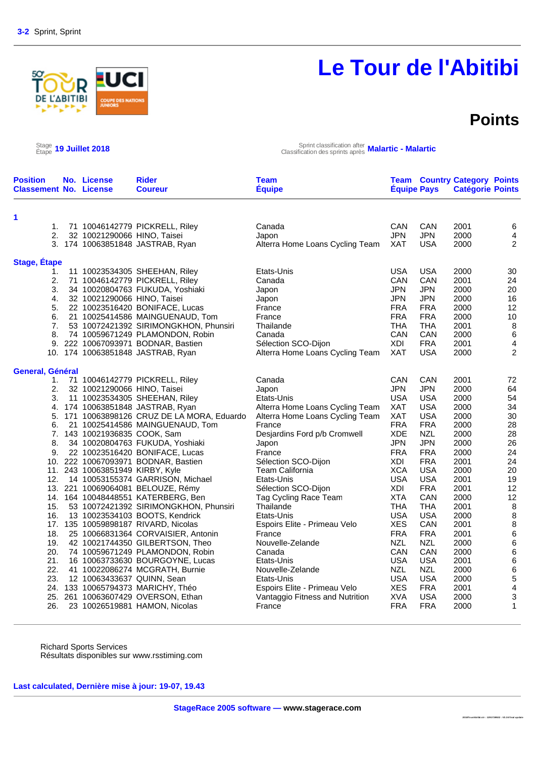### **Points**

Stage 19 Juillet 2018

**ABITIBI** 

Étape **19 Juillet 2018** Sprint classification after Classification des sprints après **Malartic - Malartic**

| <b>Position</b><br><b>Classement No. License</b> | No. License                     | <b>Rider</b><br><b>Coureur</b>              | <b>Team</b><br><b>Équipe</b>    | <b>Équipe Pays</b> |            | <b>Team Country Category Points</b><br><b>Catégorie Points</b> |                          |
|--------------------------------------------------|---------------------------------|---------------------------------------------|---------------------------------|--------------------|------------|----------------------------------------------------------------|--------------------------|
| 1                                                |                                 |                                             |                                 |                    |            |                                                                |                          |
| 1.                                               |                                 | 71 10046142779 PICKRELL, Riley              | Canada                          | CAN                | CAN        | 2001                                                           | 6                        |
| 2.                                               | 32 10021290066 HINO, Taisei     |                                             | Japon                           | <b>JPN</b>         | <b>JPN</b> | 2000                                                           | 4                        |
|                                                  |                                 | 3. 174 10063851848 JASTRAB, Ryan            | Alterra Home Loans Cycling Team | XAT                | <b>USA</b> | 2000                                                           | 2                        |
| <b>Stage, Étape</b>                              |                                 |                                             |                                 |                    |            |                                                                |                          |
| 1.                                               |                                 | 11 10023534305 SHEEHAN, Riley               | Etats-Unis                      | <b>USA</b>         | <b>USA</b> | 2000                                                           | 30                       |
| 2.                                               |                                 | 71 10046142779 PICKRELL, Riley              | Canada                          | CAN                | CAN        | 2001                                                           | 24                       |
| 3.                                               |                                 | 34 10020804763 FUKUDA, Yoshiaki             | Japon                           | <b>JPN</b>         | <b>JPN</b> | 2000                                                           | 20                       |
| 4.                                               | 32 10021290066 HINO, Taisei     |                                             | Japon                           | <b>JPN</b>         | <b>JPN</b> | 2000                                                           | 16                       |
| 5.                                               |                                 | 22 10023516420 BONIFACE, Lucas              | France                          | <b>FRA</b>         | <b>FRA</b> | 2000                                                           | 12                       |
| 6.                                               |                                 | 21 10025414586 MAINGUENAUD, Tom             | France                          | <b>FRA</b>         | <b>FRA</b> | 2000                                                           | 10                       |
| 7.                                               |                                 | 53 10072421392 SIRIMONGKHON, Phunsiri       | Thailande                       | THA                | <b>THA</b> | 2001                                                           | $\, 8$                   |
| 8.                                               |                                 | 74 10059671249 PLAMONDON, Robin             | Canada                          | CAN                | CAN        | 2000                                                           | $\,6\,$                  |
|                                                  |                                 | 9. 222 10067093971 BODNAR, Bastien          | Sélection SCO-Dijon             | XDI                | <b>FRA</b> | 2001                                                           | $\overline{\mathcal{A}}$ |
|                                                  |                                 | 10. 174 10063851848 JASTRAB, Ryan           | Alterra Home Loans Cycling Team | <b>XAT</b>         | <b>USA</b> | 2000                                                           | $\overline{2}$           |
| General, Général                                 |                                 |                                             |                                 |                    |            |                                                                |                          |
| 1.                                               |                                 | 71 10046142779 PICKRELL, Riley              | Canada                          | CAN                | CAN        | 2001                                                           | 72                       |
| 2.                                               | 32 10021290066 HINO, Taisei     |                                             | Japon                           | <b>JPN</b>         | <b>JPN</b> | 2000                                                           | 64                       |
| 3.                                               |                                 | 11 10023534305 SHEEHAN, Riley               | Etats-Unis                      | <b>USA</b>         | <b>USA</b> | 2000                                                           | 54                       |
|                                                  |                                 | 4. 174 10063851848 JASTRAB, Ryan            | Alterra Home Loans Cycling Team | <b>XAT</b>         | USA        | 2000                                                           | 34                       |
|                                                  |                                 | 5. 171 10063898126 CRUZ DE LA MORA, Eduardo | Alterra Home Loans Cycling Team | XAT                | <b>USA</b> | 2000                                                           | 30                       |
| 6.                                               |                                 | 21 10025414586 MAINGUENAUD, Tom             | France                          | <b>FRA</b>         | <b>FRA</b> | 2000                                                           | 28                       |
|                                                  | 7. 143 10021936835 COOK, Sam    |                                             | Desjardins Ford p/b Cromwell    | <b>XDE</b>         | <b>NZL</b> | 2000                                                           | 28                       |
| 8.                                               |                                 | 34 10020804763 FUKUDA, Yoshiaki             | Japon                           | <b>JPN</b>         | <b>JPN</b> | 2000                                                           | 26                       |
| 9.                                               |                                 | 22 10023516420 BONIFACE, Lucas              | France                          | <b>FRA</b>         | <b>FRA</b> | 2000                                                           | 24                       |
|                                                  |                                 | 10. 222 10067093971 BODNAR, Bastien         | Sélection SCO-Dijon             | XDI                | <b>FRA</b> | 2001                                                           | 24                       |
|                                                  | 11. 243 10063851949 KIRBY, Kyle |                                             | Team California                 | <b>XCA</b>         | <b>USA</b> | 2000                                                           | 20                       |
| 12.                                              |                                 | 14 10053155374 GARRISON, Michael            | Etats-Unis                      | <b>USA</b>         | <b>USA</b> | 2001                                                           | 19                       |
|                                                  |                                 | 13. 221 10069064081 BELOUZE, Rémy           | Sélection SCO-Dijon             | XDI                | <b>FRA</b> | 2001                                                           | 12                       |
|                                                  |                                 | 14. 164 10048448551 KATERBERG, Ben          | Tag Cycling Race Team           | <b>XTA</b>         | CAN        | 2000                                                           | 12                       |
| 15.                                              |                                 | 53 10072421392 SIRIMONGKHON, Phunsiri       | Thailande                       | <b>THA</b>         | <b>THA</b> | 2001                                                           | $\, 8$                   |
| 16.                                              |                                 | 13 10023534103 BOOTS, Kendrick              | Etats-Unis                      | <b>USA</b>         | <b>USA</b> | 2000                                                           | $\, 8$                   |
|                                                  |                                 | 17. 135 10059898187 RIVARD, Nicolas         | Espoirs Elite - Primeau Velo    | <b>XES</b>         | CAN        | 2001                                                           | 8                        |
| 18.                                              |                                 | 25 10066831364 CORVAISIER, Antonin          | France                          | <b>FRA</b>         | <b>FRA</b> | 2001                                                           | 6                        |
| 19.                                              |                                 | 42 10021744350 GILBERTSON, Theo             | Nouvelle-Zelande                | <b>NZL</b>         | <b>NZL</b> | 2000                                                           | 6                        |
| 20.                                              |                                 | 74 10059671249 PLAMONDON, Robin             | Canada                          | CAN                | CAN        | 2000                                                           | 6                        |
| 21.                                              |                                 | 16 10063733630 BOURGOYNE, Lucas             | Etats-Unis                      | <b>USA</b>         | <b>USA</b> | 2001                                                           | $\,6$                    |
| 22.                                              |                                 | 41 10022086274 MCGRATH, Burnie              | Nouvelle-Zelande                | <b>NZL</b>         | <b>NZL</b> | 2000                                                           | 6                        |
| 23.                                              | 12 10063433637 QUINN, Sean      |                                             | Etats-Unis                      | <b>USA</b>         | <b>USA</b> | 2000                                                           | 5                        |
|                                                  |                                 | 24. 133 10065794373 MARICHY, Théo           | Espoirs Elite - Primeau Velo    | <b>XES</b>         | <b>FRA</b> | 2001                                                           |                          |
|                                                  |                                 | 25. 261 10063607429 OVERSON, Ethan          | Vantaggio Fitness and Nutrition | <b>XVA</b>         | <b>USA</b> | 2000                                                           | $\frac{4}{3}$            |
| 26.                                              |                                 | 23 10026519881 HAMON, Nicolas               | France                          | <b>FRA</b>         | <b>FRA</b> | 2000                                                           | $\mathbf{1}$             |
|                                                  |                                 |                                             |                                 |                    |            |                                                                |                          |

Richard Sports Services Résultats disponibles sur www.rsstiming.com

**Last calculated, Dernière mise à jour: 19-07, 19.43**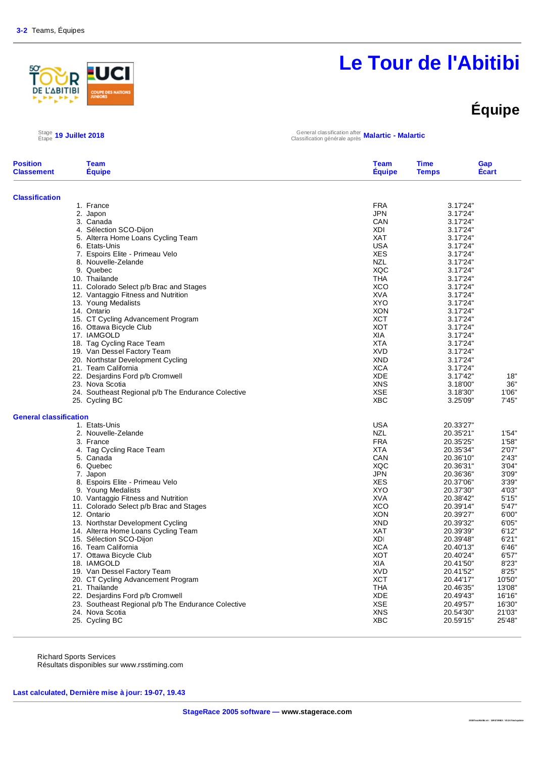#### <u>우</u> R **ABITIBI**

# **Le Tour de l'Abitibi**

# **Équipe**

 $\frac{\text{Stage}}{\text{Etape}}$  19 Juillet 2018

Étape **19 Juillet 2018** General classification after Classification générale après **Malartic - Malartic**

| <b>Position</b><br><b>Classement</b> | <b>Team</b><br><b>Équipe</b>                                         | <b>Team</b><br><b>Équipe</b> | <b>Time</b><br><b>Temps</b> | Gap<br>Écart   |
|--------------------------------------|----------------------------------------------------------------------|------------------------------|-----------------------------|----------------|
| <b>Classification</b>                |                                                                      |                              |                             |                |
|                                      | 1. France                                                            | <b>FRA</b>                   | 3.17'24"                    |                |
|                                      | 2. Japon                                                             | <b>JPN</b>                   | 3.17'24"                    |                |
|                                      | 3. Canada                                                            | CAN                          | 3.17'24"                    |                |
|                                      | 4. Sélection SCO-Dijon                                               | XDI                          | 3.17'24"                    |                |
|                                      | 5. Alterra Home Loans Cycling Team                                   | <b>XAT</b>                   | 3.17'24"                    |                |
|                                      | 6. Etats-Unis                                                        | <b>USA</b>                   | 3.17'24"                    |                |
|                                      | 7. Espoirs Elite - Primeau Velo                                      | <b>XES</b>                   | 3.17'24"                    |                |
|                                      | 8. Nouvelle-Zelande                                                  | <b>NZL</b>                   | 3.17'24"                    |                |
|                                      | 9. Quebec                                                            | XQC                          | 3.17'24"                    |                |
|                                      | 10. Thailande                                                        | <b>THA</b>                   | 3.17'24"                    |                |
|                                      | 11. Colorado Select p/b Brac and Stages                              | <b>XCO</b>                   | 3.17'24"                    |                |
|                                      | 12. Vantaggio Fitness and Nutrition                                  | XVA                          | 3.17'24"                    |                |
|                                      | 13. Young Medalists                                                  | <b>XYO</b>                   | 3.17'24"                    |                |
|                                      | 14. Ontario                                                          | <b>XON</b>                   | 3.17'24"                    |                |
|                                      | 15. CT Cycling Advancement Program                                   | <b>XCT</b>                   | 3.17'24"                    |                |
|                                      | 16. Ottawa Bicycle Club                                              | <b>XOT</b>                   | 3.17'24"                    |                |
|                                      | 17. IAMGOLD                                                          | <b>XIA</b>                   | 3.17'24"                    |                |
|                                      | 18. Tag Cycling Race Team                                            | <b>XTA</b>                   | 3.17'24"                    |                |
|                                      | 19. Van Dessel Factory Team                                          | <b>XVD</b>                   | 3.17'24"                    |                |
|                                      | 20. Northstar Development Cycling                                    | <b>XND</b>                   | 3.17'24"                    |                |
|                                      | 21. Team California                                                  | <b>XCA</b>                   | 3.17'24"                    |                |
|                                      | 22. Desjardins Ford p/b Cromwell                                     | <b>XDE</b>                   | 3.17'42"                    | 18"            |
|                                      | 23. Nova Scotia                                                      | <b>XNS</b>                   | 3.18'00"                    | 36"            |
|                                      | 24. Southeast Regional p/b The Endurance Colective<br>25. Cycling BC | <b>XSE</b><br><b>XBC</b>     | 3.18'30"<br>3.25'09"        | 1'06"<br>7'45" |
| <b>General classification</b>        |                                                                      |                              |                             |                |
|                                      | 1. Etats-Unis                                                        | <b>USA</b>                   | 20.33'27"                   |                |
|                                      | 2. Nouvelle-Zelande                                                  | <b>NZL</b>                   | 20.35'21"                   | 1'54"          |
|                                      | 3. France                                                            | <b>FRA</b>                   | 20.35'25"                   | 1'58"          |
|                                      | 4. Tag Cycling Race Team                                             | <b>XTA</b>                   | 20.35'34"                   | 2'07'          |
|                                      | 5. Canada                                                            | CAN                          | 20.36'10"                   | 2'43"          |
|                                      | 6. Quebec                                                            | XQC                          | 20.36'31"                   | 3'04"          |
|                                      | 7. Japon                                                             | <b>JPN</b>                   | 20.36'36"                   | 3'09"          |
|                                      | 8. Espoirs Elite - Primeau Velo                                      | <b>XES</b>                   | 20.37'06"                   | 3'39"          |
|                                      | 9. Young Medalists                                                   | <b>XYO</b>                   | 20.37'30"                   | 4'03"          |
|                                      | 10. Vantaggio Fitness and Nutrition                                  | <b>XVA</b>                   | 20.38'42"                   | 5'15"          |
|                                      | 11. Colorado Select p/b Brac and Stages                              | <b>XCO</b>                   | 20.39'14"                   | 5'47'          |
|                                      | 12. Ontario                                                          | <b>XON</b>                   | 20.39'27"                   | 6'00"          |
|                                      | 13. Northstar Development Cycling                                    | <b>XND</b>                   | 20.39'32"                   | 6'05"          |
|                                      | 14. Alterra Home Loans Cycling Team                                  | <b>XAT</b>                   | 20.39'39"                   | 6'12'          |
|                                      | 15. Sélection SCO-Dijon                                              | <b>XDI</b>                   | 20.39'48"                   | 6'21'          |
|                                      | 16. Team California                                                  | <b>XCA</b>                   | 20.40'13"                   | 6'46''         |
|                                      | 17. Ottawa Bicycle Club                                              | <b>XOT</b>                   | 20.40'24"                   | 6'57'          |
|                                      | 18. IAMGOLD                                                          | XIA                          | 20.41'50"                   | 8'23"          |
|                                      | 19. Van Dessel Factory Team                                          | <b>XVD</b>                   | 20.41'52"                   | 8'25"          |
|                                      | 20. CT Cycling Advancement Program                                   | <b>XCT</b>                   | 20.44'17"                   | 10'50"         |
|                                      | 21. Thailande                                                        | <b>THA</b>                   | 20.46'35"                   | 13'08"         |
|                                      | 22. Desjardins Ford p/b Cromwell                                     | <b>XDE</b>                   | 20.49'43"                   | 16'16"         |
|                                      | 23. Southeast Regional p/b The Endurance Colective                   | <b>XSE</b>                   | 20.49'57"                   | 16'30"         |
|                                      | 24. Nova Scotia                                                      | <b>XNS</b>                   | 20.54'30"                   | 21'03"         |
|                                      | 25. Cycling BC                                                       | <b>XBC</b>                   | 20.59'15"                   | 25'48"         |

Richard Sports Services Résultats disponibles sur www.rsstiming.com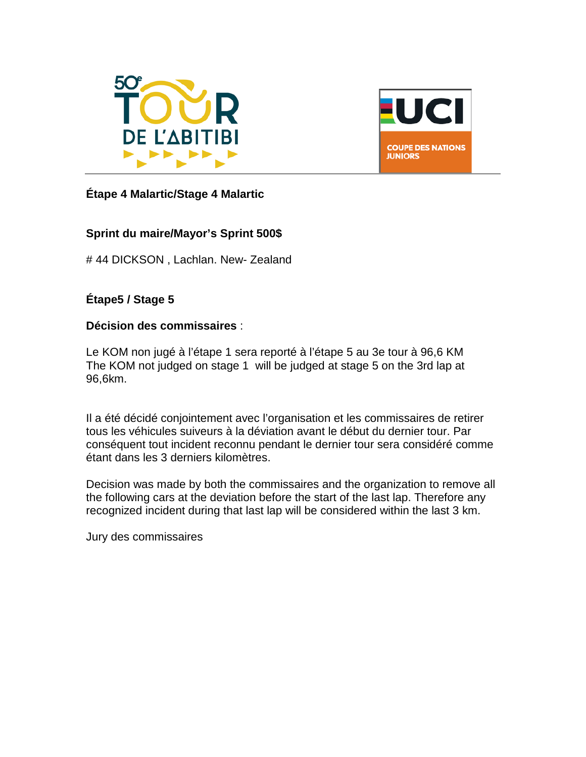



#### **Étape 4 Malartic/Stage 4 Malartic**

#### **Sprint du maire/Mayor's Sprint 500\$**

# 44 DICKSON , Lachlan. New- Zealand

#### **Étape5 / Stage 5**

#### **Décision des commissaires** :

Le KOM non jugé à l'étape 1 sera reporté à l'étape 5 au 3e tour à 96,6 KM The KOM not judged on stage 1 will be judged at stage 5 on the 3rd lap at 96,6km.

Il a été décidé conjointement avec l'organisation et les commissaires de retirer tous les véhicules suiveurs à la déviation avant le début du dernier tour. Par conséquent tout incident reconnu pendant le dernier tour sera considéré comme étant dans les 3 derniers kilomètres.

Decision was made by both the commissaires and the organization to remove all the following cars at the deviation before the start of the last lap. Therefore any recognized incident during that last lap will be considered within the last 3 km.

Jury des commissaires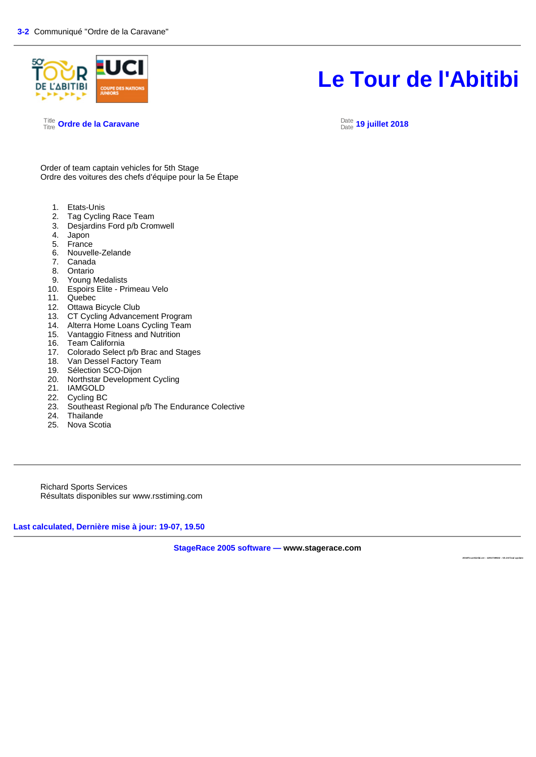

Title Titre **Ordre de la Caravane** Date

#### Date **19 juillet 2018**

Order of team captain vehicles for 5th Stage Ordre des voitures des chefs d'équipe pour la 5e Étape

- 1. Etats-Unis<br>2. Tag Cyclin
- Tag Cycling Race Team
- 3. Desjardins Ford p/b Cromwell
- 4. Japon
- 5. France
- 6. Nouvelle-Zelande
- 7. Canada
- 8. Ontario
- 9. Young Medalists
- 10. Espoirs Elite Primeau Velo
- 11. Quebec
- 12. Ottawa Bicycle Club
- 13. CT Cycling Advancement Program
- 14. Alterra Home Loans Cycling Team<br>15. Vantaggio Fitness and Nutrition
- 15. Vantaggio Fitness and Nutrition<br>16. Team California
- Team California
- 17. Colorado Select p/b Brac and Stages<br>18. Van Dessel Factory Team
- Van Dessel Factory Team
- 19. Sélection SCO-Dijon
- 20. Northstar Development Cycling
- 21. IAMGOLD
- 22. Cycling BC
- 23. Southeast Regional p/b The Endurance Colective
- 24. Thailande
- 25. Nova Scotia

Richard Sports Services Résultats disponibles sur www.rsstiming.com

**Last calculated, Dernière mise à jour: 19-07, 19.50** 

**StageRace 2005 software — www.stagerace.com** 

**2018To urAbitibi.str : 1291739922 : V3.24 final up date**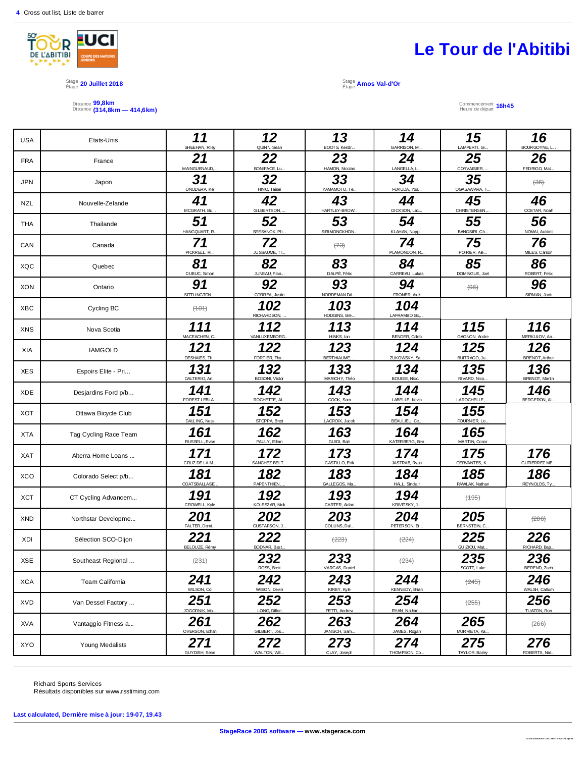

#### Stage is a stage **20 Juillet 2018** Stage is a stage in the stage in the stage in the stage is stage in the Stage is<br>Étape **20 Juillet 2018**

Distance Distance **99,8km (314,8km — 414,6km)**



Étape **Amos Val-d'Or**

Commencement Heure de départ **16h45**

| <b>USA</b> | Etats-Unis            | 11<br>SHEEHAN, Riley  | 12<br>QUINN, Sean            | 13<br>BOOTS, Kendr.      | 14<br>GARRISON, Mi    | 15<br>LAMPERTI, Gi.      | 16<br>BOURGOYNE, L.          |
|------------|-----------------------|-----------------------|------------------------------|--------------------------|-----------------------|--------------------------|------------------------------|
| <b>FRA</b> | France                | 21<br>MAINGU ENAUD,   | 22<br>BONIFACE, Lu.          | 23<br>HAMON, Nicolas     | 24<br>LANGELLA, Li    | 25<br>CORVAISIER,        | 26<br>FEDRIGO, Mat.          |
| <b>JPN</b> | Japon                 | 31<br>ONODERA, Kei    | 32<br>HINO, Taisei           | 33<br>YAMAMOTO, Te       | 34<br>FUKUDA, Yos     | 35<br>OGASAWARA, T       | $436$                        |
| <b>NZL</b> | Nouvelle-Zelande      | 41<br>MCGRATH, Bu.    | 42<br><b>GILBERTSON</b>      | 43<br>HARTLEY-BROW.      | 44<br>DICKSON, Lac.   | 45<br><b>CHRISTENSEN</b> | 46<br>COSTAR, Noah           |
| <b>THA</b> | Thailande             | 51<br>HANGQUART, R.   | 52<br>SEESANOK, Ph           | 53<br>SIRIMONGKHON.      | 54<br>KLAHAN, Nopp.   | 55<br>BANGSIRI, Ch.      | 56<br>NOMAI, Aukkrit         |
| CAN        | Canada                | 71<br>PICKRELL, Ri.   | 72<br>JUSSAUME, Tr           | (73)                     | 74<br>PLAMONDON, R    | 75<br>POIRIER, Ale.      | 76<br>MILES, Carson          |
| XQC        | Quebec                | 81<br>DUBUC, Simon    | 82<br>JUNEAU, Fran.          | 83<br>DALPÉ, Félix       | 84<br>CARREAU, Lukas  | 85<br>DOMINGUE, Joel     | 86<br>ROBERT, Felix          |
| <b>XON</b> | Ontario               | 91<br>SITTUNGTON,     | 92<br>CORREA, Justin         | 93<br>NORDEMAN DA        | 94<br>FRONER, Axel    | $\left( \Theta 5\right)$ | 96<br>SIRMAN, Jack           |
| <b>XBC</b> | Cycling BC            | (101)                 | 102<br>RICHARD SON,          | 103<br>HODGINS, Bre      | 104<br>LAFRAMBOISE,   |                          |                              |
| <b>XNS</b> | Nova Scotia           | 111<br>MACEACHEN, C.  | 112<br>VANLUXEMBORG.         | 113<br>HINKS, Ian        | 114<br>BENDER, Caleb  | 115<br>GAGNON, Andre     | 116<br>MERKULOV, An          |
| XIA        | <b>IAMGOLD</b>        | 121<br>DESHAIES, Th.  | 122<br>FORTIER, Tho.         | 123<br><b>BERTHIAUME</b> | 124<br>ZUKOWSKY, Sa.  | 125<br>BUITRAGO, Ju.     | 126<br><b>BRENOT, Arthur</b> |
| <b>XES</b> | Espoirs Elite - Pri   | 131<br>DALTERIO, An   | 132<br>BOSONI, Victor        | 133<br>MARICHY, Théc     | 134<br>BOUGIE, Nico., | 135<br>RIVARD, Nico.     | 136<br><b>BRENOT, Martin</b> |
| XDE        | Desjardins Ford p/b   | 141<br>FOREST LEBLA   | 142<br>ROCHETTE, AL          | 143<br>COOK, Sam         | 144<br>LABELLE, Kevin | 145<br>LAROCHELLE,       | 146<br>BERGERON, AI.         |
| <b>XOT</b> | Ottawa Bicycle Club   | 151<br>DALLING, Ness  | 152<br>STOPPA, Brett         | 153<br>LACROIX, Jacob    | 154<br>BEAULIEU, Ce.  | 155<br>FOURNIER, Lo.     |                              |
| <b>XTA</b> | Tag Cycling Race Team | 161<br>RUSSELL, Evan  | 162<br>PAULY, Ethan          | 163<br>GUIDI, Baili      | 164<br>KATERBERG, Ben | 165<br>MARTIN, Conor     |                              |
| <b>XAT</b> | Alterra Home Loans    | 171<br>CRUZ DE LA M.  | 172<br>SANCHEZ BELT.         | 173<br>CASTILLO, Erik    | 174<br>JASTRAB, Ryan  | 175<br>CERVANTES, K.     | 176<br><b>GUTIERREZ ME</b>   |
| <b>XCO</b> | Colorado Select p/b   | 181<br>COATSBALLASE.  | 182<br>PAPENTHIEN,           | 183<br>GALLEGOS, Ma.     | 184<br>HALL, Sindair  | 185<br>PAWLAK, Nathan    | 186<br>REYNOLDS, Ty.         |
| <b>XCT</b> | CT Cycling Advancem   | 191<br>CROWELL, Kyle  | 192<br><b>KOLESZAR, Nick</b> | 193<br>CARTER, Aidan     | 194<br>KRIVITSKY, J   | $(+95)$                  |                              |
| <b>XND</b> | Northstar Developme   | 201<br>FALTER, Dami.  | 202<br>GUSTAFSON, J          | 203<br>COLLINS, Dal.     | 204<br>PETERSON, Et   | 205<br>BERNSTEIN, C.     | (206)                        |
| XDI        | Sélection SCO-Dijon   | 221<br>BELOUZE, Rémy  | 222<br>BODNAR, Bast.         | (223)                    | (224)                 | 225<br>GUIZIOU, Mat.     | 226<br>RICHARD, Bap.         |
| XSE        | Southeast Regional    | (231)                 | 232<br>ROSS, Brett           | 233<br>VARGAS, Daniel    | (234)                 | 235<br>SCOTT, Luke       | 236<br>BEREND, Zach          |
| <b>XCA</b> | Team California       | 241<br>WILSON, Col    | 242<br>WilSON, Devin         | 243<br>KIRBY, Kyle       | 244<br>KENNEDY, Brian | (245)                    | 246<br>WALSH, Callum         |
| XVD        | Van Dessel Factory    | 251<br>JOGODNIK, Ma.  | 252<br>LONG, Dillon          | 253<br>PETTI, Andrew     | 254<br>RYAN, Nathan.  | $(+255)$                 | 256<br>TUAZON, Ron           |
| XVA        | Vantaggio Fitness a   | 261<br>OVERSON, Ethan | 262<br>GILBERT, Jos.         | 263<br>JANISCH, Sam.     | 264<br>JAMES, Rogan   | 265<br>MURRIETA, Ka.     | (266)                        |
| XYO        | Young Medalists       | 271<br>GUYDISH, Sean  | 272<br>WALTON, Wil.          | 273<br>CLAY, Joseph      | 274<br>THOMPSON, Co., | 275<br>TAYLOR, Bailey    | 276<br>ROBERTS, Nat.         |

Richard Sports Services Résultats disponibles sur www.rsstiming.com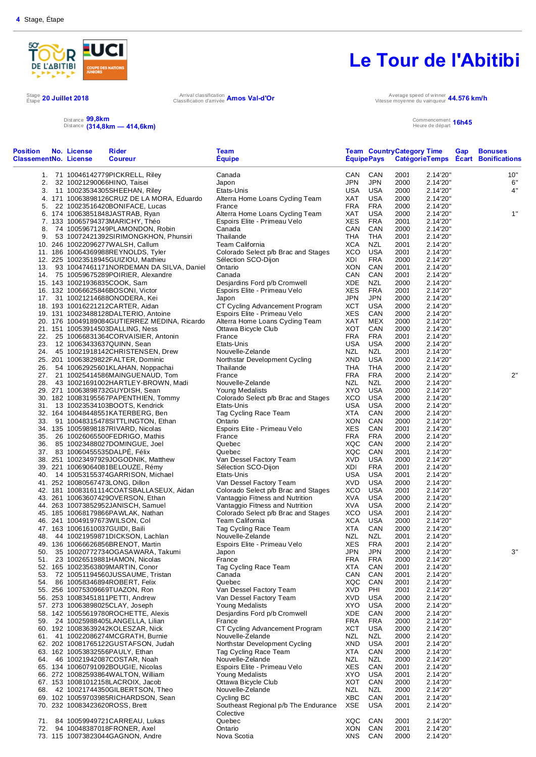

Stage 20 Juillet 2018<br>Étape <sup>20</sup> Juillet 2018 Arrival classification d'arrivée

# **Le Tour de l'Abitibi**

Arrival classification **Amos Val-d'Or** Classification d'arrivée **Amos Val-d'Or** 

**Team**

Vitesse moyenne du vainqueur **44.576 km/h**

**Time**

**Team**

**Country**

**Category**

Commencement Heure de départ **16h45**

**Gap**

**Bonuses**

|                                                             |  | Distance 99,8km | Distance (314,8km - 414,6km)   |  |
|-------------------------------------------------------------|--|-----------------|--------------------------------|--|
| <b>Position</b> No. License<br><b>ClassementNo. License</b> |  |                 | <b>Rider</b><br><b>Coureur</b> |  |

| ClassementNo. License | Coureur                                      | <b>Equipe</b>                        |            | <b>EquipePays</b> |      |          | CatégorieTemps Ecart Bonifications |
|-----------------------|----------------------------------------------|--------------------------------------|------------|-------------------|------|----------|------------------------------------|
|                       | 1. 71 10046142779PICKRELL, Riley             | Canada                               | CAN        | CAN               | 2001 | 2.14'20" | 10"                                |
| 2.                    | 32 10021290066HINO, Taisei                   | Japon                                | JPN        | <b>JPN</b>        | 2000 | 2.14'20" | 6"                                 |
|                       | 3. 11 10023534305SHEEHAN, Riley              | Etats-Unis                           | USA        | USA               | 2000 | 2.14'20" | 4"                                 |
|                       | 4. 171 10063898126CRUZ DE LA MORA, Eduardo   | Alterra Home Loans Cycling Team      | XAT        | <b>USA</b>        | 2000 | 2.14'20" |                                    |
| 5.                    | 22 10023516420BONIFACE, Lucas                | France                               | <b>FRA</b> | <b>FRA</b>        | 2000 | 2.14'20" |                                    |
|                       | 6. 174 10063851848JASTRAB, Ryan              | Alterra Home Loans Cycling Team      | XAT        | USA               | 2000 | 2.14'20" | 1"                                 |
|                       | 7. 133 10065794373MARICHY, Théo              | Espoirs Elite - Primeau Velo         | XES        | <b>FRA</b>        | 2001 | 2.14'20" |                                    |
|                       | 8. 74 10059671249PLAMONDON, Robin            | Canada                               | CAN        | CAN               | 2000 | 2.14'20" |                                    |
|                       | 9. 53 10072421392SIRIMONGKHON, Phunsiri      | Thailande                            | THA        | THA               | 2001 | 2.14'20" |                                    |
|                       | 10. 246 10022096277WALSH, Callum             | Team California                      | XCA        | NZL               | 2001 | 2.14'20" |                                    |
|                       | 11. 186 10064369988REYNOLDS, Tyler           | Colorado Select p/b Brac and Stages  | XCO        | <b>USA</b>        | 2001 | 2.14'20" |                                    |
|                       | 12. 225 10023518945GUIZIOU, Mathieu          | Sélection SCO-Dijon                  | XDI        | <b>FRA</b>        | 2000 | 2.14'20" |                                    |
|                       | 13. 93 10047461171NORDEMAN DA SILVA, Daniel  | Ontario                              | XON        | CAN               | 2001 | 2.14'20" |                                    |
|                       | 14. 75 10059675289POIRIER, Alexandre         | Canada                               | CAN        | CAN               | 2001 | 2.14'20" |                                    |
|                       | 15. 143 10021936835COOK, Sam                 | Desjardins Ford p/b Cromwell         | XDE        | NZL               | 2000 | 2.14'20" |                                    |
|                       | 16. 132 10066625846BOSONI, Victor            | Espoirs Elite - Primeau Velo         | XES        | <b>FRA</b>        | 2001 | 2.14'20" |                                    |
|                       | 17. 31 10021214688ONODERA, Kei               | Japon                                | JPN        | <b>JPN</b>        | 2000 | 2.14'20" |                                    |
|                       | 18. 193 10016221212CARTER, Aidan             | CT Cycling Advancement Program       | XCT        | USA               | 2000 | 2.14'20" |                                    |
|                       | 19. 131 10023488128DALTERIO, Antoine         | Espoirs Elite - Primeau Velo         | XES        | CAN               | 2000 | 2.14'20" |                                    |
|                       | 20. 176 10049189084GUTIERREZ MEDINA, Ricardo | Alterra Home Loans Cycling Team      | XAT        | MEX               | 2000 | 2.14'20" |                                    |
|                       | 21. 151 10053914503DALLING, Ness             | Ottawa Bicycle Club                  | XOT        | CAN               | 2000 | 2.14'20" |                                    |
|                       | 22. 25 10066831364CORVAISIER, Antonin        | France                               | <b>FRA</b> | <b>FRA</b>        | 2001 | 2.14'20" |                                    |
|                       | 23. 12 10063433637QUINN, Sean                | Etats-Unis                           | USA        | USA               | 2000 | 2.14'20" |                                    |
|                       |                                              | Nouvelle-Zelande                     | NZL        |                   |      |          |                                    |
|                       | 24. 45 10021918142CHRISTENSEN, Drew          |                                      |            | NZL               | 2001 | 2.14'20" |                                    |
|                       | 25. 201 10063829822FALTER, Dominic           | Northstar Development Cycling        | XND        | USA               | 2000 | 2.14'20" |                                    |
|                       | 26. 54 10062925601KLAHAN, Noppachai          | Thailande                            | THA        | THA               | 2000 | 2.14'20" |                                    |
|                       | 27. 21 10025414586MAINGUENAUD, Tom           | France                               | <b>FRA</b> | FRA               | 2000 | 2.14'20" | 2"                                 |
|                       | 28. 43 10021691002HARTLEY-BROWN, Madi        | Nouvelle-Zelande                     | NZL        | NZL               | 2000 | 2.14'20" |                                    |
|                       | 29. 271 10063898732GUYDISH, Sean             | Young Medalists                      | XYO        | USA               | 2000 | 2.14'20" |                                    |
|                       | 30. 182 10083195567PAPENTHIEN, Tommy         | Colorado Select p/b Brac and Stages  | XCO        | USA               | 2000 | 2.14'20" |                                    |
|                       | 31. 13 10023534103BOOTS, Kendrick            | Etats-Unis                           | USA        | USA               | 2000 | 2.14'20" |                                    |
|                       | 32. 164 10048448551KATERBERG, Ben            | Tag Cycling Race Team                | <b>XTA</b> | CAN               | 2000 | 2.14'20" |                                    |
|                       | 33. 91 10048315478SITTLINGTON, Ethan         | Ontario                              | XON        | CAN               | 2000 | 2.14'20" |                                    |
|                       | 34. 135 10059898187RIVARD, Nicolas           | Espoirs Elite - Primeau Velo         | <b>XES</b> | CAN               | 2001 | 2.14'20" |                                    |
|                       | 35. 26 10026065500FEDRIGO, Mathis            | France                               | FRA        | <b>FRA</b>        | 2000 | 2.14'20" |                                    |
|                       | 36. 85 10023488027DOMINGUE, Joel             | Quebec                               | XQC        | CAN               | 2000 | 2.14'20" |                                    |
|                       | 37. 83 10060455535DALPE, Félix               | Quebec                               | XQC        | CAN               | 2001 | 2.14'20" |                                    |
|                       | 38. 251 10023497929JOGODNIK, Matthew         | Van Dessel Factory Team              | <b>XVD</b> | <b>USA</b>        | 2000 | 2.14'20" |                                    |
|                       | 39. 221 10069064081BELOUZE, Rémy             | Sélection SCO-Dijon                  | XDI        | <b>FRA</b>        | 2001 | 2.14'20" |                                    |
|                       | 40. 14 10053155374GARRISON, Michael          | Etats-Unis                           | <b>USA</b> | USA               | 2001 | 2.14'20" |                                    |
|                       | 41. 252 10080567473LONG, Dillon              | Van Dessel Factory Team              | <b>XVD</b> | USA               | 2000 | 2.14'20" |                                    |
|                       | 42. 181 10083161114COATSBALLASEUX, Aidan     | Colorado Select p/b Brac and Stages  | XCO        | USA               | 2001 | 2.14'20" |                                    |
|                       | 43. 261 10063607429OVERSON, Ethan            | Vantaggio Fitness and Nutrition      | XVA        | USA               | 2000 | 2.14'20" |                                    |
|                       | 44. 263 10073852952JANISCH, Samuel           | Vantaggio Fitness and Nutrition      | XVA        | USA               | 2000 | 2.14'20" |                                    |
|                       | 45. 185 10068179866PAWLAK, Nathan            | Colorado Select p/b Brac and Stages  | XCO        | USA               | 2001 | 2.14'20" |                                    |
|                       | 46. 241 10049197673WILSON, Col               | Team California                      | XCA        | USA               | 2000 | 2.14'20" |                                    |
|                       | 47. 163 10061610037GUIDI, Baili              | Tag Cycling Race Team                | XTA        | CAN               | 2000 | 2.14'20" |                                    |
| 48.                   | 44 10021959871DICKSON, Lachlan               | Nouvelle-Zelande                     | <b>NZL</b> | NZL               | 2001 | 2.14'20" |                                    |
|                       | 49. 136 10066626856BRENOT, Martin            | Espoirs Elite - Primeau Velo         | XES        | FRA               | 2001 | 2.14'20" |                                    |
| 50.                   | 35 10020772734OGASAWARA, Takumi              | Japon                                | JPN        | <b>JPN</b>        | 2000 | 2.14'20" | 3"                                 |
|                       | 51. 23 10026519881HAMON, Nicolas             | France                               | FRA        | <b>FRA</b>        | 2000 | 2.14'20" |                                    |
|                       | 52. 165 10023563809MARTIN, Conor             | Tag Cycling Race Team                | XTA        | CAN               | 2001 | 2.14'20" |                                    |
|                       | 53. 72 10051194560JUSSAUME, Tristan          | Canada                               | CAN        | CAN               | 2001 | 2.14'20" |                                    |
|                       | 54. 86 10058346894ROBERT, Felix              | Quebec                               | XQC        | CAN               | 2001 | 2.14'20" |                                    |
|                       | 55. 256 10075309669TUAZON, Ron               | Van Dessel Factory Team              | <b>XVD</b> | PHI               | 2001 | 2.14'20" |                                    |
|                       |                                              |                                      | <b>XVD</b> |                   |      |          |                                    |
|                       | 56. 253 10083451811PETTI, Andrew             | Van Dessel Factory Team              |            | <b>USA</b>        | 2000 | 2.14'20" |                                    |
|                       | 57. 273 10063898025CLAY, Joseph              | Young Medalists                      | XYO        | USA               | 2000 | 2.14'20" |                                    |
|                       | 58. 142 10055619780ROCHETTE, Alexis          | Desjardins Ford p/b Cromwell         | XDE        | CAN               | 2000 | 2.14'20" |                                    |
|                       | 59. 24 10025988405LANGELLA, Lilian           | France                               | <b>FRA</b> | <b>FRA</b>        | 2000 | 2.14'20" |                                    |
|                       | 60. 192 10083639242KOLESZAR, Nick            | CT Cycling Advancement Program       | XCT        | USA               | 2000 | 2.14'20" |                                    |
|                       | 61. 41 10022086274MCGRATH, Burnie            | Nouvelle-Zelande                     | NZL        | NZL               | 2000 | 2.14'20" |                                    |
|                       | 62. 202 10081765122GUSTAFSON, Judah          | Northstar Development Cycling        | XND        | USA               | 2001 | 2.14'20" |                                    |
|                       | 63. 162 10053832556PAULY, Ethan              | Tag Cycling Race Team                | <b>XTA</b> | CAN               | 2000 | 2.14'20" |                                    |
|                       | 64. 46 10021942087COSTAR, Noah               | Nouvelle-Zelande                     | NZL        | NZL               | 2000 | 2.14'20" |                                    |
|                       | 65. 134 10060791092BOUGIE, Nicolas           | Espoirs Elite - Primeau Velo         | XES        | CAN               | 2001 | 2.14'20" |                                    |
|                       | 66. 272 10082593864WALTON, William           | Young Medalists                      | XYO        | USA               | 2001 | 2.14'20" |                                    |
|                       | 67. 153 10081012158LACROIX, Jacob            | Ottawa Bicycle Club                  | XOT        | CAN               | 2000 | 2.14'20" |                                    |
|                       | 68. 42 10021744350GILBERTSON, Theo           | Nouvelle-Zelande                     | NZL        | NZL               | 2000 | 2.14'20" |                                    |
|                       | 69. 102 10059703985RICHARDSON, Sean          | Cycling BC                           | XBC        | CAN               | 2001 | 2.14'20" |                                    |
|                       | 70. 232 10083423620ROSS, Brett               | Southeast Regional p/b The Endurance | XSE        | USA               | 2001 | 2.14'20" |                                    |
|                       |                                              | Colective                            |            |                   |      |          |                                    |
| 71.                   | 84 10059949721CARREAU, Lukas                 | Quebec                               | XQC        | CAN               | 2001 | 2.14'20" |                                    |
| 72.                   | 94 10048387018FRONER, Axel                   | Ontario                              | XON        | CAN               | 2001 | 2.14'20" |                                    |
|                       | 73. 115 10073823044GAGNON, Andre             | Nova Scotia                          | XNS        | CAN               | 2000 | 2.14'20" |                                    |
|                       |                                              |                                      |            |                   |      |          |                                    |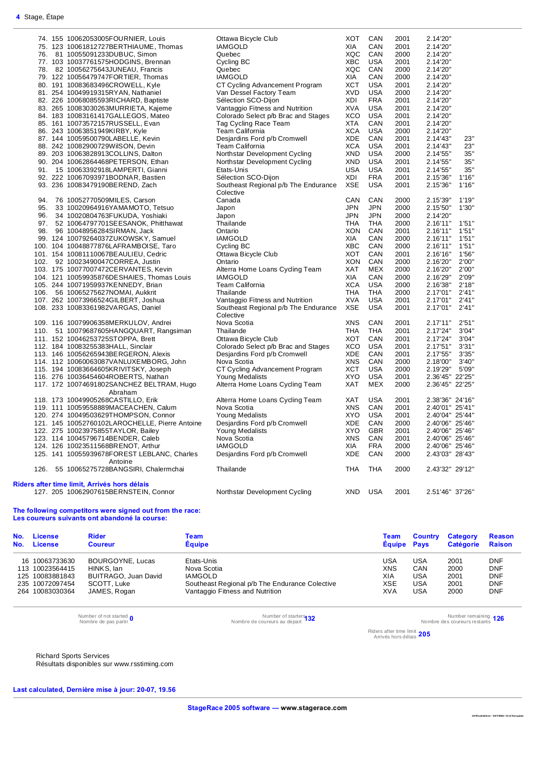|     | 74. 155 10062053005FOURNIER, Louis             | Ottawa Bicycle Club                  | <b>XOT</b> | CAN        | 2001 | 2.14'20"        |       |
|-----|------------------------------------------------|--------------------------------------|------------|------------|------|-----------------|-------|
|     | 75. 123 10061812727BERTHIAUME, Thomas          | <b>IAMGOLD</b>                       | XIA        | CAN        | 2001 | 2.14'20"        |       |
|     | 76. 81 10055091233DUBUC, Simon                 | Quebec                               | <b>XQC</b> | CAN        | 2000 | 2.14'20"        |       |
|     | 77. 103 10037761575HODGINS, Brennan            | Cycling BC                           | <b>XBC</b> | <b>USA</b> | 2001 | 2.14'20"        |       |
|     | 78. 82 10056275643JUNEAU, Francis              | Quebec                               | XQC        | CAN        | 2000 | 2.14'20"        |       |
|     | 79. 122 10056479747FORTIER, Thomas             | <b>IAMGOLD</b>                       | XIA        | CAN        | 2000 | 2.14'20"        |       |
|     | 80. 191 10083683496CROWELL, Kyle               |                                      | <b>XCT</b> | <b>USA</b> | 2001 | 2.14'20"        |       |
|     |                                                | CT Cycling Advancement Program       |            |            |      |                 |       |
|     | 81. 254 10049919315RYAN, Nathaniel             | Van Dessel Factory Team              | <b>XVD</b> | <b>USA</b> | 2000 | 2.14'20"        |       |
|     | 82. 226 10068085593RICHARD, Baptiste           | Sélection SCO-Dijon                  | XDI        | <b>FRA</b> | 2001 | 2.14'20"        |       |
|     | 83. 265 10083030263MURRIETA, Kajeme            | Vantaggio Fitness and Nutrition      | <b>XVA</b> | <b>USA</b> | 2001 | 2.14'20"        |       |
|     | 84. 183 10083161417GALLEGOS, Mateo             | Colorado Select p/b Brac and Stages  | <b>XCO</b> | <b>USA</b> | 2001 | 2.14'20"        |       |
|     | 85. 161 10073572157RUSSELL, Evan               | Tag Cycling Race Team                | <b>XTA</b> | CAN        | 2001 | 2.14'20"        |       |
|     | 86. 243 10063851949KIRBY, Kyle                 | <b>Team California</b>               | <b>XCA</b> | <b>USA</b> | 2000 | 2.14'20"        |       |
|     | 87. 144 10059500790LABELLE, Kevin              | Desjardins Ford p/b Cromwell         | XDE        | CAN        | 2001 | 2.14'43"        | 23"   |
|     | 88. 242 10082900729WilSON, Devin               | Team California                      | <b>XCA</b> | <b>USA</b> | 2001 | 2.14'43"        | 23"   |
|     | 89. 203 10063828913COLLINS, Dalton             | Northstar Development Cycling        | <b>XND</b> | <b>USA</b> | 2000 | 2.14'55"        | 35"   |
|     | 90. 204 10062864468PETERSON, Ethan             | Northstar Development Cycling        | XND        | <b>USA</b> | 2001 | 2.14'55"        | 35"   |
|     | 91. 15 10063392918LAMPERTI, Gianni             | Etats-Unis                           | <b>USA</b> | <b>USA</b> | 2001 | 2.14'55"        | 35"   |
|     |                                                |                                      |            |            |      |                 |       |
|     | 92. 222 10067093971BODNAR, Bastien             | Sélection SCO-Dijon                  | XDI        | <b>FRA</b> | 2001 | 2.15'36"        | 1'16" |
|     | 93. 236 10083479190BEREND, Zach                | Southeast Regional p/b The Endurance | <b>XSE</b> | <b>USA</b> | 2001 | 2.15'36"        | 1'16" |
|     |                                                | Colective                            |            |            |      |                 |       |
| 94. | 76 10052770509MILES, Carson                    | Canada                               | CAN        | CAN        | 2000 | 2.15'39"        | 1'19" |
| 95. | 33 10020964916YAMAMOTO, Tetsuo                 | Japon                                | <b>JPN</b> | <b>JPN</b> | 2000 | 2.15'50"        | 1'30" |
| 96. | 34 10020804763FUKUDA, Yoshiaki                 | Japon                                | <b>JPN</b> | <b>JPN</b> | 2000 | 2.14'20"        |       |
|     | 97. 52 10064797701SEESANOK, Phitthawat         | Thailande                            | <b>THA</b> | <b>THA</b> | 2000 | 2.16'11"        | 1'51" |
|     | 98. 96 10048956284SIRMAN, Jack                 | Ontario                              | <b>XON</b> | CAN        | 2001 | 2.16'11"        | 1'51" |
|     | 99. 124 10079264037ZUKOWSKY, Samuel            | <b>IAMGOLD</b>                       | XIA        | CAN        | 2000 | 2.16'11"        | 1'51" |
|     | 100. 104 10048877876LAFRAMBOISE, Taro          | Cycling BC                           | <b>XBC</b> | CAN        | 2000 | 2.16'11"        | 1'51" |
|     |                                                |                                      |            |            |      |                 |       |
|     | 101. 154 10081110067BEAULIEU, Cedric           | Ottawa Bicycle Club                  | <b>XOT</b> | CAN        | 2001 | 2.16'16"        | 1'56" |
|     | 102. 92 10023490047CORREA, Justin              | Ontario                              | <b>XON</b> | CAN        | 2000 | 2.16'20"        | 2'00" |
|     | 103. 175 10077007472CERVANTES, Kevin           | Alterra Home Loans Cycling Team      | <b>XAT</b> | <b>MEX</b> | 2000 | 2.16'20"        | 2'00" |
|     | 104. 121 10059935876DESHAIES, Thomas Louis     | <b>IAMGOLD</b>                       | XIA        | CAN        | 2000 | 2.16'29"        | 2'09" |
|     | 105. 244 10071959937KENNEDY, Brian             | Team California                      | <b>XCA</b> | <b>USA</b> | 2000 | 2.16'38"        | 2'18" |
|     | 106. 56 10065275627NOMAI, Aukkrit              | Thailande                            | <b>THA</b> | <b>THA</b> | 2000 | 2.17'01"        | 2'41" |
|     | 107. 262 10073966524GILBERT, Joshua            | Vantaggio Fitness and Nutrition      | <b>XVA</b> | <b>USA</b> | 2001 | 2.17'01"        | 2'41" |
|     | 108. 233 10083361982VARGAS, Daniel             | Southeast Regional p/b The Endurance | <b>XSE</b> | <b>USA</b> | 2001 | 2.17'01"        | 2'41" |
|     |                                                | Colective                            |            |            |      |                 |       |
|     | 109. 116 10079906358MERKULOV, Andrei           | Nova Scotia                          | <b>XNS</b> | CAN        | 2001 | 2.17'11"        | 2'51" |
|     | 110. 51 10079687605HANGQUART, Rangsiman        | Thailande                            | <b>THA</b> | <b>THA</b> | 2001 | 2.17'24"        | 3'04" |
|     | 111. 152 10046253725STOPPA, Brett              | Ottawa Bicycle Club                  | <b>XOT</b> | CAN        | 2001 | 2.17'24"        | 3'04" |
|     |                                                |                                      |            |            |      |                 |       |
|     | 112. 184 10083255383HALL, Sinclair             | Colorado Select p/b Brac and Stages  | <b>XCO</b> | <b>USA</b> | 2001 | 2.17'51"        | 3'31" |
|     | 113. 146 10056265943BERGERON, Alexis           | Desjardins Ford p/b Cromwell         | <b>XDE</b> | CAN        | 2001 | 2.17'55"        | 3'35" |
|     | 114. 112 10060063087VANLUXEMBORG, John         | Nova Scotia                          | <b>XNS</b> | CAN        | 2000 | 2.18'00"        | 3'40" |
|     | 115. 194 10083664605KRIVITSKY, Joseph          | CT Cycling Advancement Program       | <b>XCT</b> | <b>USA</b> | 2000 | 2.19'29"        | 5'09" |
|     | 116. 276 10036454604ROBERTS, Nathan            | Young Medalists                      | <b>XYO</b> | <b>USA</b> | 2001 | 2.36'45" 22'25" |       |
|     | 117. 172 10074691802SANCHEZ BELTRAM, Hugo      | Alterra Home Loans Cycling Team      | <b>XAT</b> | MEX        | 2000 | 2.36'45" 22'25" |       |
|     | Abraham                                        |                                      |            |            |      |                 |       |
|     | 118. 173 10049905268CASTILLO, Erik             | Alterra Home Loans Cycling Team      | <b>XAT</b> | <b>USA</b> | 2001 | 2.38'36" 24'16" |       |
|     | 119. 111 10059558889MACEACHEN, Calum           | Nova Scotia                          | XNS        | CAN        | 2001 | 2.40'01" 25'41" |       |
|     | 120. 274 10049503629THOMPSON, Connor           | Young Medalists                      | <b>XYO</b> | <b>USA</b> | 2001 | 2.40'04" 25'44" |       |
|     | 121. 145 10052760102LAROCHELLE, Pierre Antoine | Desjardins Ford p/b Cromwell         | <b>XDE</b> | CAN        | 2000 | 2.40'06" 25'46" |       |
|     |                                                |                                      |            |            |      |                 |       |
|     | 122. 275 10023975855TAYLOR, Bailey             | Young Medalists                      | <b>XYO</b> | <b>GBR</b> | 2001 | 2.40'06" 25'46" |       |
|     | 123. 114 10045796714BENDER, Caleb              | Nova Scotia                          | <b>XNS</b> | CAN        | 2001 | 2.40'06" 25'46" |       |
|     | 124. 126 10023511568BRENOT, Arthur             | <b>IAMGOLD</b>                       | XIA        | <b>FRA</b> | 2000 | 2.40'06" 25'46" |       |
|     | 125. 141 10055939678FOREST LEBLANC, Charles    | Desjardins Ford p/b Cromwell         | <b>XDE</b> | CAN        | 2000 | 2.43'03" 28'43" |       |
|     | Antoine                                        |                                      |            |            |      |                 |       |
|     | 126. 55 10065275728BANGSIRI, Chalermchai       | Thailande                            | THA        | <b>THA</b> | 2000 | 2.43'32" 29'12" |       |
|     |                                                |                                      |            |            |      |                 |       |
|     | Riders after time limit, Arrivés hors délais   |                                      |            |            |      |                 |       |
|     | 127. 205 10062907615BERNSTEIN, Connor          | Northstar Development Cycling        | <b>XND</b> | <b>USA</b> | 2001 | 2.51'46" 37'26" |       |

#### **The following competitors were signed out from the race: Les coureurs suivants ont abandoné la course:**

| No. | License         | <b>Rider</b>         | Team                                           | Team               | <b>Country</b> | Category  | <b>Reason</b> |
|-----|-----------------|----------------------|------------------------------------------------|--------------------|----------------|-----------|---------------|
| No. | <b>License</b>  | <b>Coureur</b>       | <b>Equipe</b>                                  | <b>Equipe Pays</b> |                | Catégorie | <b>Raison</b> |
|     | 16 10063733630  | BOURGOYNE, Lucas     | Etats-Unis                                     | USA                | USA            | 2001      | DNF           |
|     | 113 10023564415 | HINKS, lan           | Nova Scotia                                    | <b>XNS</b>         | CAN            | 2000      | <b>DNF</b>    |
|     | 125 10083881843 | BUITRAGO, Juan David | <b>IAMGOLD</b>                                 | XIA                | USA            | 2001      | <b>DNF</b>    |
|     | 235 10072097454 | SCOTT, Luke          | Southeast Regional p/b The Endurance Colective | XSE                | USA            | 2001      | DNF           |
|     | 264 10083030364 | JAMES, Rogan         | Vantaggio Fitness and Nutrition                | <b>XVA</b>         | <b>USA</b>     | 2000      | <b>DNF</b>    |

Number of not started **0**<br>Nombre de pas partir

Nombre de pas partir **<sup>0</sup>** Number of starters Nombre de coureurs au depart **<sup>132</sup>** Number remaining

Nombre des coureurs restants **126**

Riders after time limit Arrivés hors délais **205**

Richard Sports Services

Résultats disponibles sur www.rsstiming.com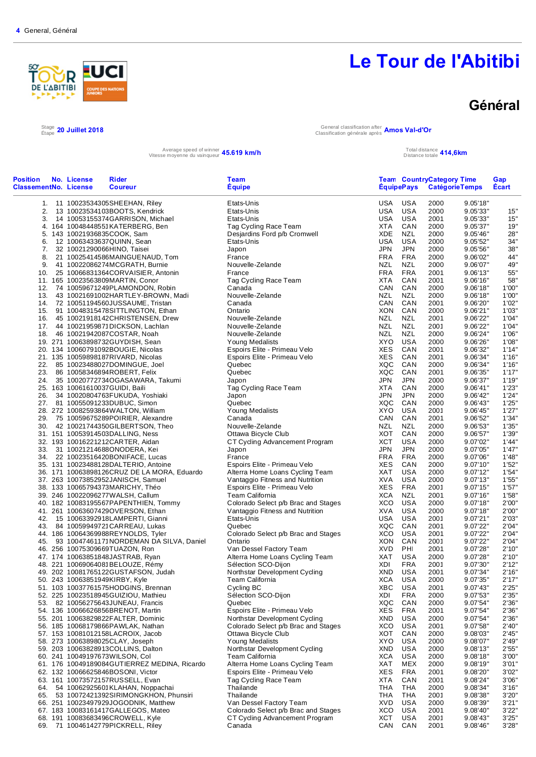

Total distance **414,6km** 

### **Général**

#### $^{Stage}_{Étape}$  20 Juillet 2018

Étape **20 Juillet 2018** General classification after Classification générale après **Amos Val-d'Or**

Average speed of winner **45.619 km/h** Total distance totale and the speed of winner **45.619 km/h** Total distance totale

| <b>Position</b><br><b>ClassementNo. License</b> | No. License                     | Rider<br><b>Coureur</b>                                                           | Team<br><b>Equipe</b>                                              |                          | <b>ÉquipePays</b> | <b>Team CountryCategory Time</b><br><b>CatégorieTemps</b> |                      | Gap<br><b>Écart</b> |
|-------------------------------------------------|---------------------------------|-----------------------------------------------------------------------------------|--------------------------------------------------------------------|--------------------------|-------------------|-----------------------------------------------------------|----------------------|---------------------|
|                                                 |                                 | 1. 11 10023534305SHEEHAN, Riley                                                   | Etats-Unis                                                         | USA                      | USA               | 2000                                                      | 9.05'18"             |                     |
| 2.                                              |                                 | 13 10023534103BOOTS, Kendrick                                                     | Etats-Unis                                                         | USA                      | USA               | 2000                                                      | 9.05'33"             | 15"                 |
| 3.                                              |                                 | 14 10053155374GARRISON, Michael                                                   | Etats-Unis                                                         | USA                      | <b>USA</b>        | 2001                                                      | 9.05'33"             | 15"                 |
|                                                 |                                 | 4. 164 10048448551KATERBERG, Ben                                                  | Tag Cycling Race Team                                              | XTA                      | CAN               | 2000                                                      | 9.05'37"             | 19"                 |
|                                                 | 5. 143 10021936835COOK, Sam     |                                                                                   | Desjardins Ford p/b Cromwell                                       | XDE                      | NZL               | 2000                                                      | 9.05'46"             | 28"                 |
| 6.                                              | 12 10063433637QUINN, Sean       |                                                                                   | Etats-Unis                                                         | <b>USA</b>               | <b>USA</b>        | 2000                                                      | 9.05'52"             | 34"                 |
| 7.                                              | 32 10021290066HINO, Taisei      |                                                                                   | Japon                                                              | JPN                      | JPN               | 2000                                                      | 9.05'56"             | 38"                 |
| 8.                                              |                                 | 21 10025414586MAINGUENAUD, Tom                                                    | France                                                             | FRA                      | <b>FRA</b>        | 2000                                                      | 9.06'02"             | 44"                 |
| 9.                                              |                                 | 41 10022086274MCGRATH, Burnie                                                     | Nouvelle-Zelande                                                   | NZL                      | NZL               | 2000                                                      | 9.06'07"             | 49"<br>55"          |
| 10.                                             |                                 | 25 10066831364CORVAISIER, Antonin<br>11. 165 10023563809MARTIN, Conor             | France<br>Tag Cycling Race Team                                    | <b>FRA</b><br><b>XTA</b> | <b>FRA</b><br>CAN | 2001<br>2001                                              | 9.06'13"<br>9.06'16" | 58"                 |
| 12.                                             |                                 | 74 10059671249PLAMONDON, Robin                                                    | Canada                                                             | CAN                      | CAN               | 2000                                                      | 9.06'18"             | 1'00"               |
| 13.                                             |                                 | 43 10021691002HARTLEY-BROWN, Madi                                                 | Nouvelle-Zelande                                                   | NZL                      | <b>NZL</b>        | 2000                                                      | 9.06'18"             | 1'00"               |
|                                                 |                                 | 14. 72 10051194560JUSSAUME, Tristan                                               | Canada                                                             | CAN                      | CAN               | 2001                                                      | 9.06'20"             | 1'02"               |
| 15.                                             |                                 | 91 10048315478SITTLINGTON, Ethan                                                  | Ontario                                                            | XON                      | CAN               | 2000                                                      | 9.06'21"             | 1'03"               |
| 16.                                             |                                 |                                                                                   | Nouvelle-Zelande                                                   | NZL                      | NZL               | 2001                                                      | 9.06'22"             | 1'04"               |
|                                                 |                                 | 17. 44 10021959871DICKSON, Lachlan                                                | Nouvelle-Zelande                                                   | <b>NZL</b>               | <b>NZL</b>        | 2001                                                      | 9.06'22"             | 1'04"               |
|                                                 |                                 | 18. 46 10021942087COSTAR, Noah                                                    | Nouvelle-Zelande                                                   | NZL                      | NZL               | 2000                                                      | 9.06'24"             | 1'06"               |
|                                                 |                                 | 19. 271 10063898732GUYDISH, Sean                                                  | Young Medalists                                                    | XYO.                     | <b>USA</b>        | 2000                                                      | 9.06'26"             | 1'08"               |
|                                                 |                                 | 20. 134 10060791092BOUGIE, Nicolas                                                | Espoirs Elite - Primeau Velo                                       | <b>XES</b>               | CAN               | 2001                                                      | 9.06'32"             | 1'14"               |
|                                                 |                                 | 21. 135 10059898187RIVARD, Nicolas                                                | Espoirs Elite - Primeau Velo                                       | XES                      | CAN               | 2001                                                      | 9.06'34"             | 1'16"               |
| 22.                                             |                                 | 85 10023488027DOMINGUE, Joel                                                      | Quebec                                                             | XQC                      | CAN               | 2000                                                      | 9.06'34"             | 1'16"               |
| 23.                                             |                                 | 86 10058346894ROBERT, Felix                                                       | Quebec                                                             | XQC                      | CAN               | 2001                                                      | 9.06'35"             | 1'17"               |
| 24.                                             |                                 | 35 10020772734OGASAWARA, Takumi                                                   | Japon                                                              | <b>JPN</b>               | <b>JPN</b>        | 2000                                                      | 9.06'37"             | 1'19"               |
|                                                 | 25. 163 10061610037GUIDI, Baili |                                                                                   | Tag Cycling Race Team                                              | <b>XTA</b>               | CAN               | 2000                                                      | 9.06'41"             | 1'23''              |
| 26.                                             |                                 | 34 10020804763FUKUDA, Yoshiaki                                                    | Japon                                                              | <b>JPN</b>               | JPN               | 2000                                                      | 9.06'42"             | 1'24"               |
|                                                 |                                 | 27. 81 10055091233DUBUC, Simon                                                    | Quebec                                                             | XQC                      | CAN               | 2000                                                      | 9.06'43"             | 1'25"               |
|                                                 |                                 | 28. 272 10082593864WALTON, William                                                | Young Medalists                                                    | XYO.                     | USA               | 2001                                                      | 9.06'45"             | 1'27"               |
| 29.                                             |                                 | 75 10059675289POIRIER, Alexandre                                                  | Canada                                                             | CAN                      | CAN               | 2001                                                      | 9.06'52"             | 1'34"               |
| 30.                                             |                                 | 42 10021744350GILBERTSON, Theo                                                    | Nouvelle-Zelande                                                   | NZL                      | <b>NZL</b>        | 2000                                                      | 9.06'53"             | 1'35"               |
|                                                 |                                 | 31. 151 10053914503DALLING, Ness                                                  | Ottawa Bicycle Club                                                | XOT                      | CAN               | 2000                                                      | 9.06'57"             | 1'39"               |
|                                                 |                                 | 32. 193 10016221212CARTER, Aidan                                                  | CT Cycling Advancement Program                                     | <b>XCT</b>               | USA               | 2000                                                      | 9.07'02"             | 1'44"               |
| 33.                                             |                                 | 31 10021214688ONODERA, Kei                                                        | Japon                                                              | <b>JPN</b>               | JPN               | 2000                                                      | 9.07'05"             | 1'47"               |
|                                                 |                                 | 34. 22 10023516420BONIFACE, Lucas                                                 | France                                                             | FRA                      | <b>FRA</b>        | 2000                                                      | 9.07'06"             | 1'48"               |
|                                                 |                                 | 35. 131 10023488128DALTERIO, Antoine                                              | Espoirs Elite - Primeau Velo                                       | XES<br>XAT               | CAN<br>USA        | 2000<br>2000                                              | 9.07'10"<br>9.07'12" | 1'52"<br>1'54"      |
|                                                 |                                 | 36. 171 10063898126CRUZ DE LA MORA, Eduardo<br>37. 263 10073852952JANISCH, Samuel | Alterra Home Loans Cycling Team<br>Vantaggio Fitness and Nutrition | <b>XVA</b>               | <b>USA</b>        | 2000                                                      | 9.07'13"             | 1'55"               |
|                                                 |                                 | 38. 133 10065794373MARICHY, Théo                                                  | Espoirs Elite - Primeau Velo                                       | XES                      | <b>FRA</b>        | 2001                                                      | 9.07'15"             | 1'57"               |
|                                                 |                                 | 39. 246 10022096277WALSH, Callum                                                  | Team California                                                    | <b>XCA</b>               | <b>NZL</b>        | 2001                                                      | 9.07'16"             | 1'58"               |
|                                                 |                                 | 40. 182 10083195567PAPENTHIEN, Tommy                                              | Colorado Select p/b Brac and Stages                                | XCO                      | USA               | 2000                                                      | 9.07'18"             | 2'00"               |
|                                                 |                                 | 41. 261 10063607429OVERSON, Ethan                                                 | Vantaggio Fitness and Nutrition                                    | <b>XVA</b>               | <b>USA</b>        | 2000                                                      | 9.07'18"             | 2'00"               |
| 42.                                             |                                 | 15 10063392918LAMPERTI, Gianni                                                    | Etats-Unis                                                         | USA                      | USA               | 2001                                                      | 9.07'21"             | 2'03"               |
|                                                 |                                 | 43. 84 10059949721 CARREAU, Lukas                                                 | Quebec                                                             | XQC                      | CAN               | 2001                                                      | 9.07'22"             | 2'04"               |
|                                                 |                                 | 44. 186 10064369988REYNOLDS, Tyler                                                | Colorado Select p/b Brac and Stages                                | <b>XCO</b>               | <b>USA</b>        | 2001                                                      | 9.07'22"             | 2'04"               |
| 45.                                             |                                 | 93 10047461171NORDEMAN DA SILVA, Daniel                                           | Ontario                                                            | XON                      | CAN               | 2001                                                      | 9.07'22"             | 2'04"               |
|                                                 |                                 | 46. 256 10075309669TUAZON, Ron                                                    | Van Dessel Factory Team                                            | <b>XVD</b>               | PHI               | 2001                                                      | 9.07'28"             | 2'10"               |
|                                                 |                                 | 47. 174 10063851848JASTRAB, Ryan                                                  | Alterra Home Loans Cycling Team                                    | XAT                      | USA               | 2000                                                      | 9.07'28"             | 2'10"               |
|                                                 |                                 | 48. 221 10069064081BELOUZE, Rémy                                                  | Sélection SCO-Dijon                                                | XDI                      | <b>FRA</b>        | 2001                                                      | 9.07'30"             | 2'12"               |
|                                                 |                                 | 49. 202 10081765122GUSTAFSON, Judah                                               | Northstar Development Cycling                                      | XND                      | USA               | 2001                                                      | 9.07'34"             | 2'16"               |
|                                                 | 50. 243 10063851949KIRBY, Kyle  |                                                                                   | Team California                                                    | <b>XCA</b>               | <b>USA</b>        | 2000                                                      | 9.07'35"             | 2'17"               |
|                                                 |                                 | 51. 103 10037761575HODGINS, Brennan                                               | Cycling BC                                                         | XBC                      | <b>USA</b>        | 2001                                                      | 9.07'43"             | 2'25"               |
|                                                 |                                 | 52. 225 10023518945GUIZIOU, Mathieu                                               | Sélection SCO-Dijon                                                | XDI                      | <b>FRA</b>        | 2000                                                      | 9.07'53"             | 2'35"               |
| 53.                                             |                                 | 82 10056275643JUNEAU, Francis                                                     | Quebec                                                             | XQC                      | CAN               | 2000                                                      | 9.07'54"             | 2'36"               |
|                                                 |                                 | 54. 136 10066626856BRENOT, Martin                                                 | Espoirs Elite - Primeau Velo                                       | XES                      | <b>FRA</b>        | 2001                                                      | 9.07'54"             | 2'36"               |
|                                                 |                                 | 55. 201 10063829822FALTER, Dominic                                                | Northstar Development Cycling                                      | XND                      | USA               | 2000                                                      | 9.07'54"             | 2'36"               |
|                                                 |                                 | 56. 185 10068179866PAWLAK, Nathan                                                 | Colorado Select p/b Brac and Stages                                | XCO                      | <b>USA</b>        | 2001                                                      | 9.07'58"             | 2'40"               |
|                                                 |                                 | 57. 153 10081012158LACROIX, Jacob<br>58. 273 10063898025CLAY, Joseph              | Ottawa Bicycle Club<br>Young Medalists                             | XOT<br>XYO               | CAN<br>USA        | 2000<br>2000                                              | 9.08'03"<br>9.08'07" | 2'45"<br>2'49"      |
|                                                 |                                 | 59. 203 10063828913COLLINS, Dalton                                                | Northstar Development Cycling                                      | XND                      | <b>USA</b>        | 2000                                                      | 9.08'13"             | 2'55"               |
|                                                 | 60. 241 10049197673WILSON, Col  |                                                                                   | Team California                                                    | XCA                      | <b>USA</b>        | 2000                                                      | 9.08'18"             | 3'00"               |
|                                                 |                                 | 61. 176 10049189084GUTIERREZ MEDINA, Ricardo                                      | Alterra Home Loans Cycling Team                                    | XAT                      | MEX               | 2000                                                      | 9.08'19"             | 3'01"               |
|                                                 |                                 | 62. 132 10066625846BOSONI, Victor                                                 | Espoirs Elite - Primeau Velo                                       | XES                      | FRA               | 2001                                                      | 9.08'20"             | 3'02"               |
|                                                 |                                 | 63. 161 10073572157RUSSELL, Evan                                                  | Tag Cycling Race Team                                              | XTA                      | CAN               | 2001                                                      | 9.08'24"             | 3'06"               |
| 64.                                             |                                 | 54 10062925601 KLAHAN, Noppachai                                                  | Thailande                                                          | THA                      | <b>THA</b>        | 2000                                                      | 9.08'34"             | 3'16"               |
| 65.                                             |                                 | 53 10072421392SIRIMONGKHON, Phunsiri                                              | Thailande                                                          | THA                      | <b>THA</b>        | 2001                                                      | 9.08'38"             | 3'20"               |
|                                                 |                                 | 66. 251 10023497929JOGODNIK, Matthew                                              | Van Dessel Factory Team                                            | XVD                      | <b>USA</b>        | 2000                                                      | 9.08'39"             | 3'21"               |
|                                                 |                                 | 67. 183 10083161417GALLEGOS, Mateo                                                | Colorado Select p/b Brac and Stages                                | XCO                      | <b>USA</b>        | 2001                                                      | 9.08'40"             | 3'22"               |
|                                                 |                                 | 68. 191 10083683496CROWELL, Kyle                                                  | CT Cycling Advancement Program                                     | XCT                      | <b>USA</b>        | 2001                                                      | 9.08'43"             | 3'25"               |
| 69.                                             |                                 | 71 10046142779PICKRELL, Riley                                                     | Canada                                                             | CAN                      | CAN               | 2001                                                      | 9.08'46"             | 3'28"               |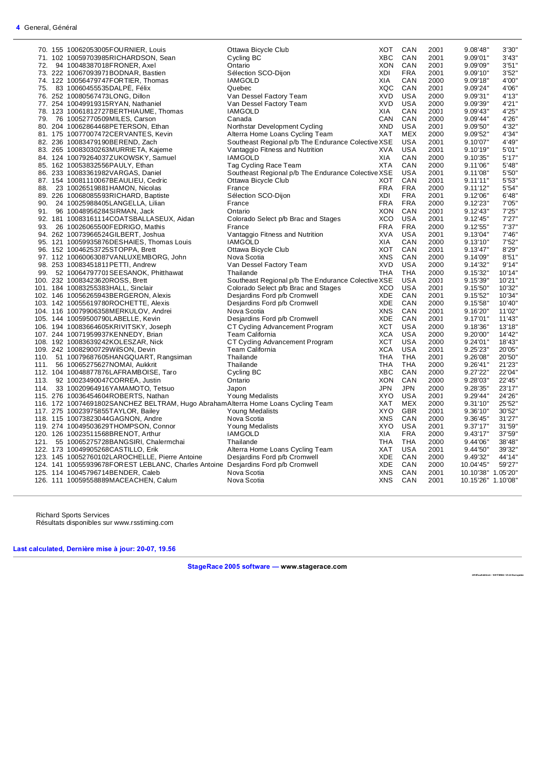|     | 70. 155 10062053005FOURNIER, Louis                                               | Ottawa Bicycle Club                                | XOT        | CAN        | 2001 | 9.08'48"           | 3'30'  |
|-----|----------------------------------------------------------------------------------|----------------------------------------------------|------------|------------|------|--------------------|--------|
|     | 71. 102 10059703985RICHARDSON, Sean                                              | Cycling BC                                         | <b>XBC</b> | CAN        | 2001 | 9.09'01"           | 3'43"  |
|     | 72. 94 10048387018FRONER, Axel                                                   | Ontario                                            | XON        | CAN        | 2001 | 9.09'09"           | 3'51'  |
|     | 73. 222 10067093971BODNAR, Bastien                                               | Sélection SCO-Dijon                                | <b>XDI</b> | <b>FRA</b> | 2001 | 9.09'10"           | 3'52'  |
|     |                                                                                  |                                                    |            | CAN        |      |                    | 4'00"  |
|     | 74. 122 10056479747FORTIER, Thomas                                               | <b>IAMGOLD</b>                                     | XIA        |            | 2000 | 9.09'18"           |        |
|     | 75. 83 10060455535DALPE, Félix                                                   | Quebec                                             | XQC        | CAN        | 2001 | 9.09'24"           | 4'06'  |
|     | 76. 252 10080567473LONG, Dillon                                                  | Van Dessel Factory Team                            | <b>XVD</b> | <b>USA</b> | 2000 | 9.09'31"           | 4'13'' |
|     | 77. 254 10049919315RYAN, Nathaniel                                               | Van Dessel Factory Team                            | <b>XVD</b> | <b>USA</b> | 2000 | 9.09'39"           | 4'21'  |
|     | 78. 123 10061812727BERTHIAUME, Thomas                                            | <b>IAMGOLD</b>                                     | XIA        | CAN        | 2001 | 9.09'43"           | 4'25"  |
|     | 79. 76 10052770509MILES, Carson                                                  | Canada                                             | CAN        | CAN        | 2000 | 9.09'44"           | 4'26"  |
|     | 80. 204 10062864468PETERSON, Ethan                                               | Northstar Development Cycling                      | <b>XND</b> | <b>USA</b> | 2001 | 9.09'50"           | 4'32'  |
|     | 81. 175 10077007472CERVANTES, Kevin                                              | Alterra Home Loans Cycling Team                    | XAT        | <b>MEX</b> | 2000 | 9.09'52"           | 4'34"  |
|     |                                                                                  | Southeast Regional p/b The Endurance Colective XSE |            | <b>USA</b> | 2001 | 9.10'07"           | 4'49'  |
|     | 82. 236 10083479190BEREND, Zach                                                  |                                                    |            |            |      |                    |        |
|     | 83. 265 10083030263MURRIETA, Kajeme                                              | Vantaggio Fitness and Nutrition                    | <b>XVA</b> | <b>USA</b> | 2001 | 9.10'19"           | 5'01'  |
|     | 84. 124 10079264037ZUKOWSKY, Samuel                                              | <b>IAMGOLD</b>                                     | <b>XIA</b> | CAN        | 2000 | 9.10'35"           | 5'17'  |
|     | 85. 162 10053832556PAULY, Ethan                                                  | Tag Cycling Race Team                              | <b>XTA</b> | CAN        | 2000 | 9.11'06"           | 5'48"  |
|     | 86. 233 10083361982VARGAS, Daniel                                                | Southeast Regional p/b The Endurance Colective XSE |            | <b>USA</b> | 2001 | 9.11'08"           | 5'50"  |
|     | 87. 154 10081110067BEAULIEU, Cedric                                              | Ottawa Bicycle Club                                | XOT        | CAN        | 2001 | 9.11'11"           | 5'53'  |
|     | 88. 23 10026519881HAMON, Nicolas                                                 | France                                             | <b>FRA</b> | <b>FRA</b> | 2000 | 9.11'12"           | 5'54'  |
|     | 89. 226 10068085593RICHARD, Baptiste                                             | Sélection SCO-Dijon                                | <b>XDI</b> | <b>FRA</b> | 2001 | 9.12'06"           | 6'48'  |
|     | 90. 24 10025988405LANGELLA, Lilian                                               | France                                             | <b>FRA</b> | <b>FRA</b> | 2000 | 9.12'23"           | 7'05'  |
|     |                                                                                  |                                                    |            | CAN        |      |                    |        |
| 91. | 96 10048956284SIRMAN, Jack                                                       | Ontario                                            | XON        |            | 2001 | 9.12'43"           | 7'25'  |
|     | 92. 181 10083161114COATSBALLASEUX, Aidan                                         | Colorado Select p/b Brac and Stages                | XCO        | USA        | 2001 | 9.12'45"           | 7'27'  |
|     | 93. 26 10026065500FEDRIGO, Mathis                                                | France                                             | <b>FRA</b> | <b>FRA</b> | 2000 | 9.12'55"           | 7'37"  |
|     | 94. 262 10073966524GILBERT, Joshua                                               | Vantaggio Fitness and Nutrition                    | <b>XVA</b> | <b>USA</b> | 2001 | 9.13'04"           | 7'46'  |
|     | 95. 121 10059935876DESHAIES, Thomas Louis                                        | <b>IAMGOLD</b>                                     | XIA        | CAN        | 2000 | 9.13'10"           | 7'52'  |
|     | 96. 152 10046253725STOPPA, Brett                                                 | Ottawa Bicycle Club                                | XOT        | CAN        | 2001 | 9.13'47"           | 8'29'  |
|     | 97. 112 10060063087VANLUXEMBORG, John                                            | Nova Scotia                                        | <b>XNS</b> | CAN        | 2000 | 9.14'09"           | 8'51'  |
|     | 98. 253 10083451811 PETTI, Andrew                                                | Van Dessel Factory Team                            | <b>XVD</b> | <b>USA</b> | 2000 | 9.14'32"           | 9'14'  |
|     |                                                                                  |                                                    | THA        | <b>THA</b> |      |                    |        |
|     | 99. 52 10064797701SEESANOK, Phitthawat                                           | Thailande                                          |            |            | 2000 | 9.15'32"           | 10'14" |
|     | 100. 232 10083423620ROSS, Brett                                                  | Southeast Regional p/b The Endurance Colective XSE |            | <b>USA</b> | 2001 | 9.15'39"           | 10'21" |
|     | 101. 184 10083255383HALL, Sinclair                                               | Colorado Select p/b Brac and Stages                | <b>XCO</b> | <b>USA</b> | 2001 | 9.15'50"           | 10'32' |
|     | 102. 146 10056265943BERGERON, Alexis                                             | Desjardins Ford p/b Cromwell                       | <b>XDE</b> | CAN        | 2001 | 9.15'52"           | 10'34" |
|     | 103. 142 10055619780ROCHETTE, Alexis                                             | Desjardins Ford p/b Cromwell                       | <b>XDE</b> | CAN        | 2000 | 9.15'58"           | 10'40" |
|     | 104. 116 10079906358MERKULOV, Andrei                                             | Nova Scotia                                        | XNS        | CAN        | 2001 | 9.16'20"           | 11'02' |
|     | 105. 144 10059500790LABELLE, Kevin                                               | Desjardins Ford p/b Cromwell                       | XDE        | CAN        | 2001 | 9.17'01"           | 11'43" |
|     | 106. 194 10083664605KRIVITSKY, Joseph                                            | CT Cycling Advancement Program                     | <b>XCT</b> | <b>USA</b> | 2000 | 9.18'36"           | 13'18' |
|     | 107. 244 10071959937KENNEDY, Brian                                               | Team California                                    | <b>XCA</b> | <b>USA</b> | 2000 | 9.20'00"           | 14'42' |
|     | 108. 192 10083639242KOLESZAR, Nick                                               | CT Cycling Advancement Program                     | <b>XCT</b> | <b>USA</b> | 2000 | 9.24'01"           | 18'43' |
|     |                                                                                  | Team California                                    | <b>XCA</b> | <b>USA</b> | 2001 | 9.25'23"           | 20'05' |
|     | 109. 242 10082900729WilSON, Devin                                                |                                                    |            |            |      |                    |        |
|     | 110. 51 10079687605HANGQUART, Rangsiman                                          | Thailande                                          | THA        | <b>THA</b> | 2001 | 9.26'08"           | 20'50' |
|     | 111. 56 10065275627NOMAI, Aukkrit                                                | Thailande                                          | THA        | <b>THA</b> | 2000 | 9.26'41"           | 21'23' |
|     | 112. 104 10048877876LAFRAMBOISE, Taro                                            | Cycling BC                                         | XBC        | CAN        | 2000 | 9.27'22"           | 22'04' |
|     | 113. 92 10023490047CORREA, Justin                                                | Ontario                                            | XON        | CAN        | 2000 | 9.28'03"           | 22'45' |
|     | 114. 33 10020964916YAMAMOTO, Tetsuo                                              | Japon                                              | <b>JPN</b> | <b>JPN</b> | 2000 | 9.28'35"           | 23'17  |
|     | 115. 276 10036454604ROBERTS, Nathan                                              | Young Medalists                                    | XYO        | <b>USA</b> | 2001 | 9.29'44"           | 24'26' |
|     | 116. 172 10074691802SANCHEZ BELTRAM, Hugo AbrahamAlterra Home Loans Cycling Team |                                                    | <b>XAT</b> | <b>MEX</b> | 2000 | 9.31'10"           | 25'52' |
|     | 117. 275 10023975855TAYLOR, Bailey                                               | Young Medalists                                    | XYO        | <b>GBR</b> | 2001 | 9.36'10"           | 30'52' |
|     | 118. 115 10073823044GAGNON, Andre                                                | Nova Scotia                                        | XNS        | CAN        | 2000 | 9.36'45"           | 31'27' |
|     |                                                                                  |                                                    |            |            |      |                    |        |
|     | 119. 274 10049503629THOMPSON, Connor                                             | Young Medalists                                    | XYO        | USA        | 2001 | 9.37'17"           | 31'59" |
|     | 120. 126 10023511568BRENOT, Arthur                                               | <b>IAMGOLD</b>                                     | XIA        | <b>FRA</b> | 2000 | 9.43'17"           | 37'59' |
|     | 121. 55 10065275728BANGSIRI, Chalermchai                                         | Thailande                                          | <b>THA</b> | <b>THA</b> | 2000 | 9.44'06"           | 38'48' |
|     | 122. 173 10049905268CASTILLO, Erik                                               | Alterra Home Loans Cycling Team                    | XAT        | <b>USA</b> | 2001 | 9.44'50"           | 39'32' |
|     | 123. 145 10052760102LAROCHELLE, Pierre Antoine                                   | Desjardins Ford p/b Cromwell                       | <b>XDE</b> | CAN        | 2000 | 9.49'32"           | 44'14" |
|     | 124. 141 10055939678FOREST LEBLANC, Charles Antoine Desjardins Ford p/b Cromwell |                                                    | XDE        | CAN        | 2000 | 10.04'45"          | 59'27' |
|     | 125. 114 10045796714BENDER, Caleb                                                | Nova Scotia                                        | XNS        | CAN        | 2001 | 10.10'38" 1.05'20' |        |
|     | 126. 111 10059558889MACEACHEN, Calum                                             | Nova Scotia                                        | XNS        | CAN        | 2001 | 10.15'26" 1.10'08" |        |
|     |                                                                                  |                                                    |            |            |      |                    |        |

Richard Sports Services Résultats disponibles sur www.rsstiming.com

**Last calculated, Dernière mise à jour: 20-07, 19.56** 

**StageRace 2005 software — www.stagerace.com** 

**2018TourAbitibi.str : 1291739922 : V3.24 final update**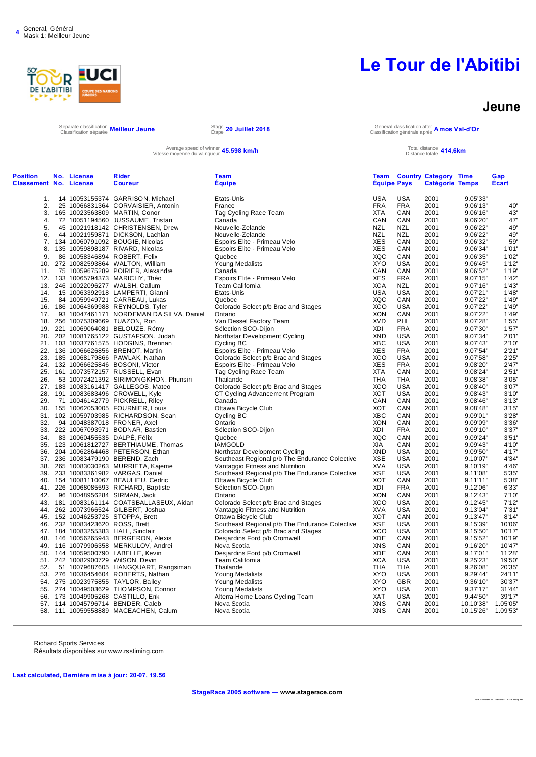

#### **Jeune**

**20 18 TourAbit ibi .st r : 1 291 73 992 2 : V3. 24 final update** 

Separate classification Classification séparée **Meilleur Jeune** Stage

Average speed of winner **45.598 km/h**<br>Vitesse moyenne du vainqueur **45.598 km/h** Total distance totale

Étape **20 Juillet 2018** General classification after Classification générale après **Amos Val-d'Or**

#### Total distance **414,6km**<br>Distance totale **414,6km**

| <b>Position</b><br><b>Classement No. License</b> | No. License                     | Rider<br><b>Coureur</b>                  | Team<br><b>Équipe</b>                          | <b>Equipe Pays</b> |            | <b>Team Country Category Time</b><br><b>Catégorie Temps</b> |                    | Gap<br><b>Ecart</b> |
|--------------------------------------------------|---------------------------------|------------------------------------------|------------------------------------------------|--------------------|------------|-------------------------------------------------------------|--------------------|---------------------|
| 1.                                               |                                 | 14 10053155374 GARRISON, Michael         | Etats-Unis                                     | <b>USA</b>         | <b>USA</b> | 2001                                                        | 9.05'33"           |                     |
| 2.                                               |                                 | 25 10066831364 CORVAISIER, Antonin       | France                                         | <b>FRA</b>         | <b>FRA</b> | 2001                                                        | 9.06'13"           | 40"                 |
|                                                  |                                 | 3. 165 10023563809 MARTIN, Conor         | Tag Cycling Race Team                          | <b>XTA</b>         | CAN        | 2001                                                        | 9.06'16"           | 43"                 |
| 4.                                               |                                 | 72 10051194560 JUSSAUME, Tristan         | Canada                                         | CAN                | CAN        | 2001                                                        | 9.06'20"           | 47"                 |
| 5.                                               |                                 | 45 10021918142 CHRISTENSEN, Drew         | Nouvelle-Zelande                               | <b>NZL</b>         | <b>NZL</b> | 2001                                                        | 9.06'22"           | 49"                 |
| 6.                                               |                                 | 44 10021959871 DICKSON, Lachlan          | Nouvelle-Zelande                               | <b>NZL</b>         | <b>NZL</b> | 2001                                                        | 9.06'22"           | 49"                 |
| 7.                                               |                                 | 134 10060791092 BOUGIE, Nicolas          | Espoirs Elite - Primeau Velo                   | <b>XES</b>         | CAN        | 2001                                                        | 9.06'32"           | 59"                 |
| 8.                                               |                                 | 135 10059898187 RIVARD, Nicolas          | Espoirs Elite - Primeau Velo                   | XES                | CAN        | 2001                                                        | 9.06'34"           | 1'01"               |
| 9.                                               |                                 | 86 10058346894 ROBERT, Felix             | Quebec                                         | <b>XQC</b>         | CAN        | 2001                                                        | 9.06'35"           | 1'02"               |
| 10.                                              |                                 | 272 10082593864 WALTON, William          | Young Medalists                                | <b>XYO</b>         | <b>USA</b> | 2001                                                        | 9.06'45"           | 1'12"               |
| 11.                                              |                                 | 75 10059675289 POIRIER, Alexandre        | Canada                                         | CAN                | CAN        | 2001                                                        | 9.06'52"           | 1'19"               |
|                                                  |                                 | 12. 133 10065794373 MARICHY, Théo        | Espoirs Elite - Primeau Velo                   | <b>XES</b>         | <b>FRA</b> | 2001                                                        | 9.07'15"           | 1'42"               |
|                                                  |                                 | 13. 246 10022096277 WALSH, Callum        | Team California                                | <b>XCA</b>         | <b>NZL</b> | 2001                                                        | 9.07'16"           | 1'43"               |
| 14.                                              |                                 | 15 10063392918 LAMPERTI, Gianni          | Etats-Unis                                     | <b>USA</b>         | <b>USA</b> | 2001                                                        | 9.07'21"           | 1'48"               |
| 15.                                              |                                 | 84 10059949721 CARREAU, Lukas            | Quebec                                         | XQC                | CAN        | 2001                                                        | 9.07'22"           | 1'49"               |
|                                                  |                                 | 16. 186 10064369988 REYNOLDS, Tyler      | Colorado Select p/b Brac and Stages            | <b>XCO</b>         | <b>USA</b> | 2001                                                        | 9.07'22"           | 1'49"               |
| 17.                                              |                                 | 93 10047461171 NORDEMAN DA SILVA, Daniel | Ontario                                        | <b>XON</b>         | CAN        | 2001                                                        | 9.07'22"           | 1'49"               |
|                                                  |                                 | 18. 256 10075309669 TUAZON, Ron          | Van Dessel Factory Team                        | <b>XVD</b>         | PHI        | 2001                                                        | 9.07'28"           | 1'55"               |
| 19.                                              |                                 | 221 10069064081 BELOUZE, Rémy            | Sélection SCO-Dijon                            | XDI                | <b>FRA</b> | 2001                                                        | 9.07'30"           | 1'57"               |
|                                                  |                                 | 20. 202 10081765122 GUSTAFSON, Judah     | Northstar Development Cycling                  | XND                | USA        | 2001                                                        | 9.07'34"           | 2'01"               |
|                                                  |                                 | 21. 103 10037761575 HODGINS, Brennan     | Cycling BC                                     | <b>XBC</b>         | <b>USA</b> | 2001                                                        | 9.07'43"           | 2'10"               |
|                                                  |                                 | 22. 136 10066626856 BRENOT, Martin       | Espoirs Elite - Primeau Velo                   | XES                | <b>FRA</b> | 2001                                                        | 9.07'54"           | 2'21"               |
| 23.                                              |                                 | 185 10068179866 PAWLAK, Nathan           | Colorado Select p/b Brac and Stages            | XCO                | <b>USA</b> | 2001                                                        | 9.07'58"           | 2'25"               |
| 24.                                              |                                 | 132 10066625846 BOSONI, Victor           | Espoirs Elite - Primeau Velo                   | <b>XES</b>         | <b>FRA</b> | 2001                                                        | 9.08'20"           | 2'47"               |
|                                                  |                                 | 25. 161 10073572157 RUSSELL, Evan        | Tag Cycling Race Team                          | <b>XTA</b>         | CAN        | 2001                                                        | 9.08'24"           | 2'51"               |
| 26.                                              |                                 | 53 10072421392 SIRIMONGKHON, Phunsiri    | Thailande                                      | <b>THA</b>         | <b>THA</b> | 2001                                                        | 9.08'38"           | 3'05"               |
|                                                  |                                 | 27. 183 10083161417 GALLEGOS, Mateo      | Colorado Select p/b Brac and Stages            | <b>XCO</b>         | <b>USA</b> | 2001                                                        | 9.08'40"           | 3'07"               |
| 28.                                              |                                 | 191 10083683496 CROWELL, Kyle            | CT Cycling Advancement Program                 | <b>XCT</b>         | <b>USA</b> | 2001                                                        | 9.08'43"           | 3'10"               |
| 29.                                              |                                 | 71 10046142779 PICKRELL, Riley           | Canada                                         | CAN                | CAN        | 2001                                                        | 9.08'46"           | 3'13"               |
|                                                  |                                 | 30. 155 10062053005 FOURNIER, Louis      | Ottawa Bicycle Club                            | XOT                | CAN        | 2001                                                        | 9.08'48"           | 3'15"               |
|                                                  |                                 | 31. 102 10059703985 RICHARDSON, Sean     | Cycling BC                                     | XBC                | CAN        | 2001                                                        | 9.09'01"           | 3'28"               |
| 32.                                              |                                 | 94 10048387018 FRONER, Axel              | Ontario                                        | <b>XON</b>         | CAN        | 2001                                                        | 9.09'09"           | 3'36"               |
| 33.                                              |                                 | 222 10067093971 BODNAR, Bastien          | Sélection SCO-Dijon                            | XDI                | <b>FRA</b> | 2001                                                        | 9.09'10"           | 3'37"               |
| 34.                                              |                                 | 83 10060455535 DALPE, Félix              | Quebec                                         | XQC                | CAN        | 2001                                                        | 9.09'24"           | 3'51"               |
| 35.                                              |                                 | 123 10061812727 BERTHIAUME, Thomas       | <b>IAMGOLD</b>                                 | <b>XIA</b>         | CAN        | 2001                                                        | 9.09'43"           | 4'10"               |
| 36.                                              |                                 | 204 10062864468 PETERSON, Ethan          | Northstar Development Cycling                  | <b>XND</b>         | <b>USA</b> | 2001                                                        | 9.09'50"           | 4'17"               |
| 37.                                              |                                 | 236 10083479190 BEREND, Zach             | Southeast Regional p/b The Endurance Colective | <b>XSE</b>         | <b>USA</b> | 2001                                                        | 9.10'07"           | 4'34"               |
| 38.                                              |                                 | 265 10083030263 MURRIETA, Kajeme         | Vantaggio Fitness and Nutrition                | <b>XVA</b>         | <b>USA</b> | 2001                                                        | 9.10'19"           | 4'46"               |
| 39.                                              |                                 | 233 10083361982 VARGAS, Daniel           | Southeast Regional p/b The Endurance Colective | <b>XSE</b>         | <b>USA</b> | 2001                                                        | 9.11'08"           | 5'35"               |
| 40.                                              |                                 | 154 10081110067 BEAULIEU, Cedric         | Ottawa Bicycle Club                            | <b>XOT</b>         | CAN        | 2001                                                        | 9.11'11"           | 5'38"               |
|                                                  |                                 | 41. 226 10068085593 RICHARD, Baptiste    | Sélection SCO-Dijon                            | <b>XDI</b>         | <b>FRA</b> | 2001                                                        | 9.12'06"           | 6'33"               |
| 42.                                              |                                 | 96 10048956284 SIRMAN, Jack              | Ontario                                        | <b>XON</b>         | CAN        | 2001                                                        | 9.12'43"           | 7'10''              |
| 43.                                              |                                 | 181 10083161114 COATSBALLASEUX, Aidan    | Colorado Select p/b Brac and Stages            | <b>XCO</b>         | <b>USA</b> | 2001                                                        | 9.12'45"           | 7'12"               |
| 44.                                              |                                 | 262 10073966524 GILBERT, Joshua          | Vantaggio Fitness and Nutrition                | XVA                | <b>USA</b> | 2001                                                        | 9.13'04"           | 7'31"               |
|                                                  |                                 | 45. 152 10046253725 STOPPA, Brett        | Ottawa Bicycle Club                            | XOT                | CAN        | 2001                                                        | 9.13'47"           | 8'14"               |
|                                                  | 46. 232 10083423620 ROSS, Brett |                                          | Southeast Regional p/b The Endurance Colective | <b>XSE</b>         | <b>USA</b> | 2001                                                        | 9.15'39"           | 10'06"              |
|                                                  |                                 | 47. 184 10083255383 HALL, Sinclair       | Colorado Select p/b Brac and Stages            | <b>XCO</b>         | <b>USA</b> | 2001                                                        | 9.15'50"           | 10'17"              |
| 48.                                              |                                 | 146 10056265943 BERGERON, Alexis         | Desjardins Ford p/b Cromwell                   | <b>XDE</b>         | CAN        | 2001                                                        | 9.15'52"           | 10'19"              |
| 49.                                              |                                 | 116 10079906358 MERKULOV, Andrei         | Nova Scotia                                    | <b>XNS</b>         | CAN        | 2001                                                        | 9.16'20"           | 10'47"              |
| 50.                                              |                                 | 144 10059500790 LABELLE, Kevin           | Desjardins Ford p/b Cromwell                   | XDE                | CAN        | 2001                                                        | 9.17'01"           | 11'28"              |
|                                                  |                                 | 51. 242 10082900729 WilSON, Devin        | Team California                                | <b>XCA</b>         | <b>USA</b> | 2001                                                        | 9.25'23"           | 19'50"              |
| 52.                                              |                                 | 51 10079687605 HANGQUART, Rangsiman      | Thailande                                      | THA                | <b>THA</b> | 2001                                                        | 9.26'08"           | 20'35"              |
| 53.                                              |                                 | 276 10036454604 ROBERTS, Nathan          | Young Medalists                                | <b>XYO</b>         | <b>USA</b> | 2001                                                        | 9.29'44"           | 24'11"              |
| 54.                                              |                                 | 275 10023975855 TAYLOR, Bailey           | <b>Young Medalists</b>                         | <b>XYO</b>         | <b>GBR</b> | 2001                                                        | 9.36'10"           | 30'37"              |
|                                                  |                                 | 55. 274 10049503629 THOMPSON, Connor     | Young Medalists                                | <b>XYO</b>         | <b>USA</b> | 2001                                                        | 9.37'17"           | 31'44"              |
| 56.                                              |                                 | 173 10049905268 CASTILLO, Erik           | Alterra Home Loans Cycling Team                | <b>XAT</b>         | <b>USA</b> | 2001                                                        | 9.44'50"           | 39'17"              |
|                                                  |                                 | 57. 114 10045796714 BENDER, Caleb        | Nova Scotia                                    | <b>XNS</b>         | CAN        | 2001                                                        | 10.10'38" 1.05'05" |                     |
|                                                  |                                 | 58. 111 10059558889 MACEACHEN, Calum     | Nova Scotia                                    | XNS                | CAN        | 2001                                                        | 10.15'26" 1.09'53" |                     |
|                                                  |                                 |                                          |                                                |                    |            |                                                             |                    |                     |

Richard Sports Services Résultats disponibles sur www.rsstiming.com

**Last calculated, Dernière mise à jour: 20-07, 19.56**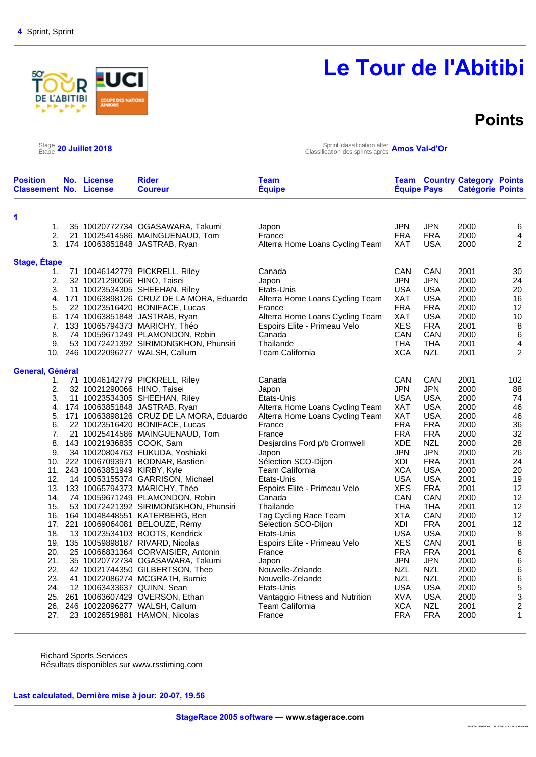# **ABITIBI**

# **Le Tour de l'Abitibi**

### **Points**

**2018Tou rAbitibi.str : 1291739922 : V3.24 fin al upd ate** 

 $\frac{\text{Stage}}{\text{Étape}}$  20 Juillet 2018

Étape **20 Juillet 2018** Sprint classification after Classification des sprints après **Amos Val-d'Or**

| <b>Position</b><br><b>Classement No. License</b> | No. License                     | <b>Rider</b><br><b>Coureur</b>              | <b>Team</b><br><b>Equipe</b>    | <b>Equipe Pays</b> |            | <b>Team Country Category Points</b><br><b>Catégorie Points</b> |                  |
|--------------------------------------------------|---------------------------------|---------------------------------------------|---------------------------------|--------------------|------------|----------------------------------------------------------------|------------------|
|                                                  |                                 |                                             |                                 |                    |            |                                                                |                  |
| 1<br>1.                                          |                                 | 35 10020772734 OGASAWARA, Takumi            | Japon                           | <b>JPN</b>         | <b>JPN</b> | 2000                                                           | 6                |
| 2.                                               |                                 | 21 10025414586 MAINGUENAUD, Tom             | France                          | <b>FRA</b>         | <b>FRA</b> | 2000                                                           | 4                |
|                                                  |                                 | 3. 174 10063851848 JASTRAB, Ryan            | Alterra Home Loans Cycling Team | XAT                | <b>USA</b> | 2000                                                           | 2                |
|                                                  |                                 |                                             |                                 |                    |            |                                                                |                  |
| <b>Stage, Étape</b>                              |                                 |                                             |                                 |                    |            |                                                                |                  |
| 1.                                               |                                 | 71 10046142779 PICKRELL, Riley              | Canada                          | CAN                | CAN        | 2001                                                           | 30               |
| 2.                                               | 32 10021290066 HINO, Taisei     |                                             | Japon                           | JPN                | <b>JPN</b> | 2000                                                           | 24               |
| 3.                                               |                                 | 11 10023534305 SHEEHAN, Riley               | Etats-Unis                      | <b>USA</b>         | <b>USA</b> | 2000                                                           | 20               |
| 4.                                               |                                 | 171 10063898126 CRUZ DE LA MORA, Eduardo    | Alterra Home Loans Cycling Team | <b>XAT</b>         | <b>USA</b> | 2000                                                           | 16               |
| 5.                                               |                                 | 22 10023516420 BONIFACE, Lucas              | France                          | <b>FRA</b>         | <b>FRA</b> | 2000                                                           | 12               |
|                                                  |                                 | 6. 174 10063851848 JASTRAB, Ryan            | Alterra Home Loans Cycling Team | <b>XAT</b>         | <b>USA</b> | 2000                                                           | 10               |
|                                                  |                                 | 7. 133 10065794373 MARICHY, Théo            | Espoirs Elite - Primeau Velo    | <b>XES</b>         | <b>FRA</b> | 2001                                                           | 8                |
| 8.                                               |                                 | 74 10059671249 PLAMONDON, Robin             | Canada                          | CAN                | CAN        | 2000                                                           | $\,6$            |
| 9.                                               |                                 | 53 10072421392 SIRIMONGKHON, Phunsiri       | Thailande                       | <b>THA</b>         | <b>THA</b> | 2001                                                           | 4                |
|                                                  |                                 | 10. 246 10022096277 WALSH, Callum           | <b>Team California</b>          | <b>XCA</b>         | <b>NZL</b> | 2001                                                           | $\overline{2}$   |
| General, Général                                 |                                 |                                             |                                 |                    |            |                                                                |                  |
| 1.                                               |                                 | 71 10046142779 PICKRELL, Riley              | Canada                          | CAN                | CAN        | 2001                                                           | 102              |
| 2.                                               | 32 10021290066 HINO, Taisei     |                                             | Japon                           | <b>JPN</b>         | <b>JPN</b> | 2000                                                           | 88               |
| 3.                                               |                                 | 11 10023534305 SHEEHAN, Riley               | Etats-Unis                      | <b>USA</b>         | <b>USA</b> | 2000                                                           | 74               |
| 4.                                               |                                 | 174 10063851848 JASTRAB, Ryan               | Alterra Home Loans Cycling Team | <b>XAT</b>         | <b>USA</b> | 2000                                                           | 46               |
|                                                  |                                 | 5. 171 10063898126 CRUZ DE LA MORA, Eduardo | Alterra Home Loans Cycling Team | <b>XAT</b>         | <b>USA</b> | 2000                                                           | 46               |
| 6.                                               |                                 | 22 10023516420 BONIFACE, Lucas              | France                          | <b>FRA</b>         | <b>FRA</b> | 2000                                                           | 36               |
| 7.                                               |                                 | 21 10025414586 MAINGUENAUD, Tom             | France                          | <b>FRA</b>         | <b>FRA</b> | 2000                                                           | 32               |
| 8.                                               | 143 10021936835 COOK, Sam       |                                             | Desjardins Ford p/b Cromwell    | <b>XDE</b>         | <b>NZL</b> | 2000                                                           | 28               |
| 9.                                               |                                 | 34 10020804763 FUKUDA, Yoshiaki             | Japon                           | <b>JPN</b>         | <b>JPN</b> | 2000                                                           | 26               |
|                                                  |                                 | 10. 222 10067093971 BODNAR, Bastien         | Sélection SCO-Dijon             | XDI                | <b>FRA</b> | 2001                                                           | 24               |
|                                                  | 11. 243 10063851949 KIRBY, Kyle |                                             | Team California                 | <b>XCA</b>         | <b>USA</b> | 2000                                                           | 20               |
| 12.                                              |                                 | 14 10053155374 GARRISON, Michael            | Etats-Unis                      | <b>USA</b>         | <b>USA</b> | 2001                                                           | 19               |
|                                                  |                                 | 13. 133 10065794373 MARICHY, Théo           | Espoirs Elite - Primeau Velo    | <b>XES</b>         | <b>FRA</b> | 2001                                                           | 12               |
| 14.                                              |                                 | 74 10059671249 PLAMONDON, Robin             | Canada                          | CAN                | CAN        | 2000                                                           | 12               |
| 15.                                              |                                 | 53 10072421392 SIRIMONGKHON, Phunsiri       | Thailande                       | <b>THA</b>         | <b>THA</b> | 2001                                                           | 12               |
|                                                  |                                 | 16. 164 10048448551 KATERBERG, Ben          | Tag Cycling Race Team           | <b>XTA</b>         | CAN        | 2000                                                           | 12               |
|                                                  |                                 | 17. 221 10069064081 BELOUZE, Rémy           | Sélection SCO-Dijon             | XDI                | <b>FRA</b> | 2001                                                           | 12               |
| 18.                                              |                                 | 13 10023534103 BOOTS, Kendrick              | Etats-Unis                      | <b>USA</b>         | <b>USA</b> | 2000                                                           | $\, 8$           |
|                                                  |                                 | 19. 135 10059898187 RIVARD, Nicolas         | Espoirs Elite - Primeau Velo    | <b>XES</b>         | CAN        | 2001                                                           | $\,$ 8 $\,$      |
| 20.                                              |                                 | 25 10066831364 CORVAISIER, Antonin          | France                          | <b>FRA</b>         | <b>FRA</b> | 2001                                                           | $\,6\,$          |
| 21.                                              |                                 | 35 10020772734 OGASAWARA, Takumi            | Japon                           | <b>JPN</b>         | <b>JPN</b> | 2000                                                           | $\,6$            |
| 22.                                              |                                 | 42 10021744350 GILBERTSON, Theo             | Nouvelle-Zelande                | <b>NZL</b>         | <b>NZL</b> | 2000                                                           | $\,6$            |
| 23.                                              |                                 | 41 10022086274 MCGRATH, Burnie              | Nouvelle-Zelande                | <b>NZL</b>         | <b>NZL</b> | 2000                                                           | $\,6$            |
| 24.                                              | 12 10063433637 QUINN, Sean      |                                             | Etats-Unis                      | <b>USA</b>         | <b>USA</b> | 2000                                                           | $\mathbf 5$      |
|                                                  |                                 | 25. 261 10063607429 OVERSON, Ethan          | Vantaggio Fitness and Nutrition | <b>XVA</b>         | <b>USA</b> | 2000                                                           | 3                |
|                                                  |                                 | 26. 246 10022096277 WALSH, Callum           | <b>Team California</b>          | <b>XCA</b>         | <b>NZL</b> | 2001                                                           | $\boldsymbol{2}$ |
| 27.                                              |                                 | 23 10026519881 HAMON, Nicolas               | France                          | <b>FRA</b>         | <b>FRA</b> | 2000                                                           | $\mathbf{1}$     |

Richard Sports Services Résultats disponibles sur www.rsstiming.com

**Last calculated, Dernière mise à jour: 20-07, 19.56**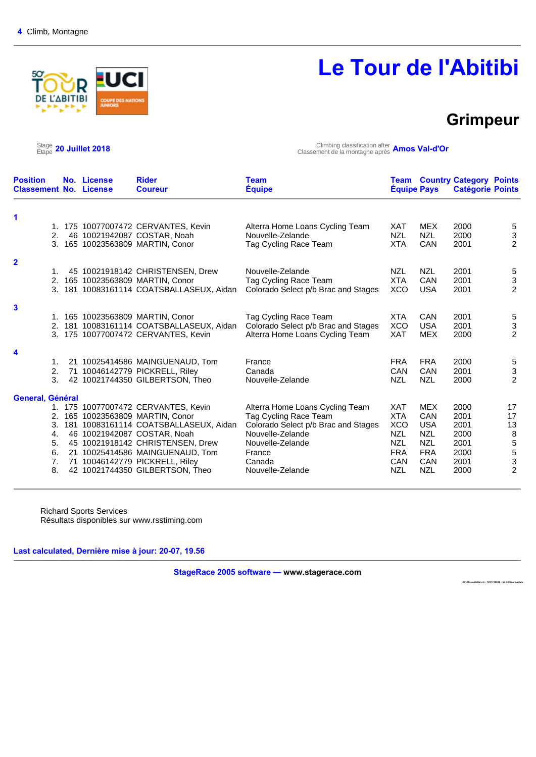# D **L'ABITIBI**

# **Le Tour de l'Abitibi**

### **Grimpeur**

 $\text{Stage}_{\text{Étape}}$  20 Juillet 2018

Étape **20 Juillet 2018** Climbing classification after Classement de la montagne après **Amos Val-d'Or**

| <b>Position</b><br><b>Classement No. License</b> | No. License | <b>Rider</b><br><b>Coureur</b>        | <b>Team</b><br><b>Equipe</b>        | <b>Equipe Pays</b> |            | <b>Team Country Category Points</b><br><b>Catégorie Points</b> |                  |
|--------------------------------------------------|-------------|---------------------------------------|-------------------------------------|--------------------|------------|----------------------------------------------------------------|------------------|
| 1                                                |             |                                       |                                     |                    |            |                                                                |                  |
|                                                  |             | 1. 175 10077007472 CERVANTES, Kevin   | Alterra Home Loans Cycling Team     | <b>XAT</b>         | <b>MEX</b> | 2000                                                           | $\sqrt{5}$       |
| 2.                                               |             | 46 10021942087 COSTAR, Noah           | Nouvelle-Zelande                    | <b>NZL</b>         | <b>NZL</b> | 2000                                                           |                  |
| 3.                                               |             | 165 10023563809 MARTIN, Conor         | Tag Cycling Race Team               | <b>XTA</b>         | <b>CAN</b> | 2001                                                           | $\frac{3}{2}$    |
|                                                  |             |                                       |                                     |                    |            |                                                                |                  |
| $\overline{2}$<br>1.                             |             | 45 10021918142 CHRISTENSEN, Drew      | Nouvelle-Zelande                    | <b>NZL</b>         | <b>NZL</b> | 2001                                                           | $\sqrt{5}$       |
| 2.                                               |             | 165 10023563809 MARTIN, Conor         | Tag Cycling Race Team               | <b>XTA</b>         | <b>CAN</b> | 2001                                                           | $\sqrt{3}$       |
| 3.                                               |             | 181 10083161114 COATSBALLASEUX, Aidan | Colorado Select p/b Brac and Stages | <b>XCO</b>         | <b>USA</b> | 2001                                                           | $\overline{2}$   |
|                                                  |             |                                       |                                     |                    |            |                                                                |                  |
| 3                                                |             |                                       |                                     |                    |            |                                                                |                  |
|                                                  |             | 1. 165 10023563809 MARTIN, Conor      | Tag Cycling Race Team               | <b>XTA</b>         | <b>CAN</b> | 2001                                                           | $\sqrt{5}$       |
| 2.                                               |             | 181 10083161114 COATSBALLASEUX, Aidan | Colorado Select p/b Brac and Stages | <b>XCO</b>         | <b>USA</b> | 2001                                                           | $\frac{3}{2}$    |
| 3.                                               |             | 175 10077007472 CERVANTES, Kevin      | Alterra Home Loans Cycling Team     | <b>XAT</b>         | <b>MEX</b> | 2000                                                           |                  |
| 4                                                |             |                                       |                                     |                    |            |                                                                |                  |
| 1.                                               |             | 21 10025414586 MAINGUENAUD, Tom       | France                              | <b>FRA</b>         | <b>FRA</b> | 2000                                                           | $\sqrt{5}$       |
| 2.                                               |             | 71 10046142779 PICKRELL, Riley        | Canada                              | CAN                | CAN        | 2001                                                           |                  |
| 3.                                               |             | 42 10021744350 GILBERTSON, Theo       | Nouvelle-Zelande                    | <b>NZL</b>         | <b>NZL</b> | 2000                                                           | $\frac{3}{2}$    |
|                                                  |             |                                       |                                     |                    |            |                                                                |                  |
| General, Général                                 |             |                                       |                                     |                    |            |                                                                |                  |
|                                                  |             | 1. 175 10077007472 CERVANTES, Kevin   | Alterra Home Loans Cycling Team     | XAT                | <b>MEX</b> | 2000                                                           | 17               |
| 2.                                               |             | 165 10023563809 MARTIN, Conor         | Tag Cycling Race Team               | <b>XTA</b>         | <b>CAN</b> | 2001                                                           | 17               |
| 3.                                               |             | 181 10083161114 COATSBALLASEUX, Aidan | Colorado Select p/b Brac and Stages | <b>XCO</b>         | <b>USA</b> | 2001                                                           | 13               |
| 4.                                               |             | 46 10021942087 COSTAR, Noah           | Nouvelle-Zelande                    | <b>NZL</b>         | <b>NZL</b> | 2000                                                           | $\, 8$           |
| 5.                                               |             | 45 10021918142 CHRISTENSEN, Drew      | Nouvelle-Zelande                    | <b>NZL</b>         | <b>NZL</b> | 2001                                                           |                  |
| 6.                                               |             | 21 10025414586 MAINGUENAUD, Tom       | France                              | <b>FRA</b>         | <b>FRA</b> | 2000                                                           | 5<br>5<br>3<br>2 |
| 7.                                               |             | 71 10046142779 PICKRELL, Riley        | Canada                              | CAN                | <b>CAN</b> | 2001                                                           |                  |
| 8.                                               |             | 42 10021744350 GILBERTSON, Theo       | Nouvelle-Zelande                    | <b>NZL</b>         | <b>NZL</b> | 2000                                                           |                  |

Richard Sports Services Résultats disponibles sur www.rsstiming.com

**Last calculated, Dernière mise à jour: 20-07, 19.56** 

**StageRace 2005 software — www.stagerace.com** 

**2018To urAbitibi.str : 1291739922 : V3.24 final up date**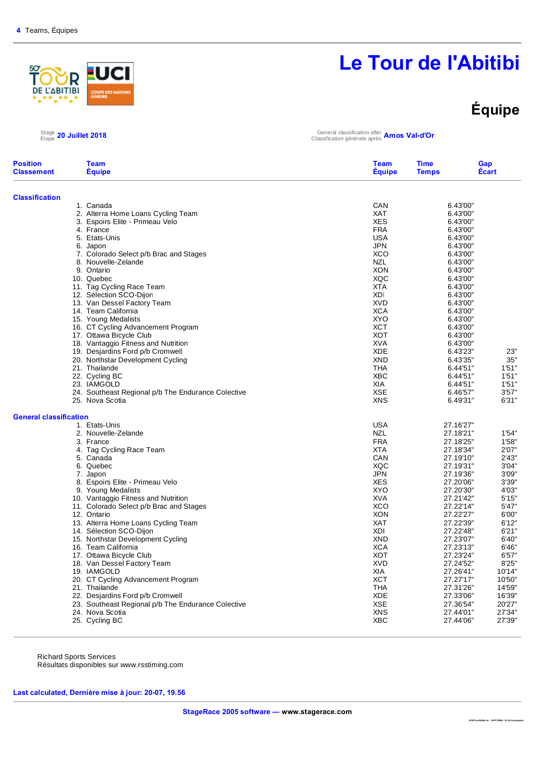#### <u>so</u> R **ABITIBI**

# **Le Tour de l'Abitibi**

# **Équipe**

### $\text{^{Stage}_{Etape}}$  20 Juillet 2018

Étape **20 Juillet 2018** General classification after Classification générale après **Amos Val-d'Or**

| <b>Team</b><br><b>Equipe</b> | <b>Equipe</b>                                                                                                                                                                                                                                                                                                                                                                                                                                                                                                                                                                                                                                                                                                                                                                                                                                                                                                                                                                                                                                                                                                                                                                                                                                                                                                                                                                             | <b>Time</b><br><b>Temps</b>                                                                                                                                                                                                                                                                                                                                                                                                                                                                                                                                     | Gap<br>Écart                                                                                                                                                                                                                                                                                                                                                                                                                                                |
|------------------------------|-------------------------------------------------------------------------------------------------------------------------------------------------------------------------------------------------------------------------------------------------------------------------------------------------------------------------------------------------------------------------------------------------------------------------------------------------------------------------------------------------------------------------------------------------------------------------------------------------------------------------------------------------------------------------------------------------------------------------------------------------------------------------------------------------------------------------------------------------------------------------------------------------------------------------------------------------------------------------------------------------------------------------------------------------------------------------------------------------------------------------------------------------------------------------------------------------------------------------------------------------------------------------------------------------------------------------------------------------------------------------------------------|-----------------------------------------------------------------------------------------------------------------------------------------------------------------------------------------------------------------------------------------------------------------------------------------------------------------------------------------------------------------------------------------------------------------------------------------------------------------------------------------------------------------------------------------------------------------|-------------------------------------------------------------------------------------------------------------------------------------------------------------------------------------------------------------------------------------------------------------------------------------------------------------------------------------------------------------------------------------------------------------------------------------------------------------|
|                              |                                                                                                                                                                                                                                                                                                                                                                                                                                                                                                                                                                                                                                                                                                                                                                                                                                                                                                                                                                                                                                                                                                                                                                                                                                                                                                                                                                                           |                                                                                                                                                                                                                                                                                                                                                                                                                                                                                                                                                                 |                                                                                                                                                                                                                                                                                                                                                                                                                                                             |
|                              | CAN                                                                                                                                                                                                                                                                                                                                                                                                                                                                                                                                                                                                                                                                                                                                                                                                                                                                                                                                                                                                                                                                                                                                                                                                                                                                                                                                                                                       | 6.43'00"                                                                                                                                                                                                                                                                                                                                                                                                                                                                                                                                                        |                                                                                                                                                                                                                                                                                                                                                                                                                                                             |
|                              | <b>XAT</b>                                                                                                                                                                                                                                                                                                                                                                                                                                                                                                                                                                                                                                                                                                                                                                                                                                                                                                                                                                                                                                                                                                                                                                                                                                                                                                                                                                                | 6.43'00"                                                                                                                                                                                                                                                                                                                                                                                                                                                                                                                                                        |                                                                                                                                                                                                                                                                                                                                                                                                                                                             |
|                              | <b>XES</b>                                                                                                                                                                                                                                                                                                                                                                                                                                                                                                                                                                                                                                                                                                                                                                                                                                                                                                                                                                                                                                                                                                                                                                                                                                                                                                                                                                                | 6.43'00"                                                                                                                                                                                                                                                                                                                                                                                                                                                                                                                                                        |                                                                                                                                                                                                                                                                                                                                                                                                                                                             |
|                              |                                                                                                                                                                                                                                                                                                                                                                                                                                                                                                                                                                                                                                                                                                                                                                                                                                                                                                                                                                                                                                                                                                                                                                                                                                                                                                                                                                                           | 6.43'00"                                                                                                                                                                                                                                                                                                                                                                                                                                                                                                                                                        |                                                                                                                                                                                                                                                                                                                                                                                                                                                             |
|                              |                                                                                                                                                                                                                                                                                                                                                                                                                                                                                                                                                                                                                                                                                                                                                                                                                                                                                                                                                                                                                                                                                                                                                                                                                                                                                                                                                                                           |                                                                                                                                                                                                                                                                                                                                                                                                                                                                                                                                                                 |                                                                                                                                                                                                                                                                                                                                                                                                                                                             |
|                              |                                                                                                                                                                                                                                                                                                                                                                                                                                                                                                                                                                                                                                                                                                                                                                                                                                                                                                                                                                                                                                                                                                                                                                                                                                                                                                                                                                                           |                                                                                                                                                                                                                                                                                                                                                                                                                                                                                                                                                                 |                                                                                                                                                                                                                                                                                                                                                                                                                                                             |
|                              |                                                                                                                                                                                                                                                                                                                                                                                                                                                                                                                                                                                                                                                                                                                                                                                                                                                                                                                                                                                                                                                                                                                                                                                                                                                                                                                                                                                           |                                                                                                                                                                                                                                                                                                                                                                                                                                                                                                                                                                 |                                                                                                                                                                                                                                                                                                                                                                                                                                                             |
|                              |                                                                                                                                                                                                                                                                                                                                                                                                                                                                                                                                                                                                                                                                                                                                                                                                                                                                                                                                                                                                                                                                                                                                                                                                                                                                                                                                                                                           |                                                                                                                                                                                                                                                                                                                                                                                                                                                                                                                                                                 |                                                                                                                                                                                                                                                                                                                                                                                                                                                             |
|                              |                                                                                                                                                                                                                                                                                                                                                                                                                                                                                                                                                                                                                                                                                                                                                                                                                                                                                                                                                                                                                                                                                                                                                                                                                                                                                                                                                                                           |                                                                                                                                                                                                                                                                                                                                                                                                                                                                                                                                                                 |                                                                                                                                                                                                                                                                                                                                                                                                                                                             |
|                              |                                                                                                                                                                                                                                                                                                                                                                                                                                                                                                                                                                                                                                                                                                                                                                                                                                                                                                                                                                                                                                                                                                                                                                                                                                                                                                                                                                                           |                                                                                                                                                                                                                                                                                                                                                                                                                                                                                                                                                                 |                                                                                                                                                                                                                                                                                                                                                                                                                                                             |
|                              |                                                                                                                                                                                                                                                                                                                                                                                                                                                                                                                                                                                                                                                                                                                                                                                                                                                                                                                                                                                                                                                                                                                                                                                                                                                                                                                                                                                           |                                                                                                                                                                                                                                                                                                                                                                                                                                                                                                                                                                 |                                                                                                                                                                                                                                                                                                                                                                                                                                                             |
|                              |                                                                                                                                                                                                                                                                                                                                                                                                                                                                                                                                                                                                                                                                                                                                                                                                                                                                                                                                                                                                                                                                                                                                                                                                                                                                                                                                                                                           |                                                                                                                                                                                                                                                                                                                                                                                                                                                                                                                                                                 |                                                                                                                                                                                                                                                                                                                                                                                                                                                             |
|                              |                                                                                                                                                                                                                                                                                                                                                                                                                                                                                                                                                                                                                                                                                                                                                                                                                                                                                                                                                                                                                                                                                                                                                                                                                                                                                                                                                                                           |                                                                                                                                                                                                                                                                                                                                                                                                                                                                                                                                                                 |                                                                                                                                                                                                                                                                                                                                                                                                                                                             |
|                              |                                                                                                                                                                                                                                                                                                                                                                                                                                                                                                                                                                                                                                                                                                                                                                                                                                                                                                                                                                                                                                                                                                                                                                                                                                                                                                                                                                                           |                                                                                                                                                                                                                                                                                                                                                                                                                                                                                                                                                                 |                                                                                                                                                                                                                                                                                                                                                                                                                                                             |
|                              |                                                                                                                                                                                                                                                                                                                                                                                                                                                                                                                                                                                                                                                                                                                                                                                                                                                                                                                                                                                                                                                                                                                                                                                                                                                                                                                                                                                           |                                                                                                                                                                                                                                                                                                                                                                                                                                                                                                                                                                 |                                                                                                                                                                                                                                                                                                                                                                                                                                                             |
|                              |                                                                                                                                                                                                                                                                                                                                                                                                                                                                                                                                                                                                                                                                                                                                                                                                                                                                                                                                                                                                                                                                                                                                                                                                                                                                                                                                                                                           |                                                                                                                                                                                                                                                                                                                                                                                                                                                                                                                                                                 |                                                                                                                                                                                                                                                                                                                                                                                                                                                             |
|                              |                                                                                                                                                                                                                                                                                                                                                                                                                                                                                                                                                                                                                                                                                                                                                                                                                                                                                                                                                                                                                                                                                                                                                                                                                                                                                                                                                                                           |                                                                                                                                                                                                                                                                                                                                                                                                                                                                                                                                                                 |                                                                                                                                                                                                                                                                                                                                                                                                                                                             |
|                              |                                                                                                                                                                                                                                                                                                                                                                                                                                                                                                                                                                                                                                                                                                                                                                                                                                                                                                                                                                                                                                                                                                                                                                                                                                                                                                                                                                                           |                                                                                                                                                                                                                                                                                                                                                                                                                                                                                                                                                                 |                                                                                                                                                                                                                                                                                                                                                                                                                                                             |
|                              |                                                                                                                                                                                                                                                                                                                                                                                                                                                                                                                                                                                                                                                                                                                                                                                                                                                                                                                                                                                                                                                                                                                                                                                                                                                                                                                                                                                           |                                                                                                                                                                                                                                                                                                                                                                                                                                                                                                                                                                 | 23"                                                                                                                                                                                                                                                                                                                                                                                                                                                         |
|                              |                                                                                                                                                                                                                                                                                                                                                                                                                                                                                                                                                                                                                                                                                                                                                                                                                                                                                                                                                                                                                                                                                                                                                                                                                                                                                                                                                                                           |                                                                                                                                                                                                                                                                                                                                                                                                                                                                                                                                                                 | 35"                                                                                                                                                                                                                                                                                                                                                                                                                                                         |
|                              |                                                                                                                                                                                                                                                                                                                                                                                                                                                                                                                                                                                                                                                                                                                                                                                                                                                                                                                                                                                                                                                                                                                                                                                                                                                                                                                                                                                           |                                                                                                                                                                                                                                                                                                                                                                                                                                                                                                                                                                 | 1'51"                                                                                                                                                                                                                                                                                                                                                                                                                                                       |
|                              |                                                                                                                                                                                                                                                                                                                                                                                                                                                                                                                                                                                                                                                                                                                                                                                                                                                                                                                                                                                                                                                                                                                                                                                                                                                                                                                                                                                           |                                                                                                                                                                                                                                                                                                                                                                                                                                                                                                                                                                 | 1'51"                                                                                                                                                                                                                                                                                                                                                                                                                                                       |
|                              |                                                                                                                                                                                                                                                                                                                                                                                                                                                                                                                                                                                                                                                                                                                                                                                                                                                                                                                                                                                                                                                                                                                                                                                                                                                                                                                                                                                           |                                                                                                                                                                                                                                                                                                                                                                                                                                                                                                                                                                 | 1'51"                                                                                                                                                                                                                                                                                                                                                                                                                                                       |
|                              |                                                                                                                                                                                                                                                                                                                                                                                                                                                                                                                                                                                                                                                                                                                                                                                                                                                                                                                                                                                                                                                                                                                                                                                                                                                                                                                                                                                           |                                                                                                                                                                                                                                                                                                                                                                                                                                                                                                                                                                 | 3'57"                                                                                                                                                                                                                                                                                                                                                                                                                                                       |
|                              |                                                                                                                                                                                                                                                                                                                                                                                                                                                                                                                                                                                                                                                                                                                                                                                                                                                                                                                                                                                                                                                                                                                                                                                                                                                                                                                                                                                           |                                                                                                                                                                                                                                                                                                                                                                                                                                                                                                                                                                 | 6'31"                                                                                                                                                                                                                                                                                                                                                                                                                                                       |
|                              |                                                                                                                                                                                                                                                                                                                                                                                                                                                                                                                                                                                                                                                                                                                                                                                                                                                                                                                                                                                                                                                                                                                                                                                                                                                                                                                                                                                           |                                                                                                                                                                                                                                                                                                                                                                                                                                                                                                                                                                 |                                                                                                                                                                                                                                                                                                                                                                                                                                                             |
|                              | <b>USA</b>                                                                                                                                                                                                                                                                                                                                                                                                                                                                                                                                                                                                                                                                                                                                                                                                                                                                                                                                                                                                                                                                                                                                                                                                                                                                                                                                                                                | 27.16'27"                                                                                                                                                                                                                                                                                                                                                                                                                                                                                                                                                       |                                                                                                                                                                                                                                                                                                                                                                                                                                                             |
|                              |                                                                                                                                                                                                                                                                                                                                                                                                                                                                                                                                                                                                                                                                                                                                                                                                                                                                                                                                                                                                                                                                                                                                                                                                                                                                                                                                                                                           | 27.18'21"                                                                                                                                                                                                                                                                                                                                                                                                                                                                                                                                                       | 1'54"                                                                                                                                                                                                                                                                                                                                                                                                                                                       |
|                              | <b>FRA</b>                                                                                                                                                                                                                                                                                                                                                                                                                                                                                                                                                                                                                                                                                                                                                                                                                                                                                                                                                                                                                                                                                                                                                                                                                                                                                                                                                                                | 27.18'25"                                                                                                                                                                                                                                                                                                                                                                                                                                                                                                                                                       | 1'58"                                                                                                                                                                                                                                                                                                                                                                                                                                                       |
|                              | <b>XTA</b>                                                                                                                                                                                                                                                                                                                                                                                                                                                                                                                                                                                                                                                                                                                                                                                                                                                                                                                                                                                                                                                                                                                                                                                                                                                                                                                                                                                | 27.18'34"                                                                                                                                                                                                                                                                                                                                                                                                                                                                                                                                                       | 2'07"                                                                                                                                                                                                                                                                                                                                                                                                                                                       |
|                              | CAN                                                                                                                                                                                                                                                                                                                                                                                                                                                                                                                                                                                                                                                                                                                                                                                                                                                                                                                                                                                                                                                                                                                                                                                                                                                                                                                                                                                       | 27.19'10"                                                                                                                                                                                                                                                                                                                                                                                                                                                                                                                                                       | 2'43"                                                                                                                                                                                                                                                                                                                                                                                                                                                       |
|                              |                                                                                                                                                                                                                                                                                                                                                                                                                                                                                                                                                                                                                                                                                                                                                                                                                                                                                                                                                                                                                                                                                                                                                                                                                                                                                                                                                                                           | 27.19'31"                                                                                                                                                                                                                                                                                                                                                                                                                                                                                                                                                       | 3'04"                                                                                                                                                                                                                                                                                                                                                                                                                                                       |
|                              | JPN                                                                                                                                                                                                                                                                                                                                                                                                                                                                                                                                                                                                                                                                                                                                                                                                                                                                                                                                                                                                                                                                                                                                                                                                                                                                                                                                                                                       | 27.19'36"                                                                                                                                                                                                                                                                                                                                                                                                                                                                                                                                                       | 3'09"                                                                                                                                                                                                                                                                                                                                                                                                                                                       |
|                              |                                                                                                                                                                                                                                                                                                                                                                                                                                                                                                                                                                                                                                                                                                                                                                                                                                                                                                                                                                                                                                                                                                                                                                                                                                                                                                                                                                                           | 27.20'06"                                                                                                                                                                                                                                                                                                                                                                                                                                                                                                                                                       | 3'39"                                                                                                                                                                                                                                                                                                                                                                                                                                                       |
|                              |                                                                                                                                                                                                                                                                                                                                                                                                                                                                                                                                                                                                                                                                                                                                                                                                                                                                                                                                                                                                                                                                                                                                                                                                                                                                                                                                                                                           |                                                                                                                                                                                                                                                                                                                                                                                                                                                                                                                                                                 | 4'03"                                                                                                                                                                                                                                                                                                                                                                                                                                                       |
|                              |                                                                                                                                                                                                                                                                                                                                                                                                                                                                                                                                                                                                                                                                                                                                                                                                                                                                                                                                                                                                                                                                                                                                                                                                                                                                                                                                                                                           | 27.21'42"                                                                                                                                                                                                                                                                                                                                                                                                                                                                                                                                                       | 5'15"                                                                                                                                                                                                                                                                                                                                                                                                                                                       |
|                              |                                                                                                                                                                                                                                                                                                                                                                                                                                                                                                                                                                                                                                                                                                                                                                                                                                                                                                                                                                                                                                                                                                                                                                                                                                                                                                                                                                                           |                                                                                                                                                                                                                                                                                                                                                                                                                                                                                                                                                                 | 5'47"                                                                                                                                                                                                                                                                                                                                                                                                                                                       |
|                              |                                                                                                                                                                                                                                                                                                                                                                                                                                                                                                                                                                                                                                                                                                                                                                                                                                                                                                                                                                                                                                                                                                                                                                                                                                                                                                                                                                                           |                                                                                                                                                                                                                                                                                                                                                                                                                                                                                                                                                                 | 6'00"                                                                                                                                                                                                                                                                                                                                                                                                                                                       |
|                              |                                                                                                                                                                                                                                                                                                                                                                                                                                                                                                                                                                                                                                                                                                                                                                                                                                                                                                                                                                                                                                                                                                                                                                                                                                                                                                                                                                                           |                                                                                                                                                                                                                                                                                                                                                                                                                                                                                                                                                                 | 6'12"                                                                                                                                                                                                                                                                                                                                                                                                                                                       |
|                              |                                                                                                                                                                                                                                                                                                                                                                                                                                                                                                                                                                                                                                                                                                                                                                                                                                                                                                                                                                                                                                                                                                                                                                                                                                                                                                                                                                                           |                                                                                                                                                                                                                                                                                                                                                                                                                                                                                                                                                                 | 6'21"                                                                                                                                                                                                                                                                                                                                                                                                                                                       |
|                              |                                                                                                                                                                                                                                                                                                                                                                                                                                                                                                                                                                                                                                                                                                                                                                                                                                                                                                                                                                                                                                                                                                                                                                                                                                                                                                                                                                                           |                                                                                                                                                                                                                                                                                                                                                                                                                                                                                                                                                                 | 6'40''                                                                                                                                                                                                                                                                                                                                                                                                                                                      |
|                              |                                                                                                                                                                                                                                                                                                                                                                                                                                                                                                                                                                                                                                                                                                                                                                                                                                                                                                                                                                                                                                                                                                                                                                                                                                                                                                                                                                                           |                                                                                                                                                                                                                                                                                                                                                                                                                                                                                                                                                                 | 6'46''                                                                                                                                                                                                                                                                                                                                                                                                                                                      |
|                              |                                                                                                                                                                                                                                                                                                                                                                                                                                                                                                                                                                                                                                                                                                                                                                                                                                                                                                                                                                                                                                                                                                                                                                                                                                                                                                                                                                                           |                                                                                                                                                                                                                                                                                                                                                                                                                                                                                                                                                                 | 6'57"                                                                                                                                                                                                                                                                                                                                                                                                                                                       |
|                              |                                                                                                                                                                                                                                                                                                                                                                                                                                                                                                                                                                                                                                                                                                                                                                                                                                                                                                                                                                                                                                                                                                                                                                                                                                                                                                                                                                                           |                                                                                                                                                                                                                                                                                                                                                                                                                                                                                                                                                                 | 8'25"                                                                                                                                                                                                                                                                                                                                                                                                                                                       |
|                              |                                                                                                                                                                                                                                                                                                                                                                                                                                                                                                                                                                                                                                                                                                                                                                                                                                                                                                                                                                                                                                                                                                                                                                                                                                                                                                                                                                                           |                                                                                                                                                                                                                                                                                                                                                                                                                                                                                                                                                                 | 10'14"                                                                                                                                                                                                                                                                                                                                                                                                                                                      |
|                              |                                                                                                                                                                                                                                                                                                                                                                                                                                                                                                                                                                                                                                                                                                                                                                                                                                                                                                                                                                                                                                                                                                                                                                                                                                                                                                                                                                                           |                                                                                                                                                                                                                                                                                                                                                                                                                                                                                                                                                                 | 10'50"                                                                                                                                                                                                                                                                                                                                                                                                                                                      |
|                              |                                                                                                                                                                                                                                                                                                                                                                                                                                                                                                                                                                                                                                                                                                                                                                                                                                                                                                                                                                                                                                                                                                                                                                                                                                                                                                                                                                                           |                                                                                                                                                                                                                                                                                                                                                                                                                                                                                                                                                                 | 14'59"                                                                                                                                                                                                                                                                                                                                                                                                                                                      |
|                              |                                                                                                                                                                                                                                                                                                                                                                                                                                                                                                                                                                                                                                                                                                                                                                                                                                                                                                                                                                                                                                                                                                                                                                                                                                                                                                                                                                                           |                                                                                                                                                                                                                                                                                                                                                                                                                                                                                                                                                                 | 16'39"                                                                                                                                                                                                                                                                                                                                                                                                                                                      |
|                              |                                                                                                                                                                                                                                                                                                                                                                                                                                                                                                                                                                                                                                                                                                                                                                                                                                                                                                                                                                                                                                                                                                                                                                                                                                                                                                                                                                                           | 27.36'54"                                                                                                                                                                                                                                                                                                                                                                                                                                                                                                                                                       | 20'27"                                                                                                                                                                                                                                                                                                                                                                                                                                                      |
|                              |                                                                                                                                                                                                                                                                                                                                                                                                                                                                                                                                                                                                                                                                                                                                                                                                                                                                                                                                                                                                                                                                                                                                                                                                                                                                                                                                                                                           |                                                                                                                                                                                                                                                                                                                                                                                                                                                                                                                                                                 | 27'34"                                                                                                                                                                                                                                                                                                                                                                                                                                                      |
|                              |                                                                                                                                                                                                                                                                                                                                                                                                                                                                                                                                                                                                                                                                                                                                                                                                                                                                                                                                                                                                                                                                                                                                                                                                                                                                                                                                                                                           |                                                                                                                                                                                                                                                                                                                                                                                                                                                                                                                                                                 | 27'39"                                                                                                                                                                                                                                                                                                                                                                                                                                                      |
|                              | 1. Canada<br>2. Alterra Home Loans Cycling Team<br>3. Espoirs Elite - Primeau Velo<br>4. France<br>5. Etats-Unis<br>6. Japon<br>7. Colorado Select p/b Brac and Stages<br>8. Nouvelle-Zelande<br>9. Ontario<br>10. Quebec<br>11. Tag Cycling Race Team<br>12. Sélection SCO-Dijon<br>13. Van Dessel Factory Team<br>14. Team California<br>15. Young Medalists<br>16. CT Cycling Advancement Program<br>17. Ottawa Bicycle Club<br>18. Vantaggio Fitness and Nutrition<br>19. Desjardins Ford p/b Cromwell<br>20. Northstar Development Cycling<br>21. Thailande<br>22. Cycling BC<br>23. IAMGOLD<br>24. Southeast Regional p/b The Endurance Colective<br>25. Nova Scotia<br><b>General classification</b><br>1. Etats-Unis<br>2. Nouvelle-Zelande<br>3. France<br>4. Tag Cycling Race Team<br>5. Canada<br>6. Quebec<br>7. Japon<br>8. Espoirs Elite - Primeau Velo<br>9. Young Medalists<br>10. Vantaggio Fitness and Nutrition<br>11. Colorado Select p/b Brac and Stages<br>12. Ontario<br>13. Alterra Home Loans Cycling Team<br>14. Sélection SCO-Dijon<br>15. Northstar Development Cycling<br>16. Team California<br>17. Ottawa Bicycle Club<br>18. Van Dessel Factory Team<br>19. IAMGOLD<br>20. CT Cycling Advancement Program<br>21. Thailande<br>22. Desjardins Ford p/b Cromwell<br>23. Southeast Regional p/b The Endurance Colective<br>24. Nova Scotia<br>25. Cycling BC | Team<br><b>FRA</b><br><b>USA</b><br><b>JPN</b><br><b>XCO</b><br>NZL<br>XON<br><b>XQC</b><br><b>XTA</b><br><b>XDI</b><br><b>XVD</b><br><b>XCA</b><br><b>XYO</b><br><b>XCT</b><br><b>XOT</b><br><b>XVA</b><br><b>XDE</b><br><b>XND</b><br><b>THA</b><br><b>XBC</b><br><b>XIA</b><br><b>XSE</b><br><b>XNS</b><br><b>NZL</b><br>XQC<br><b>XES</b><br><b>XYO</b><br><b>XVA</b><br><b>XCO</b><br>XON<br><b>XAT</b><br><b>XDI</b><br><b>XND</b><br><b>XCA</b><br>XOT<br><b>XVD</b><br><b>XIA</b><br><b>XCT</b><br>THA<br>XDE<br><b>XSE</b><br><b>XNS</b><br><b>XBC</b> | 6.43'00"<br>6.43'00"<br>6.43'00"<br>6.43'00"<br>6.43'00"<br>6.43'00"<br>6.43'00"<br>6.43'00"<br>6.43'00"<br>6.43'00"<br>6.43'00"<br>6.43'00"<br>6.43'00"<br>6.43'00"<br>6.43'23"<br>6.43'35"<br>6.44'51"<br>6.44'51"<br>6.44'51"<br>6.46'57"<br>6.49'31"<br>27.20'30"<br>27.22'14"<br>27.22'27"<br>27.22'39"<br>27.22'48"<br>27.23'07"<br>27.23'13"<br>27.23'24"<br>27.24'52"<br>27.26'41"<br>27.27'17"<br>27.31'26"<br>27.33'06"<br>27.44'01"<br>27.44'06" |

Richard Sports Services Résultats disponibles sur www.rsstiming.com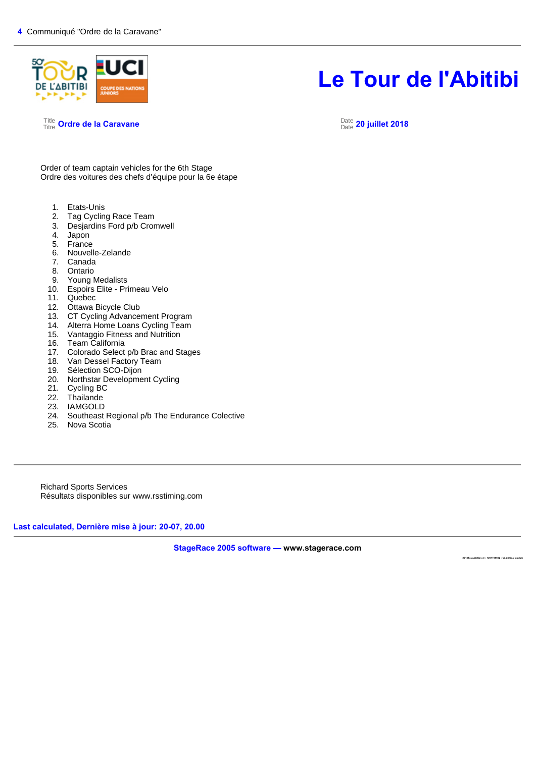

Title Titre **Ordre de la Caravane** Date

#### Date **20 juillet 2018**

Order of team captain vehicles for the 6th Stage Ordre des voitures des chefs d'équipe pour la 6e étape

- 1. Etats-Unis<br>2. Tag Cyclin
- Tag Cycling Race Team
- 3. Desjardins Ford p/b Cromwell
- 4. Japon
- 5. France
- 6. Nouvelle-Zelande
- 7. Canada
- Ontario
- 9. Young Medalists
- 10. Espoirs Elite Primeau Velo
- 11. Quebec
- 12. Ottawa Bicycle Club
- 13. CT Cycling Advancement Program
- 14. Alterra Home Loans Cycling Team<br>15. Vantaggio Fitness and Nutrition
- 15. Vantaggio Fitness and Nutrition<br>16. Team California
- Team California
- 17. Colorado Select p/b Brac and Stages<br>18. Van Dessel Factory Team
- Van Dessel Factory Team
- 19. Sélection SCO-Dijon
- 20. Northstar Development Cycling<br>21. Cycling BC
- 
- 21. Cycling BC<br>22. Thailande Thailande
- 23. IAMGOLD
- 24. Southeast Regional p/b The Endurance Colective
- 25. Nova Scotia

Richard Sports Services Résultats disponibles sur www.rsstiming.com

**Last calculated, Dernière mise à jour: 20-07, 20.00** 

**StageRace 2005 software — www.stagerace.com** 

**2018To urAbitibi.str : 1291739922 : V3.24 final up date**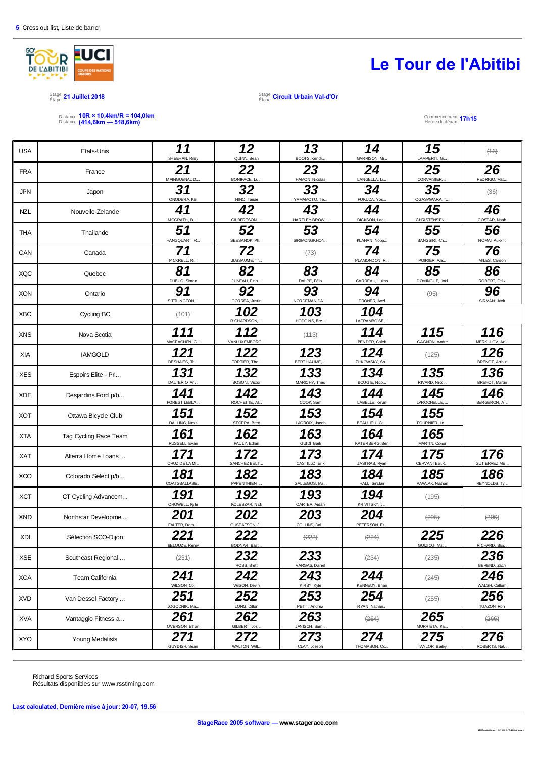

Stage Étape **21 Juillet 2018** Stage

Distance 10R × 10,4km/R = 104,0km<br>Distance (414,6km — 518,6km)

Étape **Circuit Urbain Val-d'Or**

Heure de départ **17h15**

| <b>USA</b> | Etats-Unis            | 11<br>SHEEHAN, Riley  | 12<br>QUINN, Sean            | 13<br>BOOTS, Kendr          | 14<br>GARRISON, Mi.   | 15<br>LAMPERTI, Gi        | (16)                         |
|------------|-----------------------|-----------------------|------------------------------|-----------------------------|-----------------------|---------------------------|------------------------------|
| <b>FRA</b> | France                | 21<br>MAINGUENAUD,.   | 22<br>BONIFACE, Lu.          | 23<br>HAMON, Nicolas        | 24<br>LANGELLA, Li    | 25<br>CORVAISIER,         | 26<br>FEDRIGO, Mat.          |
| <b>JPN</b> | Japon                 | 31<br>ONODERA, Kei    | 32<br>HINO, Taisei           | 33<br>YAMAMOTO, Te          | 34<br>FUKUDA, Yos     | 35<br>OGASAWARA, T        | $\left(\frac{1}{26}\right)$  |
| <b>NZL</b> | Nouvelle-Zelande      | 41<br>MCGRATH, Bu.    | 42<br>GILBERTSON,            | 43<br>HARTLEY-BROW.         | 44<br>DICKSON, Lac.   | 45<br>CHRISTENSEN,        | 46<br>COSTAR, Noah           |
| <b>THA</b> | Thailande             | 51<br>HANGQUART, R.   | 52<br>SEESANOK, Ph.          | 53<br>SIRIMONGKHON.         | 54<br>KLAHAN, Nopp.   | 55<br>BANGSIRI, Ch.       | 56<br>NOMAI, Aukkrit         |
| CAN        | Canada                | 71<br>PICKRELL, Ri.   | 72<br>JUSSAUME, Tr           | $\left(\frac{73}{7}\right)$ | 74<br>PLAMONDON, R.   | 75<br>POIRIER, Ale.       | 76<br>MILES, Carson          |
| <b>XQC</b> | Quebec                | 81<br>DUBUC, Simon    | 82<br>JUNEAU, Fran.          | 83<br>DALPÉ, Félix          | 84<br>CARREAU, Lukas  | 85<br>DOMINGUE, Joel      | 86<br>ROBERT, Felix          |
| <b>XON</b> | Ontario               | 91<br>SITTLINGTON,    | 92<br>CORREA, Justin         | 93<br>NORDEMAN DA           | 94<br>FRONER, Axel    | $\left( \Theta 5 \right)$ | 96<br>SIRMAN, Jack           |
| <b>XBC</b> | Cycling BC            | (101)                 | 102<br>RICHARDSON,           | 103<br>HODGINS, Bre.        | 104<br>LAFRAMBOISE,   |                           |                              |
| <b>XNS</b> | Nova Scotia           | 111<br>MACEACHEN, C.  | 112<br>VANLUXEMBORG          | (113)                       | 114<br>BENDER, Caleb  | 115<br>GAGNON, Andre      | 116<br>MERKULOV, An          |
| XIA        | <b>IAMGOLD</b>        | 121<br>DESHAIES, Th.  | 122<br>FORTIER, Tho          | 123<br><b>BERTHIAUME</b>    | 124<br>ZUKOWSKY, Sa.  | $(+25)$                   | 126<br><b>BRENOT, Arthur</b> |
| <b>XES</b> | Espoirs Elite - Pri   | 131<br>DALTERIO, An.  | 132<br><b>BOSONI, Victor</b> | 133<br>MARICHY, Théo        | 134<br>BOUGIE, Nico   | 135<br>RIVARD, Nico.      | 136<br><b>BRENOT, Martin</b> |
| <b>XDE</b> | Desjardins Ford p/b   | 141<br>FOREST LEBLA.  | 142<br>ROCHETTE, AI          | 143<br>COOK, Sam            | 144<br>LABELLE, Kevin | 145<br>LAROCHELLE,        | 146<br>BERGERON, AL          |
| <b>XOT</b> | Ottawa Bicycle Club   | 151<br>DALLING, Ness  | 152<br>STOPPA, Brett         | 153<br>LACROIX, Jacob       | 154<br>BEAULIEU, Ce.  | 155<br>FOURNIER, Lo.      |                              |
| <b>XTA</b> | Tag Cycling Race Team | 161<br>RUSSELL, Evan  | 162<br>PAULY, Ethan          | 163<br>GUIDI, Baili         | 164<br>KATERBERG, Ben | 165<br>MARTIN, Conor      |                              |
| <b>XAT</b> | Alterra Home Loans    | 171<br>CRUZ DE LA M.  | 172<br>SANCHEZ BELT.         | 173<br>CASTILLO, Erik       | 174<br>JASTRAB, Ryan  | 175<br>CERVANTES, K.      | 176<br>GUTIERREZ ME.         |
| <b>XCO</b> | Colorado Select p/b   | 181<br>COATSBALLASE.  | 182<br>PAPENTHIEN,           | 183<br>GALLEGOS, Ma.        | 184<br>HALL, Sinclair | 185<br>PAWLAK, Nathan     | 186<br>REYNOLDS, Ty          |
| <b>XCT</b> | CT Cycling Advancem   | 191<br>CROWELL, Kyle  | 192<br>KOLESZAR, Nick        | 193<br>CARTER, Aidan        | 194<br>KRIVITSKY, J   | (195)                     |                              |
| <b>XND</b> | Northstar Developme   | 201<br>FALTER, Domi.  | 202<br>GUSTAFSON, J          | 203<br>COLLINS, Dal.        | 204<br>PETERSON, Et   | (205)                     | (206)                        |
| <b>XDI</b> | Sélection SCO-Dijon   | 221                   | 222<br>RODNAR Ro             | (223)                       | (224)                 | 225                       | 226                          |
| <b>XSE</b> | Southeast Regional    | (231)                 | 232<br>ROSS, Brett           | 233<br>VARGAS, Daniel       | (234)                 | $(235)$                   | 236<br>BEREND, Zach          |
| <b>XCA</b> | Team California       | 241<br>WILSON, Col    | 242<br>WilSON, Devin         | 243<br>KIRBY, Kyle          | 244<br>KENNEDY, Brian | (245)                     | 246<br>WALSH, Callum         |
| <b>XVD</b> | Van Dessel Factory    | 251<br>JOGODNIK, Ma.  | 252<br>LONG, Dillon          | 253<br>PETTI, Andrew        | 254<br>RYAN, Nathan.  | $\left(255\right)$        | 256<br>TUAZON, Ron           |
| <b>XVA</b> | Vantaggio Fitness a   | 261<br>OVERSON, Ethan | 262<br>GILBERT, J            | 263<br>JANISCH, Sam         | (264)                 | 265<br>MURRIETA, Ka       | (266)                        |
| <b>XYO</b> | Young Medalists       | 271<br>GUYDISH, Sean  | 272<br>WALTON, Will.         | 273<br>CLAY, Joseph         | 274<br>THOMPSON, Co.  | 275<br>TAYLOR, Bailey     | 276<br>ROBERTS, Nat.         |

Richard Sports Services Résultats disponibles sur www.rsstiming.com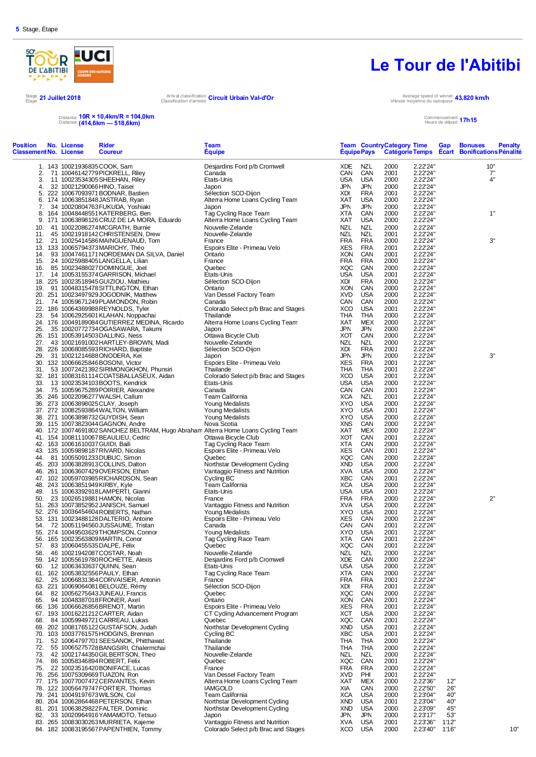

#### Stage 21 Juillet 2018<br> *Étape* 21 Juillet 2018 Arrival classification **Circuit Urbain Val-d'Or**<br>Classification d'arrivée

## **Le Tour de l'Abitibi**

Vitesse moyenne du vainqueur **43.820 km/h**

Distance Distance **10R × 10,4km/R = 104,0km (414,6km — 518,6km)**

#### Commencement Heure de départ **17h15**

| Position<br><b>Classement No. License</b> | No. License                      | Rider<br><b>Coureur</b>                                                           | Team<br><b>Equipe</b>                                      |                   | <b>Equipe Pays</b>       |            |              | <b>Team Country Category Time</b> | Gap   | <b>Bonuses</b><br><b>Penalty</b><br>Catégorie Temps Ecart Bonifications Pénalité |
|-------------------------------------------|----------------------------------|-----------------------------------------------------------------------------------|------------------------------------------------------------|-------------------|--------------------------|------------|--------------|-----------------------------------|-------|----------------------------------------------------------------------------------|
|                                           | 1. 143 10021936835 COOK, Sam     |                                                                                   | Desjardins Ford p/b Cromwell                               | XDE               | NZL                      |            | 2000         | 2.22'24"                          |       | 10"                                                                              |
| 2.                                        |                                  | 71 10046142779 PICKRELL, Riley                                                    | Canada                                                     | CAN               | CAN                      |            | 2001         | 2.22'24"                          |       | 7"                                                                               |
| 3.                                        |                                  | 11 10023534305 SHEEHAN, Riley                                                     | Etats-Unis                                                 | <b>USA</b>        | <b>USA</b>               |            | 2000         | 2.22'24"                          |       | 4"                                                                               |
| 4.                                        | 32 10021290066HINO, Taisei       |                                                                                   | Japon                                                      | <b>JPN</b>        | <b>JPN</b>               |            | 2000         | 2.22'24"                          |       |                                                                                  |
| 5.                                        |                                  | 222 10067093971 BODNAR, Bastien                                                   | Sélection SCO-Dijon                                        | XDI               |                          | <b>FRA</b> | 2001         | 2.22'24"                          |       |                                                                                  |
|                                           |                                  | 6. 174 10063851848JASTRAB, Ryan                                                   | Alterra Home Loans Cycling Team                            | XAT               | <b>USA</b>               |            | 2000         | 2.22'24"                          |       |                                                                                  |
| 7.                                        |                                  | 34 10020804763 FUKUDA, Yoshiaki                                                   | Japon                                                      | JPN               | JPN                      |            | 2000         | 2.22'24"                          |       |                                                                                  |
|                                           |                                  | 8. 164 10048448551 KATERBERG, Ben                                                 | Tag Cycling Race Team                                      | XTA               | CAN                      |            | 2000         | 2.22'24"                          |       | 1"                                                                               |
|                                           |                                  | 9. 171 10063898126 CRUZ DE LA MORA, Eduardo                                       | Alterra Home Loans Cycling Team                            | XAT<br>NZL        | <b>USA</b><br><b>NZL</b> |            | 2000<br>2000 | 2.22'24"<br>2.22'24"              |       |                                                                                  |
| 10.<br>11.                                |                                  | 41 10022086274MCGRATH, Burnie<br>45 10021918142 CHRISTENSEN, Drew                 | Nouvelle-Zelande<br>Nouvelle-Zelande                       | <b>NZL</b>        | <b>NZL</b>               |            | 2001         | 2.22'24"                          |       |                                                                                  |
|                                           |                                  | 12. 21 10025414586MAINGUENAUD, Tom                                                | France                                                     | <b>FRA</b>        | <b>FRA</b>               |            | 2000         | 2.22'24"                          |       | 3"                                                                               |
|                                           |                                  | 13. 133 10065794373MARICHY, Théo                                                  | Espoirs Elite - Primeau Velo                               | XES               | <b>FRA</b>               |            | 2001         | 2.22'24"                          |       |                                                                                  |
| 14.                                       |                                  | 93 10047461171 NORDEMAN DA SILVA, Daniel                                          | Ontario                                                    | XON               | CAN                      |            | 2001         | 2.22'24"                          |       |                                                                                  |
| 15.                                       |                                  | 24 10025988405LANGELLA, Lilian                                                    | France                                                     | <b>FRA</b>        | <b>FRA</b>               |            | 2000         | 2.22'24"                          |       |                                                                                  |
| 16.                                       |                                  | 85 10023488027 DOMINGUE, Joel                                                     | Quebec                                                     | XQC               | CAN                      |            | 2000         | 2.22'24"                          |       |                                                                                  |
| 17.                                       |                                  | 14 10053155374 GARRISON, Michael                                                  | Etats-Unis                                                 | <b>USA</b>        | <b>USA</b>               |            | 2001         | 2.22'24"                          |       |                                                                                  |
|                                           |                                  | 18. 225 10023518945 GUIZIOU, Mathieu                                              | Sélection SCO-Dijon                                        | XDI               |                          | <b>FRA</b> | 2000         | 2.22'24"                          |       |                                                                                  |
| 19.                                       |                                  | 91 10048315478SITTLINGTON, Ethan                                                  | Ontario<br>Van Dessel Factory Team                         | XON<br><b>XVD</b> | CAN<br><b>USA</b>        |            | 2000<br>2000 | 2.22'24"<br>2.22'24"              |       |                                                                                  |
|                                           |                                  | 20. 251 10023497929 JOGODNIK, Matthew<br>21. 74 10059671249 PLAMONDON, Robin      | Canada                                                     | CAN               | CAN                      |            | 2000         | 2.22'24"                          |       |                                                                                  |
|                                           |                                  | 22. 186 10064369988REYNOLDS, Tyler                                                | Colorado Select p/b Brac and Stages                        | XCO               | <b>USA</b>               |            | 2001         | 2.22'24"                          |       |                                                                                  |
| 23.                                       |                                  | 54 10062925601 KLAHAN, Noppachai                                                  | Thailande                                                  | THA               | <b>THA</b>               |            | 2000         | 2.22'24"                          |       |                                                                                  |
|                                           |                                  | 24. 176 10049189084 GUTIERREZ MEDINA, Ricardo                                     | Alterra Home Loans Cycling Team                            | XAT               |                          | MEX        | 2000         | 2.22'24"                          |       |                                                                                  |
| 25.                                       |                                  | 35 10020772734OGASAWARA, Takumi                                                   | Japon                                                      | <b>JPN</b>        | <b>JPN</b>               |            | 2000         | 2.22'24"                          |       |                                                                                  |
|                                           |                                  | 26. 151 10053914503DALLING, Ness                                                  | Ottawa Bicycle Club                                        | XOT               | CAN                      |            | 2000         | 2.22'24"                          |       |                                                                                  |
| 27.                                       |                                  | 43 10021691002HARTLEY-BROWN, Madi                                                 | Nouvelle-Zelande                                           | NZL               | NZL                      |            | 2000         | 2.22'24"                          |       |                                                                                  |
|                                           |                                  | 28. 226 10068085593RICHARD, Baptiste                                              | Sélection SCO-Dijon                                        | XDI               |                          | <b>FRA</b> | 2001         | 2.22'24"                          |       |                                                                                  |
| 29.                                       |                                  | 31 10021214688ONODERA, Kei                                                        | Japon                                                      | <b>JPN</b>        | JPN                      |            | 2000         | 2.22'24"                          |       | 3"                                                                               |
|                                           |                                  | 30. 132 10066625846BOSONI, Victor                                                 | Espoirs Elite - Primeau Velo                               | XES               | <b>FRA</b>               |            | 2001         | 2.22'24"                          |       |                                                                                  |
|                                           |                                  | 31. 53 10072421392 SIRIMONGKHON, Phunsiri                                         | Thailande                                                  | THA               | THA<br><b>USA</b>        |            | 2001         | 2.22'24"                          |       |                                                                                  |
| 33.                                       |                                  | 32. 181 10083161114 COATSBALLASEUX, Aidan<br>13 10023534103BOOTS, Kendrick        | Colorado Select p/b Brac and Stages<br>Etats-Unis          | XCO<br><b>USA</b> | <b>USA</b>               |            | 2001<br>2000 | 2.22'24"<br>2.22'24"              |       |                                                                                  |
|                                           |                                  | 34. 75 10059675289 POIRIER, Alexandre                                             | Canada                                                     | CAN               | CAN                      |            | 2001         | 2.22'24"                          |       |                                                                                  |
|                                           |                                  | 35. 246 10022096277 WALSH, Callum                                                 | Team California                                            | <b>XCA</b>        | <b>NZL</b>               |            | 2001         | 2.22'24"                          |       |                                                                                  |
|                                           |                                  | 36. 273 10063898025 CLAY, Joseph                                                  | Young Medalists                                            | XYO               | <b>USA</b>               |            | 2000         | 2.22'24"                          |       |                                                                                  |
|                                           |                                  | 37. 272 10082593864 WALTON, William                                               | Young Medalists                                            | XYO               | <b>USA</b>               |            | 2001         | 2.22'24"                          |       |                                                                                  |
|                                           |                                  | 38. 271 10063898732 GUYDISH, Sean                                                 | Young Medalists                                            | XYO               | <b>USA</b>               |            | 2000         | 2.22'24"                          |       |                                                                                  |
|                                           |                                  | 39. 115 10073823044 GAGNON, Andre                                                 | Nova Scotia                                                | <b>XNS</b>        | CAN                      |            | 2000         | 2.22'24"                          |       |                                                                                  |
|                                           |                                  | 40. 172 10074691802 SANCHEZ BELTRAM, Hugo Abraham Alterra Home Loans Cycling Team |                                                            | XAT               |                          | MEX        | 2000         | 2.22'24"                          |       |                                                                                  |
|                                           |                                  | 41. 154 10081110067BEAULIEU, Cedric                                               | Ottawa Bicycle Club                                        | XOT               | CAN                      |            | 2001         | 2.22'24"                          |       |                                                                                  |
|                                           | 42. 163 10061610037 GUIDI, Baili |                                                                                   | Tag Cycling Race Team                                      | XTA               | CAN                      |            | 2000         | 2.22'24"                          |       |                                                                                  |
|                                           |                                  | 43. 135 10059898187 RIVARD, Nicolas                                               | Espoirs Elite - Primeau Velo<br>Quebec                     | XES               | CAN<br>CAN               |            | 2001         | 2.22'24"<br>2.22'24"              |       |                                                                                  |
| 44.                                       |                                  | 81 10055091233DUBUC, Simon<br>45. 203 10063828913 COLLINS, Dalton                 | Northstar Development Cyding                               | XQC<br><b>XND</b> | <b>USA</b>               |            | 2000<br>2000 | 2.22'24"                          |       |                                                                                  |
|                                           |                                  | 46. 261 10063607429OVERSON, Ethan                                                 | Vantaggio Fitness and Nutrition                            | XVA               | <b>USA</b>               |            | 2000         | 2.22'24"                          |       |                                                                                  |
|                                           |                                  | 47. 102 10059703985 RICHARDSON, Sean                                              | Cycling BC                                                 | <b>XBC</b>        | CAN                      |            | 2001         | 2.22'24"                          |       |                                                                                  |
|                                           | 48. 243 10063851949KIRBY, Kyle   |                                                                                   | Team California                                            | <b>XCA</b>        | <b>USA</b>               |            | 2000         | 2.22'24"                          |       |                                                                                  |
| 49.                                       |                                  | 15 10063392918LAMPERTI, Gianni                                                    | Etats-Unis                                                 | <b>USA</b>        | <b>USA</b>               |            | 2001         | 2.22'24"                          |       |                                                                                  |
| 50.                                       |                                  | 23 10026519881 HAMON, Nicolas                                                     | France                                                     | FRA               | <b>FRA</b>               |            | 2000         | 2.22'24"                          |       | 2"                                                                               |
|                                           |                                  | 51. 263 10073852952 JANISCH, Samuel                                               | Vantaggio Fitness and Nutrition                            | XVA               | <b>USA</b>               |            | 2000         | 2.22'24"                          |       |                                                                                  |
|                                           |                                  | 52. 276 10036454604 ROBERTS, Nathan                                               | Young Medalists                                            | XYO               | <b>USA</b>               |            | 2001         | 2.22'24"                          |       |                                                                                  |
|                                           |                                  | 53. 131 10023488128DALTERIO, Antoine                                              | Espoirs Elite - Primeau Velo                               | XES               | CAN                      |            | 2000         | 2.22'24"                          |       |                                                                                  |
| 54.                                       |                                  | 72 10051194560JUSSAUME, Tristan<br>55. 274 10049503629THOMPSON, Connor            | Canada                                                     | CAN<br>XYO        | CAN<br><b>USA</b>        |            | 2001<br>2001 | 2.22'24"<br>2.22'24"              |       |                                                                                  |
|                                           |                                  | 56. 165 10023563809MARTIN, Conor                                                  | Young Medalists<br>Tag Cycling Race Team                   | XTA               | CAN                      |            | 2001         | 2.22'24"                          |       |                                                                                  |
| 57.                                       | 83 10060455535DALPE, Félix       |                                                                                   | Quebec                                                     | XQC               | CAN                      |            | 2001         | 22224"                            |       |                                                                                  |
| 58.                                       |                                  | 46 10021942087COSTAR, Noah                                                        | Nouvelle-Zelande                                           | <b>NZL</b>        | <b>NZL</b>               |            | 2000         | 2.22'24"                          |       |                                                                                  |
|                                           |                                  | 59. 142 10055619780 ROCHETTE, Alexis                                              | Desjardins Ford p/b Cromwell                               | XDE               | CAN                      |            | 2000         | 2.22'24"                          |       |                                                                                  |
| 60.                                       |                                  | 12 10063433637 QUINN, Sean                                                        | Etats-Unis                                                 | <b>USA</b>        | <b>USA</b>               |            | 2000         | 2.22'24"                          |       |                                                                                  |
|                                           |                                  | 61. 162 10053832556 PAULY, Ethan                                                  | Tag Cycling Race Team                                      | XTA               | CAN                      |            | 2000         | 2.22'24"                          |       |                                                                                  |
|                                           |                                  | 62. 25 10066831364 CORVAISIER, Antonin                                            | France                                                     | <b>FRA</b>        | FRA                      |            | 2001         | 2.22'24"                          |       |                                                                                  |
|                                           |                                  | 63. 221 10069064081 BELOUZE, Rémy                                                 | Sélection SCO-Dijon                                        | XDI               |                          | <b>FRA</b> | 2001         | 2.22'24"                          |       |                                                                                  |
|                                           |                                  | 64. 82 10056275643JUNEAU, Francis                                                 | Quebec                                                     | XQC               | CAN                      |            | 2000         | 2.22'24"                          |       |                                                                                  |
|                                           |                                  | 65. 94 10048387018 FRONER, Axel<br>66. 136 10066626856BRENOT, Martin              | Ontario<br>Espoirs Elite - Primeau Velo                    | <b>XON</b><br>XES | CAN<br><b>FRA</b>        |            | 2001<br>2001 | 2.22'24"<br>2.22'24"              |       |                                                                                  |
|                                           |                                  | 67. 193 10016221212CARTER, Aidan                                                  | CT Cyding Advancement Program                              | XCT               | <b>USA</b>               |            | 2000         | 2.22'24"                          |       |                                                                                  |
| 68.                                       |                                  | 84 10059949721 CARREAU, Lukas                                                     | Quebec                                                     | XQC               | CAN                      |            | 2001         | 2.22'24"                          |       |                                                                                  |
|                                           |                                  | 69. 202 10081765122 GUSTAFSON, Judah                                              | Northstar Development Cyding                               | <b>XND</b>        | <b>USA</b>               |            | 2001         | 2.22'24"                          |       |                                                                                  |
|                                           |                                  | 70. 103 10037761575 HODGINS, Brennan                                              | Cycling BC                                                 | XBC               | <b>USA</b>               |            | 2001         | 2.22'24"                          |       |                                                                                  |
|                                           |                                  | 71. 52 10064797701 SEESANOK, Phitthawat                                           | Thailande                                                  | THA               | <b>THA</b>               |            | 2000         | 2.22'24"                          |       |                                                                                  |
|                                           |                                  | 72. 55 10065275728 BANGSIRI, Chalermchai                                          | Thailande                                                  | THA               | THA                      |            | 2000         | 2.22'24"                          |       |                                                                                  |
| 73.                                       |                                  | 42 10021744350 GILBERTSON, Theo                                                   | Nouvelle-Zelande                                           | NZL               | NZL                      |            | 2000         | 2.22'24"                          |       |                                                                                  |
|                                           |                                  | 74. 86 10058346894 ROBERT, Felix                                                  | Quebec                                                     | XQC               | CAN                      |            | 2001         | 2.22'24"                          |       |                                                                                  |
|                                           |                                  | 75. 22 10023516420 BONIFACE, Lucas                                                | France                                                     | <b>FRA</b>        | <b>FRA</b>               |            | 2000         | 2.22'24"                          |       |                                                                                  |
|                                           |                                  | 76. 256 10075309669 TUAZON, Ron<br>77. 175 10077007472CERVANTES, Kevin            | Van Dessel Factory Team<br>Alterra Home Loans Cycling Team | <b>XVD</b><br>XAT | PHI                      | MEX        | 2001<br>2000 | 2.22'24"<br>2.22'36"              | 12"   |                                                                                  |
|                                           |                                  | 78. 122 10056479747 FORTIER, Thomas                                               | <b>IAMGOLD</b>                                             | Xia               |                          | CAN        | 2000         | 2.22'50"                          | 26"   |                                                                                  |
|                                           | 79. 241 10049197673 WILSON, Col  |                                                                                   | Team California                                            | <b>XCA</b>        | <b>USA</b>               |            | 2000         | 2.23'04"                          | 40"   |                                                                                  |
|                                           |                                  | 80. 204 10062864468 PETERSON, Ethan                                               | Northstar Development Cyding                               | <b>XND</b>        | <b>USA</b>               |            | 2001         | 2.23'04"                          | 40"   |                                                                                  |
|                                           |                                  | 81. 201 10063829822 FALTER, Dominic                                               | Northstar Development Cyding                               | XND               | <b>USA</b>               |            | 2000         | 2.23'09"                          | 45"   |                                                                                  |
|                                           |                                  | 82. 33 10020964916 YAMAMOTO, Tetsuo                                               | Japon                                                      | JPN               | <b>JPN</b>               |            | 2000         | 2.23'17"                          | 53"   |                                                                                  |
|                                           |                                  | 83. 265 10083030263 MURRIETA, Kajeme                                              | Vantaggio Fitness and Nutrition                            | XVA               | <b>USA</b>               |            | 2001         | 2.23'36"                          | 1'12" |                                                                                  |
|                                           |                                  | 84. 182 10083195567 PAPENTHIEN, Tommy                                             | Colorado Select p/b Brac and Stages                        | XCO               | <b>USA</b>               |            | 2000         | 2.23'40"                          | 1'16" | 10"                                                                              |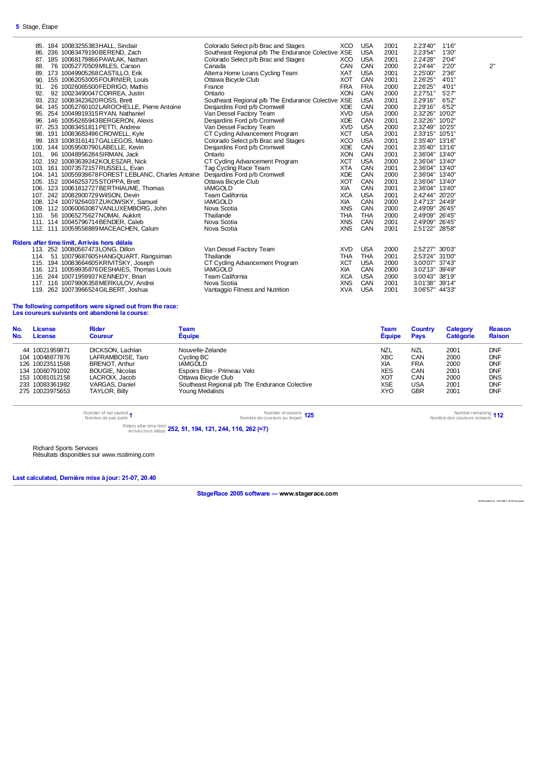$\overline{\phantom{0}}$ 

|     | 85. 184 10083255383 HALL, Sindair                    | Colorado Select p/b Brac and Stages                | XCO        | <b>USA</b> | 2001 | 2.23'40"        | 1'16" |    |
|-----|------------------------------------------------------|----------------------------------------------------|------------|------------|------|-----------------|-------|----|
|     | 86. 236 10083479190BEREND, Zach                      | Southeast Regional p/b The Endurance Colective XSE |            | <b>USA</b> | 2001 | 2.23'54"        | 1'30" |    |
|     | 87. 185 10068179866 PAWLAK, Nathan                   | Colorado Select p/b Brac and Stages                | XCO        | <b>USA</b> | 2001 | 2.24'28"        | 2'04" |    |
| 88. | 76 10052770509MILES, Carson                          | Canada                                             | <b>CAN</b> | CAN        | 2000 | 2.24'44"        | 2'20" | 2" |
|     | 89. 173 10049905268 CASTILLO, Erik                   | Alterra Home Loans Cycling Team                    | <b>XAT</b> | <b>USA</b> | 2001 | 2.25'00"        | 2'36" |    |
|     | 90. 155 10062053005 FOURNIER. Louis                  | Ottawa Bicycle Club                                | <b>XOT</b> | CAN        | 2001 | 2.26'25"        | 4'01" |    |
| 91. | 26 10026065500 FEDRIGO, Mathis                       | France                                             | <b>FRA</b> | <b>FRA</b> | 2000 | 2.26'25"        | 4'01" |    |
| 92. | 92 10023490047CORREA, Justin                         | Ontario                                            | <b>XON</b> | CAN        | 2000 | 2.2751"         | 5'27" |    |
|     | 93. 232 10083423620 ROSS, Brett                      | Southeast Regional p/b The Endurance Colective XSE |            | <b>USA</b> | 2001 | 2.29'16"        | 6'52" |    |
|     | 94. 145 10052760102LAROCHELLE, Pierre Antoine        | Desjardins Ford p/b Cromwell                       | <b>XDE</b> | CAN        | 2000 | 2.29'16"        | 6'52" |    |
|     | 95. 254 10049919315RYAN, Nathaniel                   | Van Dessel Factory Team                            | <b>XVD</b> | <b>USA</b> | 2000 | 2.32'26" 10'02" |       |    |
|     | 96. 146 10056265943 BERGERON, Alexis                 | Desjardins Ford p/b Cromwell                       | <b>XDE</b> | CAN        | 2001 | 2.32'26" 10'02" |       |    |
|     | 97. 253 10083451811 PETTI, Andrew                    | Van Dessel Factory Team                            | <b>XVD</b> | <b>USA</b> | 2000 | 2.32'49" 10'25" |       |    |
|     | 98. 191 10083683496 CROWELL, Kyle                    | CT Cyding Advancement Program                      | <b>XCT</b> | <b>USA</b> | 2001 | 2.33'15" 10'51" |       |    |
|     | 99. 183 10083161417 GALLEGOS, Mateo                  | Colorado Select p/b Brac and Stages                | <b>XCO</b> | <b>USA</b> | 2001 | 2.35'40" 13'16" |       |    |
|     | 100. 144 10059500790LABELLE, Kevin                   | Desjardins Ford p/b Cromwell                       | <b>XDE</b> | CAN        | 2001 | 2.35'40" 13'16" |       |    |
|     | 101. 96 10048956284 SIRMAN, Jack                     | Ontario                                            | <b>XON</b> | CAN        | 2001 | 2.36'04" 13'40" |       |    |
|     | 102. 192 10083639242KOLESZAR, Nick                   | CT Cycling Advancement Program                     | <b>XCT</b> | <b>USA</b> | 2000 | 2.36'04" 13'40" |       |    |
|     | 103. 161 10073572157 RUSSELL, Evan                   | Tag Cycling Race Team                              | <b>XTA</b> | CAN        | 2001 | 2.36'04" 13'40" |       |    |
|     | 104. 141 10055939678 FOREST LEBLANC, Charles Antoine | Desjardins Ford p/b Cromwell                       | <b>XDE</b> | CAN        | 2000 | 2.36'04" 13'40" |       |    |
|     | 105. 152 10046253725 STOPPA, Brett                   | Ottawa Bicycle Club                                | <b>XOT</b> | CAN        | 2001 | 2.36'04" 13'40" |       |    |
|     | 106. 123 10061812727 BERTHIAUME, Thomas              | <b>IAMGOLD</b>                                     | <b>XIA</b> | CAN        | 2001 | 2.36'04" 13'40" |       |    |
|     | 107. 242 10082900729WilSON, Devin                    | Team California                                    | <b>XCA</b> | <b>USA</b> | 2001 | 2.42'44" 20'20" |       |    |
|     | 108. 124 10079264037ZUKOWSKY, Samuel                 | <b>IAMGOLD</b>                                     | XIA        | CAN        | 2000 | 2.47'13" 24'49" |       |    |
|     | 109. 112 10060063087VANLUXEMBORG, John               | Nova Scotia                                        | <b>XNS</b> | CAN        | 2000 | 2.49'09" 26'45" |       |    |
|     | 110. 56 10065275627 NOMAI, Aukkrit                   | Thailande                                          | <b>THA</b> | <b>THA</b> | 2000 | 2.49'09" 26'45" |       |    |
|     | 111. 114 10045796714BENDER, Caleb                    | Nova Scotia                                        | <b>XNS</b> | CAN        | 2001 | 2.49'09" 26'45" |       |    |
|     | 112. 111 10059558889MACEACHEN, Calum                 | Nova Scotia                                        | <b>XNS</b> | CAN        | 2001 | 2.51'22" 28'58" |       |    |
|     |                                                      |                                                    |            |            |      |                 |       |    |
|     | Riders after time limit, Arrivés hors délais         |                                                    |            |            |      |                 |       |    |
|     | 113. 252 10080567473LONG, Dillon                     | Van Dessel Factory Team                            | <b>XVD</b> | <b>USA</b> | 2000 | 2.52'27" 30'03" |       |    |
|     | 114. 51 10079687605HANGQUART, Rangsiman              | Thailande                                          | <b>THA</b> | <b>THA</b> | 2001 | 2.53'24" 31'00" |       |    |
|     | 115. 194 10083664605KRIVITSKY, Joseph                | CT Cyding Advancement Program                      | <b>XCT</b> | <b>USA</b> | 2000 | 3.00'07" 37'43" |       |    |
|     | 116. 121 10059935876DESHAIES, Thomas Louis           | <b>IAMGOLD</b>                                     | <b>XIA</b> | CAN        | 2000 | 3.02'13" 39'49" |       |    |
|     | 116. 244 10071959937KENNEDY, Brian                   | Team California                                    | <b>XCA</b> | <b>USA</b> | 2000 | 3.00'43" 38'19" |       |    |
|     | 117. 116 10079906358 MERKULOV, Andrei                | Nova Scotia                                        | <b>XNS</b> | CAN        | 2001 | 3.01'38" 39'14" |       |    |
|     | 119. 262 10073966524 GILBERT, Joshua                 | Vantaggio Fitness and Nutrition                    | <b>XVA</b> | <b>USA</b> | 2001 | 3.06'57" 44'33" |       |    |
|     |                                                      |                                                    |            |            |      |                 |       |    |

**The following competitors were signed out from the race: Les coureurs suivants ont abandoné la course:** 

| No.<br>No. | License<br>License | <b>Rider</b><br><b>Coureur</b> | <b>Team</b><br><b>Equipe</b>                   | Team<br><b>Equipe</b> | <b>Country</b><br>Pays | Category<br>Catégorie | <b>Reason</b><br>Raison |
|------------|--------------------|--------------------------------|------------------------------------------------|-----------------------|------------------------|-----------------------|-------------------------|
|            | 44 10021959871     | DICKSON, Lachlan               | Nouvelle-Zelande                               | <b>NZL</b>            | <b>NZL</b>             | 2001                  | <b>DNF</b>              |
|            | 104 10048877876    | LAFRAMBOISE, Taro              | Cycling BC                                     | <b>XBC</b>            | CAN                    | 2000                  | <b>DNF</b>              |
|            | 126 10023511568    | <b>BRENOT, Arthur</b>          | <b>IAMGOLD</b>                                 | XIA                   | <b>FRA</b>             | 2000                  | <b>DNF</b>              |
|            | 134 10060791092    | <b>BOUGIE. Nicolas</b>         | Espoirs Elite - Primeau Velo                   | <b>XES</b>            | CAN                    | 2001                  | <b>DNF</b>              |
|            | 153 10081012158    | LACROIX. Ja <sub>CD</sub>      | Ottawa Bicycle Club                            | XOT                   | CAN                    | 2000                  | <b>DNS</b>              |
|            | 233 10083361982    | VARGAS, Daniel                 | Southeast Regional p/b The Endurance Colective | <b>XSE</b>            | USA                    | 2001                  | <b>DNF</b>              |
|            | 275 10023975653    | TAYLOR, Billy                  | Young Medalists                                | <b>XYO</b>            | GBR                    | 2001                  | <b>DNF</b>              |

Number of not started<br>Nombre de pas partir

Nombre de pas partir **<sup>1</sup>** Number of starters Nombre de coureurs au depart **<sup>125</sup>** Number remaining

Nombre des coureurs restants **112**

Riders after time limit Arrivés hors délais **252, 51, 194, 121, 244, 116, 262 (=7)**

Richard Sports Services Résultats disponibles sur www.rsstiming.com

**Last calculated, Dernière mise à jour: 21-07, 20.40** 

**StageRace 2005 software — www.stagerace.com** 

**201 8TourAbit ibi .str : 1 2917 3992 2 : V3. 24 f inal updat e**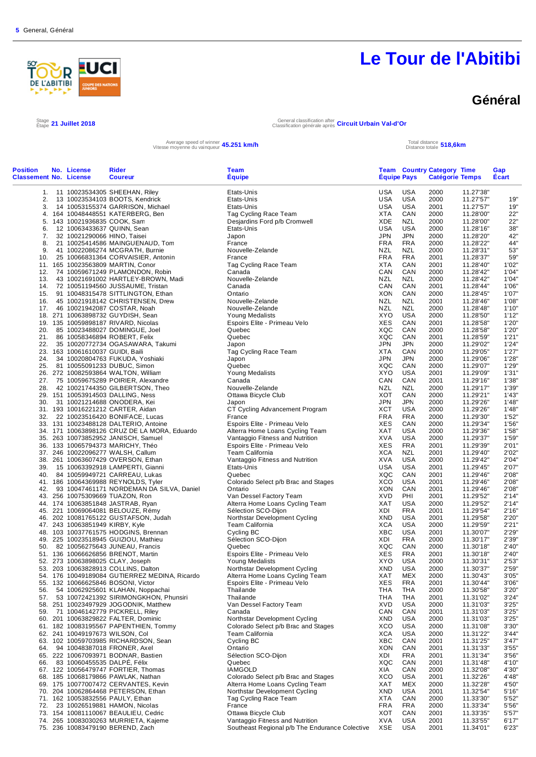

#### **Général**

Stage 21 Juillet 2018

Étape **21 Juillet 2018** General classification after Classification générale après **Circuit Urbain Val-d'Or**

Average speed of winner **45.251 km/h**<br>Vitesse moyenne du vainqueur **45.251 km/h** Total distance totale

Distance totale **518,6km**

| <b>Position</b><br><b>Classement No. License</b> | No. License                      | <b>Rider</b><br><b>Coureur</b>                | Team<br><b>Équipe</b>                          | <b>Equipe Pays</b> |            | <b>Team Country Category Time</b><br><b>Catégorie Temps</b> |           | Gap<br>Ecart |
|--------------------------------------------------|----------------------------------|-----------------------------------------------|------------------------------------------------|--------------------|------------|-------------------------------------------------------------|-----------|--------------|
|                                                  |                                  |                                               |                                                |                    |            |                                                             |           |              |
| 1.                                               |                                  | 11 10023534305 SHEEHAN, Riley                 | Etats-Unis                                     | USA                | <b>USA</b> | 2000                                                        | 11.27'38" |              |
| 2.                                               |                                  | 13 10023534103 BOOTS, Kendrick                | Etats-Unis                                     | USA                | <b>USA</b> | 2000                                                        | 11.27'57" | 19"          |
| 3.                                               |                                  | 14 10053155374 GARRISON, Michael              | Etats-Unis                                     | USA                | USA        | 2001                                                        | 11.27'57" | 19"          |
|                                                  |                                  | 4. 164 10048448551 KATERBERG, Ben             | Tag Cycling Race Team                          | XTA                | CAN        | 2000                                                        | 11.28'00" | 22"          |
|                                                  | 5. 143 10021936835 COOK, Sam     |                                               | Desjardins Ford p/b Cromwell                   | XDE                | <b>NZL</b> | 2000                                                        | 11.28'00" | 22"          |
| 6.                                               | 12 10063433637 QUINN, Sean       |                                               | Etats-Unis                                     | <b>USA</b>         | <b>USA</b> | 2000                                                        | 11.28'16" | 38"          |
| 7.                                               | 32 10021290066 HINO, Taisei      |                                               | Japon                                          | <b>JPN</b>         | <b>JPN</b> | 2000                                                        | 11.28'20" | 42"          |
| 8.                                               |                                  | 21 10025414586 MAINGUENAUD, Tom               | France                                         | FRA                | <b>FRA</b> | 2000                                                        | 11.28'22" | 44"          |
| 9.                                               |                                  | 41 10022086274 MCGRATH, Burnie                | Nouvelle-Zelande                               | <b>NZL</b>         | <b>NZL</b> | 2000                                                        | 11.28'31" | 53"          |
| 10.                                              |                                  | 25 10066831364 CORVAISIER, Antonin            | France                                         | <b>FRA</b>         | <b>FRA</b> | 2001                                                        | 11.28'37" | 59"          |
|                                                  |                                  | 11. 165 10023563809 MARTIN, Conor             | Tag Cycling Race Team                          | XTA                | CAN        | 2001                                                        | 11.28'40" | 1'02"        |
|                                                  |                                  | 12. 74 10059671249 PLAMONDON, Robin           | Canada                                         | CAN                | CAN        | 2000                                                        | 11.28'42" | 1'04"        |
| 13.                                              |                                  | 43 10021691002 HARTLEY-BROWN, Madi            | Nouvelle-Zelande                               | NZL                | NZL        | 2000                                                        | 11.28'42" | 1'04"        |
|                                                  |                                  | 14. 72 10051194560 JUSSAUME, Tristan          | Canada                                         | CAN                | CAN        | 2001                                                        | 11.28'44" | 1'06"        |
|                                                  |                                  | 15. 91 10048315478 SITTLINGTON, Ethan         | Ontario                                        | XON                | CAN        | 2000                                                        | 11.28'45" | 1'07"        |
|                                                  |                                  | 16. 45 10021918142 CHRISTENSEN, Drew          | Nouvelle-Zelande                               | NZL                | NZL        | 2001                                                        | 11.28'46" | 1'08"        |
|                                                  |                                  | 17. 46 10021942087 COSTAR, Noah               | Nouvelle-Zelande                               | <b>NZL</b>         | <b>NZL</b> | 2000                                                        | 11.28'48" | 1'10"        |
|                                                  |                                  | 18. 271 10063898732 GUYDISH, Sean             | Young Medalists                                | XYO                | <b>USA</b> | 2000                                                        | 11.28'50" | 1'12"        |
|                                                  |                                  |                                               | Espoirs Elite - Primeau Velo                   | XES                | CAN        | 2001                                                        | 11.28'58" | 1'20"        |
|                                                  |                                  | 19. 135 10059898187 RIVARD, Nicolas           |                                                |                    |            |                                                             |           |              |
| 20.                                              |                                  | 85 10023488027 DOMINGUE, Joel                 | Quebec                                         | XQC                | CAN        | 2000                                                        | 11.28'58" | 1'20"        |
|                                                  |                                  | 21. 86 10058346894 ROBERT, Felix              | Quebec                                         | XQC                | CAN        | 2001                                                        | 11.28'59" | 1'21"        |
|                                                  |                                  | 22. 35 10020772734 OGASAWARA, Takumi          | Japon                                          | JPN                | JPN        | 2000                                                        | 11.29'02" | 1'24"        |
|                                                  | 23. 163 10061610037 GUIDI, Baili |                                               | Tag Cycling Race Team                          | <b>XTA</b>         | CAN        | 2000                                                        | 11.29'05" | 1'27"        |
| 24.                                              |                                  | 34 10020804763 FUKUDA, Yoshiaki               | Japon                                          | JPN                | <b>JPN</b> | 2000                                                        | 11.29'06" | 1'28"        |
|                                                  |                                  | 25. 81 10055091233 DUBUC, Simon               | Quebec                                         | XQC                | CAN        | 2000                                                        | 11.29'07" | 1'29"        |
|                                                  |                                  | 26. 272 10082593864 WALTON, William           | Young Medalists                                | <b>XYO</b>         | <b>USA</b> | 2001                                                        | 11.29'09" | 1'31"        |
|                                                  |                                  | 27. 75 10059675289 POIRIER, Alexandre         | Canada                                         | CAN                | CAN        | 2001                                                        | 11.29'16" | 1'38"        |
| 28.                                              |                                  | 42 10021744350 GILBERTSON, Theo               | Nouvelle-Zelande                               | <b>NZL</b>         | <b>NZL</b> | 2000                                                        | 11.29'17" | 1'39"        |
|                                                  |                                  | 29. 151 10053914503 DALLING, Ness             | Ottawa Bicycle Club                            | XOT                | CAN        | 2000                                                        | 11.29'21" | 1'43"        |
| 30.                                              |                                  | 31 10021214688 ONODERA, Kei                   | Japon                                          | JPN                | <b>JPN</b> | 2000                                                        | 11.29'26" | 1'48"        |
|                                                  |                                  | 31. 193 10016221212 CARTER, Aidan             | CT Cycling Advancement Program                 | <b>XCT</b>         | <b>USA</b> | 2000                                                        | 11.29'26" | 1'48"        |
|                                                  |                                  | 32. 22 10023516420 BONIFACE, Lucas            | France                                         | <b>FRA</b>         | <b>FRA</b> | 2000                                                        | 11.29'30" | 1'52"        |
|                                                  |                                  | 33. 131 10023488128 DALTERIO, Antoine         | Espoirs Elite - Primeau Velo                   | XES                | CAN        | 2000                                                        | 11.29'34" | 1'56"        |
|                                                  |                                  | 34. 171 10063898126 CRUZ DE LA MORA, Eduardo  | Alterra Home Loans Cycling Team                | XAT                | <b>USA</b> | 2000                                                        | 11.29'36" | 1'58"        |
|                                                  |                                  | 35. 263 10073852952 JANISCH, Samuel           | Vantaggio Fitness and Nutrition                | XVA                | USA        | 2000                                                        | 11.29'37" | 1'59"        |
|                                                  |                                  | 36. 133 10065794373 MARICHY, Théo             | Espoirs Elite - Primeau Velo                   | XES                | <b>FRA</b> | 2001                                                        | 11.29'39" | 2'01"        |
|                                                  |                                  | 37. 246 10022096277 WALSH, Callum             | Team California                                | <b>XCA</b>         | <b>NZL</b> | 2001                                                        | 11.29'40" | 2'02"        |
|                                                  |                                  | 38. 261 10063607429 OVERSON, Ethan            | Vantaggio Fitness and Nutrition                | XVA                | USA        | 2000                                                        | 11.29'42" | 2'04"        |
| 39.                                              |                                  | 15 10063392918 LAMPERTI, Gianni               | Etats-Unis                                     | <b>USA</b>         | <b>USA</b> | 2001                                                        | 11.29'45" | 2'07"        |
|                                                  |                                  | 40. 84 10059949721 CARREAU, Lukas             | Quebec                                         | XQC                | CAN        | 2001                                                        | 11.29'46" | 2'08"        |
|                                                  |                                  | 41. 186 10064369988 REYNOLDS, Tyler           | Colorado Select p/b Brac and Stages            | XCO                | USA        | 2001                                                        | 11.29'46" | 2'08"        |
| 42.                                              |                                  | 93 10047461171 NORDEMAN DA SILVA, Daniel      | Ontario                                        | XON                | CAN        | 2001                                                        | 11.29'46" | 2'08"        |
|                                                  |                                  | 43. 256 10075309669 TUAZON, Ron               | Van Dessel Factory Team                        | XVD                | PHI        | 2001                                                        | 11.29'52" | 2'14"        |
|                                                  |                                  | 44. 174 10063851848 JASTRAB, Ryan             | Alterra Home Loans Cycling Team                | XAT                | <b>USA</b> | 2000                                                        | 11.29'52" | 2'14"        |
|                                                  |                                  | 45. 221 10069064081 BELOUZE, Rémy             | Sélection SCO-Dijon                            | XDI                | <b>FRA</b> | 2001                                                        | 11.29'54" | 2'16"        |
|                                                  |                                  | 46. 202 10081765122 GUSTAFSON, Judah          | Northstar Development Cycling                  | XND                | <b>USA</b> | 2001                                                        | 11.29'58" | 2'20"        |
|                                                  |                                  |                                               | Team California                                | XCA                | USA        | 2000                                                        | 11.29'59" | 2'21"        |
|                                                  | 47. 243 10063851949 KIRBY, Kyle  |                                               |                                                | XBC                | <b>USA</b> |                                                             |           | 2'29"        |
|                                                  |                                  | 48. 103 10037761575 HODGINS, Brennan          | Cycling BC                                     |                    |            | 2001                                                        | 11.30'07" |              |
|                                                  |                                  | 49. 225 10023518945 GUIZIOU, Mathieu          | Sélection SCO-Dijon                            | XDI                | <b>FRA</b> | 2000                                                        | 11.30'17" | 2'39"        |
|                                                  |                                  | 50. 82 10056275643 JUNEAU, Francis            | Quebec                                         | XQC                | CAN        | 2000                                                        | 11.30'18" | 2'40"        |
|                                                  |                                  | 51. 136 10066626856 BRENOT, Martin            | Espoirs Elite - Primeau Velo                   | <b>XES</b>         | <b>FRA</b> | 2001                                                        | 11.30'18" | 2'40"        |
|                                                  |                                  | 52. 273 10063898025 CLAY, Joseph              | Young Medalists                                | XYO                | <b>USA</b> | 2000                                                        | 11.30'31" | 2'53"        |
|                                                  |                                  | 53. 203 10063828913 COLLINS, Dalton           | Northstar Development Cycling                  | XND                | <b>USA</b> | 2000                                                        | 11.30'37" | 2'59"        |
|                                                  |                                  | 54. 176 10049189084 GUTIERREZ MEDINA, Ricardo | Alterra Home Loans Cycling Team                | XAT                | MEX        | 2000                                                        | 11.30'43" | 3'05"        |
|                                                  |                                  | 55. 132 10066625846 BOSONI, Victor            | Espoirs Elite - Primeau Velo                   | <b>XES</b>         | <b>FRA</b> | 2001                                                        | 11.30'44" | 3'06"        |
| 56.                                              |                                  | 54 10062925601 KLAHAN, Noppachai              | Thailande                                      | THA                | <b>THA</b> | 2000                                                        | 11.30'58" | 3'20"        |
| 57.                                              |                                  | 53 10072421392 SIRIMONGKHON, Phunsiri         | Thailande                                      | THA                | THA        | 2001                                                        | 11.31'02" | 3'24"        |
|                                                  |                                  | 58. 251 10023497929 JOGODNIK, Matthew         | Van Dessel Factory Team                        | <b>XVD</b>         | <b>USA</b> | 2000                                                        | 11.31'03" | 3'25"        |
| 59.                                              |                                  | 71 10046142779 PICKRELL, Riley                | Canada                                         | CAN                | CAN        | 2001                                                        | 11.31'03" | 3'25"        |
|                                                  |                                  | 60. 201 10063829822 FALTER, Dominic           | Northstar Development Cycling                  | XND                | <b>USA</b> | 2000                                                        | 11.31'03" | 3'25"        |
|                                                  |                                  | 61. 182 10083195567 PAPENTHIEN, Tommy         | Colorado Select p/b Brac and Stages            | XCO                | <b>USA</b> | 2000                                                        | 11.31'08" | 3'30"        |
|                                                  | 62. 241 10049197673 WILSON, Col  |                                               | <b>Team California</b>                         | <b>XCA</b>         | <b>USA</b> | 2000                                                        | 11.31'22" | 3'44"        |
|                                                  |                                  | 63. 102 10059703985 RICHARDSON, Sean          | Cycling BC                                     | XBC                | CAN        | 2001                                                        | 11.31'25" | 3'47"        |
| 64.                                              |                                  | 94 10048387018 FRONER, Axel                   | Ontario                                        | <b>XON</b>         | CAN        | 2001                                                        | 11.31'33" | 3'55"        |
|                                                  |                                  | 65. 222 10067093971 BODNAR, Bastien           | Sélection SCO-Dijon                            | XDI                | <b>FRA</b> | 2001                                                        | 11.31'34" | 3'56"        |
| 66.                                              | 83 10060455535 DALPÉ, Félix      |                                               | Quebec                                         | XQC                | CAN        | 2001                                                        | 11.31'48" | 4'10"        |
|                                                  |                                  | 67. 122 10056479747 FORTIER, Thomas           | <b>IAMGOLD</b>                                 | XIA                | CAN        | 2000                                                        | 11.32'08" | 4'30"        |
|                                                  |                                  | 68. 185 10068179866 PAWLAK, Nathan            | Colorado Select p/b Brac and Stages            | XCO                | <b>USA</b> | 2001                                                        | 11.32'26" | 4'48"        |
|                                                  |                                  | 69. 175 10077007472 CERVANTES, Kevin          | Alterra Home Loans Cycling Team                | XAT                | MEX        | 2000                                                        | 11.32'28" | 4'50"        |
|                                                  |                                  | 70. 204 10062864468 PETERSON, Ethan           | Northstar Development Cycling                  | XND                | <b>USA</b> | 2001                                                        | 11.32'54" | 5'16"        |
|                                                  |                                  | 71. 162 10053832556 PAULY, Ethan              | Tag Cycling Race Team                          | XTA                | CAN        | 2000                                                        | 11.33'30" | 5'52"        |
| 72.                                              |                                  | 23 10026519881 HAMON, Nicolas                 | France                                         | <b>FRA</b>         | <b>FRA</b> | 2000                                                        | 11.33'34" | 5'56"        |
|                                                  |                                  | 73. 154 10081110067 BEAULIEU, Cedric          | Ottawa Bicycle Club                            | XOT                | CAN        | 2001                                                        | 11.33'35" | 5'57"        |
|                                                  |                                  |                                               |                                                |                    | <b>USA</b> |                                                             |           |              |
|                                                  |                                  | 74. 265 10083030263 MURRIETA, Kajeme          | Vantaggio Fitness and Nutrition                | XVA                |            | 2001                                                        | 11.33'55" | 6'17"        |
|                                                  |                                  | 75. 236 10083479190 BEREND, Zach              | Southeast Regional p/b The Endurance Colective | XSE                | <b>USA</b> | 2001                                                        | 11.34'01" | 6'23"        |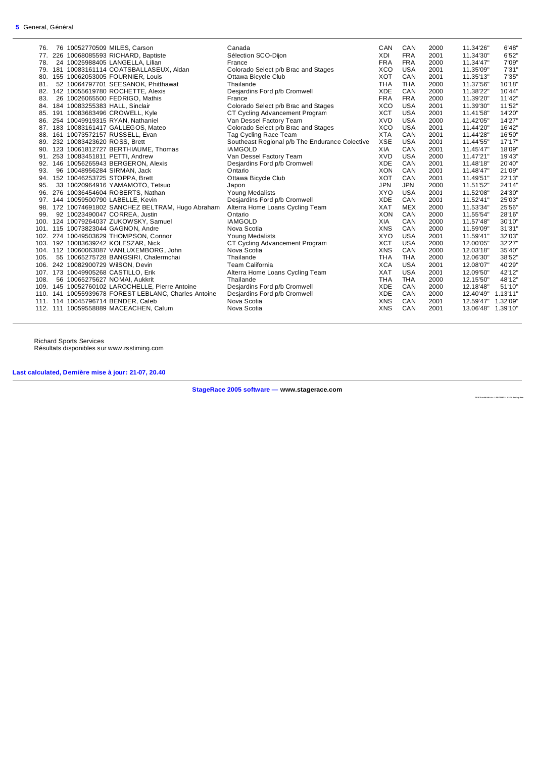| 76.  | 76 10052770509 MILES, Carson                         | Canada                                         | CAN        | CAN        | 2000 | 11.34'26"          | 6'48"    |
|------|------------------------------------------------------|------------------------------------------------|------------|------------|------|--------------------|----------|
| 77.  | 226 10068085593 RICHARD, Baptiste                    | Sélection SCO-Dijon                            | XDI        | <b>FRA</b> | 2001 | 11.34'30"          | 6'52"    |
| 78.  | 24 10025988405 LANGELLA, Lilian                      | France                                         | <b>FRA</b> | <b>FRA</b> | 2000 | 11.34'47"          | 7'09"    |
|      | 79. 181 10083161114 COATSBALLASEUX, Aidan            | Colorado Select p/b Brac and Stages            | <b>XCO</b> | <b>USA</b> | 2001 | 11.35'09"          | 7'31"    |
| 80.  | 155 10062053005 FOURNIER, Louis                      | Ottawa Bicycle Club                            | <b>XOT</b> | CAN        | 2001 | 11.35'13"          | 7'35"    |
| 81.  | 52 10064797701 SEESANOK, Phitthawat                  | Thailande                                      | <b>THA</b> | <b>THA</b> | 2000 | 11.37'56"          | 10'18"   |
| 82.  | 142 10055619780 ROCHETTE, Alexis                     | Desjardins Ford p/b Cromwell                   | <b>XDE</b> | CAN        | 2000 | 11.38'22"          | 10'44"   |
| 83.  | 26 10026065500 FEDRIGO, Mathis                       | France                                         | <b>FRA</b> | <b>FRA</b> | 2000 | 11.39'20"          | 11'42"   |
| 84.  | 184 10083255383 HALL, Sinclair                       | Colorado Select p/b Brac and Stages            | <b>XCO</b> | <b>USA</b> | 2001 | 11.39'30"          | 11'52"   |
| 85.  | 191 10083683496 CROWELL, Kyle                        | CT Cycling Advancement Program                 | <b>XCT</b> | <b>USA</b> | 2001 | 11.41'58"          | 14'20"   |
| 86.  | 254 10049919315 RYAN, Nathaniel                      | Van Dessel Factory Team                        | <b>XVD</b> | <b>USA</b> | 2000 | 11.42'05"          | 14'27"   |
|      | 87. 183 10083161417 GALLEGOS, Mateo                  | Colorado Select p/b Brac and Stages            | XCO        | <b>USA</b> | 2001 | 11.44'20"          | 16'42"   |
| 88.  | 161 10073572157 RUSSELL, Evan                        | Tag Cycling Race Team                          | <b>XTA</b> | CAN        | 2001 | 11.44'28"          | 16'50"   |
| 89.  | 232 10083423620 ROSS, Brett                          | Southeast Regional p/b The Endurance Colective | <b>XSE</b> | <b>USA</b> | 2001 | 11.44'55"          | 17'17"   |
|      | 90. 123 10061812727 BERTHIAUME, Thomas               | <b>IAMGOLD</b>                                 | <b>XIA</b> | CAN        | 2001 | 11.45'47"          | 18'09"   |
| 91.  | 253 10083451811 PETTI, Andrew                        | Van Dessel Factory Team                        | <b>XVD</b> | <b>USA</b> | 2000 | 11.47'21"          | 19'43"   |
| 92.  | 146 10056265943 BERGERON, Alexis                     | Desjardins Ford p/b Cromwell                   | <b>XDE</b> | CAN        | 2001 | 11.48'18"          | 20'40"   |
| 93.  | 96 10048956284 SIRMAN, Jack                          | Ontario                                        | <b>XON</b> | CAN        | 2001 | 11.48'47"          | 21'09"   |
| 94.  | 152 10046253725 STOPPA, Brett                        | Ottawa Bicycle Club                            | <b>XOT</b> | CAN        | 2001 | 11.49'51"          | 22'13"   |
| 95.  | 33 10020964916 YAMAMOTO, Tetsuo                      | Japon                                          | <b>JPN</b> | <b>JPN</b> | 2000 | 11.51'52"          | 24'14"   |
| 96.  | 276 10036454604 ROBERTS, Nathan                      | Young Medalists                                | <b>XYO</b> | <b>USA</b> | 2001 | 11.52'08"          | 24'30"   |
|      | 97. 144 10059500790 LABELLE, Kevin                   | Desjardins Ford p/b Cromwell                   | <b>XDE</b> | CAN        | 2001 | 11.52'41"          | 25'03"   |
|      | 98. 172 10074691802 SANCHEZ BELTRAM, Hugo Abraham    | Alterra Home Loans Cycling Team                | <b>XAT</b> | <b>MEX</b> | 2000 | 11.53'34"          | 25'56"   |
| 99.  | 92 10023490047 CORREA, Justin                        | Ontario                                        | <b>XON</b> | CAN        | 2000 | 11.55'54"          | 28'16"   |
|      | 100. 124 10079264037 ZUKOWSKY, Samuel                | <b>IAMGOLD</b>                                 | <b>XIA</b> | CAN        | 2000 | 11.57'48"          | 30'10"   |
|      | 101. 115 10073823044 GAGNON, Andre                   | Nova Scotia                                    | <b>XNS</b> | CAN        | 2000 | 11.59'09"          | 31'31"   |
|      | 102. 274 10049503629 THOMPSON, Connor                | <b>Young Medalists</b>                         | XYO        | <b>USA</b> | 2001 | 11.59'41"          | 32'03"   |
|      | 103. 192 10083639242 KOLESZAR, Nick                  | CT Cycling Advancement Program                 | <b>XCT</b> | <b>USA</b> | 2000 | 12.00'05"          | 32'27"   |
|      | 104. 112 10060063087 VANLUXEMBORG, John              | Nova Scotia                                    | <b>XNS</b> | CAN        | 2000 | 12.03'18"          | 35'40"   |
| 105. | 55 10065275728 BANGSIRI, Chalermchai                 | Thailande                                      | <b>THA</b> | <b>THA</b> | 2000 | 12.06'30"          | 38'52"   |
|      | 106. 242 10082900729 WilSON, Devin                   | Team California                                | <b>XCA</b> | <b>USA</b> | 2001 | 12.08'07"          | 40'29"   |
|      | 107. 173 10049905268 CASTILLO, Erik                  | Alterra Home Loans Cycling Team                | <b>XAT</b> | <b>USA</b> | 2001 | 12.09'50"          | 42'12"   |
| 108. | 56 10065275627 NOMAI, Aukkrit                        | Thailande                                      | <b>THA</b> | <b>THA</b> | 2000 | 12.15'50"          | 48'12"   |
|      | 109. 145 10052760102 LAROCHELLE, Pierre Antoine      | Desjardins Ford p/b Cromwell                   | <b>XDE</b> | CAN        | 2000 | 12.18'48"          | 51'10"   |
|      | 110. 141 10055939678 FOREST LEBLANC, Charles Antoine | Desjardins Ford p/b Cromwell                   | <b>XDE</b> | CAN        | 2000 | 12.40'49" 1.13'11" |          |
|      | 111. 114 10045796714 BENDER, Caleb                   | Nova Scotia                                    | <b>XNS</b> | CAN        | 2001 | 12.59'47"          | 1.32'09" |
|      | 112. 111 10059558889 MACEACHEN, Calum                | Nova Scotia                                    | <b>XNS</b> | CAN        | 2001 | 13.06'48"          | 1.39'10" |
|      |                                                      |                                                |            |            |      |                    |          |

Richard Sports Services Résultats disponibles sur www.rsstiming.com

#### **Last calculated, Dernière mise à jour: 21-07, 20.40**

**StageRace 2005 software — www.stagerace.com** 

**20 18 To u rAb it ibi .st r : 1 291 73 992 2 : V3. 24 fin al up d ate**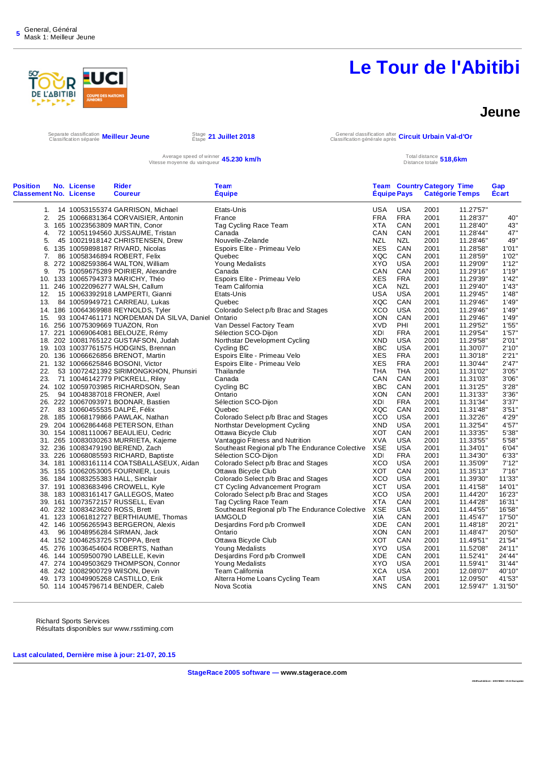# D **L'ABITIBI**

# **Le Tour de l'Abitibi**

#### **Jeune**

Separate classification **Meilleur Jeune**<br>Classification séparée **Meilleur Jeune** Stape

Étape **21 Juillet 2018** General classification after Classification générale après **Circuit Urbain Val-d'Or**

Average speed of winner **45.230 km/h** Total distance totale and the speed of winner **45.230 km/h** Total distance totale

Distance totale **518,6km**

| <b>Position</b>               | No. License                     | <b>Rider</b>                                                             | <b>Team</b>                                    |             |            | <b>Team Country Category Time</b> |                        | Gap          |
|-------------------------------|---------------------------------|--------------------------------------------------------------------------|------------------------------------------------|-------------|------------|-----------------------------------|------------------------|--------------|
| <b>Classement No. License</b> |                                 | <b>Coureur</b>                                                           | <b>Equipe</b>                                  | Équipe Pays |            | <b>Catégorie Temps</b>            |                        | <b>Écart</b> |
|                               |                                 | 1. 14 10053155374 GARRISON, Michael                                      | Etats-Unis                                     | USA         | USA        | 2001                              | 11.27'57"              |              |
| 2.                            |                                 | 25 10066831364 CORVAISIER, Antonin                                       | France                                         | FRA         | <b>FRA</b> | 2001                              | 11.28'37"              | 40"          |
|                               |                                 | 3. 165 10023563809 MARTIN, Conor                                         | Tag Cycling Race Team                          | <b>XTA</b>  | CAN        | 2001                              | 11.28'40"              | 43"          |
| 4.                            |                                 | 72 10051194560 JUSSAUME, Tristan                                         | Canada                                         | CAN         | CAN        | 2001                              | 11.28'44"              | $47"$        |
| 5.                            |                                 | 45 10021918142 CHRISTENSEN, Drew                                         | Nouvelle-Zelande                               | <b>NZL</b>  | <b>NZL</b> | 2001                              | 11.28'46"              | 49"          |
|                               |                                 | 6. 135 10059898187 RIVARD, Nicolas                                       | Espoirs Elite - Primeau Velo                   | <b>XES</b>  | CAN        | 2001                              | 11.28'58"              | 1'01"        |
| 7.                            |                                 | 86 10058346894 ROBERT, Felix                                             | Quebec                                         | XQC         | CAN        | 2001                              | 11.28'59"              | 1'02"        |
|                               |                                 |                                                                          |                                                |             |            |                                   |                        |              |
|                               |                                 | 8. 272 10082593864 WALTON, William                                       | Young Medalists                                | <b>XYO</b>  | <b>USA</b> | 2001                              | 11.29'09"              | 1'12"        |
| 9.                            |                                 | 75 10059675289 POIRIER, Alexandre                                        | Canada                                         | CAN         | CAN        | 2001                              | 11.29'16"              | 1'19"        |
|                               |                                 | 10. 133 10065794373 MARICHY, Théo                                        | Espoirs Elite - Primeau Velo                   | <b>XES</b>  | <b>FRA</b> | 2001                              | 11.29'39"              | 1'42"        |
|                               |                                 | 11. 246 10022096277 WALSH, Callum                                        | Team California                                | <b>XCA</b>  | <b>NZL</b> | 2001                              | 11.29'40"              | 1'43"        |
|                               |                                 | 12. 15 10063392918 LAMPERTI, Gianni                                      | Etats-Unis                                     | <b>USA</b>  | <b>USA</b> | 2001                              | 11.29'45"              | 1'48"        |
|                               |                                 | 13. 84 10059949721 CARREAU, Lukas                                        | Quebec                                         | XQC         | CAN        | 2001                              | 11.29'46"              | 1'49"        |
|                               |                                 | 14. 186 10064369988 REYNOLDS, Tyler                                      | Colorado Select p/b Brac and Stages            | <b>XCO</b>  | <b>USA</b> | 2001                              | 11.29'46"              | 1'49"        |
| 15.                           |                                 | 93 10047461171 NORDEMAN DA SILVA, Daniel Ontario                         |                                                | <b>XON</b>  | CAN        | 2001                              | 11.29'46"              | 1'49"        |
|                               |                                 | 16. 256 10075309669 TUAZON, Ron                                          | Van Dessel Factory Team                        | <b>XVD</b>  | PHI        | 2001                              | 11.29'52"              | 1'55"        |
|                               |                                 | 17. 221 10069064081 BELOUZE, Rémy                                        | Sélection SCO-Dijon                            | XDI         | <b>FRA</b> | 2001                              | 11.29'54"              | 1'57"        |
|                               |                                 | 18. 202 10081765122 GUSTAFSON, Judah                                     | Northstar Development Cycling                  | <b>XND</b>  | <b>USA</b> | 2001                              | 11.29'58"              | 2'01"        |
|                               |                                 | 19. 103 10037761575 HODGINS, Brennan                                     | Cycling BC                                     | XBC         | <b>USA</b> | 2001                              | 11.30'07"              | 2'10"        |
|                               |                                 | 20. 136 10066626856 BRENOT, Martin                                       | Espoirs Elite - Primeau Velo                   | <b>XES</b>  | <b>FRA</b> | 2001                              | 11.30'18"              | 2'21"        |
|                               |                                 | 21. 132 10066625846 BOSONI, Victor                                       | Espoirs Elite - Primeau Velo                   | <b>XES</b>  | <b>FRA</b> | 2001                              | 11.30'44"              | 2'47"        |
| 22.                           |                                 | 53 10072421392 SIRIMONGKHON, Phunsiri                                    | Thailande                                      | <b>THA</b>  | <b>THA</b> | 2001                              | 11.31'02"              | 3'05"        |
|                               |                                 | 23. 71 10046142779 PICKRELL, Riley                                       | Canada                                         | CAN         | CAN        | 2001                              | 11.31'03"              | 3'06"        |
|                               |                                 | 24. 102 10059703985 RICHARDSON, Sean                                     | Cycling BC                                     | <b>XBC</b>  | CAN        | 2001                              | 11.31'25"              | 3'28"        |
| 25.                           |                                 | 94 10048387018 FRONER, Axel                                              | Ontario                                        | <b>XON</b>  | CAN        | 2001                              | 11.31'33"              | 3'36"        |
|                               |                                 | 26. 222 10067093971 BODNAR, Bastien                                      | Sélection SCO-Dijon                            | XDI         | <b>FRA</b> | 2001                              | 11.31'34"              | 3'37"        |
|                               |                                 | 27. 83 10060455535 DALPE, Félix                                          | Quebec                                         | XQC         | CAN        | 2001                              | 11.31'48"              | 3'51"        |
|                               |                                 | 28. 185 10068179866 PAWLAK, Nathan                                       | Colorado Select p/b Brac and Stages            | <b>XCO</b>  | <b>USA</b> | 2001                              | 11.32'26"              | 4'29"        |
|                               |                                 | 29. 204 10062864468 PETERSON, Ethan                                      | Northstar Development Cycling                  | <b>XND</b>  | <b>USA</b> | 2001                              | 11.32'54"              | 4'57"        |
|                               |                                 | 30. 154 10081110067 BEAULIEU, Cedric                                     | Ottawa Bicycle Club                            | <b>XOT</b>  | CAN        | 2001                              | 11.33'35"              | 5'38"        |
|                               |                                 |                                                                          |                                                | <b>XVA</b>  | <b>USA</b> | 2001                              |                        | 5'58"        |
|                               |                                 | 31. 265 10083030263 MURRIETA, Kajeme<br>32. 236 10083479190 BEREND, Zach | Vantaggio Fitness and Nutrition                | XSE         | <b>USA</b> | 2001                              | 11.33'55"<br>11.34'01" | 6'04"        |
|                               |                                 |                                                                          | Southeast Regional p/b The Endurance Colective |             |            |                                   |                        | 6'33"        |
|                               |                                 | 33. 226 10068085593 RICHARD, Baptiste                                    | Sélection SCO-Dijon                            | XDI         | <b>FRA</b> | 2001                              | 11.34'30"              |              |
|                               |                                 | 34. 181 10083161114 COATSBALLASEUX, Aidan                                | Colorado Select p/b Brac and Stages            | XCO         | <b>USA</b> | 2001                              | 11.35'09"              | 7'12"        |
|                               |                                 | 35. 155 10062053005 FOURNIER, Louis                                      | Ottawa Bicycle Club                            | <b>XOT</b>  | CAN        | 2001                              | 11.35'13"              | 7'16"        |
|                               |                                 | 36. 184 10083255383 HALL, Sinclair                                       | Colorado Select p/b Brac and Stages            | <b>XCO</b>  | <b>USA</b> | 2001                              | 11.39'30"              | 11'33"       |
|                               |                                 | 37. 191 10083683496 CROWELL, Kyle                                        | CT Cycling Advancement Program                 | <b>XCT</b>  | <b>USA</b> | 2001                              | 11.41'58"              | 14'01"       |
|                               |                                 | 38. 183 10083161417 GALLEGOS, Mateo                                      | Colorado Select p/b Brac and Stages            | <b>XCO</b>  | <b>USA</b> | 2001                              | 11.44'20"              | 16'23"       |
|                               |                                 | 39. 161 10073572157 RUSSELL, Evan                                        | Tag Cycling Race Team                          | <b>XTA</b>  | CAN        | 2001                              | 11.44'28"              | 16'31"       |
|                               | 40. 232 10083423620 ROSS, Brett |                                                                          | Southeast Regional p/b The Endurance Colective | <b>XSE</b>  | <b>USA</b> | 2001                              | 11.44'55"              | 16'58"       |
|                               |                                 | 41. 123 10061812727 BERTHIAUME, Thomas                                   | <b>IAMGOLD</b>                                 | <b>XIA</b>  | CAN        | 2001                              | 11.45'47"              | 17'50"       |
|                               |                                 | 42. 146 10056265943 BERGERON, Alexis                                     | Desjardins Ford p/b Cromwell                   | XDE         | CAN        | 2001                              | 11.48'18"              | 20'21"       |
|                               |                                 | 43. 96 10048956284 SIRMAN, Jack                                          | Ontario                                        | <b>XON</b>  | CAN        | 2001                              | 11.48'47"              | 20'50"       |
|                               |                                 | 44. 152 10046253725 STOPPA, Brett                                        | Ottawa Bicycle Club                            | <b>XOT</b>  | CAN        | 2001                              | 11.49'51"              | 21'54"       |
|                               |                                 | 45. 276 10036454604 ROBERTS, Nathan                                      | Young Medalists                                | <b>XYO</b>  | <b>USA</b> | 2001                              | 11.52'08"              | 24'11"       |
|                               |                                 | 46. 144 10059500790 LABELLE, Kevin                                       | Desjardins Ford p/b Cromwell                   | XDE         | CAN        | 2001                              | 11.52'41"              | 24'44"       |
|                               |                                 | 47. 274 10049503629 THOMPSON, Connor                                     | Young Medalists                                | <b>XYO</b>  | <b>USA</b> | 2001                              | 11.59'41"              | 31'44"       |
|                               |                                 | 48. 242 10082900729 WilSON, Devin                                        | Team California                                | <b>XCA</b>  | <b>USA</b> | 2001                              | 12.08'07"              | 40'10"       |
|                               |                                 | 49. 173 10049905268 CASTILLO, Erik                                       | Alterra Home Loans Cycling Team                | <b>XAT</b>  | <b>USA</b> | 2001                              | 12.09'50"              | 41'53"       |
|                               |                                 | 50. 114 10045796714 BENDER, Caleb                                        | Nova Scotia                                    | <b>XNS</b>  | CAN        | 2001                              | 12.59'47" 1.31'50"     |              |
|                               |                                 |                                                                          |                                                |             |            |                                   |                        |              |

Richard Sports Services Résultats disponibles sur www.rsstiming.com

**Last calculated, Dernière mise à jour: 21-07, 20.15** 

**2018TourAbitibi.str : 1291739922 : V3.24 final update**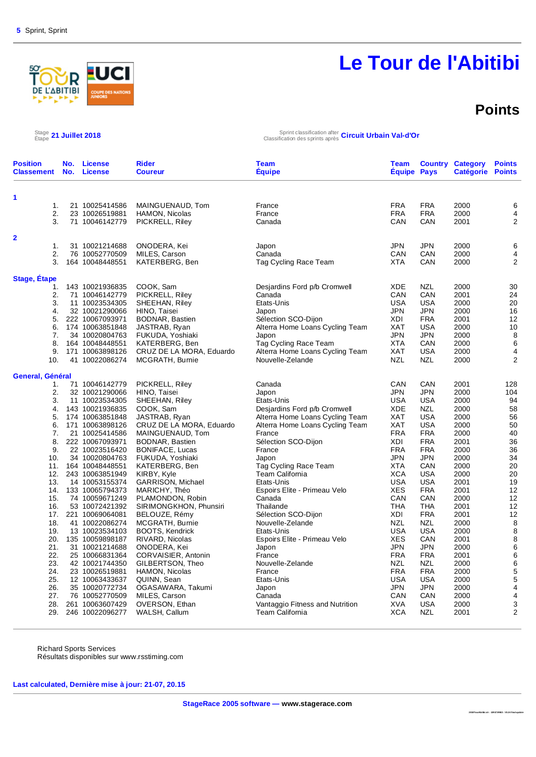

### **Points**

Stage 21 Juillet 2018

Étape **21 Juillet 2018** Sprint classification after Classification des sprints après **Circuit Urbain Val-d'Or**

| <b>Position</b><br><b>Classement</b> | No.<br>No. | <b>License</b><br><b>License</b>   | <b>Rider</b><br><b>Coureur</b>               | Team<br><b>Equipe</b>                                           | Team<br><b>Equipe Pays</b> |                          | <b>Country Category</b><br>Catégorie Points | <b>Points</b>  |
|--------------------------------------|------------|------------------------------------|----------------------------------------------|-----------------------------------------------------------------|----------------------------|--------------------------|---------------------------------------------|----------------|
| 1                                    |            |                                    |                                              |                                                                 |                            |                          |                                             |                |
| 1.                                   |            | 21 10025414586                     | MAINGUENAUD, Tom                             | France                                                          | <b>FRA</b>                 | <b>FRA</b>               | 2000                                        | 6              |
| 2.                                   |            | 23 10026519881                     | HAMON, Nicolas                               | France                                                          | <b>FRA</b>                 | <b>FRA</b>               | 2000                                        | $\overline{4}$ |
| 3.                                   |            | 71 10046142779                     | PICKRELL, Riley                              | Canada                                                          | CAN                        | CAN                      | 2001                                        | 2              |
|                                      |            |                                    |                                              |                                                                 |                            |                          |                                             |                |
| 2                                    |            |                                    |                                              |                                                                 |                            |                          |                                             |                |
| 1.                                   |            | 31 10021214688                     | ONODERA, Kei                                 | Japon                                                           | JPN                        | <b>JPN</b>               | 2000                                        | 6              |
| 2.                                   |            | 76 10052770509                     | MILES, Carson                                | Canada                                                          | CAN                        | CAN                      | 2000                                        | 4              |
| 3.                                   |            | 164 10048448551                    | KATERBERG, Ben                               | Tag Cycling Race Team                                           | <b>XTA</b>                 | CAN                      | 2000                                        | $\overline{2}$ |
| <b>Stage, Etape</b>                  |            |                                    |                                              |                                                                 |                            |                          |                                             |                |
| 1.                                   |            | 143 10021936835                    | COOK, Sam                                    | Desjardins Ford p/b Cromwell                                    | XDE                        | <b>NZL</b>               | 2000                                        | 30             |
| 2.                                   |            | 71 10046142779                     | PICKRELL, Riley                              | Canada                                                          | CAN                        | CAN                      | 2001                                        | 24             |
| 3.                                   |            | 11 10023534305                     | SHEEHAN, Riley                               | Etats-Unis                                                      | <b>USA</b>                 | <b>USA</b>               | 2000                                        | 20             |
| 4.                                   |            | 32 10021290066                     | HINO, Taisei                                 | Japon                                                           | JPN                        | <b>JPN</b>               | 2000                                        | 16             |
| 5.                                   |            | 222 10067093971                    | <b>BODNAR, Bastien</b>                       | Sélection SCO-Dijon                                             | XDI                        | <b>FRA</b>               | 2001                                        | 12             |
| 6.                                   |            | 174 10063851848                    | JASTRAB, Ryan                                | Alterra Home Loans Cycling Team                                 | <b>XAT</b>                 | <b>USA</b>               | 2000                                        | 10             |
| 7.                                   |            | 34 10020804763                     | FUKUDA, Yoshiaki                             | Japon                                                           | <b>JPN</b>                 | <b>JPN</b>               | 2000                                        | 8              |
| 8.                                   |            | 164 10048448551                    | KATERBERG, Ben                               | Tag Cycling Race Team                                           | XTA                        | CAN                      | 2000                                        | 6              |
| 9.                                   |            | 171 10063898126                    | CRUZ DE LA MORA, Eduardo                     | Alterra Home Loans Cycling Team                                 | <b>XAT</b>                 | <b>USA</b>               | 2000                                        | 4              |
| 10.                                  |            | 41 10022086274                     | MCGRATH, Burnie                              | Nouvelle-Zelande                                                | <b>NZL</b>                 | <b>NZL</b>               | 2000                                        | $\overline{2}$ |
|                                      |            |                                    |                                              |                                                                 |                            |                          |                                             |                |
| General, Général                     |            |                                    |                                              |                                                                 |                            |                          |                                             |                |
| 1.                                   |            | 71 10046142779                     | PICKRELL, Riley                              | Canada                                                          | CAN                        | CAN                      | 2001                                        | 128            |
| 2.<br>3.                             |            | 32 10021290066                     | HINO, Taisei                                 | Japon                                                           | JPN<br><b>USA</b>          | <b>JPN</b><br><b>USA</b> | 2000<br>2000                                | 104<br>94      |
| 4.                                   |            | 11 10023534305<br>143 10021936835  | SHEEHAN, Riley                               | Etats-Unis                                                      | <b>XDE</b>                 | <b>NZL</b>               | 2000                                        |                |
|                                      |            |                                    | COOK, Sam                                    | Desjardins Ford p/b Cromwell<br>Alterra Home Loans Cycling Team | XAT                        | <b>USA</b>               | 2000                                        | 58<br>56       |
| 5.<br>6.                             |            | 174 10063851848<br>171 10063898126 | JASTRAB, Ryan                                |                                                                 | XAT                        | <b>USA</b>               | 2000                                        | 50             |
| 7.                                   |            | 21 10025414586                     | CRUZ DE LA MORA, Eduardo<br>MAINGUENAUD, Tom | Alterra Home Loans Cycling Team<br>France                       | <b>FRA</b>                 | <b>FRA</b>               | 2000                                        | 40             |
|                                      |            |                                    |                                              |                                                                 |                            |                          |                                             |                |
| 8.                                   |            | 222 10067093971                    | BODNAR, Bastien                              | Sélection SCO-Dijon                                             | XDI                        | <b>FRA</b>               | 2001                                        | 36             |
| 9.                                   |            | 22 10023516420                     | <b>BONIFACE, Lucas</b>                       | France                                                          | <b>FRA</b>                 | <b>FRA</b><br><b>JPN</b> | 2000                                        | 36<br>34       |
| 10.                                  |            | 34 10020804763                     | FUKUDA, Yoshiaki                             | Japon                                                           | <b>JPN</b><br><b>XTA</b>   | CAN                      | 2000                                        | 20             |
| 11.<br>12.                           |            | 164 10048448551<br>243 10063851949 | KATERBERG, Ben                               | Tag Cycling Race Team<br>Team California                        | XCA                        | <b>USA</b>               | 2000<br>2000                                | 20             |
| 13.                                  |            | 14 10053155374                     | KIRBY, Kyle<br>GARRISON, Michael             | Etats-Unis                                                      | USA                        | <b>USA</b>               | 2001                                        | 19             |
| 14.                                  |            | 133 10065794373                    | MARICHY, Théo                                | Espoirs Elite - Primeau Velo                                    | <b>XES</b>                 | <b>FRA</b>               | 2001                                        | 12             |
| 15.                                  |            | 74 10059671249                     | PLAMONDON, Robin                             | Canada                                                          | CAN                        | CAN                      | 2000                                        | 12             |
| 16.                                  |            | 53 10072421392                     | SIRIMONGKHON, Phunsiri                       | Thailande                                                       | <b>THA</b>                 | <b>THA</b>               | 2001                                        | 12             |
| 17.                                  |            | 221 10069064081                    | BELOUZE, Rémy                                | Sélection SCO-Dijon                                             | XDI                        | <b>FRA</b>               | 2001                                        | 12             |
| 18.                                  |            | 41 10022086274                     | MCGRATH, Burnie                              | Nouvelle-Zelande                                                | <b>NZL</b>                 | <b>NZL</b>               | 2000                                        | 8              |
| 19.                                  |            | 13 10023534103                     | <b>BOOTS, Kendrick</b>                       | Etats-Unis                                                      | <b>USA</b>                 | <b>USA</b>               | 2000                                        | $\bf8$         |
| 20.                                  |            | 135 10059898187                    | RIVARD, Nicolas                              | Espoirs Elite - Primeau Velo                                    | <b>XES</b>                 | CAN                      | 2001                                        | 8              |
| 21.                                  |            | 31 10021214688                     | ONODERA, Kei                                 | Japon                                                           | <b>JPN</b>                 | <b>JPN</b>               | 2000                                        | 6              |
| 22.                                  |            | 25 10066831364                     | CORVAISIER, Antonin                          | France                                                          | <b>FRA</b>                 | <b>FRA</b>               | 2001                                        | $\,6$          |
| 23.                                  |            | 42 10021744350                     | GILBERTSON, Theo                             | Nouvelle-Zelande                                                | NZL                        | <b>NZL</b>               | 2000                                        | 6              |
| 24.                                  |            | 23 10026519881                     | HAMON, Nicolas                               | France                                                          | <b>FRA</b>                 | <b>FRA</b>               | 2000                                        | 5              |
| 25.                                  |            | 12 10063433637                     | QUINN, Sean                                  | Etats-Unis                                                      | USA                        | <b>USA</b>               | 2000                                        | $\mathbf 5$    |
| 26.                                  |            | 35 10020772734                     | OGASAWARA, Takumi                            | Japon                                                           | JPN                        | <b>JPN</b>               | 2000                                        | 4              |
| 27.                                  |            | 76 10052770509                     | MILES, Carson                                | Canada                                                          | CAN                        | CAN                      | 2000                                        | $\overline{4}$ |
| 28.                                  |            | 261 10063607429                    | OVERSON, Ethan                               | Vantaggio Fitness and Nutrition                                 | XVA                        | <b>USA</b>               | 2000                                        | $\mathsf 3$    |
| 29.                                  |            | 246 10022096277                    | WALSH, Callum                                | <b>Team California</b>                                          | <b>XCA</b>                 | <b>NZL</b>               | 2001                                        | $\overline{2}$ |
|                                      |            |                                    |                                              |                                                                 |                            |                          |                                             |                |

Richard Sports Services Résultats disponibles sur www.rsstiming.com

**Last calculated, Dernière mise à jour: 21-07, 20.15**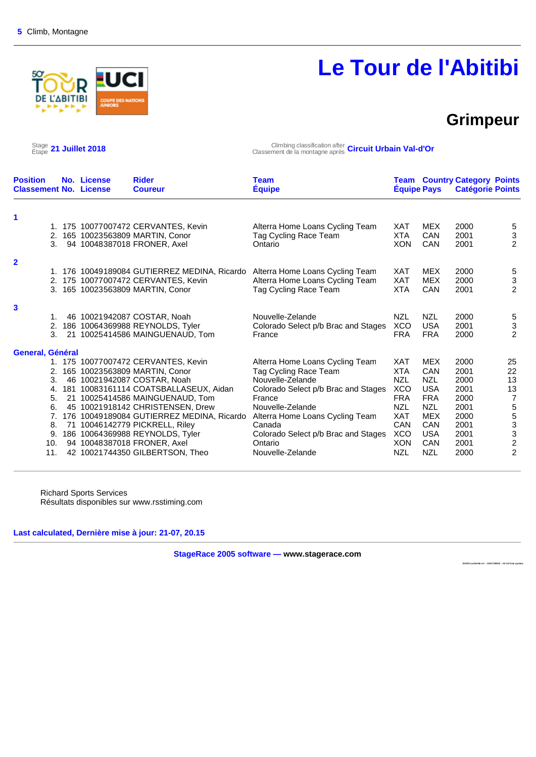### **Grimpeur**

Stage 21 Juillet 2018

**ABITIBI** 

Étape **21 Juillet 2018** Climbing classification after Classement de la montagne après **Circuit Urbain Val-d'Or**

| <b>Position</b><br><b>Classement No. License</b> | No. License | <b>Rider</b><br><b>Coureur</b>               | <b>Team</b><br><b>Équipe</b>        | <b>Équipe Pays</b> |            | <b>Team Country Category Points</b><br><b>Catégorie Points</b> |                           |
|--------------------------------------------------|-------------|----------------------------------------------|-------------------------------------|--------------------|------------|----------------------------------------------------------------|---------------------------|
| 1                                                |             |                                              |                                     |                    |            |                                                                |                           |
| 1.                                               |             | 175 10077007472 CERVANTES, Kevin             | Alterra Home Loans Cycling Team     | <b>XAT</b>         | <b>MEX</b> | 2000                                                           | 5                         |
| 2.                                               |             | 165 10023563809 MARTIN, Conor                | Tag Cycling Race Team               | XTA                | <b>CAN</b> | 2001                                                           | $\ensuremath{\mathsf{3}}$ |
| 3.                                               |             | 94 10048387018 FRONER, Axel                  | Ontario                             | <b>XON</b>         | <b>CAN</b> | 2001                                                           | $\overline{2}$            |
| $\overline{\mathbf{2}}$                          |             |                                              |                                     |                    |            |                                                                |                           |
|                                                  |             | 1. 176 10049189084 GUTIERREZ MEDINA, Ricardo | Alterra Home Loans Cycling Team     | XAT                | <b>MEX</b> | 2000                                                           |                           |
|                                                  |             | 2. 175 10077007472 CERVANTES, Kevin          | Alterra Home Loans Cycling Team     | <b>XAT</b>         | <b>MEX</b> | 2000                                                           | $\frac{5}{3}$             |
|                                                  |             | 3. 165 10023563809 MARTIN, Conor             | Tag Cycling Race Team               | XTA                | <b>CAN</b> | 2001                                                           | $\overline{2}$            |
| 3                                                |             |                                              |                                     |                    |            |                                                                |                           |
| 1.                                               |             | 46 10021942087 COSTAR, Noah                  | Nouvelle-Zelande                    | <b>NZL</b>         | <b>NZL</b> | 2000                                                           |                           |
| 2.                                               |             | 186 10064369988 REYNOLDS, Tyler              | Colorado Select p/b Brac and Stages | <b>XCO</b>         | <b>USA</b> | 2001                                                           | $\frac{5}{3}$             |
| 3.                                               |             | 21 10025414586 MAINGUENAUD, Tom              | France                              | <b>FRA</b>         | <b>FRA</b> | 2000                                                           | 2                         |
| <b>General, Général</b>                          |             |                                              |                                     |                    |            |                                                                |                           |
|                                                  |             | 1. 175 10077007472 CERVANTES, Kevin          | Alterra Home Loans Cycling Team     | XAT                | <b>MEX</b> | 2000                                                           | 25                        |
| 2.                                               |             | 165 10023563809 MARTIN, Conor                | Tag Cycling Race Team               | <b>XTA</b>         | CAN        | 2001                                                           | 22                        |
| 3.                                               |             | 46 10021942087 COSTAR, Noah                  | Nouvelle-Zelande                    | <b>NZL</b>         | <b>NZL</b> | 2000                                                           | 13                        |
| 4.                                               |             | 181 10083161114 COATSBALLASEUX, Aidan        | Colorado Select p/b Brac and Stages | <b>XCO</b>         | <b>USA</b> | 2001                                                           | 13                        |
| 5.                                               |             | 21 10025414586 MAINGUENAUD, Tom              | France                              | <b>FRA</b>         | <b>FRA</b> | 2000                                                           | $\overline{7}$            |
| 6.                                               |             | 45 10021918142 CHRISTENSEN, Drew             | Nouvelle-Zelande                    | <b>NZL</b>         | <b>NZL</b> | 2001                                                           |                           |
| 7 <sub>1</sub>                                   |             | 176 10049189084 GUTIERREZ MEDINA, Ricardo    | Alterra Home Loans Cycling Team     | XAT                | <b>MEX</b> | 2000                                                           | 5<br>5<br>3<br>3<br>2     |
| 8.                                               |             | 71 10046142779 PICKRELL, Riley               | Canada                              | CAN                | CAN        | 2001                                                           |                           |
| 9.                                               |             | 186 10064369988 REYNOLDS, Tyler              | Colorado Select p/b Brac and Stages | <b>XCO</b>         | <b>USA</b> | 2001                                                           |                           |
| 10.                                              |             | 94 10048387018 FRONER, Axel                  | Ontario                             | <b>XON</b>         | CAN        | 2001                                                           |                           |
| 11.                                              |             | 42 10021744350 GILBERTSON, Theo              | Nouvelle-Zelande                    | <b>NZL</b>         | <b>NZL</b> | 2000                                                           | $\overline{2}$            |

Richard Sports Services Résultats disponibles sur www.rsstiming.com

**Last calculated, Dernière mise à jour: 21-07, 20.15** 

**StageRace 2005 software — www.stagerace.com** 

**2018To urAbitibi.str : 1291739922 : V3.24 final up date**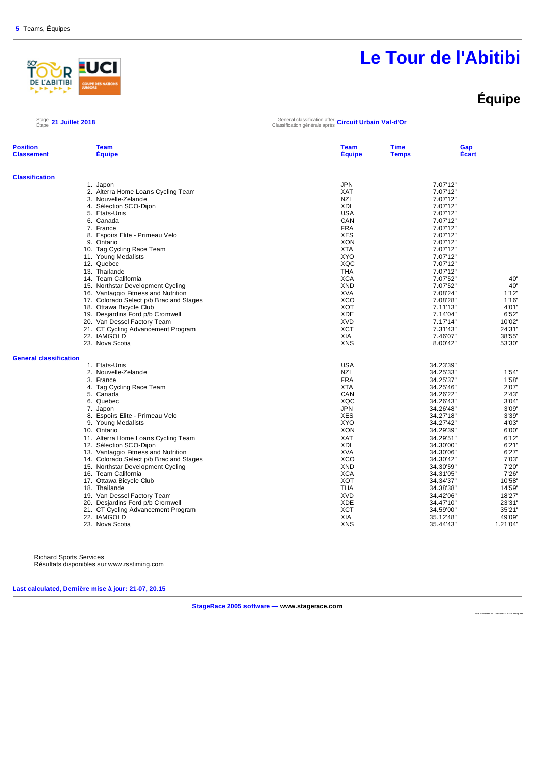

### **Équipe**

#### Stage 21 Juillet 2018

Étape **21 Juillet 2018** General classification after Classification générale après **Circuit Urbain Val-d'Or**

| <b>Position</b><br><b>Classement</b> | <b>Team</b><br><b>Equipe</b>            | <b>Team</b><br><b>Equipe</b> | <b>Time</b><br><b>Temps</b> | Gap<br><b>Ecart</b> |
|--------------------------------------|-----------------------------------------|------------------------------|-----------------------------|---------------------|
| <b>Classification</b>                |                                         |                              |                             |                     |
|                                      | 1. Japon                                | <b>JPN</b>                   | 7.07'12"                    |                     |
|                                      | 2. Alterra Home Loans Cycling Team      | <b>XAT</b>                   | 7.07'12"                    |                     |
|                                      | 3. Nouvelle-Zelande                     | <b>NZL</b>                   | 7.07'12"                    |                     |
|                                      | 4. Sélection SCO-Dijon                  | XDI                          | 7.07'12"                    |                     |
|                                      | 5. Etats-Unis                           | <b>USA</b>                   | 7.07'12"                    |                     |
|                                      | 6. Canada                               | CAN                          | 7.07'12"                    |                     |
|                                      | 7. France                               | <b>FRA</b>                   | 7.07'12"                    |                     |
|                                      | 8. Espoirs Elite - Primeau Velo         | <b>XES</b>                   | 7.07'12"                    |                     |
|                                      | 9. Ontario                              | <b>XON</b>                   | 7.07'12"                    |                     |
|                                      | 10. Tag Cycling Race Team               | <b>XTA</b>                   | 7.07'12"                    |                     |
|                                      | 11. Young Medalists                     | <b>XYO</b>                   | 7.07'12"                    |                     |
|                                      | 12. Quebec                              | XQC                          | 7.07'12"                    |                     |
|                                      | 13. Thailande                           | <b>THA</b>                   | 7.07'12"                    |                     |
|                                      | 14. Team California                     | <b>XCA</b>                   | 7.07'52"                    | 40"                 |
|                                      | 15. Northstar Development Cycling       | <b>XND</b>                   | 7.07'52"                    | 40"                 |
|                                      | 16. Vantaggio Fitness and Nutrition     | <b>XVA</b>                   | 7.08'24"                    | 1'12"               |
|                                      | 17. Colorado Select p/b Brac and Stages | <b>XCO</b>                   | 7.08'28"                    | 1'16"               |
|                                      | 18. Ottawa Bicycle Club                 | <b>XOT</b>                   | 7.11'13"                    | 4'01"               |
|                                      | 19. Desjardins Ford p/b Cromwell        | <b>XDE</b>                   | 7.14'04"                    | 6'52"               |
|                                      | 20. Van Dessel Factory Team             | <b>XVD</b>                   | 7.17'14"                    | 10'02"              |
|                                      | 21. CT Cycling Advancement Program      | <b>XCT</b>                   | 7.31'43"                    | 24'31"              |
|                                      | 22. IAMGOLD                             | <b>XIA</b>                   | 7.46'07"                    | 38'55"              |
|                                      | 23. Nova Scotia                         | <b>XNS</b>                   | 8.00'42"                    | 53'30"              |
| <b>General classification</b>        |                                         |                              |                             |                     |
|                                      | 1. Etats-Unis                           | <b>USA</b>                   | 34.23'39"                   |                     |
|                                      | 2. Nouvelle-Zelande                     | <b>NZL</b>                   | 34.25'33"                   | 1'54"               |
|                                      | 3. France                               | <b>FRA</b>                   | 34.25'37"                   | 1'58"               |
|                                      | 4. Tag Cycling Race Team                | <b>XTA</b>                   | 34.25'46"                   | 2'07"               |
|                                      | 5. Canada                               | CAN                          | 34.26'22"                   | 2'43"               |
|                                      | 6. Quebec                               | XQC                          | 34.26'43"                   | 3'04"               |
|                                      | 7. Japon                                | <b>JPN</b>                   | 34.26'48"                   | 3'09"               |
|                                      | 8. Espoirs Elite - Primeau Velo         | <b>XES</b>                   | 34.27'18"                   | 3'39"               |
|                                      | 9. Young Medalists                      | <b>XYO</b>                   | 34.27'42"                   | 4'03"               |
|                                      | 10. Ontario                             | <b>XON</b>                   | 34.29'39"                   | 6'00"               |
|                                      | 11. Alterra Home Loans Cycling Team     | <b>XAT</b>                   | 34.29'51"                   | 6'12"               |
|                                      | 12. Sélection SCO-Dijon                 | XDI                          | 34.30'00"                   | 6'21"               |
|                                      | 13. Vantaggio Fitness and Nutrition     | <b>XVA</b>                   | 34.30'06"                   | 6'27"               |
|                                      | 14. Colorado Select p/b Brac and Stages | <b>XCO</b>                   | 34.30'42"                   | 7'03"               |
|                                      | 15. Northstar Development Cycling       | <b>XND</b>                   | 34.30'59"                   | 7'20"               |
|                                      | 16. Team California                     | <b>XCA</b>                   | 34.31'05"                   | 7'26"               |
|                                      | 17. Ottawa Bicycle Club                 | <b>XOT</b>                   | 34.34'37"                   | 10'58"              |
|                                      | 18. Thailande                           | <b>THA</b>                   | 34.38'38"                   | 14'59"              |
|                                      | 19. Van Dessel Factory Team             | <b>XVD</b>                   | 34.42'06"                   | 18'27"              |
|                                      | 20. Desjardins Ford p/b Cromwell        | <b>XDE</b>                   | 34.47'10"                   | 23'31"              |
|                                      | 21. CT Cycling Advancement Program      | XCT                          | 34.59'00"                   | 35'21"              |
|                                      | 22. IAMGOLD                             | XIA                          | 35.12'48"                   | 49'09"              |
|                                      | 23. Nova Scotia                         | <b>XNS</b>                   | 35.44'43"                   | 1.21'04"            |
|                                      |                                         |                              |                             |                     |

Richard Sports Services Résultats disponibles sur www.rsstiming.com

**Last calculated, Dernière mise à jour: 21-07, 20.15** 

**StageRace 2005 software — www.stagerace.com** 

**20 18 To u rAb it ibi .st r : 1 291 73 992 2 : V3. 24 fin al up d ate**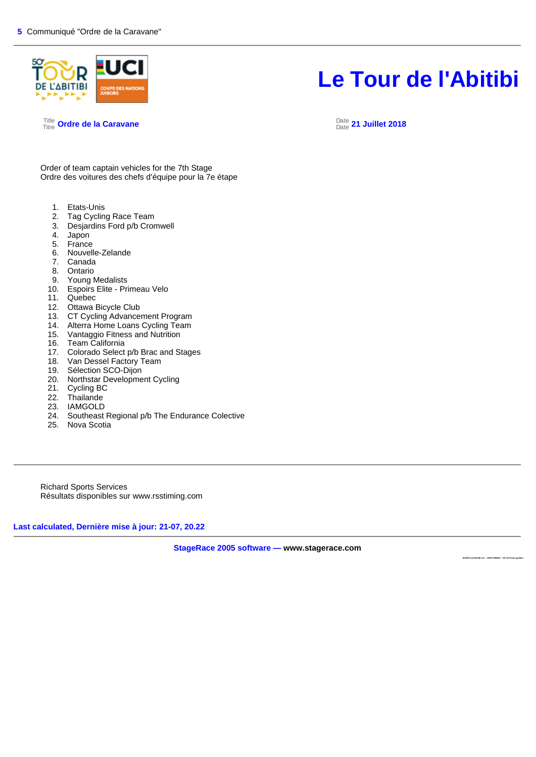

Title Titre **Ordre de la Caravane** Date

#### Date **21 Juillet 2018**

Order of team captain vehicles for the 7th Stage Ordre des voitures des chefs d'équipe pour la 7e étape

- 1. Etats-Unis<br>2. Tag Cyclin
- Tag Cycling Race Team
- 3. Desjardins Ford p/b Cromwell
- 4. Japon
- 5. France
- 6. Nouvelle-Zelande
- 7. Canada
- 8. Ontario
- 9. Young Medalists
- 10. Espoirs Elite Primeau Velo
- 11. Quebec
- 12. Ottawa Bicycle Club
- 13. CT Cycling Advancement Program
- 14. Alterra Home Loans Cycling Team<br>15. Vantaggio Fitness and Nutrition
- 15. Vantaggio Fitness and Nutrition<br>16. Team California
- Team California
- 17. Colorado Select p/b Brac and Stages<br>18. Van Dessel Factory Team
- Van Dessel Factory Team
- 19. Sélection SCO-Dijon
- 20. Northstar Development Cycling<br>21. Cycling BC
- 
- 21. Cycling BC<br>22. Thailande Thailande
- 23. IAMGOLD
- 24. Southeast Regional p/b The Endurance Colective
- 25. Nova Scotia

Richard Sports Services Résultats disponibles sur www.rsstiming.com

**Last calculated, Dernière mise à jour: 21-07, 20.22** 

**StageRace 2005 software — www.stagerace.com** 

**2018To urAbitibi.str : 1291739922 : V3.24 final up date**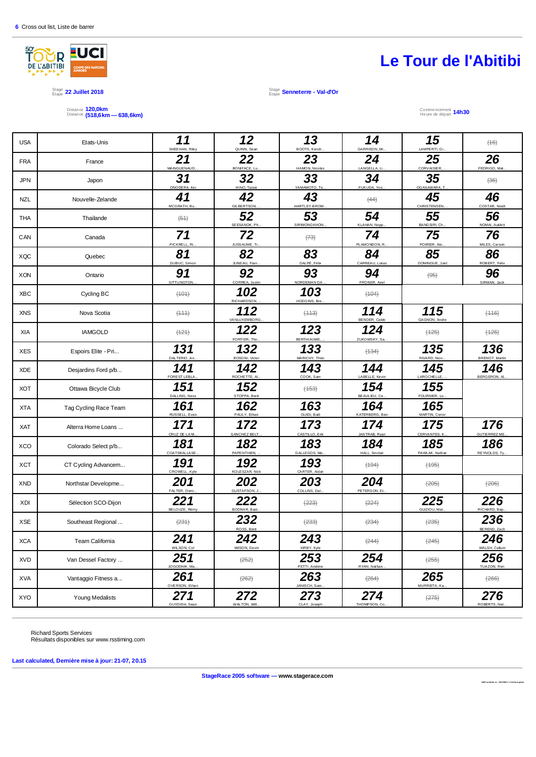

Stage 1992 **Juillet 2018**<br>Étape 22 Juillet 2018 Étape **Senneterre - Val-d'Or**

Distance Distance **120,0km (518,6km — 638,6km)** Commencement

Heure de départ **14h30**

| <b>USA</b> | Etats-Unis            | 11<br>SHEEHAN, Riley  | 12<br>QUINN, Sean          | 13<br>BOOTS, Kendr         | 14<br>GARRISON, Mi.   | 15<br>LAMPERTI, Gi.      | (16)                         |
|------------|-----------------------|-----------------------|----------------------------|----------------------------|-----------------------|--------------------------|------------------------------|
| <b>FRA</b> | France                | 21<br>MAINGUENAUD,    | 22<br>BON FACE, Lu         | 23<br>HAMON, Nicolas       | 24<br>LANGELLA, Li.   | 25<br>CORVAISIER,        | 26<br>FEDRIGO, Mat.          |
| <b>JPN</b> | Japon                 | 31<br>ONODERA, Kei    | 32<br>HINO, Taisei         | 33<br>YAMAMOTO, Te.        | 34<br>FUKUDA, Yos.    | 35<br>OGASAWARA, T.      | $(36)$                       |
| <b>NZL</b> | Nouvelle-Zelande      | 41<br>MCGRATH, Bu     | 42<br><b>GILBERTSON</b>    | 43<br>HARTLEY-BROW.        | (44)                  | 45<br><b>CHRISTENSEN</b> | 46<br>COSTAR, Noah           |
| <b>THA</b> | Thailande             | $\left(54\right)$     | 52<br>SEESANOK, Ph.        | 53<br>SIRIMONGKHON.        | 54<br>KLAHAN, Nopp    | 55<br>BANGSIRI, Ch.      | 56<br>NOMAI, Aukkrit         |
| CAN        | Canada                | 71<br>PICKRELL, Ri.   | 72<br>JUSS AUME, Tr        | (73)                       | 74<br>PLAMONDON, R    | 75<br>POIRIER, Ale       | 76<br>MILES, Carson          |
| XQC        | Quebec                | 81<br>DUBUC, Simon    | 82<br>JUNEAU, Fran         | 83<br>DALPÉ, Féli          | 84<br>CARREAU, Lukas  | 85<br>DOMINGUE, Joel     | 86<br>ROBERT, Felix          |
| <b>XON</b> | Ontario               | 91<br>SITTLINGTON.    | 92<br>CORREA, Justin       | 93<br>NORDEMAN DA          | 94<br>FRONER, Axel    | $\left( \Theta$ $\Theta$ | 96<br>SIRMAN, Jack           |
| <b>XBC</b> | Cycling BC            | (101)                 | 102<br><b>RICHARDSON</b>   | 103<br><b>HODGINS, Bre</b> | (104)                 |                          |                              |
| <b>XNS</b> | Nova Scotia           | (111)                 | 112<br><b>VANLUXEMBORG</b> | (113)                      | 114<br>BENDER, Caleb  | 115<br>GAGNON, Andre     | (446)                        |
| XIA        | <b>IAMGOLD</b>        | (121)                 | 122<br>FORTIER, Tho        | 123<br>BERTHIAUME,         | 124<br>ZUKOWSKY, Sa.  | $(+25)$                  | $(+26)$                      |
| <b>XES</b> | Espoirs Elite - Pri   | 131<br>DALTERIO, An.  | 132<br>BOSONI, Victor      | 133<br>MARICHY, Théo       | (134)                 | 135<br>RIVARD, Nico.     | 136<br><b>BRENOT, Martin</b> |
| <b>XDE</b> | Desjardins Ford p/b   | 141<br>FOREST LEBLA   | 142<br>ROCHETTE, A         | 143<br>COOK, Sam           | 144<br>LABELLE, Kevin | 145<br>LAROCHELLE.       | 146<br>BERGERON, AI.         |
| <b>XOT</b> | Ottawa Bicycle Club   | 151<br>DALLING, Ness  | 152<br>STOPPA, Brett       | $(+53)$                    | 154<br>BEAULIEU, Ce.  | 155<br>FOURNIER, Lo.     |                              |
| <b>XTA</b> | Tag Cycling Race Team | 161<br>RUSSELL, Evan  | 162<br>PAULY, Ethan        | 163<br>GUIDI, Baili        | 164<br>KATERBERG, Ben | 165<br>MARTIN, Conor     |                              |
| <b>XAT</b> | Alterra Home Loans    | 171<br>CRUZ DE LAM.   | 172<br>SANCHEZ BELT        | 173<br>CASTILLO, Erik      | 174<br>JASTRAB, Ryar  | 175<br>CERVANTES, K.     | 176<br><b>GUTIERREZ ME</b>   |
| <b>XCO</b> | Colorado Select p/b   | 181<br>COATSBALLASE   | 182<br>PAPENTHIEN.         | 183<br>GALLEGOS, Ma.       | 184<br>HALL, Sinclair | 185<br>PAWLAK, Nathan    | 186<br>REYNOLDS, Ty.         |
| <b>XCT</b> | CT Cycling Advancem   | 191<br>CROWELL, Kyle  | 192<br>KOLE SZAR, Nick     | 193<br>CARTER, Aidar       | (194)                 | $(+95)$                  |                              |
| <b>XND</b> | Northstar Developme   | 201<br>FALTER, Domi.  | 202<br><b>GUSTAFSON, J</b> | 203<br>COLLINS, Dal.       | 204<br>PETERSON, Et.  | $(+205)$                 | $(+206)$                     |
| <b>XDI</b> | Sélection SCO-Dijon   | 221<br>BELOUZE, Rémy  | 222<br>BODNAR, Bast        | (223)                      | (224)                 | 225<br>GUIZIOU, Mat.     | 226<br>RICHARD, Bap          |
| <b>XSE</b> | Southeast Regional    | (231)                 | 232<br>ROSS, Brett         | $(+233)$                   | (234)                 | $(+235)$                 | 236<br>BEREND, Zach          |
| <b>XCA</b> | Team California       | 241<br>WILSON, Col    | 242<br>WilSON, Devin       | 243<br>KIRBY, Kyle         | (244)                 | (245)                    | 246<br>WALSH, Calum          |
| <b>XVD</b> | Van Dessel Factory    | 251<br>JOGODNIK, Ma.  | (252)                      | 253<br>PETTI, Andrew       | 254<br>RYAN, Nathan.  | $(+255)$                 | 256<br>TUAZON, Ron           |
| <b>XVA</b> | Vantaggio Fitness a   | 261<br>OVERSON, Ethan | (262)                      | 263<br>JANISCH, Sam.       | (264)                 | 265<br>MURRIETA, Ka.     | (266)                        |
| <b>XYO</b> | Young Medalists       | 271<br>GUYDISH, Sean  | 272<br>WALTON, Will.       | 273<br>CLAY, Joseph        | 274<br>THOMPSON, Co.  | (275)                    | 276<br>ROBERTS, Nat.         |
|            |                       |                       |                            |                            |                       |                          |                              |

Richard Sports Services Résultats disponibles sur www.rsstiming.com

**Last calculated, Dernière mise à jour: 21-07, 20.15** 

**StageRace 2005 software — www.stagerace.com** 

**2018T ourAb itibi. str : 129173992 2 : V3.24 fin al upd ate**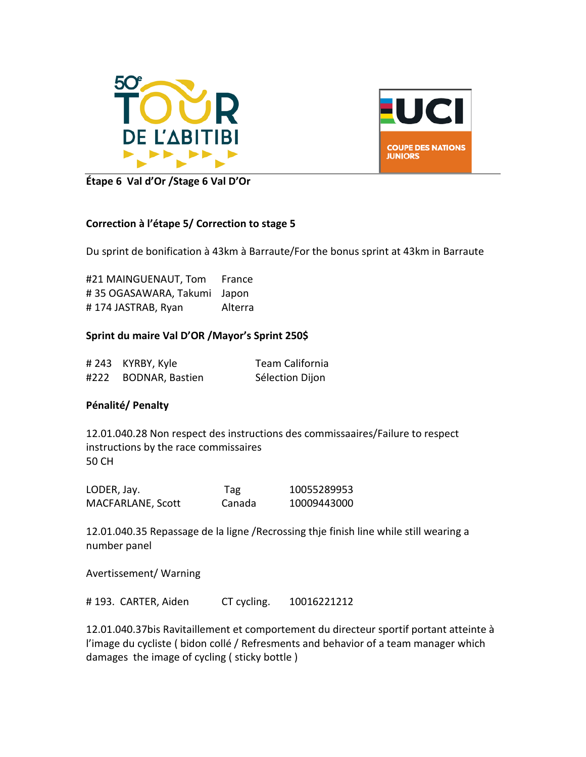



**Étape 6 Val d'Or /Stage 6 Val D'Or**

#### **Correction à l'étape 5/ Correction to stage 5**

Du sprint de bonification à 43km à Barraute/For the bonus sprint at 43km in Barraute

#21 MAINGUENAUT, Tom France # 35 OGASAWARA, Takumi Japon # 174 JASTRAB, Ryan Alterra

#### **Sprint du maire Val D'OR /Mayor's Sprint 250\$**

|      | #243 KYRBY, Kyle       | Team California |
|------|------------------------|-----------------|
| #222 | <b>BODNAR, Bastien</b> | Sélection Dijon |

#### **Pénalité/ Penalty**

12.01.040.28 Non respect des instructions des commissaaires/Failure to respect instructions by the race commissaires 50 CH

| LODER, Jay.       | Tag    | 10055289953 |
|-------------------|--------|-------------|
| MACFARLANE, Scott | Canada | 10009443000 |

12.01.040.35 Repassage de la ligne /Recrossing thje finish line while still wearing a number panel

Avertissement/ Warning

# 193. CARTER, Aiden CT cycling. 10016221212

12.01.040.37bis Ravitaillement et comportement du directeur sportif portant atteinte à l'image du cycliste ( bidon collé / Refresments and behavior of a team manager which damages the image of cycling ( sticky bottle )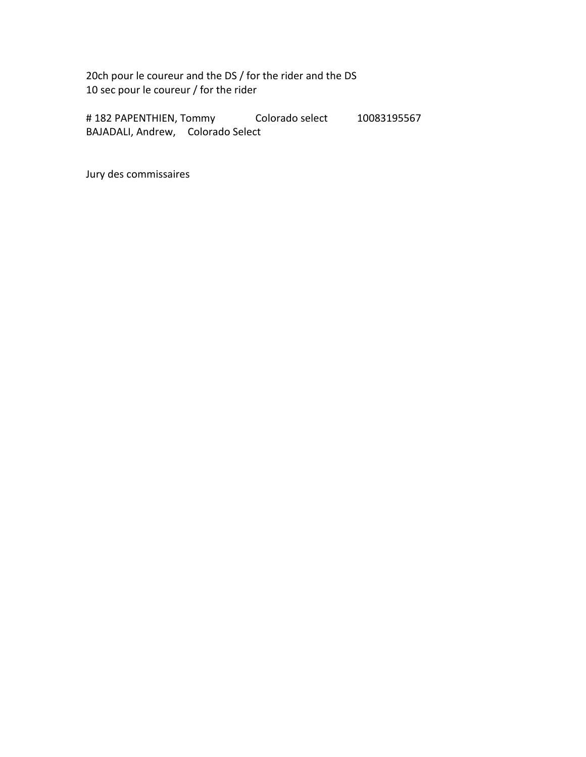20ch pour le coureur and the DS / for the rider and the DS 10 sec pour le coureur / for the rider

# 182 PAPENTHIEN, Tommy Colorado select 10083195567 BAJADALI, Andrew, Colorado Select

Jury des commissaires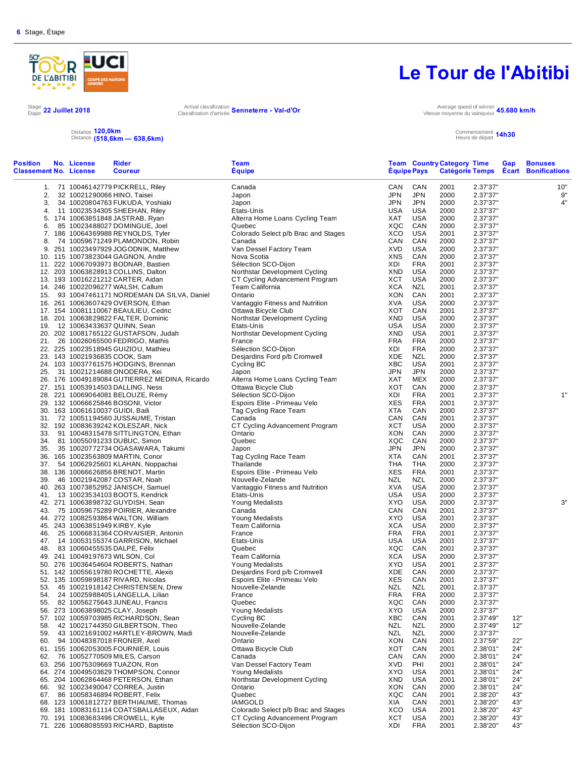**Position**



#### Stage 22 Juillet 2018<br>Étape <sup>22 Juillet 2018 **Arrival classification**</sup>

**Classement No. License** 

Arrival classification **Senneterre - Val-d'Or** Classification d'arrivée **Senneterre - Val-d'Or** 

59. 43 10021691002 HARTLEY-BROWN, Madi Nouvelle-Zelande Nouvelle-Telande NZL NZL 2000 2.37'37"<br>60. 94 10048387018 FRONER, Axel Chario Ontario Notario Natio NON 2001 2.37'59"

60. 94 10048387018 FRONER, Axel Ontario XON CAN 2001 2.37'59" 22" 61. 155 10062053005 FOURNIER, Louis Ottawa Bicycle Club XOT CAN 2001 2.38'01" 24" 62. 76 10052770509 MILES, Carson Canada CAN CAN 2000 2.38'01" 24" 63. 256 10075309669 TUAZON, Ron Van Dessel Factory Team XVD PHI 2001 2.38'01" 24" 64. 274 10049503629 THOMPSON, Connor Young Medalists XYO USA 2001 2.38'01" 24" 65. 204 10062864468 PETERSON, Ethan Northstar Development Cycling XND USA 2001 2.38'01" 24"

67. 86 10058346894 ROBERT, Felix Quebec XQC CAN 2001 2.38'20" 43" 68. 123 10061812727 BERTHIAUME, Thomas IAMGOLD XIA CAN 2001 2.38'20" 43"

70. 191 10083683496 CROWELL, Kyle CT Cycling Advancement Program XCT USA 2001 2.38'20" 43" 71. 226 10068085593 RICHARD, Baptiste Sélection SCO-Dijon XDI FRA 2001 2.38'20'

### **Le Tour de l'Abitibi**

Vitesse moyenne du vainqueur **45.680 km/h**

Commencement Heure de départ **14h30**

Distance **120,0km** Distance **(518,6km — 638,6km)**

92 10023490047 CORREA, Justin

69. 181 10083161114 COATSBALLASEUX, Aidan

|     | No. License<br>nent No. License | <b>Rider</b><br><b>Coureur</b>                | <b>Team</b><br><b>Equipe</b>                         | <b>Equipe Pays</b> |            | <b>Team Country Category Time</b> |                      | Gap | <b>Bonuses</b><br>Catégorie Temps Ecart Bonifications |
|-----|---------------------------------|-----------------------------------------------|------------------------------------------------------|--------------------|------------|-----------------------------------|----------------------|-----|-------------------------------------------------------|
|     |                                 | 1. 71 10046142779 PICKRELL, Riley             | Canada                                               | CAN                | CAN        | 2001                              | 2.37'37"             |     | 10"                                                   |
| 2.  |                                 | 32 10021290066 HINO, Taisei                   | Japon                                                | JPN                | <b>JPN</b> | 2000                              | 2.37'37"             |     | 9"                                                    |
| 3.  |                                 | 34 10020804763 FUKUDA, Yoshiaki               | Japon                                                | JPN                | <b>JPN</b> | 2000                              | 2.37'37"             |     | 4"                                                    |
| 4.  |                                 | 11 10023534305 SHEEHAN, Riley                 | Etats-Unis                                           | <b>USA</b>         | <b>USA</b> | 2000                              | 2.37'37"             |     |                                                       |
|     |                                 | 5. 174 10063851848 JASTRAB, Ryan              | Alterra Home Loans Cycling Team                      | XAT                | USA        | 2000                              | 2.37'37"             |     |                                                       |
| 6.  |                                 | 85 10023488027 DOMINGUE, Joel                 | Quebec                                               | XQC                | CAN        | 2000                              | 2.37'37"             |     |                                                       |
|     |                                 | 7. 186 10064369988 REYNOLDS, Tyler            | Colorado Select p/b Brac and Stages                  | XCO                | <b>USA</b> | 2001                              | 2.37'37"             |     |                                                       |
| 8.  |                                 | 74 10059671249 PLAMONDON, Robin               | Canada                                               | CAN                | CAN        | 2000                              | 2.37'37"             |     |                                                       |
|     |                                 | 9. 251 10023497929 JOGODNIK, Matthew          | Van Dessel Factory Team                              | XVD                | <b>USA</b> | 2000                              | 2.37'37"             |     |                                                       |
|     |                                 | 10. 115 10073823044 GAGNON, Andre             | Nova Scotia                                          | <b>XNS</b>         | CAN        | 2000                              | 2.37'37"             |     |                                                       |
|     |                                 |                                               |                                                      | XDI                | FRA        |                                   |                      |     |                                                       |
|     |                                 | 11. 222 10067093971 BODNAR, Bastien           | Sélection SCO-Dijon<br>Northstar Development Cycling | XND                | <b>USA</b> | 2001<br>2000                      | 2.37'37"<br>2.37'37" |     |                                                       |
|     |                                 | 12. 203 10063828913 COLLINS, Dalton           |                                                      |                    |            |                                   |                      |     |                                                       |
|     |                                 | 13. 193 10016221212 CARTER, Aidan             | CT Cycling Advancement Program                       | XCT                | <b>USA</b> | 2000                              | 2.37'37"             |     |                                                       |
|     |                                 | 14. 246 10022096277 WALSH, Callum             | Team California                                      | XCA                | NZL        | 2001                              | 2.37'37"             |     |                                                       |
| 15. |                                 | 93 10047461171 NORDEMAN DA SILVA, Daniel      | Ontario                                              | <b>XON</b>         | CAN        | 2001                              | 2.37'37"             |     |                                                       |
|     |                                 | 16. 261 10063607429 OVERSON, Ethan            | Vantaggio Fitness and Nutrition                      | <b>XVA</b>         | <b>USA</b> | 2000                              | 2.37'37"             |     |                                                       |
|     |                                 | 17. 154 10081110067 BEAULIEU, Cedric          | Ottawa Bicycle Club                                  | XOT                | CAN        | 2001                              | 2.37'37"             |     |                                                       |
|     |                                 | 18. 201 10063829822 FALTER, Dominic           | Northstar Development Cycling                        | XND                | <b>USA</b> | 2000                              | 2.37'37"             |     |                                                       |
| 19. |                                 | 12 10063433637 QUINN, Sean                    | Etats-Unis                                           | <b>USA</b>         | <b>USA</b> | 2000                              | 2.37'37"             |     |                                                       |
|     |                                 | 20. 202 10081765122 GUSTAFSON, Judah          | Northstar Development Cycling                        | XND                | <b>USA</b> | 2001                              | 2.37'37"             |     |                                                       |
| 21. |                                 | 26 10026065500 FEDRIGO, Mathis                | France                                               | <b>FRA</b>         | <b>FRA</b> | 2000                              | 2.37'37"             |     |                                                       |
|     |                                 | 22. 225 10023518945 GUIZIOU, Mathieu          | Sélection SCO-Dijon                                  | <b>XDI</b>         | <b>FRA</b> | 2000                              | 2.37'37"             |     |                                                       |
|     |                                 | 23. 143 10021936835 COOK, Sam                 | Desjardins Ford p/b Cromwell                         | <b>XDE</b>         | <b>NZL</b> | 2000                              | 2.37'37"             |     |                                                       |
|     |                                 | 24. 103 10037761575 HODGINS, Brennan          | Cycling BC                                           | <b>XBC</b>         | <b>USA</b> | 2001                              | 2.37'37"             |     |                                                       |
| 25. |                                 | 31 10021214688 ONODERA, Kei                   | Japon                                                | <b>JPN</b>         | <b>JPN</b> | 2000                              | 2.37'37"             |     |                                                       |
|     |                                 | 26. 176 10049189084 GUTIERREZ MEDINA, Ricardo | Alterra Home Loans Cycling Team                      | XAT                | MEX        | 2000                              | 2.37'37"             |     |                                                       |
|     |                                 | 27. 151 10053914503 DALLING, Ness             | Ottawa Bicycle Club                                  | <b>XOT</b>         | CAN        | 2000                              | 2.37'37"             |     |                                                       |
|     |                                 | 28. 221 10069064081 BELOUZE, Rémy             | Sélection SCO-Dijon                                  | XDI                | <b>FRA</b> | 2001                              | 2.37'37"             |     | 1"                                                    |
|     |                                 | 29. 132 10066625846 BOSONI, Victor            | Espoirs Elite - Primeau Velo                         | <b>XES</b>         | <b>FRA</b> | 2001                              | 2.37'37"             |     |                                                       |
|     |                                 | 30. 163 10061610037 GUIDI, Baili              | Tag Cycling Race Team                                | XTA                | CAN        | 2000                              | 2.37'37"             |     |                                                       |
| 31. |                                 | 72 10051194560 JUSSAUME, Tristan              | Canada                                               | CAN                | CAN        | 2001                              | 2.37'37"             |     |                                                       |
|     |                                 | 32. 192 10083639242 KOLESZAR, Nick            | CT Cycling Advancement Program                       | <b>XCT</b>         | <b>USA</b> | 2000                              | 2.37'37"             |     |                                                       |
| 33. |                                 | 91 10048315478 SITTLINGTON, Ethan             | Ontario                                              | <b>XON</b>         | CAN        | 2000                              | 2.37'37"             |     |                                                       |
| 34. |                                 | 81 10055091233 DUBUC, Simon                   | Quebec                                               | XQC                | CAN        | 2000                              | 2.37'37"             |     |                                                       |
| 35. |                                 | 35 10020772734 OGASAWARA, Takumi              | Japon                                                | <b>JPN</b>         | <b>JPN</b> | 2000                              | 2.37'37"             |     |                                                       |
|     |                                 | 36. 165 10023563809 MARTIN, Conor             | Tag Cycling Race Team                                | <b>XTA</b>         | CAN        | 2001                              | 2.37'37"             |     |                                                       |
| 37. |                                 | 54 10062925601 KLAHAN, Noppachai              | Thailande                                            | THA                | THA        | 2000                              | 2.37'37"             |     |                                                       |
|     |                                 | 38. 136 10066626856 BRENOT, Martin            | Espoirs Elite - Primeau Velo                         | <b>XES</b>         | <b>FRA</b> | 2001                              | 2.37'37"             |     |                                                       |
| 39. |                                 | 46 10021942087 COSTAR, Noah                   | Nouvelle-Zelande                                     | <b>NZL</b>         | <b>NZL</b> | 2000                              | 2.37'37"             |     |                                                       |
|     |                                 | 40. 263 10073852952 JANISCH, Samuel           | Vantaggio Fitness and Nutrition                      | XVA                | <b>USA</b> | 2000                              | 2.37'37"             |     |                                                       |
| 41. |                                 | 13 10023534103 BOOTS, Kendrick                | Etats-Unis                                           | <b>USA</b>         | <b>USA</b> | 2000                              | 2.37'37"             |     |                                                       |
|     |                                 | 42. 271 10063898732 GUYDISH, Sean             | Young Medalists                                      | XYO                | <b>USA</b> | 2000                              | 2.37'37"             |     | 3"                                                    |
| 43. |                                 | 75 10059675289 POIRIER, Alexandre             | Canada                                               | CAN                | CAN        | 2001                              | 2.37'37"             |     |                                                       |
|     |                                 | 44. 272 10082593864 WALTON, William           | Young Medalists                                      | XYO                | <b>USA</b> | 2001                              | 2.37'37"             |     |                                                       |
|     |                                 | 45. 243 10063851949 KIRBY, Kyle               | Team California                                      | <b>XCA</b>         | <b>USA</b> | 2000                              | 2.37'37"             |     |                                                       |
| 46. |                                 | 25 10066831364 CORVAISIER, Antonin            | France                                               | <b>FRA</b>         | <b>FRA</b> | 2001                              | 2.37'37"             |     |                                                       |
| 47. |                                 | 14 10053155374 GARRISON, Michael              | Etats-Unis                                           | <b>USA</b>         | <b>USA</b> | 2001                              | 2.37'37"             |     |                                                       |
| 48. |                                 | 83 10060455535 DALPE, Félix                   | Quebec                                               | XQC                | CAN        | 2001                              | 2.37'37"             |     |                                                       |
|     |                                 | 49. 241 10049197673 WILSON, Col               | Team California                                      | <b>XCA</b>         | <b>USA</b> | 2000                              | 2.37'37"             |     |                                                       |
|     |                                 | 50. 276 10036454604 ROBERTS, Nathan           | Young Medalists                                      | <b>XYO</b>         | <b>USA</b> | 2001                              | 2.37'37"             |     |                                                       |
|     |                                 | 51. 142 10055619780 ROCHETTE, Alexis          | Desjardins Ford p/b Cromwell                         | XDE                | CAN        | 2000                              | 2.37'37"             |     |                                                       |
|     |                                 | 52. 135 10059898187 RIVARD, Nicolas           | Espoirs Elite - Primeau Velo                         | XES                | CAN        | 2001                              | 2.37'37"             |     |                                                       |
|     |                                 |                                               | Nouvelle-Zelande                                     | NZL                | <b>NZL</b> | 2001                              |                      |     |                                                       |
| 53. |                                 | 45 10021918142 CHRISTENSEN, Drew              |                                                      |                    |            |                                   | 2.37'37"             |     |                                                       |
| 54. |                                 | 24 10025988405 LANGELLA, Lilian               | France                                               | <b>FRA</b>         | <b>FRA</b> | 2000                              | 2.37'37"             |     |                                                       |
| 55. |                                 | 82 10056275643 JUNEAU, Francis                | Quebec                                               | XQC                | CAN        | 2000                              | 2.37'37"             |     |                                                       |
|     |                                 | 56. 273 10063898025 CLAY, Joseph              | Young Medalists                                      | XYO                | <b>USA</b> | 2000                              | 2.37'37"             |     |                                                       |
|     |                                 | 57. 102 10059703985 RICHARDSON, Sean          | Cycling BC                                           | XBC                | CAN        | 2001                              | 2.37'49"             | 12" |                                                       |
| 58. |                                 | 42 10021744350 GILBERTSON, Theo               | Nouvelle-Zelande                                     | <b>NZL</b>         | <b>NZL</b> | 2000                              | 2.37'49"             | 12" |                                                       |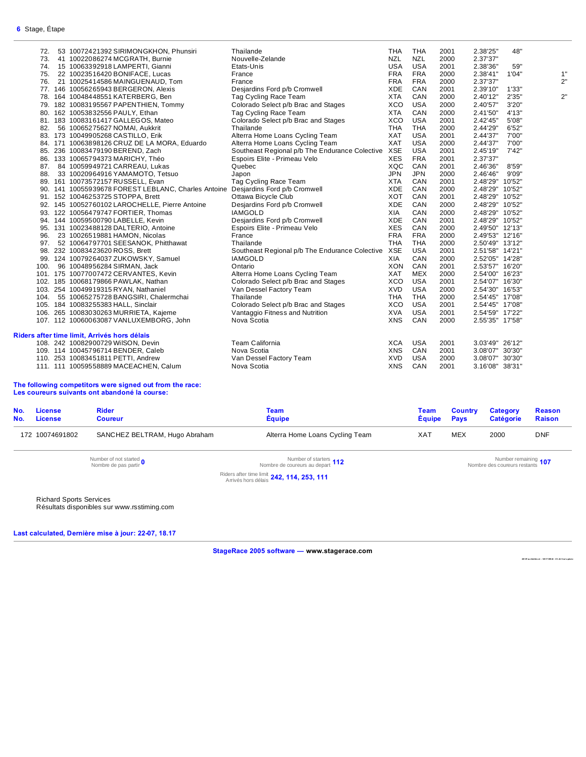| 72. | 53 10072421392 SIRIMONGKHON, Phunsiri                                            | Thailande                                          | <b>THA</b>               | <b>THA</b> | 2001         | 2.38'25"        | 48"   |    |
|-----|----------------------------------------------------------------------------------|----------------------------------------------------|--------------------------|------------|--------------|-----------------|-------|----|
| 73. | 41 10022086274 MCGRATH, Burnie                                                   | Nouvelle-Zelande                                   | <b>NZL</b>               | <b>NZL</b> | 2000         | 2.37'37"        |       |    |
| 74. | 15 10063392918 LAMPERTI, Gianni                                                  | Etats-Unis                                         | <b>USA</b>               | <b>USA</b> | 2001         | 2.38'36"        | 59"   |    |
| 75. | 22 10023516420 BONIFACE, Lucas                                                   | France                                             | <b>FRA</b>               | <b>FRA</b> | 2000         | 2.38'41"        | 1'04" | 1" |
| 76. | 21 10025414586 MAINGUENAUD, Tom                                                  | France                                             | <b>FRA</b>               | <b>FRA</b> | 2000         | 2.37'37"        |       | 2" |
|     | 77. 146 10056265943 BERGERON, Alexis                                             | Desjardins Ford p/b Cromwell                       | <b>XDE</b>               | CAN        | 2001         | 2.39'10"        | 1'33" |    |
|     | 78. 164 10048448551 KATERBERG, Ben                                               | Tag Cycling Race Team                              | <b>XTA</b>               | CAN        | 2000         | 2.40'12"        | 2'35" | 2" |
|     | 79. 182 10083195567 PAPENTHIEN, Tommy                                            | Colorado Select p/b Brac and Stages                | XCO                      | <b>USA</b> | 2000         | 2.40'57"        | 3'20" |    |
|     | 80. 162 10053832556 PAULY, Ethan                                                 | Tag Cycling Race Team                              | <b>XTA</b>               | CAN        | 2000         | 2.41'50"        | 4'13" |    |
|     | 81. 183 10083161417 GALLEGOS, Mateo                                              | Colorado Select p/b Brac and Stages                | XCO                      | <b>USA</b> | 2001         | 2.42'45"        | 5'08" |    |
| 82. | 56 10065275627 NOMAI, Aukkrit                                                    | Thailande                                          | <b>THA</b>               | <b>THA</b> | 2000         | 2.44'29"        | 6'52" |    |
|     | 83. 173 10049905268 CASTILLO, Erik                                               | Alterra Home Loans Cycling Team                    | <b>XAT</b>               | <b>USA</b> | 2001         | 2.44'37"        | 7'00" |    |
|     | 84. 171 10063898126 CRUZ DE LA MORA, Eduardo                                     | Alterra Home Loans Cycling Team                    | <b>XAT</b>               | <b>USA</b> | 2000         | 2.44'37"        | 7'00" |    |
|     | 85. 236 10083479190 BEREND, Zach                                                 | Southeast Regional p/b The Endurance Colective XSE |                          | <b>USA</b> | 2001         | 2.45'19"        | 7'42" |    |
|     | 86. 133 10065794373 MARICHY, Théo                                                | Espoirs Elite - Primeau Velo                       | <b>XES</b>               | <b>FRA</b> | 2001         | 2.37'37"        |       |    |
|     | 87. 84 10059949721 CARREAU, Lukas                                                | Quebec                                             | XQC                      | CAN        | 2001         | 2.46'36"        | 8'59" |    |
| 88. | 33 10020964916 YAMAMOTO, Tetsuo                                                  | Japon                                              | <b>JPN</b>               | <b>JPN</b> | 2000         | 2.46'46"        | 9'09" |    |
|     | 89. 161 10073572157 RUSSELL, Evan                                                | Tag Cycling Race Team                              | <b>XTA</b>               | CAN        | 2001         | 2.48'29" 10'52" |       |    |
|     | 90. 141 10055939678 FOREST LEBLANC, Charles Antoine Desjardins Ford p/b Cromwell |                                                    | <b>XDE</b>               | CAN        | 2000         | 2.48'29" 10'52" |       |    |
|     | 91. 152 10046253725 STOPPA, Brett                                                | Ottawa Bicycle Club                                | XOT                      | CAN        | 2001         | 2.48'29" 10'52" |       |    |
|     | 92. 145 10052760102 LAROCHELLE, Pierre Antoine                                   | Desjardins Ford p/b Cromwell                       | <b>XDE</b>               | CAN        | 2000         | 2.48'29" 10'52" |       |    |
|     | 93. 122 10056479747 FORTIER, Thomas                                              | <b>IAMGOLD</b>                                     | <b>XIA</b>               | CAN        | 2000         | 2.48'29" 10'52" |       |    |
|     | 94. 144 10059500790 LABELLE, Kevin                                               | Desjardins Ford p/b Cromwell                       | XDE                      | CAN        | 2001         | 2.48'29" 10'52" |       |    |
|     |                                                                                  |                                                    |                          | CAN        |              |                 |       |    |
|     | 95. 131 10023488128 DALTERIO, Antoine                                            | Espoirs Elite - Primeau Velo<br>France             | <b>XES</b><br><b>FRA</b> | <b>FRA</b> | 2000<br>2000 | 2.49'50" 12'13" |       |    |
|     | 96. 23 10026519881 HAMON, Nicolas                                                |                                                    | <b>THA</b>               | <b>THA</b> |              | 2.49'53" 12'16" |       |    |
| 97. | 52 10064797701 SEESANOK, Phitthawat                                              | Thailande                                          |                          |            | 2000         | 2.50'49" 13'12" |       |    |
|     | 98. 232 10083423620 ROSS, Brett                                                  | Southeast Regional p/b The Endurance Colective     | <b>XSE</b>               | <b>USA</b> | 2001         | 2.51'58" 14'21" |       |    |
|     | 99. 124 10079264037 ZUKOWSKY, Samuel                                             | <b>IAMGOLD</b>                                     | XIA                      | CAN        | 2000         | 2.52'05" 14'28" |       |    |
|     | 100. 96 10048956284 SIRMAN, Jack                                                 | Ontario                                            | <b>XON</b>               | CAN        | 2001         | 2.53'57" 16'20" |       |    |
|     | 101. 175 10077007472 CERVANTES, Kevin                                            | Alterra Home Loans Cycling Team                    | <b>XAT</b>               | <b>MEX</b> | 2000         | 2.54'00" 16'23" |       |    |
|     | 102. 185 10068179866 PAWLAK, Nathan                                              | Colorado Select p/b Brac and Stages                | XCO                      | <b>USA</b> | 2001         | 2.54'07" 16'30" |       |    |
|     | 103. 254 10049919315 RYAN, Nathaniel                                             | Van Dessel Factory Team                            | <b>XVD</b>               | <b>USA</b> | 2000         | 2.54'30" 16'53" |       |    |
|     | 104. 55 10065275728 BANGSIRI, Chalermchai                                        | Thailande                                          | <b>THA</b>               | <b>THA</b> | 2000         | 2.54'45" 17'08" |       |    |
|     | 105. 184 10083255383 HALL, Sinclair                                              | Colorado Select p/b Brac and Stages                | XCO                      | <b>USA</b> | 2001         | 2.54'45" 17'08" |       |    |
|     | 106. 265 10083030263 MURRIETA, Kajeme                                            | Vantaggio Fitness and Nutrition                    | <b>XVA</b>               | <b>USA</b> | 2001         | 2.54'59" 17'22" |       |    |
|     | 107. 112 10060063087 VANLUXEMBORG, John                                          | Nova Scotia                                        | <b>XNS</b>               | CAN        | 2000         | 2.55'35" 17'58" |       |    |
|     | Riders after time limit, Arrivés hors délais                                     |                                                    |                          |            |              |                 |       |    |
|     | 108. 242 10082900729 WilSON, Devin                                               | Team California                                    | <b>XCA</b>               | <b>USA</b> | 2001         | 3.03'49" 26'12" |       |    |
|     | 109. 114 10045796714 BENDER, Caleb                                               | Nova Scotia                                        | <b>XNS</b>               | CAN        | 2001         | 3.08'07" 30'30" |       |    |
|     | 110. 253 10083451811 PETTI, Andrew                                               | Van Dessel Factory Team                            | <b>XVD</b>               | <b>USA</b> | 2000         | 3.08'07" 30'30" |       |    |
|     | 111. 111 10059558889 MACEACHEN, Calum                                            | Nova Scotia                                        | <b>XNS</b>               | CAN        | 2001         | 3.16'08" 38'31" |       |    |
|     |                                                                                  |                                                    |                          |            |              |                 |       |    |

#### **The following competitors were signed out from the race: Les coureurs suivants ont abandoné la course:**

| No.<br>No.                                 | License<br><b>License</b> | <b>Rider</b><br><b>Coureur</b>                | Team<br><b>Équipe</b>                                  | Team<br><b>Équipe</b> | <b>Country</b><br><b>Pays</b> | <b>Category</b><br><b>Catégorie</b>                  | <b>Reason</b><br><b>Raison</b> |
|--------------------------------------------|---------------------------|-----------------------------------------------|--------------------------------------------------------|-----------------------|-------------------------------|------------------------------------------------------|--------------------------------|
|                                            | 172 10074691802           | SANCHEZ BELTRAM, Hugo Abraham                 | Alterra Home Loans Cycling Team                        | <b>XAT</b>            | <b>MEX</b><br>2000            |                                                      | <b>DNF</b>                     |
|                                            |                           | Number of not started<br>Nombre de pas partir | Number of starters 112<br>Nombre de coureurs au depart |                       |                               | Number remaining 107<br>Nombre des coureurs restants |                                |
| Riders after time limit 242, 114, 253, 111 |                           |                                               |                                                        |                       |                               |                                                      |                                |

Richard Sports Services

Résultats disponibles sur www.rsstiming.com

**Last calculated, Dernière mise à jour: 22-07, 18.17** 

**StageRace 2005 software — www.stagerace.com** 

**201 8TourAbi tibi.s tr : 129 17 399 22 : V3 .24 fi na l updat e**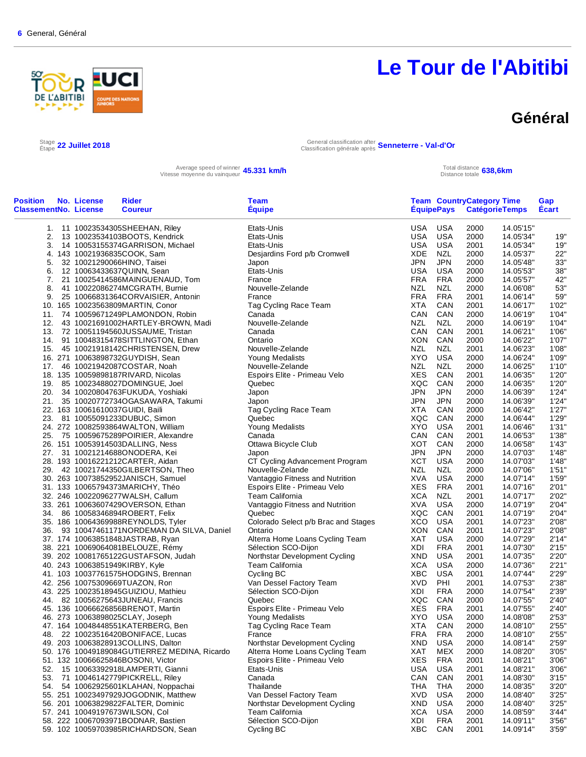

#### **Général**

Stage 22 Juillet 2018

Étape **22 Juillet 2018** General classification after Classification générale après **Senneterre - Val-d'Or**

Average speed of winner **45.331 km/h**<br>Vitesse moyenne du vainqueur **45.331 km/h** Total distance totale

Total distance **638,6km**<br>Distance totale **638,6km** 

| <b>Position</b><br><b>ClassementNo. License</b> | No. License | <b>Rider</b><br><b>Coureur</b>               | <b>Team</b><br><b>Équipe</b>           |            |            | <b>Team CountryCategory Time</b> | ÉquipePays CatégorieTemps | Gap<br>Écart   |
|-------------------------------------------------|-------------|----------------------------------------------|----------------------------------------|------------|------------|----------------------------------|---------------------------|----------------|
|                                                 |             | 1. 11 10023534305SHEEHAN, Riley              | Etats-Unis                             |            | USA USA    | 2000                             | 14.05'15"                 |                |
| 2.                                              |             | 13 10023534103BOOTS, Kendrick                | Etats-Unis                             | USA        | <b>USA</b> | 2000                             | 14.05'34"                 | 19"            |
| 3.                                              |             | 14 10053155374GARRISON, Michael              | Etats-Unis                             | USA        | USA        | 2001                             | 14.05'34"                 | 19"            |
|                                                 |             | 4. 143 10021936835COOK, Sam                  | Desjardins Ford p/b Cromwell           | XDE        | <b>NZL</b> | 2000                             | 14.05'37"                 | 22"            |
| 5.                                              |             | 32 10021290066HINO, Taisei                   | Japon                                  | JPN        | <b>JPN</b> | 2000                             | 14.05'48"                 | 33"            |
| 6.                                              |             | 12 10063433637QUINN, Sean                    | Etats-Unis                             | USA        | USA        | 2000                             | 14.05'53"                 | 38"            |
| 7.                                              |             | 21 10025414586MAINGUENAUD, Tom               | France                                 | FRA        | <b>FRA</b> | 2000                             | 14.05'57"                 | 42"            |
| 8.                                              |             | 41 10022086274MCGRATH, Burnie                | Nouvelle-Zelande                       | <b>NZL</b> | NZL        | 2000                             | 14.06'08"                 | 53"            |
| 9.                                              |             | 25 10066831364CORVAISIER, Antonin            | France                                 | FRA        | <b>FRA</b> | 2001                             | 14.06'14"                 | 59"            |
|                                                 |             | 10. 165 10023563809MARTIN, Conor             | Tag Cycling Race Team                  | <b>XTA</b> | CAN        | 2001                             | 14.06'17"                 | 1'02"          |
|                                                 |             | 11. 74 10059671249PLAMONDON, Robin           | Canada                                 | CAN        | CAN        | 2000                             | 14.06'19"                 | 1'04"          |
| 12.                                             |             | 43 10021691002HARTLEY-BROWN, Madi            | Nouvelle-Zelande                       | NZL        | NZL        | 2000                             | 14.06'19"                 | 1'04"          |
|                                                 |             | 13. 72 10051194560JUSSAUME, Tristan          | Canada                                 | CAN        | CAN        | 2001                             | 14.06'21"                 | 1'06"          |
|                                                 |             | 14. 91 10048315478SITTLINGTON, Ethan         | Ontario                                | XON        | CAN        | 2000                             | 14.06'22"                 | 1'07"          |
|                                                 |             | 15. 45 10021918142CHRISTENSEN, Drew          | Nouvelle-Zelande                       | NZL        | NZL        | 2001                             | 14.06'23"                 | 1'08"          |
|                                                 |             | 16. 271 10063898732GUYDISH, Sean             | Young Medalists                        | <b>XYO</b> | USA        | 2000                             | 14.06'24"                 | 1'09"          |
|                                                 |             | 17. 46 10021942087COSTAR, Noah               | Nouvelle-Zelande                       | NZL        | NZL        | 2000                             | 14.06'25"                 | 1'10"          |
|                                                 |             | 18. 135 10059898187RIVARD, Nicolas           | Espoirs Elite - Primeau Velo           | <b>XES</b> | CAN        | 2001                             | 14.06'35"                 | 1'20"          |
|                                                 |             | 19. 85 10023488027DOMINGUE, Joel             | Quebec                                 | XQC        | CAN        | 2000                             | 14.06'35"                 | 1'20"          |
|                                                 |             | 20. 34 10020804763FUKUDA, Yoshiaki           | Japon                                  | JPN        | <b>JPN</b> | 2000                             | 14.06'39"                 | 1'24"          |
|                                                 |             | 21. 35 10020772734OGASAWARA, Takumi          | Japon                                  | <b>JPN</b> | <b>JPN</b> | 2000                             | 14.06'39"                 | 1'24"          |
|                                                 |             | 22. 163 10061610037GUIDI, Baili              | Tag Cycling Race Team                  | <b>XTA</b> | CAN        | 2000                             | 14.06'42"                 | 1'27"          |
|                                                 |             | 23. 81 10055091233DUBUC, Simon               | Quebec                                 | <b>XQC</b> | CAN        | 2000                             | 14.06'44"                 | 1'29"          |
|                                                 |             | 24. 272 10082593864WALTON, William           | Young Medalists                        | XYO        | <b>USA</b> | 2001                             | 14.06'46"                 | 1'31"          |
|                                                 |             | 25. 75 10059675289POIRIER, Alexandre         | Canada                                 | CAN        | CAN        | 2001                             | 14.06'53"                 | 1'38"          |
|                                                 |             | 26. 151 10053914503DALLING, Ness             | Ottawa Bicycle Club                    | XOT        | CAN        | 2000                             | 14.06'58"                 | 1'43"          |
|                                                 |             | 27. 31 10021214688ONODERA, Kei               | Japon                                  | <b>JPN</b> | <b>JPN</b> | 2000                             | 14.07'03"                 | 1'48"          |
|                                                 |             | 28. 193 10016221212CARTER, Aidan             | CT Cycling Advancement Program         | XCT        | <b>USA</b> | 2000                             | 14.07'03"                 | 1'48"          |
|                                                 |             | 29. 42 10021744350GILBERTSON, Theo           | Nouvelle-Zelande                       | <b>NZL</b> | NZL        | 2000                             | 14.07'06"                 | 1'51"          |
|                                                 |             | 30. 263 10073852952JANISCH, Samuel           | Vantaggio Fitness and Nutrition        | <b>XVA</b> | USA        | 2000                             | 14.07'14"                 | 1'59"          |
|                                                 |             | 31. 133 10065794373MARICHY, Théo             | Espoirs Elite - Primeau Velo           | <b>XES</b> | <b>FRA</b> | 2001                             | 14.07'16"                 | 2'01"          |
|                                                 |             | 32. 246 10022096277WALSH, Callum             | Team California                        | XCA        | NZL        | 2001                             | 14.07'17"                 | 2'02"          |
|                                                 |             | 33. 261 10063607429OVERSON, Ethan            | Vantaggio Fitness and Nutrition        | XVA        | USA        | 2000                             | 14.07'19"                 | 2'04"          |
|                                                 |             | 34. 86 10058346894ROBERT, Felix              | Quebec                                 | XQC        | CAN        | 2001                             | 14.07'19"                 | 2'04"          |
|                                                 |             | 35. 186 10064369988REYNOLDS, Tyler           | Colorado Select p/b Brac and Stages    | XCO        | USA        | 2001                             | 14.07'23"                 | 2'08"          |
|                                                 |             | 36. 93 10047461171NORDEMAN DA SILVA, Daniel  | Ontario                                | XON        | CAN        | 2001                             | 14.07'23"                 | 2'08"          |
|                                                 |             | 37. 174 10063851848JASTRAB, Ryan             | Alterra Home Loans Cycling Team        | XAT        | <b>USA</b> | 2000                             | 14.07'29"                 | 2'14"          |
|                                                 |             | 38. 221 10069064081BELOUZE, Rémy             | Sélection SCO-Dijon                    | XDI        | <b>FRA</b> | 2001                             | 14.07'30"                 | 2'15"          |
|                                                 |             | 39. 202 10081765122GUSTAFSON, Judah          | Northstar Development Cycling          | XND        | USA        | 2001                             | 14.07'35"                 | 2'20"          |
|                                                 |             | 40. 243 10063851949KIRBY, Kyle               | Team California                        | XCA        | <b>USA</b> | 2000                             | 14.07'36"                 | 2'21"          |
|                                                 |             | 41. 103 10037761575HODGINS, Brennan          | Cycling BC                             | XBC        | USA        | 2001                             | 14.07'44"                 | 2'29"          |
|                                                 |             | 42. 256 10075309669TUAZON, Ron               | Van Dessel Factory Team                | XVD        | PHI        | 2001                             | 14.07'53"                 | 2'38"          |
|                                                 |             | 43. 225 10023518945GUIZIOU, Mathieu          | Sélection SCO-Dijon                    | XDI        | <b>FRA</b> | 2000                             | 14.07'54"                 | 2'39"          |
|                                                 |             | 44. 82 10056275643JUNEAU, Francis            | Quebec                                 | XQC        | CAN        | 2000                             | 14.07'55"                 | 2'40"          |
|                                                 |             | 45. 136 10066626856BRENOT, Martin            | Espoirs Elite - Primeau Velo           | <b>XES</b> | <b>FRA</b> | 2001                             | 14.07'55"                 | 2'40"          |
|                                                 |             | 46. 273 10063898025CLAY, Joseph              | Young Medalists                        | XYO        | USA        | 2000                             | 14.08'08"                 | 2'53"          |
|                                                 |             | 47. 164 10048448551KATERBERG, Ben            | Tag Cycling Race Team                  | XTA        | CAN        | 2000                             | 14.08'10"                 | 2'55"          |
|                                                 |             | 48. 22 10023516420BONIFACE, Lucas            | France                                 | FRA        | FRA        | 2000                             | 14.08'10"                 | 2'55"          |
|                                                 |             | 49. 203 10063828913COLLINS, Dalton           | Northstar Development Cycling          | XND        | USA        | 2000                             | 14.08'14"                 | 2'59"          |
|                                                 |             | 50. 176 10049189084GUTIERREZ MEDINA, Ricardo | Alterra Home Loans Cycling Team        | XAT        | MEX        | 2000                             | 14.08'20"                 | 3'05"          |
|                                                 |             | 51. 132 10066625846BOSONI, Victor            | Espoirs Elite - Primeau Velo           | <b>XES</b> | <b>FRA</b> | 2001                             | 14.08'21"                 | 3'06"          |
|                                                 |             | 15 10063392918LAMPERTI, Gianni               | Etats-Unis                             | <b>USA</b> | <b>USA</b> | 2001                             | 14.08'21"                 | 3'06"          |
| 52.<br>53.                                      |             | 71 10046142779PICKRELL, Riley                |                                        | CAN        | CAN        |                                  | 14.08'30"                 |                |
|                                                 |             |                                              | Canada<br>Thailande                    | THA        | <b>THA</b> | 2001                             |                           | 3'15"<br>3'20" |
|                                                 |             | 54. 54 10062925601KLAHAN, Noppachai          |                                        | <b>XVD</b> | USA        | 2000                             | 14.08'35"<br>14.08'40"    | 3'25"          |
|                                                 |             | 55. 251 10023497929JOGODNIK, Matthew         | Van Dessel Factory Team                |            |            | 2000                             |                           |                |
|                                                 |             | 56. 201 10063829822FALTER, Dominic           | Northstar Development Cycling          | XND        | USA        | 2000                             | 14.08'40"                 | 3'25"          |
|                                                 |             | 57. 241 10049197673WILSON, Col               | Team California<br>Sélection SCO-Dijon | <b>XCA</b> | USA        | 2000                             | 14.08'59"                 | 3'44"          |
|                                                 |             | 58. 222 10067093971BODNAR, Bastien           |                                        | XDI        | <b>FRA</b> | 2001                             | 14.09'11"                 | 3'56"          |
|                                                 |             | 59. 102 10059703985RICHARDSON, Sean          | Cycling BC                             | XBC        | CAN        | 2001                             | 14.09'14"                 | 3'59"          |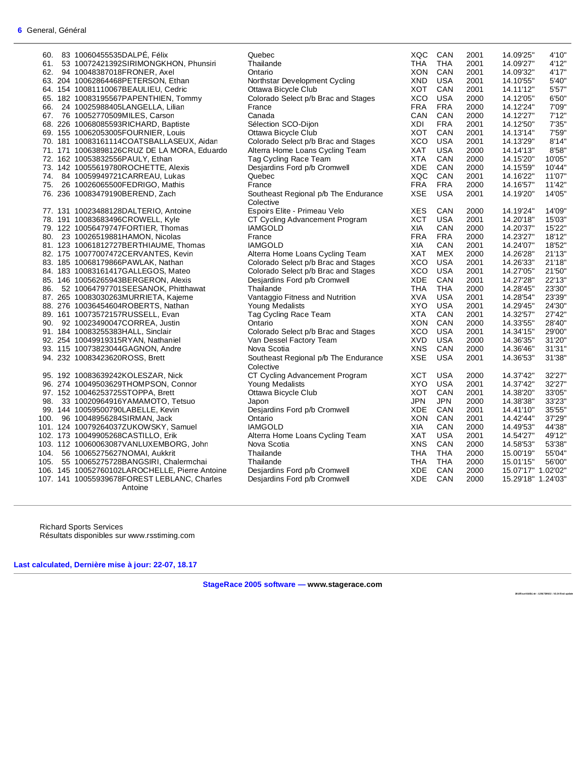| 60. | 83 10060455535DALPÉ, Félix                     | Quebec                               | XQC        | CAN        | 2001 | 14.09'25"          | 4'10"  |
|-----|------------------------------------------------|--------------------------------------|------------|------------|------|--------------------|--------|
|     | 61. 53 10072421392SIRIMONGKHON, Phunsiri       | Thailande                            | THA        | <b>THA</b> | 2001 | 14.09'27"          | 4'12"  |
|     | 62. 94 10048387018FRONER, Axel                 | Ontario                              | XON        | CAN        | 2001 | 14.09'32"          | 4'17"  |
|     |                                                |                                      |            |            | 2001 |                    |        |
|     | 63. 204 10062864468PETERSON, Ethan             | Northstar Development Cycling        | XND        | <b>USA</b> |      | 14.10'55"          | 5'40"  |
|     | 64. 154 10081110067BEAULIEU, Cedric            | Ottawa Bicycle Club                  | XOT        | CAN        | 2001 | 14.11'12"          | 5'57"  |
|     | 65. 182 10083195567PAPENTHIEN, Tommy           | Colorado Select p/b Brac and Stages  | <b>XCO</b> | <b>USA</b> | 2000 | 14.12'05"          | 6'50"  |
|     | 66. 24 10025988405LANGELLA, Lilian             | France                               | <b>FRA</b> | <b>FRA</b> | 2000 | 14.12'24"          | 7'09"  |
|     | 67. 76 10052770509MILES, Carson                | Canada                               | <b>CAN</b> | CAN        | 2000 | 14.12'27"          | 7'12"  |
|     |                                                |                                      |            |            |      |                    |        |
|     | 68. 226 10068085593RICHARD, Baptiste           | Sélection SCO-Dijon                  | XDI        | <b>FRA</b> | 2001 | 14.12'50"          | 7'35"  |
|     | 69. 155 10062053005FOURNIER, Louis             | Ottawa Bicycle Club                  | XOT        | CAN        | 2001 | 14.13'14"          | 7'59"  |
|     | 70. 181 10083161114COATSBALLASEUX, Aidan       | Colorado Select p/b Brac and Stages  | XCO        | <b>USA</b> | 2001 | 14.13'29"          | 8'14"  |
|     | 71. 171 10063898126CRUZ DE LA MORA, Eduardo    | Alterra Home Loans Cycling Team      | XAT        | <b>USA</b> | 2000 | 14.14'13"          | 8'58"  |
|     | 72. 162 10053832556PAULY, Ethan                | Tag Cycling Race Team                | <b>XTA</b> | CAN        | 2000 | 14.15'20"          | 10'05" |
|     | 73. 142 10055619780ROCHETTE, Alexis            | Desjardins Ford p/b Cromwell         | XDE        | CAN        | 2000 | 14.15'59"          | 10'44" |
|     |                                                |                                      |            |            |      |                    |        |
|     | 74. 84 10059949721CARREAU, Lukas               | Quebec                               | XQC        | CAN        | 2001 | 14.16'22"          | 11'07" |
|     | 75. 26 10026065500FEDRIGO, Mathis              | France                               | <b>FRA</b> | <b>FRA</b> | 2000 | 14.16'57"          | 11'42" |
|     | 76. 236 10083479190BEREND, Zach                | Southeast Regional p/b The Endurance | <b>XSE</b> | <b>USA</b> | 2001 | 14.19'20"          | 14'05" |
|     |                                                | Colective                            |            |            |      |                    |        |
|     | 77. 131 10023488128DALTERIO, Antoine           | Espoirs Elite - Primeau Velo         | <b>XES</b> | CAN        | 2000 | 14.19'24"          | 14'09" |
|     | 78. 191 10083683496CROWELL, Kyle               | CT Cycling Advancement Program       | <b>XCT</b> | <b>USA</b> | 2001 | 14.20'18"          | 15'03" |
|     | 79. 122 10056479747FORTIER, Thomas             | <b>IAMGOLD</b>                       | XIA        | CAN        | 2000 | 14.20'37"          | 15'22" |
|     |                                                |                                      |            |            |      |                    |        |
|     | 80. 23 10026519881HAMON, Nicolas               | France                               | <b>FRA</b> | <b>FRA</b> | 2000 | 14.23'27"          | 18'12" |
|     | 81. 123 10061812727BERTHIAUME, Thomas          | <b>IAMGOLD</b>                       | XIA        | CAN        | 2001 | 14.24'07"          | 18'52" |
|     | 82. 175 10077007472CERVANTES, Kevin            | Alterra Home Loans Cycling Team      | <b>XAT</b> | <b>MEX</b> | 2000 | 14.26'28"          | 21'13" |
|     | 83. 185 10068179866PAWLAK, Nathan              | Colorado Select p/b Brac and Stages  | XCO        | <b>USA</b> | 2001 | 14.26'33"          | 21'18" |
|     | 84. 183 10083161417GALLEGOS, Mateo             | Colorado Select p/b Brac and Stages  | XCO        | <b>USA</b> | 2001 | 14.27'05"          | 21'50" |
|     | 85. 146 10056265943BERGERON, Alexis            | Desjardins Ford p/b Cromwell         | XDE        | CAN        | 2001 | 14.27'28"          | 22'13" |
|     |                                                |                                      |            |            | 2000 |                    |        |
|     | 86. 52 10064797701SEESANOK, Phitthawat         | Thailande                            | THA        | <b>THA</b> |      | 14.28'45"          | 23'30" |
|     | 87. 265 10083030263MURRIETA, Kajeme            | Vantaggio Fitness and Nutrition      | <b>XVA</b> | <b>USA</b> | 2001 | 14.28'54"          | 23'39" |
|     | 88. 276 10036454604ROBERTS, Nathan             | Young Medalists                      | <b>XYO</b> | <b>USA</b> | 2001 | 14.29'45"          | 24'30" |
|     | 89. 161 10073572157RUSSELL, Evan               | Tag Cycling Race Team                | <b>XTA</b> | CAN        | 2001 | 14.32'57"          | 27'42" |
|     | 90. 92 10023490047CORREA, Justin               | Ontario                              | XON        | CAN        | 2000 | 14.33'55"          | 28'40" |
|     | 91. 184 10083255383HALL, Sinclair              | Colorado Select p/b Brac and Stages  | <b>XCO</b> | <b>USA</b> | 2001 | 14.34'15"          | 29'00" |
|     | 92. 254 10049919315RYAN, Nathaniel             | Van Dessel Factory Team              | <b>XVD</b> | <b>USA</b> | 2000 | 14.36'35"          | 31'20" |
|     |                                                |                                      |            |            |      |                    |        |
|     | 93. 115 10073823044GAGNON, Andre               | Nova Scotia                          | <b>XNS</b> | CAN        | 2000 | 14.36'46"          | 31'31" |
|     | 94. 232 10083423620ROSS, Brett                 | Southeast Regional p/b The Endurance | <b>XSE</b> | <b>USA</b> | 2001 | 14.36'53"          | 31'38" |
|     |                                                | Colective                            |            |            |      |                    |        |
|     | 95. 192 10083639242KOLESZAR, Nick              | CT Cycling Advancement Program       | <b>XCT</b> | <b>USA</b> | 2000 | 14.37'42"          | 32'27" |
|     | 96. 274 10049503629THOMPSON, Connor            | Young Medalists                      | XYO        | <b>USA</b> | 2001 | 14.37'42"          | 32'27" |
|     | 97. 152 10046253725STOPPA, Brett               | Ottawa Bicycle Club                  | XOT        | CAN        | 2001 | 14.38'20"          | 33'05" |
|     | 98. 33 10020964916YAMAMOTO, Tetsuo             | Japon                                | <b>JPN</b> | <b>JPN</b> | 2000 | 14.38'38"          | 33'23" |
|     |                                                |                                      |            |            |      |                    |        |
|     | 99. 144 10059500790LABELLE, Kevin              | Desjardins Ford p/b Cromwell         | XDE        | CAN        | 2001 | 14.41'10"          | 35'55" |
|     | 100. 96 10048956284SIRMAN, Jack                | Ontario                              | <b>XON</b> | CAN        | 2001 | 14.42'44"          | 37'29" |
|     | 101. 124 10079264037ZUKOWSKY, Samuel           | <b>IAMGOLD</b>                       | XIA        | CAN        | 2000 | 14.49'53"          | 44'38" |
|     | 102. 173 10049905268CASTILLO, Erik             | Alterra Home Loans Cycling Team      | XAT        | <b>USA</b> | 2001 | 14.54'27"          | 49'12" |
|     | 103. 112 10060063087VANLUXEMBORG, John         | Nova Scotia                          | <b>XNS</b> | CAN        | 2000 | 14.58'53"          | 53'38" |
|     | 104. 56 10065275627NOMAI, Aukkrit              | Thailande                            | THA        | <b>THA</b> | 2000 | 15.00'19"          | 55'04" |
|     | 105. 55 10065275728BANGSIRI, Chalermchai       | Thailande                            | <b>THA</b> | <b>THA</b> | 2000 | 15.01'15"          | 56'00" |
|     |                                                |                                      |            |            |      |                    |        |
|     | 106. 145 10052760102LAROCHELLE, Pierre Antoine | Desjardins Ford p/b Cromwell         | <b>XDE</b> | CAN        | 2000 | 15.07'17" 1.02'02" |        |
|     | 107. 141 10055939678FOREST LEBLANC, Charles    | Desjardins Ford p/b Cromwell         | XDE        | CAN        | 2000 | 15.29'18" 1.24'03" |        |
|     | Antoine                                        |                                      |            |            |      |                    |        |

Richard Sports Services Résultats disponibles sur www.rsstiming.com

**Last calculated, Dernière mise à jour: 22-07, 18.17** 

**StageRace 2005 software — www.stagerace.com** 

**2018TourAbitibi.str : 1291739922 : V3.24 final update**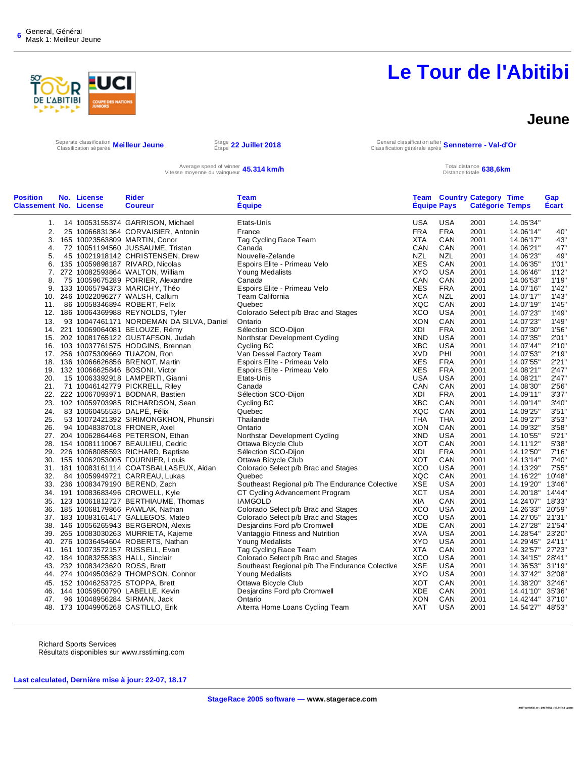

#### **Jeune**

Separate classification **Meilleur Jeune**<br>Classification séparée **Meilleur Jeune** Stape

Étape **22 Juillet 2018** General classification after Classification générale après **Senneterre - Val-d'Or**

Average speed of winner **45.314 km/h** and the speed of winner **45.314 km/h** Total distance totale and the Distance totale

Distance totale **638,6km**

| <b>Position</b><br><b>Classement No. License</b> | No. License                     | <b>Rider</b><br><b>Coureur</b>            | <b>Team</b><br><b>Equipe</b>                   | <b>Equipe Pays</b> |            | <b>Team Country Category Time</b><br><b>Catégorie Temps</b> |                  | Gap<br>Ecart |
|--------------------------------------------------|---------------------------------|-------------------------------------------|------------------------------------------------|--------------------|------------|-------------------------------------------------------------|------------------|--------------|
| 1.                                               |                                 | 14 10053155374 GARRISON, Michael          | Etats-Unis                                     | USA                | <b>USA</b> | 2001                                                        | 14.05'34"        |              |
| 2.                                               |                                 | 25 10066831364 CORVAISIER, Antonin        | France                                         | <b>FRA</b>         | <b>FRA</b> | 2001                                                        | 14.06'14"        | 40"          |
| 3.                                               |                                 | 165 10023563809 MARTIN, Conor             | Tag Cycling Race Team                          | <b>XTA</b>         | CAN        | 2001                                                        | 14.06'17"        | 43"          |
| 4.                                               |                                 | 72 10051194560 JUSSAUME, Tristan          | Canada                                         | CAN                | CAN        | 2001                                                        | 14.06'21"        | 47"          |
| 5.                                               |                                 | 45 10021918142 CHRISTENSEN, Drew          | Nouvelle-Zelande                               | <b>NZL</b>         | <b>NZL</b> | 2001                                                        | 14.06'23"        | 49"          |
| 6.                                               |                                 | 135 10059898187 RIVARD, Nicolas           | Espoirs Elite - Primeau Velo                   | <b>XES</b>         | CAN        | 2001                                                        | 14.06'35"        | 1'01"        |
| 7.                                               |                                 | 272 10082593864 WALTON, William           | Young Medalists                                | XYO                | <b>USA</b> | 2001                                                        | 14.06'46"        | 1'12"        |
| 8.                                               |                                 | 75 10059675289 POIRIER, Alexandre         | Canada                                         | CAN                | CAN        | 2001                                                        | 14.06'53"        | 1'19"        |
|                                                  |                                 | 9. 133 10065794373 MARICHY, Théo          | Espoirs Elite - Primeau Velo                   | <b>XES</b>         | <b>FRA</b> | 2001                                                        | 14.07'16"        | 1'42"        |
|                                                  |                                 | 10. 246 10022096277 WALSH, Callum         | <b>Team California</b>                         | <b>XCA</b>         | <b>NZL</b> | 2001                                                        | 14.07'17"        | 1'43"        |
| 11.                                              |                                 | 86 10058346894 ROBERT, Felix              | Quebec                                         | XQC                | CAN        | 2001                                                        | 14.07'19"        | 1'45"        |
|                                                  |                                 | 12. 186 10064369988 REYNOLDS, Tyler       | Colorado Select p/b Brac and Stages            | <b>XCO</b>         | <b>USA</b> | 2001                                                        | 14.07'23"        | 1'49"        |
| 13.                                              |                                 | 93 10047461171 NORDEMAN DA SILVA, Daniel  | Ontario                                        | <b>XON</b>         | CAN        | 2001                                                        | 14.07'23"        | 1'49"        |
|                                                  |                                 | 14. 221 10069064081 BELOUZE, Rémy         | Sélection SCO-Dijon                            | XDI                | <b>FRA</b> | 2001                                                        | 14.07'30"        | 1'56"        |
|                                                  |                                 | 15. 202 10081765122 GUSTAFSON, Judah      | Northstar Development Cycling                  | <b>XND</b>         | <b>USA</b> | 2001                                                        | 14.07'35"        | 2'01"        |
|                                                  |                                 | 16. 103 10037761575 HODGINS, Brennan      | Cycling BC                                     | <b>XBC</b>         | <b>USA</b> | 2001                                                        | 14.07'44"        | 2'10"        |
|                                                  |                                 | 17. 256 10075309669 TUAZON, Ron           | Van Dessel Factory Team                        | <b>XVD</b>         | PHI        | 2001                                                        | 14.07'53"        | 2'19"        |
|                                                  |                                 | 18. 136 10066626856 BRENOT, Martin        | Espoirs Elite - Primeau Velo                   | <b>XES</b>         | <b>FRA</b> | 2001                                                        | 14.07'55"        | 2'21"        |
|                                                  |                                 | 19. 132 10066625846 BOSONI, Victor        | Espoirs Elite - Primeau Velo                   | <b>XES</b>         | <b>FRA</b> | 2001                                                        | 14.08'21"        | 2'47"        |
| 20.                                              |                                 | 15 10063392918 LAMPERTI, Gianni           | Etats-Unis                                     | <b>USA</b>         | <b>USA</b> | 2001                                                        | 14.08'21"        | 2'47"        |
| 21.                                              |                                 | 71 10046142779 PICKRELL, Riley            | Canada                                         | CAN                | CAN        | 2001                                                        | 14.08'30"        | 2'56"        |
|                                                  |                                 | 22. 222 10067093971 BODNAR, Bastien       | Sélection SCO-Dijon                            | XDI                | <b>FRA</b> | 2001                                                        | 14.09'11"        | 3'37"        |
|                                                  |                                 | 23. 102 10059703985 RICHARDSON, Sean      | Cycling BC                                     | <b>XBC</b>         | CAN        | 2001                                                        | 14.09'14"        | 3'40"        |
| 24.                                              | 83 10060455535 DALPÉ, Félix     |                                           | Quebec                                         | XQC                | CAN        | 2001                                                        | 14.09'25"        | 3'51"        |
| 25.                                              |                                 | 53 10072421392 SIRIMONGKHON, Phunsiri     | Thailande                                      | <b>THA</b>         | <b>THA</b> | 2001                                                        | 14.09'27"        | 3'53"        |
| 26.                                              |                                 | 94 10048387018 FRONER, Axel               | Ontario                                        | <b>XON</b>         | CAN        | 2001                                                        | 14.09'32"        | 3'58"        |
|                                                  |                                 | 27. 204 10062864468 PETERSON, Ethan       | Northstar Development Cycling                  | <b>XND</b>         | <b>USA</b> | 2001                                                        | 14.10'55"        | 5'21"        |
|                                                  |                                 | 28. 154 10081110067 BEAULIEU, Cedric      | Ottawa Bicycle Club                            | XOT                | CAN        | 2001                                                        | 14.11'12"        | 5'38"        |
|                                                  |                                 | 29. 226 10068085593 RICHARD, Baptiste     | Sélection SCO-Dijon                            | XDI                | <b>FRA</b> | 2001                                                        | 14.12'50"        | 7'16''       |
|                                                  |                                 | 30. 155 10062053005 FOURNIER, Louis       | Ottawa Bicycle Club                            | <b>XOT</b>         | CAN        | 2001                                                        | 14.13'14"        | 7'40"        |
|                                                  |                                 | 31. 181 10083161114 COATSBALLASEUX, Aidan | Colorado Select p/b Brac and Stages            | <b>XCO</b>         | <b>USA</b> | 2001                                                        | 14.13'29"        | 7'55"        |
| 32.                                              |                                 | 84 10059949721 CARREAU, Lukas             | Quebec                                         | XQC                | CAN        | 2001                                                        | 14.16'22"        | 10'48"       |
|                                                  |                                 | 33. 236 10083479190 BEREND, Zach          | Southeast Regional p/b The Endurance Colective | <b>XSE</b>         | <b>USA</b> | 2001                                                        | 14.19'20"        | 13'46"       |
|                                                  |                                 | 34. 191 10083683496 CROWELL, Kyle         | CT Cycling Advancement Program                 | <b>XCT</b>         | <b>USA</b> | 2001                                                        | 14.20'18"        | 14'44"       |
|                                                  |                                 | 35. 123 10061812727 BERTHIAUME, Thomas    | <b>IAMGOLD</b>                                 | XIA                | CAN        | 2001                                                        | 14.24'07" 18'33" |              |
|                                                  |                                 | 36. 185 10068179866 PAWLAK, Nathan        | Colorado Select p/b Brac and Stages            | <b>XCO</b>         | <b>USA</b> | 2001                                                        | 14.26'33"        | 20'59"       |
|                                                  |                                 | 37. 183 10083161417 GALLEGOS, Mateo       | Colorado Select p/b Brac and Stages            | <b>XCO</b>         | <b>USA</b> | 2001                                                        | 14.27'05" 21'31" |              |
|                                                  |                                 | 38. 146 10056265943 BERGERON, Alexis      | Desjardins Ford p/b Cromwell                   | XDE                | CAN        | 2001                                                        | 14.27'28"        | 21'54"       |
|                                                  |                                 | 39. 265 10083030263 MURRIETA, Kajeme      | Vantaggio Fitness and Nutrition                | XVA                | <b>USA</b> | 2001                                                        | 14.28'54"        | 23'20"       |
|                                                  |                                 | 40. 276 10036454604 ROBERTS, Nathan       | <b>Young Medalists</b>                         | XYO                | USA        | 2001                                                        | 14.29'45"        | 24'11"       |
|                                                  |                                 | 41. 161 10073572157 RUSSELL, Evan         | Tag Cycling Race Team                          | <b>XTA</b>         | CAN        | 2001                                                        | 14.32'57"        | 27'23"       |
|                                                  |                                 | 42. 184 10083255383 HALL, Sinclair        | Colorado Select p/b Brac and Stages            | <b>XCO</b>         | <b>USA</b> | 2001                                                        | 14.34'15" 28'41" |              |
|                                                  | 43. 232 10083423620 ROSS, Brett |                                           | Southeast Regional p/b The Endurance Colective | <b>XSE</b>         | <b>USA</b> | 2001                                                        | 14.36'53"        | 31'19"       |
|                                                  |                                 | 44. 274 10049503629 THOMPSON, Connor      | Young Medalists                                | <b>XYO</b>         | USA        | 2001                                                        | 14.37'42" 32'08" |              |
|                                                  |                                 | 45. 152 10046253725 STOPPA, Brett         | Ottawa Bicycle Club                            | <b>XOT</b>         | CAN        | 2001                                                        | 14.38'20"        | 32'46"       |
|                                                  |                                 | 46. 144 10059500790 LABELLE, Kevin        | Desjardins Ford p/b Cromwell                   | XDE                | CAN        | 2001                                                        | 14.41'10" 35'36" |              |
| 47.                                              |                                 | 96 10048956284 SIRMAN, Jack               | Ontario                                        | <b>XON</b>         | CAN        | 2001                                                        | 14.42'44"        | 37'10"       |
|                                                  |                                 | 48. 173 10049905268 CASTILLO, Erik        | Alterra Home Loans Cycling Team                | XAT                | <b>USA</b> | 2001                                                        | 14.54'27" 48'53" |              |
|                                                  |                                 |                                           |                                                |                    |            |                                                             |                  |              |

Richard Sports Services Résultats disponibles sur www.rsstiming.com

**Last calculated, Dernière mise à jour: 22-07, 18.17**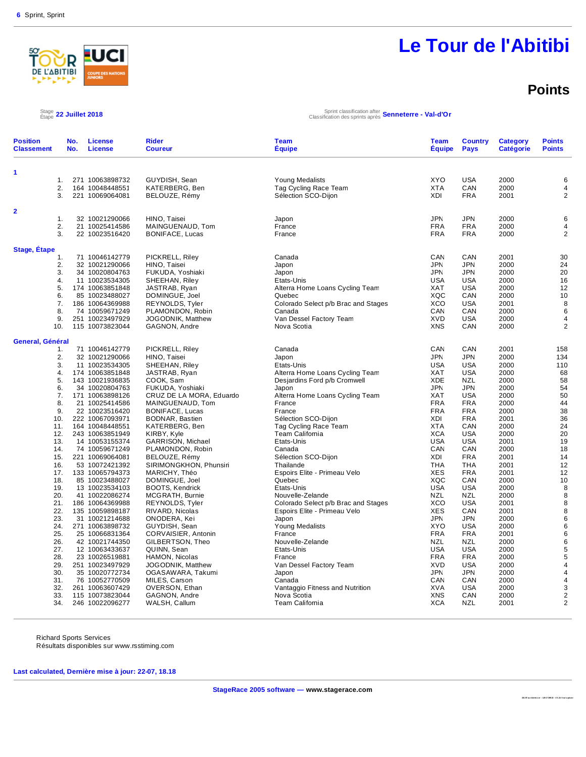

## **Le Tour de l'Abitibi**

### **Points**

**201 8T ou rAbi tib i.s tr : 129 17 399 22 : V3 .24 fi na l u pd at e** 

#### $^{Stage}_{Étape}$  22 Juillet 2018

Étape **22 Juillet 2018** Sprint classification after Classification des sprints après **Senneterre - Val-d'Or**

| <b>Position</b><br><b>Classement</b> | No.<br>No. | <b>License</b><br><b>License</b>   | <b>Rider</b><br><b>Coureur</b>             | <b>Team</b><br>Équipe                 | <b>Team</b><br><b>Équipe</b> | <b>Country</b><br><b>Pays</b> | <b>Category</b><br><b>Catégorie</b> | <b>Points</b><br><b>Points</b> |
|--------------------------------------|------------|------------------------------------|--------------------------------------------|---------------------------------------|------------------------------|-------------------------------|-------------------------------------|--------------------------------|
| 1                                    |            |                                    |                                            |                                       |                              |                               |                                     |                                |
| 1.                                   |            | 271 10063898732                    | GUYDISH, Sean                              | <b>Young Medalists</b>                | <b>XYO</b>                   | <b>USA</b>                    | 2000                                | 6                              |
| 2.                                   |            | 164 10048448551                    | KATERBERG, Ben                             | Tag Cycling Race Team                 | <b>XTA</b>                   | CAN                           | 2000                                | $\overline{4}$                 |
| 3.                                   |            | 221 10069064081                    | BELOUZE, Rémy                              | Sélection SCO-Dijon                   | XDI                          | <b>FRA</b>                    | 2001                                | $\overline{2}$                 |
| $\mathbf{2}$                         |            |                                    |                                            |                                       |                              |                               |                                     |                                |
| 1.                                   |            | 32 10021290066                     | HINO, Taisei                               | Japon                                 | <b>JPN</b>                   | <b>JPN</b>                    | 2000                                | 6                              |
| 2.                                   |            | 21 10025414586                     | MAINGUENAUD, Tom                           | France                                | <b>FRA</b>                   | <b>FRA</b>                    | 2000                                | $\overline{4}$                 |
| 3.                                   |            | 22 10023516420                     | BONIFACE, Lucas                            | France                                | <b>FRA</b>                   | <b>FRA</b>                    | 2000                                | $\overline{2}$                 |
|                                      |            |                                    |                                            |                                       |                              |                               |                                     |                                |
| <b>Stage, Étape</b><br>1.            |            | 71 10046142779                     | PICKRELL, Riley                            | Canada                                | CAN                          | CAN                           | 2001                                | 30                             |
| 2.                                   |            | 32 10021290066                     | HINO, Taisei                               | Japon                                 | <b>JPN</b>                   | <b>JPN</b>                    | 2000                                | 24                             |
| 3.                                   |            | 34 10020804763                     | FUKUDA, Yoshiaki                           | Japon                                 | <b>JPN</b>                   | <b>JPN</b>                    | 2000                                | 20                             |
| 4.                                   |            | 11 10023534305                     | SHEEHAN, Riley                             | Etats-Unis                            | <b>USA</b>                   | <b>USA</b>                    | 2000                                | 16                             |
| 5.                                   |            | 174 10063851848                    | JASTRAB, Ryan                              | Alterra Home Loans Cycling Team       | <b>XAT</b>                   | <b>USA</b>                    | 2000                                | 12                             |
| 6.                                   |            | 85 10023488027                     | DOMINGUE, Joel                             | Quebec                                | XQC                          | CAN                           | 2000                                | 10                             |
| 7.                                   |            | 186 10064369988                    | REYNOLDS, Tyler                            | Colorado Select p/b Brac and Stages   | <b>XCO</b>                   | <b>USA</b>                    | 2001                                | 8                              |
| 8.                                   |            | 74 10059671249                     | PLAMONDON, Robin                           | Canada                                | CAN                          | CAN                           | 2000                                | 6                              |
| 9.                                   |            | 251 10023497929                    | JOGODNIK, Matthew                          | Van Dessel Factory Team               | <b>XVD</b>                   | <b>USA</b>                    | 2000                                | $\overline{4}$                 |
| 10.                                  |            | 115 10073823044                    | GAGNON, Andre                              | Nova Scotia                           | <b>XNS</b>                   | CAN                           | 2000                                | $\overline{2}$                 |
| General, Général                     |            |                                    |                                            |                                       |                              |                               |                                     |                                |
| 1.                                   |            | 71 10046142779                     | PICKRELL, Riley                            | Canada                                | CAN                          | CAN                           | 2001                                | 158                            |
| 2.                                   |            | 32 10021290066                     | HINO, Taisei                               | Japon                                 | <b>JPN</b>                   | <b>JPN</b>                    | 2000                                | 134                            |
| 3.                                   |            | 11 10023534305                     | SHEEHAN, Riley                             | Etats-Unis                            | USA                          | <b>USA</b>                    | 2000                                | 110                            |
| 4.                                   |            | 174 10063851848                    | JASTRAB, Ryan                              | Alterra Home Loans Cycling Team       | <b>XAT</b>                   | <b>USA</b>                    | 2000                                | 68                             |
| 5.                                   |            | 143 10021936835                    | COOK, Sam                                  | Desjardins Ford p/b Cromwell          | XDE                          | <b>NZL</b>                    | 2000                                | 58                             |
| 6.                                   |            | 34 10020804763                     | FUKUDA, Yoshiaki                           | Japon                                 | <b>JPN</b>                   | <b>JPN</b>                    | 2000                                | 54                             |
| 7.                                   |            | 171 10063898126                    | CRUZ DE LA MORA, Eduardo                   | Alterra Home Loans Cycling Team       | <b>XAT</b>                   | <b>USA</b>                    | 2000                                | 50                             |
| 8.<br>9.                             |            | 21 10025414586<br>22 10023516420   | MAINGUENAUD, Tom<br><b>BONIFACE, Lucas</b> | France<br>France                      | <b>FRA</b><br><b>FRA</b>     | <b>FRA</b><br><b>FRA</b>      | 2000<br>2000                        | 44<br>38                       |
| 10.                                  |            | 222 10067093971                    | BODNAR, Bastien                            | Sélection SCO-Dijon                   | <b>XDI</b>                   | <b>FRA</b>                    | 2001                                | 36                             |
| 11.                                  |            | 164 10048448551                    | KATERBERG, Ben                             | Tag Cycling Race Team                 | <b>XTA</b>                   | CAN                           | 2000                                | 24                             |
| 12.                                  |            | 243 10063851949                    | KIRBY, Kyle                                | Team California                       | <b>XCA</b>                   | <b>USA</b>                    | 2000                                | 20                             |
| 13.                                  |            | 14 10053155374                     | GARRISON, Michael                          | Etats-Unis                            | <b>USA</b>                   | <b>USA</b>                    | 2001                                | 19                             |
| 14.                                  |            | 74 10059671249                     | PLAMONDON, Robin                           | Canada                                | CAN                          | CAN                           | 2000                                | 18                             |
| 15.                                  |            | 221 10069064081                    | BELOUZE, Rémy                              | Sélection SCO-Dijon                   | XDI                          | <b>FRA</b>                    | 2001                                | 14                             |
| 16.                                  |            | 53 10072421392                     | SIRIMONGKHON, Phunsiri                     | Thailande                             | <b>THA</b>                   | <b>THA</b>                    | 2001                                | 12                             |
| 17.                                  |            | 133 10065794373                    | MARICHY, Théo                              | Espoirs Elite - Primeau Velo          | <b>XES</b>                   | <b>FRA</b>                    | 2001                                | 12                             |
| 18.                                  |            | 85 10023488027                     | DOMINGUE, Joel                             | Quebec                                | XQC                          | CAN                           | 2000                                | 10                             |
| 19.                                  |            | 13 10023534103                     | <b>BOOTS, Kendrick</b>                     | Etats-Unis                            | USA                          | <b>USA</b>                    | 2000                                | 8                              |
| 20.                                  |            | 41 10022086274                     | MCGRATH, Burnie                            | Nouvelle-Zelande                      | <b>NZL</b>                   | <b>NZL</b>                    | 2000                                | 8                              |
| 21.<br>22.                           |            | 186 10064369988<br>135 10059898187 | REYNOLDS, Tyler                            | Colorado Select p/b Brac and Stages   | <b>XCO</b><br><b>XES</b>     | <b>USA</b><br>CAN             | 2001<br>2001                        | 8<br>8                         |
| 23.                                  |            | 31 10021214688                     | RIVARD, Nicolas<br>ONODERA, Kei            | Espoirs Elite - Primeau Velo<br>Japon | <b>JPN</b>                   | <b>JPN</b>                    | 2000                                | 6                              |
| 24.                                  |            | 271 10063898732                    | GUYDISH, Sean                              | Young Medalists                       | XYO                          | <b>USA</b>                    | 2000                                | $6\phantom{1}6$                |
| 25.                                  |            | 25 10066831364                     | CORVAISIER, Antonin                        | France                                | <b>FRA</b>                   | <b>FRA</b>                    | 2001                                | 6                              |
| 26.                                  |            | 42 10021744350                     | GILBERTSON, Theo                           | Nouvelle-Zelande                      | <b>NZL</b>                   | <b>NZL</b>                    | 2000                                | 6                              |
| 27.                                  |            | 12 10063433637                     | QUINN, Sean                                | Etats-Unis                            | <b>USA</b>                   | <b>USA</b>                    | 2000                                | 5                              |
| 28.                                  |            | 23 10026519881                     | HAMON, Nicolas                             | France                                | <b>FRA</b>                   | <b>FRA</b>                    | 2000                                | 5                              |
| 29.                                  |            | 251 10023497929                    | JOGODNIK, Matthew                          | Van Dessel Factory Team               | <b>XVD</b>                   | <b>USA</b>                    | 2000                                | $\overline{4}$                 |
| 30.                                  |            | 35 10020772734                     | OGASAWARA, Takumi                          | Japon                                 | <b>JPN</b>                   | <b>JPN</b>                    | 2000                                | $\overline{4}$                 |
| 31.                                  |            | 76 10052770509                     | MILES, Carson                              | Canada                                | CAN                          | CAN                           | 2000                                | 4                              |
| 32.                                  |            | 261 10063607429                    | OVERSON, Ethan                             | Vantaggio Fitness and Nutrition       | <b>XVA</b>                   | <b>USA</b>                    | 2000                                | 3                              |
| 33.                                  |            | 115 10073823044                    | GAGNON, Andre                              | Nova Scotia                           | <b>XNS</b>                   | CAN                           | 2000                                | $\overline{2}$                 |
| 34.                                  |            | 246 10022096277                    | WALSH, Callum                              | Team California                       | <b>XCA</b>                   | <b>NZL</b>                    | 2001                                | $\overline{2}$                 |

Richard Sports Services

Résultats disponibles sur www.rsstiming.com

**Last calculated, Dernière mise à jour: 22-07, 18.18**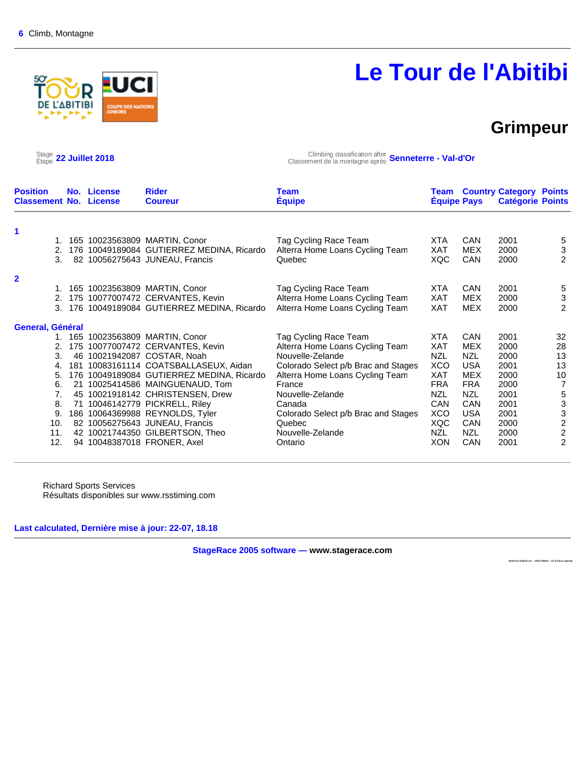

# **Le Tour de l'Abitibi**

### **Grimpeur**

 $\frac{\text{Stage}}{\text{Etape}}$  22 Juillet 2018

Étape **22 Juillet 2018** Climbing classification after Classement de la montagne après **Senneterre - Val-d'Or**

| <b>Position</b><br><b>Classement No. License</b> |          | No. License | <b>Rider</b><br><b>Coureur</b>            | Team<br><b>Equipe</b>               | Team<br><b>Equipe Pays</b> |            | <b>Country Category Points</b><br><b>Catégorie Points</b> |                           |
|--------------------------------------------------|----------|-------------|-------------------------------------------|-------------------------------------|----------------------------|------------|-----------------------------------------------------------|---------------------------|
| 1                                                |          |             |                                           |                                     |                            |            |                                                           |                           |
|                                                  | 1.       |             | 165 10023563809 MARTIN, Conor             | Tag Cycling Race Team               | <b>XTA</b>                 | CAN        | 2001                                                      | 5                         |
|                                                  | 2.       |             | 176 10049189084 GUTIERREZ MEDINA, Ricardo | Alterra Home Loans Cycling Team     | XAT                        | <b>MEX</b> | 2000                                                      | 3                         |
|                                                  | 3.       |             | 82 10056275643 JUNEAU, Francis            | Quebec                              | <b>XQC</b>                 | <b>CAN</b> | 2000                                                      | 2                         |
| $\overline{2}$                                   |          |             |                                           |                                     |                            |            |                                                           |                           |
|                                                  | 1.       |             | 165 10023563809 MARTIN, Conor             | Tag Cycling Race Team               | <b>XTA</b>                 | <b>CAN</b> | 2001                                                      | 5                         |
|                                                  | 2.       |             | 175 10077007472 CERVANTES, Kevin          | Alterra Home Loans Cycling Team     | XAT                        | MEX        | 2000                                                      | $\ensuremath{\mathsf{3}}$ |
|                                                  | 3.       |             | 176 10049189084 GUTIERREZ MEDINA, Ricardo | Alterra Home Loans Cycling Team     | XAT                        | <b>MEX</b> | 2000                                                      | 2                         |
| General, Général                                 |          |             |                                           |                                     |                            |            |                                                           |                           |
|                                                  | 1.       |             | 165 10023563809 MARTIN, Conor             | Tag Cycling Race Team               | <b>XTA</b>                 | <b>CAN</b> | 2001                                                      | 32                        |
|                                                  | 2.       |             | 175 10077007472 CERVANTES, Kevin          | Alterra Home Loans Cycling Team     | XAT                        | <b>MEX</b> | 2000                                                      | 28                        |
|                                                  | 3.<br>46 |             | 10021942087 COSTAR, Noah                  | Nouvelle-Zelande                    | <b>NZL</b>                 | NZL        | 2000                                                      | 13                        |
| 4.                                               | 181      |             | 10083161114 COATSBALLASEUX, Aidan         | Colorado Select p/b Brac and Stages | <b>XCO</b>                 | <b>USA</b> | 2001                                                      | 13                        |
| 5.                                               | 176      |             | 10049189084 GUTIERREZ MEDINA, Ricardo     | Alterra Home Loans Cycling Team     | <b>XAT</b>                 | <b>MEX</b> | 2000                                                      | 10                        |
| 6.                                               | 21       |             | 10025414586 MAINGUENAUD, Tom              | France                              | <b>FRA</b>                 | <b>FRA</b> | 2000                                                      | $\overline{7}$            |
|                                                  | 7.       |             | 45 10021918142 CHRISTENSEN, Drew          | Nouvelle-Zelande                    | <b>NZL</b>                 | <b>NZL</b> | 2001                                                      | $\,$ 5 $\,$               |
| 8.                                               | 71       |             | 10046142779 PICKRELL, Riley               | Canada                              | CAN                        | <b>CAN</b> | 2001                                                      | $\ensuremath{\mathsf{3}}$ |
| 9.                                               |          |             | 186 10064369988 REYNOLDS, Tyler           | Colorado Select p/b Brac and Stages | <b>XCO</b>                 | <b>USA</b> | 2001                                                      | $\frac{3}{2}$             |
| 10.                                              |          |             | 82 10056275643 JUNEAU, Francis            | Quebec                              | XQC                        | <b>CAN</b> | 2000                                                      |                           |
| 11.                                              |          |             | 42 10021744350 GILBERTSON, Theo           | Nouvelle-Zelande                    | <b>NZL</b>                 | <b>NZL</b> | 2000                                                      | $\boldsymbol{2}$          |
| 12.                                              |          |             | 94 10048387018 FRONER, Axel               | Ontario                             | <b>XON</b>                 | CAN        | 2001                                                      | 2                         |

Richard Sports Services Résultats disponibles sur www.rsstiming.com

**Last calculated, Dernière mise à jour: 22-07, 18.18** 

**StageRace 2005 software — www.stagerace.com** 

**2018Tou rAbitibi.str : 1291739922 : V3.24 fin al upd ate**